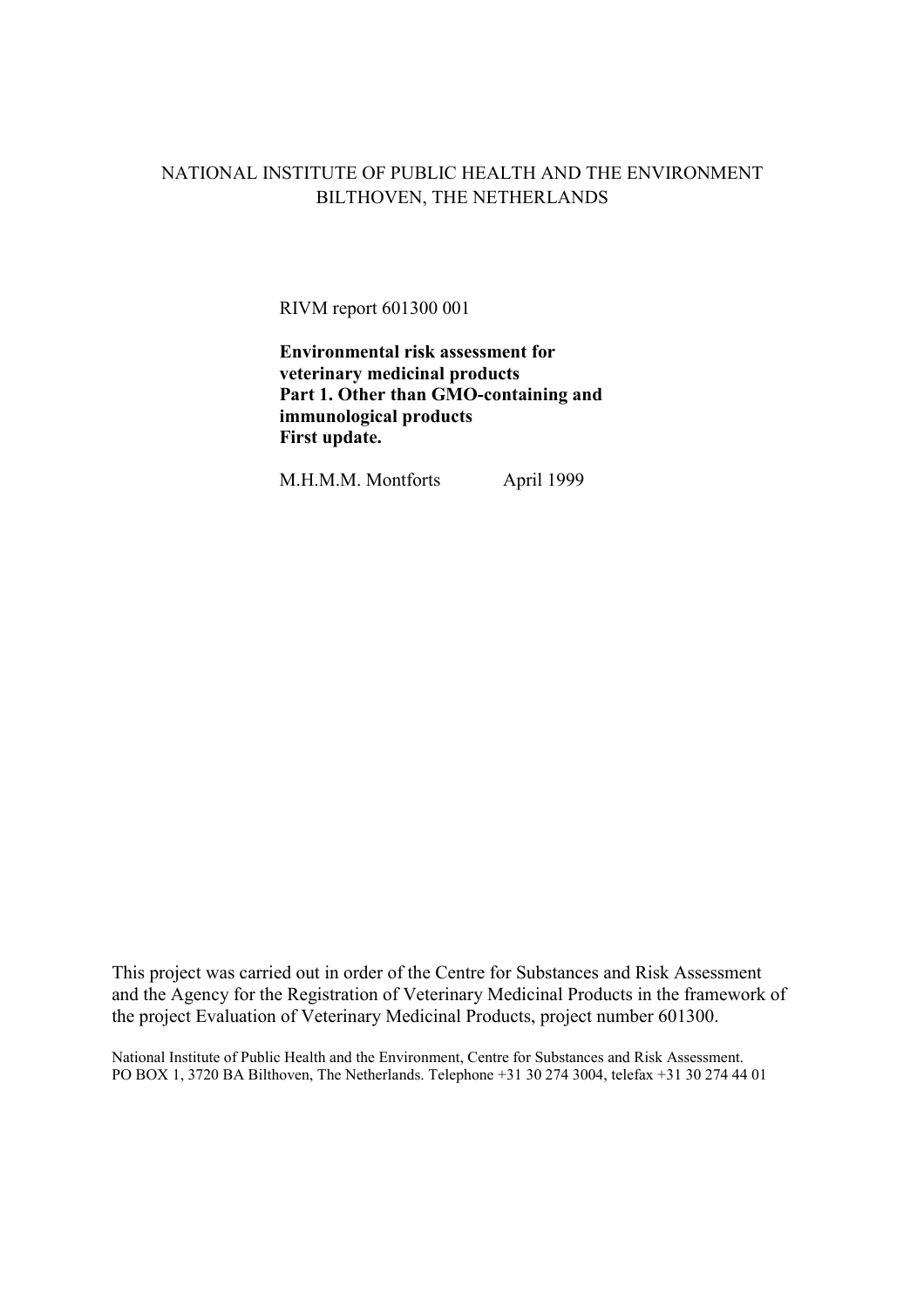# NATIONAL INSTITUTE OF PUBLIC HEALTH AND THE ENVIRONMENT BILTHOVEN, THE NETHERLANDS

RIVM report 601300 001

**Environmental risk assessment for veterinary medicinal products Part 1. Other than GMO-containing and immunological products First update.**

M.H.M.M. Montforts April 1999

This project was carried out in order of the Centre for Substances and Risk Assessment and the Agency for the Registration of Veterinary Medicinal Products in the framework of the project Evaluation of Veterinary Medicinal Products, project number 601300.

National Institute of Public Health and the Environment, Centre for Substances and Risk Assessment. PO BOX 1, 3720 BA Bilthoven, The Netherlands. Telephone +31 30 274 3004, telefax +31 30 274 44 01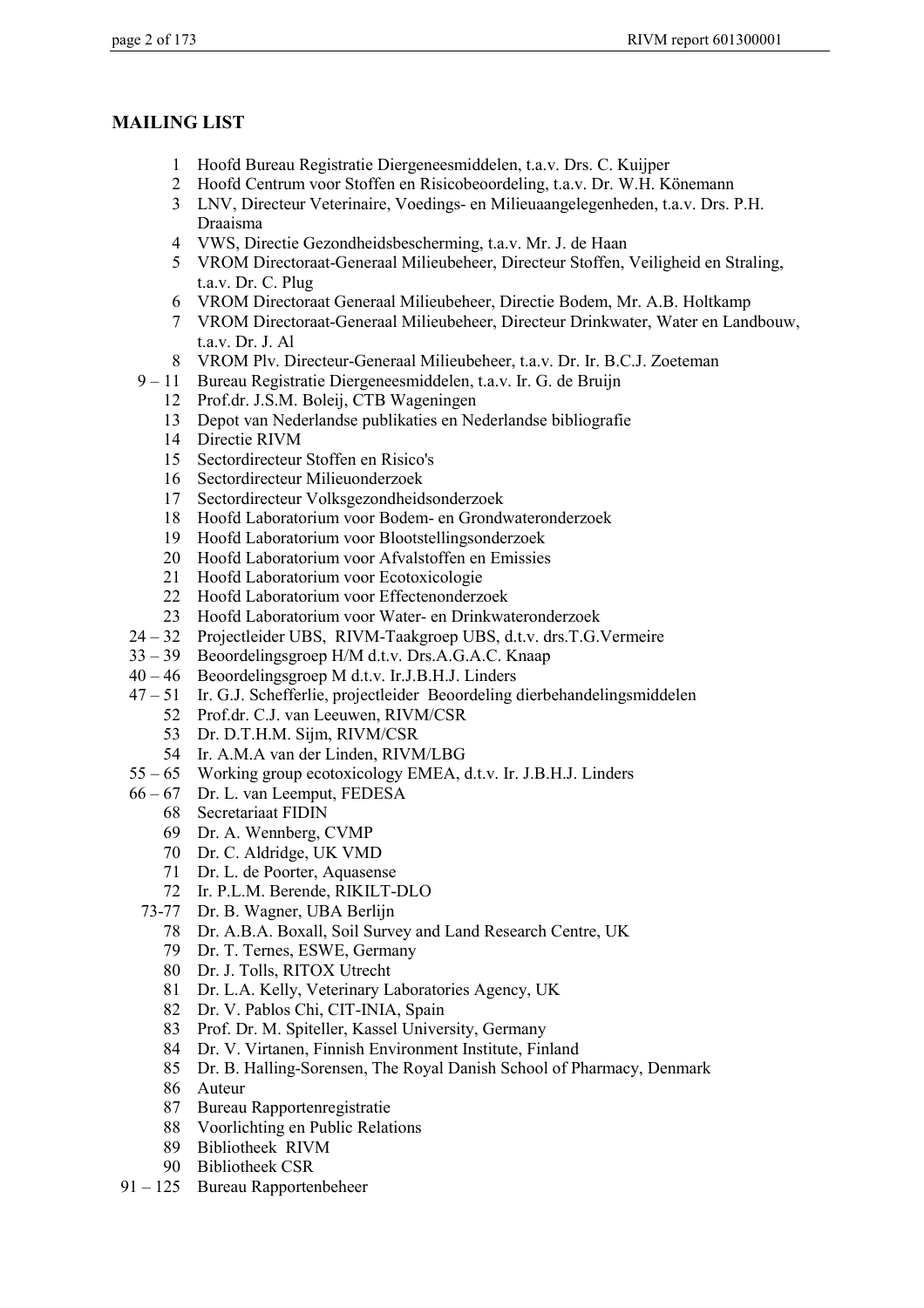## **MAILING LIST**

- 1 Hoofd Bureau Registratie Diergeneesmiddelen, t.a.v. Drs. C. Kuijper
- 2 Hoofd Centrum voor Stoffen en Risicobeoordeling, t.a.v. Dr. W.H. Könemann
- 3 LNV, Directeur Veterinaire, Voedings- en Milieuaangelegenheden, t.a.v. Drs. P.H. Draaisma
- 4 VWS, Directie Gezondheidsbescherming, t.a.v. Mr. J. de Haan
- 5 VROM Directoraat-Generaal Milieubeheer, Directeur Stoffen, Veiligheid en Straling, t.a.v. Dr. C. Plug
- 6 VROM Directoraat Generaal Milieubeheer, Directie Bodem, Mr. A.B. Holtkamp
- 7 VROM Directoraat-Generaal Milieubeheer, Directeur Drinkwater, Water en Landbouw, t.a.v. Dr. J. Al
- 8 VROM Plv. Directeur-Generaal Milieubeheer, t.a.v. Dr. Ir. B.C.J. Zoeteman
- 9 11 Bureau Registratie Diergeneesmiddelen, t.a.v. Ir. G. de Bruijn
	- 12 Prof.dr. J.S.M. Boleij, CTB Wageningen
	- 13 Depot van Nederlandse publikaties en Nederlandse bibliografie
	- 14 Directie RIVM
	- 15 Sectordirecteur Stoffen en Risico's
	- 16 Sectordirecteur Milieuonderzoek
	- 17 Sectordirecteur Volksgezondheidsonderzoek
	- 18 Hoofd Laboratorium voor Bodem- en Grondwateronderzoek
	- 19 Hoofd Laboratorium voor Blootstellingsonderzoek
	- 20 Hoofd Laboratorium voor Afvalstoffen en Emissies
	- 21 Hoofd Laboratorium voor Ecotoxicologie
	- 22 Hoofd Laboratorium voor Effectenonderzoek
	- 23 Hoofd Laboratorium voor Water- en Drinkwateronderzoek
- 24 32 Projectleider UBS, RIVM-Taakgroep UBS, d.t.v. drs.T.G.Vermeire
- 33 39 Beoordelingsgroep H/M d.t.v. Drs.A.G.A.C. Knaap
- 40 46 Beoordelingsgroep M d.t.v. Ir.J.B.H.J. Linders
- 47 51 Ir. G.J. Schefferlie, projectleider Beoordeling dierbehandelingsmiddelen
	- 52 Prof.dr. C.J. van Leeuwen, RIVM/CSR
	- 53 Dr. D.T.H.M. Sijm, RIVM/CSR
	- 54 Ir. A.M.A van der Linden, RIVM/LBG
- 55 65 Working group ecotoxicology EMEA, d.t.v. Ir. J.B.H.J. Linders
- Dr. L. van Leemput, FEDESA
	- 68 Secretariaat FIDIN
	- 69 Dr. A. Wennberg, CVMP
	- 70 Dr. C. Aldridge, UK VMD
	- 71 Dr. L. de Poorter, Aquasense
	- 72 Ir. P.L.M. Berende, RIKILT-DLO
	- 73-77 Dr. B. Wagner, UBA Berlijn
		- 78 Dr. A.B.A. Boxall, Soil Survey and Land Research Centre, UK
		- 79 Dr. T. Ternes, ESWE, Germany
		- 80 Dr. J. Tolls, RITOX Utrecht
		- 81 Dr. L.A. Kelly, Veterinary Laboratories Agency, UK
		- 82 Dr. V. Pablos Chi, CIT-INIA, Spain
		- 83 Prof. Dr. M. Spiteller, Kassel University, Germany
		- 84 Dr. V. Virtanen, Finnish Environment Institute, Finland
		- 85 Dr. B. Halling-Sorensen, The Royal Danish School of Pharmacy, Denmark
		- 86 Auteur
		- 87 Bureau Rapportenregistratie
		- 88 Voorlichting en Public Relations
		- 89 Bibliotheek RIVM
		- 90 Bibliotheek CSR
- 91 125 Bureau Rapportenbeheer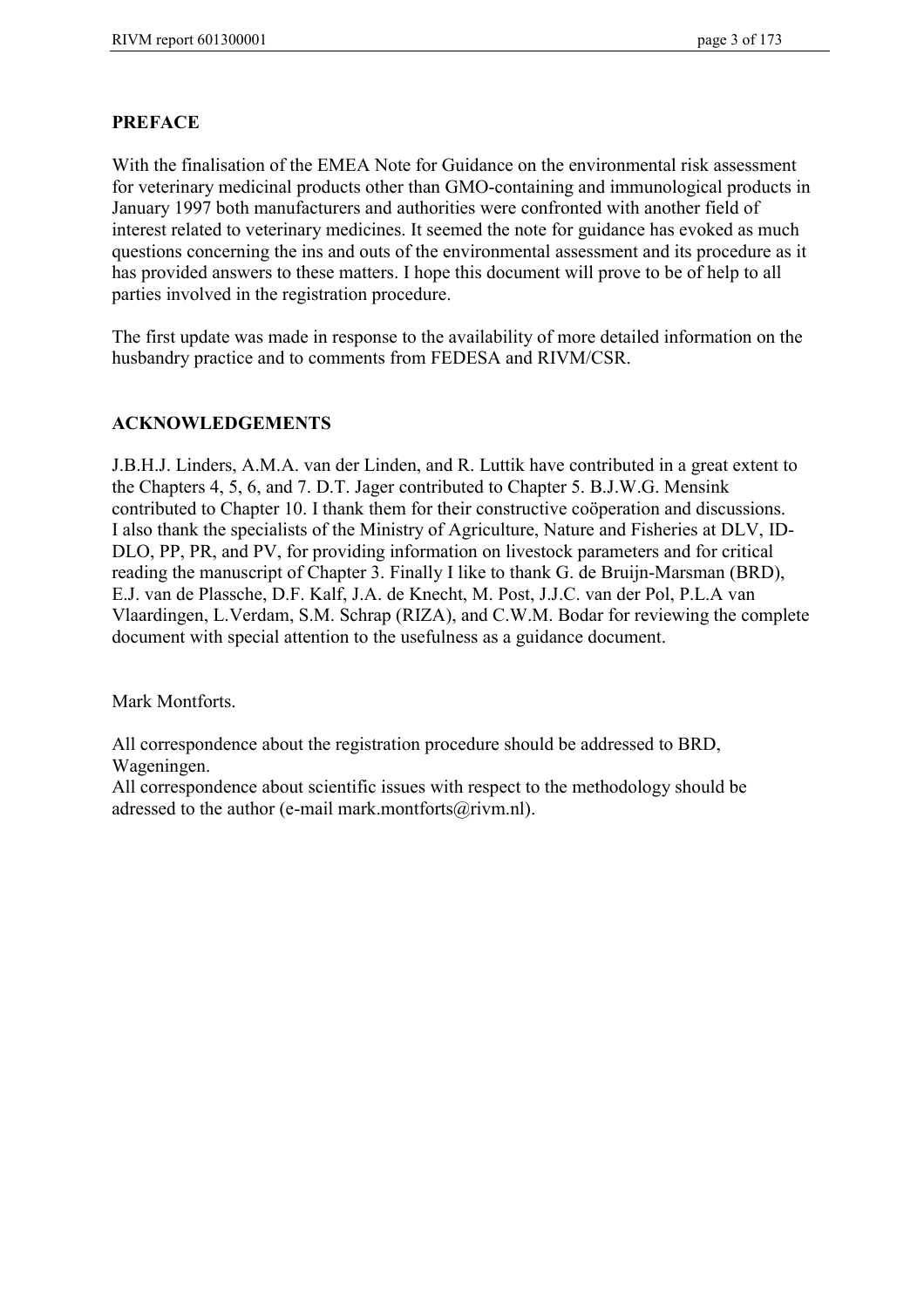## **PREFACE**

With the finalisation of the EMEA Note for Guidance on the environmental risk assessment for veterinary medicinal products other than GMO-containing and immunological products in January 1997 both manufacturers and authorities were confronted with another field of interest related to veterinary medicines. It seemed the note for guidance has evoked as much questions concerning the ins and outs of the environmental assessment and its procedure as it has provided answers to these matters. I hope this document will prove to be of help to all parties involved in the registration procedure.

The first update was made in response to the availability of more detailed information on the husbandry practice and to comments from FEDESA and RIVM/CSR.

## **ACKNOWLEDGEMENTS**

J.B.H.J. Linders, A.M.A. van der Linden, and R. Luttik have contributed in a great extent to the Chapters 4, 5, 6, and 7. D.T. Jager contributed to Chapter 5. B.J.W.G. Mensink contributed to Chapter 10. I thank them for their constructive coöperation and discussions. I also thank the specialists of the Ministry of Agriculture, Nature and Fisheries at DLV, ID-DLO, PP, PR, and PV, for providing information on livestock parameters and for critical reading the manuscript of Chapter 3. Finally I like to thank G. de Bruijn-Marsman (BRD), E.J. van de Plassche, D.F. Kalf, J.A. de Knecht, M. Post, J.J.C. van der Pol, P.L.A van Vlaardingen, L.Verdam, S.M. Schrap (RIZA), and C.W.M. Bodar for reviewing the complete document with special attention to the usefulness as a guidance document.

Mark Montforts.

All correspondence about the registration procedure should be addressed to BRD, Wageningen.

All correspondence about scientific issues with respect to the methodology should be adressed to the author (e-mail mark.montforts@rivm.nl).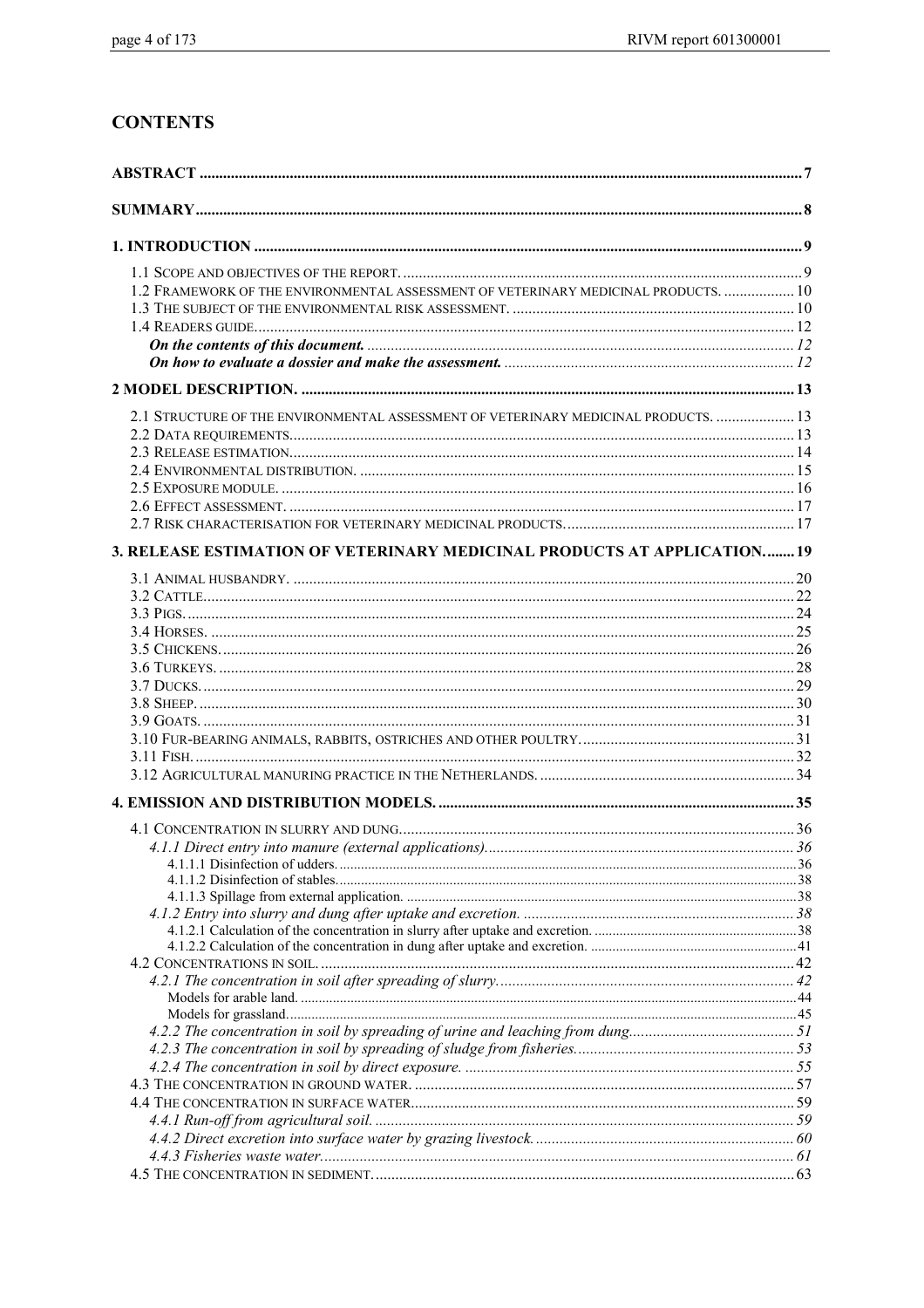# **CONTENTS**

| 1.2 FRAMEWORK OF THE ENVIRONMENTAL ASSESSMENT OF VETERINARY MEDICINAL PRODUCTS.  10 |  |
|-------------------------------------------------------------------------------------|--|
|                                                                                     |  |
|                                                                                     |  |
|                                                                                     |  |
|                                                                                     |  |
|                                                                                     |  |
| 2.1 STRUCTURE OF THE ENVIRONMENTAL ASSESSMENT OF VETERINARY MEDICINAL PRODUCTS.  13 |  |
|                                                                                     |  |
|                                                                                     |  |
|                                                                                     |  |
|                                                                                     |  |
|                                                                                     |  |
|                                                                                     |  |
| 3. RELEASE ESTIMATION OF VETERINARY MEDICINAL PRODUCTS AT APPLICATION19             |  |
|                                                                                     |  |
|                                                                                     |  |
|                                                                                     |  |
|                                                                                     |  |
|                                                                                     |  |
|                                                                                     |  |
|                                                                                     |  |
|                                                                                     |  |
|                                                                                     |  |
|                                                                                     |  |
|                                                                                     |  |
|                                                                                     |  |
|                                                                                     |  |
|                                                                                     |  |
|                                                                                     |  |
|                                                                                     |  |
|                                                                                     |  |
|                                                                                     |  |
|                                                                                     |  |
|                                                                                     |  |
|                                                                                     |  |
|                                                                                     |  |
|                                                                                     |  |
|                                                                                     |  |
|                                                                                     |  |
|                                                                                     |  |
|                                                                                     |  |
|                                                                                     |  |
|                                                                                     |  |
|                                                                                     |  |
|                                                                                     |  |
|                                                                                     |  |
|                                                                                     |  |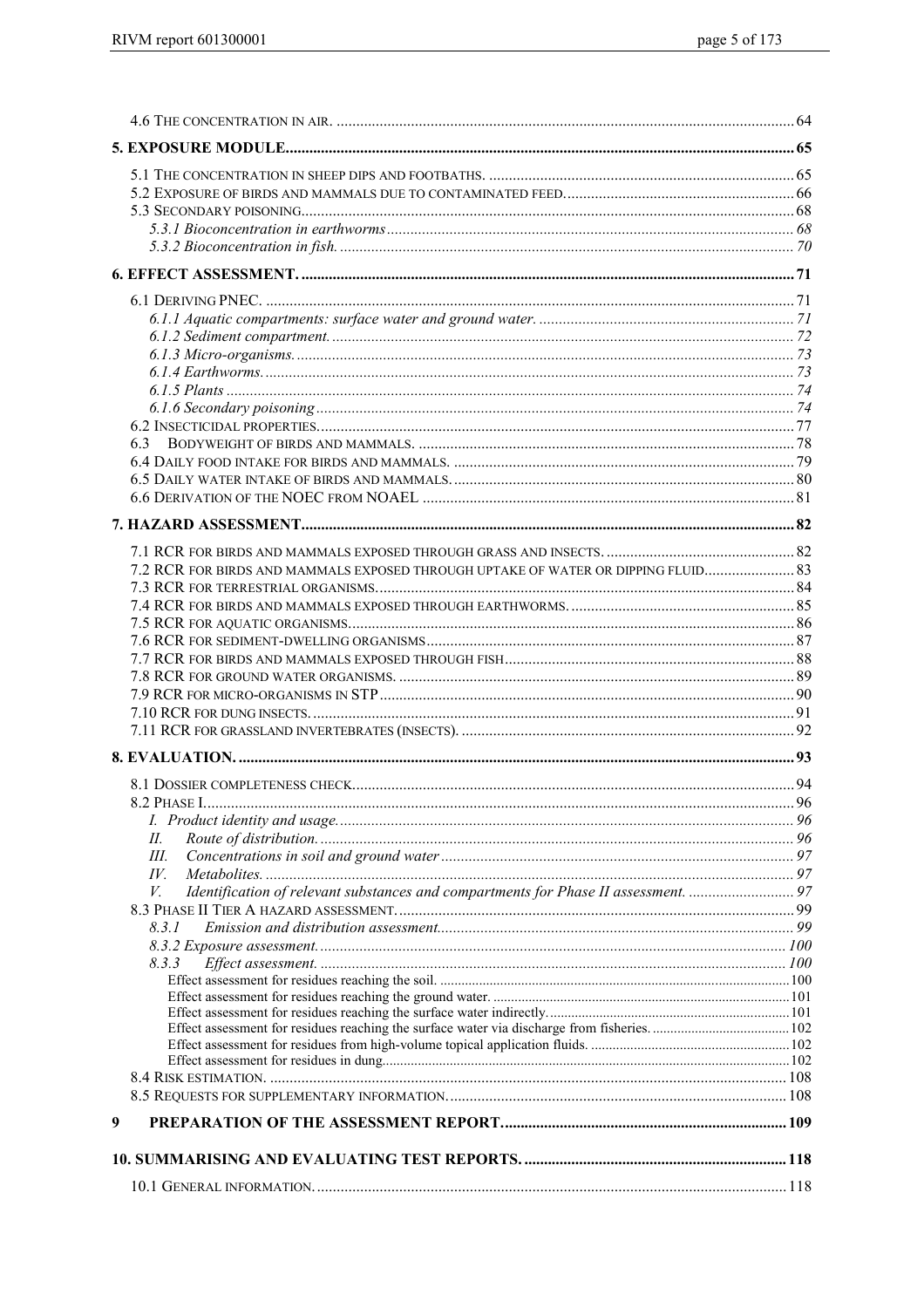| 7.2 RCR FOR BIRDS AND MAMMALS EXPOSED THROUGH UPTAKE OF WATER OR DIPPING FLUID 83         |    |
|-------------------------------------------------------------------------------------------|----|
|                                                                                           |    |
|                                                                                           |    |
|                                                                                           |    |
|                                                                                           |    |
|                                                                                           |    |
|                                                                                           |    |
|                                                                                           |    |
|                                                                                           |    |
|                                                                                           |    |
|                                                                                           |    |
|                                                                                           |    |
| 8.2 PHASE I.                                                                              | 96 |
|                                                                                           |    |
| П.                                                                                        |    |
| Ш.                                                                                        |    |
| IV.                                                                                       |    |
| Identification of relevant substances and compartments for Phase II assessment.  97<br>V. |    |
|                                                                                           |    |
| 8.3.1                                                                                     |    |
|                                                                                           |    |
| 8.3.3                                                                                     |    |
|                                                                                           |    |
|                                                                                           |    |
|                                                                                           |    |
|                                                                                           |    |
|                                                                                           |    |
|                                                                                           |    |
|                                                                                           |    |
| 9                                                                                         |    |
|                                                                                           |    |
|                                                                                           |    |
|                                                                                           |    |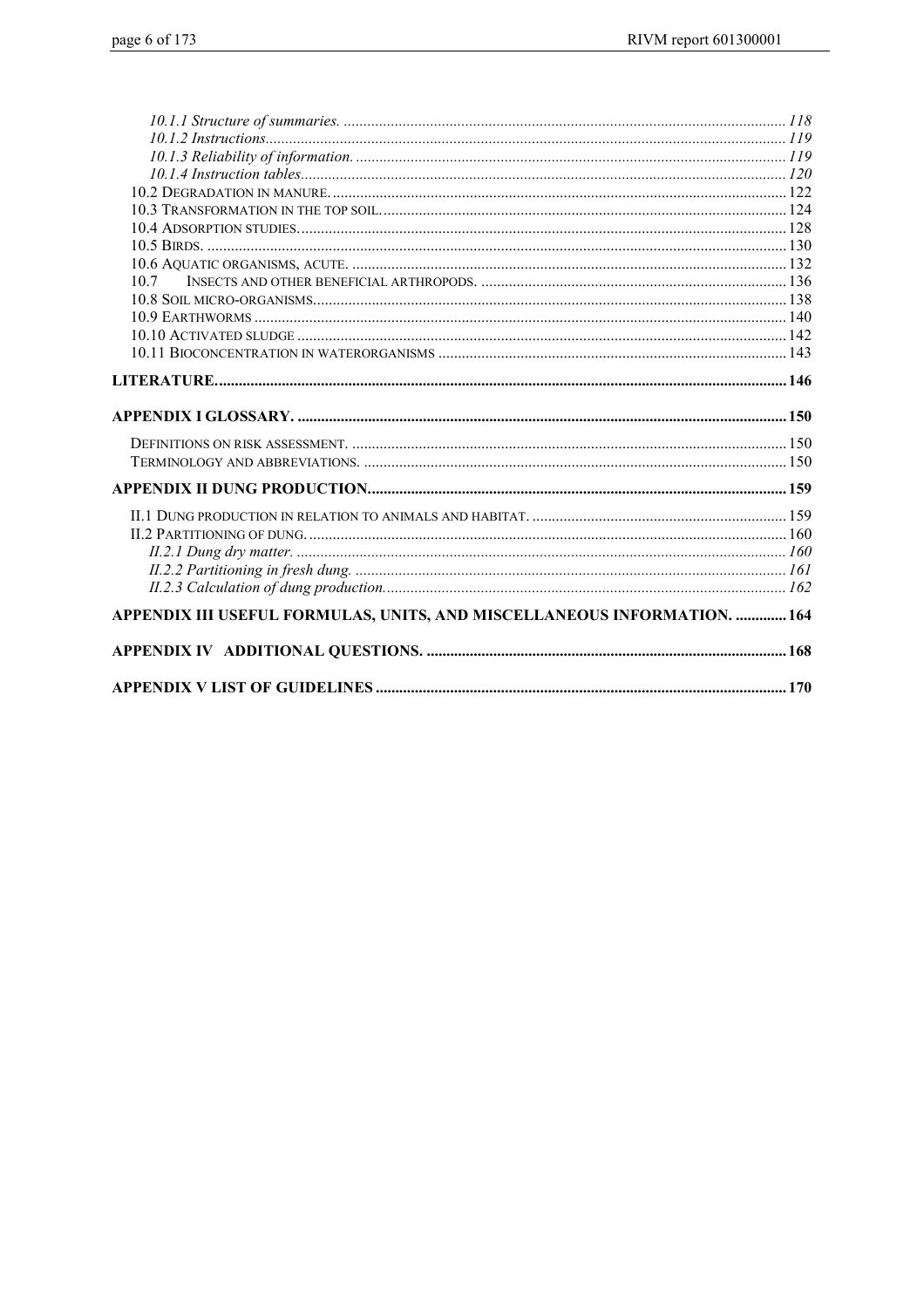| 107                                                                      |  |
|--------------------------------------------------------------------------|--|
|                                                                          |  |
|                                                                          |  |
|                                                                          |  |
|                                                                          |  |
|                                                                          |  |
|                                                                          |  |
|                                                                          |  |
|                                                                          |  |
|                                                                          |  |
|                                                                          |  |
|                                                                          |  |
|                                                                          |  |
|                                                                          |  |
|                                                                          |  |
|                                                                          |  |
|                                                                          |  |
| APPENDIX III USEFUL FORMULAS, UNITS, AND MISCELLANEOUS INFORMATION.  164 |  |
|                                                                          |  |
|                                                                          |  |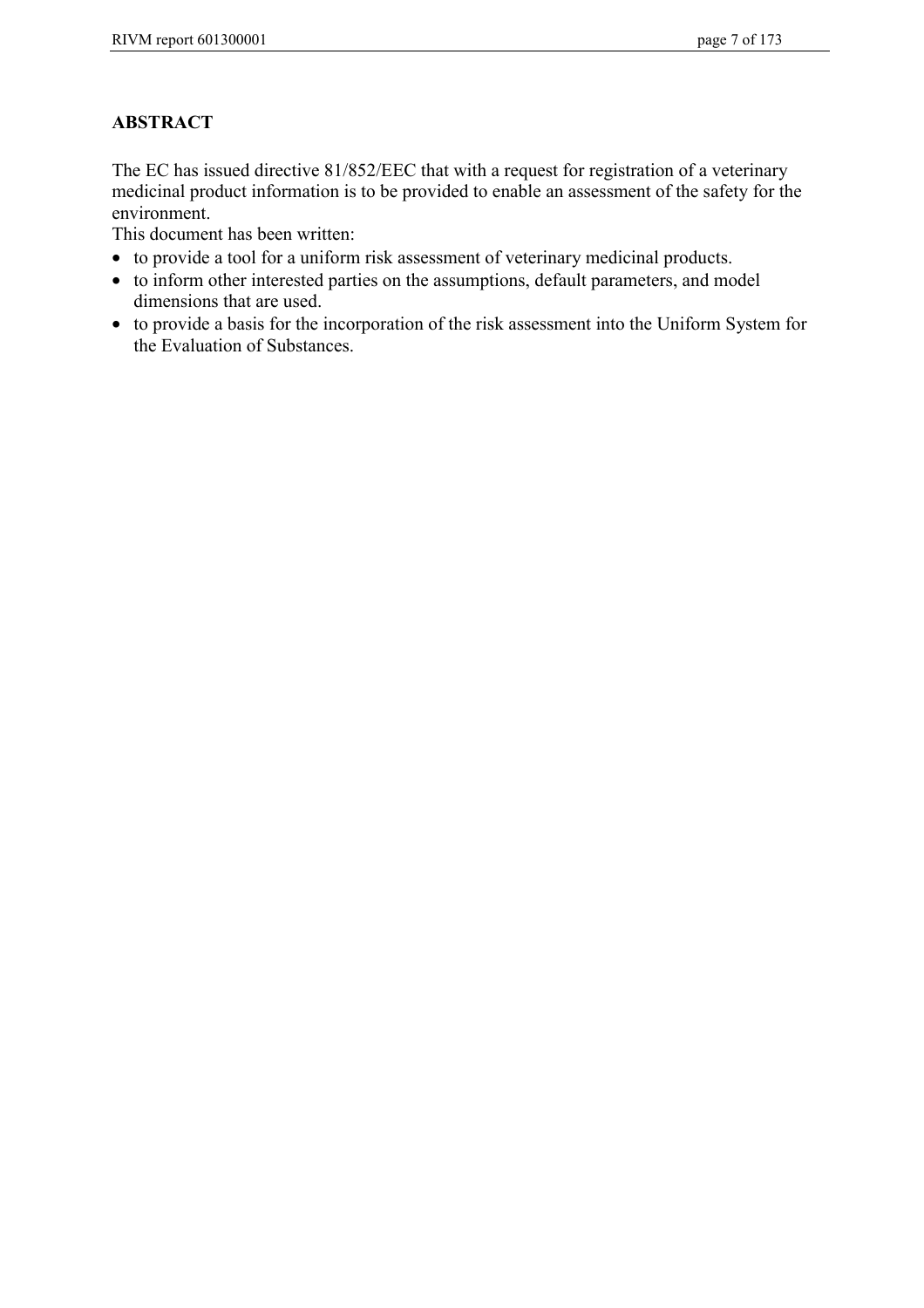# **ABSTRACT**

The EC has issued directive 81/852/EEC that with a request for registration of a veterinary medicinal product information is to be provided to enable an assessment of the safety for the environment.

This document has been written:

- to provide a tool for a uniform risk assessment of veterinary medicinal products.
- to inform other interested parties on the assumptions, default parameters, and model dimensions that are used.
- to provide a basis for the incorporation of the risk assessment into the Uniform System for the Evaluation of Substances.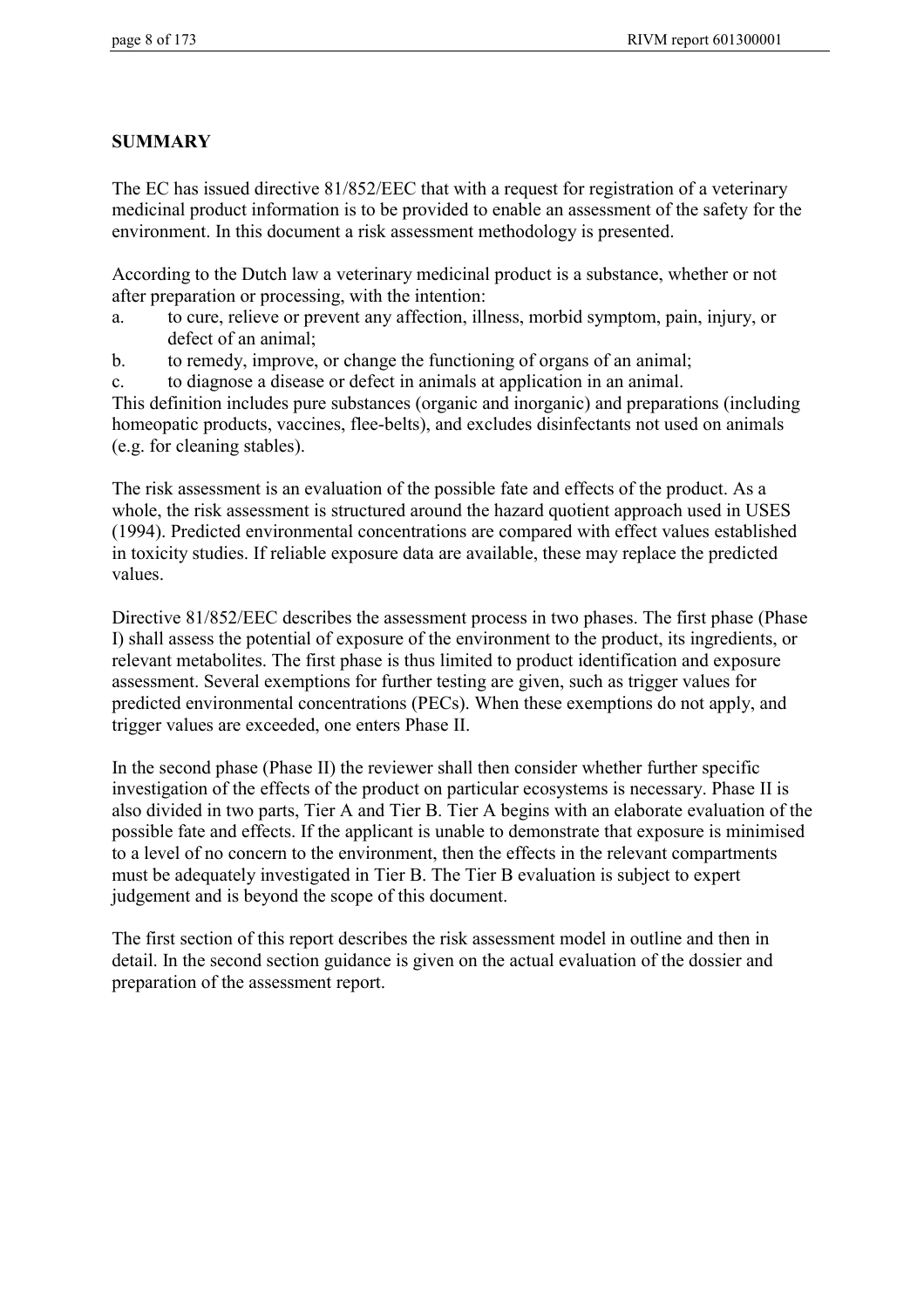## **SUMMARY**

The EC has issued directive 81/852/EEC that with a request for registration of a veterinary medicinal product information is to be provided to enable an assessment of the safety for the environment. In this document a risk assessment methodology is presented.

According to the Dutch law a veterinary medicinal product is a substance, whether or not after preparation or processing, with the intention:

- a. to cure, relieve or prevent any affection, illness, morbid symptom, pain, injury, or defect of an animal;
- b. to remedy, improve, or change the functioning of organs of an animal;

c. to diagnose a disease or defect in animals at application in an animal.

This definition includes pure substances (organic and inorganic) and preparations (including homeopatic products, vaccines, flee-belts), and excludes disinfectants not used on animals (e.g. for cleaning stables).

The risk assessment is an evaluation of the possible fate and effects of the product. As a whole, the risk assessment is structured around the hazard quotient approach used in USES (1994). Predicted environmental concentrations are compared with effect values established in toxicity studies. If reliable exposure data are available, these may replace the predicted values.

Directive 81/852/EEC describes the assessment process in two phases. The first phase (Phase I) shall assess the potential of exposure of the environment to the product, its ingredients, or relevant metabolites. The first phase is thus limited to product identification and exposure assessment. Several exemptions for further testing are given, such as trigger values for predicted environmental concentrations (PECs). When these exemptions do not apply, and trigger values are exceeded, one enters Phase II.

In the second phase (Phase II) the reviewer shall then consider whether further specific investigation of the effects of the product on particular ecosystems is necessary. Phase II is also divided in two parts, Tier A and Tier B. Tier A begins with an elaborate evaluation of the possible fate and effects. If the applicant is unable to demonstrate that exposure is minimised to a level of no concern to the environment, then the effects in the relevant compartments must be adequately investigated in Tier B. The Tier B evaluation is subject to expert judgement and is beyond the scope of this document.

The first section of this report describes the risk assessment model in outline and then in detail. In the second section guidance is given on the actual evaluation of the dossier and preparation of the assessment report.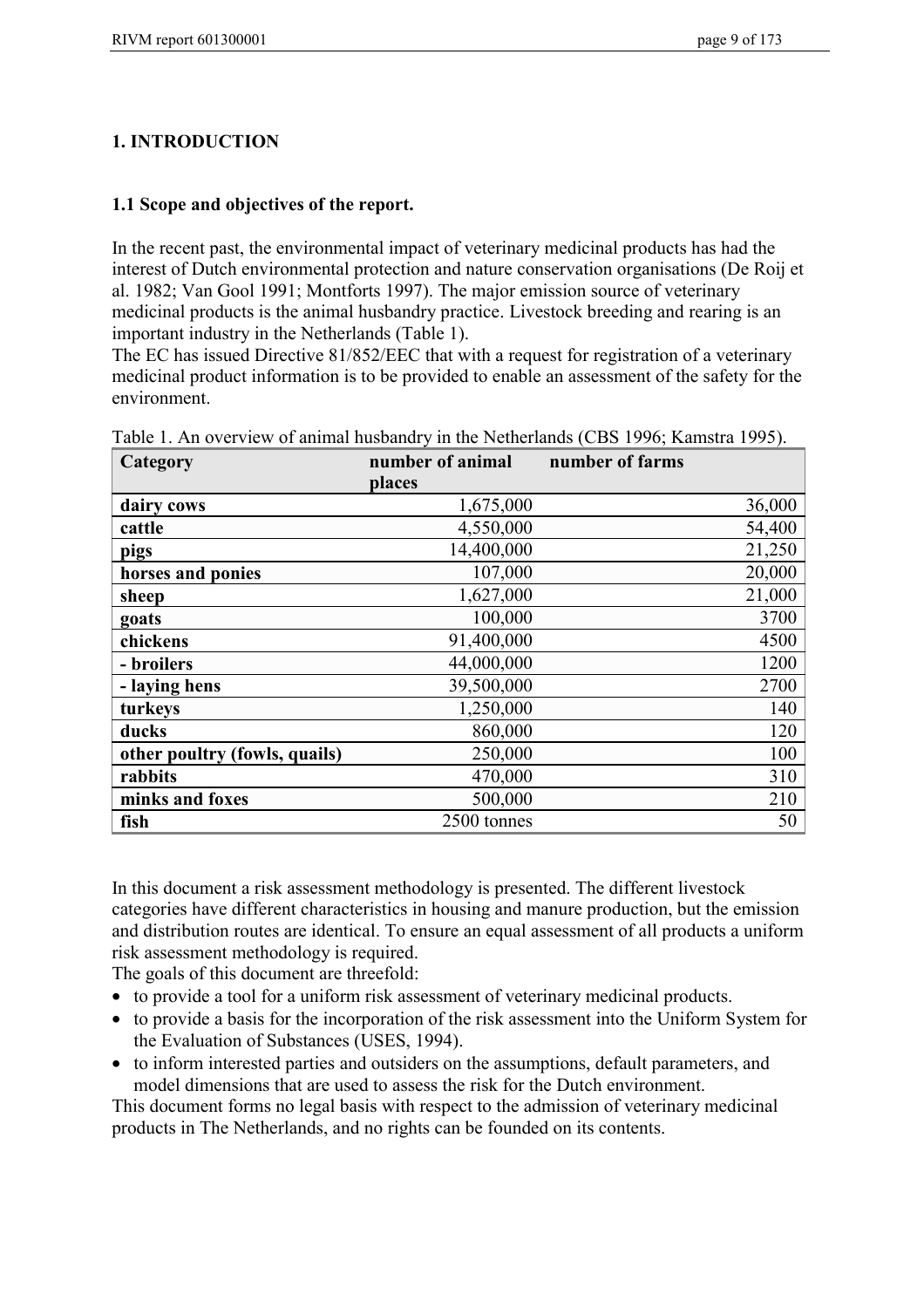# **1. INTRODUCTION**

## **1.1 Scope and objectives of the report.**

In the recent past, the environmental impact of veterinary medicinal products has had the interest of Dutch environmental protection and nature conservation organisations (De Roij et al. 1982; Van Gool 1991; Montforts 1997). The major emission source of veterinary medicinal products is the animal husbandry practice. Livestock breeding and rearing is an important industry in the Netherlands (Table 1).

The EC has issued Directive 81/852/EEC that with a request for registration of a veterinary medicinal product information is to be provided to enable an assessment of the safety for the environment.

| Category                      | number of animal | number of farms |
|-------------------------------|------------------|-----------------|
|                               | places           |                 |
| dairy cows                    | 1,675,000        | 36,000          |
| cattle                        | 4,550,000        | 54,400          |
| pigs                          | 14,400,000       | 21,250          |
| horses and ponies             | 107,000          | 20,000          |
| sheep                         | 1,627,000        | 21,000          |
| goats                         | 100,000          | 3700            |
| chickens                      | 91,400,000       | 4500            |
| - broilers                    | 44,000,000       | 1200            |
| - laying hens                 | 39,500,000       | 2700            |
| turkeys                       | 1,250,000        | 140             |
| ducks                         | 860,000          | 120             |
| other poultry (fowls, quails) | 250,000          | 100             |
| rabbits                       | 470,000          | 310             |
| minks and foxes               | 500,000          | 210             |
| fish                          | 2500 tonnes      | 50              |

Table 1. An overview of animal husbandry in the Netherlands (CBS 1996; Kamstra 1995).

In this document a risk assessment methodology is presented. The different livestock categories have different characteristics in housing and manure production, but the emission and distribution routes are identical. To ensure an equal assessment of all products a uniform risk assessment methodology is required.

The goals of this document are threefold:

- to provide a tool for a uniform risk assessment of veterinary medicinal products.
- to provide a basis for the incorporation of the risk assessment into the Uniform System for the Evaluation of Substances (USES, 1994).
- to inform interested parties and outsiders on the assumptions, default parameters, and model dimensions that are used to assess the risk for the Dutch environment.

This document forms no legal basis with respect to the admission of veterinary medicinal products in The Netherlands, and no rights can be founded on its contents.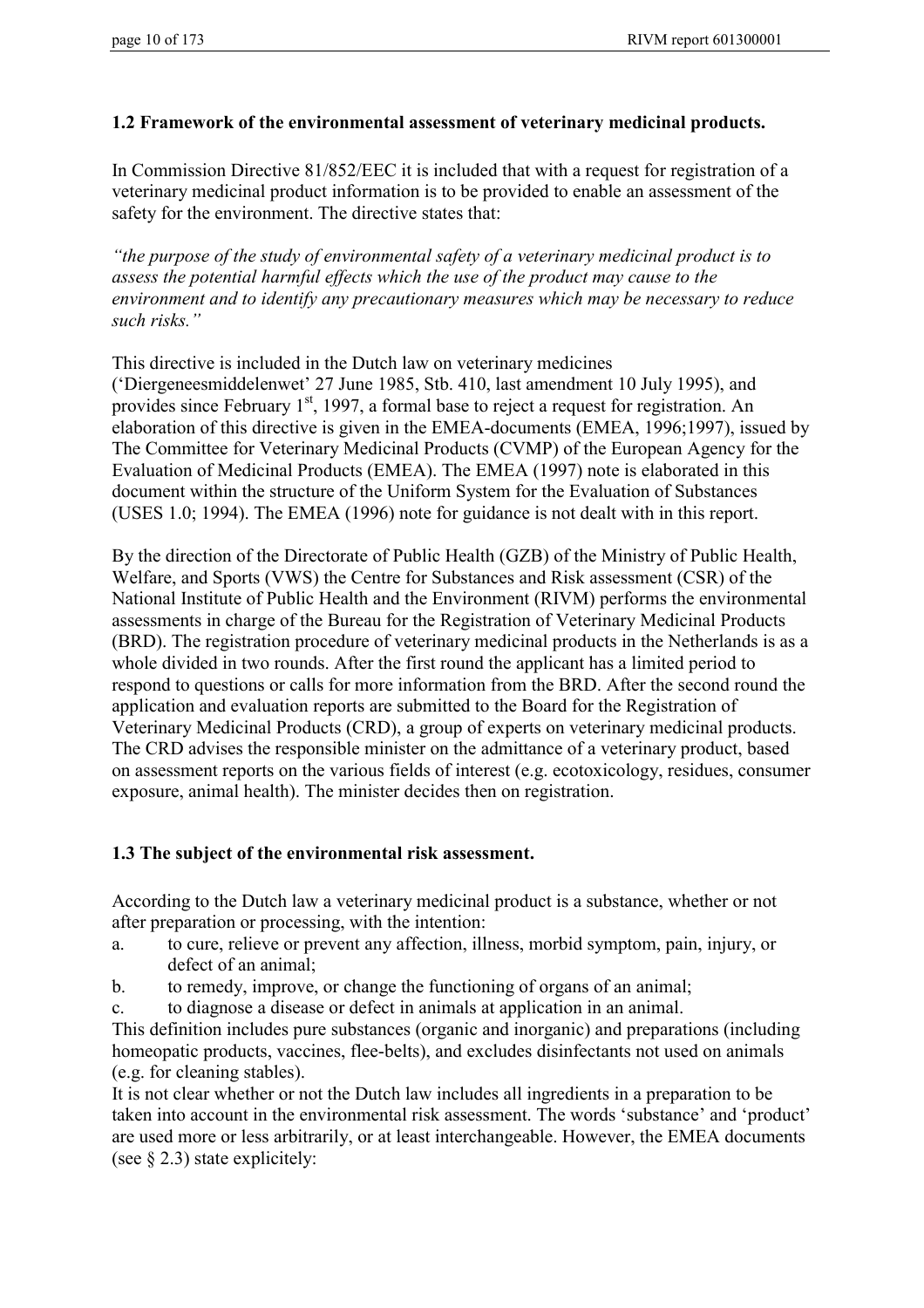## **1.2 Framework of the environmental assessment of veterinary medicinal products.**

In Commission Directive 81/852/EEC it is included that with a request for registration of a veterinary medicinal product information is to be provided to enable an assessment of the safety for the environment. The directive states that:

*"the purpose of the study of environmental safety of a veterinary medicinal product is to assess the potential harmful effects which the use of the product may cause to the environment and to identify any precautionary measures which may be necessary to reduce such risks."*

This directive is included in the Dutch law on veterinary medicines ('Diergeneesmiddelenwet' 27 June 1985, Stb. 410, last amendment 10 July 1995), and provides since February  $1<sup>st</sup>$ , 1997, a formal base to reject a request for registration. An elaboration of this directive is given in the EMEA-documents (EMEA, 1996;1997), issued by The Committee for Veterinary Medicinal Products (CVMP) of the European Agency for the Evaluation of Medicinal Products (EMEA). The EMEA (1997) note is elaborated in this document within the structure of the Uniform System for the Evaluation of Substances (USES 1.0; 1994). The EMEA (1996) note for guidance is not dealt with in this report.

By the direction of the Directorate of Public Health (GZB) of the Ministry of Public Health, Welfare, and Sports (VWS) the Centre for Substances and Risk assessment (CSR) of the National Institute of Public Health and the Environment (RIVM) performs the environmental assessments in charge of the Bureau for the Registration of Veterinary Medicinal Products (BRD). The registration procedure of veterinary medicinal products in the Netherlands is as a whole divided in two rounds. After the first round the applicant has a limited period to respond to questions or calls for more information from the BRD. After the second round the application and evaluation reports are submitted to the Board for the Registration of Veterinary Medicinal Products (CRD), a group of experts on veterinary medicinal products. The CRD advises the responsible minister on the admittance of a veterinary product, based on assessment reports on the various fields of interest (e.g. ecotoxicology, residues, consumer exposure, animal health). The minister decides then on registration.

## **1.3 The subject of the environmental risk assessment.**

According to the Dutch law a veterinary medicinal product is a substance, whether or not after preparation or processing, with the intention:

- a. to cure, relieve or prevent any affection, illness, morbid symptom, pain, injury, or defect of an animal;
- b. to remedy, improve, or change the functioning of organs of an animal;

c. to diagnose a disease or defect in animals at application in an animal.

This definition includes pure substances (organic and inorganic) and preparations (including homeopatic products, vaccines, flee-belts), and excludes disinfectants not used on animals (e.g. for cleaning stables).

It is not clear whether or not the Dutch law includes all ingredients in a preparation to be taken into account in the environmental risk assessment. The words 'substance' and 'product' are used more or less arbitrarily, or at least interchangeable. However, the EMEA documents (see  $\S$  2.3) state explicitely: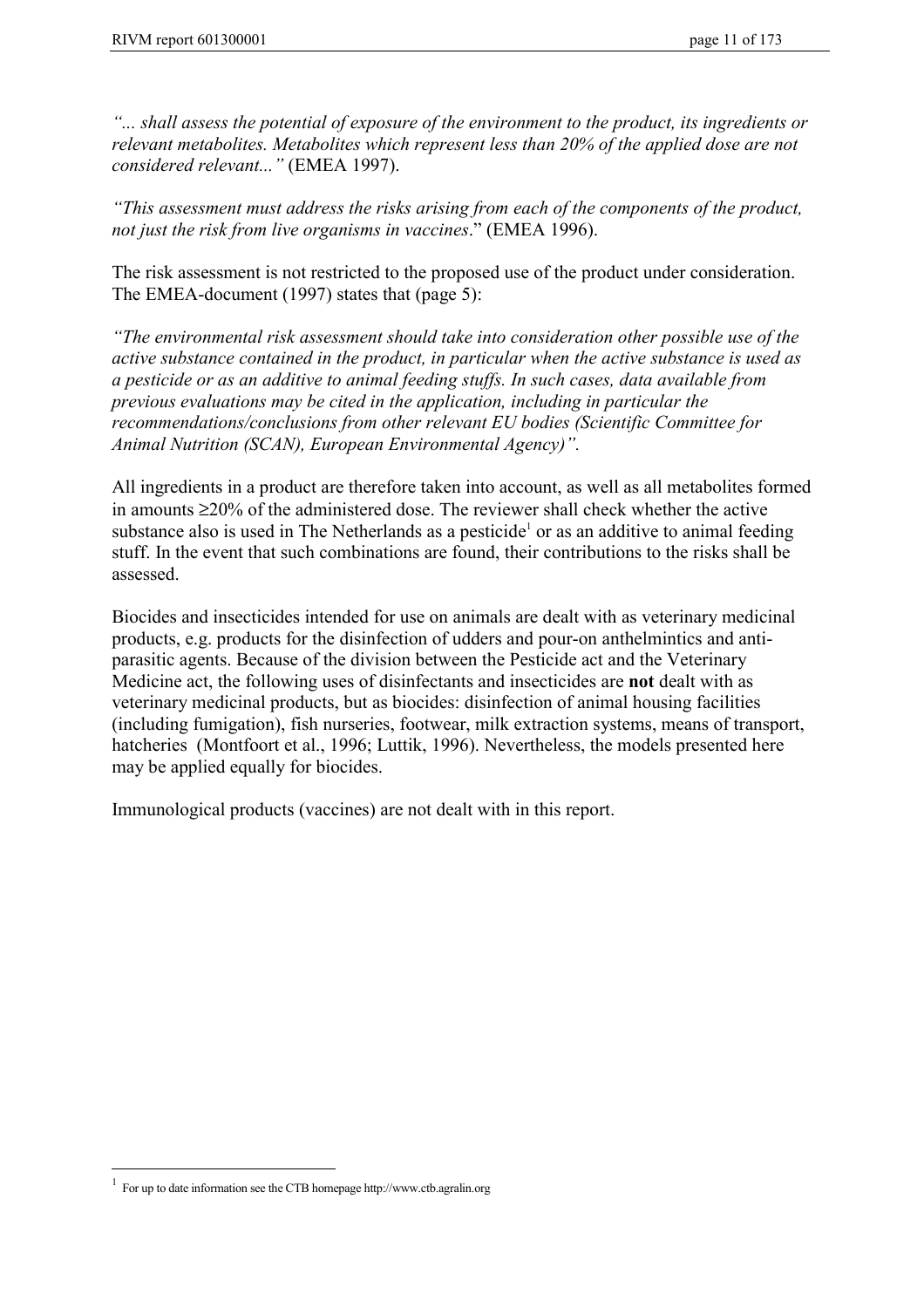*"... shall assess the potential of exposure of the environment to the product, its ingredients or relevant metabolites. Metabolites which represent less than 20% of the applied dose are not considered relevant..."* (EMEA 1997).

*"This assessment must address the risks arising from each of the components of the product, not just the risk from live organisms in vaccines*." (EMEA 1996).

The risk assessment is not restricted to the proposed use of the product under consideration. The EMEA-document (1997) states that (page 5):

*"The environmental risk assessment should take into consideration other possible use of the active substance contained in the product, in particular when the active substance is used as a pesticide or as an additive to animal feeding stuffs. In such cases, data available from previous evaluations may be cited in the application, including in particular the recommendations/conclusions from other relevant EU bodies (Scientific Committee for Animal Nutrition (SCAN), European Environmental Agency)".*

All ingredients in a product are therefore taken into account, as well as all metabolites formed in amounts ≥20% of the administered dose. The reviewer shall check whether the active substance also is used in The Netherlands as a pesticide<sup>1</sup> or as an additive to animal feeding stuff. In the event that such combinations are found, their contributions to the risks shall be assessed.

Biocides and insecticides intended for use on animals are dealt with as veterinary medicinal products, e.g. products for the disinfection of udders and pour-on anthelmintics and antiparasitic agents. Because of the division between the Pesticide act and the Veterinary Medicine act, the following uses of disinfectants and insecticides are **not** dealt with as veterinary medicinal products, but as biocides: disinfection of animal housing facilities (including fumigation), fish nurseries, footwear, milk extraction systems, means of transport, hatcheries (Montfoort et al., 1996; Luttik, 1996). Nevertheless, the models presented here may be applied equally for biocides.

Immunological products (vaccines) are not dealt with in this report.

 $\overline{a}$ 

<sup>1</sup> For up to date information see the CTB homepage http://www.ctb.agralin.org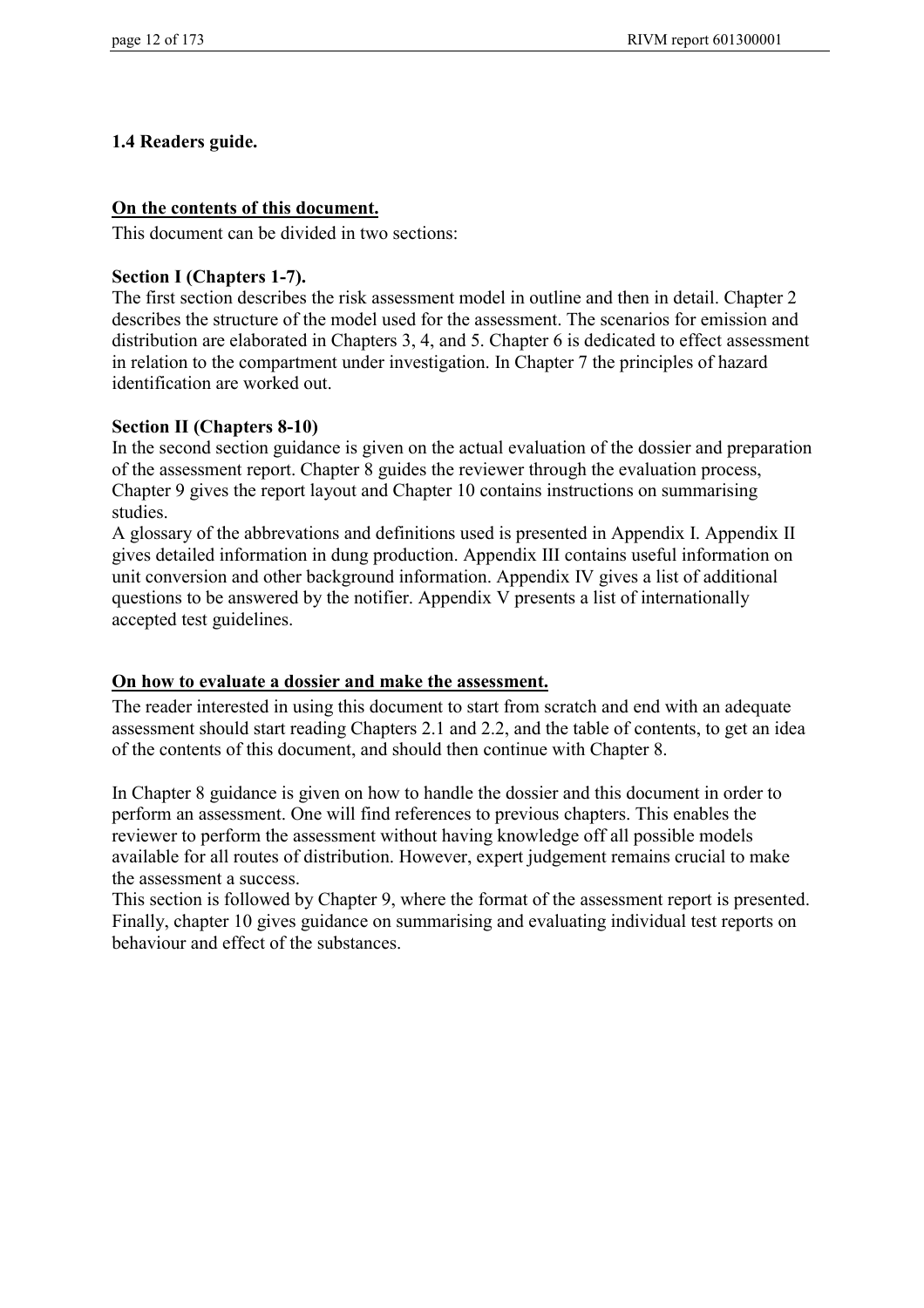## **1.4 Readers guide.**

#### **On the contents of this document.**

This document can be divided in two sections:

#### **Section I (Chapters 1-7).**

The first section describes the risk assessment model in outline and then in detail. Chapter 2 describes the structure of the model used for the assessment. The scenarios for emission and distribution are elaborated in Chapters 3, 4, and 5. Chapter 6 is dedicated to effect assessment in relation to the compartment under investigation. In Chapter 7 the principles of hazard identification are worked out.

#### **Section II (Chapters 8-10)**

In the second section guidance is given on the actual evaluation of the dossier and preparation of the assessment report. Chapter 8 guides the reviewer through the evaluation process, Chapter 9 gives the report layout and Chapter 10 contains instructions on summarising studies.

A glossary of the abbrevations and definitions used is presented in Appendix I. Appendix II gives detailed information in dung production. Appendix III contains useful information on unit conversion and other background information. Appendix IV gives a list of additional questions to be answered by the notifier. Appendix V presents a list of internationally accepted test guidelines.

## **On how to evaluate a dossier and make the assessment.**

The reader interested in using this document to start from scratch and end with an adequate assessment should start reading Chapters 2.1 and 2.2, and the table of contents, to get an idea of the contents of this document, and should then continue with Chapter 8.

In Chapter 8 guidance is given on how to handle the dossier and this document in order to perform an assessment. One will find references to previous chapters. This enables the reviewer to perform the assessment without having knowledge off all possible models available for all routes of distribution. However, expert judgement remains crucial to make the assessment a success.

This section is followed by Chapter 9, where the format of the assessment report is presented. Finally, chapter 10 gives guidance on summarising and evaluating individual test reports on behaviour and effect of the substances.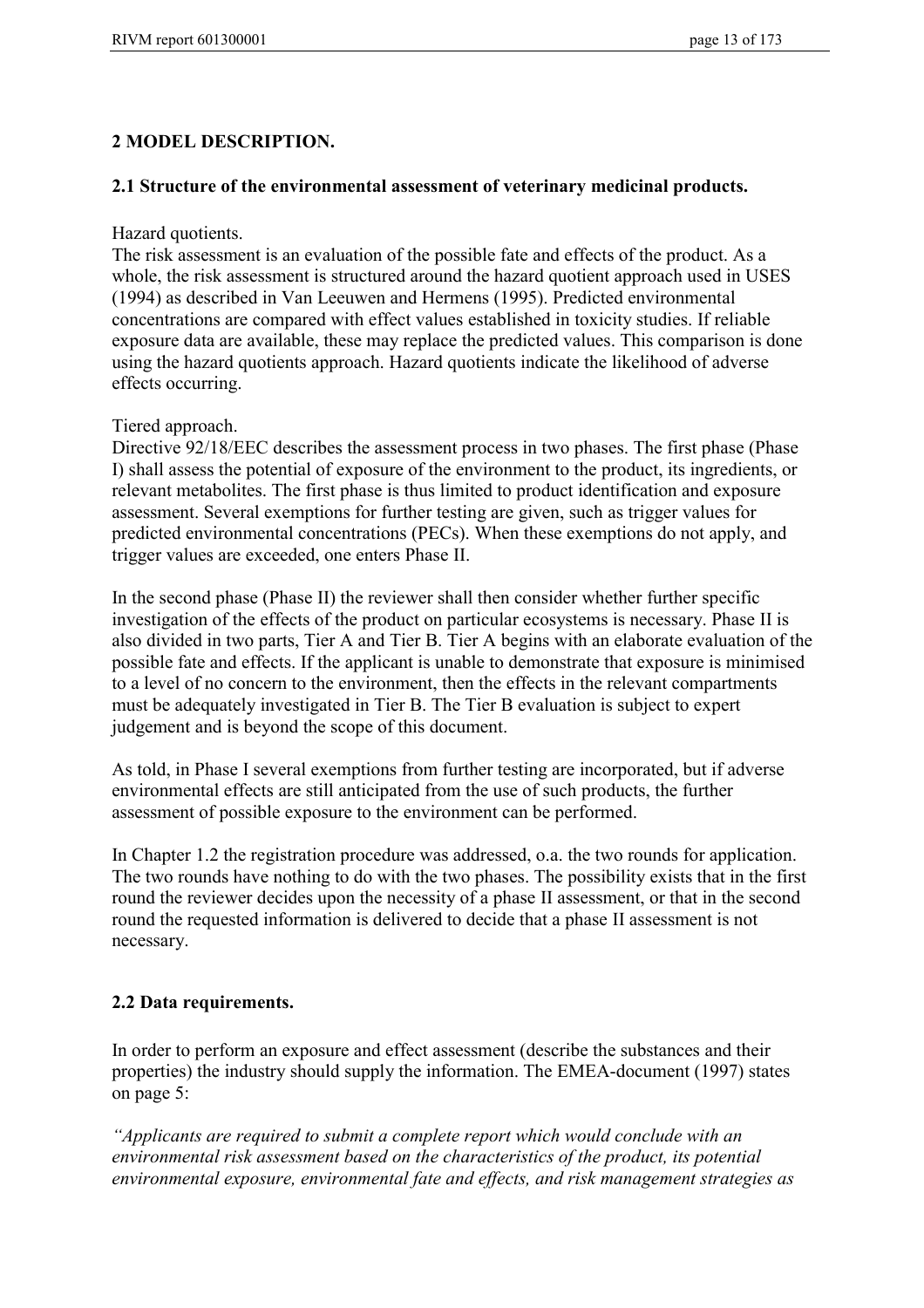# **2 MODEL DESCRIPTION.**

#### **2.1 Structure of the environmental assessment of veterinary medicinal products.**

Hazard quotients.

The risk assessment is an evaluation of the possible fate and effects of the product. As a whole, the risk assessment is structured around the hazard quotient approach used in USES (1994) as described in Van Leeuwen and Hermens (1995). Predicted environmental concentrations are compared with effect values established in toxicity studies. If reliable exposure data are available, these may replace the predicted values. This comparison is done using the hazard quotients approach. Hazard quotients indicate the likelihood of adverse effects occurring.

Tiered approach.

Directive 92/18/EEC describes the assessment process in two phases. The first phase (Phase I) shall assess the potential of exposure of the environment to the product, its ingredients, or relevant metabolites. The first phase is thus limited to product identification and exposure assessment. Several exemptions for further testing are given, such as trigger values for predicted environmental concentrations (PECs). When these exemptions do not apply, and trigger values are exceeded, one enters Phase II.

In the second phase (Phase II) the reviewer shall then consider whether further specific investigation of the effects of the product on particular ecosystems is necessary. Phase II is also divided in two parts, Tier A and Tier B. Tier A begins with an elaborate evaluation of the possible fate and effects. If the applicant is unable to demonstrate that exposure is minimised to a level of no concern to the environment, then the effects in the relevant compartments must be adequately investigated in Tier B. The Tier B evaluation is subject to expert judgement and is beyond the scope of this document.

As told, in Phase I several exemptions from further testing are incorporated, but if adverse environmental effects are still anticipated from the use of such products, the further assessment of possible exposure to the environment can be performed.

In Chapter 1.2 the registration procedure was addressed, o.a. the two rounds for application. The two rounds have nothing to do with the two phases. The possibility exists that in the first round the reviewer decides upon the necessity of a phase II assessment, or that in the second round the requested information is delivered to decide that a phase II assessment is not necessary.

## **2.2 Data requirements.**

In order to perform an exposure and effect assessment (describe the substances and their properties) the industry should supply the information. The EMEA-document (1997) states on page 5:

*"Applicants are required to submit a complete report which would conclude with an environmental risk assessment based on the characteristics of the product, its potential environmental exposure, environmental fate and effects, and risk management strategies as*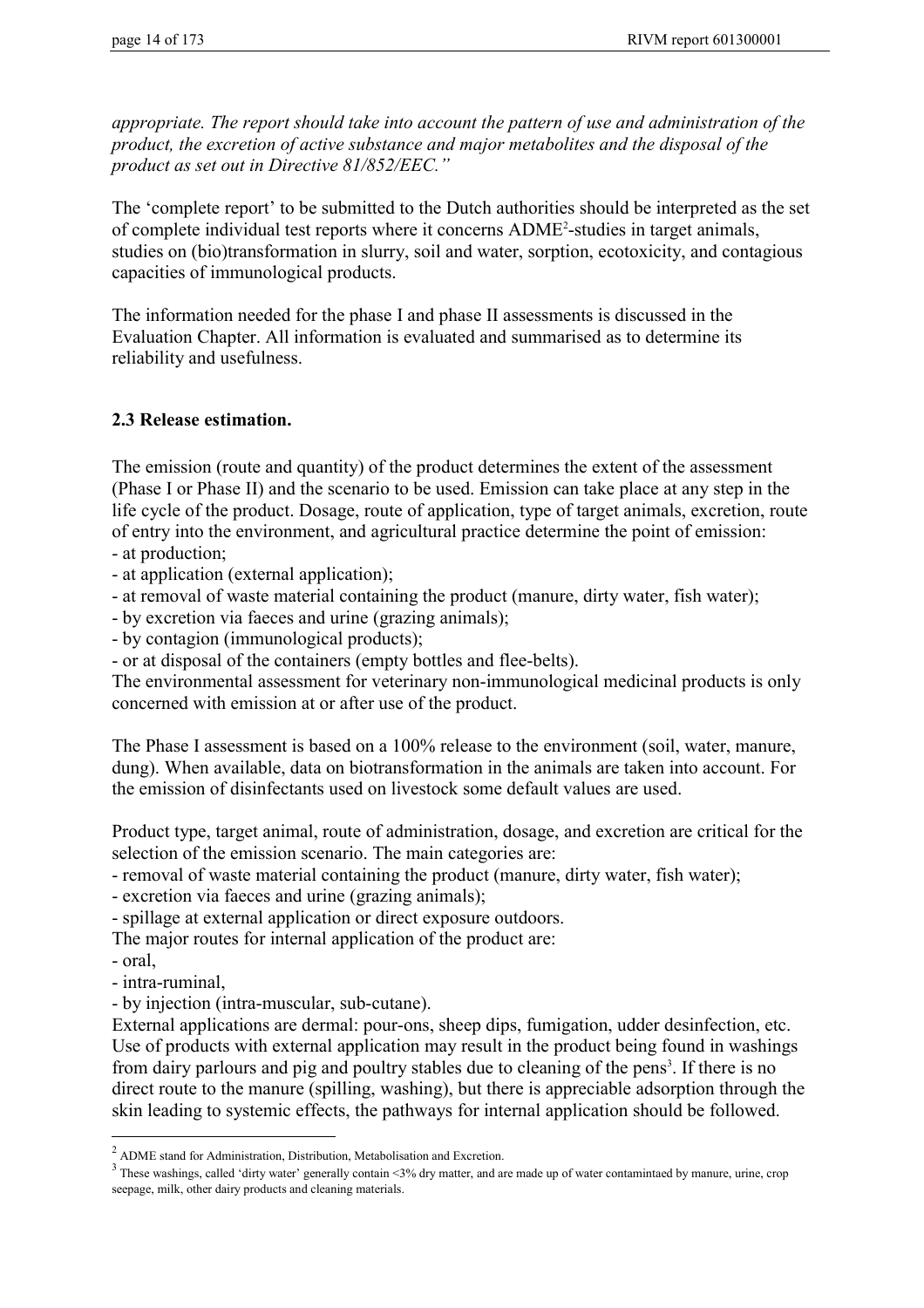*appropriate. The report should take into account the pattern of use and administration of the product, the excretion of active substance and major metabolites and the disposal of the product as set out in Directive 81/852/EEC."*

The 'complete report' to be submitted to the Dutch authorities should be interpreted as the set of complete individual test reports where it concerns ADME<sup>2</sup>-studies in target animals, studies on (bio)transformation in slurry, soil and water, sorption, ecotoxicity, and contagious capacities of immunological products.

The information needed for the phase I and phase II assessments is discussed in the Evaluation Chapter. All information is evaluated and summarised as to determine its reliability and usefulness.

#### **2.3 Release estimation.**

The emission (route and quantity) of the product determines the extent of the assessment (Phase I or Phase II) and the scenario to be used. Emission can take place at any step in the life cycle of the product. Dosage, route of application, type of target animals, excretion, route of entry into the environment, and agricultural practice determine the point of emission: - at production;

- at application (external application);

- at removal of waste material containing the product (manure, dirty water, fish water);

- by excretion via faeces and urine (grazing animals);

- by contagion (immunological products);

- or at disposal of the containers (empty bottles and flee-belts).

The environmental assessment for veterinary non-immunological medicinal products is only concerned with emission at or after use of the product.

The Phase I assessment is based on a 100% release to the environment (soil, water, manure, dung). When available, data on biotransformation in the animals are taken into account. For the emission of disinfectants used on livestock some default values are used.

Product type, target animal, route of administration, dosage, and excretion are critical for the selection of the emission scenario. The main categories are:

- removal of waste material containing the product (manure, dirty water, fish water);

- excretion via faeces and urine (grazing animals);

- spillage at external application or direct exposure outdoors.

The major routes for internal application of the product are:

- oral,

 $\overline{a}$ 

- intra-ruminal,

- by injection (intra-muscular, sub-cutane).

External applications are dermal: pour-ons, sheep dips, fumigation, udder desinfection, etc. Use of products with external application may result in the product being found in washings from dairy parlours and pig and poultry stables due to cleaning of the pens<sup>3</sup>. If there is no direct route to the manure (spilling, washing), but there is appreciable adsorption through the skin leading to systemic effects, the pathways for internal application should be followed.

 $2$  ADME stand for Administration, Distribution, Metabolisation and Excretion.

 $3$  These washings, called 'dirty water' generally contain <3% dry matter, and are made up of water contamintaed by manure, urine, crop seepage, milk, other dairy products and cleaning materials.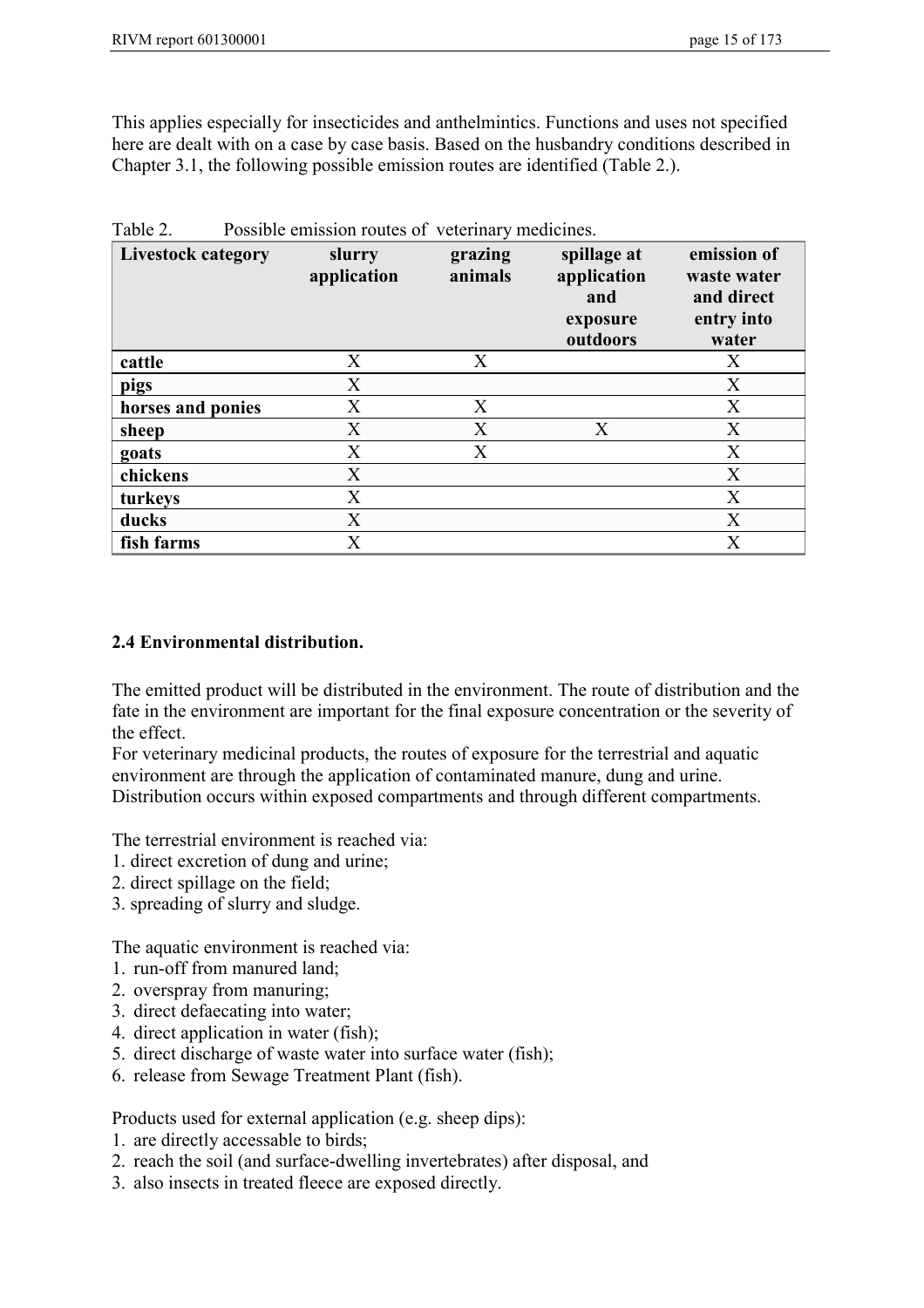This applies especially for insecticides and anthelmintics. Functions and uses not specified here are dealt with on a case by case basis. Based on the husbandry conditions described in Chapter 3.1, the following possible emission routes are identified (Table 2.).

| <b>Livestock category</b> | slurry<br>application | grazing<br>animals | spillage at<br>application<br>and<br>exposure<br>outdoors | emission of<br>waste water<br>and direct<br>entry into<br>water |
|---------------------------|-----------------------|--------------------|-----------------------------------------------------------|-----------------------------------------------------------------|
| cattle                    | X                     | X                  |                                                           | X                                                               |
| pigs                      | X                     |                    |                                                           | X                                                               |
| horses and ponies         | X                     | X                  |                                                           | X                                                               |
| sheep                     | X                     | X                  | X                                                         | X                                                               |
| goats                     | X                     | X                  |                                                           | X                                                               |
| chickens                  | X                     |                    |                                                           | X                                                               |
| turkeys                   | X                     |                    |                                                           | X                                                               |
| ducks                     | X                     |                    |                                                           | X                                                               |
| fish farms                | X                     |                    |                                                           | X                                                               |

Table 2. Possible emission routes of veterinary medicines.

#### **2.4 Environmental distribution.**

The emitted product will be distributed in the environment. The route of distribution and the fate in the environment are important for the final exposure concentration or the severity of the effect.

For veterinary medicinal products, the routes of exposure for the terrestrial and aquatic environment are through the application of contaminated manure, dung and urine. Distribution occurs within exposed compartments and through different compartments.

The terrestrial environment is reached via:

- 1. direct excretion of dung and urine;
- 2. direct spillage on the field;
- 3. spreading of slurry and sludge.

The aquatic environment is reached via:

- 1. run-off from manured land;
- 2. overspray from manuring;
- 3. direct defaecating into water;
- 4. direct application in water (fish);
- 5. direct discharge of waste water into surface water (fish);
- 6. release from Sewage Treatment Plant (fish).

Products used for external application (e.g. sheep dips):

- 1. are directly accessable to birds;
- 2. reach the soil (and surface-dwelling invertebrates) after disposal, and
- 3. also insects in treated fleece are exposed directly.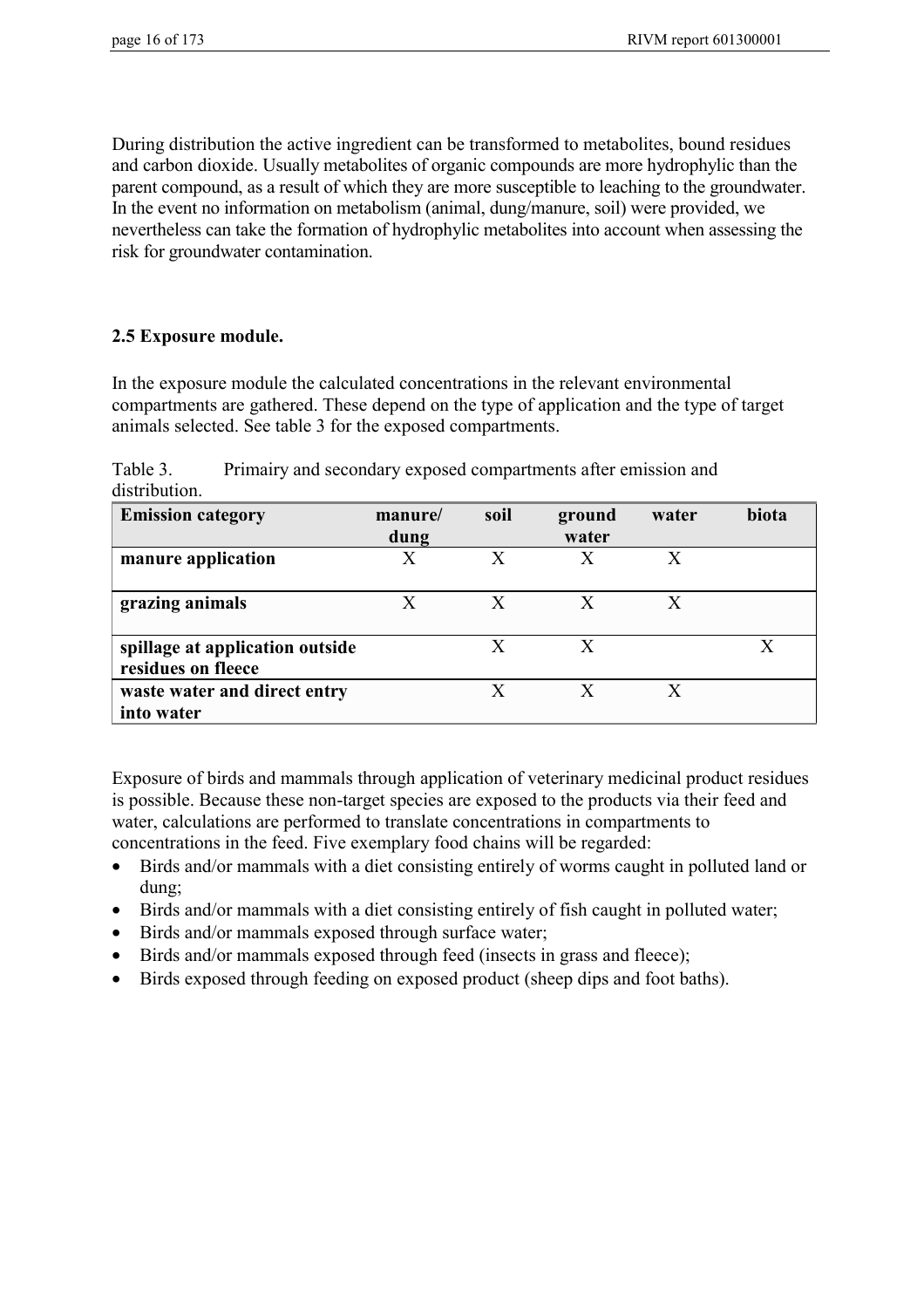During distribution the active ingredient can be transformed to metabolites, bound residues and carbon dioxide. Usually metabolites of organic compounds are more hydrophylic than the parent compound, as a result of which they are more susceptible to leaching to the groundwater. In the event no information on metabolism (animal, dung/manure, soil) were provided, we nevertheless can take the formation of hydrophylic metabolites into account when assessing the risk for groundwater contamination.

## **2.5 Exposure module.**

In the exposure module the calculated concentrations in the relevant environmental compartments are gathered. These depend on the type of application and the type of target animals selected. See table 3 for the exposed compartments.

Table 3. Primairy and secondary exposed compartments after emission and distribution.

| <b>Emission category</b>                              | manure/<br>dung | soil | ground<br>water | water | biota |
|-------------------------------------------------------|-----------------|------|-----------------|-------|-------|
| manure application                                    | X               | X    | X               | X     |       |
| grazing animals                                       | X               | X    | X               | X     |       |
| spillage at application outside<br>residues on fleece |                 |      | X               |       |       |
| waste water and direct entry<br>into water            |                 | X    | $\mathbf{X}$    | X     |       |

Exposure of birds and mammals through application of veterinary medicinal product residues is possible. Because these non-target species are exposed to the products via their feed and water, calculations are performed to translate concentrations in compartments to concentrations in the feed. Five exemplary food chains will be regarded:

- Birds and/or mammals with a diet consisting entirely of worms caught in polluted land or dung;
- Birds and/or mammals with a diet consisting entirely of fish caught in polluted water;
- Birds and/or mammals exposed through surface water;
- Birds and/or mammals exposed through feed (insects in grass and fleece);
- Birds exposed through feeding on exposed product (sheep dips and foot baths).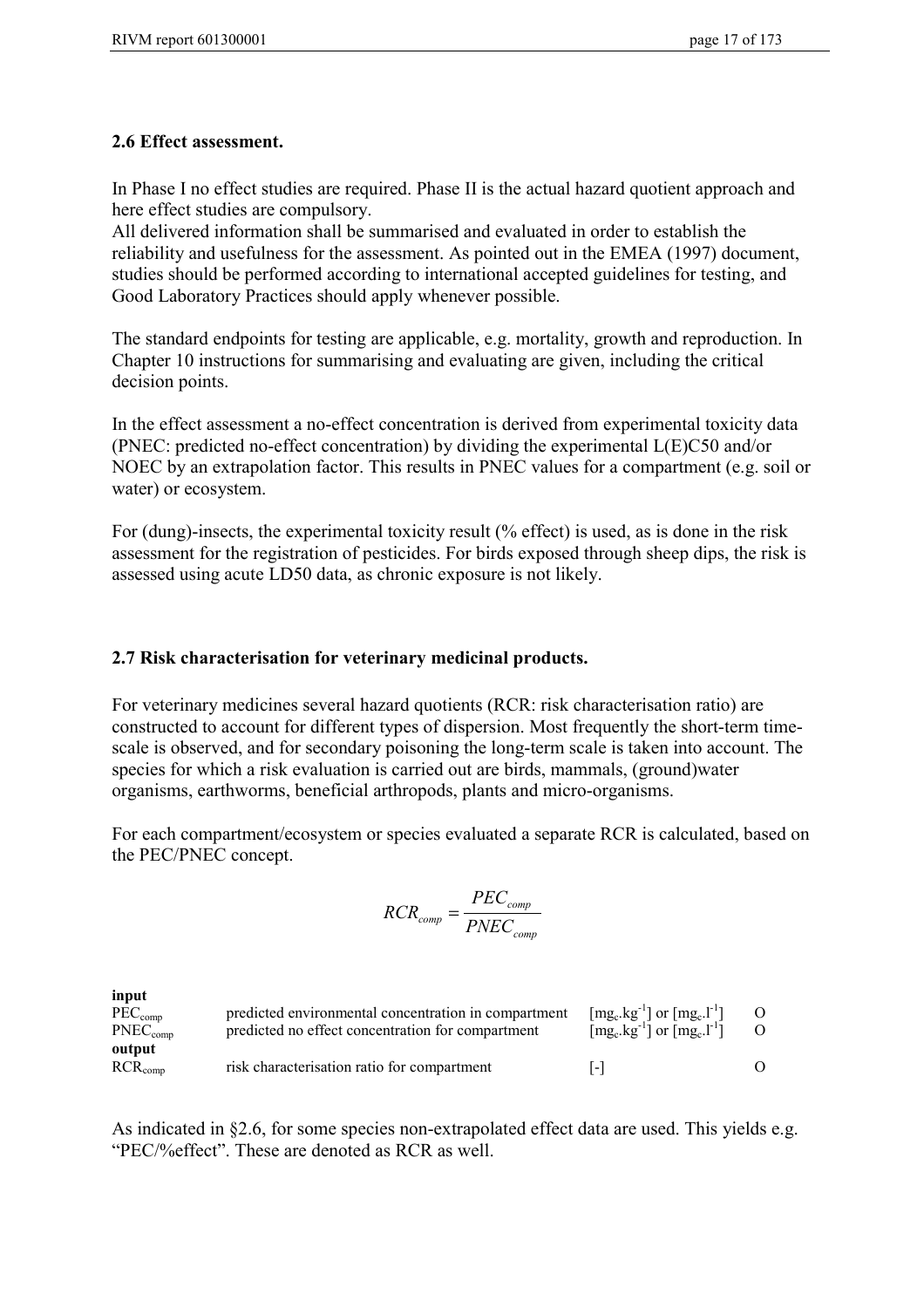#### **2.6 Effect assessment.**

In Phase I no effect studies are required. Phase II is the actual hazard quotient approach and here effect studies are compulsory.

All delivered information shall be summarised and evaluated in order to establish the reliability and usefulness for the assessment. As pointed out in the EMEA (1997) document, studies should be performed according to international accepted guidelines for testing, and Good Laboratory Practices should apply whenever possible.

The standard endpoints for testing are applicable, e.g. mortality, growth and reproduction. In Chapter 10 instructions for summarising and evaluating are given, including the critical decision points.

In the effect assessment a no-effect concentration is derived from experimental toxicity data (PNEC: predicted no-effect concentration) by dividing the experimental L(E)C50 and/or NOEC by an extrapolation factor. This results in PNEC values for a compartment (e.g. soil or water) or ecosystem.

For (dung)-insects, the experimental toxicity result (% effect) is used, as is done in the risk assessment for the registration of pesticides. For birds exposed through sheep dips, the risk is assessed using acute LD50 data, as chronic exposure is not likely.

## **2.7 Risk characterisation for veterinary medicinal products.**

For veterinary medicines several hazard quotients (RCR: risk characterisation ratio) are constructed to account for different types of dispersion. Most frequently the short-term timescale is observed, and for secondary poisoning the long-term scale is taken into account. The species for which a risk evaluation is carried out are birds, mammals, (ground)water organisms, earthworms, beneficial arthropods, plants and micro-organisms.

For each compartment/ecosystem or species evaluated a separate RCR is calculated, based on the PEC/PNEC concept.

$$
RCR_{comp} = \frac{PEC_{comp}}{PNEC_{comp}}
$$

| input                |                                                      |                                                                                       |  |
|----------------------|------------------------------------------------------|---------------------------------------------------------------------------------------|--|
| $PEC_{\text{comp}}$  | predicted environmental concentration in compartment | $\left[\text{mg}_c.\text{kg}^{-1}\right]$ or $\left[\text{mg}_c.\text{l}^{-1}\right]$ |  |
| $PNEC_{\text{comp}}$ | predicted no effect concentration for compartment    | $\left[\text{mg}_c.\text{kg}^{-1}\right]$ or $\left[\text{mg}_c.\text{l}^{-1}\right]$ |  |
| output               |                                                      |                                                                                       |  |
| $RCR_{\text{comp}}$  | risk characterisation ratio for compartment          | $\vert$ – $\vert$                                                                     |  |

As indicated in §2.6, for some species non-extrapolated effect data are used. This yields e.g. "PEC/%effect". These are denoted as RCR as well.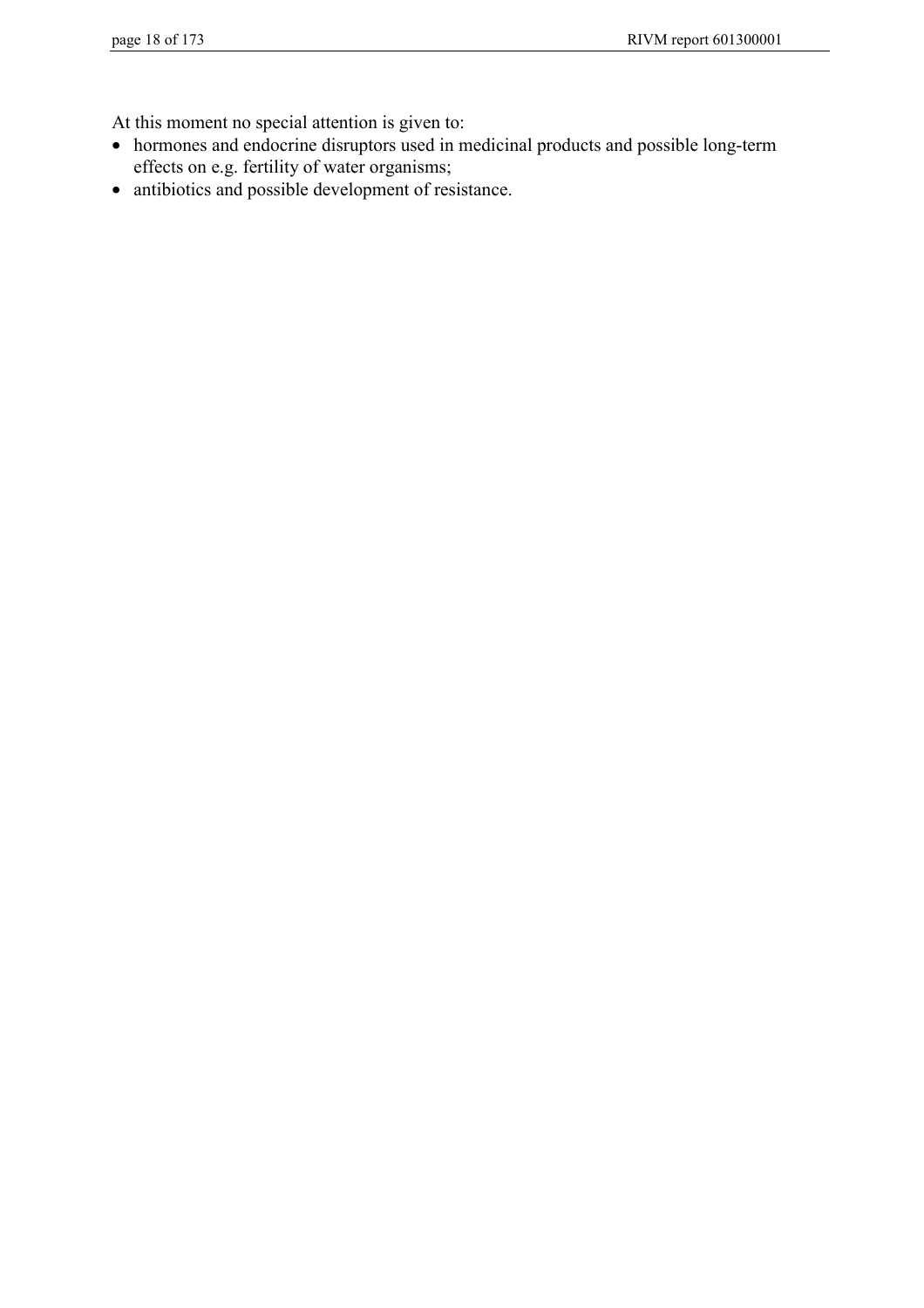At this moment no special attention is given to:

- hormones and endocrine disruptors used in medicinal products and possible long-term effects on e.g. fertility of water organisms;
- antibiotics and possible development of resistance.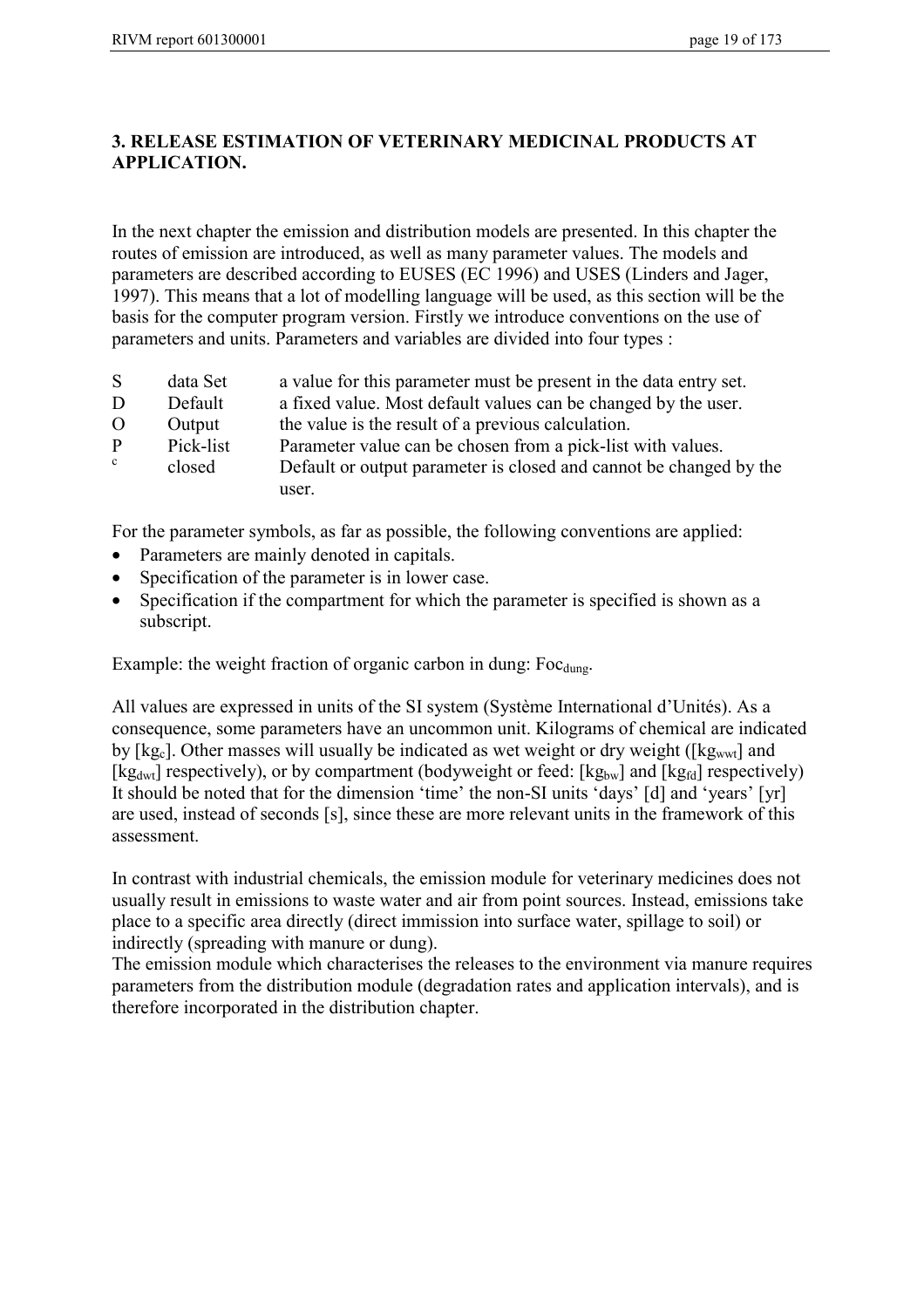## **3. RELEASE ESTIMATION OF VETERINARY MEDICINAL PRODUCTS AT APPLICATION.**

In the next chapter the emission and distribution models are presented. In this chapter the routes of emission are introduced, as well as many parameter values. The models and parameters are described according to EUSES (EC 1996) and USES (Linders and Jager, 1997). This means that a lot of modelling language will be used, as this section will be the basis for the computer program version. Firstly we introduce conventions on the use of parameters and units. Parameters and variables are divided into four types :

- S data Set a value for this parameter must be present in the data entry set.
- D Default a fixed value. Most default values can be changed by the user.
- O Output the value is the result of a previous calculation.
- P Pick-list Parameter value can be chosen from a pick-list with values.
- closed Default or output parameter is closed and cannot be changed by the user.

For the parameter symbols, as far as possible, the following conventions are applied:

- Parameters are mainly denoted in capitals.
- Specification of the parameter is in lower case.
- Specification if the compartment for which the parameter is specified is shown as a subscript.

Example: the weight fraction of organic carbon in dung: Foc<sub>dung</sub>.

All values are expressed in units of the SI system (Système International d'Unités). As a consequence, some parameters have an uncommon unit. Kilograms of chemical are indicated by  $[kg_c]$ . Other masses will usually be indicated as wet weight or dry weight ( $[kg_{wwt}]$  and [kg<sub>dwt</sub>] respectively), or by compartment (bodyweight or feed: [kg<sub>bw</sub>] and [kg<sub>fd</sub>] respectively) It should be noted that for the dimension 'time' the non-SI units 'days' [d] and 'years' [yr] are used, instead of seconds [s], since these are more relevant units in the framework of this assessment.

In contrast with industrial chemicals, the emission module for veterinary medicines does not usually result in emissions to waste water and air from point sources. Instead, emissions take place to a specific area directly (direct immission into surface water, spillage to soil) or indirectly (spreading with manure or dung).

The emission module which characterises the releases to the environment via manure requires parameters from the distribution module (degradation rates and application intervals), and is therefore incorporated in the distribution chapter.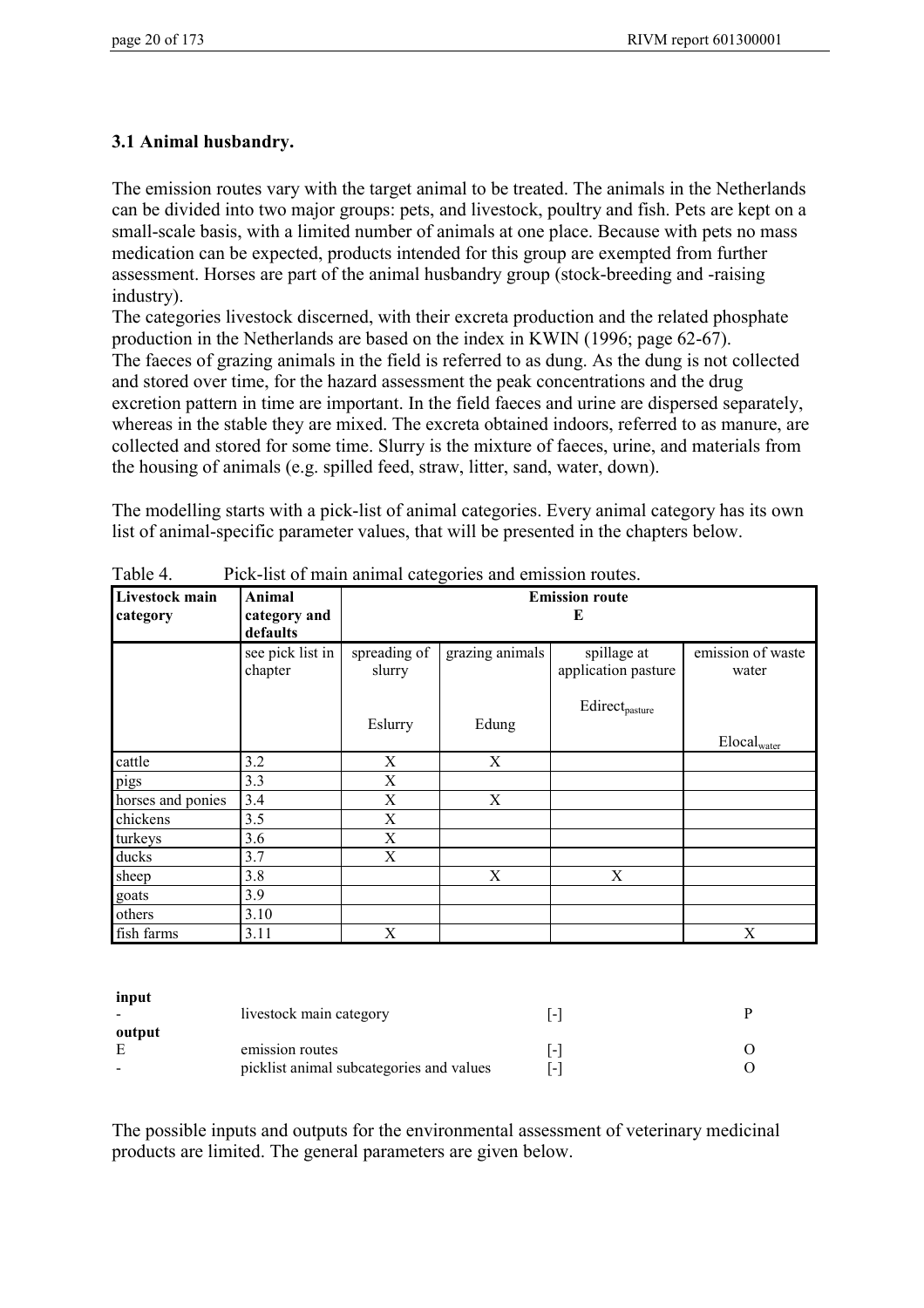# **3.1 Animal husbandry.**

The emission routes vary with the target animal to be treated. The animals in the Netherlands can be divided into two major groups: pets, and livestock, poultry and fish. Pets are kept on a small-scale basis, with a limited number of animals at one place. Because with pets no mass medication can be expected, products intended for this group are exempted from further assessment. Horses are part of the animal husbandry group (stock-breeding and -raising industry).

The categories livestock discerned, with their excreta production and the related phosphate production in the Netherlands are based on the index in KWIN (1996; page 62-67). The faeces of grazing animals in the field is referred to as dung. As the dung is not collected and stored over time, for the hazard assessment the peak concentrations and the drug excretion pattern in time are important. In the field faeces and urine are dispersed separately, whereas in the stable they are mixed. The excreta obtained indoors, referred to as manure, are collected and stored for some time. Slurry is the mixture of faeces, urine, and materials from the housing of animals (e.g. spilled feed, straw, litter, sand, water, down).

The modelling starts with a pick-list of animal categories. Every animal category has its own list of animal-specific parameter values, that will be presented in the chapters below.

| Livestock main    | Animal                      |                        | <b>Emission route</b> |                                         |                            |  |
|-------------------|-----------------------------|------------------------|-----------------------|-----------------------------------------|----------------------------|--|
| category          | category and<br>defaults    |                        | E                     |                                         |                            |  |
|                   | see pick list in<br>chapter | spreading of<br>slurry | grazing animals       | spillage at<br>application pasture      | emission of waste<br>water |  |
|                   |                             | Eslurry                | Edung                 | $\mathrm{Editorect}_{\mathrm{passure}}$ |                            |  |
|                   |                             |                        |                       |                                         | Elocal <sub>water</sub>    |  |
| cattle            | 3.2                         | X                      | X                     |                                         |                            |  |
| pigs              | 3.3                         | X                      |                       |                                         |                            |  |
| horses and ponies | 3.4                         | X                      | X                     |                                         |                            |  |
| chickens          | 3.5                         | X                      |                       |                                         |                            |  |
| turkeys           | 3.6                         | X                      |                       |                                         |                            |  |
| ducks             | 3.7                         | X                      |                       |                                         |                            |  |
| sheep             | 3.8                         |                        | X                     | X                                       |                            |  |
| goats             | 3.9                         |                        |                       |                                         |                            |  |
| others            | 3.10                        |                        |                       |                                         |                            |  |
| fish farms        | 3.11                        | X                      |                       |                                         | X                          |  |

Table 4 Pick-list of main animal categories and emission routes.

**input**

|        | livestock main category                  | $\overline{\phantom{a}}$ |  |
|--------|------------------------------------------|--------------------------|--|
| output |                                          |                          |  |
|        | emission routes                          | $\overline{\phantom{a}}$ |  |
|        | picklist animal subcategories and values | $\overline{\phantom{a}}$ |  |

The possible inputs and outputs for the environmental assessment of veterinary medicinal products are limited. The general parameters are given below.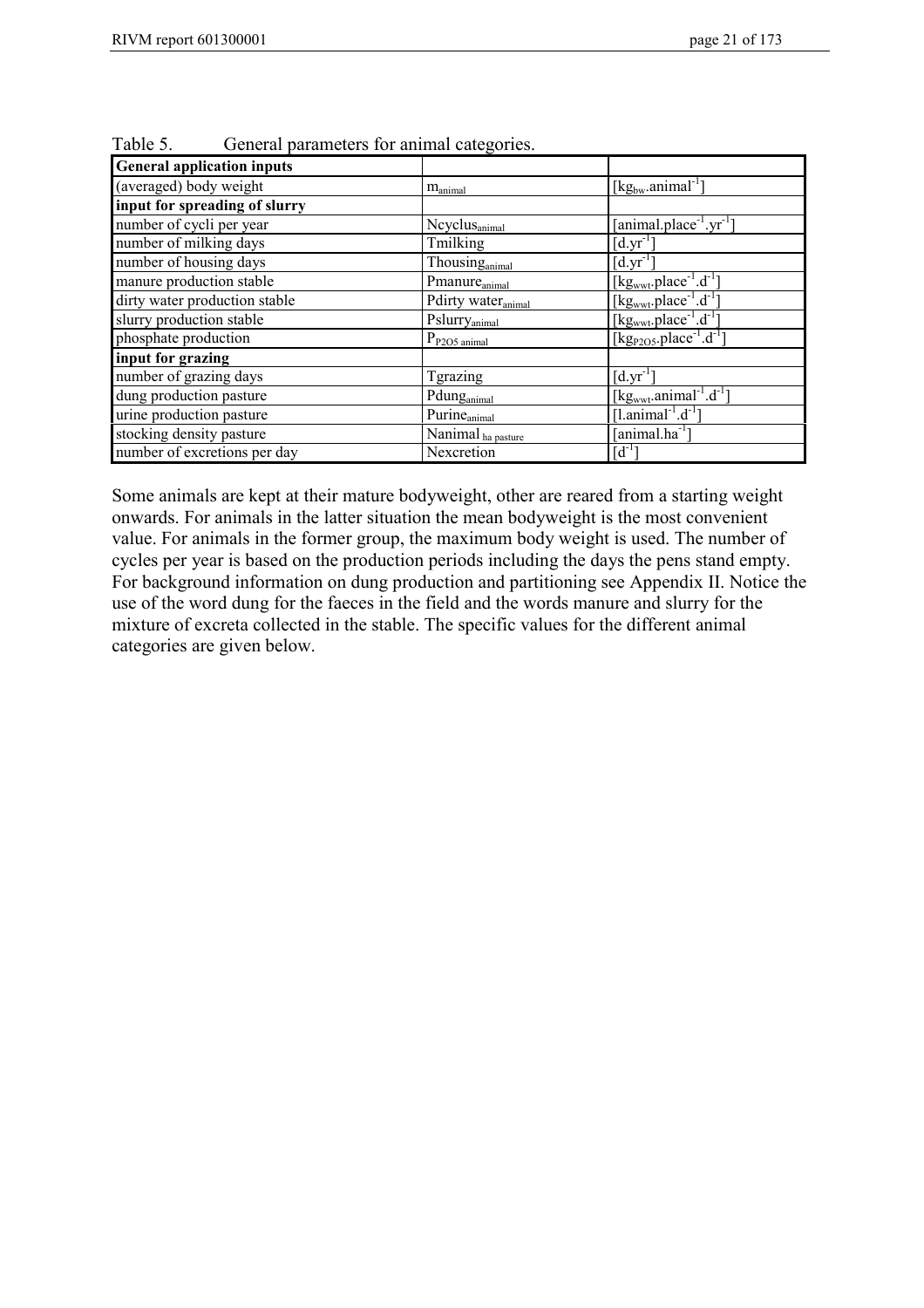| <b>General application inputs</b> |                                |                                                                   |
|-----------------------------------|--------------------------------|-------------------------------------------------------------------|
| (averaged) body weight            | $m_{\text{animal}}$            | [kg <sub>bw</sub> .animal <sup>-1</sup> ]                         |
| input for spreading of slurry     |                                |                                                                   |
| number of cycli per year          | Ncyclus <sub>animal</sub>      | [animal.place <sup>-1</sup> .yr <sup>-1</sup> ]                   |
| number of milking days            | Tmilking                       | $[d.yr^{-1}]$                                                     |
| number of housing days            | Thousinganimal                 | $[d.yr^{-1}]$                                                     |
| manure production stable          | Pmanure <sub>animal</sub>      | $[\text{kg}_{\text{wwt}}$ .place <sup>-1</sup> .d <sup>-1</sup> ] |
| dirty water production stable     | Pdirty water <sub>animal</sub> | [kg <sub>wwt</sub> .place <sup>-1</sup> .d <sup>-1</sup> ]        |
| slurry production stable          | Pslurry <sub>animal</sub>      | [kg <sub>wwt</sub> .place <sup>-1</sup> .d <sup>-1</sup> ]        |
| phosphate production              | $P_{P2O5\text{ animal}}$       | [kg <sub>P2O5</sub> .place <sup>-1</sup> .d <sup>-1</sup> ]       |
| input for grazing                 |                                |                                                                   |
| number of grazing days            | <b>Tgrazing</b>                | $[d.yr^{-1}]$                                                     |
| dung production pasture           | Pdunganimal                    | [kg <sub>wwt</sub> .animal <sup>-1</sup> .d <sup>-1</sup> ]       |
| urine production pasture          | Purine <sub>animal</sub>       | [l.animal <sup>-1</sup> .d <sup>-1</sup> ]                        |
| stocking density pasture          | Nanimal ha pasture             | [animal.ha <sup>-1</sup> ]                                        |
| number of excretions per day      | Nexcretion                     | $\lceil d^{-1} \rceil$                                            |

Table 5. General parameters for animal categories.

Some animals are kept at their mature bodyweight, other are reared from a starting weight onwards. For animals in the latter situation the mean bodyweight is the most convenient value. For animals in the former group, the maximum body weight is used. The number of cycles per year is based on the production periods including the days the pens stand empty. For background information on dung production and partitioning see Appendix II. Notice the use of the word dung for the faeces in the field and the words manure and slurry for the mixture of excreta collected in the stable. The specific values for the different animal categories are given below.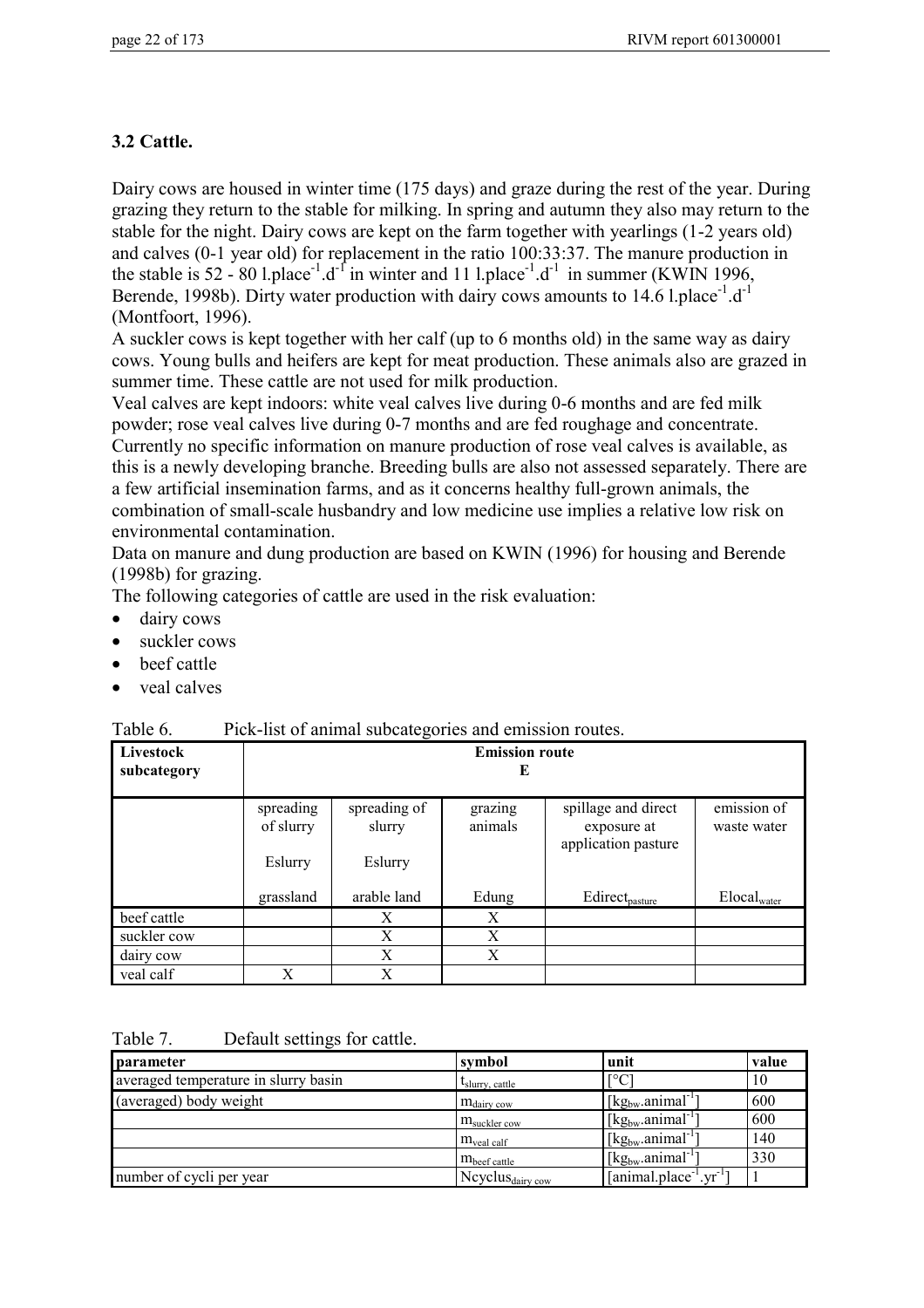# **3.2 Cattle.**

Dairy cows are housed in winter time (175 days) and graze during the rest of the year. During grazing they return to the stable for milking. In spring and autumn they also may return to the stable for the night. Dairy cows are kept on the farm together with yearlings (1-2 years old) and calves (0-1 year old) for replacement in the ratio 100:33:37. The manure production in the stable is  $52 - 80$  l.place<sup>-1</sup>.d<sup>-1</sup> in winter and 11 l.place<sup>-1</sup>.d<sup>-1</sup> in summer (KWIN 1996, Berende, 1998b). Dirty water production with dairy cows amounts to 14.6 l.place<sup>-1</sup>.d<sup>-1</sup> (Montfoort, 1996).

A suckler cows is kept together with her calf (up to 6 months old) in the same way as dairy cows. Young bulls and heifers are kept for meat production. These animals also are grazed in summer time. These cattle are not used for milk production.

Veal calves are kept indoors: white veal calves live during 0-6 months and are fed milk powder; rose veal calves live during 0-7 months and are fed roughage and concentrate. Currently no specific information on manure production of rose veal calves is available, as this is a newly developing branche. Breeding bulls are also not assessed separately. There are a few artificial insemination farms, and as it concerns healthy full-grown animals, the combination of small-scale husbandry and low medicine use implies a relative low risk on environmental contamination.

Data on manure and dung production are based on KWIN (1996) for housing and Berende (1998b) for grazing.

The following categories of cattle are used in the risk evaluation:

- dairy cows
- suckler cows
- beef cattle
- veal calves

| Table 0.<br>PICK-IST OF animal subcategories and emission foutes. |                                   |                                   |                    |                                                           |                            |
|-------------------------------------------------------------------|-----------------------------------|-----------------------------------|--------------------|-----------------------------------------------------------|----------------------------|
| Livestock<br>subcategory                                          |                                   | <b>Emission route</b><br>E        |                    |                                                           |                            |
|                                                                   | spreading<br>of slurry<br>Eslurry | spreading of<br>slurry<br>Eslurry | grazing<br>animals | spillage and direct<br>exposure at<br>application pasture | emission of<br>waste water |
|                                                                   | grassland                         | arable land                       | Edung              | Edirect <sub>pasture</sub>                                | $Elocal_{water}$           |
| beef cattle                                                       |                                   | X                                 | X                  |                                                           |                            |
| suckler cow                                                       |                                   | X                                 | X                  |                                                           |                            |
| dairy cow                                                         |                                   | X                                 | X                  |                                                           |                            |
| veal calf                                                         | X                                 | X                                 |                    |                                                           |                            |

Table 6. Pick-list of animal subcategories and emission routes.

Table 7. Default settings for cattle.

| parameter                            | symbol                             | unit                                                    | value |
|--------------------------------------|------------------------------------|---------------------------------------------------------|-------|
| averaged temperature in slurry basin | $l_{\text{slurry}, \text{cattle}}$ | $\Gamma$ <sup>o</sup> C                                 | 10    |
| (averaged) body weight               | $m_{\text{dairy}}$ cow             | $\lceil \text{kg}_{bw} \cdot \text{animal}^{-1} \rceil$ | 600   |
|                                      | $m_{\text{suckler cow}}$           | $\left[\text{kg}_{bw} \cdot \text{animal}^{-1}\right]$  | 600   |
|                                      | $m_{\text{veal } \text{calf}}$     | $\left[\text{kg}_{\text{bw}}\text{.animal}^{-1}\right]$ | 140   |
|                                      | $m_{\text{beef cattle}}$           | $\left[\text{kg}_{\text{bw}}\text{.animal}^{-1}\right]$ | 330   |
| number of cycli per year             | Ncyclus $_{\rm dairv \, cow}$      | $[animal.placeholder-1.yr-1]$                           |       |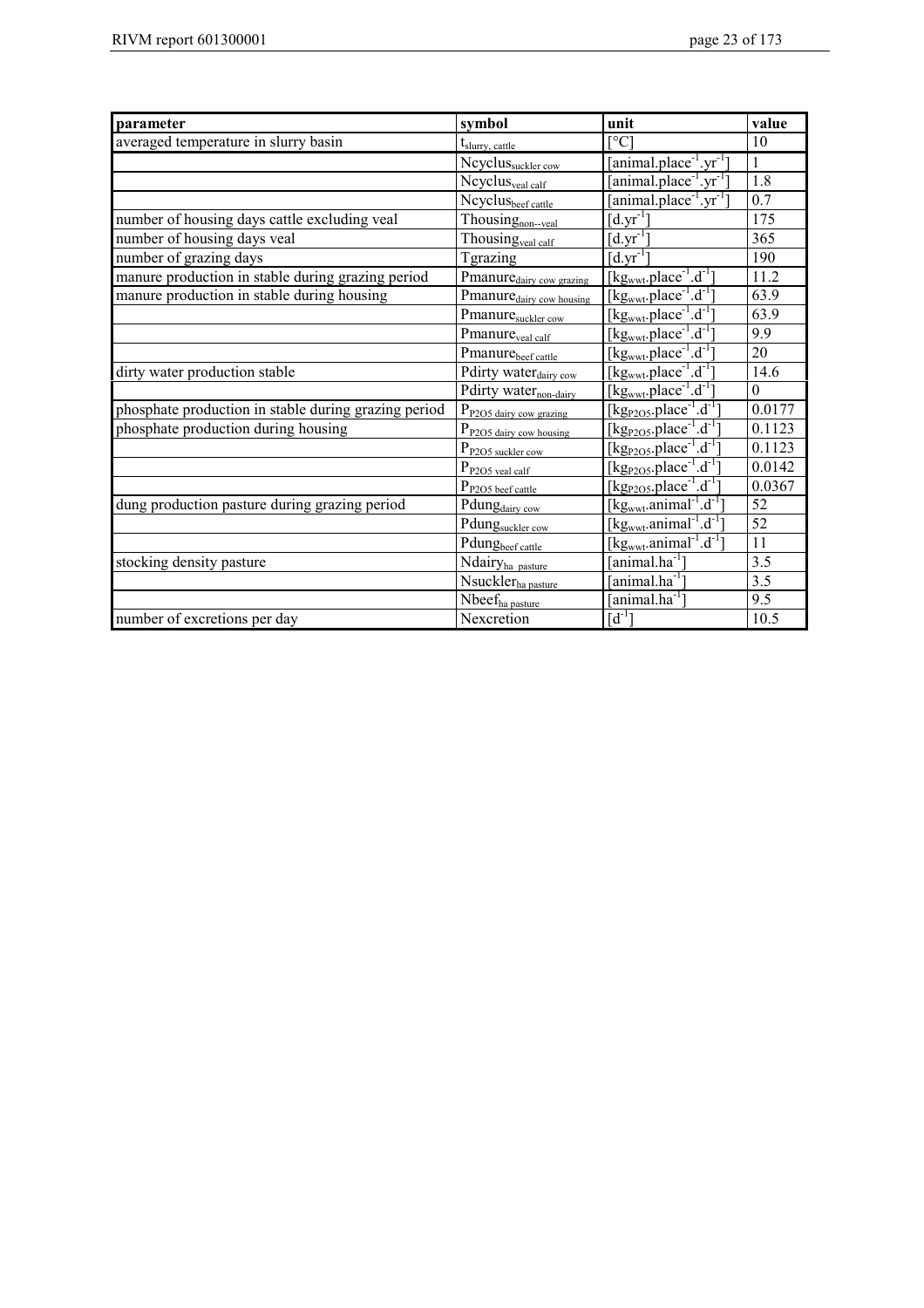| parameter                                            | symbol                               | unit                                                                   | value               |
|------------------------------------------------------|--------------------------------------|------------------------------------------------------------------------|---------------------|
| averaged temperature in slurry basin                 | t <sub>slurry, cattle</sub>          | $\Gamma$ °C                                                            | 10                  |
|                                                      | Ncyclussuckler cow                   | $\overline{[animal.plot}^{1}$ .yr <sup>-1</sup> ]                      | 1                   |
|                                                      | Ncyclus <sub>veal calf</sub>         | $[animal.ploter-1.yr-1]$                                               | 1.8                 |
|                                                      | Ncyclusbeef cattle                   | [animal.place <sup>-1</sup> .yr <sup>-1</sup> ]                        | 0.7                 |
| number of housing days cattle excluding veal         | Thousing <sub>non-yeal</sub>         | $[d.yr^{-1}]$                                                          | 175                 |
| number of housing days veal                          | Thousing <sub>veal calf</sub>        | $\overline{[d.yr]}^{1}$                                                | 365                 |
| number of grazing days                               | <b>Tgrazing</b>                      | $\left[\overline{d.yr^{-1}}\right]$                                    | 190                 |
| manure production in stable during grazing period    | Pmanure <sub>dairy cow grazing</sub> | $[kgwwt.place-1.d-1]$                                                  | 11.2                |
| manure production in stable during housing           | Pmanure <sub>dairy cow housing</sub> | [kg <sub>wwt</sub> .place <sup>-1</sup> .d <sup>-1</sup> ]             | 63.9                |
|                                                      | Pmanuresuckler cow                   | $[kgwwt.place-1.d-1]$                                                  | 63.9                |
|                                                      | Pmanure <sub>veal calf</sub>         | $[kgwwt.place-1.d-1]$                                                  | 9.9                 |
|                                                      | Pmanurebeef cattle                   | $[kgwwt.place-1.d-1]$                                                  | 20                  |
| dirty water production stable                        | Pdirty water <sub>dairy cow</sub>    | $[kgwwt.place-1.d-1]$                                                  | 14.6                |
|                                                      | Pdirty water <sub>non-dairy</sub>    | $[kg_{wwt}.place^{-1}.d^{-1}]$                                         | $\theta$            |
| phosphate production in stable during grazing period | P <sub>P2O5</sub> dairy cow grazing  | [ $kgP2O5$ .place <sup>-1</sup> .d <sup>-1</sup>                       | $0.017\overline{7}$ |
| phosphate production during housing                  | P <sub>P2O5</sub> dairy cow housing  | [ $kgP2O5$ .place <sup>-1</sup> .d <sup>-1</sup> ]                     | 0.1123              |
|                                                      | P <sub>P2O5</sub> suckler cow        | $[kgP2O5.place-1.d-1$                                                  | 0.1123              |
|                                                      | $P_{P2O5\;{\rm real\;cal}}$          | $[\text{kg}_{P2O5}$ .place <sup>-1</sup> .d <sup>-1</sup> ]            | 0.0142              |
|                                                      | P <sub>P2O5</sub> beef cattle        | $[kgP2O5.place-1.d-1$                                                  | 0.0367              |
| dung production pasture during grazing period        | Pdungdairy cow                       | $[kgwwt.animal-1.d-1]$                                                 | 52                  |
|                                                      | Pdungsuckler cow                     | $[\text{kg}_{\text{wwt}}$ .animal <sup>-1</sup> .d <sup>-1</sup>       | $\overline{52}$     |
|                                                      | Pdungbeef cattle                     | $[\text{kg}_{\text{wwt}}$ .animal <sup>-1</sup> . $\overline{d^{-1}}]$ | 11                  |
| stocking density pasture                             | Ndairyha pasture                     | [animal.ha $^{-1}$ ]                                                   | 3.5                 |
|                                                      | Nsuckler <sub>ha pasture</sub>       | $[animal.ha^{-1}]$                                                     | 3.5                 |
|                                                      | Nbeef <sub>ha pasture</sub>          | [animal.ha <sup>-1</sup> ]                                             | 9.5                 |
| number of excretions per day                         | Nexcretion                           | $[d^{-1}]$                                                             | 10.5                |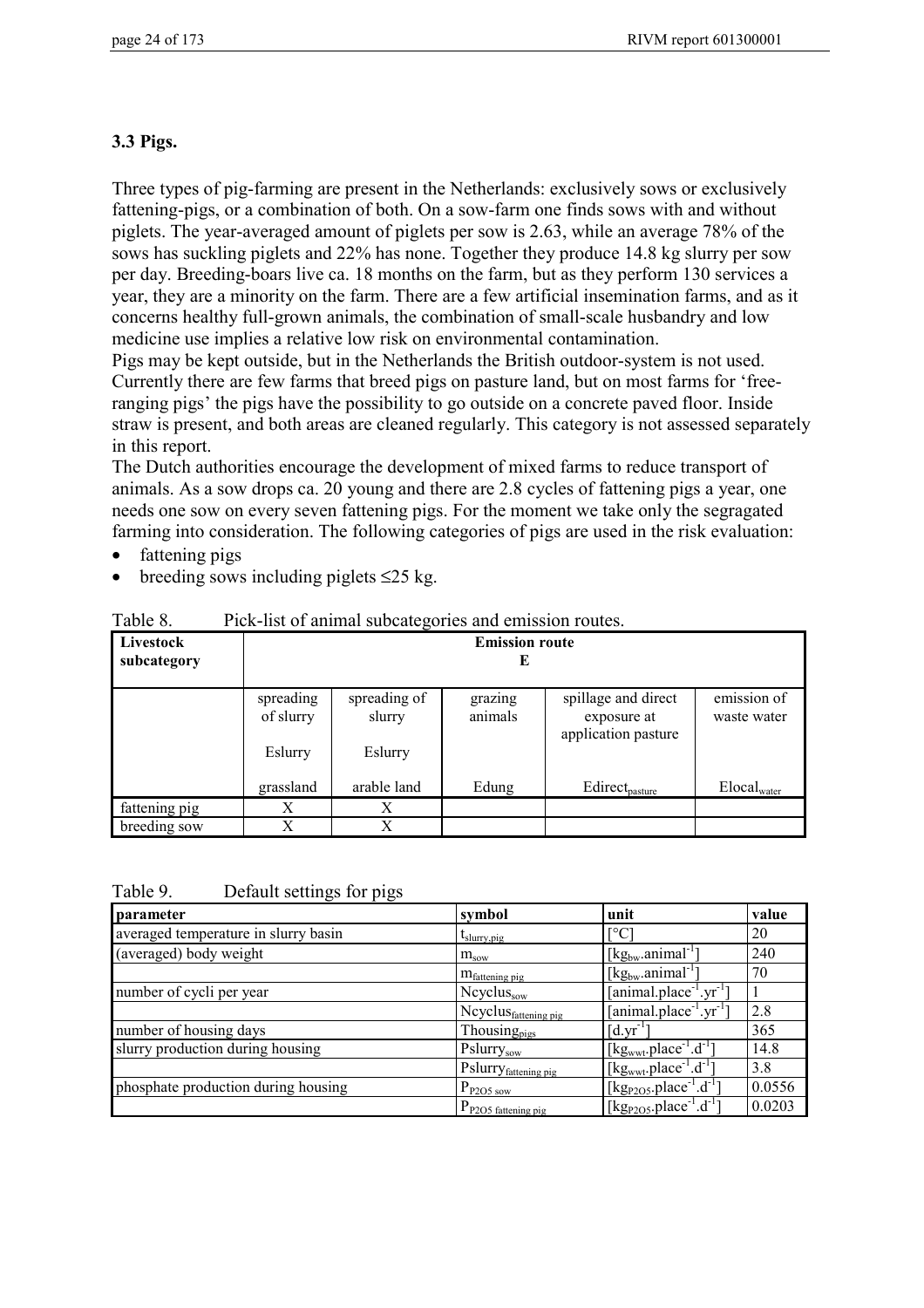# **3.3 Pigs.**

Three types of pig-farming are present in the Netherlands: exclusively sows or exclusively fattening-pigs, or a combination of both. On a sow-farm one finds sows with and without piglets. The year-averaged amount of piglets per sow is 2.63, while an average 78% of the sows has suckling piglets and 22% has none. Together they produce 14.8 kg slurry per sow per day. Breeding-boars live ca. 18 months on the farm, but as they perform 130 services a year, they are a minority on the farm. There are a few artificial insemination farms, and as it concerns healthy full-grown animals, the combination of small-scale husbandry and low medicine use implies a relative low risk on environmental contamination.

Pigs may be kept outside, but in the Netherlands the British outdoor-system is not used. Currently there are few farms that breed pigs on pasture land, but on most farms for 'freeranging pigs' the pigs have the possibility to go outside on a concrete paved floor. Inside straw is present, and both areas are cleaned regularly. This category is not assessed separately in this report.

The Dutch authorities encourage the development of mixed farms to reduce transport of animals. As a sow drops ca. 20 young and there are 2.8 cycles of fattening pigs a year, one needs one sow on every seven fattening pigs. For the moment we take only the segragated farming into consideration. The following categories of pigs are used in the risk evaluation:

- fattening pigs
- breeding sows including piglets  $\leq 25$  kg.

| Livestock<br>subcategory | <b>Emission route</b><br>E |                        |                    |                                                           |                            |  |  |
|--------------------------|----------------------------|------------------------|--------------------|-----------------------------------------------------------|----------------------------|--|--|
|                          | spreading<br>of slurry     | spreading of<br>slurry | grazing<br>animals | spillage and direct<br>exposure at<br>application pasture | emission of<br>waste water |  |  |
|                          | Eslurry                    | Eslurry                |                    |                                                           |                            |  |  |
|                          | grassland                  | arable land            | Edung              | Edirect <sub>pasture</sub>                                | $Elocal_{water}$           |  |  |
| fattening pig            | X                          | X                      |                    |                                                           |                            |  |  |
| breeding sow             | X                          | X                      |                    |                                                           |                            |  |  |

Table 8. Pick-list of animal subcategories and emission routes.

| Table 9. |                           |  |
|----------|---------------------------|--|
|          | Default settings for pigs |  |
|          |                           |  |

| parameter                            | symbol                           | unit                                                              | value  |
|--------------------------------------|----------------------------------|-------------------------------------------------------------------|--------|
| averaged temperature in slurry basin | $t_{slurry, pig}$                | L0C.                                                              | 20     |
| (averaged) body weight               | $m_{\text{s}ow}$                 | $[kg_{bw}.animal^{-1}]$                                           | 240    |
|                                      | $m_{\text{fattening pig}}$       | $[kg_{bw}.animal^{-1}]$                                           | 70     |
| number of cycli per year             | $Ncyclus_{sow}$                  | [animal.place <sup>-1</sup> .yr <sup>-1-</sup>                    |        |
|                                      | Ncyclus <sub>fattening pig</sub> | [animal.place <sup>-1</sup> .yr <sup>-1</sup> ]                   | 2.8    |
| number of housing days               | Thousing <sub>pigs</sub>         | $\lceil d.vr^{-1} \rceil$                                         | 365    |
| slurry production during housing     | Pslurrysow                       | $[\text{kg}_{\text{wwt}}$ .place <sup>-1</sup> .d <sup>-1</sup> ] | 14.8   |
|                                      | Pslurry <sub>fattening pig</sub> | $[kgwwt.place-1.d-1]$                                             | 3.8    |
| phosphate production during housing  | $P_{P2O5\text{ sow}}$            | [ $kg_{P2O5}.place^{-1}.d^{-1}$ ]                                 | 0.0556 |
|                                      | $P_{P2O5}$ fattening pig         | [kg <sub>P2O5</sub> .place <sup>-1</sup> .d <sup>-1</sup> ]       | 0.0203 |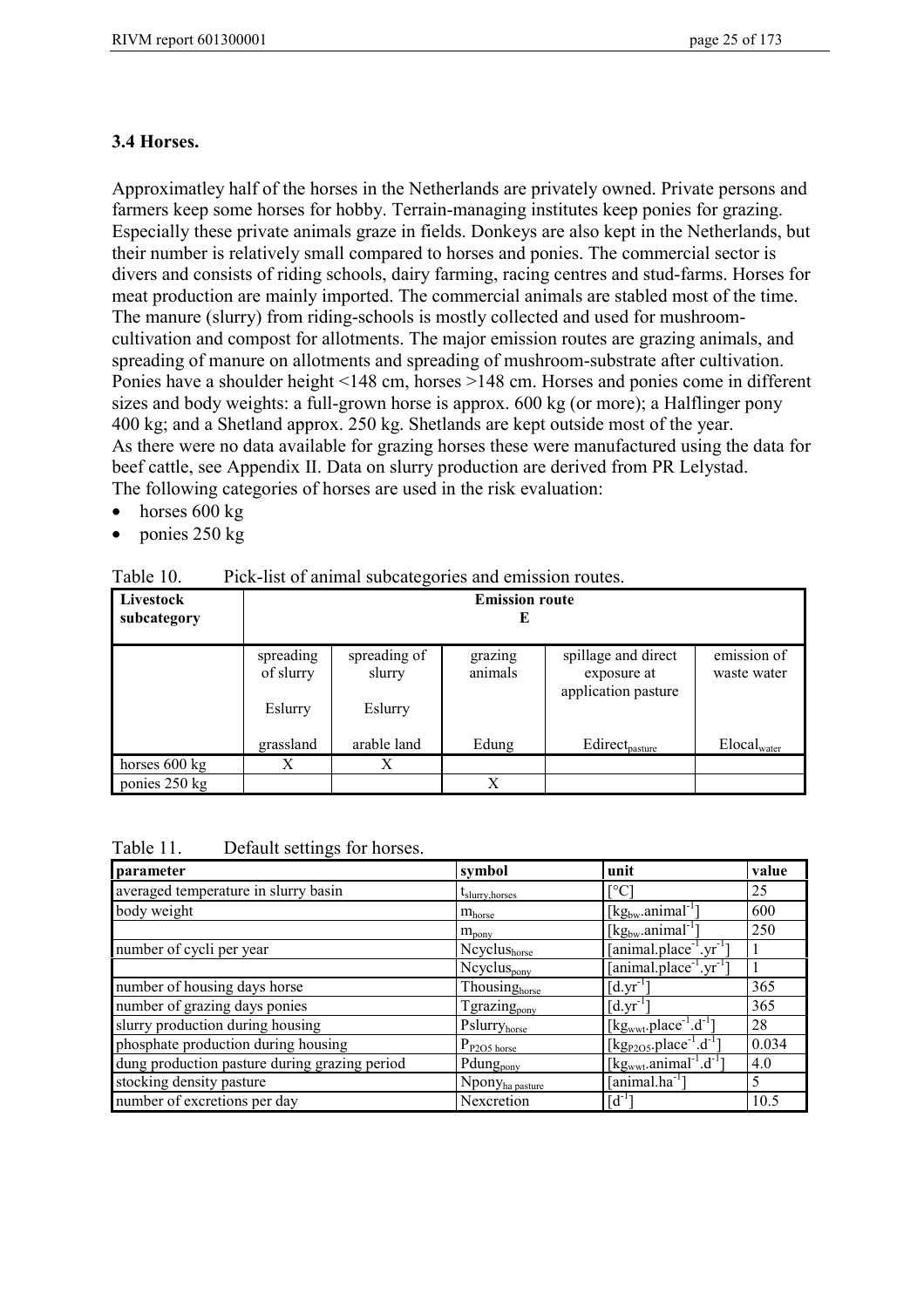#### **3.4 Horses.**

Approximatley half of the horses in the Netherlands are privately owned. Private persons and farmers keep some horses for hobby. Terrain-managing institutes keep ponies for grazing. Especially these private animals graze in fields. Donkeys are also kept in the Netherlands, but their number is relatively small compared to horses and ponies. The commercial sector is divers and consists of riding schools, dairy farming, racing centres and stud-farms. Horses for meat production are mainly imported. The commercial animals are stabled most of the time. The manure (slurry) from riding-schools is mostly collected and used for mushroomcultivation and compost for allotments. The major emission routes are grazing animals, and spreading of manure on allotments and spreading of mushroom-substrate after cultivation. Ponies have a shoulder height <148 cm, horses >148 cm. Horses and ponies come in different sizes and body weights: a full-grown horse is approx. 600 kg (or more); a Halflinger pony 400 kg; and a Shetland approx. 250 kg. Shetlands are kept outside most of the year. As there were no data available for grazing horses these were manufactured using the data for beef cattle, see Appendix II. Data on slurry production are derived from PR Lelystad. The following categories of horses are used in the risk evaluation:

- $\bullet$  horses 600 kg
- ponies 250 kg

| TUUIVIU.<br>I ION TISE OF MITHING SUOVALOGOTIOS AND OITHSSION FOULOS. |                            |                        |                    |                                                           |                            |  |
|-----------------------------------------------------------------------|----------------------------|------------------------|--------------------|-----------------------------------------------------------|----------------------------|--|
| Livestock<br>subcategory                                              | <b>Emission route</b><br>E |                        |                    |                                                           |                            |  |
|                                                                       | spreading<br>of slurry     | spreading of<br>slurry | grazing<br>animals | spillage and direct<br>exposure at<br>application pasture | emission of<br>waste water |  |
|                                                                       | Eslurry                    | Eslurry                |                    |                                                           |                            |  |
|                                                                       | grassland                  | arable land            | Edung              | Edirect <sub>pasture</sub>                                | $Elocal_{water}$           |  |
| horses 600 kg                                                         | X                          | Х                      |                    |                                                           |                            |  |
| ponies 250 kg                                                         |                            |                        | X                  |                                                           |                            |  |

Table 10. Pick-list of animal subcategories and emission routes.

| Table 11. | Default settings for horses. |
|-----------|------------------------------|
|-----------|------------------------------|

| parameter                                     | symbol                             | unit                                                        | value |
|-----------------------------------------------|------------------------------------|-------------------------------------------------------------|-------|
| averaged temperature in slurry basin          | $t_{\text{slurry}, \text{horses}}$ | Г°С                                                         | 25    |
| body weight                                   | $m_{\text{horse}}$                 | $[kg_{bw}.animal^{-1}]$                                     | 600   |
|                                               | $m_{\text{pony}}$                  | $[kg_{bw}.animal^{-1}]$                                     | 250   |
| number of cycli per year                      | Ncyclushorse                       | $[animal.placeholder-1.yr-1]$                               |       |
|                                               | Neyclus <sub>pony</sub>            | $[animal.placeholder-1.yr-1]$                               |       |
| number of housing days horse                  | Thousinghorse                      | $\lceil d.yr^{-1}\rceil$                                    | 365   |
| number of grazing days ponies                 | Tgrazing <sub>pony</sub>           | $\lceil d.vr^{-1} \rceil$                                   | 365   |
| slurry production during housing              | Pslurryhorse                       | [ $kgwwt$ .place <sup>-1</sup> .d <sup>-1</sup> ]           | 28    |
| phosphate production during housing           | $P_{P2O5 \text{ horse}}$           | [kg <sub>P2O5</sub> .place <sup>-1</sup> .d <sup>-1</sup> ] | 0.034 |
| dung production pasture during grazing period | Pdung <sub>pony</sub>              | [kg <sub>wwt</sub> .animal <sup>-1</sup> .d <sup>-1</sup> ] | 4.0   |
| stocking density pasture                      | Npony <sub>ha pasture</sub>        | $[animal.ha^{-1}]$                                          | 5     |
| number of excretions per day                  | Nexcretion                         | $[d^{-1}]$                                                  | 10.5  |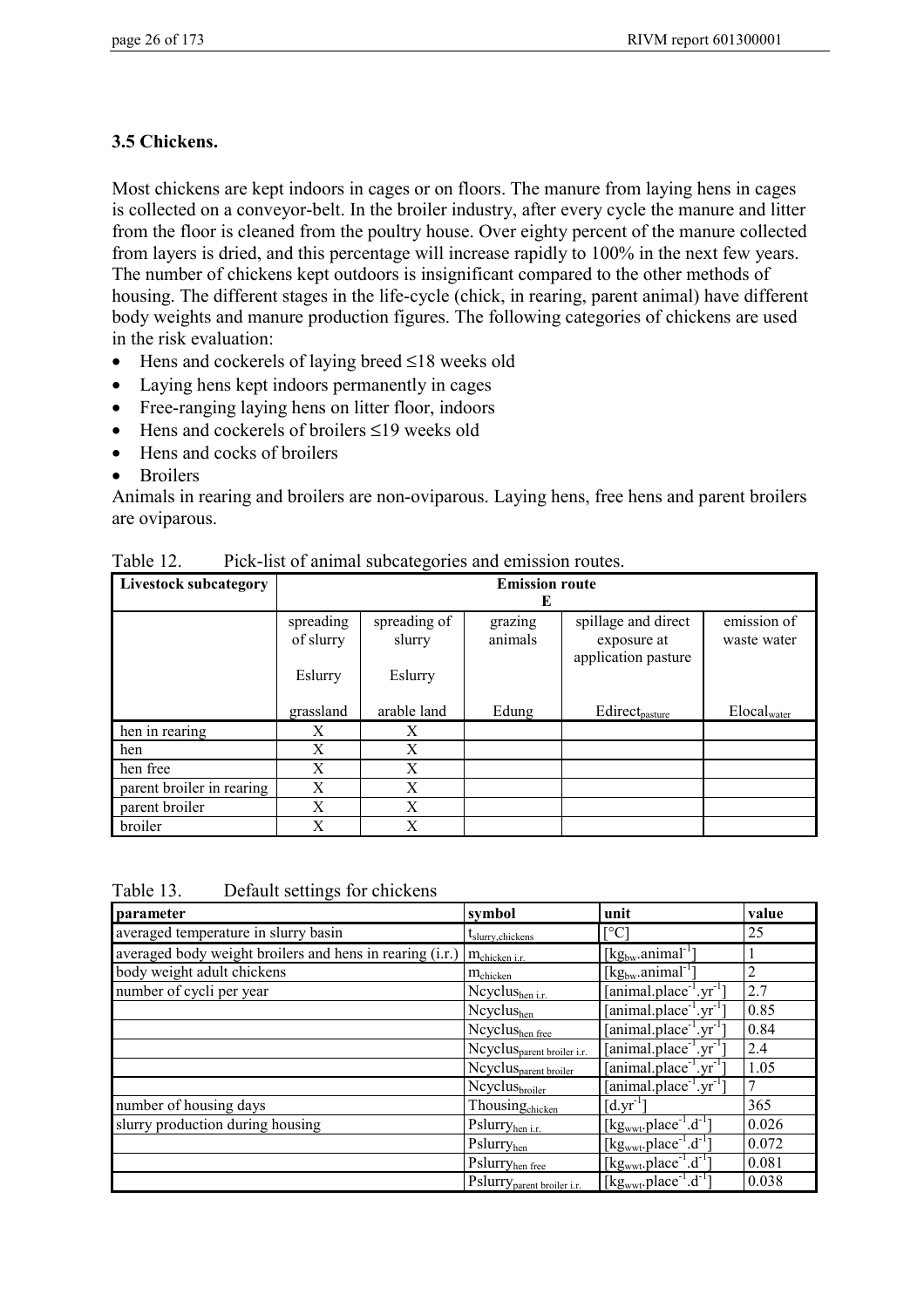## **3.5 Chickens.**

Most chickens are kept indoors in cages or on floors. The manure from laying hens in cages is collected on a conveyor-belt. In the broiler industry, after every cycle the manure and litter from the floor is cleaned from the poultry house. Over eighty percent of the manure collected from layers is dried, and this percentage will increase rapidly to 100% in the next few years. The number of chickens kept outdoors is insignificant compared to the other methods of housing. The different stages in the life-cycle (chick, in rearing, parent animal) have different body weights and manure production figures. The following categories of chickens are used in the risk evaluation:

- Hens and cockerels of laying breed ≤18 weeks old
- Laying hens kept indoors permanently in cages
- Free-ranging laying hens on litter floor, indoors
- Hens and cockerels of broilers ≤19 weeks old
- Hens and cocks of broilers
- Broilers

Animals in rearing and broilers are non-oviparous. Laying hens, free hens and parent broilers are oviparous.

| <b>Livestock subcategory</b> | <b>Emission route</b><br>E        |                                   |                    |                                                           |                                |  |  |
|------------------------------|-----------------------------------|-----------------------------------|--------------------|-----------------------------------------------------------|--------------------------------|--|--|
|                              | spreading<br>of slurry<br>Eslurry | spreading of<br>slurry<br>Eslurry | grazing<br>animals | spillage and direct<br>exposure at<br>application pasture | emission of<br>waste water     |  |  |
|                              | grassland                         | arable land                       | Edung              | Edirect <sub>pasture</sub>                                | $\text{Elocal}_{\text{water}}$ |  |  |
| hen in rearing               | X                                 | X                                 |                    |                                                           |                                |  |  |
| hen                          | X                                 | X                                 |                    |                                                           |                                |  |  |
| hen free                     | X                                 | X                                 |                    |                                                           |                                |  |  |
| parent broiler in rearing    | X                                 | X                                 |                    |                                                           |                                |  |  |
| parent broiler               | X                                 | X                                 |                    |                                                           |                                |  |  |
| broiler                      | X                                 | X                                 |                    |                                                           |                                |  |  |

Table 12. Pick-list of animal subcategories and emission routes.

Table 13. Default settings for chickens

| parameter                                                | symbol                                 | unit                                                              | value |
|----------------------------------------------------------|----------------------------------------|-------------------------------------------------------------------|-------|
| averaged temperature in slurry basin                     | $t_{\text{slurry,chiless}}$            | $\lceil$ °C                                                       | 25    |
| averaged body weight broilers and hens in rearing (i.r.) | m <sub>chicken i.r.</sub>              | $[\text{kg}_{\text{bw}}$ .animal <sup>-1</sup> ]                  |       |
| body weight adult chickens                               | <b>M</b> chicken                       | $[kg_{bw}.animal^{-1}]$                                           | 2     |
| number of cycli per year                                 | Neyelus <sub>hen i.r.</sub>            | [animal.place <sup>-1</sup> .yr <sup>-1</sup> ]                   | 2.7   |
|                                                          | Ncyclushen                             | $[animal.placeholder-1.yr-1]$                                     | 0.85  |
|                                                          | Ncyclushen free                        | [animal.plot]                                                     | 0.84  |
|                                                          | Ncyclus <sub>parent broiler i.r.</sub> | [animal.place <sup>-1</sup> .yr <sup>-1-</sup>                    | 2.4   |
|                                                          | Ncyclus <sub>parent broiler</sub>      | $[animal.placeholder-1.yr-1]$                                     | 1.05  |
|                                                          | Ncyclus <sub>broiler</sub>             | [animal.place <sup>-1</sup> .yr <sup>-1</sup> ]                   |       |
| number of housing days                                   | Thousingchicken                        | $[d.yr^{-1}]$                                                     | 365   |
| slurry production during housing                         | Pslurryhen i.r.                        | [ $kg_{wwt}$ .place <sup>-1</sup> .d <sup>-1</sup> ]              | 0.026 |
|                                                          | Pslurryhen                             | [kg <sub>wwt</sub> .place <sup>-1</sup> .d <sup>-1</sup> ]        | 0.072 |
|                                                          | Pslurry <sub>hen free</sub>            | $[\text{kg}_{\text{wwt}}$ .place <sup>-1</sup> .d <sup>-1</sup> ] | 0.081 |
|                                                          | Pslurry <sub>parent</sub> broiler i.r. | $[\text{kg}_{\text{wwt}}$ .place <sup>-1</sup> .d <sup>-1</sup> ] | 0.038 |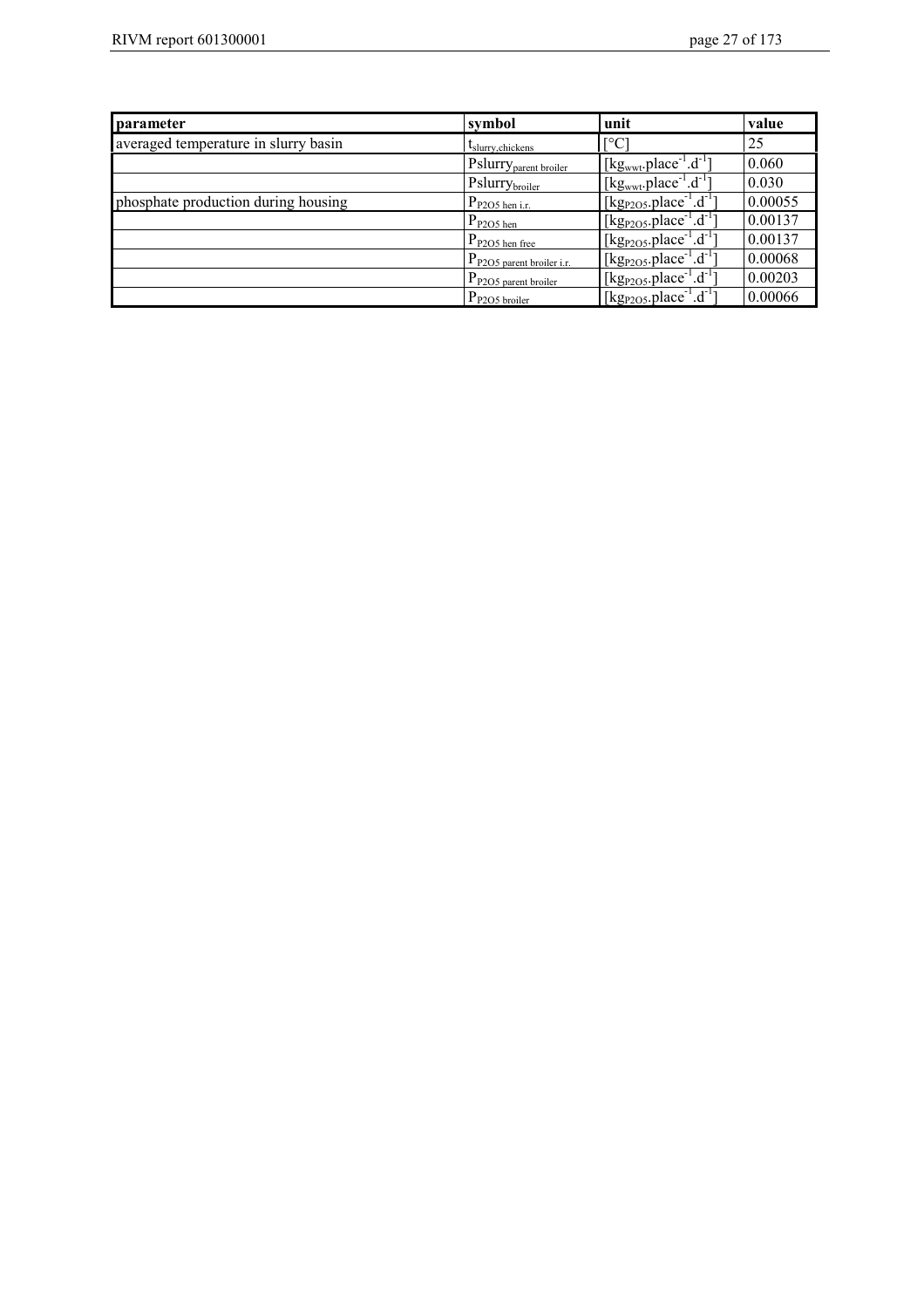| parameter                            | symbol                                | unit                                                                   | value   |
|--------------------------------------|---------------------------------------|------------------------------------------------------------------------|---------|
| averaged temperature in slurry basin | $t_{\text{slurv},\text{chickens}}$    | $\Gamma^{\circ}$ C                                                     | 25      |
|                                      | Pslurry <sub>parent broiler</sub>     | $[\text{kg}_{\text{wwt}}$ .place <sup>-1</sup> .d <sup>-1</sup> ]      | 0.060   |
|                                      | Pslurrybroiler                        | $[kg_{wwt}.place^{-1}.d^{-1}]$                                         | 0.030   |
| phosphate production during housing  | $P_{P2O5 \text{ hen i.r.}}$           | $[\text{kg}_{P2O5}. \text{place}^{-1} \cdot \text{d}^{-1}]$            | 0.00055 |
|                                      | $P_{P2O5 \text{ hen}}$                | [kg <sub>P2O5</sub> .place <sup>-1</sup> .d <sup>-1</sup> ]            | 0.00137 |
|                                      | $P_{P2O5 \text{ hen free}}$           | [kg <sub>P2O5</sub> .place <sup>-1</sup> .d <sup>-1</sup> ]            | 0.00137 |
|                                      | $P_{P2O5\text{ parent broiler i.r.}}$ | [kg <sub>P2O5</sub> .place <sup>-1</sup> .d <sup>-1</sup> ]            | 0.00068 |
|                                      | $P_{P2O5\text{ parent broiler}}$      | $[\text{kg}_{P2O5}. \text{place}^{-1} \cdot \text{d}^{-1}]$            | 0.00203 |
|                                      | $P_{P2O5\underline{b}roiler}$         | $\left[\text{kg}_{\text{P2O5}}\text{,place}^{-1}\text{.d}^{-1}\right]$ | 0.00066 |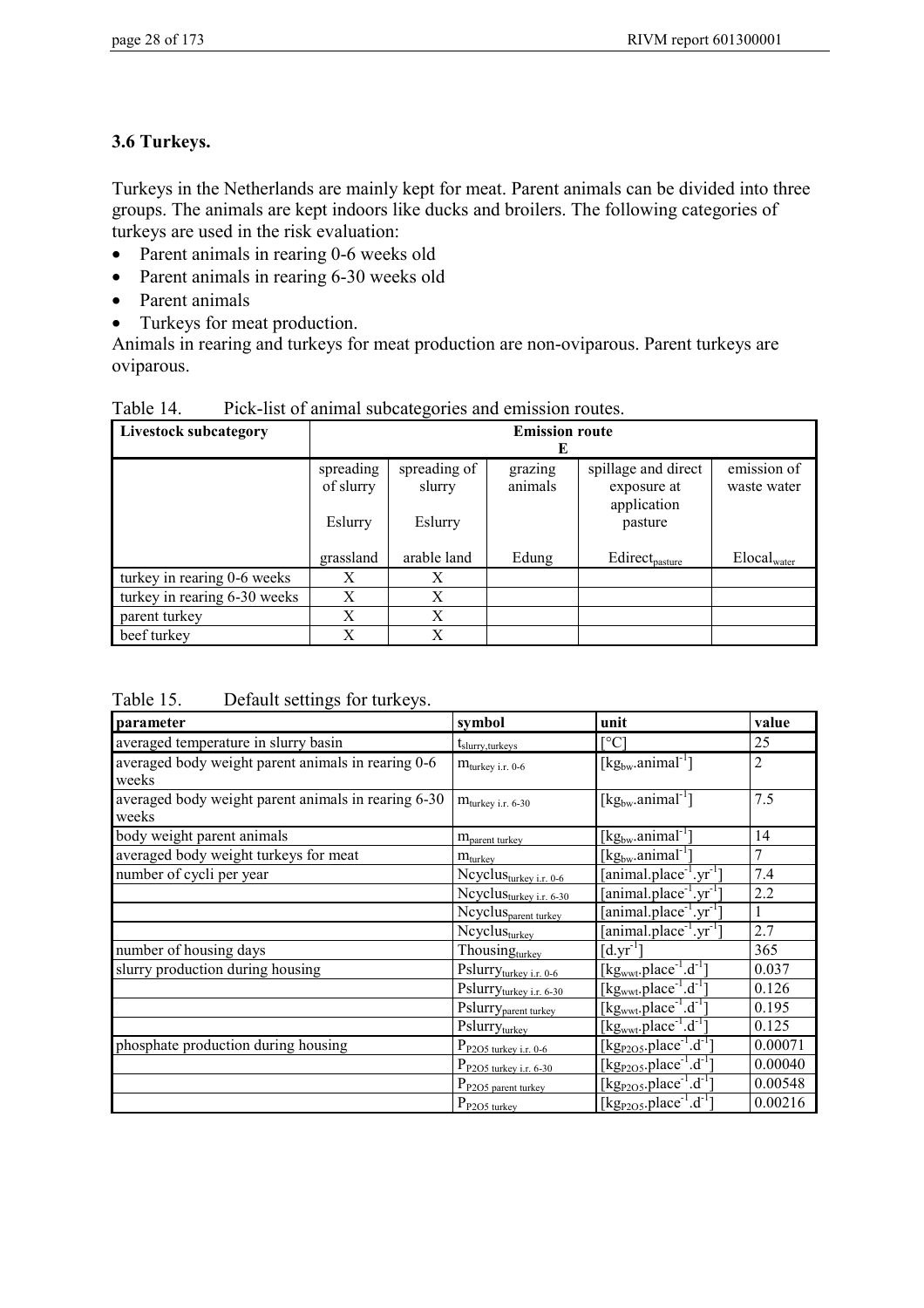# **3.6 Turkeys.**

Turkeys in the Netherlands are mainly kept for meat. Parent animals can be divided into three groups. The animals are kept indoors like ducks and broilers. The following categories of turkeys are used in the risk evaluation:

- Parent animals in rearing 0-6 weeks old
- Parent animals in rearing 6-30 weeks old
- Parent animals
- Turkeys for meat production.

Animals in rearing and turkeys for meat production are non-oviparous. Parent turkeys are oviparous.

| <b>Livestock subcategory</b> | <b>Emission route</b><br>Е        |                                   |                    |                                                              |                            |  |
|------------------------------|-----------------------------------|-----------------------------------|--------------------|--------------------------------------------------------------|----------------------------|--|
|                              | spreading<br>of slurry<br>Eslurry | spreading of<br>slurry<br>Eslurry | grazing<br>animals | spillage and direct<br>exposure at<br>application<br>pasture | emission of<br>waste water |  |
|                              | grassland                         | arable land                       | Edung              | Edirect <sub>pasture</sub>                                   | $Elocal_{water}$           |  |
| turkey in rearing 0-6 weeks  | X                                 | X                                 |                    |                                                              |                            |  |
| turkey in rearing 6-30 weeks | X                                 | X                                 |                    |                                                              |                            |  |
| parent turkey                | X                                 | X                                 |                    |                                                              |                            |  |
| beef turkey                  | X                                 | X                                 |                    |                                                              |                            |  |

Table 14. Pick-list of animal subcategories and emission routes.

## Table 15. Default settings for turkeys.

| parameter                                                    | symbol                             | unit                                                              | value          |
|--------------------------------------------------------------|------------------------------------|-------------------------------------------------------------------|----------------|
| averaged temperature in slurry basin                         | t <sub>slurry, turkeys</sub>       | [°C]                                                              | 25             |
| averaged body weight parent animals in rearing 0-6<br>weeks  | $m_{\text{turkey i.r. 0-6}}$       | $[kg_{bw}.animal^{-1}]$                                           | $\overline{2}$ |
| averaged body weight parent animals in rearing 6-30<br>weeks | $m_{\text{turkey i.r. 6-30}}$      | $[kg_{bw}.animal^{-1}]$                                           | 7.5            |
| body weight parent animals                                   | M <sub>parent turkey</sub>         | [kg <sub>bw</sub> .animal <sup>-1</sup>                           | 14             |
| averaged body weight turkeys for meat                        | $m_{\text{turkey}}$                | $[\text{kg}_{bw}.animal^{-1}]$                                    | 7              |
| number of cycli per year                                     | Neyelusturkey i.r. 0-6             | [animal.place <sup>-1</sup> .yr <sup>-1</sup>                     | 7.4            |
|                                                              | Neyelusturkey i.r. 6-30            | [animal.place <sup>-1</sup> .yr <sup>-1</sup> ]                   | 2.2            |
|                                                              | Ncyclus <sub>parent turkey</sub>   | [animal.place <sup>-1</sup> .yr <sup>-1</sup> ]                   |                |
|                                                              | Ncyclus <sub>turkey</sub>          | [animal.plot]                                                     | 2.7            |
| number of housing days                                       | Thousingturkey                     | $[d.yr^{-1}]$                                                     | 365            |
| slurry production during housing                             | Pslurryturkey i.r. 0-6             | $[kgwwt.place-1.d-1]$                                             | 0.037          |
|                                                              | Pslurryturkey i.r. 6-30            | [kg <sub>wwt</sub> .place <sup>-1</sup> .d <sup>-1</sup> ]        | 0.126          |
|                                                              | Pslurry <sub>parent turkey</sub>   | $[\text{kg}_{\text{wwt}}$ .place <sup>-1</sup> .d <sup>-1</sup> ] | 0.195          |
|                                                              | Pslurryturkey                      | [kg <sub>wwt</sub> .place <sup>-1</sup> .d <sup>-1</sup> ]        | 0.125          |
| phosphate production during housing                          | $P_{P2O5\text{ turkey i.r. }0-6}$  | [kg <sub>P2O5</sub> .place <sup>-1</sup> .d <sup>-1</sup>         | 0.00071        |
|                                                              | $P_{P2O5\text{ turkey i.r. }6-30}$ | [kg <sub>P2O5</sub> .place <sup>-1</sup> .d <sup>-1</sup> ]       | 0.00040        |
|                                                              | P <sub>P205</sub> parent turkey    | [kg <sub>p2O5</sub> .place <sup>-1</sup> .d <sup>-T</sup> ]       | 0.00548        |
|                                                              | $P_{P2O5 \text{ turkey}}$          | $[kg_{P2O5}.place^{-1}.d^{-1}]$                                   | 0.00216        |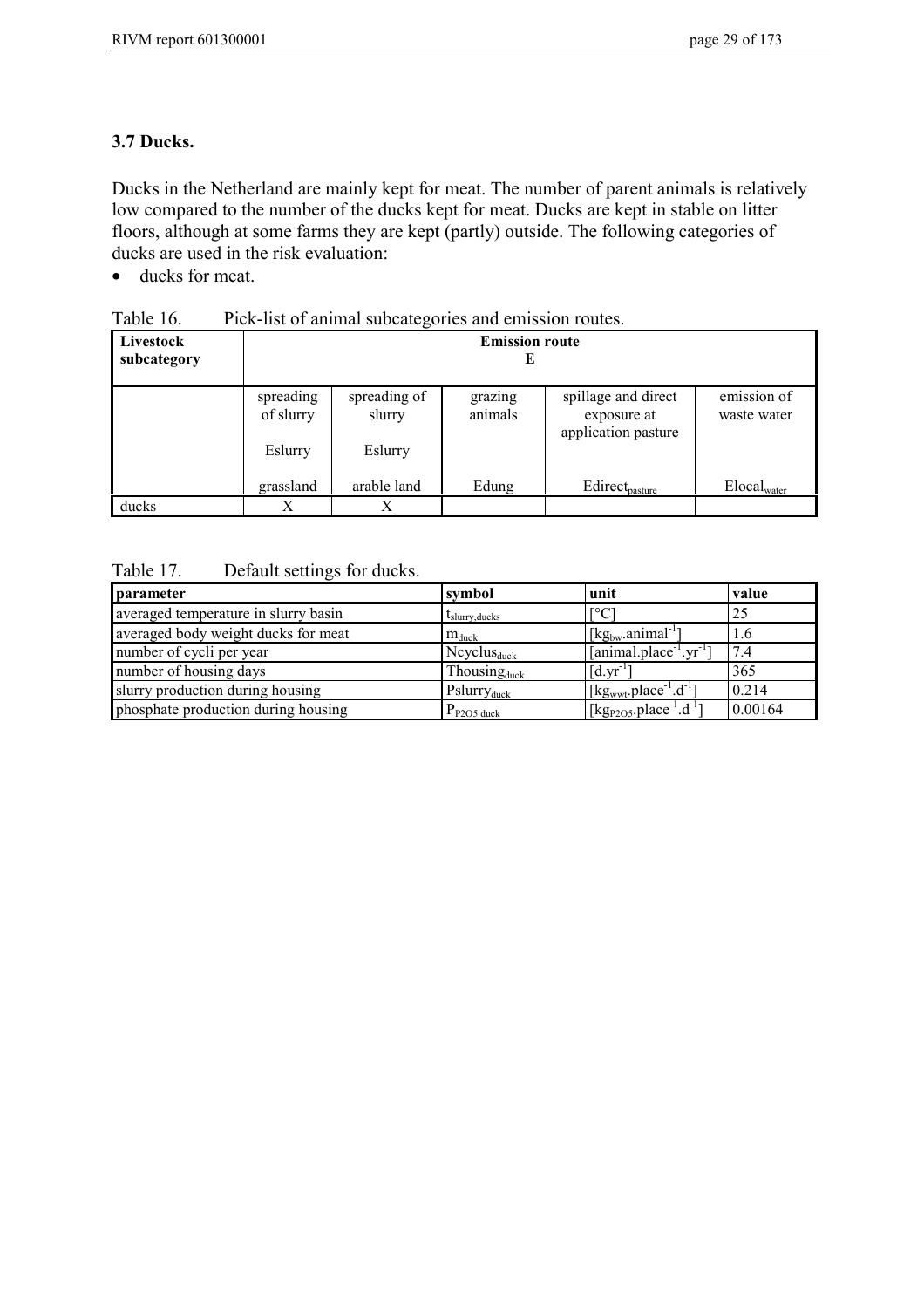## **3.7 Ducks.**

Ducks in the Netherland are mainly kept for meat. The number of parent animals is relatively low compared to the number of the ducks kept for meat. Ducks are kept in stable on litter floors, although at some farms they are kept (partly) outside. The following categories of ducks are used in the risk evaluation:

• ducks for meat.

| Livestock<br>subcategory | <b>Emission route</b><br>Е |                        |                    |                                                           |                            |
|--------------------------|----------------------------|------------------------|--------------------|-----------------------------------------------------------|----------------------------|
|                          | spreading<br>of slurry     | spreading of<br>slurry | grazing<br>animals | spillage and direct<br>exposure at<br>application pasture | emission of<br>waste water |
|                          | Eslurry                    | Eslurry                |                    |                                                           |                            |
|                          | grassland                  | arable land            | Edung              | Edirect <sub>pasture</sub>                                | $Elocal_{water}$           |
| ducks                    | Х                          |                        |                    |                                                           |                            |

### Table 17. Default settings for ducks.

| parameter                            | symbol                           | unit                                                        | value   |
|--------------------------------------|----------------------------------|-------------------------------------------------------------|---------|
| averaged temperature in slurry basin | $t_{\text{slurv}, \text{ducks}}$ | $\lceil$ °C                                                 | 25      |
| averaged body weight ducks for meat  | $m_{\text{duck}}$                | $\lceil \text{kg}_{bw} \cdot \text{animal}^{-1} \rceil$     | 1.6     |
| number of cycli per year             | $N$ cyclus $_{\text{duck}}$      | $[animal.placeholder-1.yr-1]$                               | 7.4     |
| number of housing days               | Thousing <sub>duck</sub>         | $\left[$ d.yr <sup>-1</sup>                                 | 365     |
| slurry production during housing     | $Pslurry_{\text{duck}}$          | [kg <sub>wwt</sub> .place <sup>-1</sup> .d <sup>-1</sup> ]  | 0.214   |
| phosphate production during housing  | $P_{P2O5 \text{ duck}}$          | [kg <sub>P2O5</sub> .place <sup>-1</sup> .d <sup>-1</sup> ] | 0.00164 |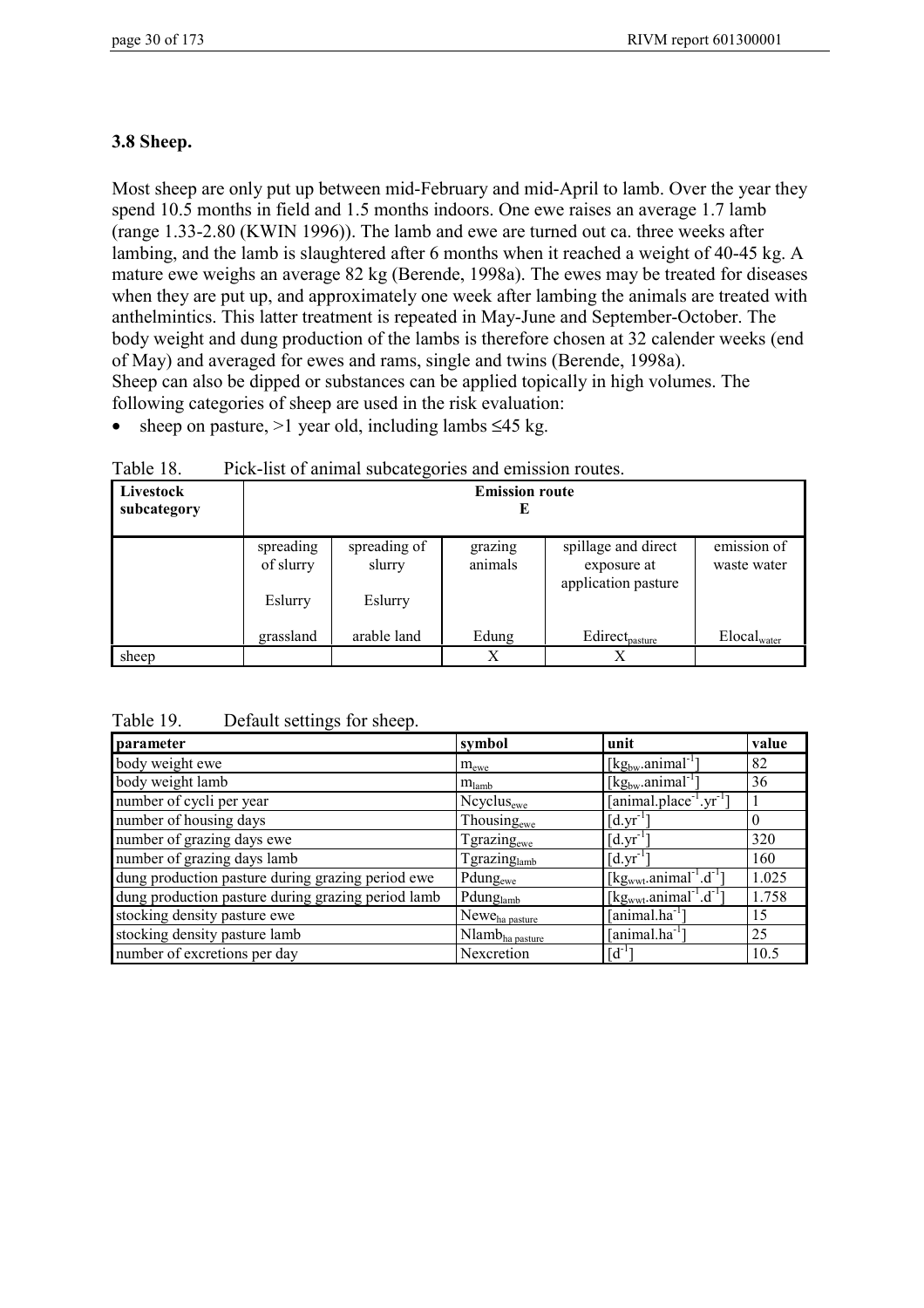## **3.8 Sheep.**

Most sheep are only put up between mid-February and mid-April to lamb. Over the year they spend 10.5 months in field and 1.5 months indoors. One ewe raises an average 1.7 lamb (range 1.33-2.80 (KWIN 1996)). The lamb and ewe are turned out ca. three weeks after lambing, and the lamb is slaughtered after 6 months when it reached a weight of 40-45 kg. A mature ewe weighs an average 82 kg (Berende, 1998a). The ewes may be treated for diseases when they are put up, and approximately one week after lambing the animals are treated with anthelmintics. This latter treatment is repeated in May-June and September-October. The body weight and dung production of the lambs is therefore chosen at 32 calender weeks (end of May) and averaged for ewes and rams, single and twins (Berende, 1998a). Sheep can also be dipped or substances can be applied topically in high volumes. The following categories of sheep are used in the risk evaluation:

• sheep on pasture,  $>1$  year old, including lambs  $\leq 45$  kg.

| Livestock<br>subcategory | <b>Emission route</b><br>E |                        |                    |                                                           |                            |
|--------------------------|----------------------------|------------------------|--------------------|-----------------------------------------------------------|----------------------------|
|                          | spreading<br>of slurry     | spreading of<br>slurry | grazing<br>animals | spillage and direct<br>exposure at<br>application pasture | emission of<br>waste water |
|                          | Eslurry<br>grassland       | Eslurry<br>arable land | Edung              | Edirect <sub>pasture</sub>                                | Elocal <sub>water</sub>    |
| sheep                    |                            |                        | X                  | Х                                                         |                            |

Table 18. Pick-list of animal subcategories and emission routes.

Table 19. Default settings for sheep.

| parameter                                          | symbol                      | unit                                                             | value |
|----------------------------------------------------|-----------------------------|------------------------------------------------------------------|-------|
| body weight ewe                                    | $m_{\text{ewe}}$            | $\lceil \text{kg}_{bw} \cdot \text{animal}^{-1} \rceil$          | 82    |
| body weight lamb                                   | $m_{\text{lambda}}$         | $\lceil \text{kg}_{bw} \cdot \text{animal}^{-1} \rceil$          | 36    |
| number of cycli per year                           | Ncyclus <sub>ewe</sub>      | [animal.place <sup>-1</sup> .yr <sup>-1</sup> ]                  |       |
| number of housing days                             | Thousing <sub>ewe</sub>     | $[d.yr^{-1}]$                                                    |       |
| number of grazing days ewe                         | Tgrazing <sub>ewe</sub>     | $[d.yr^{-1}]$                                                    | 320   |
| number of grazing days lamb                        | Tgrazinglamb                | $\left[ d.yr^{-1}\right]$                                        | 160   |
| dung production pasture during grazing period ewe  | Pdungewe                    | $[kgwwt.animal-1.d-1]$                                           | 1.025 |
| dung production pasture during grazing period lamb | Pdunglamb                   | [kg <sub>wwt</sub> .animal <sup>-1</sup> . $\overline{d^{-1}}$ ] | 1.758 |
| stocking density pasture ewe                       | Newe <sub>ha pasture</sub>  | [animal.ha <sup>-1</sup> ]                                       | 15    |
| stocking density pasture lamb                      | Nlamb <sub>ha pasture</sub> | [animal.ha <sup>-1-</sup>                                        | 25    |
| number of excretions per day                       | Nexcretion                  | $[d^{-1}]$                                                       | 10.5  |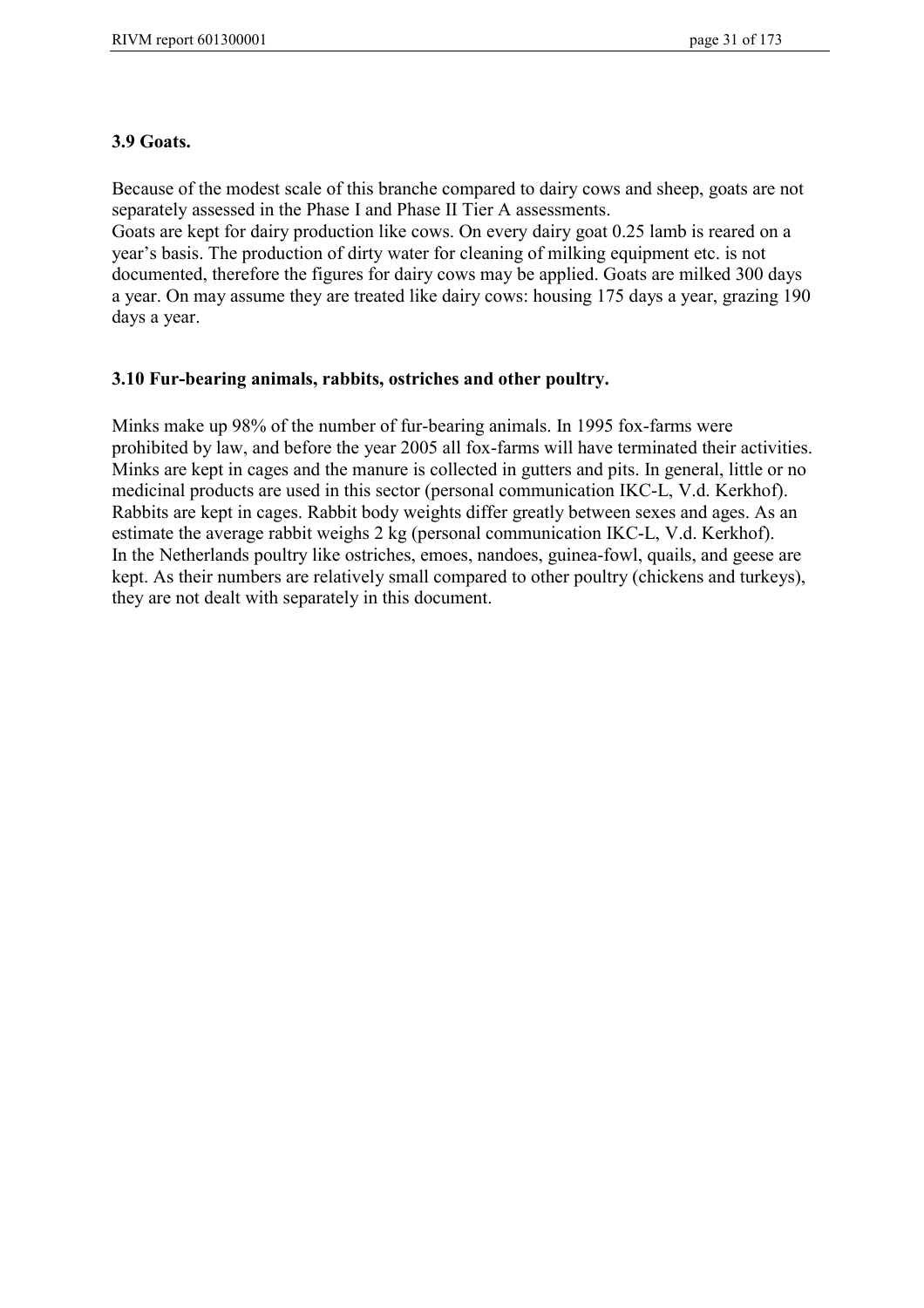#### **3.9 Goats.**

Because of the modest scale of this branche compared to dairy cows and sheep, goats are not separately assessed in the Phase I and Phase II Tier A assessments.

Goats are kept for dairy production like cows. On every dairy goat 0.25 lamb is reared on a year's basis. The production of dirty water for cleaning of milking equipment etc. is not documented, therefore the figures for dairy cows may be applied. Goats are milked 300 days a year. On may assume they are treated like dairy cows: housing 175 days a year, grazing 190 days a year.

#### **3.10 Fur-bearing animals, rabbits, ostriches and other poultry.**

Minks make up 98% of the number of fur-bearing animals. In 1995 fox-farms were prohibited by law, and before the year 2005 all fox-farms will have terminated their activities. Minks are kept in cages and the manure is collected in gutters and pits. In general, little or no medicinal products are used in this sector (personal communication IKC-L, V.d. Kerkhof). Rabbits are kept in cages. Rabbit body weights differ greatly between sexes and ages. As an estimate the average rabbit weighs 2 kg (personal communication IKC-L, V.d. Kerkhof). In the Netherlands poultry like ostriches, emoes, nandoes, guinea-fowl, quails, and geese are kept. As their numbers are relatively small compared to other poultry (chickens and turkeys), they are not dealt with separately in this document.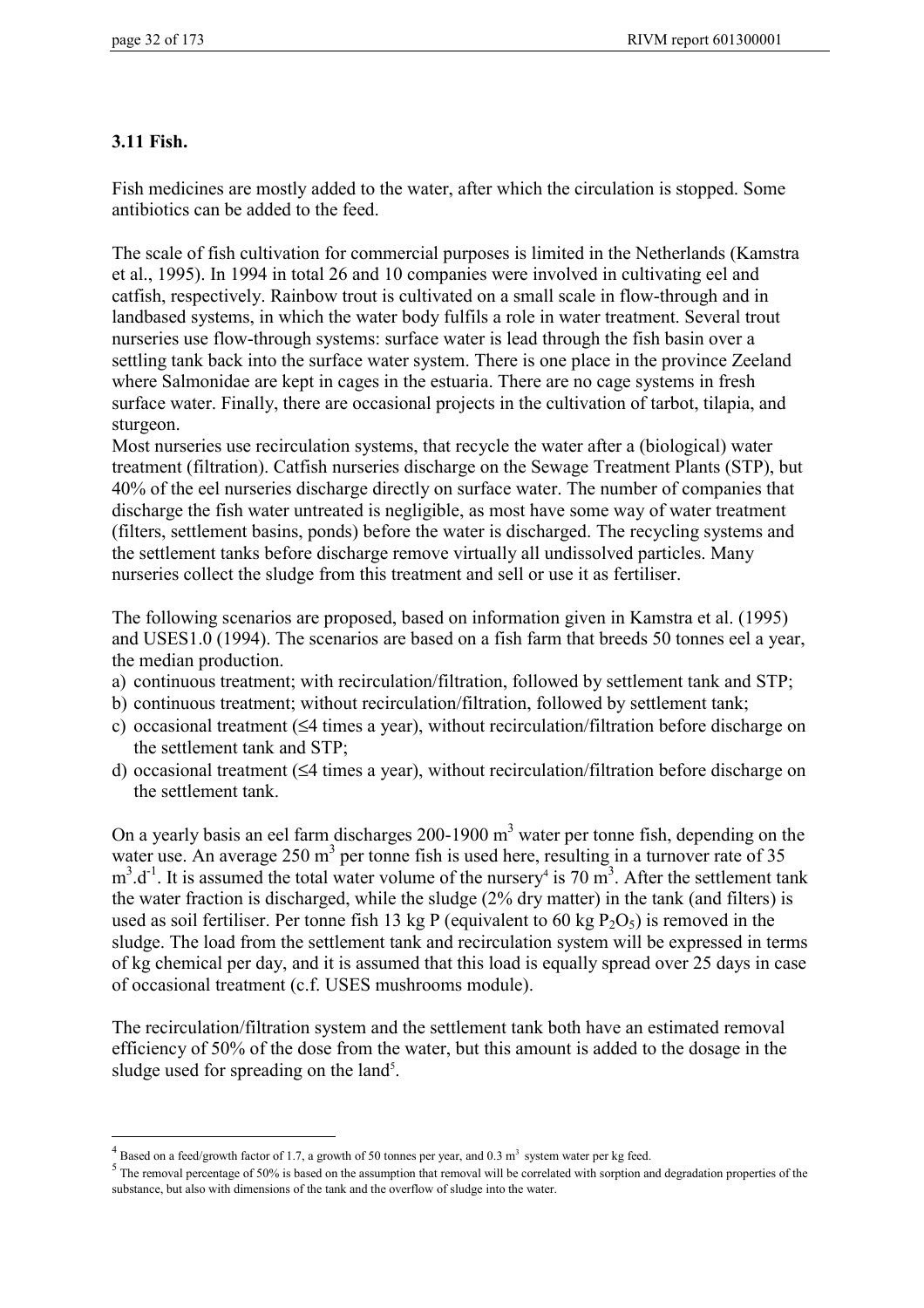### **3.11 Fish.**

 $\overline{a}$ 

Fish medicines are mostly added to the water, after which the circulation is stopped. Some antibiotics can be added to the feed.

The scale of fish cultivation for commercial purposes is limited in the Netherlands (Kamstra et al., 1995). In 1994 in total 26 and 10 companies were involved in cultivating eel and catfish, respectively. Rainbow trout is cultivated on a small scale in flow-through and in landbased systems, in which the water body fulfils a role in water treatment. Several trout nurseries use flow-through systems: surface water is lead through the fish basin over a settling tank back into the surface water system. There is one place in the province Zeeland where Salmonidae are kept in cages in the estuaria. There are no cage systems in fresh surface water. Finally, there are occasional projects in the cultivation of tarbot, tilapia, and sturgeon.

Most nurseries use recirculation systems, that recycle the water after a (biological) water treatment (filtration). Catfish nurseries discharge on the Sewage Treatment Plants (STP), but 40% of the eel nurseries discharge directly on surface water. The number of companies that discharge the fish water untreated is negligible, as most have some way of water treatment (filters, settlement basins, ponds) before the water is discharged. The recycling systems and the settlement tanks before discharge remove virtually all undissolved particles. Many nurseries collect the sludge from this treatment and sell or use it as fertiliser.

The following scenarios are proposed, based on information given in Kamstra et al. (1995) and USES1.0 (1994). The scenarios are based on a fish farm that breeds 50 tonnes eel a year, the median production.

- a) continuous treatment; with recirculation/filtration, followed by settlement tank and STP;
- b) continuous treatment; without recirculation/filtration, followed by settlement tank;
- c) occasional treatment (≤4 times a year), without recirculation/filtration before discharge on the settlement tank and STP;
- d) occasional treatment (≤4 times a year), without recirculation/filtration before discharge on the settlement tank.

On a yearly basis an eel farm discharges 200-1900  $m<sup>3</sup>$  water per tonne fish, depending on the water use. An average  $250 \text{ m}^3$  per tonne fish is used here, resulting in a turnover rate of 35  $m^3$ .d<sup>-1</sup>. It is assumed the total water volume of the nursery<sup>4</sup> is 70  $m^3$ . After the settlement tank the water fraction is discharged, while the sludge (2% dry matter) in the tank (and filters) is used as soil fertiliser. Per tonne fish 13 kg P (equivalent to 60 kg  $P_2O_5$ ) is removed in the sludge. The load from the settlement tank and recirculation system will be expressed in terms of kg chemical per day, and it is assumed that this load is equally spread over 25 days in case of occasional treatment (c.f. USES mushrooms module).

The recirculation/filtration system and the settlement tank both have an estimated removal efficiency of 50% of the dose from the water, but this amount is added to the dosage in the sludge used for spreading on the land<sup>5</sup>.

<sup>&</sup>lt;sup>4</sup> Based on a feed/growth factor of 1.7, a growth of 50 tonnes per year, and 0.3 m<sup>3</sup> system water per kg feed.

 $<sup>5</sup>$  The removal percentage of 50% is based on the assumption that removal will be correlated with sorption and degradation properties of the</sup> substance, but also with dimensions of the tank and the overflow of sludge into the water.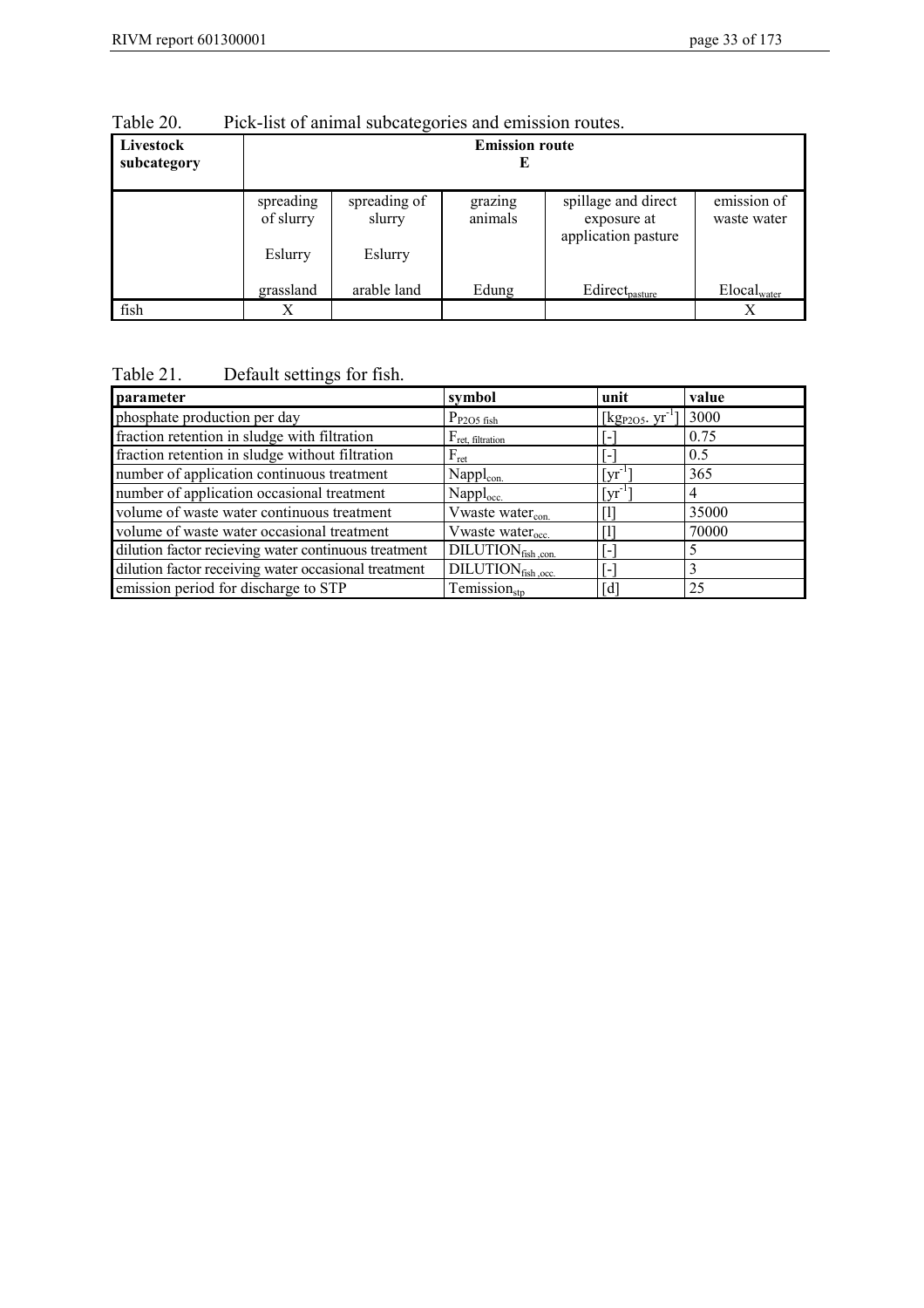| $14010 \angle 0$         | I ICK-HSt Of allman subcategories and chillssion foutes. |                                   |                    |                                                           |                            |
|--------------------------|----------------------------------------------------------|-----------------------------------|--------------------|-----------------------------------------------------------|----------------------------|
| Livestock<br>subcategory | <b>Emission route</b>                                    |                                   |                    |                                                           |                            |
|                          | spreading<br>of slurry<br>Eslurry                        | spreading of<br>slurry<br>Eslurry | grazing<br>animals | spillage and direct<br>exposure at<br>application pasture | emission of<br>waste water |
| fish                     | grassland<br>Х                                           | arable land                       | Edung              | Edirect <sub>pasture</sub>                                | Elocal <sub>water</sub>    |

Table 20. Pick-list of animal subcategories and emission routes.

# Table 21. Default settings for fish.

| parameter                                            | symbol                                               | unit                                 | value |
|------------------------------------------------------|------------------------------------------------------|--------------------------------------|-------|
| phosphate production per day                         | $P_{P2O5\text{ fish}}$                               | $[\text{kg}_{P2O5} \text{ yr}^{-1}]$ | 3000  |
| fraction retention in sludge with filtration         | $F_{ret, filtration}$                                |                                      | 0.75  |
| fraction retention in sludge without filtration      | $F_{\rm ret}$                                        |                                      | 0.5   |
| number of application continuous treatment           | Nappl <sub>con.</sub>                                | $\lceil \text{yr}^{-1} \rceil$       | 365   |
| number of application occasional treatment           | Nappl <sub>occ.</sub>                                | $\lceil \text{vr} \rceil$            | 4     |
| volume of waste water continuous treatment           | Vwaste water <sub>con.</sub>                         |                                      | 35000 |
| volume of waste water occasional treatment           | Vwaste water <sub>occ.</sub>                         |                                      | 70000 |
| dilution factor recieving water continuous treatment | $DILUTION_{fish.com.}$                               |                                      |       |
| dilution factor receiving water occasional treatment | $\overline{\text{D}}$ ILUTION <sub>fish</sub> , occ. | $\qquad \qquad \blacksquare$         |       |
| emission period for discharge to STP                 | $T$ emission $_{\text{str}}$                         | [d]                                  | 25    |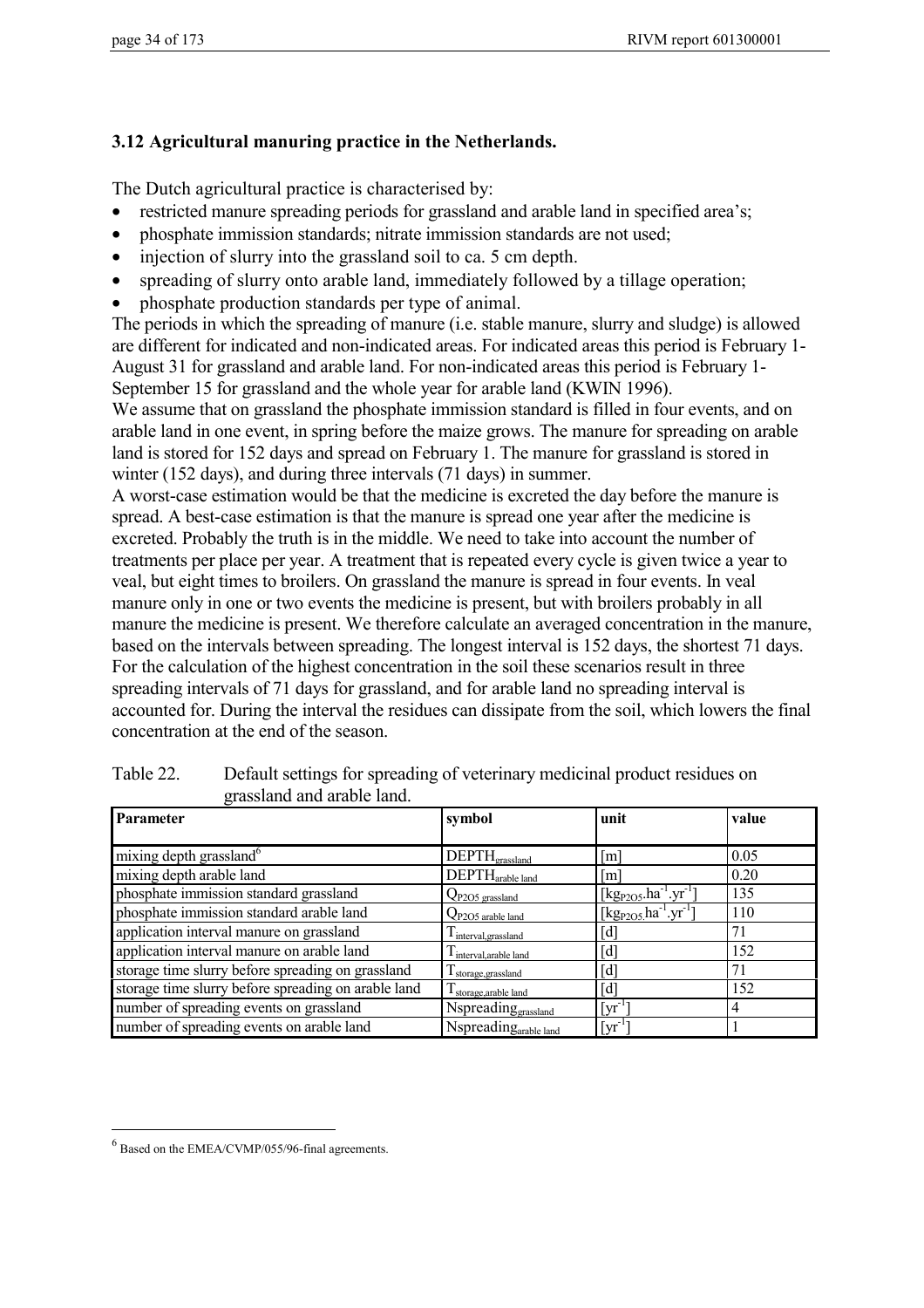# **3.12 Agricultural manuring practice in the Netherlands.**

The Dutch agricultural practice is characterised by:

- restricted manure spreading periods for grassland and arable land in specified area's;
- phosphate immission standards; nitrate immission standards are not used;
- injection of slurry into the grassland soil to ca. 5 cm depth.
- spreading of slurry onto arable land, immediately followed by a tillage operation;
- phosphate production standards per type of animal.

The periods in which the spreading of manure (i.e. stable manure, slurry and sludge) is allowed are different for indicated and non-indicated areas. For indicated areas this period is February 1- August 31 for grassland and arable land. For non-indicated areas this period is February 1- September 15 for grassland and the whole year for arable land (KWIN 1996).

We assume that on grassland the phosphate immission standard is filled in four events, and on arable land in one event, in spring before the maize grows. The manure for spreading on arable land is stored for 152 days and spread on February 1. The manure for grassland is stored in winter (152 days), and during three intervals (71 days) in summer.

A worst-case estimation would be that the medicine is excreted the day before the manure is spread. A best-case estimation is that the manure is spread one year after the medicine is excreted. Probably the truth is in the middle. We need to take into account the number of treatments per place per year. A treatment that is repeated every cycle is given twice a year to veal, but eight times to broilers. On grassland the manure is spread in four events. In veal manure only in one or two events the medicine is present, but with broilers probably in all manure the medicine is present. We therefore calculate an averaged concentration in the manure, based on the intervals between spreading. The longest interval is 152 days, the shortest 71 days. For the calculation of the highest concentration in the soil these scenarios result in three spreading intervals of 71 days for grassland, and for arable land no spreading interval is accounted for. During the interval the residues can dissipate from the soil, which lowers the final concentration at the end of the season.

| Parameter                                           | symbol                          | unit                                                                 | value |
|-----------------------------------------------------|---------------------------------|----------------------------------------------------------------------|-------|
|                                                     |                                 |                                                                      |       |
| mixing depth grassland <sup>6</sup>                 | $DEPTH_{\text{grassland}}$      | $\lceil m \rceil$                                                    | 0.05  |
| mixing depth arable land                            | DEPTH <sub>arable land</sub>    | [m]                                                                  | 0.20  |
| phosphate immission standard grassland              | Q <sub>P205</sub> grassland     | $[\text{kg}_{P2O5} \text{.} \text{ha}^{-1} \text{.} \text{yr}^{-1}]$ | 135   |
| phosphate immission standard arable land            | $Q_{P2O5}$ arable land          | [kg <sub>P2O5.</sub> ha <sup>-1</sup> .yr <sup>-1</sup> ]            | 110   |
| application interval manure on grassland            | I interval grassland            | $\lceil d \rceil$                                                    | 71    |
| application interval manure on arable land          | I interval arable land          | $[d]$                                                                | 152   |
| storage time slurry before spreading on grassland   | $\mathbf 1$ storage, grassland  | $[d]$                                                                | 71    |
| storage time slurry before spreading on arable land | I storage, arable land          | $\lceil d \rceil$                                                    | 152   |
| number of spreading events on grassland             | Nspreading <sub>grassland</sub> | $\lceil \mathrm{yr}^{-1} \rceil$                                     | 4     |
| number of spreading events on arable land           | Nspreadingarable land           | $\lceil \text{yr}^{-1} \rceil$                                       |       |

Table 22. Default settings for spreading of veterinary medicinal product residues on grassland and arable land.

 $\overline{a}$ 

 $<sup>6</sup>$  Based on the EMEA/CVMP/055/96-final agreements.</sup>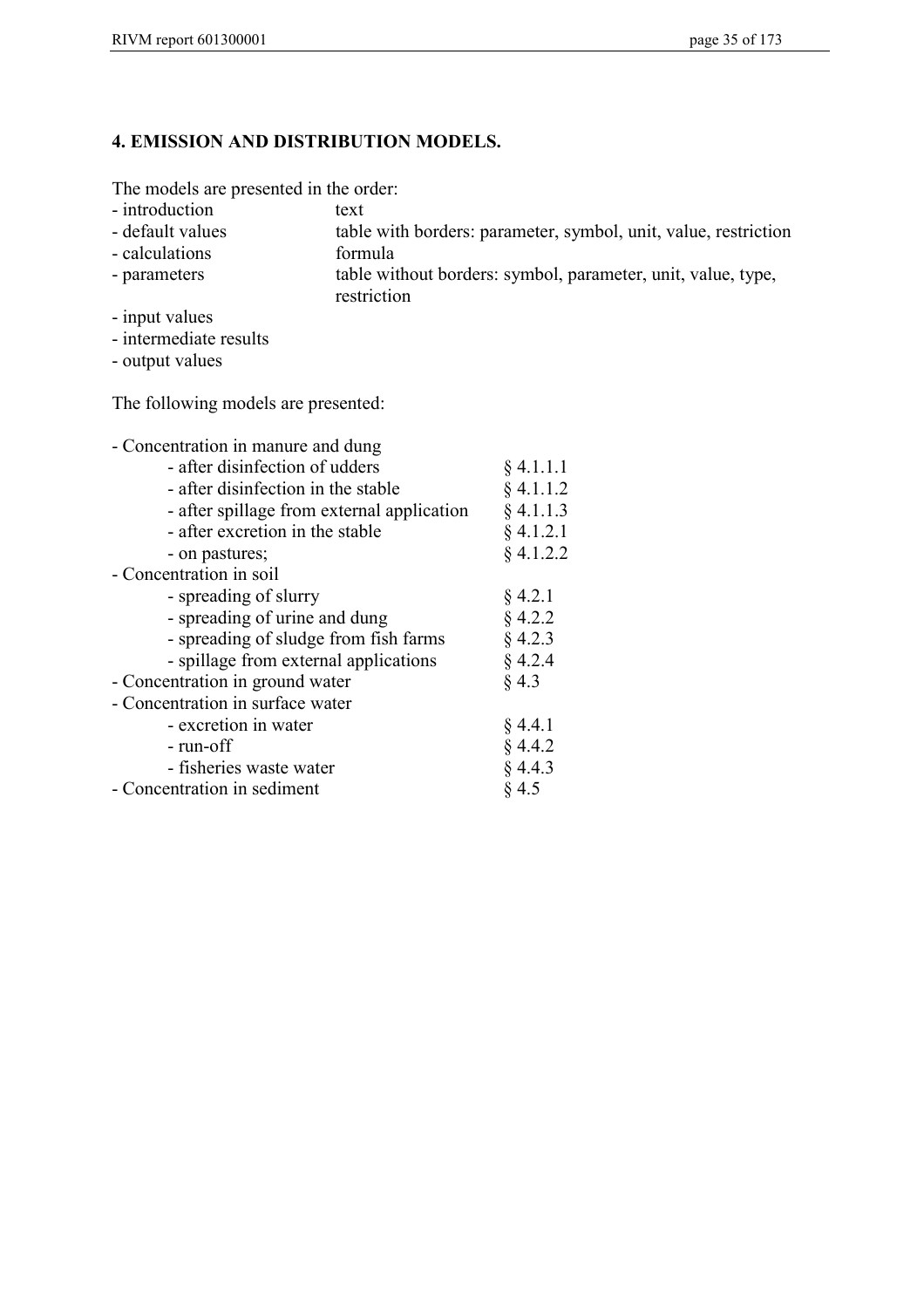# **4. EMISSION AND DISTRIBUTION MODELS.**

The models are presented in the order:

- 
- introduction text<br>- default values table table with borders: parameter, symbol, unit, value, restriction
- calculations formula
- parameters table without borders: symbol, parameter, unit, value, type, restriction
- input values
- intermediate results
- output values

The following models are presented:

| - Concentration in manure and dung         |             |
|--------------------------------------------|-------------|
| - after disinfection of udders             | § 4.1.1.1   |
| - after disinfection in the stable         | $§$ 4.1.1.2 |
| - after spillage from external application | $§$ 4.1.1.3 |
| - after excretion in the stable            | $§$ 4.1.2.1 |
| - on pastures;                             | $§$ 4.1.2.2 |
| - Concentration in soil                    |             |
| - spreading of slurry                      | § 4.2.1     |
| - spreading of urine and dung              | $§$ 4.2.2   |
| - spreading of sludge from fish farms      | $§$ 4.2.3   |
| - spillage from external applications      | § 4.2.4     |
| - Concentration in ground water            | § 4.3       |
| - Concentration in surface water           |             |
| - excretion in water                       | § 4.4.1     |
| - run-off                                  | § 4.4.2     |
| - fisheries waste water                    | § 4.4.3     |
| - Concentration in sediment                | § 4.5       |
|                                            |             |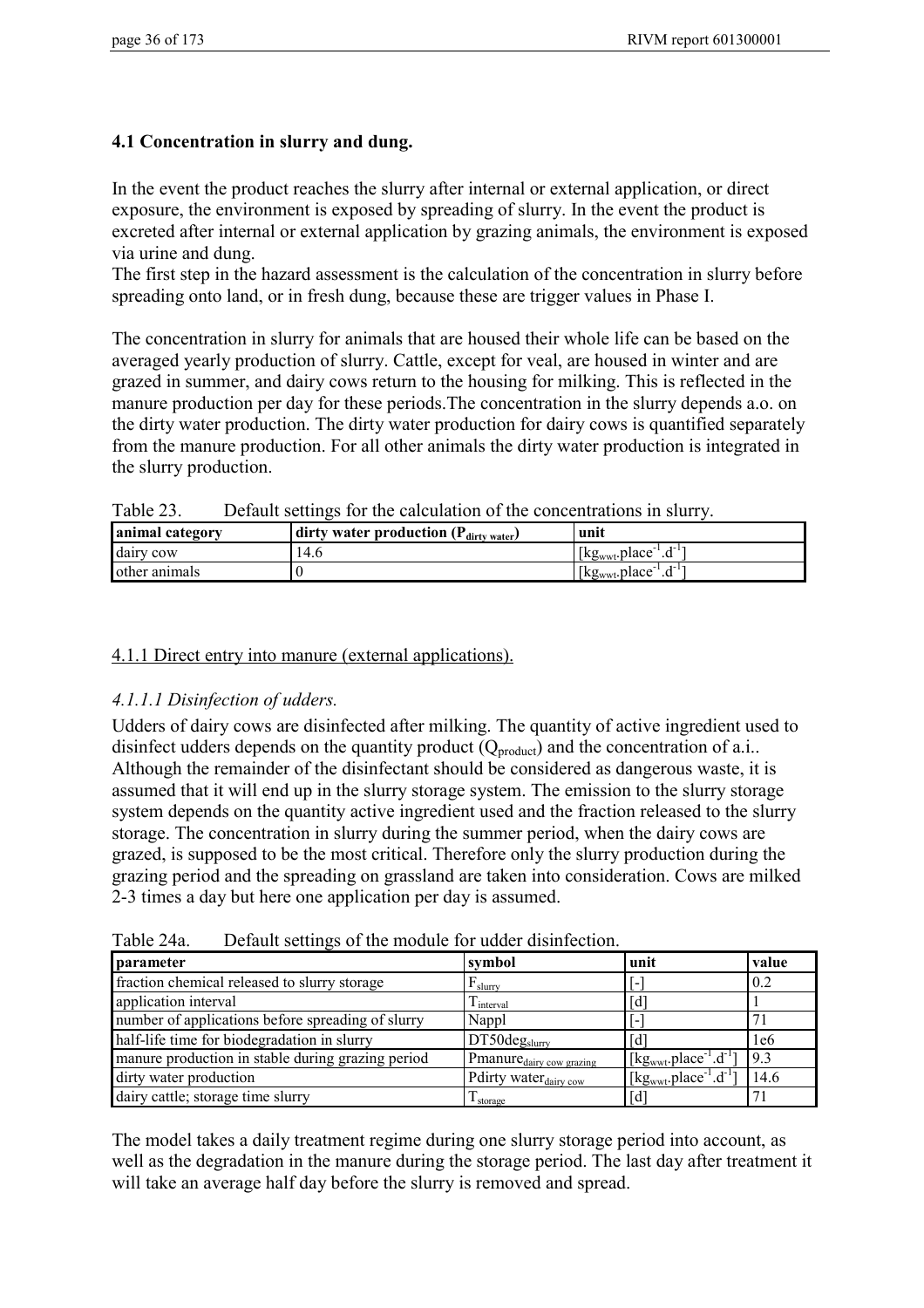## **4.1 Concentration in slurry and dung.**

In the event the product reaches the slurry after internal or external application, or direct exposure, the environment is exposed by spreading of slurry. In the event the product is excreted after internal or external application by grazing animals, the environment is exposed via urine and dung.

The first step in the hazard assessment is the calculation of the concentration in slurry before spreading onto land, or in fresh dung, because these are trigger values in Phase I.

The concentration in slurry for animals that are housed their whole life can be based on the averaged yearly production of slurry. Cattle, except for veal, are housed in winter and are grazed in summer, and dairy cows return to the housing for milking. This is reflected in the manure production per day for these periods.The concentration in the slurry depends a.o. on the dirty water production. The dirty water production for dairy cows is quantified separately from the manure production. For all other animals the dirty water production is integrated in the slurry production.

| <b>LAUIT</b> 25.<br>Detaun semings for the calculation of the concentrations in situ v. |                                                   |                                |  |
|-----------------------------------------------------------------------------------------|---------------------------------------------------|--------------------------------|--|
| animal category                                                                         | dirty water production $(P_{\text{dirty water}})$ | unit                           |  |
| dairy cow                                                                               | 14.6                                              | $[kg_{wwt}.place^{-1}.d^{-1}]$ |  |
| other animals                                                                           |                                                   | $[kg_{wwt}.place^{-1}.d^{-1}]$ |  |

Table 23. Default settings for the calculation of the concentrations in slurry.

#### 4.1.1 Direct entry into manure (external applications).

## *4.1.1.1 Disinfection of udders.*

Udders of dairy cows are disinfected after milking. The quantity of active ingredient used to disinfect udders depends on the quantity product  $(Q_{product})$  and the concentration of a.i.. Although the remainder of the disinfectant should be considered as dangerous waste, it is assumed that it will end up in the slurry storage system. The emission to the slurry storage system depends on the quantity active ingredient used and the fraction released to the slurry storage. The concentration in slurry during the summer period, when the dairy cows are grazed, is supposed to be the most critical. Therefore only the slurry production during the grazing period and the spreading on grassland are taken into consideration. Cows are milked 2-3 times a day but here one application per day is assumed.

| parameter                                         | symbol                               | unit                                                                  | value |
|---------------------------------------------------|--------------------------------------|-----------------------------------------------------------------------|-------|
| fraction chemical released to slurry storage      | $F_{\text{slurrv}}$                  |                                                                       | 0.2   |
| application interval                              | $\mathbf{I}$ interval                | d                                                                     |       |
| number of applications before spreading of slurry | Nappl                                |                                                                       |       |
| half-life time for biodegradation in slurry       | $DT50deg_{slurry}$                   | Гď                                                                    | 1e6   |
| manure production in stable during grazing period | Pmanure <sub>dairy</sub> cow grazing | $\left[\text{kg}_{\text{wwt}}\text{,place}^{-1}\text{.}d^{-1}\right]$ | 9.3   |
| dirty water production                            | Pdirty water <sub>dairy cow</sub>    | [ $kgwwt$ .place <sup>-1</sup> .d <sup>-1</sup> ]                     | 14.6  |
| dairy cattle; storage time slurry                 | $\mathbf{I}$ storage                 | [d]                                                                   |       |

Table 24a Default settings of the module for udder disinfection.

The model takes a daily treatment regime during one slurry storage period into account, as well as the degradation in the manure during the storage period. The last day after treatment it will take an average half day before the slurry is removed and spread.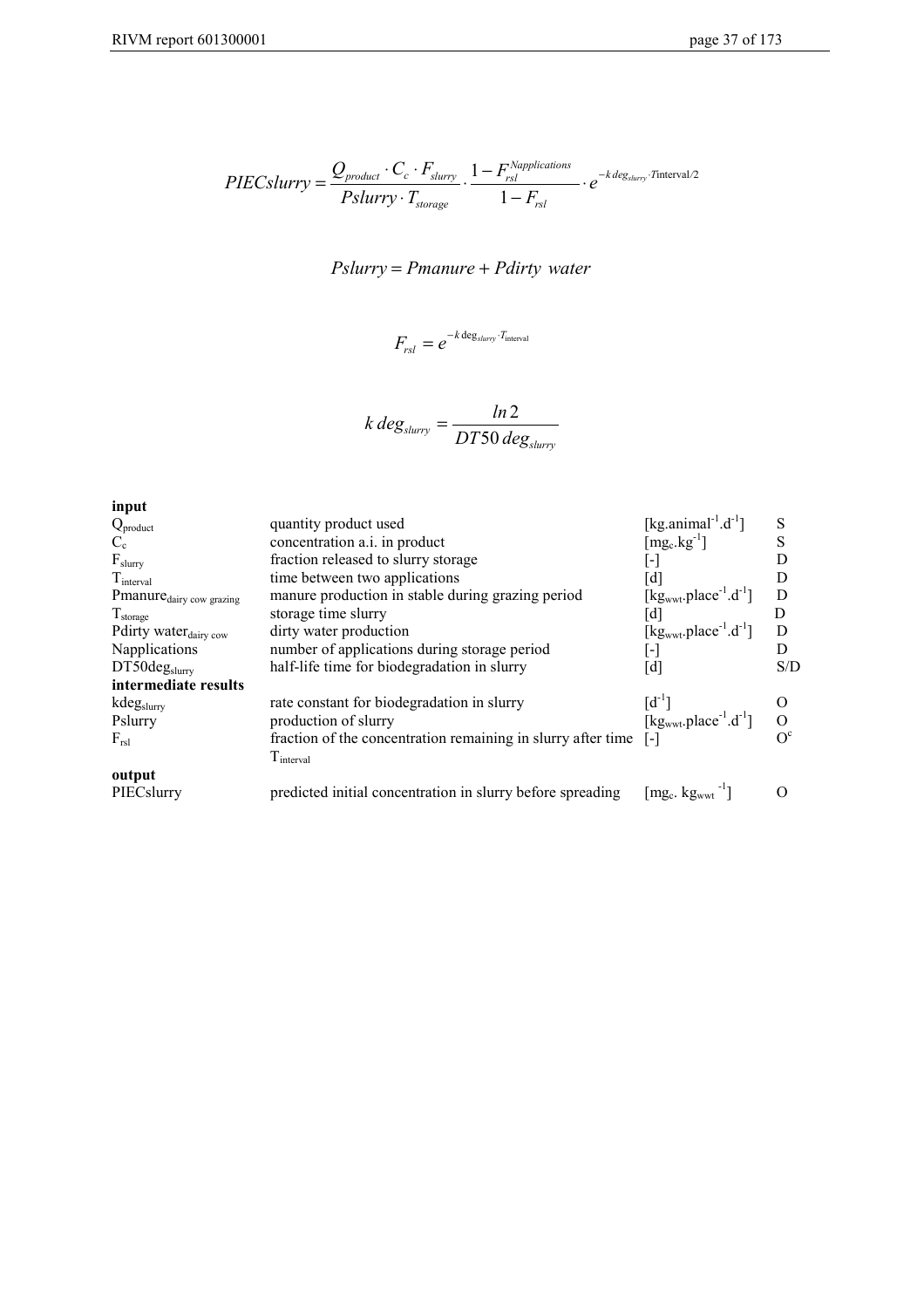$$
PIECslurry = \frac{Q_{product} \cdot C_c \cdot F_{slurry}}{Pslurry \cdot T_{storage}} \cdot \frac{1 - F_{rsl}^{Napplications}}{1 - F_{rsl}} \cdot e^{-k \text{ deg}_{slurv} \cdot Tinterval/2}
$$

# $Pslurry = Pmanure + Pdirty water$

$$
F_{rsl} = e^{-k \deg_{slurv} \cdot T_{\text{interval}}}
$$

$$
k \, deg_{slurv} = \frac{ln\,2}{DT50 \, deg_{slurv}}
$$

| input                                |                                                              |                                                                                  |              |
|--------------------------------------|--------------------------------------------------------------|----------------------------------------------------------------------------------|--------------|
| $Q_{product}$                        | quantity product used                                        | [kg.animal <sup>-1</sup> .d <sup>-1</sup> ]                                      | S            |
| $C_{c}$                              | concentration a.i. in product                                | $[mg_c.kg^{-1}]$                                                                 | S            |
| $F_{\text{slurv}}$                   | fraction released to slurry storage                          | [-]                                                                              | D            |
| $T_{\text{interval}}$                | time between two applications                                | [d]                                                                              | D            |
| Pmanure <sub>dairy</sub> cow grazing | manure production in stable during grazing period            | $[kgwwt.place-1.d-1]$                                                            | D            |
| $T_{\text{storage}}$                 | storage time slurry                                          |                                                                                  | D            |
| Pdirty water <sub>dairy cow</sub>    | dirty water production                                       | [d]<br>[kg <sub>wwt</sub> .place <sup>-1</sup> .d <sup>-1</sup> ]                | D            |
| Napplications                        | number of applications during storage period                 | [-]                                                                              | D            |
| DT50deg <sub>slurry</sub>            | half-life time for biodegradation in slurry                  | [d]                                                                              | S/D          |
| intermediate results                 |                                                              |                                                                                  |              |
| kdegslurry                           | rate constant for biodegradation in slurry                   | [d <sup>-1</sup> ]<br>[kg <sub>wwt</sub> .place <sup>-1</sup> .d <sup>-1</sup> ] | $\Omega$     |
| Pslurry                              | production of slurry                                         |                                                                                  | $\mathbf{O}$ |
| $F_{rsl}$                            | fraction of the concentration remaining in slurry after time | [-]                                                                              | $\Omega^c$   |
|                                      | T <sub>interval</sub>                                        |                                                                                  |              |
| output                               |                                                              |                                                                                  |              |
| PIECslurry                           | predicted initial concentration in slurry before spreading   | $\left[\text{mg}_\text{c}, \text{kg}_{\text{wwt}}\right]$                        |              |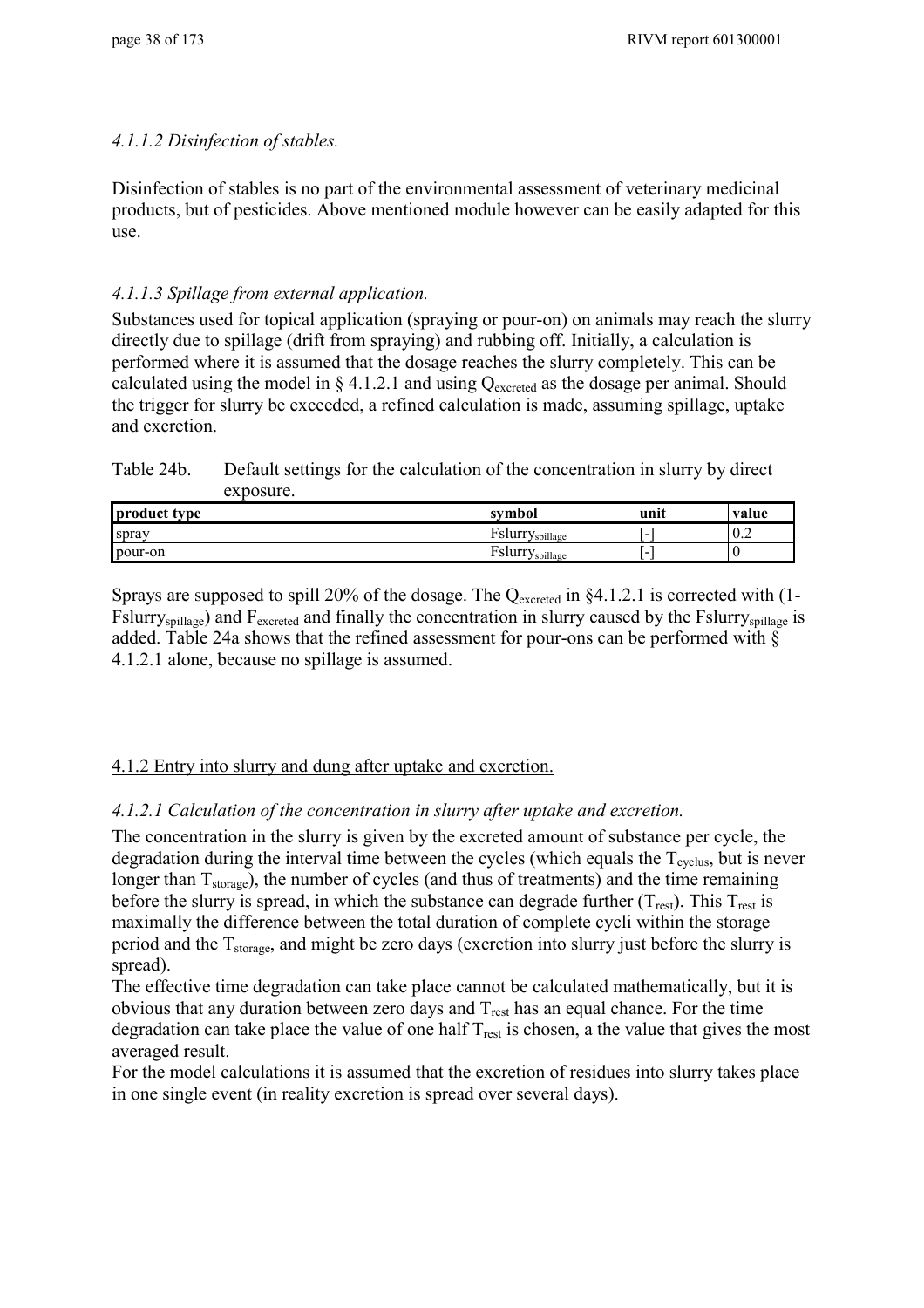## *4.1.1.2 Disinfection of stables.*

Disinfection of stables is no part of the environmental assessment of veterinary medicinal products, but of pesticides. Above mentioned module however can be easily adapted for this use.

# *4.1.1.3 Spillage from external application.*

Substances used for topical application (spraying or pour-on) on animals may reach the slurry directly due to spillage (drift from spraying) and rubbing off. Initially, a calculation is performed where it is assumed that the dosage reaches the slurry completely. This can be calculated using the model in  $\S 4.1.2.1$  and using  $Q_{\text{excreted}}$  as the dosage per animal. Should the trigger for slurry be exceeded, a refined calculation is made, assuming spillage, uptake and excretion.

Table 24b. Default settings for the calculation of the concentration in slurry by direct exposure.

| product type | symbol                                        | unit | value |
|--------------|-----------------------------------------------|------|-------|
| spray        | $\sim$<br>Fslurr <sup>-</sup><br>Yspillage    | -    | 10.4  |
| pour-on      | $\blacksquare$<br>ʻslurr<br><i>y</i> spillage |      | `     |

Sprays are supposed to spill 20% of the dosage. The  $Q_{\text{excreted}}$  in §4.1.2.1 is corrected with (1-Fslurry<sub>spillage</sub>) and F<sub>excreted</sub> and finally the concentration in slurry caused by the Fslurry<sub>spillage</sub> is added. Table 24a shows that the refined assessment for pour-ons can be performed with § 4.1.2.1 alone, because no spillage is assumed.

## 4.1.2 Entry into slurry and dung after uptake and excretion.

# *4.1.2.1 Calculation of the concentration in slurry after uptake and excretion.*

The concentration in the slurry is given by the excreted amount of substance per cycle, the degradation during the interval time between the cycles (which equals the  $T_{\text{cvelus}}$ , but is never longer than  $T_{\text{storage}}$ ), the number of cycles (and thus of treatments) and the time remaining before the slurry is spread, in which the substance can degrade further  $(T_{rest})$ . This  $T_{rest}$  is maximally the difference between the total duration of complete cycli within the storage period and the  $T_{\text{storage}}$ , and might be zero days (excretion into slurry just before the slurry is spread).

The effective time degradation can take place cannot be calculated mathematically, but it is obvious that any duration between zero days and  $T_{\text{rest}}$  has an equal chance. For the time degradation can take place the value of one half  $T_{rest}$  is chosen, a the value that gives the most averaged result.

For the model calculations it is assumed that the excretion of residues into slurry takes place in one single event (in reality excretion is spread over several days).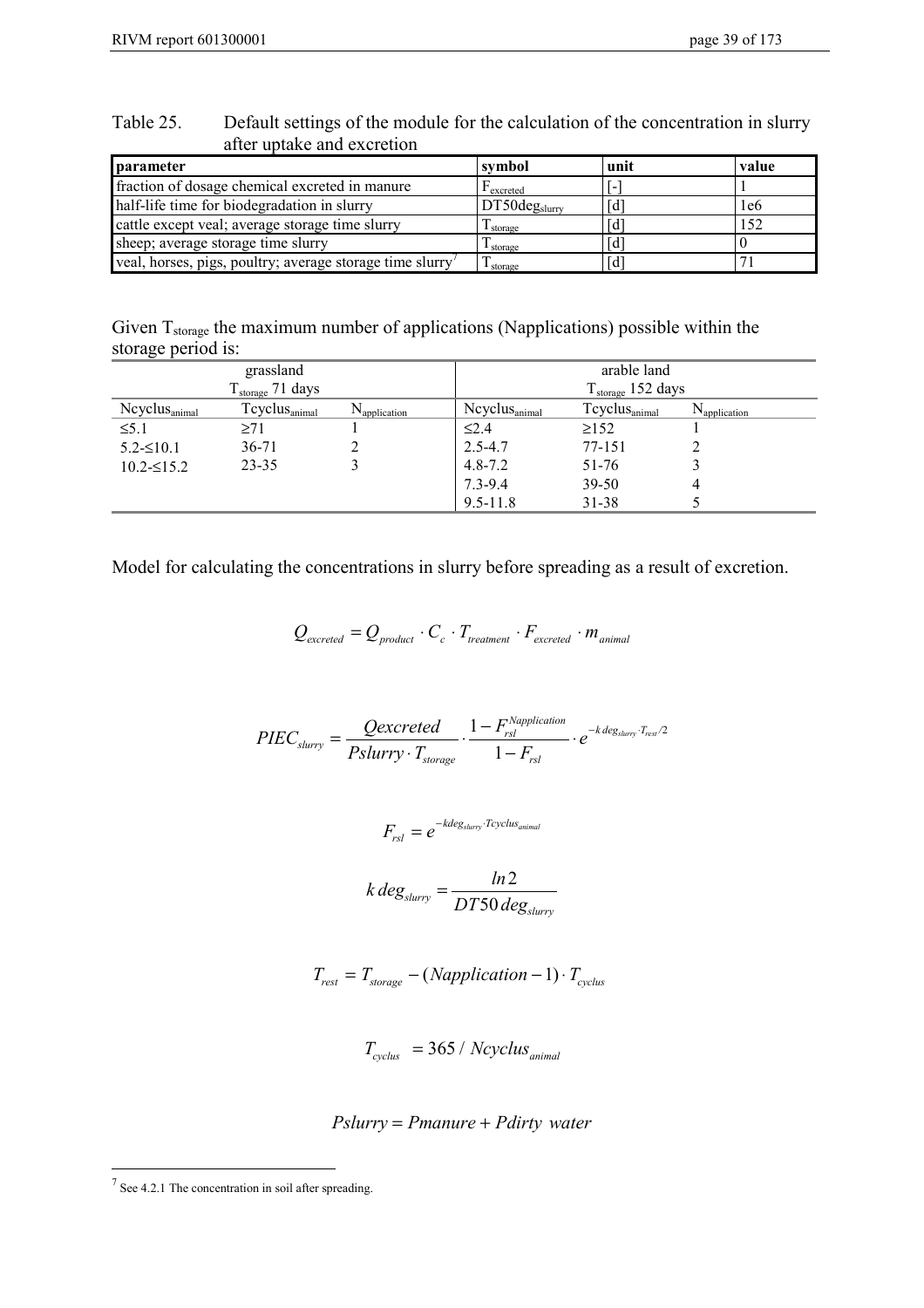veal, horses, pigs, poultry; average storage time slurry<sup>7</sup>

| after uptake and excretion                      |                           |      |       |
|-------------------------------------------------|---------------------------|------|-------|
| <b>I</b> parameter                              | symbol                    | unit | value |
| fraction of dosage chemical excreted in manure  | $\Gamma$ excreted         |      |       |
| half-life time for biodegradation in slurry     | DT50deg <sub>slurry</sub> | Гď   | 1e6   |
| cattle except veal; average storage time slurry | I storage                 | Id   | 52،   |

| Table 25. | Default settings of the module for the calculation of the concentration in slurry |
|-----------|-----------------------------------------------------------------------------------|
|           | after uptake and excretion                                                        |

Given T<sub>storage</sub> the maximum number of applications (Napplications) possible within the storage period is:

sheep; average storage time slurry  $\begin{array}{|c|c|c|c|c|c|c|c|c|} \hline \text{Slope} & \text{G} & \text{G} \\ \hline \text{veal, horses, pigs, poultry; average storage time slurry} & T_{\text{storage}} & \text{G} & \text{G} \\ \hline \end{array}$ 

| grassland                 |                               |                          | arable land                   |                               |                          |
|---------------------------|-------------------------------|--------------------------|-------------------------------|-------------------------------|--------------------------|
|                           | $T_{\text{storage}}$ 71 days  |                          | $T_{\text{storage}}$ 152 days |                               |                          |
| $Ncyclus_{\text{animal}}$ | $T$ cyclus $_{\text{animal}}$ | $N_{\text{application}}$ | $Ncyclus_{\text{animal}}$     | $T$ cyclus $_{\text{animal}}$ | $N_{\text{application}}$ |
| $\leq 5.1$                | $\geq$ 71                     |                          | $\leq 2.4$                    | $\geq$ 152                    |                          |
| $5.2 \leq 10.1$           | 36-71                         |                          | $2.5 - 4.7$                   | 77-151                        |                          |
| $10.2 \leq 15.2$          | 23-35                         |                          | $4.8 - 7.2$                   | 51-76                         |                          |
|                           |                               |                          | 7.3-9.4                       | 39-50                         | 4                        |
|                           |                               |                          | $9.5 - 11.8$                  | 31-38                         |                          |

Model for calculating the concentrations in slurry before spreading as a result of excretion.

$$
Q_{\text{excreted}} = Q_{\text{product}} \cdot C_c \cdot T_{\text{treatment}} \cdot F_{\text{excreted}} \cdot m_{\text{animal}}
$$

$$
PIEC_{slurv} = \frac{Qexcreted}{Pslurv \cdot T_{storage}} \cdot \frac{1 - F_{rsl}^{Napplication}}{1 - F_{rsl}} \cdot e^{-k \text{ deg}_{slurv} \cdot T_{resl}/2}
$$

$$
F_{rsl} = e^{-kdeg_{slurv} \cdot Tcyclus_{animal}}
$$

$$
k \, deg_{slurv} = \frac{ln2}{DT50 \, deg_{slurv}}
$$

$$
T_{rest} = T_{storage} - (Napplication - 1) \cdot T_{cycles}
$$

$$
T_{cycles} = 365 / Ncycles_{animal}
$$

*Pslurry* = *Pmanure* + *Pdirty water* 

 $\frac{1}{7}$  See 4.2.1 The concentration in soil after spreading.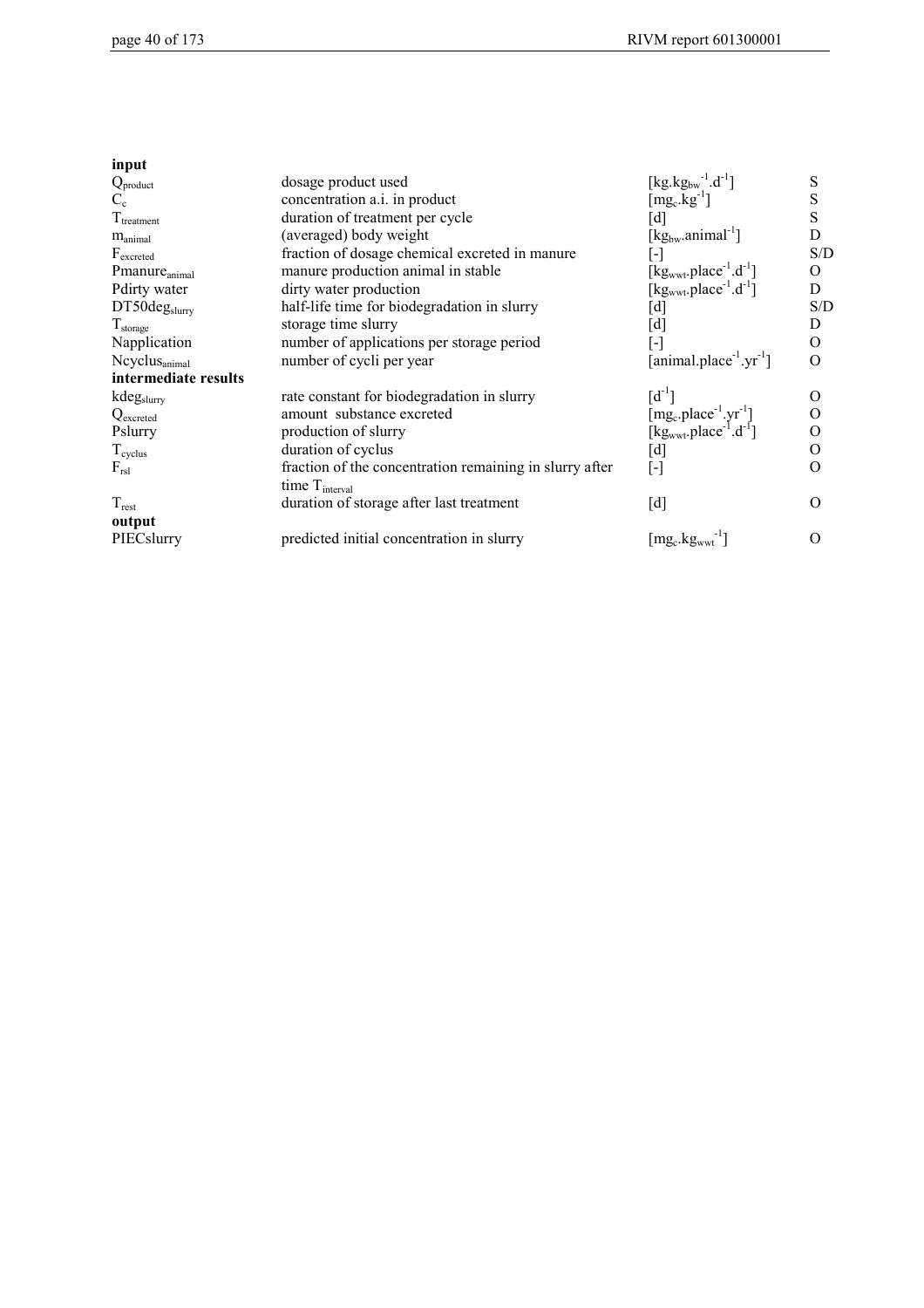| input                     |                                                         |                                                                                                                              |          |
|---------------------------|---------------------------------------------------------|------------------------------------------------------------------------------------------------------------------------------|----------|
| $Q_{product}$             | dosage product used                                     | $[kg.kg_{bw}^{-1}.d^{-1}]$                                                                                                   | S        |
| $C_{c}$                   | concentration a.i. in product                           | $\left[\text{mg}_c.\text{kg}^{-1}\right]$                                                                                    | S        |
| $T_{treatment}$           | duration of treatment per cycle                         | [d]                                                                                                                          | S        |
| $m_{\text{animal}}$       | (averaged) body weight                                  | $[kg_{bw}.animal^{-1}]$                                                                                                      | D        |
| $F_{\text{excreted}}$     | fraction of dosage chemical excreted in manure          | $[\cdot]$                                                                                                                    | S/D      |
| Pmanure <sub>animal</sub> | manure production animal in stable                      | $[kgwwt.place-1.d-1]$                                                                                                        | $\Omega$ |
| Pdirty water              | dirty water production                                  | $[kg_{wwt}.place^{-1}.d^{-1}]$                                                                                               | D        |
| DT50deg <sub>slurry</sub> | half-life time for biodegradation in slurry             | [d]                                                                                                                          | S/D      |
| $T_{\rm storage}$         | storage time slurry                                     | [d]                                                                                                                          | D        |
| Napplication              | number of applications per storage period               | $\lbrack \cdot \rbrack$                                                                                                      | 0        |
| Ncyclus <sub>animal</sub> | number of cycli per year                                | $[animal.placeholder-1.yr-1]$                                                                                                | $\Omega$ |
| intermediate results      |                                                         |                                                                                                                              |          |
| kdegslurry                | rate constant for biodegradation in slurry              | $[d^{-1}]$                                                                                                                   | $\Omega$ |
| Q <sub>excreted</sub>     | amount substance excreted                               |                                                                                                                              | O        |
| Pslurry                   | production of slurry                                    | $[\mathrm{mg_c}. \mathrm{place}^{-1}.\mathrm{yr}^{-1}] \\ [\mathrm{kg}_{\mathrm{wwt}}. \mathrm{place}^{-1}.\mathrm{d}^{-1}]$ | 0        |
| $T_{\text{cycles}}$       | duration of cyclus                                      | [d]                                                                                                                          | O        |
| $F_{rsl}$                 | fraction of the concentration remaining in slurry after | $[\cdot]$                                                                                                                    | $\Omega$ |
|                           | time $T_{\text{interval}}$                              |                                                                                                                              |          |
| $T_{\text{rest}}$         | duration of storage after last treatment                | [d]                                                                                                                          | $\Omega$ |
| output                    |                                                         |                                                                                                                              |          |
| PIECslurry                | predicted initial concentration in slurry               | $\left[\text{mg}_\text{c},\text{kg}_{\text{wwt}}\right]$                                                                     | $\Omega$ |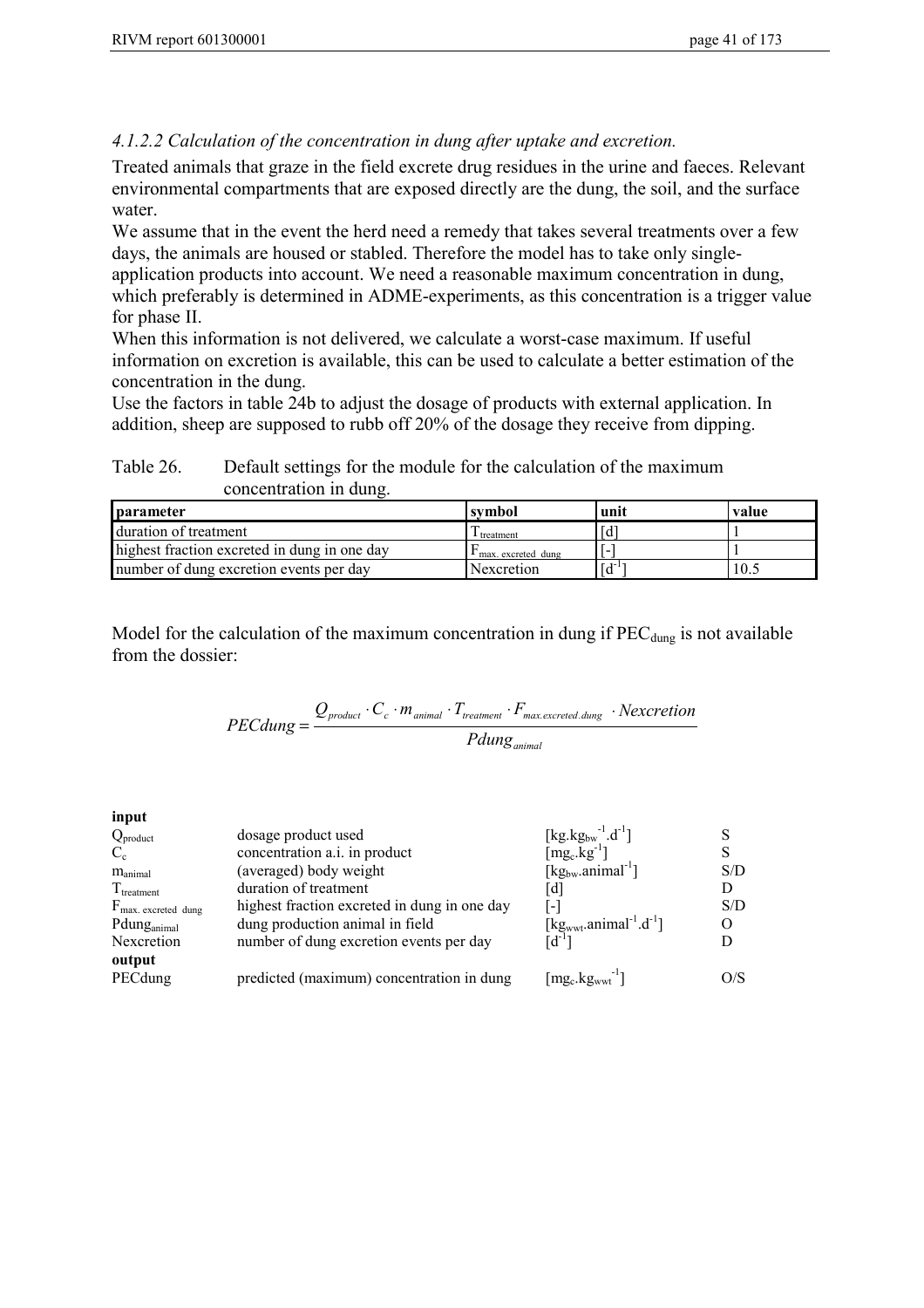## *4.1.2.2 Calculation of the concentration in dung after uptake and excretion.*

Treated animals that graze in the field excrete drug residues in the urine and faeces. Relevant environmental compartments that are exposed directly are the dung, the soil, and the surface water.

We assume that in the event the herd need a remedy that takes several treatments over a few days, the animals are housed or stabled. Therefore the model has to take only singleapplication products into account. We need a reasonable maximum concentration in dung, which preferably is determined in ADME-experiments, as this concentration is a trigger value for phase II.

When this information is not delivered, we calculate a worst-case maximum. If useful information on excretion is available, this can be used to calculate a better estimation of the concentration in the dung.

Use the factors in table 24b to adjust the dosage of products with external application. In addition, sheep are supposed to rubb off 20% of the dosage they receive from dipping.

Table 26. Default settings for the module for the calculation of the maximum concentration in dung.

| <b>parameter</b>                             | svmbol               | unit | value |
|----------------------------------------------|----------------------|------|-------|
| duration of treatment                        | I treatment          | Гď   |       |
| highest fraction excreted in dung in one day | I max. excreted dung |      |       |
| number of dung excretion events per day      | Nexcretion           | [d   | 10.5  |

Model for the calculation of the maximum concentration in dung if  $PEC_{dung}$  is not available from the dossier:

$$
PEC dung = \frac{Q_{product} \cdot C_c \cdot m_{animal} \cdot T_{treatment} \cdot F_{max.excreted. dung}}{Pdung_{animal}}
$$

**input**

| $Q_{product}$                  | dosage product used                          | [kg.kg <sub>bw</sub> <sup>-1</sup> .d <sup>-1</sup> ]   |     |
|--------------------------------|----------------------------------------------|---------------------------------------------------------|-----|
| $C_{c}$                        | concentration a.i. in product                | $[mg_c.kg^{-1}]$                                        |     |
| $m_{\text{animal}}$            | (averaged) body weight                       | $\lceil \text{kg}_{\text{bw}}\text{.animal}^{-1}\rceil$ | S/D |
| $T_{treatment}$                | duration of treatment                        | [d]                                                     | D   |
| $F_{\text{max.}$ excreted dung | highest fraction excreted in dung in one day |                                                         | S/D |
| Pdung <sub>animal</sub>        | dung production animal in field              | [ $kgwwt.\text{animal}^{-1}.\text{d}^{-1}$ ]            | O   |
| Nexcretion                     | number of dung excretion events per day      | $\mathsf{Id}^{\text{-}1} \mathsf{I}$                    |     |
| output                         |                                              |                                                         |     |
| PECdung                        | predicted (maximum) concentration in dung    | $\left[\text{mg}_c.\text{kg}_{wwt}\right]$              | O/S |
|                                |                                              |                                                         |     |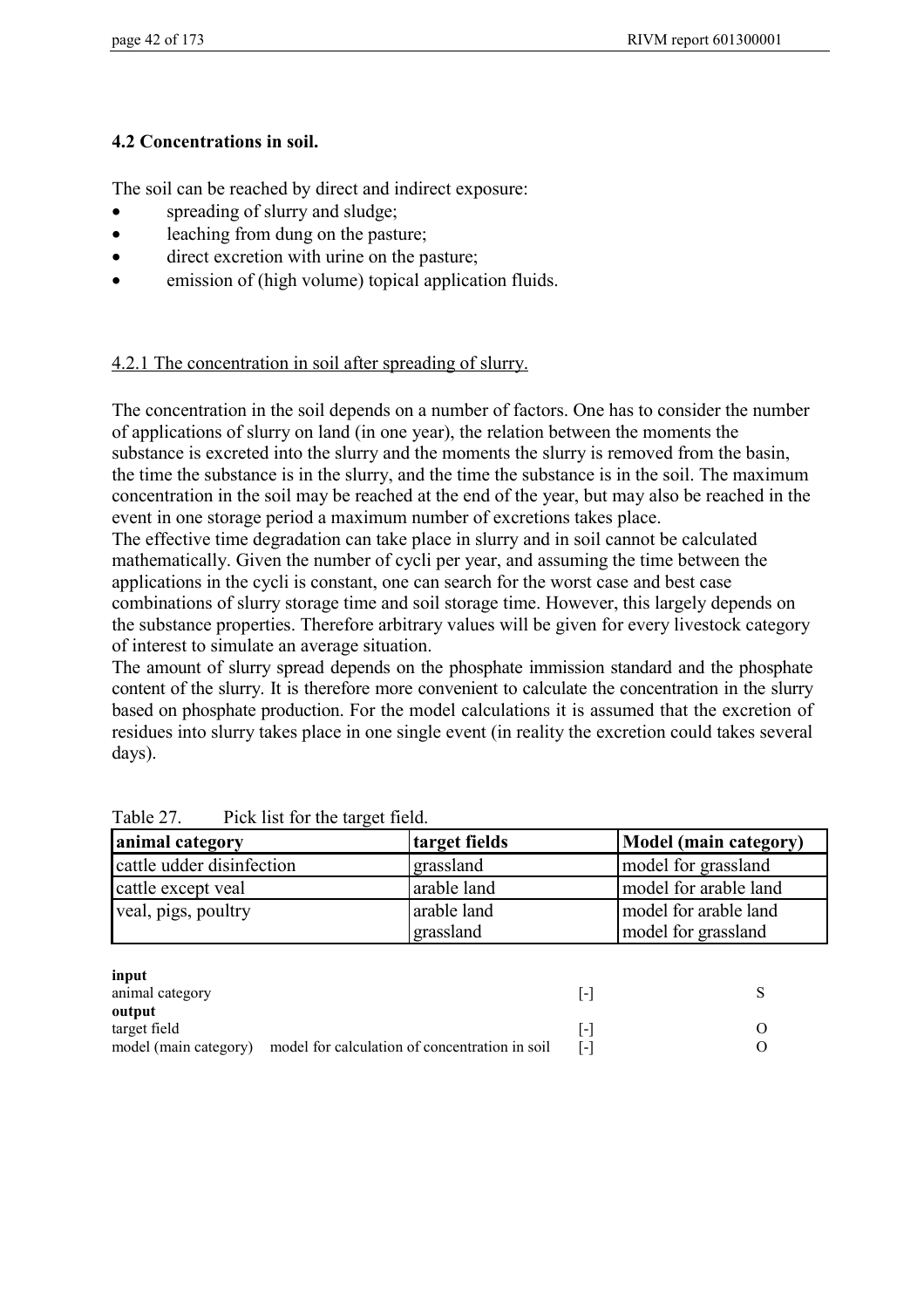# **4.2 Concentrations in soil.**

The soil can be reached by direct and indirect exposure:

- spreading of slurry and sludge;
- leaching from dung on the pasture:
- direct excretion with urine on the pasture;
- emission of (high volume) topical application fluids.

# 4.2.1 The concentration in soil after spreading of slurry.

The concentration in the soil depends on a number of factors. One has to consider the number of applications of slurry on land (in one year), the relation between the moments the substance is excreted into the slurry and the moments the slurry is removed from the basin, the time the substance is in the slurry, and the time the substance is in the soil. The maximum concentration in the soil may be reached at the end of the year, but may also be reached in the event in one storage period a maximum number of excretions takes place.

The effective time degradation can take place in slurry and in soil cannot be calculated mathematically. Given the number of cycli per year, and assuming the time between the applications in the cycli is constant, one can search for the worst case and best case combinations of slurry storage time and soil storage time. However, this largely depends on the substance properties. Therefore arbitrary values will be given for every livestock category of interest to simulate an average situation.

The amount of slurry spread depends on the phosphate immission standard and the phosphate content of the slurry. It is therefore more convenient to calculate the concentration in the slurry based on phosphate production. For the model calculations it is assumed that the excretion of residues into slurry takes place in one single event (in reality the excretion could takes several days).

| animal category           | target fields | Model (main category) |
|---------------------------|---------------|-----------------------|
| cattle udder disinfection | grassland     | model for grassland   |
| cattle except yeal        | arable land   | model for arable land |
| veal, pigs, poultry       | arable land   | model for arable land |
|                           | grassland     | model for grassland   |

| Table 27. |  |  | Pick list for the target field. |  |
|-----------|--|--|---------------------------------|--|
|           |  |  |                                 |  |

| input           |                                                                      |                   |  |
|-----------------|----------------------------------------------------------------------|-------------------|--|
| animal category |                                                                      |                   |  |
| output          |                                                                      |                   |  |
| target field    |                                                                      |                   |  |
|                 | model (main category) model for calculation of concentration in soil | $\vert$ – $\vert$ |  |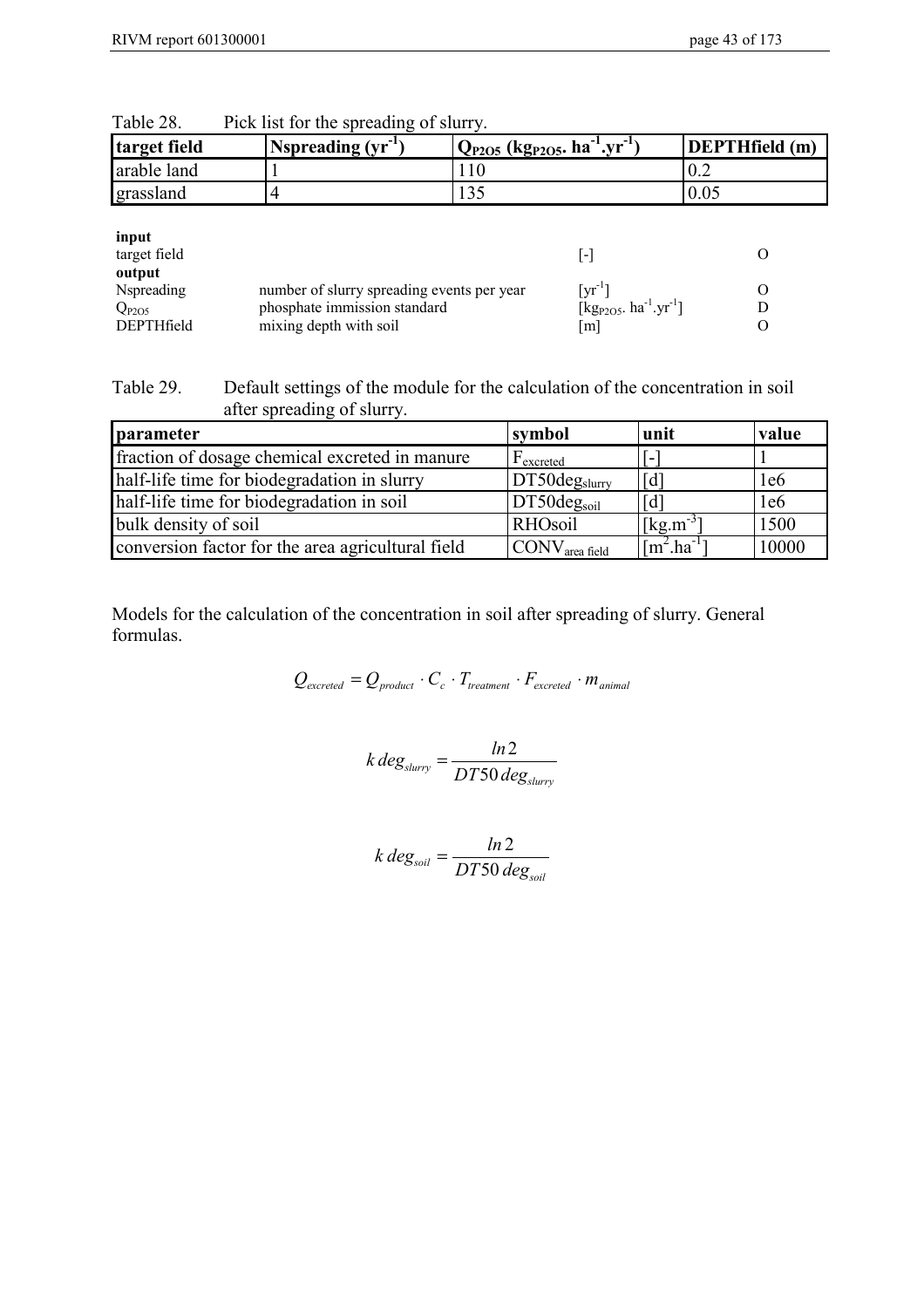| target field                                                              | Nspreading $(yr^{-1})$                                                                               | $Q_{P2O5}$ (kg <sub>P2O5</sub> , ha <sup>-1</sup> .yr <sup>-1</sup> ) |                                                                                                      | <b>DEPTHfield</b> (m) |
|---------------------------------------------------------------------------|------------------------------------------------------------------------------------------------------|-----------------------------------------------------------------------|------------------------------------------------------------------------------------------------------|-----------------------|
| arable land                                                               |                                                                                                      | 110                                                                   |                                                                                                      | 0.2                   |
| grassland                                                                 | 4                                                                                                    | 135                                                                   |                                                                                                      | 0.05                  |
| input<br>target field<br>output<br>Nspreading<br>$Q_{P2O5}$<br>DEPTHfield | number of slurry spreading events per year<br>phosphate immission standard<br>mixing depth with soil |                                                                       | [-]<br>$[\text{yr}^{-1}]$<br>$[kg_{P2O5}.$ ha <sup>-1</sup> .yr <sup>-1</sup> ]<br>$\lceil m \rceil$ | O<br>D<br>$\Omega$    |

| Table 28. |  | Pick list for the spreading of slurry. |
|-----------|--|----------------------------------------|
|-----------|--|----------------------------------------|

Table 29. Default settings of the module for the calculation of the concentration in soil after spreading of slurry.

| parameter                                         | symbol                     | unit                              | value |
|---------------------------------------------------|----------------------------|-----------------------------------|-------|
| fraction of dosage chemical excreted in manure    | F <sub>excreted</sub>      | L.                                |       |
| half-life time for biodegradation in slurry       | DT50deg <sub>slurv</sub>   | $\lceil d \rceil$                 | 1e6   |
| half-life time for biodegradation in soil         | $DT50$ deg <sub>soil</sub> | $\lceil d \rceil$                 | 1e6   |
| bulk density of soil                              | <b>RHOsoil</b>             | $[kg.m^{-3}]$                     | 1500  |
| conversion factor for the area agricultural field | $\rm{ICONV_{area\,field}}$ | $\lceil m^2 \cdot ha^{-1} \rceil$ | 10000 |

Models for the calculation of the concentration in soil after spreading of slurry. General formulas.

$$
Q_{\text{excreted}} = Q_{\text{product}} \cdot C_c \cdot T_{\text{treatment}} \cdot F_{\text{excreted}} \cdot m_{\text{animal}}
$$

$$
k \, deg_{slurv} = \frac{ln2}{DT50 \, deg_{slurv}}
$$

$$
k \, deg_{\text{solid}} = \frac{\ln 2}{DT50 \, deg_{\text{solid}}}
$$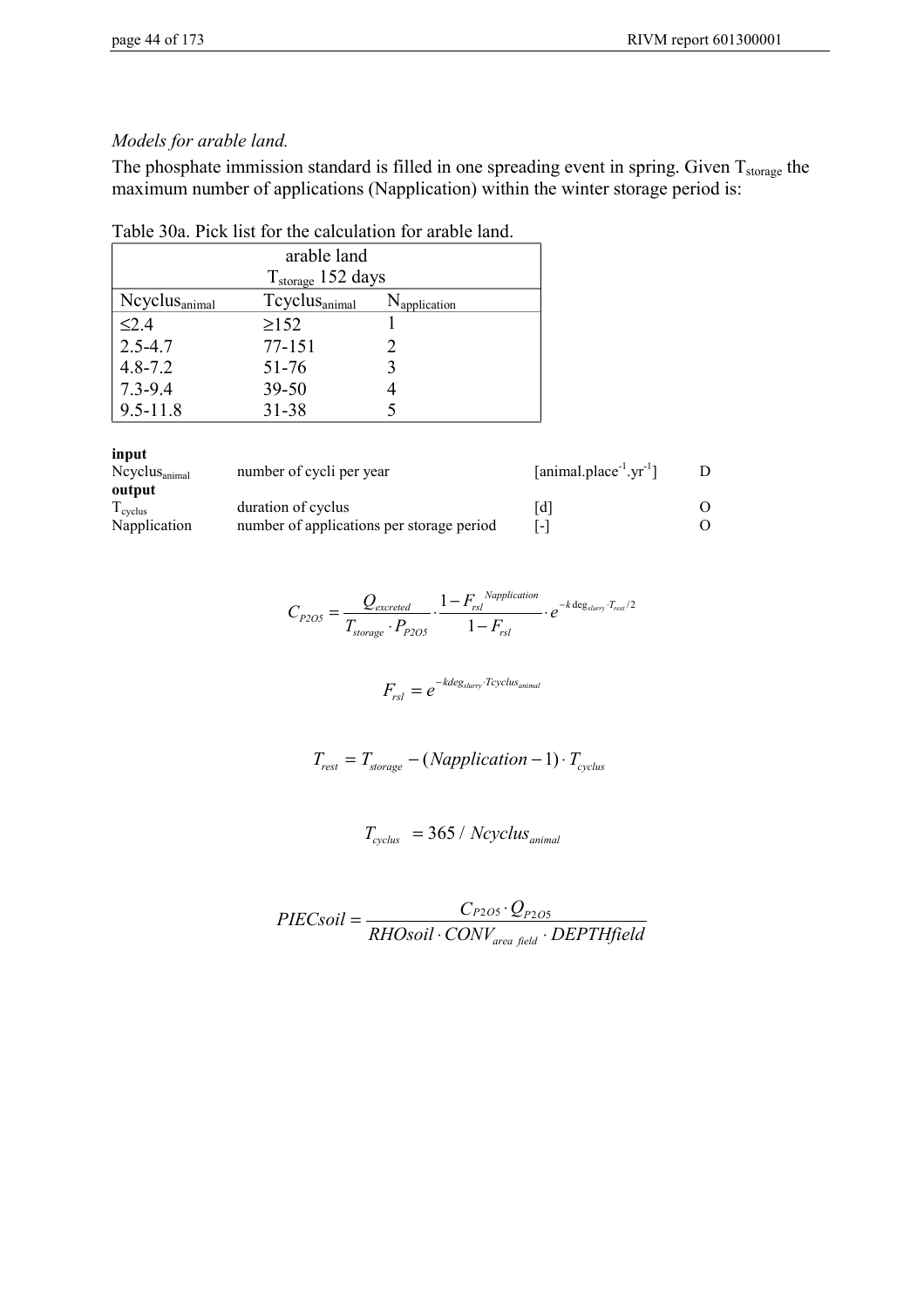## *Models for arable land.*

The phosphate immission standard is filled in one spreading event in spring. Given  $T_{\text{storage}}$  the maximum number of applications (Napplication) within the winter storage period is:

|  |  |  |  |  |  | Table 30a. Pick list for the calculation for arable land. |
|--|--|--|--|--|--|-----------------------------------------------------------|
|--|--|--|--|--|--|-----------------------------------------------------------|

| arable land               |                               |                          |  |  |
|---------------------------|-------------------------------|--------------------------|--|--|
|                           | $T_{\text{storage}}$ 152 days |                          |  |  |
| Neyclus <sub>animal</sub> | Tcyclusanimal                 | N <sub>application</sub> |  |  |
| $\leq$ 2.4                | $\geq$ 152                    |                          |  |  |
| $2.5 - 4.7$               | 77-151                        |                          |  |  |
| $4.8 - 7.2$               | 51-76                         |                          |  |  |
| $7.3 - 9.4$               | $39 - 50$                     |                          |  |  |
| $9.5 - 11.8$              | 31-38                         |                          |  |  |

| input                     |                                           |                               |  |
|---------------------------|-------------------------------------------|-------------------------------|--|
| $Ncyclus_{\text{animal}}$ | number of cycli per year                  | $[animal.placeholder-1.yr-1]$ |  |
| output                    |                                           |                               |  |
| $T_{\text{cycles}}$       | duration of cyclus                        | ld I                          |  |
| Napplication              | number of applications per storage period | $\overline{\phantom{a}}$      |  |

$$
C_{P2O5} = \frac{Q_{excreted}}{T_{storage} \cdot P_{P2O5}} \cdot \frac{1 - F_{rsl}^{Napplication}}{1 - F_{rsl}} \cdot e^{-k \deg_{sluvry} \cdot T_{resl}/2}
$$

$$
F_{rsl} = e^{-kdeg_{slurv} \cdot Tcyclus_{animal}}
$$

$$
T_{rest} = T_{storage} - (Napplication - 1) \cdot T_{cycles}
$$

$$
T_{cycles} = 365 / Ncycles_{animal}
$$

$$
PIEC soil = \frac{C_{P2O5} \cdot Q_{P2O5}}{RHOsoil \cdot CONV_{area field} \cdot DEPTHfield}
$$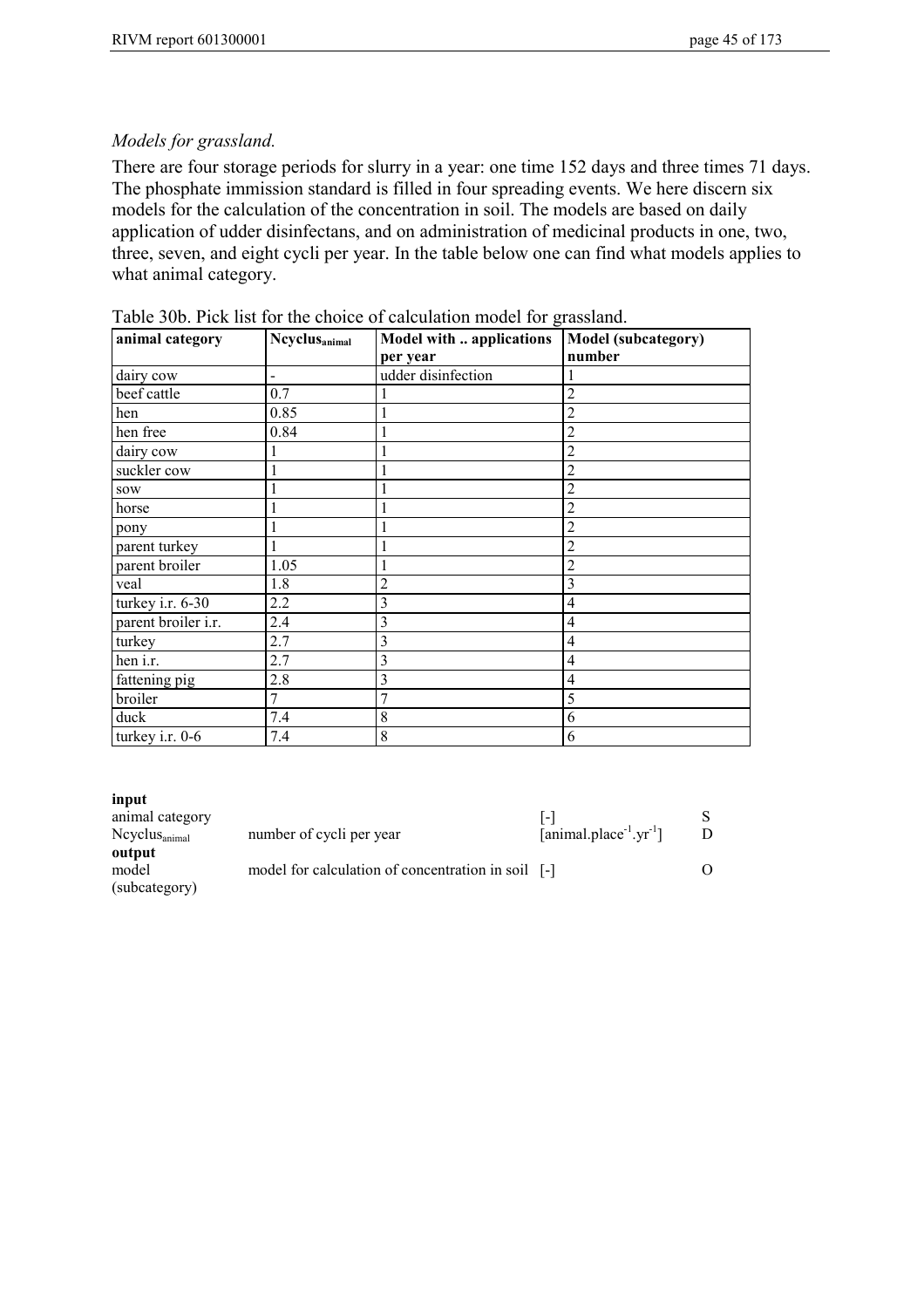## *Models for grassland.*

There are four storage periods for slurry in a year: one time 152 days and three times 71 days. The phosphate immission standard is filled in four spreading events. We here discern six models for the calculation of the concentration in soil. The models are based on daily application of udder disinfectans, and on administration of medicinal products in one, two, three, seven, and eight cycli per year. In the table below one can find what models applies to what animal category.

| animal category     | <b>Ncyclus</b> <sub>animal</sub> | Model with  applications | <b>Model (subcategory)</b> |
|---------------------|----------------------------------|--------------------------|----------------------------|
|                     |                                  | per year                 | number                     |
| dairy cow           |                                  | udder disinfection       |                            |
| beef cattle         | 0.7                              |                          | 2                          |
| hen                 | 0.85                             |                          | $\overline{2}$             |
| hen free            | 0.84                             |                          | 2                          |
| dairy cow           |                                  |                          | $\overline{2}$             |
| suckler cow         |                                  |                          | $\overline{2}$             |
| sow                 |                                  |                          | 2                          |
| horse               |                                  |                          | $\overline{c}$             |
| pony                |                                  |                          | $\overline{c}$             |
| parent turkey       |                                  |                          | $\overline{2}$             |
| parent broiler      | 1.05                             |                          | $\overline{c}$             |
| veal                | 1.8                              | $\overline{c}$           | 3                          |
| turkey i.r. 6-30    | 2.2                              | 3                        | 4                          |
| parent broiler i.r. | 2.4                              | 3                        | 4                          |
| turkey              | 2.7                              | 3                        | 4                          |
| hen i.r.            | 2.7                              | 3                        | 4                          |
| fattening pig       | 2.8                              | 3                        | 4                          |
| broiler             | 7                                | 7                        | 5                          |
| duck                | 7.4                              | 8                        | 6                          |
| turkey i.r. 0-6     | 7.4                              | 8                        | 6                          |

Table 30b. Pick list for the choice of calculation model for grassland.

#### **input**

| animal category           |                                                    |                               |  |
|---------------------------|----------------------------------------------------|-------------------------------|--|
| $Ncyclus_{\text{animal}}$ | number of cycli per year                           | $[animal.placeholder-1.vr-1]$ |  |
| output                    |                                                    |                               |  |
| model                     | model for calculation of concentration in soil [-] |                               |  |
| (subcategory)             |                                                    |                               |  |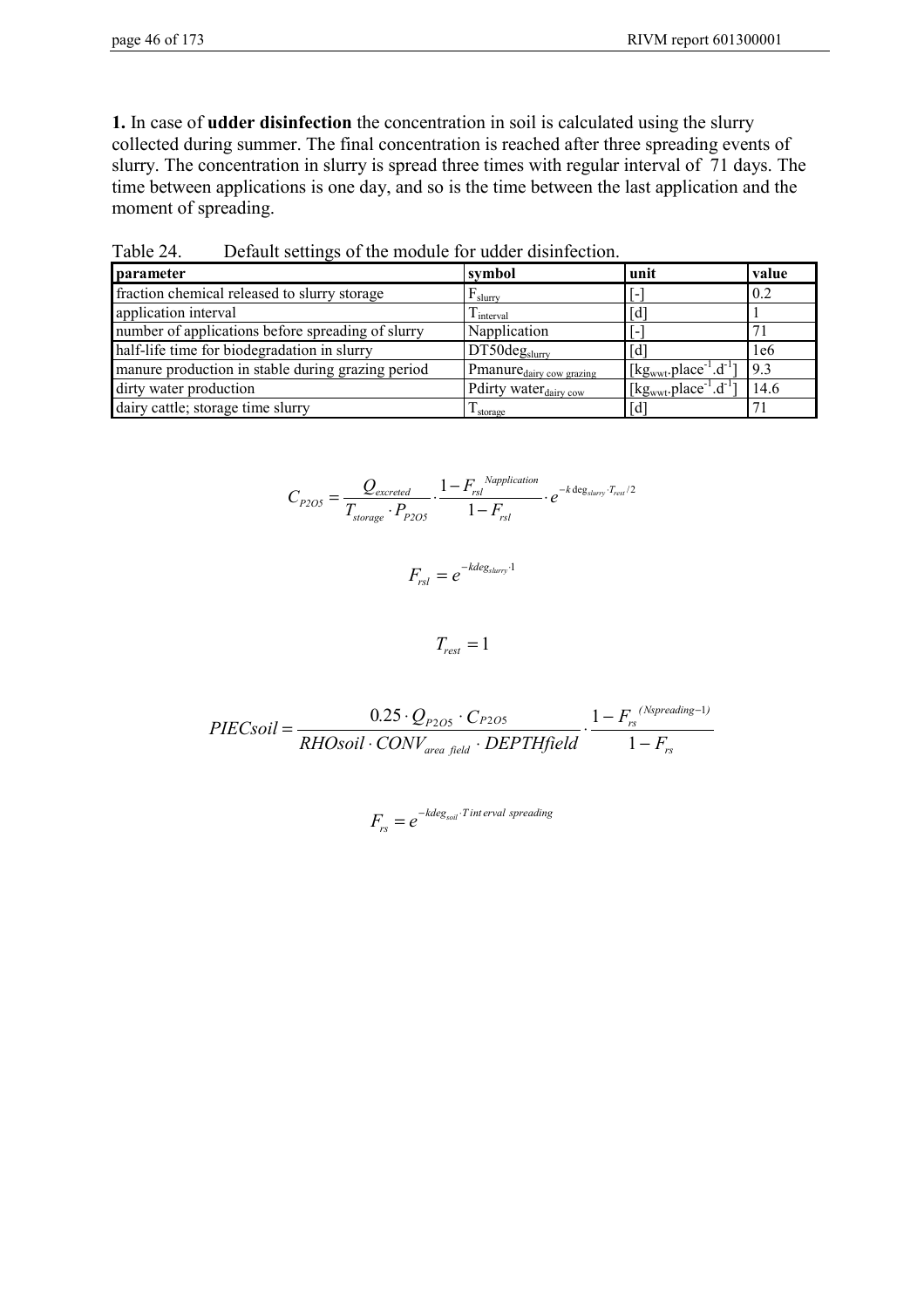**1.** In case of **udder disinfection** the concentration in soil is calculated using the slurry collected during summer. The final concentration is reached after three spreading events of slurry. The concentration in slurry is spread three times with regular interval of 71 days. The time between applications is one day, and so is the time between the last application and the moment of spreading.

| parameter                                         | symbol                               | unit                                                                      | value |
|---------------------------------------------------|--------------------------------------|---------------------------------------------------------------------------|-------|
| fraction chemical released to slurry storage      | $F_{\text{slurv}}$                   |                                                                           | 0.2   |
| application interval                              | $1$ interval                         | $\lceil d \rceil$                                                         |       |
| number of applications before spreading of slurry | Napplication                         | $\overline{\phantom{0}}$                                                  |       |
| half-life time for biodegradation in slurry       | DT50deg <sub>slurv</sub>             | Гď                                                                        | 1e6   |
| manure production in stable during grazing period | Pmanure <sub>dairy</sub> cow grazing | [ $kgwwt$ .place <sup>-1</sup> .d <sup>-1</sup> ]                         | 9.3   |
| dirty water production                            | Pdirty water <sub>dairy cow</sub>    | $\left[\text{kg}_{\text{wwt}}\text{,place}^{-1}\cdot\text{d}^{-1}\right]$ | 14.6  |
| dairy cattle; storage time slurry                 | l storage                            | $\lceil d \rceil$                                                         |       |

Table 24. Default settings of the module for udder disinfection.

$$
C_{P2O5} = \frac{Q_{excreted}}{T_{storage} \cdot P_{P2O5}} \cdot \frac{1 - F_{rsl}^{Napplication}}{1 - F_{rsl}} \cdot e^{-k \deg_{slurry} \cdot T_{rest}/2}
$$

$$
F_{\rm rsl}=e^{-kdeg_{\rm slurv}\cdot 1}
$$

 $T_{rest} = 1$ 

$$
PIEC soil = \frac{0.25 \cdot Q_{P2O5} \cdot C_{P2O5}}{RHOsoil \cdot CONV_{area field} \cdot DEPTHfield} \cdot \frac{1 - F_{rs}^{(Nspreading-1)}}{1 - F_{rs}}
$$

$$
F_{rs} = e^{-k \text{deg}_{s \text{oil}} \cdot T \text{ int } \text{erval } \text{ spreading}}
$$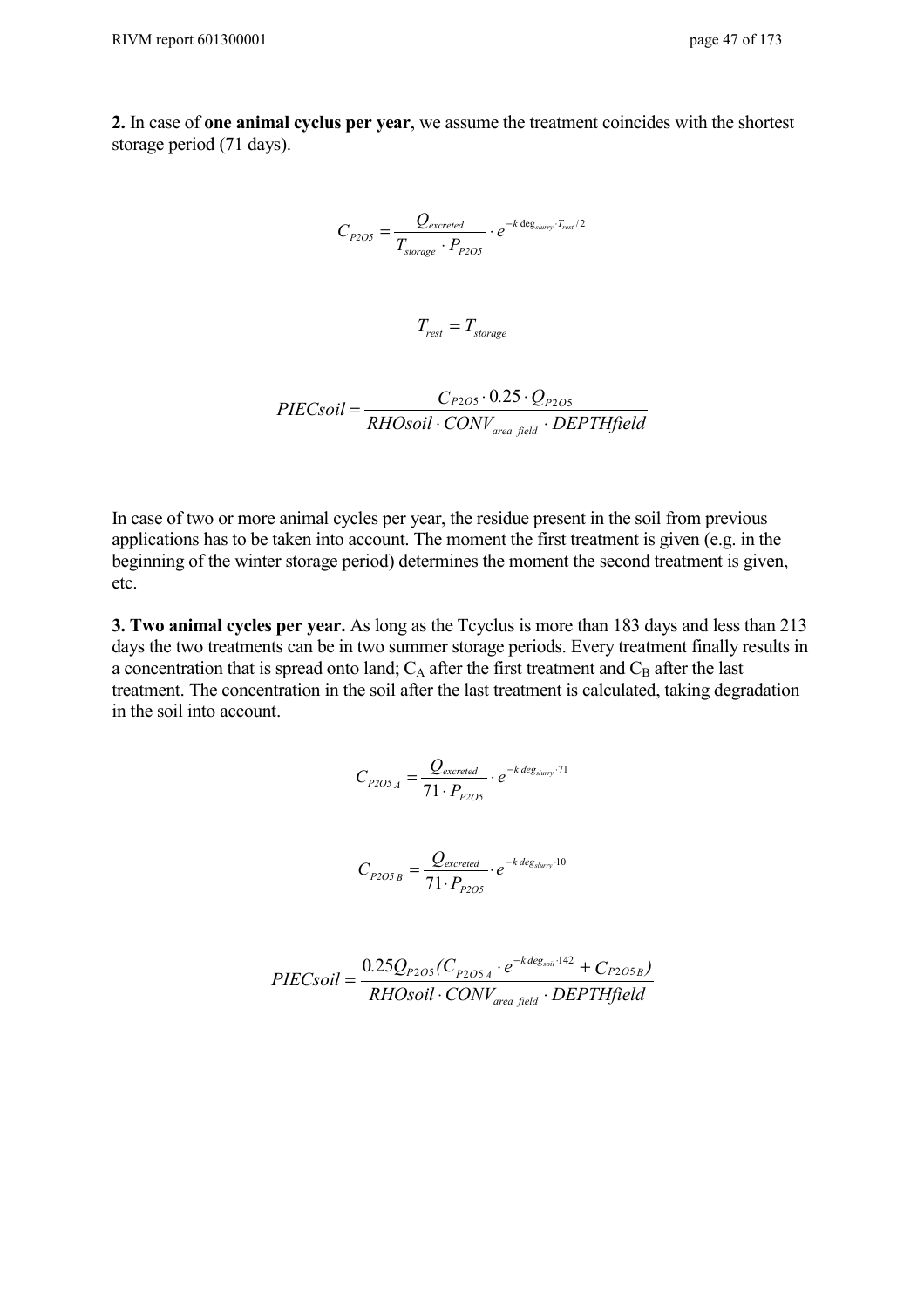**2.** In case of **one animal cyclus per year**, we assume the treatment coincides with the shortest storage period (71 days).

$$
C_{P2OS} = \frac{Q_{excreted}}{T_{storage} \cdot P_{P2OS}} \cdot e^{-k \deg_{slurry} \cdot T_{rest}/2}
$$

 $T_{rest} = T_{storage}$ 

$$
PIEC soil = \frac{C_{P2OS} \cdot 0.25 \cdot Q_{P2OS}}{RHO soil \cdot CONV_{area field} \cdot DEPTHfield}
$$

In case of two or more animal cycles per year, the residue present in the soil from previous applications has to be taken into account. The moment the first treatment is given (e.g. in the beginning of the winter storage period) determines the moment the second treatment is given, etc.

**3. Two animal cycles per year.** As long as the Tcyclus is more than 183 days and less than 213 days the two treatments can be in two summer storage periods. Every treatment finally results in a concentration that is spread onto land;  $C_A$  after the first treatment and  $C_B$  after the last treatment. The concentration in the soil after the last treatment is calculated, taking degradation in the soil into account.

$$
C_{P2OS_A} = \frac{Q_{excreted}}{71 \cdot P_{P2OS}} \cdot e^{-k \text{ deg}_{sluary} \cdot 71}
$$

$$
C_{P2OSB} = \frac{Q_{excreted}}{71 \cdot P_{P2OS}} \cdot e^{-k \text{ deg}_{slurv} \cdot 10}
$$

$$
PIEC soil = \frac{0.25Q_{P2O5}(C_{P2O5A} \cdot e^{-k \text{ deg}_{soli} \cdot 142} + C_{P2O5B})}{RHOsoil \cdot CONV_{area field} \cdot DEPTHfield}
$$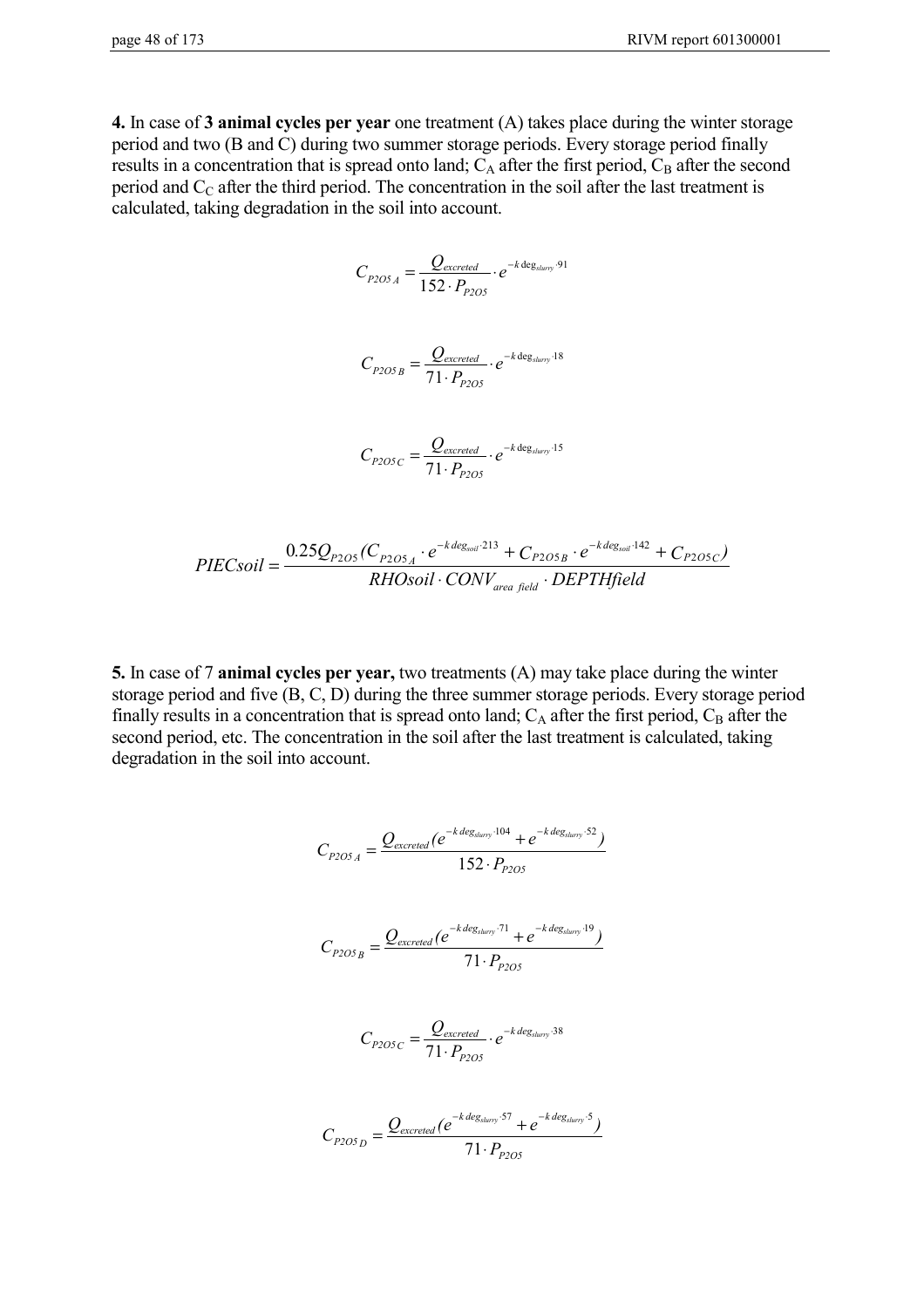**4.** In case of **3 animal cycles per year** one treatment (A) takes place during the winter storage period and two (B and C) during two summer storage periods. Every storage period finally results in a concentration that is spread onto land;  $C_A$  after the first period,  $C_B$  after the second period and  $C_{\text{C}}$  after the third period. The concentration in the soil after the last treatment is calculated, taking degradation in the soil into account.

$$
C_{P2OS_A} = \frac{Q_{excreted}}{152 \cdot P_{P2OS}} \cdot e^{-k \deg_{slurv} \cdot 91}
$$

$$
C_{P2OSB} = \frac{Q_{excreted}}{71 \cdot P_{P2OS}} \cdot e^{-k \deg_{slurr}}^{18}
$$

$$
C_{\text{P2OSC}} = \frac{Q_{\text{excreted}}}{71 \cdot P_{\text{P2OS}}} \cdot e^{-k \deg_{\text{sluvry}} \cdot 15}
$$

$$
PIEC soil = \frac{0.25Q_{P2OS}(C_{P2OS_A} \cdot e^{-k \text{ deg}_{soli} \cdot 213} + C_{P2OS_B} \cdot e^{-k \text{ deg}_{soli} \cdot 142} + C_{P2OS_C})}{RHScoil \cdot CONV_{area field} \cdot DEPTHfield}
$$

**5.** In case of 7 **animal cycles per year,** two treatments (A) may take place during the winter storage period and five (B, C, D) during the three summer storage periods. Every storage period finally results in a concentration that is spread onto land;  $C_A$  after the first period,  $C_B$  after the second period, etc. The concentration in the soil after the last treatment is calculated, taking degradation in the soil into account.

$$
C_{P2OS_A} = \frac{Q_{excreted}(e^{-k \text{ deg}_{sharp} \cdot 104} + e^{-k \text{ deg}_{sharp} \cdot 52})}{152 \cdot P_{P2OS}}
$$

$$
C_{P2OSB} = \frac{Q_{excreted} (e^{-k \text{ deg}_{slurry} \cdot 71} + e^{-k \text{ deg}_{slurry} \cdot 19})}{71 \cdot P_{P2OS}}
$$

$$
C_{P2OSC} = \frac{Q_{excreted}}{71 \cdot P_{P2OS}} \cdot e^{-k \text{ deg}_{slurr} \cdot 38}
$$

$$
C_{P2OSD} = \frac{Q_{excreted}(e^{-k \text{ deg}_{slurv} \cdot 57} + e^{-k \text{ deg}_{slurv} \cdot 5})}{71 \cdot P_{P2OS}}
$$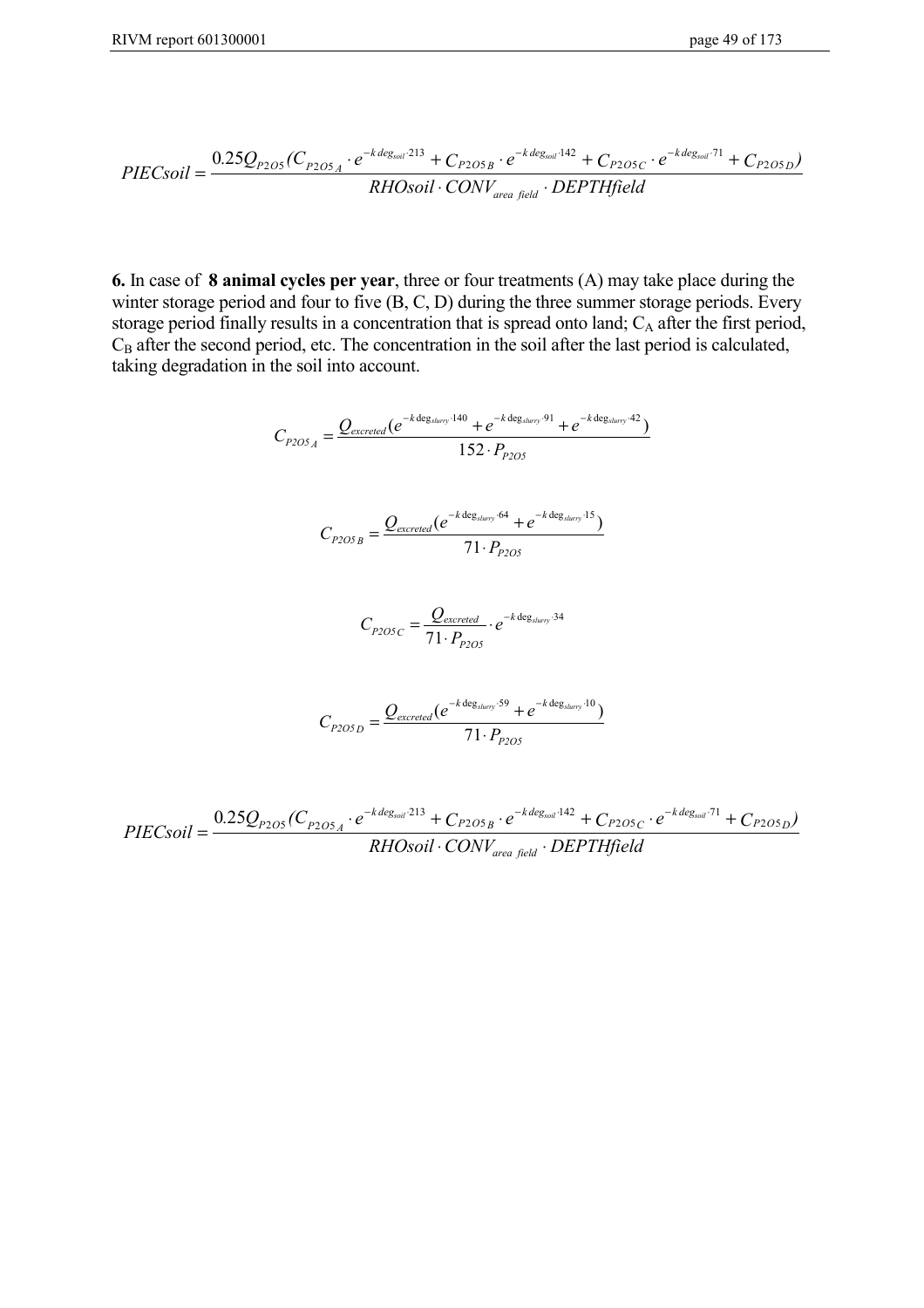$$
PIEC soil = \frac{0.25Q_{P2O5}(C_{P2O5A} \cdot e^{-k \, deg_{soli} \cdot 213} + C_{P2O5B} \cdot e^{-k \, deg_{soli} \cdot 142} + C_{P2O5C} \cdot e^{-k \, deg_{soli} \cdot 71} + C_{P2O5D})}{RHOsoil \cdot CONV_{area field} \cdot DEPTHfield}
$$

**6.** In case of **8 animal cycles per year**, three or four treatments (A) may take place during the winter storage period and four to five (B, C, D) during the three summer storage periods. Every storage period finally results in a concentration that is spread onto land; C<sub>A</sub> after the first period, C<sub>B</sub> after the second period, etc. The concentration in the soil after the last period is calculated, taking degradation in the soil into account.

$$
C_{P2OSA} = \frac{Q_{excreted}(e^{-k \deg_{sharp} \cdot 140} + e^{-k \deg_{sharp} \cdot 91} + e^{-k \deg_{sharp} \cdot 140})}{152 \cdot P_{P2OS}}
$$

$$
C_{P2OS_B} = \frac{Q_{excreted}(e^{-k \deg_{sluvry} \cdot 64} + e^{-k \deg_{sluvry} \cdot 15})}{71 \cdot P_{P2OS}}
$$

$$
C_{P2OSC} = \frac{Q_{excreted}}{71 \cdot P_{P2OS}} \cdot e^{-k \deg_{slurr}}^{34}
$$

$$
C_{P2OSD} = \frac{Q_{excreted}(e^{-k \deg_{slurr}}^{59} + e^{-k \deg_{slurr}}^{10})}{71 \cdot P_{P2OS}}
$$

 $PIEC soil = \frac{0.25Q_{P2O5}(C_{P2O5A} \cdot e^{-k \text{ deg}_{soli} \cdot 213} + C_{P2O5B} \cdot e^{-k \text{ deg}_{soli} \cdot 142} + C_{P2O5C} \cdot e^{-k \text{ deg}_{soli} \cdot 71} + C_{P2O5C} \cdot e^{-k \text{ deg}_{soli} \cdot 71} + C_{P2O5C} \cdot e^{-k \text{ deg}_{soli} \cdot 71} + C_{P2O5C} \cdot e^{-k \text{ deg}_{soli} \cdot 71} + C_{P2O5C} \cdot e^{-k \text{ deg}_{soli} \cdot 71} + C_{P$ *RHOsoil* CONV<sub>area field</sub> · DEPTHfield  $P2O5$ <sup>(</sup> $\vee$  $P2O5_A$  $\frac{k \text{ deg}_{\text{solid}}}{11}$  +  $\frac{C_{P2O5_B} \cdot e^{-k \text{ deg}_{\text{solid}} \cdot 142} + C_{P2O5_C} \cdot e^{-k \text{ deg}_{\text{solid}} \cdot 71} + C_{P2O5_D}}$ *area field*  $=\frac{0.25Q_{P2O5}(C_{P2O5A}\cdot e^{-k\deg_{soli}/13}+C_{P2O5B}\cdot e^{-k\deg_{soli}/142}+C_{P2O5C}\cdot e^{-k\deg_{soli}/1}+c)}{P_{P2O5A}P_{P2O5A}+P_{P2O5B}P_{P2O5B}+P_{P2O5B}P_{P2O5B}+P_{P2O5B}P_{P2O5B}+P_{P2O5B}P_{P2O5B}+P_{P2O5B}P_{P2O5B}+P_{P2O5B}P_{P2O5B}+P_{P2O5B}P_{P2O5B}+P$  $\cdot$  CONV<sub>area field</sub>  $\cdot$  $-k \, deg_{\text{coll}} 213$   $- k \, deg_{\text{coll}} 142$   $- k \, deg_{\text{coll}} 2$ 205  $\sim_{P2O5}$  $0.25 Q_{P2O5}(C_{P2O5 A} \cdot e^{-k \textit{deg}_{soli} \cdot 213} + C_{P2O5 B} \cdot e^{-k \textit{deg}_{soli} \cdot 142} + C_{P2O5 C} \cdot e^{-k \textit{deg}_{soli} \cdot 71} + C_{P2O5 D})$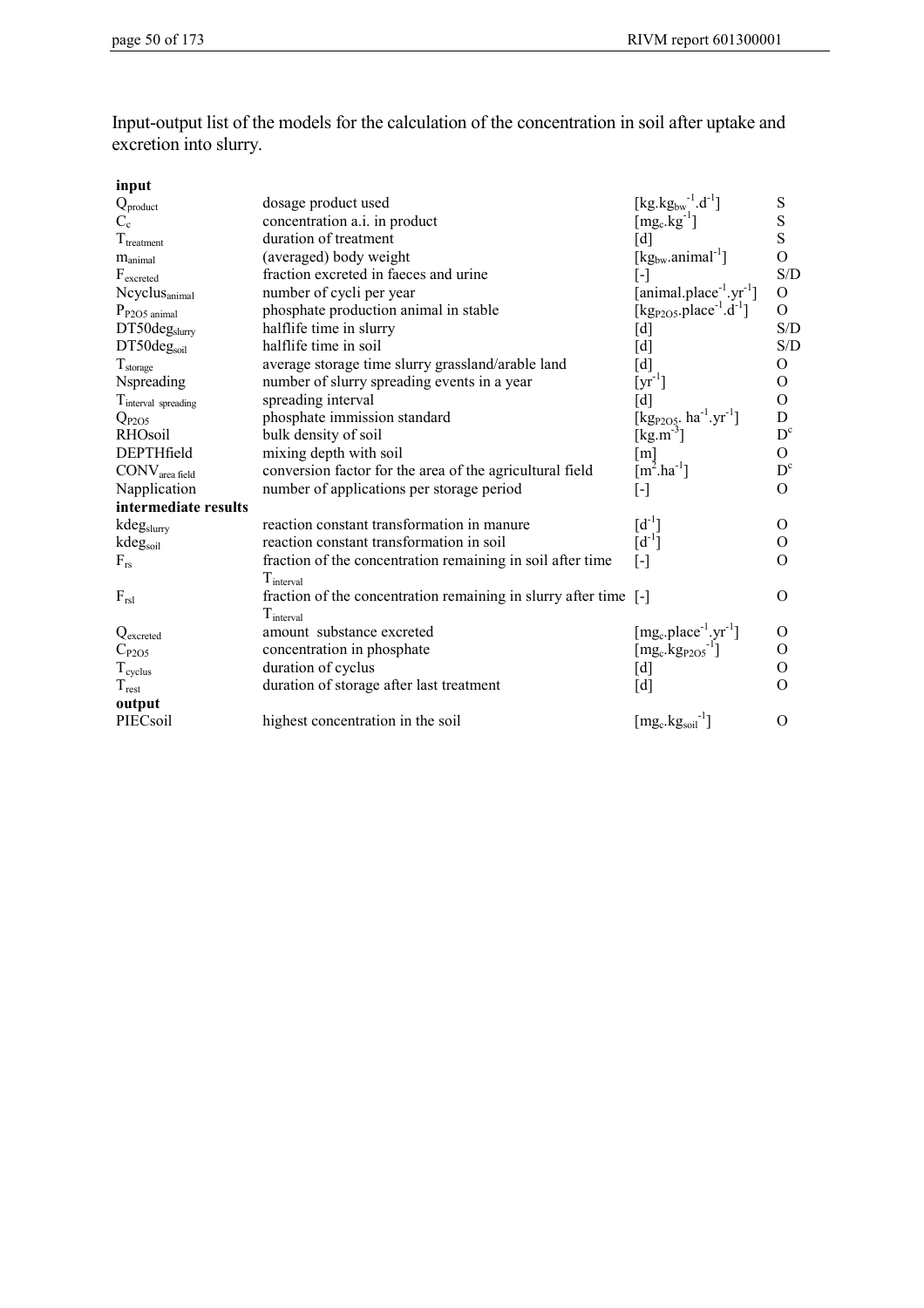Input-output list of the models for the calculation of the concentration in soil after uptake and excretion into slurry.

| input                           |                                                                  |                                                             |                         |
|---------------------------------|------------------------------------------------------------------|-------------------------------------------------------------|-------------------------|
| $Q_{product}$                   | dosage product used                                              | [kg.kg <sub>bw</sub> <sup>-1</sup> .d <sup>-1</sup> ]       | S                       |
| $C_{c}$                         | concentration a.i. in product                                    | $[mg_c.kg^{-1}]$                                            | S                       |
| $\rm T_{treatment}$             | duration of treatment                                            | [d]                                                         | S                       |
| $m_{\text{animal}}$             | (averaged) body weight                                           | $[\text{kg}_{bw}.animal^{-1}]$                              | $\Omega$                |
| $\mathbf{F}_{\text{excreted}}$  | fraction excreted in faeces and urine                            | $[\cdot]$                                                   | S/D                     |
| Ncyclus <sub>animal</sub>       | number of cycli per year                                         | [animal.place $^{-1}$ .yr $^{-1}$ ]                         | $\overline{O}$          |
| $P_{P2O5 \text{ animal}}$       | phosphate production animal in stable                            | [kg <sub>P2O5</sub> .place <sup>-1</sup> .d <sup>-1</sup> ] | $\overline{O}$          |
| DT50deg <sub>slurry</sub>       | halflife time in slurry                                          | [d]                                                         | S/D                     |
| DT50deg <sub>soil</sub>         | halflife time in soil                                            | [d]                                                         | S/D                     |
| $T_{\rm storage}$               | average storage time slurry grassland/arable land                | [d]                                                         | 0                       |
| Nspreading                      | number of slurry spreading events in a year                      | $[\mathrm{yr}^{-1}]$                                        | $\overline{O}$          |
| T <sub>interval</sub> spreading | spreading interval                                               | [d]                                                         | $\Omega$                |
| $Q_{P2O5}$                      | phosphate immission standard                                     | [kg <sub>P2O5</sub> . $ha^{-1}.yr^{-1}$ ]                   | D                       |
| <b>RHOsoil</b>                  | bulk density of soil                                             | $[kg.m^{-3}]$                                               | $D^{c}$                 |
| DEPTHfield                      | mixing depth with soil                                           | $\lceil m \rceil$                                           | $\Omega$                |
| CONV <sub>area field</sub>      | conversion factor for the area of the agricultural field         | $[m^2.ha^{-1}]$                                             | $\mathbf{D}^\mathrm{c}$ |
| Napplication                    | number of applications per storage period                        | [-]                                                         | $\Omega$                |
| intermediate results            |                                                                  |                                                             |                         |
| kdegslurry                      | reaction constant transformation in manure                       | $[d^{-1}]$                                                  | $\Omega$                |
| kdegsoil                        | reaction constant transformation in soil                         | $[d^{-1}]$                                                  | $\Omega$                |
| $F_{rs}$                        | fraction of the concentration remaining in soil after time       | $\lceil - \rceil$                                           | O                       |
|                                 | $T_{\text{interval}}$                                            |                                                             |                         |
| $F_{rsl}$                       | fraction of the concentration remaining in slurry after time [-] |                                                             | $\Omega$                |
|                                 | $T_{interval}$                                                   |                                                             |                         |
| Q <sub>excreted</sub>           | amount substance excreted                                        | $[mg_c, place^{-1}.yr^{-1}]$                                | O                       |
| $C_{P2O5}$                      | concentration in phosphate                                       | $[\text{mg}_c.\text{kg}_{P2O5}^{-1}]$                       | O                       |
| $T_{\text{cycles}}$             | duration of cyclus                                               | [d]                                                         | 0                       |
| $T_{\text{rest}}$               | duration of storage after last treatment                         | [d]                                                         | $\Omega$                |
| output                          |                                                                  |                                                             |                         |
| PIECsoil                        | highest concentration in the soil                                | $[\text{mg}_c.\text{kg}_{\text{soil}}^{-1}]$                | O                       |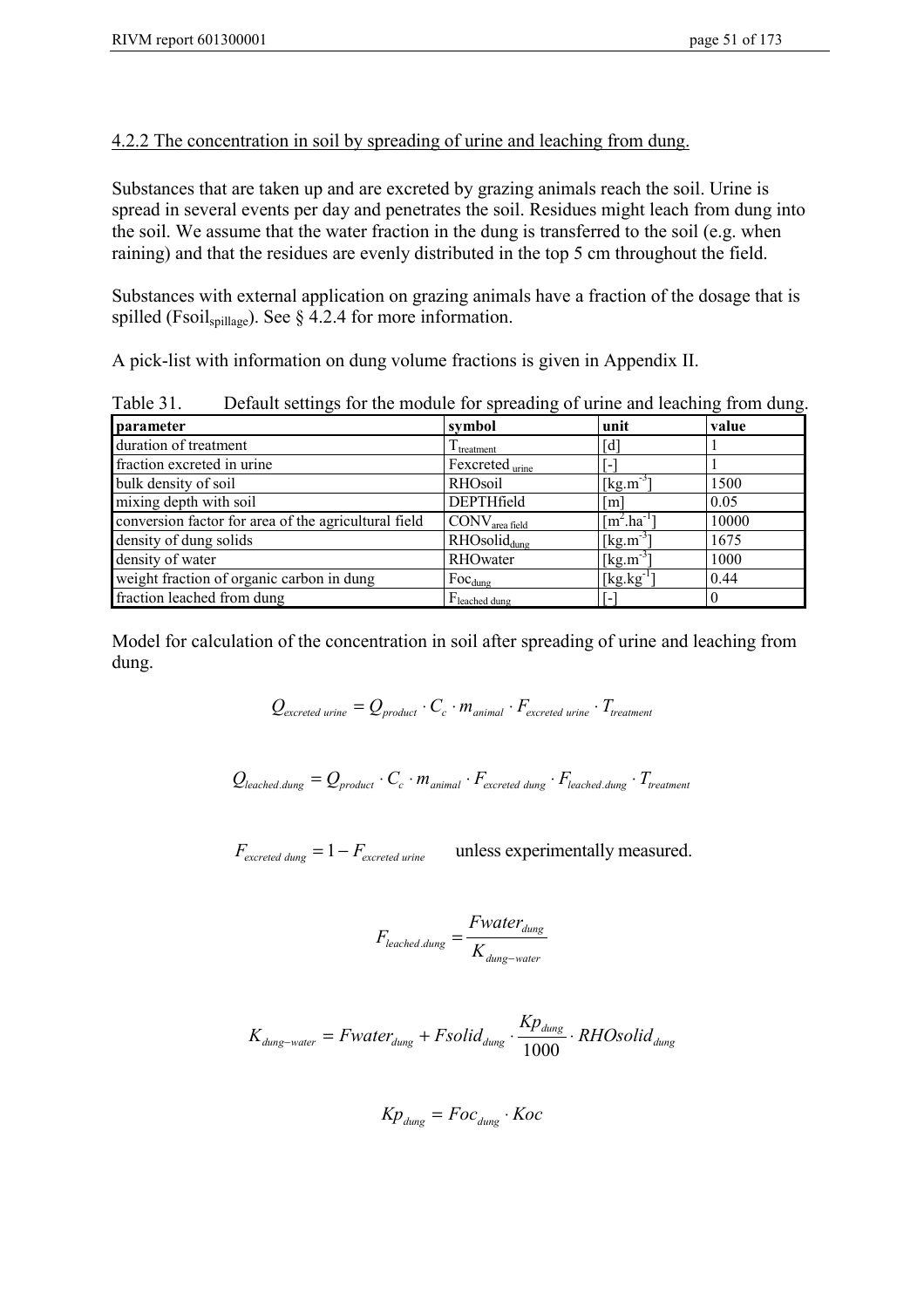## 4.2.2 The concentration in soil by spreading of urine and leaching from dung.

Substances that are taken up and are excreted by grazing animals reach the soil. Urine is spread in several events per day and penetrates the soil. Residues might leach from dung into the soil. We assume that the water fraction in the dung is transferred to the soil (e.g. when raining) and that the residues are evenly distributed in the top 5 cm throughout the field.

Substances with external application on grazing animals have a fraction of the dosage that is spilled (Fsoil<sub>spillage</sub>). See  $\S$  4.2.4 for more information.

A pick-list with information on dung volume fractions is given in Appendix II.

Table 31. Default settings for the module for spreading of urine and leaching from dung.

| parameter                                            | symbol                                       | unit                              | value |
|------------------------------------------------------|----------------------------------------------|-----------------------------------|-------|
| duration of treatment                                | $\mathbf{I}$ treatment                       | [d]                               |       |
| fraction excreted in urine                           | Fexcreted urine                              | $\blacksquare$                    |       |
| bulk density of soil                                 | RHOsoil                                      | $[kg.m^{-3}]$                     | 1500  |
| mixing depth with soil                               | DEPTHfield                                   | $\lceil m \rceil$                 | 0.05  |
| conversion factor for area of the agricultural field | $\text{CONV}_{\text{area field}}$            | $\lceil m^2 \cdot ha^{-1} \rceil$ | 10000 |
| density of dung solids                               | RHOsolid <sub>dune</sub>                     | $[kg.m^{-3}]$                     | 1675  |
| density of water                                     | RHOwater                                     | $\left[\text{kg.m}^{-3}\right]$   | 1000  |
| weight fraction of organic carbon in dung            | $Foc_{dung}$                                 | $[kg.kg^{-1}]$                    | 0.44  |
| fraction leached from dung                           | $F_{\text{leached} \underline{\text{dung}}}$ | $\overline{\phantom{a}}$          |       |

Model for calculation of the concentration in soil after spreading of urine and leaching from dung.

$$
Q_{\text{excreted urine}} = Q_{\text{product}} \cdot C_c \cdot m_{\text{animal}} \cdot F_{\text{excreted urine}} \cdot T_{\text{treatment}}
$$

 $Q_{\text{leached.dung}} = Q_{\text{product}} \cdot C_c \cdot m_{\text{animal}} \cdot F_{\text{excreted dung}} \cdot F_{\text{leached.dung}} \cdot T_{\text{treatment}}$ 

 $F_{\text{excreted dung}} = 1 - F_{\text{excreted urine}}$  unless experimentally measured.

$$
F_{leached. dung} = \frac{Fwater_{dung}}{K_{dung-water}}
$$

$$
K_{dung-water} = Fwater_{dung} + Fsolid_{dung} \cdot \frac{Kp_{dung}}{1000} \cdot RHO solid_{dung}
$$

$$
Kp_{\text{dung}} = Foc_{\text{dung}} \cdot Koc
$$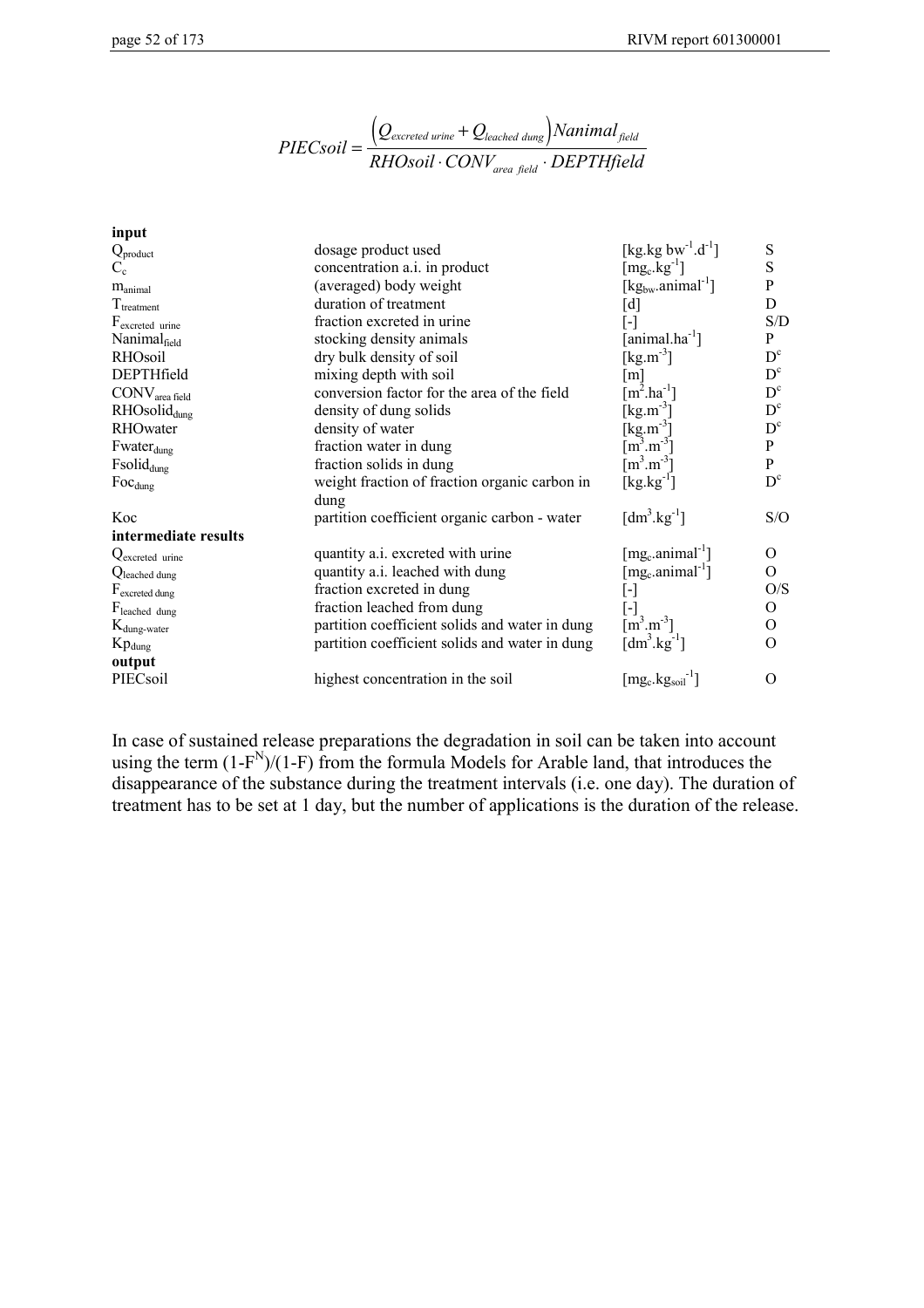$$
PIEC soil = \frac{\left(Q_{excreted\,urine} + Q_{leached\,dung}\right) \nNanimal_{field}}{RHS soil \cdot CONV_{area\,field} \cdot DEPTHfield}
$$

| input                       |                                                |                                                              |                |
|-----------------------------|------------------------------------------------|--------------------------------------------------------------|----------------|
| $Q_{product}$               | dosage product used                            | [kg.kg $bw^{-1}.d^{-1}$ ]                                    | S              |
| $C_{c}$                     | concentration a.i. in product                  | $\lceil \text{mg}_c \cdot \text{kg}^{-1} \rceil$             | S              |
| $m_{\text{animal}}$         | (averaged) body weight                         | $[\text{kg}_{\text{bw}}\text{.animal}^{-1}]$                 | P              |
| $T_{treatment}$             | duration of treatment                          | [d]                                                          | D              |
| F <sub>excreted</sub> urine | fraction excreted in urine                     | $\lbrack \cdot \rbrack$                                      | S/D            |
| Nanimalfield                | stocking density animals                       | [animal.ha <sup>-1</sup> ]                                   | P              |
| RHOsoil                     | dry bulk density of soil                       | [ $\text{kg} \cdot \text{m}^{-3}$ ]                          | $D^{c}$        |
| DEPTHfield                  | mixing depth with soil                         | $\lceil m \rceil$                                            | $D^{c}$        |
| CONV <sub>area field</sub>  | conversion factor for the area of the field    | $[m^2.ha^{-1}]$                                              | $D^{c}$        |
| RHOsolid <sub>dung</sub>    | density of dung solids                         | [ $kg.m^{-3}$ ]                                              | $D^{c}$        |
| RHOwater                    | density of water                               | [kg.m <sup>-3</sup> ]                                        | $D^{c}$        |
| Fwater <sub>dung</sub>      | fraction water in dung                         | $\left[\overline{\text{m}^3} \cdot \text{m}^{-3}\right]$     | P              |
| Fsolid <sub>dung</sub>      | fraction solids in dung                        | $\lceil m^3 \cdot m^{-3} \rceil$                             | P              |
| $Foc_{dung}$                | weight fraction of fraction organic carbon in  | $[kg.kg^{-1}]$                                               | $D^{c}$        |
|                             | dung                                           |                                                              |                |
| Koc                         | partition coefficient organic carbon - water   | $\left[\text{dm}^3.\text{kg}^{-1}\right]$                    | S/O            |
| intermediate results        |                                                |                                                              |                |
| Qexcreted urine             | quantity a.i. excreted with urine              | $[mg_c$ .animal <sup>-1</sup> ]                              | $\Omega$       |
| Qleached dung               | quantity a.i. leached with dung                | [mg.animal <sup>-1</sup> ]                                   | $\Omega$       |
| F <sub>excreted dung</sub>  | fraction excreted in dung                      | $\left[ \cdot \right]$                                       | O/S            |
| Fleached dung               | fraction leached from dung                     | $\lceil - \rceil$                                            | $\overline{O}$ |
| $K_{dung-water}$            | partition coefficient solids and water in dung | $\left[\text{m}^3.\text{m}^3\right]$                         | 0              |
| $Kp_{dung}$                 | partition coefficient solids and water in dung | [dm <sup>3</sup> .kg <sup>-1</sup> ]                         | $\Omega$       |
| output                      |                                                |                                                              |                |
| PIECsoil                    | highest concentration in the soil              | $[\text{mg}_\text{c}.\text{kg}_\text{soil}]$ <sup>-1</sup> ] | $\Omega$       |
|                             |                                                |                                                              |                |

In case of sustained release preparations the degradation in soil can be taken into account using the term  $(1-F^N)/(1-F)$  from the formula Models for Arable land, that introduces the disappearance of the substance during the treatment intervals (i.e. one day). The duration of treatment has to be set at 1 day, but the number of applications is the duration of the release.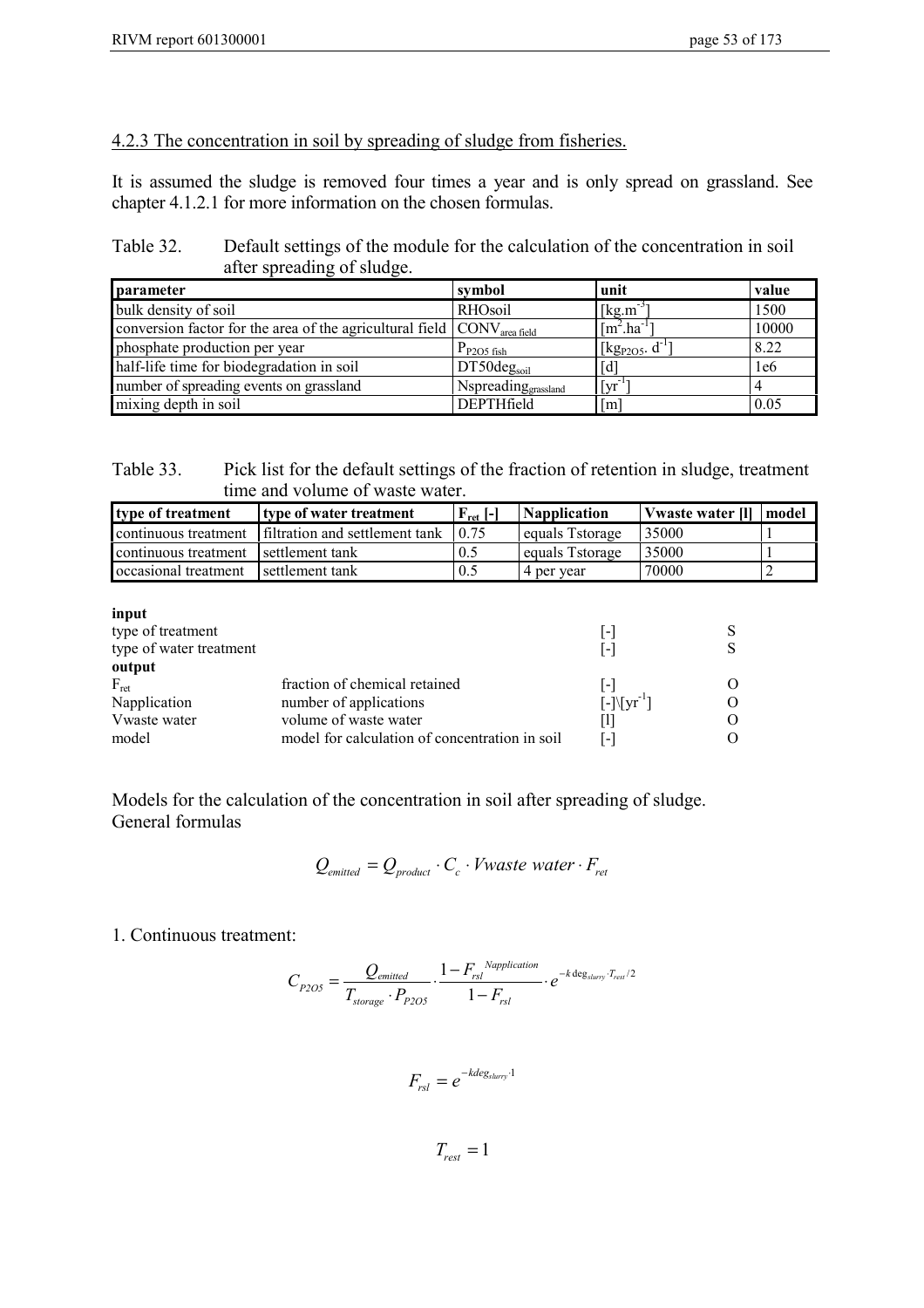#### 4.2.3 The concentration in soil by spreading of sludge from fisheries.

It is assumed the sludge is removed four times a year and is only spread on grassland. See chapter 4.1.2.1 for more information on the chosen formulas.

Table 32. Default settings of the module for the calculation of the concentration in soil after spreading of sludge.

| <b>parameter</b>                                                                            | symbol                 | unit                                           | value |
|---------------------------------------------------------------------------------------------|------------------------|------------------------------------------------|-------|
| bulk density of soil                                                                        | RHOsoil                | $[kg.m^{-3}]$                                  | 1500  |
| conversion factor for the area of the agricultural field $\vert$ CONV <sub>area field</sub> |                        | $\lceil m^2 \cdot ha^{-1} \rceil$              | 10000 |
| phosphate production per year                                                               | $P_{P2O5\text{ fish}}$ | $\left[\text{kg}_{\text{P2O5}}\text{d}\right]$ | 8.22  |
| half-life time for biodegradation in soil                                                   | $DT50deg_{soil}$       | $[d]$                                          | 1e6   |
| number of spreading events on grassland                                                     | Nspreading grassland   | $\left[\mathrm{yr}^{-1}\right]$                |       |
| mixing depth in soil                                                                        | DEPTHfield             | $\lceil m \rceil$                              | 0.05  |

| Table 33. | Pick list for the default settings of the fraction of retention in sludge, treatment |
|-----------|--------------------------------------------------------------------------------------|
|           | time and volume of waste water.                                                      |

| type of treatment                    | type of water treatment        | $F_{\text{ret}}$ [-] | <b>Napplication</b> | Vwaste water [1]   model |  |
|--------------------------------------|--------------------------------|----------------------|---------------------|--------------------------|--|
| continuous treatment                 | filtration and settlement tank | 1075                 | equals Tstorage     | 35000                    |  |
| continuous treatment settlement tank |                                | 0.5                  | equals Tstorage     | 35000                    |  |
| occasional treatment                 | settlement tank                | 0.5                  | 4 per vear          | 70000                    |  |

| input                   |                                                |                         |  |
|-------------------------|------------------------------------------------|-------------------------|--|
| type of treatment       |                                                | l-l                     |  |
| type of water treatment |                                                | $ - $                   |  |
| output                  |                                                |                         |  |
| $F_{\rm ret}$           | fraction of chemical retained                  | $ - $                   |  |
| Napplication            | number of applications                         | $[-10] \text{yr}^{-1}]$ |  |
| Vwaste water            | volume of waste water                          | Ш                       |  |
| model                   | model for calculation of concentration in soil | L-1                     |  |

Models for the calculation of the concentration in soil after spreading of sludge. General formulas

$$
Q_{emitted} = Q_{product} \cdot C_c \cdot Vwaste\ water \cdot F_{ret}
$$

1. Continuous treatment:

$$
C_{P2OS} = \frac{Q_{emitted}}{T_{storage} \cdot P_{P2OS}} \cdot \frac{1 - F_{rsl}^{Napplication}}{1 - F_{rsl}} \cdot e^{-k \deg_{sluvry} \cdot T_{rest}/2}
$$

 $F_{rsl} = e^{-kdeg_{slurry} \cdot 1}$ 

 $T_{rest} = 1$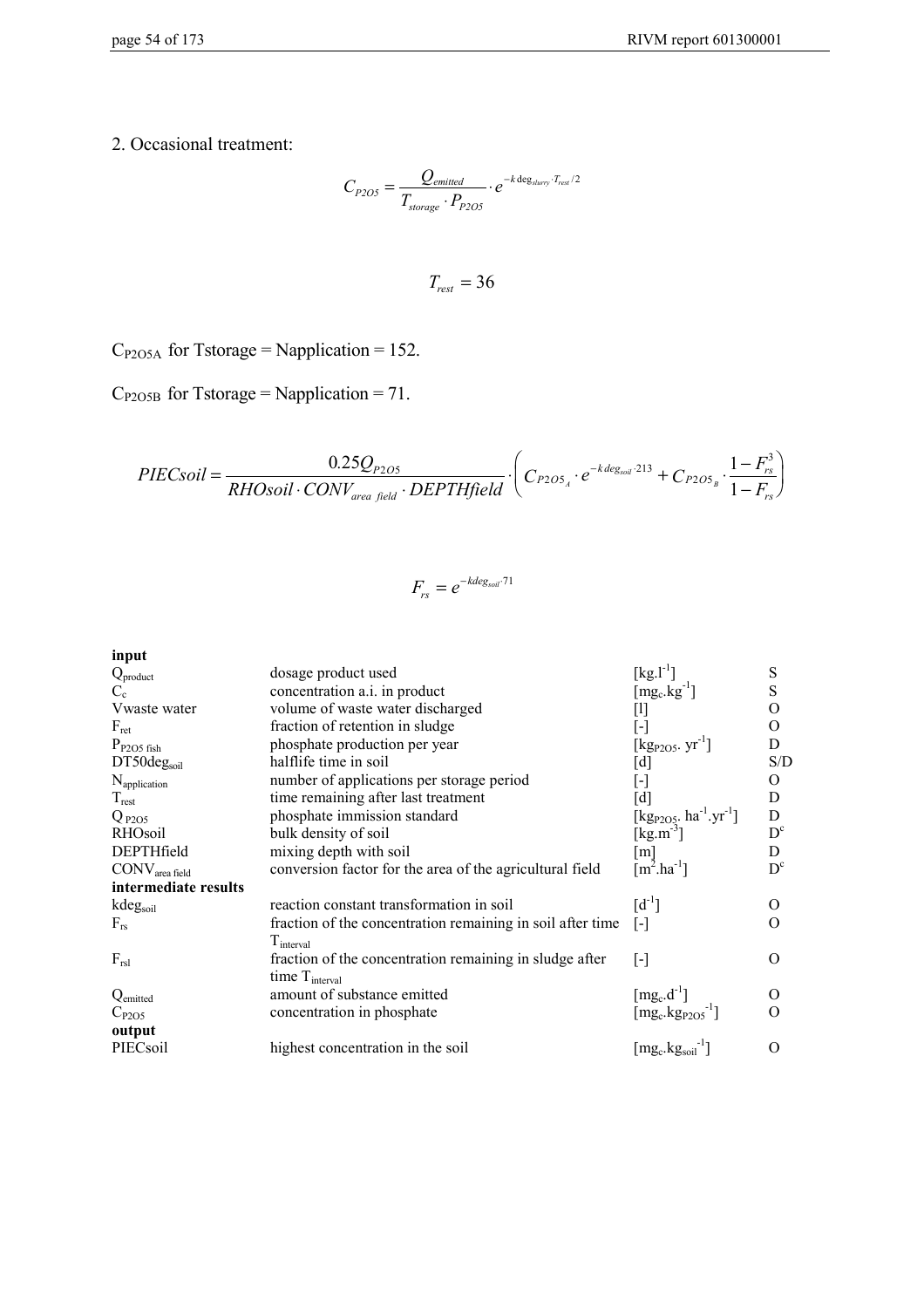2. Occasional treatment:

$$
C_{P2O5} = \frac{Q_{emitted}}{T_{storage} \cdot P_{P2O5}} \cdot e^{-k \deg_{slurv} \cdot T_{rest}/2}
$$

$$
T_{\text{rest}}=36
$$

 $C_{P2O5A}$  for Tstorage = Napplication = 152.

 $C_{P2O5B}$  for Tstorage = Napplication = 71.

$$
PIEC soil = \frac{0.25Q_{P2O5}}{RHO soil \cdot CONV_{area field} \cdot DEPTHfield} \cdot \left(C_{P2O5_A} \cdot e^{-k \text{ deg}_{soli} \cdot 213} + C_{P2O5_B} \cdot \frac{1 - F_{rs}^3}{1 - F_{rs}}\right)
$$

$$
F_{rs} = e^{-k \text{deg}_{s \text{odd}} \cdot 71}
$$

**input**

| dosage product used                                        |                                                   | S                                                                                                                       |
|------------------------------------------------------------|---------------------------------------------------|-------------------------------------------------------------------------------------------------------------------------|
| concentration a.i. in product                              | $[mg_c.kg^{-1}]$                                  | S                                                                                                                       |
| volume of waste water discharged                           | [1]                                               | O                                                                                                                       |
| fraction of retention in sludge                            | l-l                                               | $\Omega$                                                                                                                |
| phosphate production per year                              | $[kg_{P2O5}. yr^{-1}]$                            | D                                                                                                                       |
| halflife time in soil                                      |                                                   | S/D                                                                                                                     |
| number of applications per storage period                  | $\mathsf{L}$                                      | 0                                                                                                                       |
| time remaining after last treatment                        | [d]                                               | D                                                                                                                       |
| phosphate immission standard                               |                                                   | D                                                                                                                       |
| bulk density of soil                                       |                                                   | $D^{c}$                                                                                                                 |
| mixing depth with soil                                     | $\lceil m \rceil$                                 | D                                                                                                                       |
| conversion factor for the area of the agricultural field   | $[m^2.ha^{-1}]$                                   | $D^{c}$                                                                                                                 |
|                                                            |                                                   |                                                                                                                         |
| reaction constant transformation in soil                   | $[d^{-1}]$                                        | $\Omega$                                                                                                                |
| fraction of the concentration remaining in soil after time | $[\cdot]$                                         | $\Omega$                                                                                                                |
| $T_{\text{interval}}$                                      |                                                   |                                                                                                                         |
| fraction of the concentration remaining in sludge after    |                                                   | $\Omega$                                                                                                                |
|                                                            |                                                   |                                                                                                                         |
| amount of substance emitted                                | $[mg_c.d^{-1}]$                                   |                                                                                                                         |
| concentration in phosphate                                 | $[\text{mg}_c.\text{kg}_{P2O5}^{-1}]$             | $\Omega$                                                                                                                |
|                                                            |                                                   |                                                                                                                         |
| highest concentration in the soil                          | $[\text{mg}_\text{c}.\text{kg}_\text{soil}^{-1}]$ | $\Omega$                                                                                                                |
|                                                            | time T <sub>interval</sub>                        | $[kg. l-1]$<br>[d]<br>[kg <sub>P2O5</sub> . ha <sup>-1</sup> .yr <sup>-1</sup> ]<br>[ $\text{kg} \cdot \text{m}^{-3}$ ] |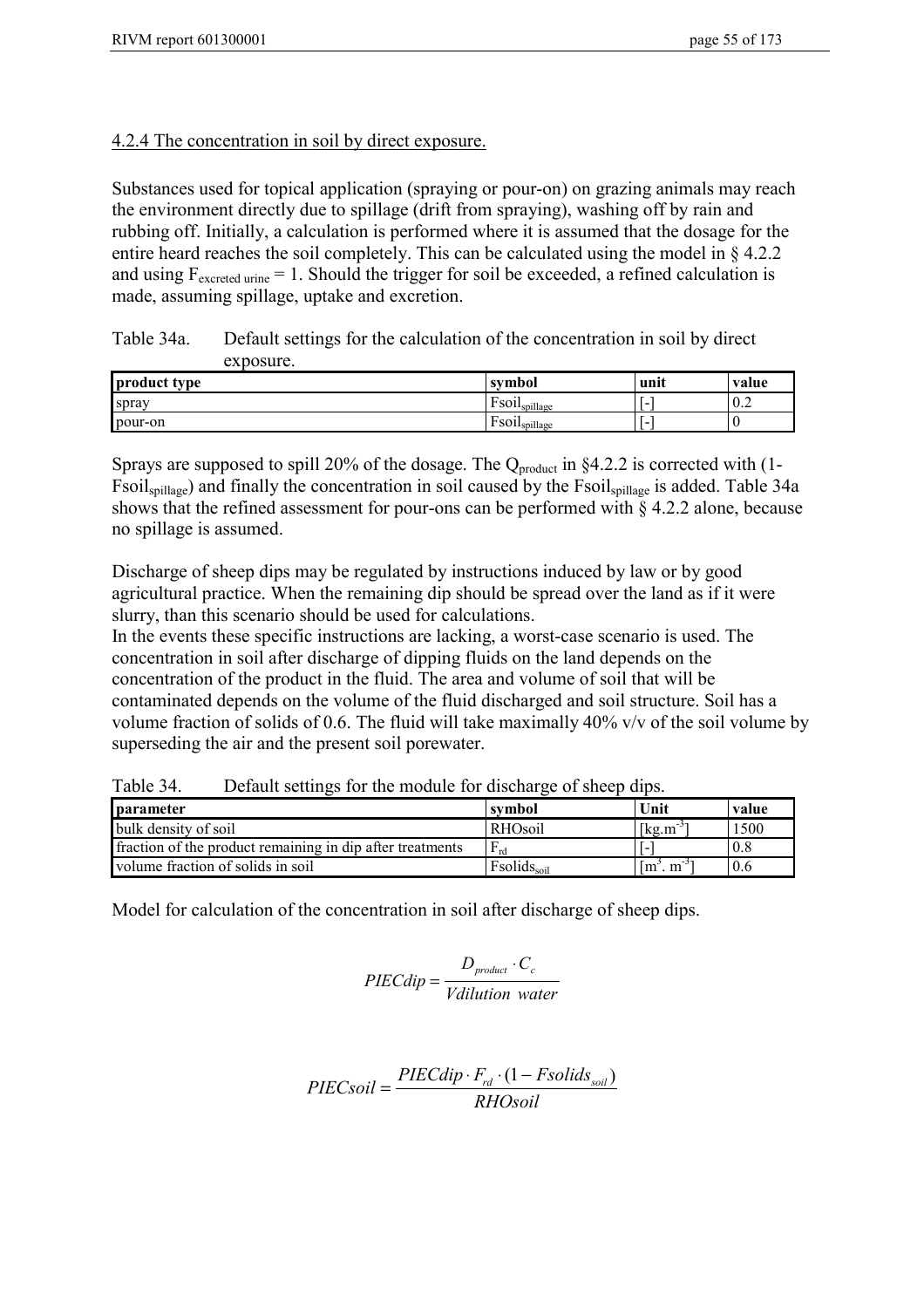## 4.2.4 The concentration in soil by direct exposure.

Substances used for topical application (spraying or pour-on) on grazing animals may reach the environment directly due to spillage (drift from spraying), washing off by rain and rubbing off. Initially, a calculation is performed where it is assumed that the dosage for the entire heard reaches the soil completely. This can be calculated using the model in § 4.2.2 and using  $F_{\text{excreted urine}} = 1$ . Should the trigger for soil be exceeded, a refined calculation is made, assuming spillage, uptake and excretion.

Table 34a. Default settings for the calculation of the concentration in soil by direct exposure.

| product type | symbol                                                  | unit | value    |
|--------------|---------------------------------------------------------|------|----------|
| spray        | <b>D</b><br>$\text{F}$ SO1 $\text{I}_{\text{spillage}}$ | -    | 10.2     |
| pour-on      | Ē<br>$\text{F}$ SO1 $\text{I}_{\text{spillage}}$        | -    | $\theta$ |

Sprays are supposed to spill 20% of the dosage. The  $Q_{product}$  in §4.2.2 is corrected with (1-Fsoilspillage) and finally the concentration in soil caused by the Fsoilspillage is added. Table 34a shows that the refined assessment for pour-ons can be performed with § 4.2.2 alone, because no spillage is assumed.

Discharge of sheep dips may be regulated by instructions induced by law or by good agricultural practice. When the remaining dip should be spread over the land as if it were slurry, than this scenario should be used for calculations.

In the events these specific instructions are lacking, a worst-case scenario is used. The concentration in soil after discharge of dipping fluids on the land depends on the concentration of the product in the fluid. The area and volume of soil that will be contaminated depends on the volume of the fluid discharged and soil structure. Soil has a volume fraction of solids of 0.6. The fluid will take maximally 40% v/v of the soil volume by superseding the air and the present soil porewater.

Table 34. Default settings for the module for discharge of sheep dips.

| <b>I</b> parameter                                        | symbol                  | Unit                                     | value |
|-----------------------------------------------------------|-------------------------|------------------------------------------|-------|
| bulk density of soil                                      | <b>RHOsoil</b>          | $\left[\text{kg} \cdot \text{m} \right]$ | 1500  |
| fraction of the product remaining in dip after treatments | $F_{rd}$                |                                          | 0.8   |
| volume fraction of solids in soil                         | Fsolids <sub>soil</sub> | . $m^{-3}$<br>1m                         | 0.6   |

Model for calculation of the concentration in soil after discharge of sheep dips.

$$
PIECdip = \frac{D_{product} \cdot C_c}{Vdilution \ water}
$$

$$
PIEC soil = \frac{PIECdip \cdot F_{rd} \cdot (1 - Fsolids_{soil})}{RHOsoil}
$$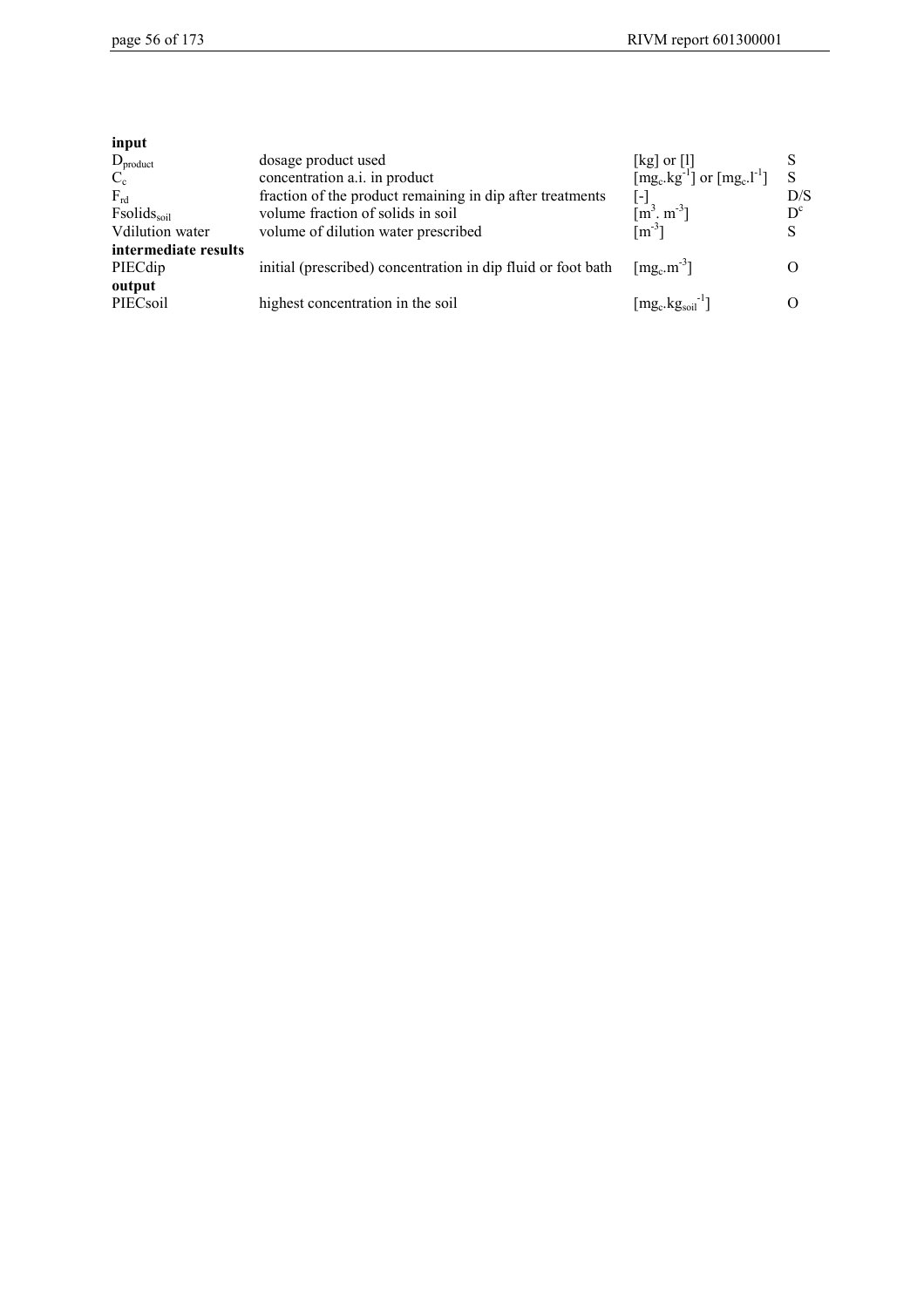| input                              |                                                              |                                                                                            |         |
|------------------------------------|--------------------------------------------------------------|--------------------------------------------------------------------------------------------|---------|
| $D_{product}$                      | dosage product used                                          |                                                                                            |         |
| $C_{c}$                            | concentration a.i. in product                                | [kg] or [l]<br>[mg <sub>c</sub> .kg <sup>-1</sup> ] or [mg <sub>c</sub> .l <sup>-1</sup> ] | S       |
| $F_{rd}$                           | fraction of the product remaining in dip after treatments    | l - I                                                                                      | D/S     |
| F <sub>solids<sub>soil</sub></sub> | volume fraction of solids in soil                            | $\left[\text{m}^3, \text{m}^{-3}\right]$<br>$\left[\text{m}^{-3}\right]$                   | $D^{c}$ |
| Vdilution water                    | volume of dilution water prescribed                          |                                                                                            | S       |
| intermediate results               |                                                              |                                                                                            |         |
| PIECdip                            | initial (prescribed) concentration in dip fluid or foot bath | $\lceil \text{mg}_c \cdot \text{m}^{-3} \rceil$                                            |         |
| output                             |                                                              |                                                                                            |         |
| PIECsoil                           | highest concentration in the soil                            | $[\text{mg}_\text{c}.\text{kg}_\text{soil}]$ <sup>-1</sup> ]                               |         |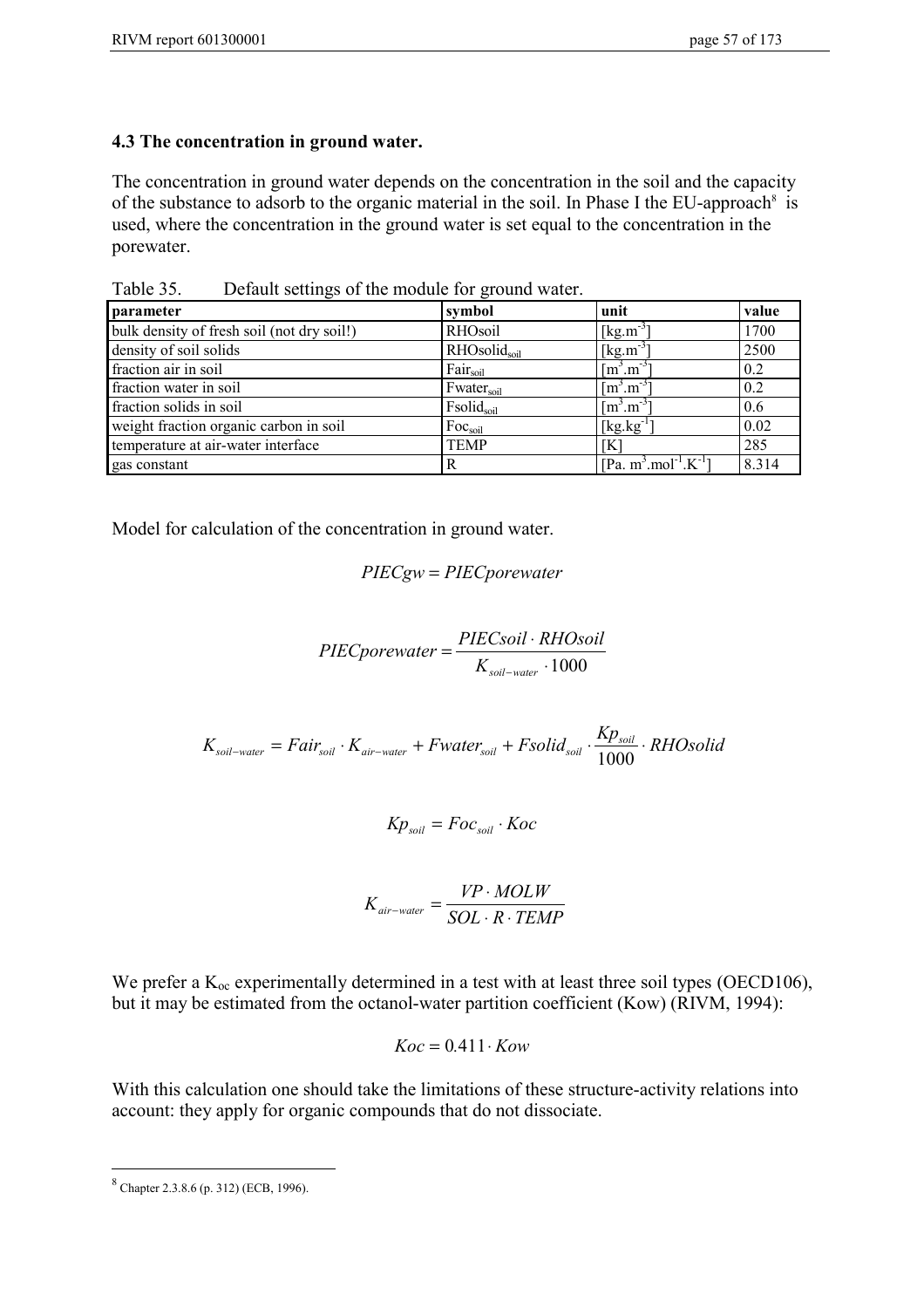## **4.3 The concentration in ground water.**

The concentration in ground water depends on the concentration in the soil and the capacity of the substance to adsorb to the organic material in the soil. In Phase I the EU-approach<sup>8</sup> is used, where the concentration in the ground water is set equal to the concentration in the porewater.

Table 35. Default settings of the module for ground water.

| parameter                                  | symbol                 | unit                                                    | value |
|--------------------------------------------|------------------------|---------------------------------------------------------|-------|
| bulk density of fresh soil (not dry soil!) | RHOsoil                | $\left[\text{kg.m}^{-3}\right]$                         | 1700  |
| density of soil solids                     | RHOsolidsoil           | $[kg.m^{-3}]$                                           | 2500  |
| fraction air in soil                       | Fair <sub>soil</sub>   | $\lceil m^3 \cdot m^{-3} \rceil$                        | 0.2   |
| fraction water in soil                     | Fwater <sub>soil</sub> | $\lceil m^3 \rceil m^{-3}$                              | 0.2   |
| fraction solids in soil                    | Fsolidsoil             | $\lceil m^3 \cdot m^{-3} \rceil$                        | 0.6   |
| weight fraction organic carbon in soil     | Foc <sub>soil</sub>    | $[kg.kg^{-1}]$                                          | 0.02  |
| temperature at air-water interface         | <b>TEMP</b>            | ſКl                                                     | 285   |
| gas constant                               | R                      | [Pa. m <sup>3</sup> .mol <sup>-1</sup> .K <sup>-1</sup> | 8.314 |

Model for calculation of the concentration in ground water.

$$
PIECgw = PIECporewater
$$

$$
PIEC powerater = \frac{PIEC soil \cdot RHO soil}{K_{sol-water} \cdot 1000}
$$

$$
K_{\text{soil-water}} = \text{Fair}_{\text{soil}} \cdot K_{\text{air-water}} + \text{Fwater}_{\text{soil}} + \text{F} \times \text{solid}_{\text{soil}} \cdot \frac{K p_{\text{soil}}}{1000} \cdot \text{R} \times \text{H} \times \text{O} \times \text{H}
$$

$$
Kp_{\text{soil}} = Foc_{\text{soil}} \cdot Koc
$$

$$
K_{air-water} = \frac{VP \cdot MOLW}{SOL \cdot R \cdot TEMP}
$$

We prefer a  $K_{\text{oc}}$  experimentally determined in a test with at least three soil types (OECD106), but it may be estimated from the octanol-water partition coefficient (Kow) (RIVM, 1994):

$$
Koc = 0.411 \cdot Kow
$$

With this calculation one should take the limitations of these structure-activity relations into account: they apply for organic compounds that do not dissociate.

 $\overline{a}$ <sup>8</sup> Chapter 2.3.8.6 (p. 312) (ECB, 1996).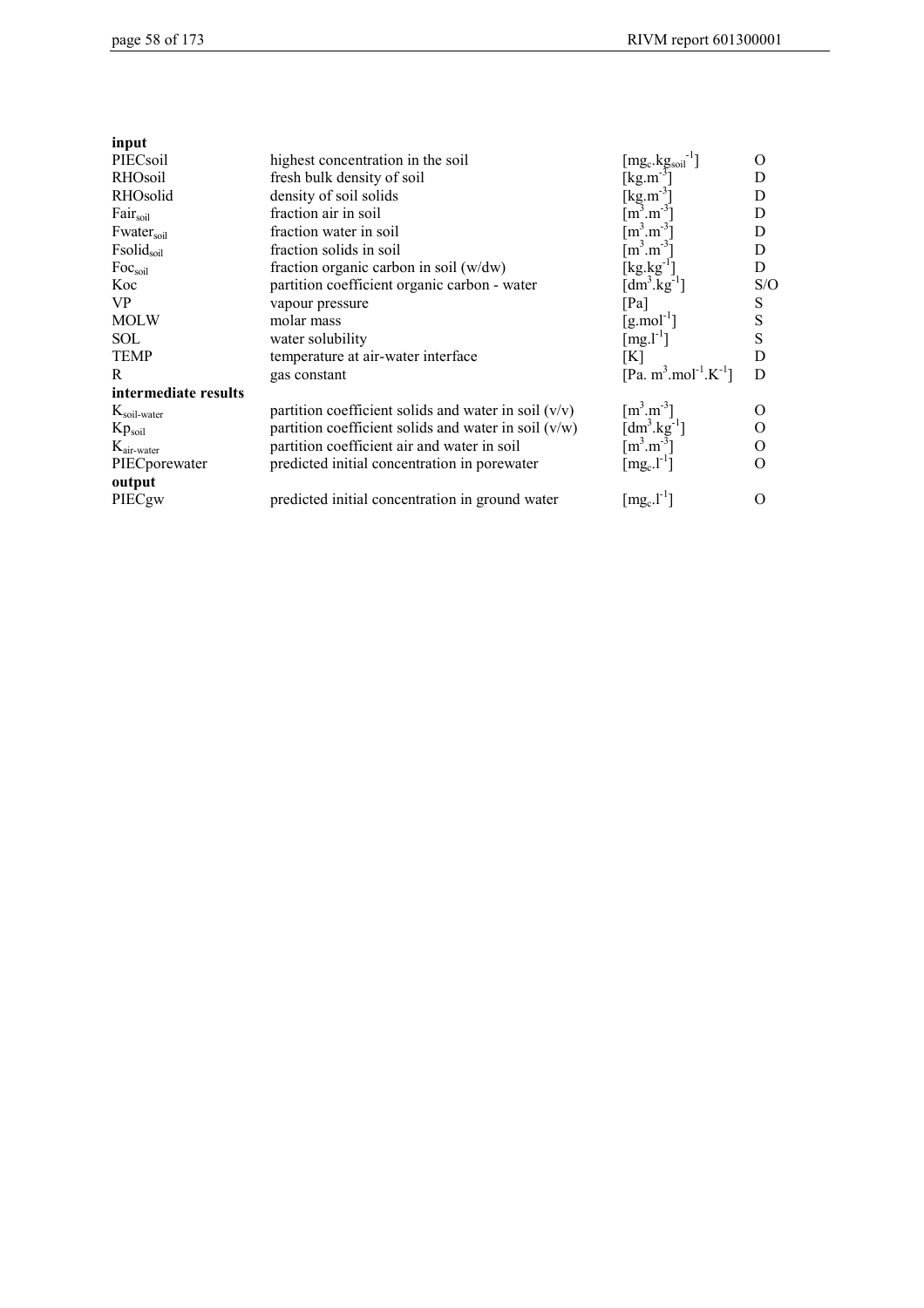| input                   |                                                        |                                                           |           |
|-------------------------|--------------------------------------------------------|-----------------------------------------------------------|-----------|
| PIECsoil                | highest concentration in the soil                      | $[\mathrm{mg_c}.\mathrm{kg_{soi}}^{-1}]$                  | O         |
| RHOsoil                 | fresh bulk density of soil                             | [kg.m <sup>-3</sup> ]                                     | D         |
| RHOsolid                | density of soil solids                                 | [ $kg.m^{-3}$                                             | D         |
| Fair <sub>soil</sub>    | fraction air in soil                                   | $m^3.m^{-3}$                                              | D         |
| Fwatersoil              | fraction water in soil                                 | $[m^3.m^{-3}]$                                            | D         |
| Fsolid <sub>soil</sub>  | fraction solids in soil                                | $\mathrm{m}^3 \mathrm{.m}^{-3}$                           | D         |
| Foc <sub>soil</sub>     | fraction organic carbon in soil $(w/dw)$               | $\left[\text{kg}.\text{kg}^{-1}\right]$                   | D         |
| Koc                     | partition coefficient organic carbon - water           | [dm <sup>3</sup> .kg <sup>-1</sup> ]                      | S/O       |
| <b>VP</b>               | vapour pressure                                        | [Pa]                                                      | S         |
| <b>MOLW</b>             | molar mass                                             | [g.mol <sup>-1</sup> ]                                    | ${\bf S}$ |
| <b>SOL</b>              | water solubility                                       | $[mg. l-1]$                                               | ${\bf S}$ |
| <b>TEMP</b>             | temperature at air-water interface                     | [K]                                                       | D         |
| $\mathbb{R}$            | gas constant                                           | [Pa. m <sup>3</sup> .mol <sup>-1</sup> .K <sup>-1</sup> ] | D         |
| intermediate results    |                                                        |                                                           |           |
| $K_{\text{soil-water}}$ | partition coefficient solids and water in soil $(v/v)$ | $\lceil m^3 \cdot m^{-3} \rceil$                          | O         |
| $Kp_{\text{soil}}$      | partition coefficient solids and water in soil $(v/w)$ | $\left[\text{dm}^3.\text{kg}^{-1}\right]$                 | О         |
| $K_{\text{air-water}}$  | partition coefficient air and water in soil            | $\mathrm{[m^3.m^{-3}]}$                                   | O         |
| PIECporewater           | predicted initial concentration in porewater           | $[\text{mg}_c.\text{l}^{-1}]$                             | O         |
| output                  |                                                        |                                                           |           |
| PIECgw                  | predicted initial concentration in ground water        | $[\text{mg}_c.\text{l}^{-1}]$                             | O         |
|                         |                                                        |                                                           |           |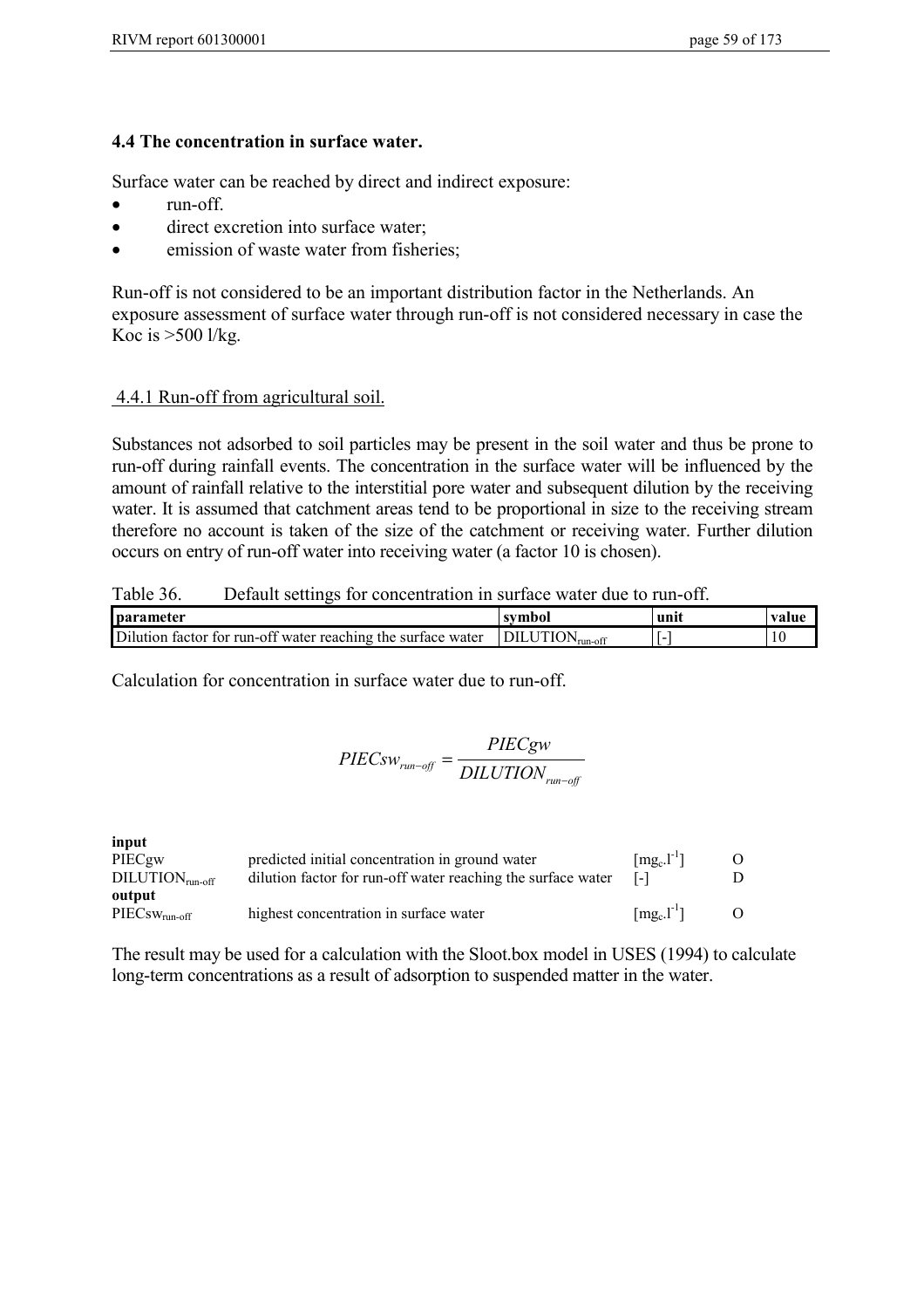## **4.4 The concentration in surface water.**

Surface water can be reached by direct and indirect exposure:

- run-off
- direct excretion into surface water:
- emission of waste water from fisheries;

Run-off is not considered to be an important distribution factor in the Netherlands. An exposure assessment of surface water through run-off is not considered necessary in case the Koc is >500 l/kg.

## 4.4.1 Run-off from agricultural soil.

Substances not adsorbed to soil particles may be present in the soil water and thus be prone to run-off during rainfall events. The concentration in the surface water will be influenced by the amount of rainfall relative to the interstitial pore water and subsequent dilution by the receiving water. It is assumed that catchment areas tend to be proportional in size to the receiving stream therefore no account is taken of the size of the catchment or receiving water. Further dilution occurs on entry of run-off water into receiving water (a factor 10 is chosen).

Table 36. Default settings for concentration in surface water due to run-off.

| <b>parameter</b>                                                | svmbo.                      | uni. | valu |
|-----------------------------------------------------------------|-----------------------------|------|------|
| Dilution<br>factor for run-off water reaching the surface water | 'N<br>$v_{run-off}$<br>TOT. | . .  | 10   |

Calculation for concentration in surface water due to run-off.

$$
PIECsw_{run-off} = \frac{PIECgw}{DILUTION_{run-off}}
$$

**input** PIECgw predicted initial concentration in ground water  $[mg_c.1^{-1}]$  O<br>DILUTION<sub>run-off</sub> dilution factor for run-off water reaching the surface water  $[-]$  D  $\frac{1}{2}$  dilution factor for run-off water reaching the surface water **output**<br>PIECsw<sub>run-off</sub> highest concentration in surface water  $[mg_c]$ <sup>-1</sup>] O

The result may be used for a calculation with the Sloot.box model in USES (1994) to calculate long-term concentrations as a result of adsorption to suspended matter in the water.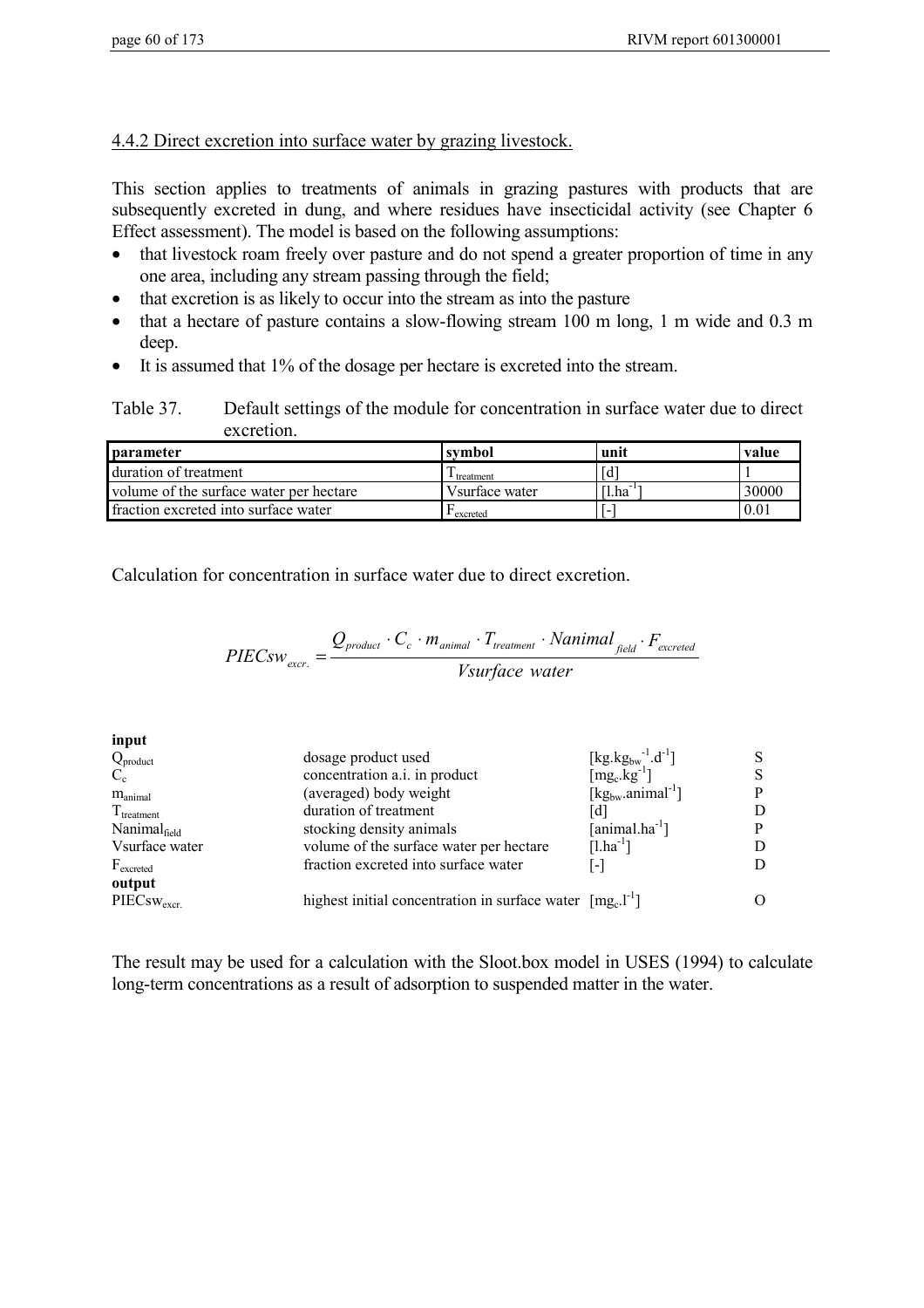#### 4.4.2 Direct excretion into surface water by grazing livestock.

This section applies to treatments of animals in grazing pastures with products that are subsequently excreted in dung, and where residues have insecticidal activity (see Chapter 6 Effect assessment). The model is based on the following assumptions:

- that livestock roam freely over pasture and do not spend a greater proportion of time in any one area, including any stream passing through the field;
- that excretion is as likely to occur into the stream as into the pasture
- that a hectare of pasture contains a slow-flowing stream 100 m long, 1 m wide and 0.3 m deep.
- It is assumed that 1% of the dosage per hectare is excreted into the stream.

Table 37. Default settings of the module for concentration in surface water due to direct excretion.

| <b>parameter</b>                        | symbol            | unit           | value |
|-----------------------------------------|-------------------|----------------|-------|
| duration of treatment                   | $\perp$ treatment | [d             |       |
| volume of the surface water per hectare | Vsurface water    | $[1, ha^{-1}]$ | 30000 |
| fraction excreted into surface water    | excreted          |                | 0.01  |

Calculation for concentration in surface water due to direct excretion.

$$
PIECsw_{\text{excr.}} = \frac{Q_{\text{product}} \cdot C_c \cdot m_{\text{animal}} \cdot T_{\text{treatment}} \cdot \text{Nanimal}_{\text{field}} \cdot F_{\text{excreted}}}{V\text{surface water}}
$$

**input**

| $Q_{product}$            | dosage product used                                                     | [kg.kg <sub>bw</sub> <sup>-1</sup> .d <sup>-1</sup> ] |    |
|--------------------------|-------------------------------------------------------------------------|-------------------------------------------------------|----|
| $C_{c}$                  | concentration a.i. in product                                           | $[mg_c.kg^{-1}]$                                      | S. |
| $m_{\text{animal}}$      | (averaged) body weight                                                  | $[kg_{bw}.animal^{-1}]$                               | P  |
| $T_{\text{treatment}}$   | duration of treatment                                                   |                                                       | D  |
| Nanimal <sub>field</sub> | stocking density animals                                                | $[animal.ha^{-1}]$                                    | P  |
| Vsurface water           | volume of the surface water per hectare                                 | $[1.ha^{-1}]$                                         |    |
| $F_{\text{excreted}}$    | fraction excreted into surface water                                    | -1                                                    | D  |
| output                   |                                                                         |                                                       |    |
| $PIECsw_{\rm{excr.}}$    | highest initial concentration in surface water $[mg_c]$ <sup>-1</sup> ] |                                                       |    |
|                          |                                                                         |                                                       |    |

The result may be used for a calculation with the Sloot.box model in USES (1994) to calculate long-term concentrations as a result of adsorption to suspended matter in the water.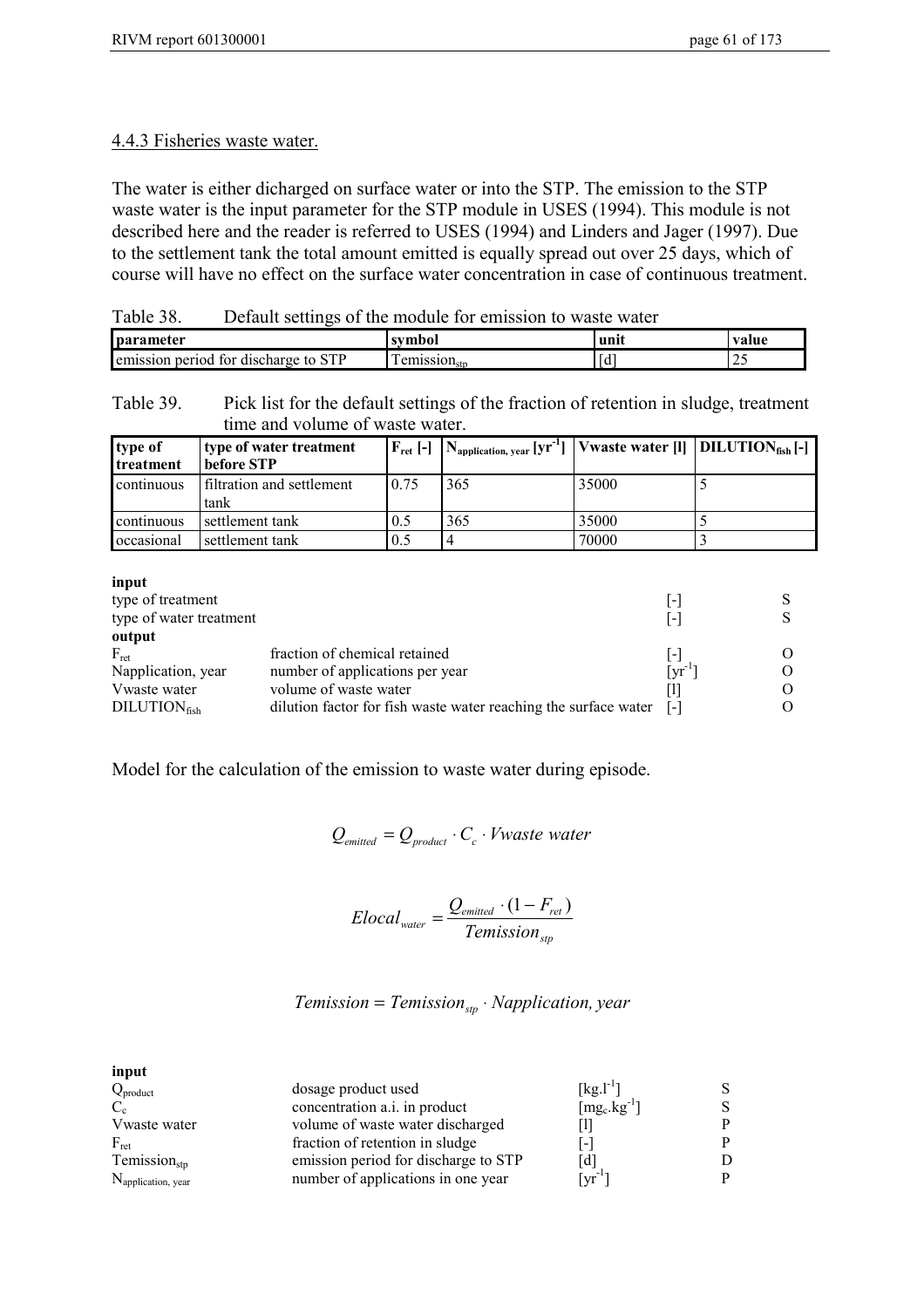#### 4.4.3 Fisheries waste water.

The water is either dicharged on surface water or into the STP. The emission to the STP waste water is the input parameter for the STP module in USES (1994). This module is not described here and the reader is referred to USES (1994) and Linders and Jager (1997). Due to the settlement tank the total amount emitted is equally spread out over 25 days, which of course will have no effect on the surface water concentration in case of continuous treatment.

Table 38. Default settings of the module for emission to waste water

| <b>I</b> parameter                                          | svmbol                                                             | иш | value |
|-------------------------------------------------------------|--------------------------------------------------------------------|----|-------|
| <b>STP</b><br>r for<br>period<br>discharge to .<br>emission | 11 P P 1 O 11<br>emissi<br>$ \vee$ $\perp$ $\perp$ of $\sim$<br>Sи |    | ر ب   |

Table 39. Pick list for the default settings of the fraction of retention in sludge, treatment time and volume of waste water.

| type of<br>l treatment | type of water treatment<br>  before STP- | $F_{\text{ret}}$ [-] | $\left  N_{\text{application, year}} \left[ \text{yr}^{-1} \right] \right $ Vwaste water [1]   DILUTION <sub>fish</sub> [-1 |       |  |
|------------------------|------------------------------------------|----------------------|-----------------------------------------------------------------------------------------------------------------------------|-------|--|
| continuous             | <b>filtration and settlement</b><br>tank | 0.75                 | 365                                                                                                                         | 35000 |  |
| continuous             | settlement tank                          | 0.5                  | 365                                                                                                                         | 35000 |  |
| occasional             | settlement tank                          | 0.5                  |                                                                                                                             | 70000 |  |

| input                   |                                                                 |                           |  |
|-------------------------|-----------------------------------------------------------------|---------------------------|--|
| type of treatment       |                                                                 | $\overline{\phantom{a}}$  |  |
| type of water treatment |                                                                 | $\vert$ – $\vert$         |  |
| output                  |                                                                 |                           |  |
| $F_{\text{ret}}$        | fraction of chemical retained                                   | l-l                       |  |
| Napplication, year      | number of applications per year                                 | $\lceil \text{vr} \rceil$ |  |
| Vwaste water            | volume of waste water                                           |                           |  |
| $DILLUTION_{fish}$      | dilution factor for fish waste water reaching the surface water | - [-]                     |  |
|                         |                                                                 |                           |  |

Model for the calculation of the emission to waste water during episode.

 $Q_{emitted} = Q_{product} \cdot C_c \cdot Vwaste water$ 

$$
Elocal_{\text{water}} = \frac{Q_{\text{emitted}} \cdot (1 - F_{\text{ret}})}{T \text{emission}_{\text{stp}}}
$$

*Temission* = *Temission*<sub>stp</sub>  $\cdot$  *Napplication, year* 

| input                          |                                      |                                           |   |
|--------------------------------|--------------------------------------|-------------------------------------------|---|
| $Q_{product}$                  | dosage product used                  | $[kg.1^{-1}]$                             |   |
|                                | concentration a.i. in product        | $\lceil \text{mg}_c.\text{kg}^{-1}\rceil$ | S |
| Vwaste water                   | volume of waste water discharged     |                                           | P |
| $F_{\text{ret}}$               | fraction of retention in sludge      | $\overline{\phantom{a}}$                  | p |
| $T$ emission <sub>stp</sub>    | emission period for discharge to STP | $\lceil d \rceil$                         |   |
| N <sub>application, year</sub> | number of applications in one year   | $\mathrm{Tr}^{-1}$                        | D |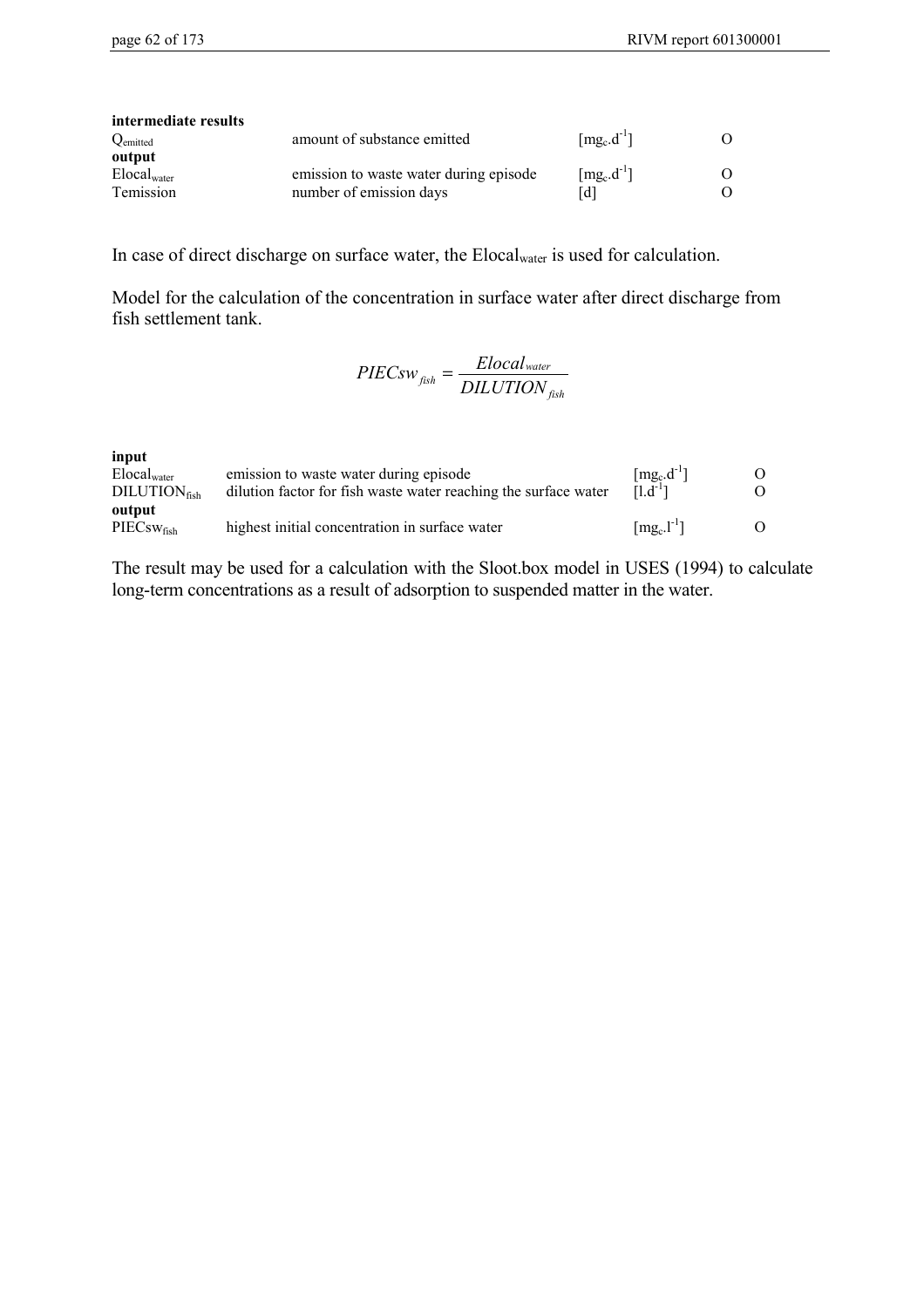| intermediate results |                                        |                                          |          |
|----------------------|----------------------------------------|------------------------------------------|----------|
| Qemitted             | amount of substance emitted            | $\lceil \text{mg}_c \cdot d^{-1} \rceil$ | $\Omega$ |
| output               |                                        |                                          |          |
| $Elocal_{water}$     | emission to waste water during episode | $[mg_c.d^{-1}]$                          | 0        |
| Temission            | number of emission days                | [d]                                      |          |

In case of direct discharge on surface water, the Elocalwater is used for calculation.

Model for the calculation of the concentration in surface water after direct discharge from fish settlement tank.

$$
PIECsw_{\text{fish}} = \frac{Elocal_{\text{water}}}{DILUTION_{\text{fish}}}
$$

**input**

| ----<br>$Elocal_{water}$<br>$\rm DILUTION_{\rm fish}$ | emission to waste water during episode<br>dilution factor for fish waste water reaching the surface water | $\lceil \text{mg}_c \cdot d^{-1} \rceil$<br>$[1.d^{-1}]$ |  |
|-------------------------------------------------------|-----------------------------------------------------------------------------------------------------------|----------------------------------------------------------|--|
| output<br>$\rm{PIECsw_{\rm{fish}}}$                   | highest initial concentration in surface water                                                            | $\lceil \text{mg}_c \cdot \text{l}^{-1} \rceil$          |  |

The result may be used for a calculation with the Sloot.box model in USES (1994) to calculate long-term concentrations as a result of adsorption to suspended matter in the water.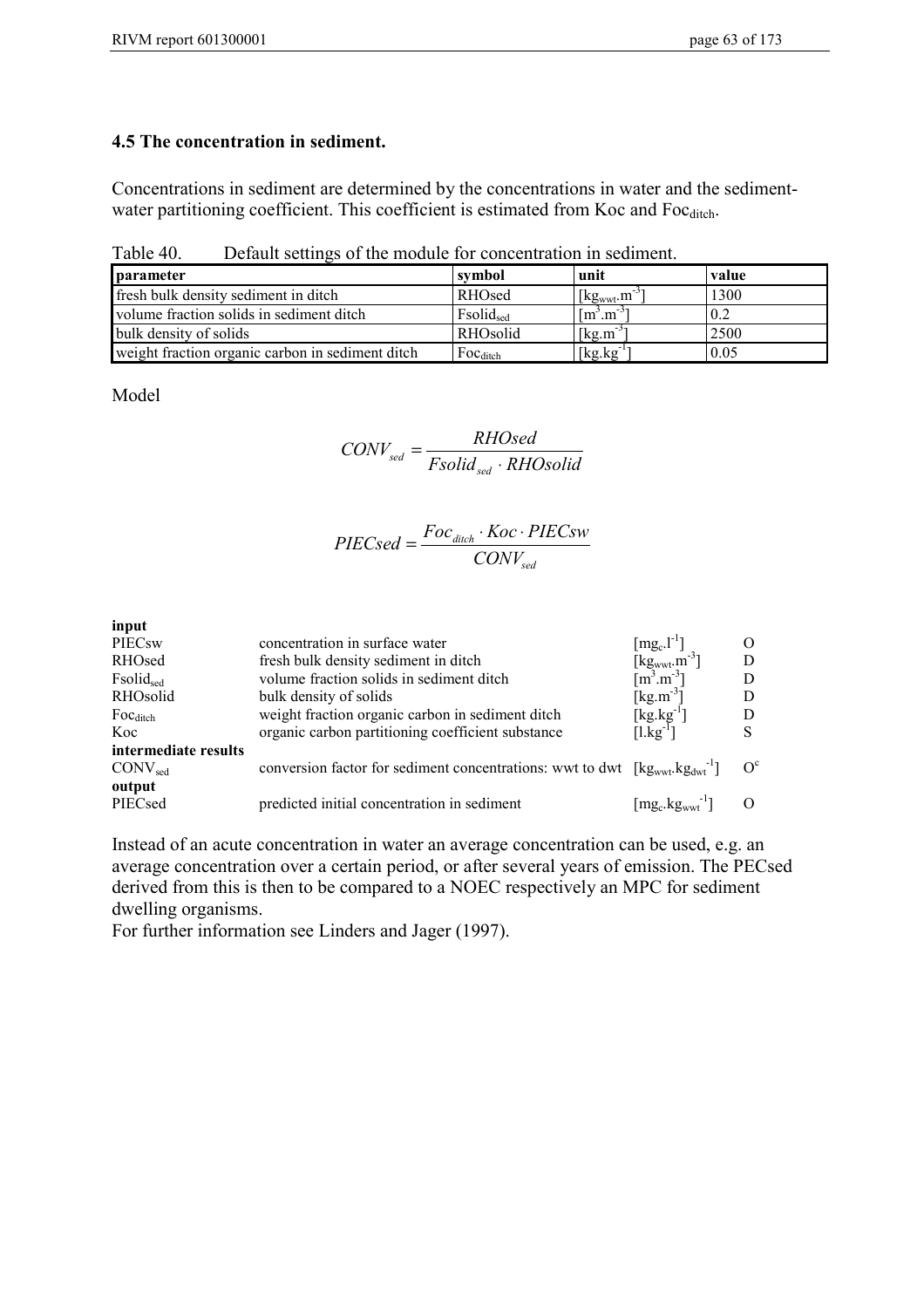Concentrations in sediment are determined by the concentrations in water and the sedimentwater partitioning coefficient. This coefficient is estimated from Koc and Focditch.

| Table 40. | Default settings of the module for concentration in sediment. |  |
|-----------|---------------------------------------------------------------|--|
|           |                                                               |  |

| <b>I</b> parameter                               | symbol               | unit                     | value |
|--------------------------------------------------|----------------------|--------------------------|-------|
| fresh bulk density sediment in ditch             | RHOsed               | $[kg_{wwt}.m^{-3}]$      | 1300  |
| volume fraction solids in sediment ditch         | Fsolidsed            | $\mathrm{[m^3,m^{--1}]}$ |       |
| bulk density of solids                           | RHOsolid             | $[kg.m^{-3}]$            | 2500  |
| weight fraction organic carbon in sediment ditch | $Foc_{\text{ditch}}$ | [kg.kg]                  | 0.05  |

Model

$$
CONV_{sed} = \frac{RHOsed}{Fsolid_{sed} \cdot RHOsolid}
$$

$$
PIECsed = \frac{Foc_{\text{dict}} \cdot Koc \cdot PIECsw}{CONV_{\text{sed}}}
$$

| concentration in surface water                    | $[mg_c.l^{-1}]$     |                                                                                                                                                                                                                           |
|---------------------------------------------------|---------------------|---------------------------------------------------------------------------------------------------------------------------------------------------------------------------------------------------------------------------|
| fresh bulk density sediment in ditch              |                     |                                                                                                                                                                                                                           |
| volume fraction solids in sediment ditch          |                     |                                                                                                                                                                                                                           |
| bulk density of solids                            | [ $kg.m^{-3}$ ]     |                                                                                                                                                                                                                           |
| weight fraction organic carbon in sediment ditch  | $[kg.kg^{-1}]$      |                                                                                                                                                                                                                           |
| organic carbon partitioning coefficient substance |                     | S                                                                                                                                                                                                                         |
|                                                   |                     |                                                                                                                                                                                                                           |
|                                                   |                     | $\Omega^c$                                                                                                                                                                                                                |
|                                                   |                     |                                                                                                                                                                                                                           |
| predicted initial concentration in sediment       | $[mg_c.kgwwt^{-1}]$ |                                                                                                                                                                                                                           |
|                                                   |                     | $\left[\text{kg}_{\text{wwt}}\text{.m}^{-3}\right]$<br>$\left[\text{m}^{3}\text{.m}^{-3}\right]$<br>$[1 \text{kg}^{-1}]$<br>conversion factor for sediment concentrations: wwt to dwt $[\text{kg}_{wwt}.\text{kg}_{dwt}]$ |

Instead of an acute concentration in water an average concentration can be used, e.g. an average concentration over a certain period, or after several years of emission. The PECsed derived from this is then to be compared to a NOEC respectively an MPC for sediment dwelling organisms.

For further information see Linders and Jager (1997).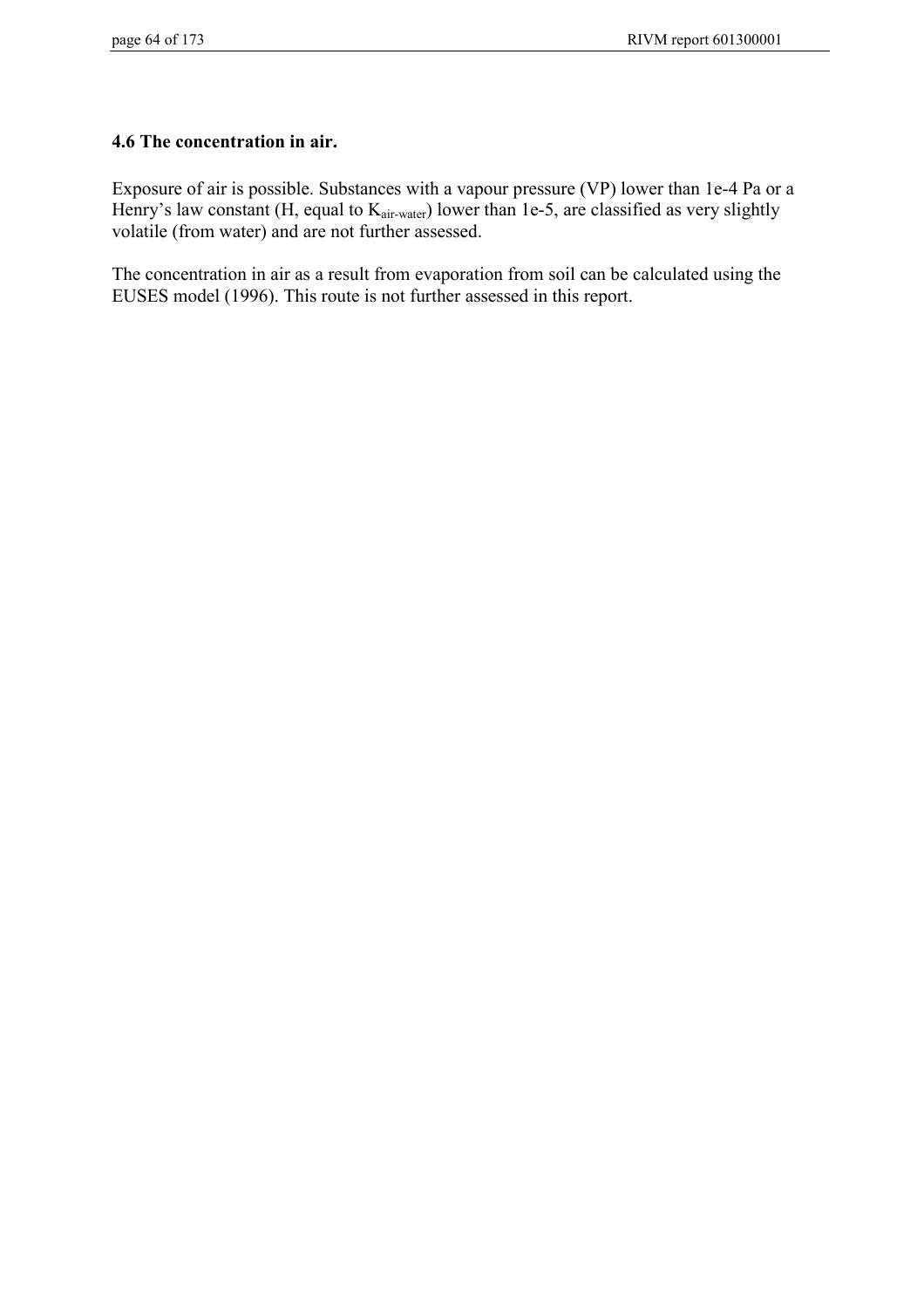## **4.6 The concentration in air.**

Exposure of air is possible. Substances with a vapour pressure (VP) lower than 1e-4 Pa or a Henry's law constant (H, equal to K<sub>air-water</sub>) lower than 1e-5, are classified as very slightly volatile (from water) and are not further assessed.

The concentration in air as a result from evaporation from soil can be calculated using the EUSES model (1996). This route is not further assessed in this report.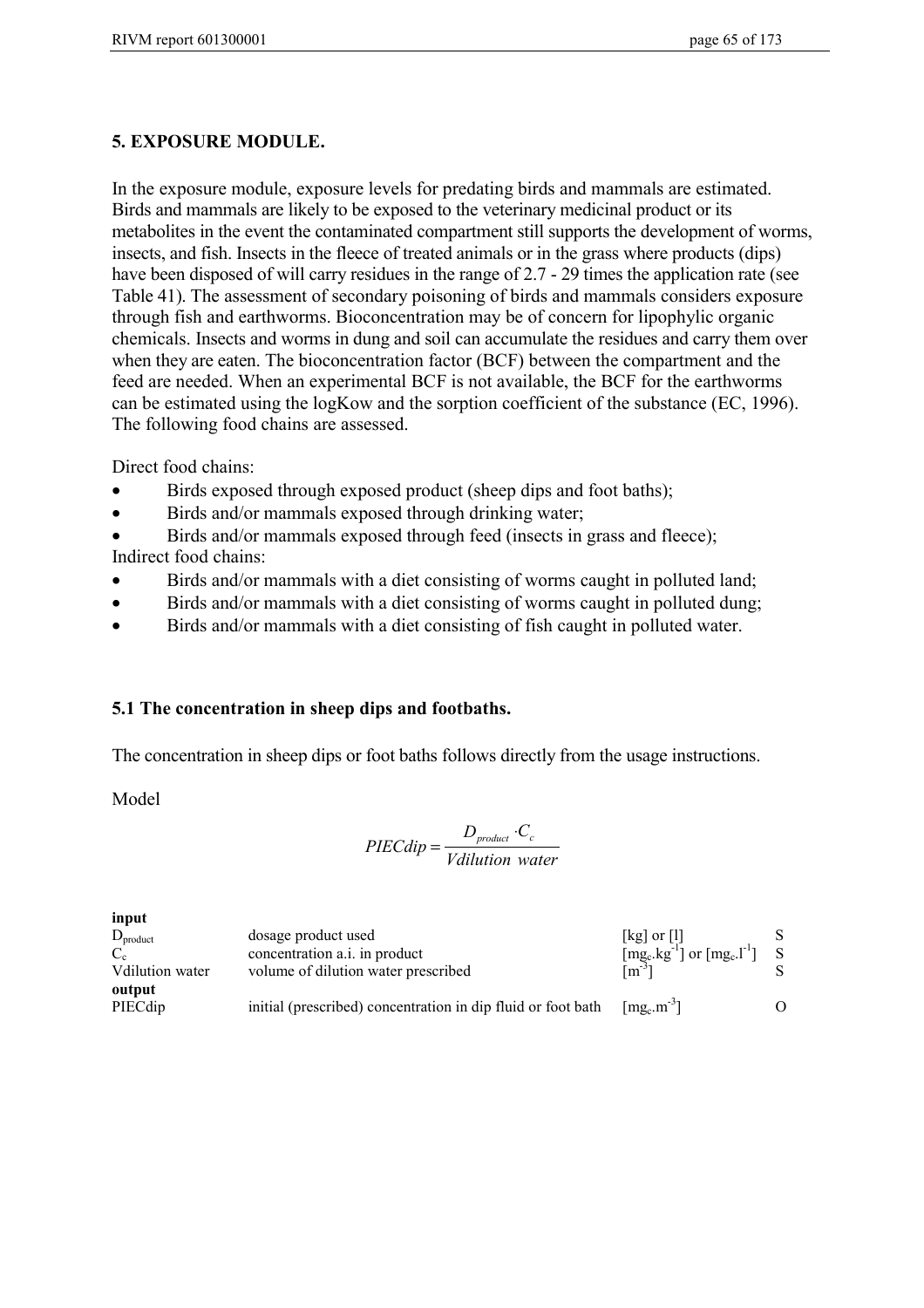## **5. EXPOSURE MODULE.**

In the exposure module, exposure levels for predating birds and mammals are estimated. Birds and mammals are likely to be exposed to the veterinary medicinal product or its metabolites in the event the contaminated compartment still supports the development of worms, insects, and fish. Insects in the fleece of treated animals or in the grass where products (dips) have been disposed of will carry residues in the range of 2.7 - 29 times the application rate (see Table 41). The assessment of secondary poisoning of birds and mammals considers exposure through fish and earthworms. Bioconcentration may be of concern for lipophylic organic chemicals. Insects and worms in dung and soil can accumulate the residues and carry them over when they are eaten. The bioconcentration factor (BCF) between the compartment and the feed are needed. When an experimental BCF is not available, the BCF for the earthworms can be estimated using the logKow and the sorption coefficient of the substance (EC, 1996). The following food chains are assessed.

Direct food chains:

- Birds exposed through exposed product (sheep dips and foot baths);
- Birds and/or mammals exposed through drinking water;
- Birds and/or mammals exposed through feed (insects in grass and fleece);

Indirect food chains:

- Birds and/or mammals with a diet consisting of worms caught in polluted land;
- Birds and/or mammals with a diet consisting of worms caught in polluted dung;
- Birds and/or mammals with a diet consisting of fish caught in polluted water.

## **5.1 The concentration in sheep dips and footbaths.**

The concentration in sheep dips or foot baths follows directly from the usage instructions.

Model

**input**

$$
PIECdip = \frac{D_{product} \cdot C_c}{Vdilution\ water}
$$

| input           |                                                              |                                                                             |    |
|-----------------|--------------------------------------------------------------|-----------------------------------------------------------------------------|----|
| $D_{product}$   | dosage product used                                          | $[kg]$ or $[l]$                                                             |    |
| $C_{c}$         | concentration a.i. in product                                | [mg <sub>c</sub> .kg <sup>-1</sup> ] or [mg <sub>c</sub> .l <sup>-1</sup> ] | -S |
| Vdilution water | volume of dilution water prescribed                          | $\lceil m^{-3} \rceil$                                                      |    |
| output          |                                                              |                                                                             |    |
| PIECdip         | initial (prescribed) concentration in dip fluid or foot bath | $\left[\text{mg}_c \cdot \text{m}^{-3}\right]$                              |    |
|                 |                                                              |                                                                             |    |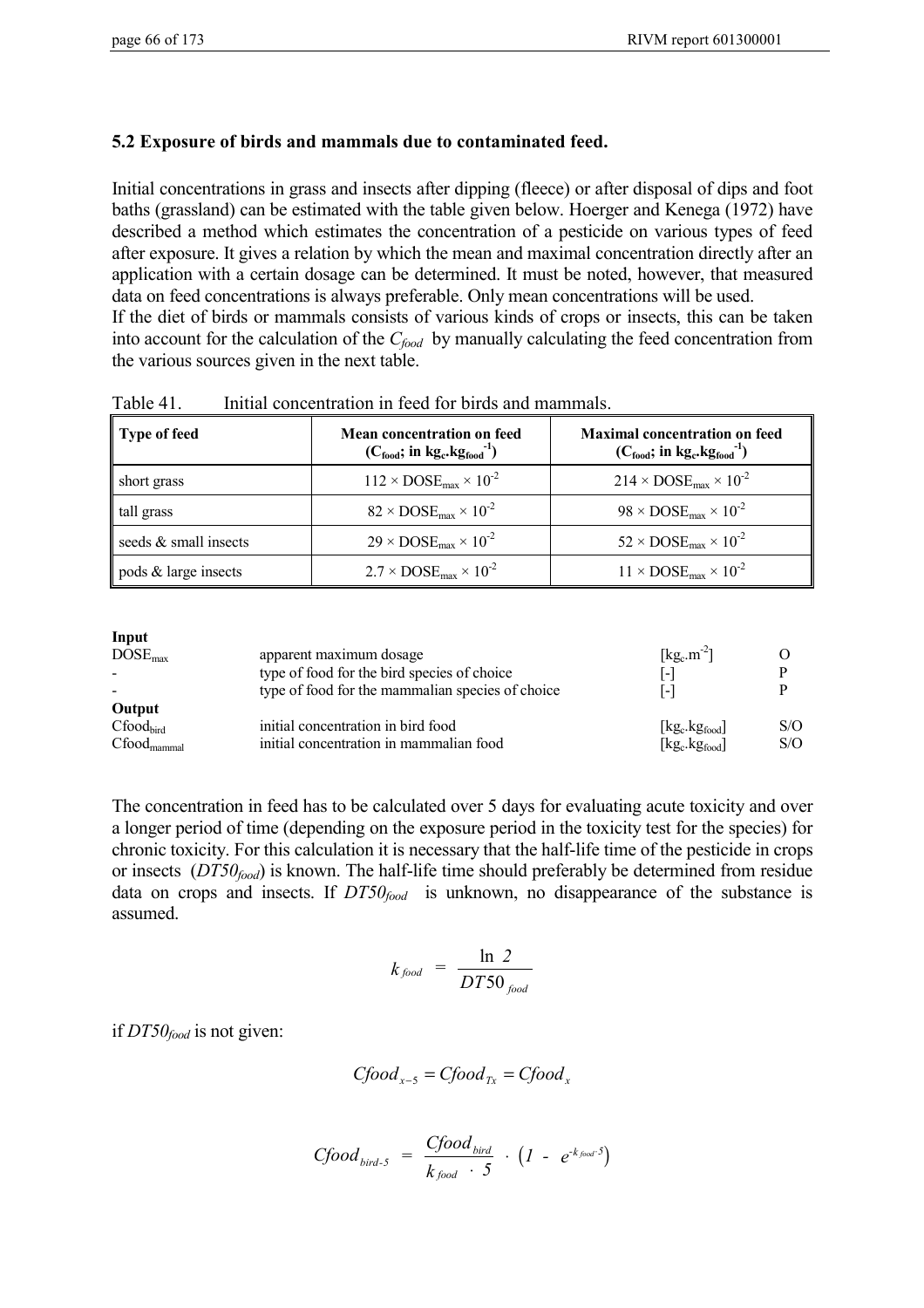## **5.2 Exposure of birds and mammals due to contaminated feed.**

Initial concentrations in grass and insects after dipping (fleece) or after disposal of dips and foot baths (grassland) can be estimated with the table given below. Hoerger and Kenega (1972) have described a method which estimates the concentration of a pesticide on various types of feed after exposure. It gives a relation by which the mean and maximal concentration directly after an application with a certain dosage can be determined. It must be noted, however, that measured data on feed concentrations is always preferable. Only mean concentrations will be used. If the diet of birds or mammals consists of various kinds of crops or insects, this can be taken into account for the calculation of the  $C_{food}$  by manually calculating the feed concentration from the various sources given in the next table.

| Type of feed          | Mean concentration on feed<br>$(C_{\text{food}}; \text{ in } \text{kg}_{\text{c}} \cdot \text{kg}_{\text{food}}^{-1})$ | <b>Maximal concentration on feed</b><br>$(C_{\text{food}}; \text{ in } \text{kg}_{\text{c}} \text{kg}_{\text{food}}^{-1})$ |
|-----------------------|------------------------------------------------------------------------------------------------------------------------|----------------------------------------------------------------------------------------------------------------------------|
| short grass           | $112 \times DOSE_{\text{max}} \times 10^{-2}$                                                                          | $214 \times DOSE_{\text{max}} \times 10^{-2}$                                                                              |
| tall grass            | $82 \times DOSE_{\text{max}} \times 10^{-2}$                                                                           | $98 \times DOSE_{\text{max}} \times 10^{-2}$                                                                               |
| seeds & small insects | $29 \times DOSE_{\text{max}} \times 10^{-2}$                                                                           | $52 \times DOSE_{\text{max}} \times 10^{-2}$                                                                               |
| pods & large insects  | $2.7 \times DOSE_{\text{max}} \times 10^{-2}$                                                                          | $11 \times \text{DOSE}_{\text{max}} \times 10^{-2}$                                                                        |

Table 41. Initial concentration in feed for birds and mammals.

#### **Input**

| <b>III</b> put<br>DOSE <sub>max</sub>                         | apparent maximum dosage<br>type of food for the bird species of choice<br>type of food for the mammalian species of choice | $\lceil \text{kg}_c \cdot \text{m}^{-2} \rceil$<br>1 – I<br>l – l               |            |
|---------------------------------------------------------------|----------------------------------------------------------------------------------------------------------------------------|---------------------------------------------------------------------------------|------------|
| Output<br>$C$ food <sub>bird</sub><br>$Cfood_{\text{mammal}}$ | initial concentration in bird food<br>initial concentration in mammalian food                                              | $[kg_c.kg_{food}]$<br>$\lceil \text{kg}_c \cdot \text{kg}_{\text{food}} \rceil$ | S/O<br>S/O |

The concentration in feed has to be calculated over 5 days for evaluating acute toxicity and over a longer period of time (depending on the exposure period in the toxicity test for the species) for chronic toxicity. For this calculation it is necessary that the half-life time of the pesticide in crops or insects (*DT50food*) is known. The half-life time should preferably be determined from residue data on crops and insects. If  $DT50<sub>food</sub>$  is unknown, no disappearance of the substance is assumed.

$$
k_{\text{food}} = \frac{\ln 2}{DT50_{\text{food}}}
$$

if *DT50food* is not given:

$$
Cfood_{x-5} = Cfood_{Tx} = Cfood_x
$$

$$
C \text{food}_{\text{bird-5}} = \frac{\text{C} \text{food}_{\text{bird}}}{k_{\text{food}} \cdot 5} \cdot (1 - e^{-k_{\text{food}} \cdot 5})
$$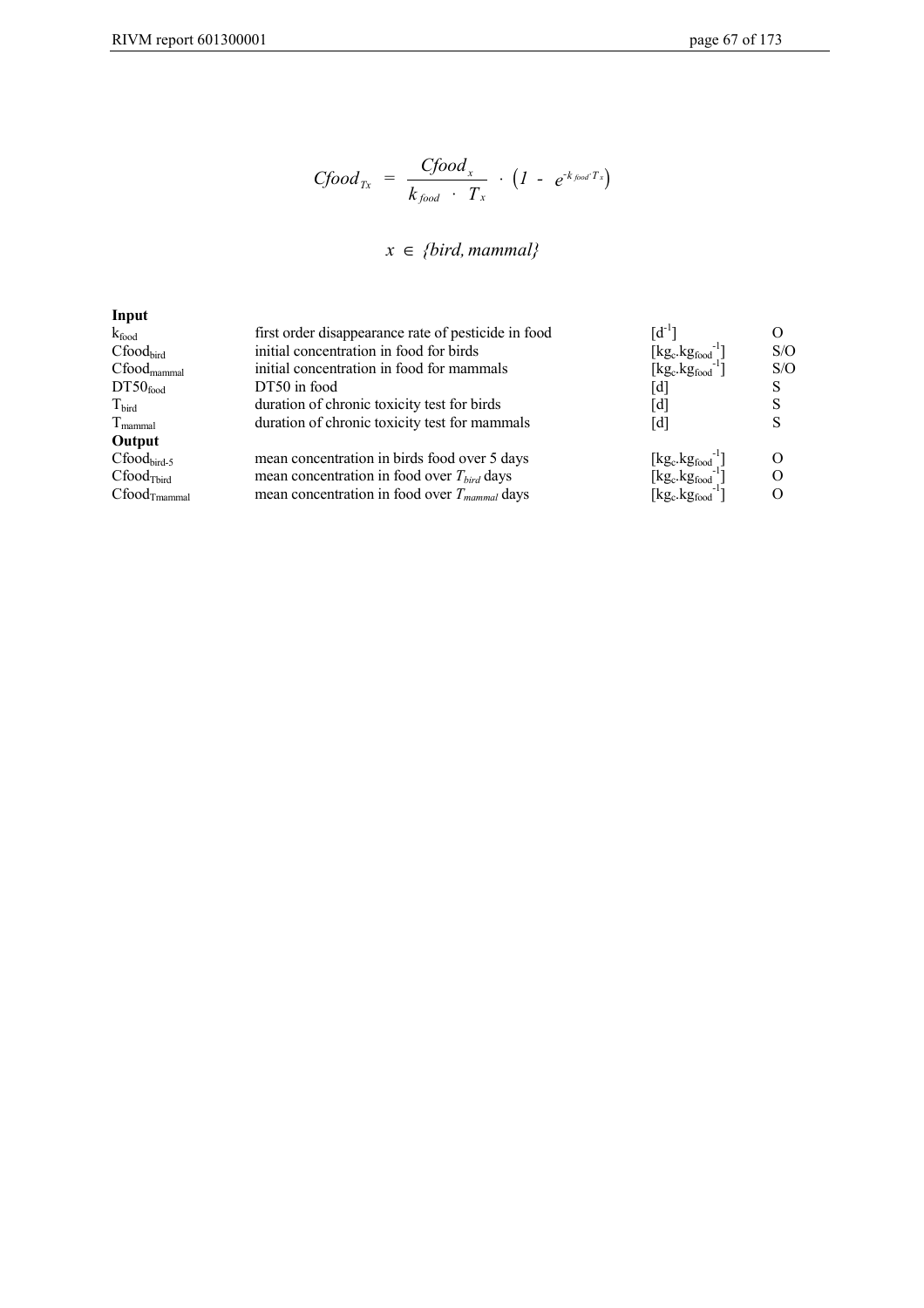$$
C \text{food}_{Tx} = \frac{C \text{food}_{x}}{k_{\text{food}} \cdot T_{x}} \cdot (1 - e^{-k_{\text{food}} T_{x}})
$$

#### *x {bird, mammal}* ∈

| Input                        |                                                     |                            |     |
|------------------------------|-----------------------------------------------------|----------------------------|-----|
| $k_{\text{food}}$            | first order disappearance rate of pesticide in food | $[d^{-1}]$                 |     |
| Cfood <sub>bird</sub>        | initial concentration in food for birds             | $[kg_c.kg_{food}]$         | S/O |
| $Cfood_{\text{mammal}}$      | initial concentration in food for mammals           | $[kg_c.kg_{food}^{-1}]$    | S/O |
| DT50 <sub>food</sub>         | DT50 in food                                        | d                          | S   |
| $T_{\text{bird}}$            | duration of chronic toxicity test for birds         | [d]                        |     |
| $T_{\text{mammal}}$          | duration of chronic toxicity test for mammals       | $\left[ \textrm{d}\right]$ | S   |
| Output                       |                                                     |                            |     |
| $Cfood_{bird-5}$             | mean concentration in birds food over 5 days        | $[kg_c.kg_{food}]$         |     |
| Cfood <sub>Tbird</sub>       | mean concentration in food over $T_{bird}$ days     | $[kg_c.kg_{food}]$         |     |
| $C$ food $_{\text{Imammal}}$ | mean concentration in food over $T_{mammal}$ days   | $[kg_c.kg_{food}]$         |     |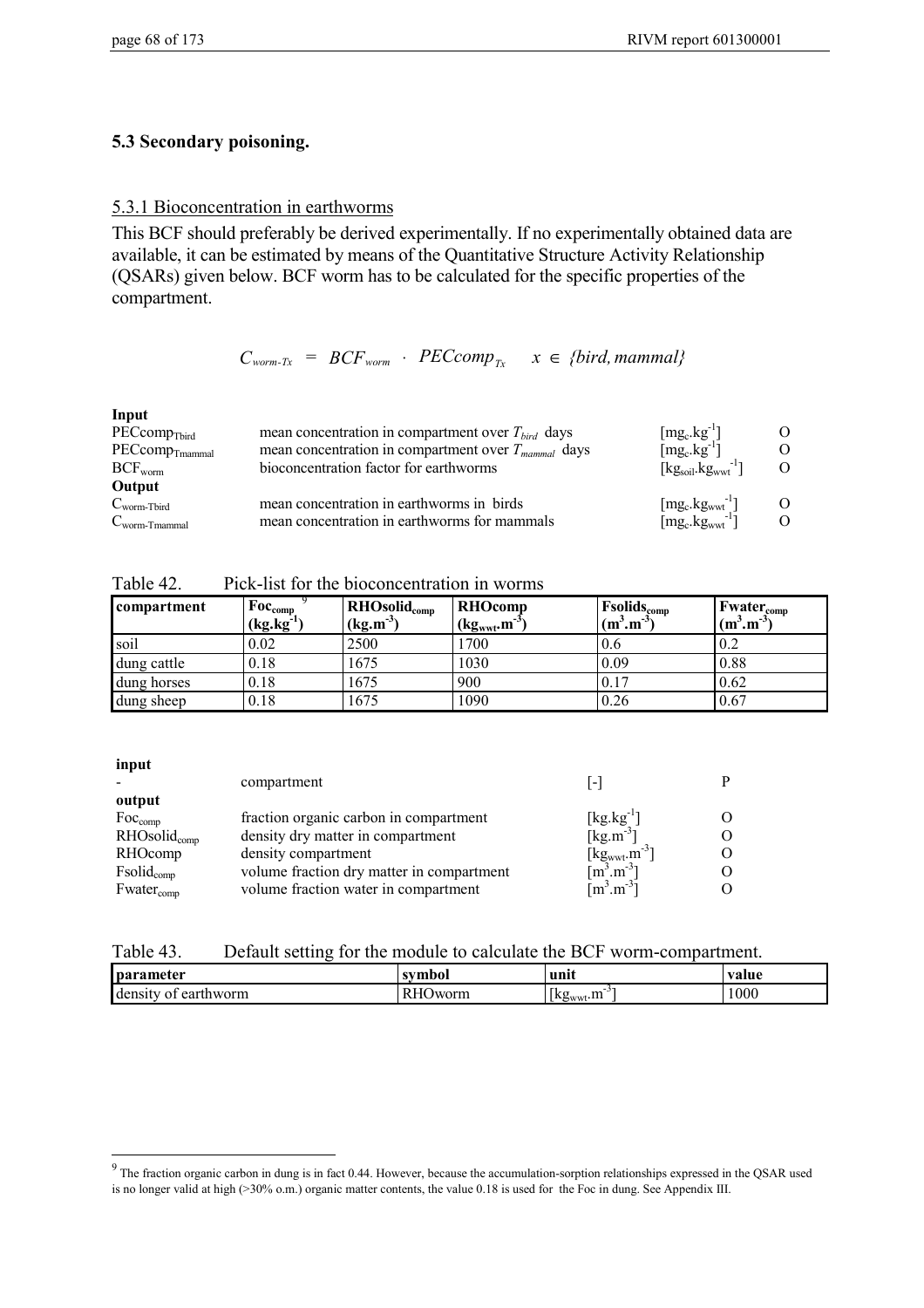## **5.3 Secondary poisoning.**

#### 5.3.1 Bioconcentration in earthworms

This BCF should preferably be derived experimentally. If no experimentally obtained data are available, it can be estimated by means of the Quantitative Structure Activity Relationship (QSARs) given below. BCF worm has to be calculated for the specific properties of the compartment.

$$
C_{worm-Tx} = BCF_{worm} \cdot PECcomp_{Tx} \quad x \in \{bird, mammal\}
$$

| Input                     |                                                          |                     |  |
|---------------------------|----------------------------------------------------------|---------------------|--|
| $PEComp_{Tbird}$          | mean concentration in compartment over $T_{bird}$ days   | $[mg_c.kg^{-1}]$    |  |
| $PECcomp_{Tmammal}$       | mean concentration in compartment over $T_{mammal}$ days | $[mg_c.kg^{-1}]$    |  |
| $BCF_{\text{worm}}$       | bioconcentration factor for earthworms                   | $[kgsoil.kgww-1]$   |  |
| Output                    |                                                          |                     |  |
| $C_{\text{worm-Tbird}}$   | mean concentration in earthworms in birds                | $[mg_c.kgwwt^{-1}]$ |  |
| $C_{\text{worm-Tmammal}}$ | mean concentration in earthworms for mammals             | $[mg_c.kgwwt-1]$    |  |

| Table 42. |  | Pick-list for the bioconcentration in worms |  |  |
|-----------|--|---------------------------------------------|--|--|
|           |  |                                             |  |  |

| <b>compartment</b> | $F_{\rm 0C_{comp}}$<br>$(kg.kg^{-1})$ | $RHOsolid$ <sub>comp</sub><br>$(kg.m^{-3})$ | <b>RHOcomp</b><br>$(kg_{wwt}.m^{-3})$ | <b>Fsolidscomp</b><br>$(m^3, m^{-3})$ | $ Fwater_{comp} $<br>$(m^3, m^{-3})$ |
|--------------------|---------------------------------------|---------------------------------------------|---------------------------------------|---------------------------------------|--------------------------------------|
| soil               | 0.02                                  | 2500                                        | 1700                                  | 0.6                                   | 0.2                                  |
| dung cattle        | 0.18                                  | 1675                                        | 1030                                  | 0.09                                  | 0.88                                 |
| dung horses        | 0.18                                  | 1675                                        | 900                                   | 0.17                                  | 0.62                                 |
| dung sheep         | 0.18                                  | 1675                                        | 1090                                  | 0.26                                  | 0.67                                 |

#### **input**

| compartment                               | $\overline{\phantom{a}}$                       |                                 |
|-------------------------------------------|------------------------------------------------|---------------------------------|
|                                           |                                                |                                 |
| fraction organic carbon in compartment    | $\lceil \text{kg} \cdot \text{kg}^{-1} \rceil$ |                                 |
| density dry matter in compartment         | $\lceil \text{kg} \cdot \text{m}^{-3} \rceil$  |                                 |
| density compartment                       |                                                |                                 |
| volume fraction dry matter in compartment |                                                |                                 |
| volume fraction water in compartment      | $\lceil m^3 \cdot m^{-3} \rceil$               |                                 |
|                                           |                                                | $[kgwwt.m-3]$<br>$[m^3.m^{-3}]$ |

| Table 43. |  | Default setting for the module to calculate the BCF worm-compartment. |
|-----------|--|-----------------------------------------------------------------------|
|           |  |                                                                       |

| parameter | symbol        | unn            | value |
|-----------|---------------|----------------|-------|
| dens1     | D             |                | 1000  |
| earthworm | <b>D</b> worm |                |       |
| $\Delta$  | г.            | $\{kg_{wwt}.m$ |       |

<sup>&</sup>lt;sup>9</sup><br><sup>9</sup> The fraction organic carbon in dung is in fact 0.44. However, because the accumulation-sorption relationships expressed in the QSAR used is no longer valid at high (>30% o.m.) organic matter contents, the value 0.18 is used for the Foc in dung. See Appendix III.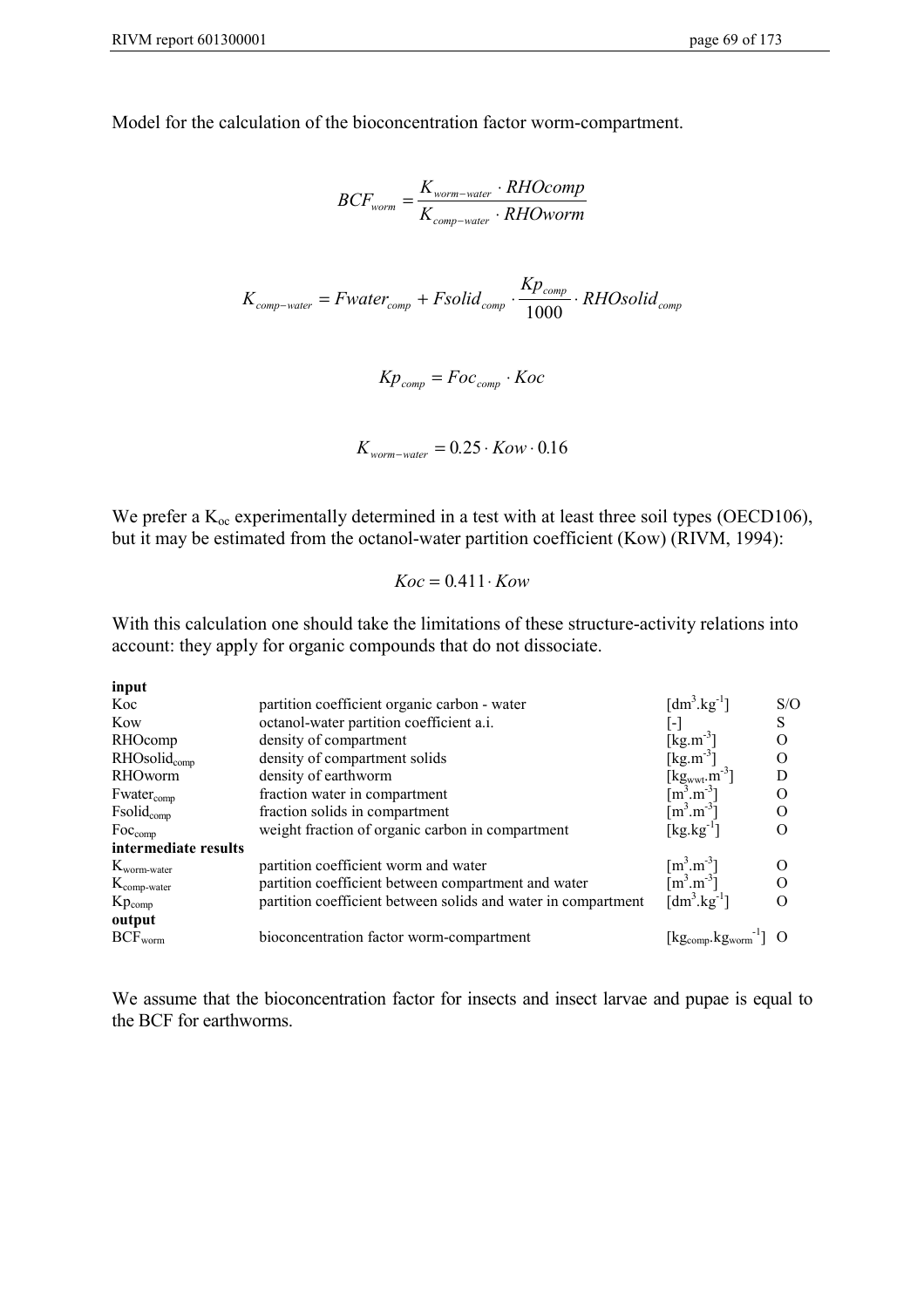Model for the calculation of the bioconcentration factor worm-compartment.

$$
BCF_{worm} = \frac{K_{worm-water} \cdot RHOcomp}{K_{comp-water} \cdot RHOworm}
$$
  

$$
K_{comp-water} = Fwater_{comp} + Fsolid_{comp} \cdot \frac{Kp_{comp}}{1000} \cdot RHOsolid_{comp}
$$
  

$$
Kp_{comp} = Foc_{comp} \cdot Koc
$$

$$
K_{\text{worm-water}} = 0.25 \cdot \text{Kow} \cdot 0.16
$$

We prefer a  $K_{\text{oc}}$  experimentally determined in a test with at least three soil types (OECD106), but it may be estimated from the octanol-water partition coefficient (Kow) (RIVM, 1994):

$$
Koc = 0.411 \cdot Kow
$$

With this calculation one should take the limitations of these structure-activity relations into account: they apply for organic compounds that do not dissociate.

**input**

| Koc                        | partition coefficient organic carbon - water                  | $\left[\text{dm}^3.\text{kg}^{-1}\right]$                                     | S/O      |
|----------------------------|---------------------------------------------------------------|-------------------------------------------------------------------------------|----------|
| Kow                        | octanol-water partition coefficient a.i.                      |                                                                               | S        |
| RHOcomp                    | density of compartment                                        | $[kg.m^{-3}]$                                                                 | О        |
| $RHOsolid_{comp}$          | density of compartment solids                                 | $\left[\text{kg}.\text{m}^3\right]$                                           |          |
| <b>RHOworm</b>             | density of earthworm                                          | $\begin{bmatrix} \text{kg}_{\text{wwt}} m^3 \\ \text{fm}^3.m^3 \end{bmatrix}$ | D        |
| $Fwater_{comp}$            | fraction water in compartment                                 |                                                                               | $\Omega$ |
| Fsolid <sub>comp</sub>     | fraction solids in compartment                                | $\lceil m^3.m^{-3} \rceil$                                                    |          |
| $\text{Foc}_{\text{comp}}$ | weight fraction of organic carbon in compartment              | $[\rm kg.kg^{-1}]$                                                            |          |
| intermediate results       |                                                               |                                                                               |          |
| $K_{\text{worm-water}}$    | partition coefficient worm and water                          | $\left[\text{m}^3.\text{m}^3\right]$<br>$\left[\text{m}^3.\text{m}^3\right]$  |          |
| $K_{\text{comp-water}}$    | partition coefficient between compartment and water           |                                                                               | $\Omega$ |
| $Kp_{comp}$                | partition coefficient between solids and water in compartment | [dm <sup>3</sup> .kg <sup>-1</sup> ]                                          |          |
| output                     |                                                               |                                                                               |          |
| $BCF_{worm}$               | bioconcentration factor worm-compartment                      | $[kg_{comp}.kg_{worm}^{-1}]$ O                                                |          |

We assume that the bioconcentration factor for insects and insect larvae and pupae is equal to the BCF for earthworms.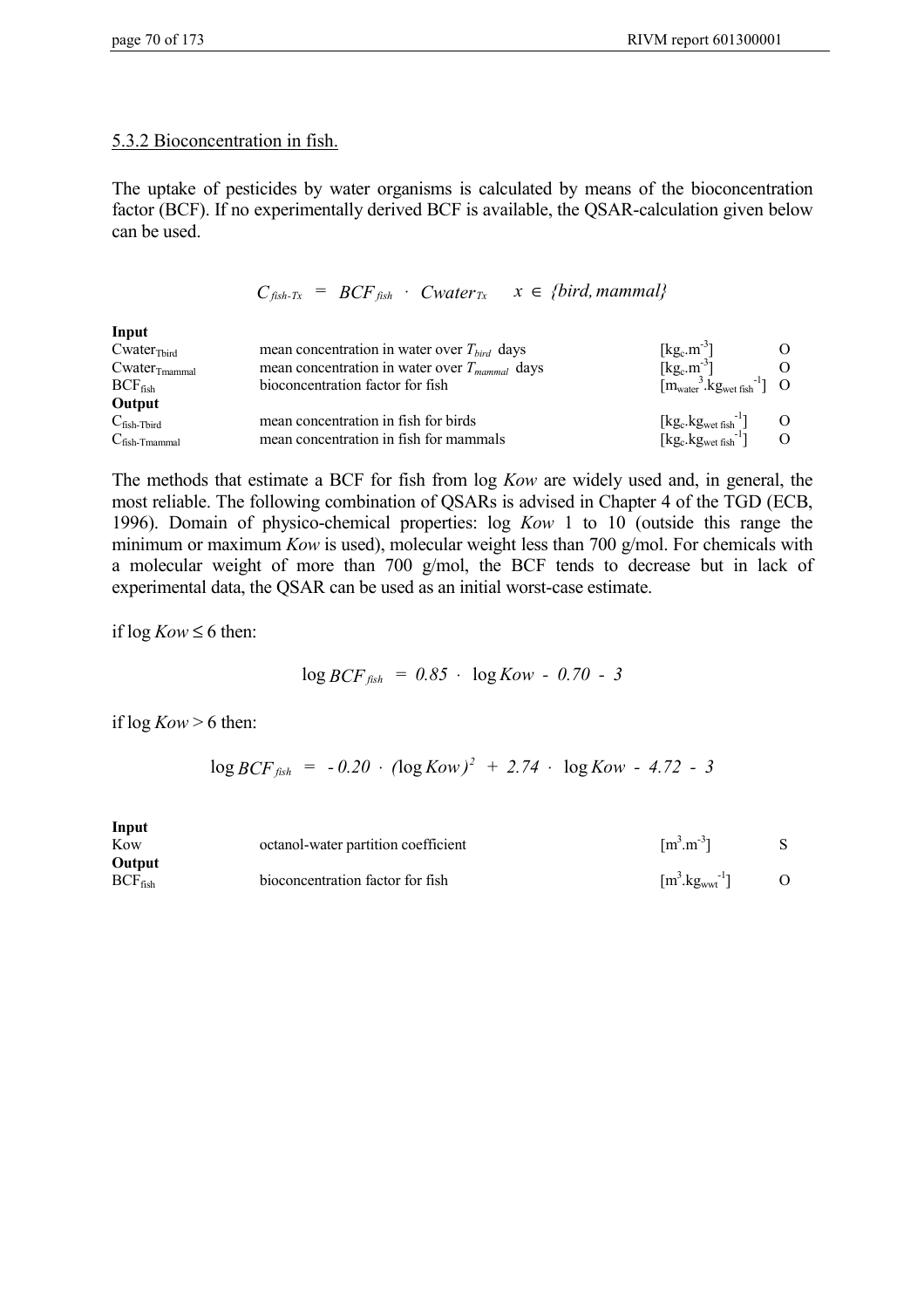**Input**

## 5.3.2 Bioconcentration in fish.

The uptake of pesticides by water organisms is calculated by means of the bioconcentration factor (BCF). If no experimentally derived BCF is available, the QSAR-calculation given below can be used.

 $C_{fish-Tx} = BCF_{fish} \cdot Cwater_{Tx} \quad x \in \{bird, mammal\}$ 

| mput                        |                                                    |                                                                                             |  |
|-----------------------------|----------------------------------------------------|---------------------------------------------------------------------------------------------|--|
| $Cwater$ <sub>Third</sub>   | mean concentration in water over $T_{bird}$ days   | $[kg_c.m^{-3}]$                                                                             |  |
| $Cwater$ <sub>Tmammal</sub> | mean concentration in water over $T_{mammal}$ days | $\lceil \text{kg}_c \cdot \text{m}^{-3} \rceil$                                             |  |
| $BCF_{fish}$                | bioconcentration factor for fish                   | $[mwater3$ $\cdot$ $kgwet fish-1]$ O                                                        |  |
| Output                      |                                                    |                                                                                             |  |
| $C_{fish-Tbird}$            | mean concentration in fish for birds               |                                                                                             |  |
| $C_{fish-Tmammal}$          | mean concentration in fish for mammals             | $[kg_c.kg_{wet fish}^{-1}]$ O<br>[kg <sub>c</sub> .kg <sub>wet fish</sub> <sup>-1</sup> ] O |  |

The methods that estimate a BCF for fish from log *Kow* are widely used and, in general, the most reliable. The following combination of QSARs is advised in Chapter 4 of the TGD (ECB, 1996). Domain of physico-chemical properties: log *Kow* 1 to 10 (outside this range the minimum or maximum *Kow* is used), molecular weight less than 700 g/mol. For chemicals with a molecular weight of more than 700 g/mol, the BCF tends to decrease but in lack of experimental data, the QSAR can be used as an initial worst-case estimate.

if  $log Kow \leq 6$  then:

$$
\log BCF_{fish} = 0.85 \cdot \log Kow - 0.70 - 3
$$

if  $log Kow > 6$  then:

$$
\log BCF_{fish} = -0.20 \cdot (\log Kow)^2 + 2.74 \cdot \log Kow - 4.72 - 3
$$

| Input        |                                     |                                                  |  |
|--------------|-------------------------------------|--------------------------------------------------|--|
| Kow          | octanol-water partition coefficient | $\lceil m^3 \cdot m^{-3} \rceil$                 |  |
| Output       |                                     |                                                  |  |
| $BCF_{fish}$ | bioconcentration factor for fish    | $\lceil m^3 \text{ kg}_{\text{wwt}}^{-1} \rceil$ |  |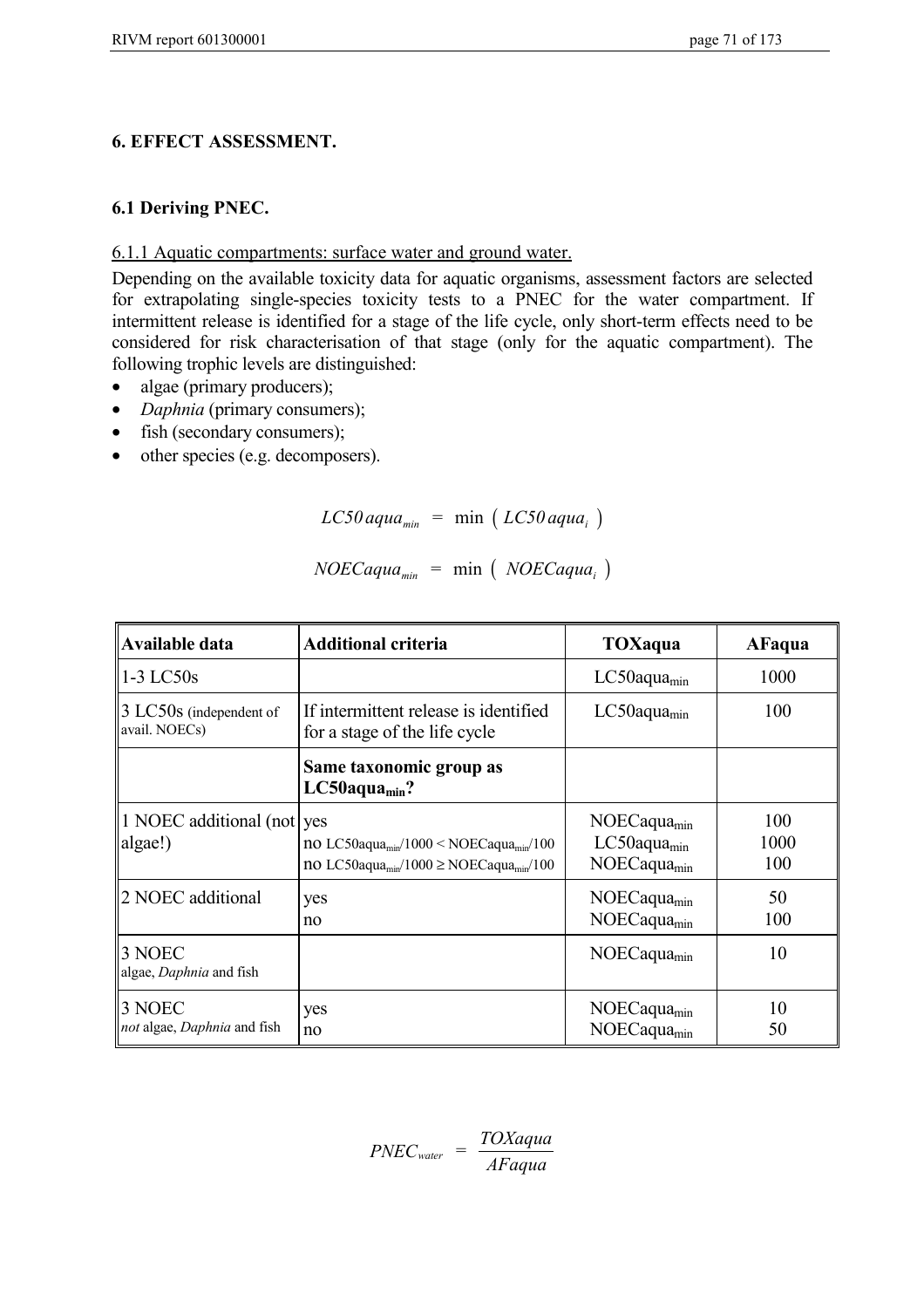# **6. EFFECT ASSESSMENT.**

## **6.1 Deriving PNEC.**

## 6.1.1 Aquatic compartments: surface water and ground water.

Depending on the available toxicity data for aquatic organisms, assessment factors are selected for extrapolating single-species toxicity tests to a PNEC for the water compartment. If intermittent release is identified for a stage of the life cycle, only short-term effects need to be considered for risk characterisation of that stage (only for the aquatic compartment). The following trophic levels are distinguished:

- algae (primary producers);
- *Daphnia* (primary consumers);
- fish (secondary consumers);
- other species (e.g. decomposers).

 $LC50$  *aqua*<sub>min</sub> = min ( $LC50$  *aqua*<sub>*i*</sub></sub>)

| Available data                           | <b>Additional criteria</b>                                                                                                              | TOXaqua                                                                       | AFaqua             |
|------------------------------------------|-----------------------------------------------------------------------------------------------------------------------------------------|-------------------------------------------------------------------------------|--------------------|
| $1-3$ LC $50s$                           |                                                                                                                                         | LC50aqua <sub>min</sub>                                                       | 1000               |
| 3 LC50s (independent of<br>avail. NOECs) | If intermittent release is identified<br>for a stage of the life cycle                                                                  | LC50aqua <sub>min</sub>                                                       | 100                |
|                                          | Same taxonomic group as<br>$LC50$ aqua <sub>min</sub> ?                                                                                 |                                                                               |                    |
| 1 NOEC additional (not ves<br>algae!)    | no LC50aqua <sub>min</sub> /1000 < NOECaqua <sub>min</sub> /100<br>no LC50aqua <sub>min</sub> /1000 $\geq$ NOECaqua <sub>min</sub> /100 | NOECaqua <sub>min</sub><br>LC50aqua <sub>min</sub><br>NOECaqua <sub>min</sub> | 100<br>1000<br>100 |
| 2 NOEC additional                        | yes<br>no                                                                                                                               | $NOECaquad_{min}$<br>NOECaqua <sub>min</sub>                                  | 50<br>100          |
| 3 NOEC<br>algae, Daphnia and fish        |                                                                                                                                         | $NOECaquad_{min}$                                                             | 10                 |
| 3 NOEC<br>not algae, Daphnia and fish    | yes<br>no                                                                                                                               | NOECaqua <sub>min</sub><br>NOECaqua <sub>min</sub>                            | 10<br>50           |

 $NOECaqua_{min} = min ( NOECaqua_i)$ 

*PNECwater = TOXaqua AFaqua*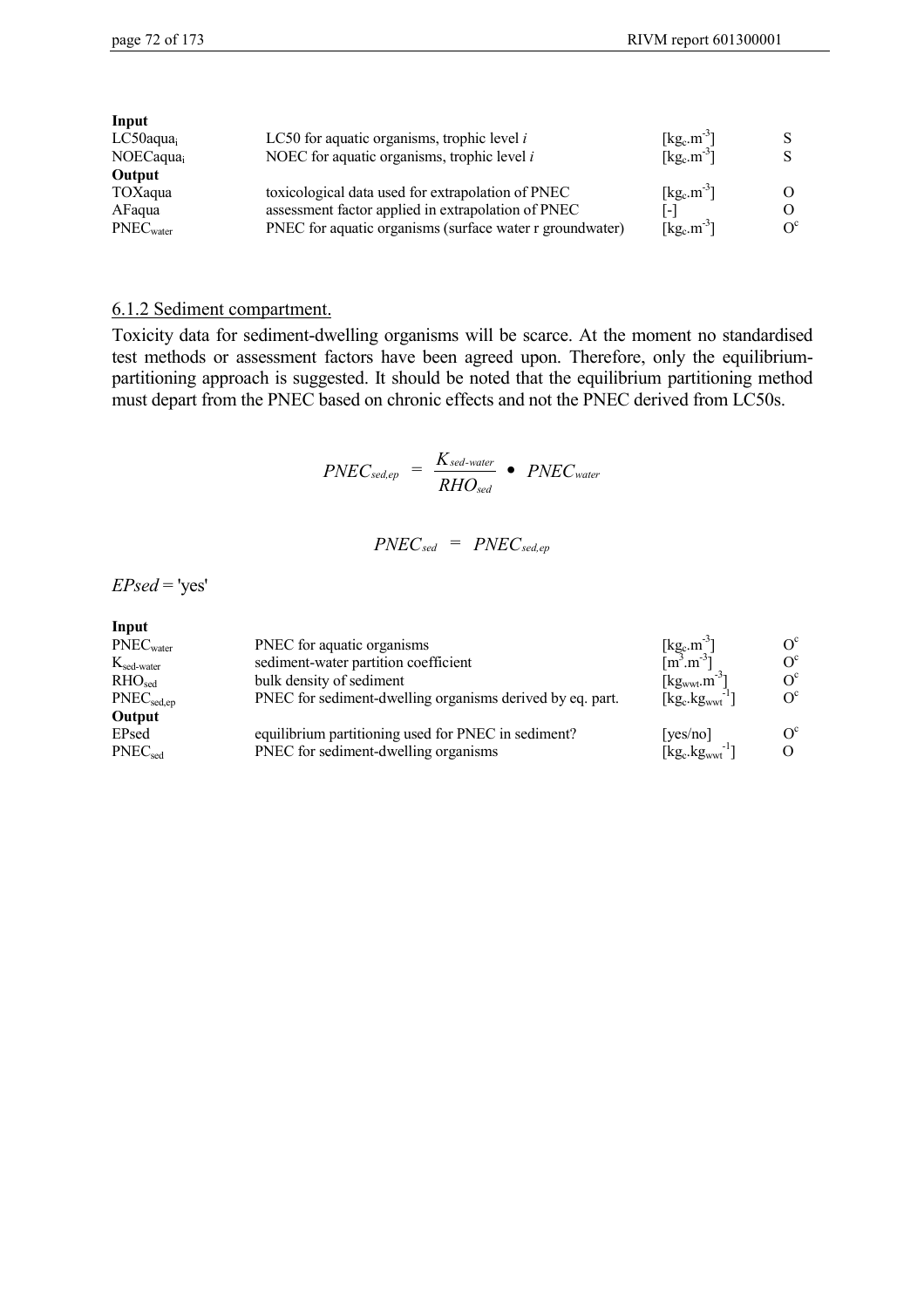| Input                    |                                                          |                                                 |            |
|--------------------------|----------------------------------------------------------|-------------------------------------------------|------------|
| $LC50$ aqua <sub>i</sub> | LC50 for aquatic organisms, trophic level $i$            | $[\text{kg}_\text{c} \cdot \text{m}^3]$         |            |
| NOECaqua <sub>i</sub>    | NOEC for aquatic organisms, trophic level $i$            | $\lceil \text{kg}_c \cdot \text{m}^{-3} \rceil$ |            |
| Output                   |                                                          |                                                 |            |
| TOXaqua                  | toxicological data used for extrapolation of PNEC        | $\lceil \text{kg}_c \cdot \text{m}^{-3} \rceil$ |            |
| AFaqua                   | assessment factor applied in extrapolation of PNEC       | [-]                                             |            |
| PNEC <sub>water</sub>    | PNEC for aquatic organisms (surface water r groundwater) | $\lceil \text{kg}_c \cdot \text{m}^{-3} \rceil$ | $\Omega^c$ |
|                          |                                                          |                                                 |            |

#### 6.1.2 Sediment compartment.

Toxicity data for sediment-dwelling organisms will be scarce. At the moment no standardised test methods or assessment factors have been agreed upon. Therefore, only the equilibriumpartitioning approach is suggested. It should be noted that the equilibrium partitioning method must depart from the PNEC based on chronic effects and not the PNEC derived from LC50s.

$$
PNEC_{\text{sed.ep}} = \frac{K_{\text{sed-water}}}{RHO_{\text{sed}}} \bullet PNEC_{\text{water}}
$$

$$
PNEC_{sed} = PNEC_{sed,ep}
$$

 $EPsed='yes'$ 

| ٠<br>۰. |
|---------|
|---------|

| PNEC <sub>water</sub>                      | PNEC for aquatic organisms                                | $[\text{kg}_c.m^{-3}]$<br>$[m^3.m^{-3}]$          | $O^{c}$    |
|--------------------------------------------|-----------------------------------------------------------|---------------------------------------------------|------------|
| $K_{\text{sed-water}}$                     | sediment-water partition coefficient                      |                                                   | $O^{c}$    |
| RHO <sub>sed</sub>                         | bulk density of sediment                                  | $[kg_{wwt}.m^{-3}]$                               | $O^{c}$    |
| $\mathrm{PNEC}_{\mathrm{sed}.\mathrm{en}}$ | PNEC for sediment-dwelling organisms derived by eq. part. | $\lceil \text{kg}_c \cdot \text{kg}_{wwt} \rceil$ | $O^{c}$    |
| Output                                     |                                                           |                                                   |            |
| EPsed                                      | equilibrium partitioning used for PNEC in sediment?       | [yes/no]                                          | $\Omega^c$ |
| $\mathsf{PNEC}_{\mathsf{sed}}$             | PNEC for sediment-dwelling organisms                      | $[kg_c.kgwwt^{-1}]$                               |            |
|                                            |                                                           |                                                   |            |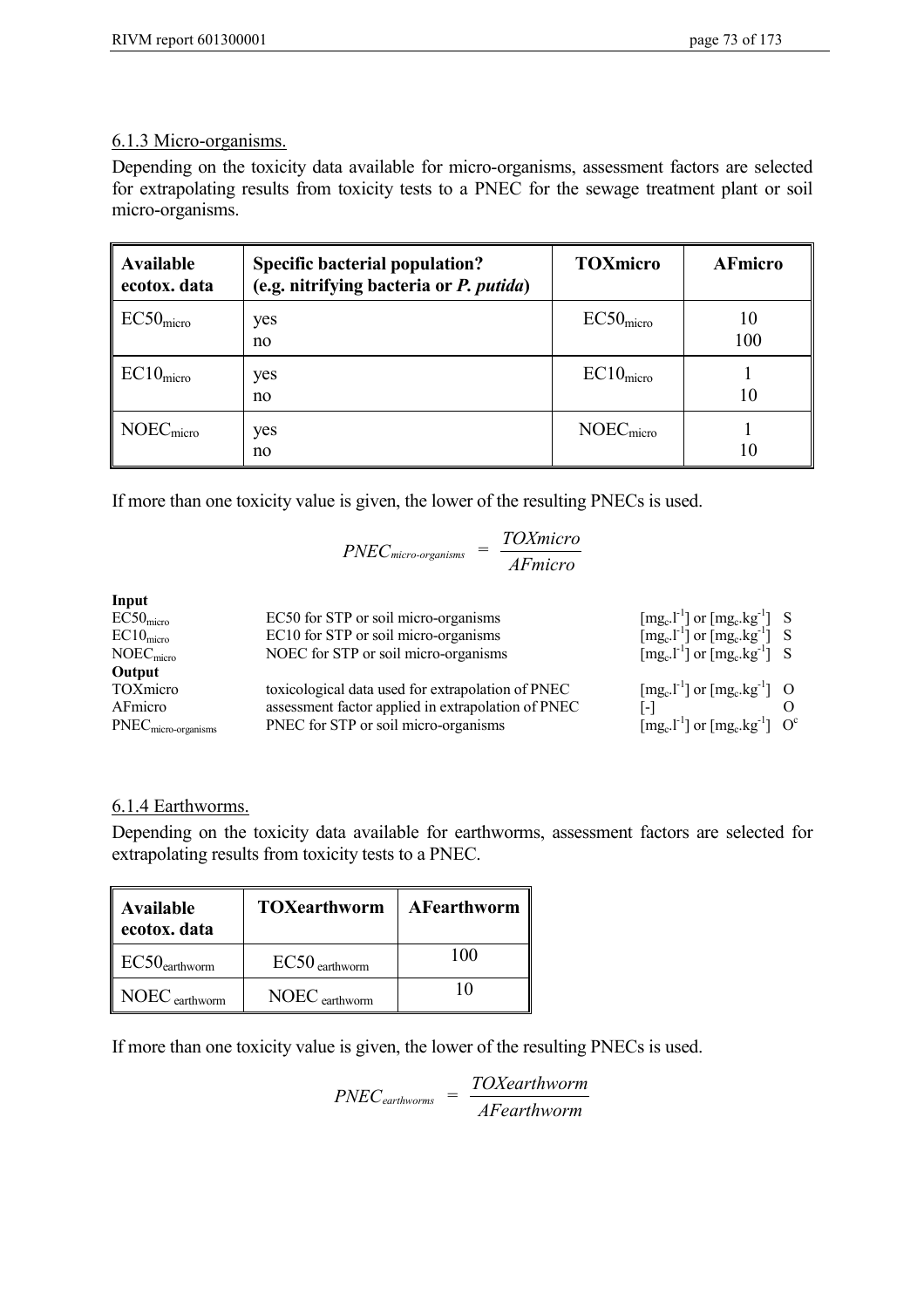## 6.1.3 Micro-organisms.

Depending on the toxicity data available for micro-organisms, assessment factors are selected for extrapolating results from toxicity tests to a PNEC for the sewage treatment plant or soil micro-organisms.

| <b>Available</b><br>ecotox. data | <b>Specific bacterial population?</b><br>(e.g. nitrifying bacteria or P. putida) | <b>TOXmicro</b>       | <b>AFmicro</b> |
|----------------------------------|----------------------------------------------------------------------------------|-----------------------|----------------|
| EC50 <sub>micro</sub>            | yes<br>no                                                                        | EC50 <sub>micro</sub> | 10<br>100      |
| EC10 <sub>micro</sub>            | yes<br>no                                                                        | EC10 <sub>micro</sub> | 10             |
| NOEC <sub>micro</sub>            | yes<br>no                                                                        | NOEC <sub>micro</sub> | 10             |

If more than one toxicity value is given, the lower of the resulting PNECs is used.

|                       | T OMIINDI O<br>$PNECmicro-organisms$<br><b>AFmicro</b> |                                                                                                                                                                |  |
|-----------------------|--------------------------------------------------------|----------------------------------------------------------------------------------------------------------------------------------------------------------------|--|
| Input                 |                                                        |                                                                                                                                                                |  |
| EC50 <sub>micro</sub> | EC50 for STP or soil micro-organisms                   |                                                                                                                                                                |  |
| $EC10_{micro}$        | EC10 for STP or soil micro-organisms                   | [mg <sub>c</sub> .l <sup>-1</sup> ] or [mg <sub>c</sub> .kg <sup>-1</sup> ] S<br>[mg <sub>c</sub> .l <sup>-1</sup> ] or [mg <sub>c</sub> .kg <sup>-1</sup> ] S |  |
| NOEC <sub>micro</sub> | NOEC for STP or soil micro-organisms                   | $\left[\text{mg}_c \cdot 1^{-1}\right]$ or $\left[\text{mg}_c \cdot \text{kg}^{-1}\right]$ S                                                                   |  |
| Output                |                                                        |                                                                                                                                                                |  |
| TOXmicro              | toxicological data used for extrapolation of PNEC      | $\left[\text{mg}_c \cdot l^{-1}\right]$ or $\left[\text{mg}_c \cdot \text{kg}^{-1}\right]$ O                                                                   |  |
| AFmicro               | assessment factor applied in extrapolation of PNEC     |                                                                                                                                                                |  |
| $PNECmicro-organisms$ | PNEC for STP or soil micro-organisms                   | $[mg_c.l^{-1}]$ or $[mg_c.kg^{-1}]$ O <sup>c</sup>                                                                                                             |  |

*TOXmicro*

## 6.1.4 Earthworms.

Depending on the toxicity data available for earthworms, assessment factors are selected for extrapolating results from toxicity tests to a PNEC.

| <b>Available</b><br>ecotox. data | <b>TOXearthworm</b> | AFearthworm |
|----------------------------------|---------------------|-------------|
| $EC50$ earthworm                 | $EC50$ earthworm    | 100         |
| NOEC earthworm                   | $NOEC$ earthworm    |             |

If more than one toxicity value is given, the lower of the resulting PNECs is used.

*PNECearthworms = TOXearthworm AFearthworm*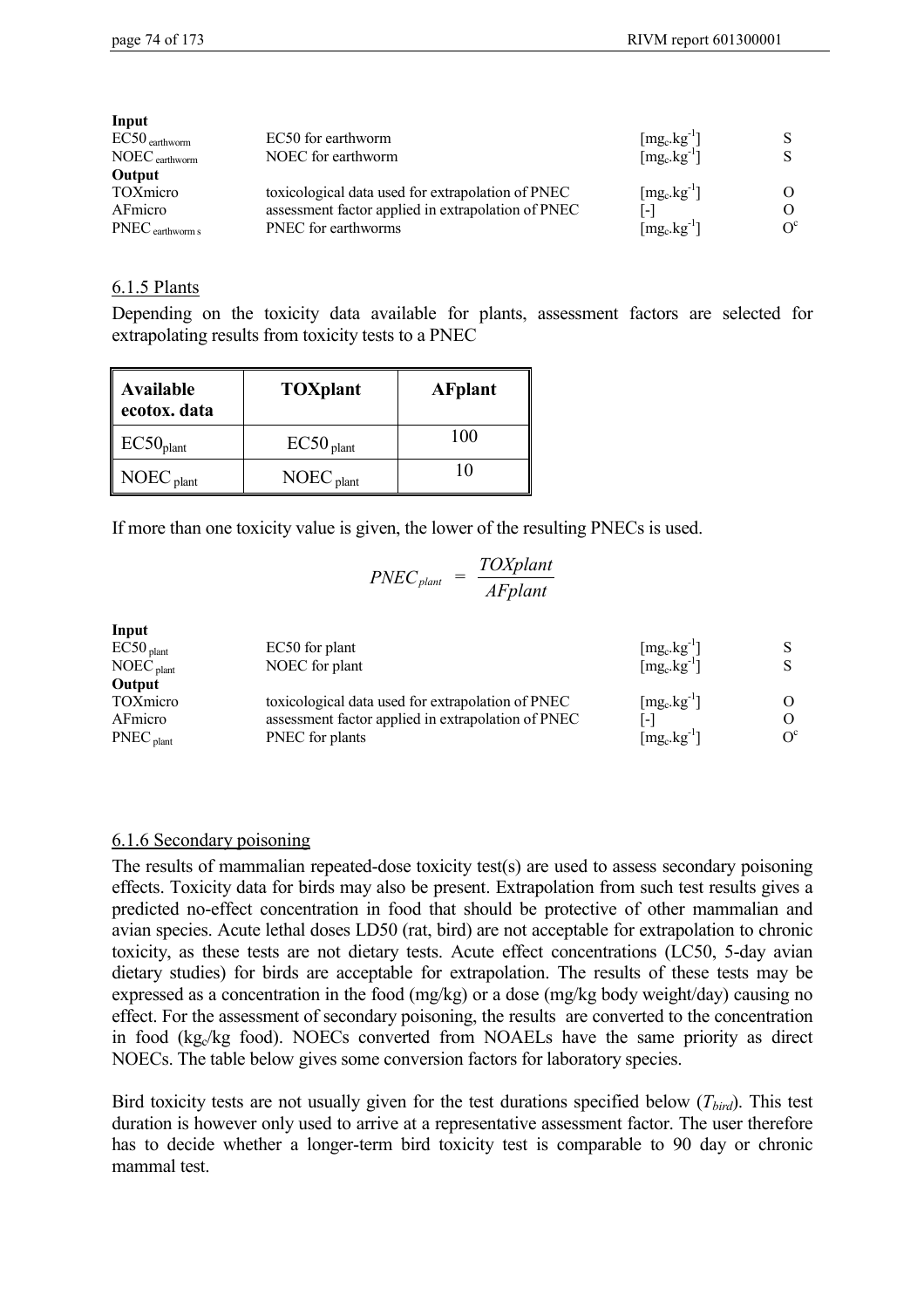| Input            |                                                    |                                            |         |
|------------------|----------------------------------------------------|--------------------------------------------|---------|
| $EC50$ earthworm | EC50 for earthworm                                 | $[\text{mg}_\text{c}.\text{kg}^\text{-1}]$ |         |
| $NOEC$ earthworm | NOEC for earthworm                                 | $[mg_c.kg^{-1}]$                           |         |
| Output           |                                                    |                                            |         |
| <b>TOXmicro</b>  | toxicological data used for extrapolation of PNEC  | $[mg_c.kg^{-1}]$                           |         |
| AFmicro          | assessment factor applied in extrapolation of PNEC | [-]                                        | Ω       |
| PNEC earthworm s | PNEC for earthworms                                | $\left[\text{mg}_c.\text{kg}^{-1}\right]$  | $O^{c}$ |

#### 6.1.5 Plants

Depending on the toxicity data available for plants, assessment factors are selected for extrapolating results from toxicity tests to a PNEC

| <b>Available</b><br>ecotox. data | <b>TOXplant</b>         | <b>AFplant</b> |
|----------------------------------|-------------------------|----------------|
| EC50 <sub>plant</sub>            | $EC50$ <sub>plant</sub> | 100            |
| $NOEC$ <sub>plant</sub>          | $NOEC$ <sub>plant</sub> |                |

If more than one toxicity value is given, the lower of the resulting PNECs is used.

$$
PNEC_{\text{plant}} = \frac{TOX\text{plant}}{AF\text{plant}}
$$

| Input                 |                                                    |                                                  |         |
|-----------------------|----------------------------------------------------|--------------------------------------------------|---------|
| EC50 <sub>plant</sub> | EC50 for plant                                     | $[\text{mg}_c.\text{kg}^{-1}]$                   |         |
| NOEC <sub>plant</sub> | NOEC for plant                                     | $\left[\text{mg}_c.\text{kg}^{-1}\right]$        |         |
| Output                |                                                    |                                                  |         |
| <b>TOXmicro</b>       | toxicological data used for extrapolation of PNEC  | $\lceil \text{mg}_c \cdot \text{kg}^{-1} \rceil$ | O       |
| AFmicro               | assessment factor applied in extrapolation of PNEC | $\lceil - \rceil$                                | 0       |
| $PNEC_{\text{plant}}$ | PNEC for plants                                    | $\lceil \text{mg}_c \cdot \text{kg}^{-1} \rceil$ | $O^{c}$ |
|                       |                                                    |                                                  |         |

## 6.1.6 Secondary poisoning

The results of mammalian repeated-dose toxicity test(s) are used to assess secondary poisoning effects. Toxicity data for birds may also be present. Extrapolation from such test results gives a predicted no-effect concentration in food that should be protective of other mammalian and avian species. Acute lethal doses LD50 (rat, bird) are not acceptable for extrapolation to chronic toxicity, as these tests are not dietary tests. Acute effect concentrations (LC50, 5-day avian dietary studies) for birds are acceptable for extrapolation. The results of these tests may be expressed as a concentration in the food (mg/kg) or a dose (mg/kg body weight/day) causing no effect. For the assessment of secondary poisoning, the results are converted to the concentration in food  $(kg_c/kg$  food). NOECs converted from NOAELs have the same priority as direct NOECs. The table below gives some conversion factors for laboratory species.

Bird toxicity tests are not usually given for the test durations specified below  $(T_{bird})$ . This test duration is however only used to arrive at a representative assessment factor. The user therefore has to decide whether a longer-term bird toxicity test is comparable to 90 day or chronic mammal test.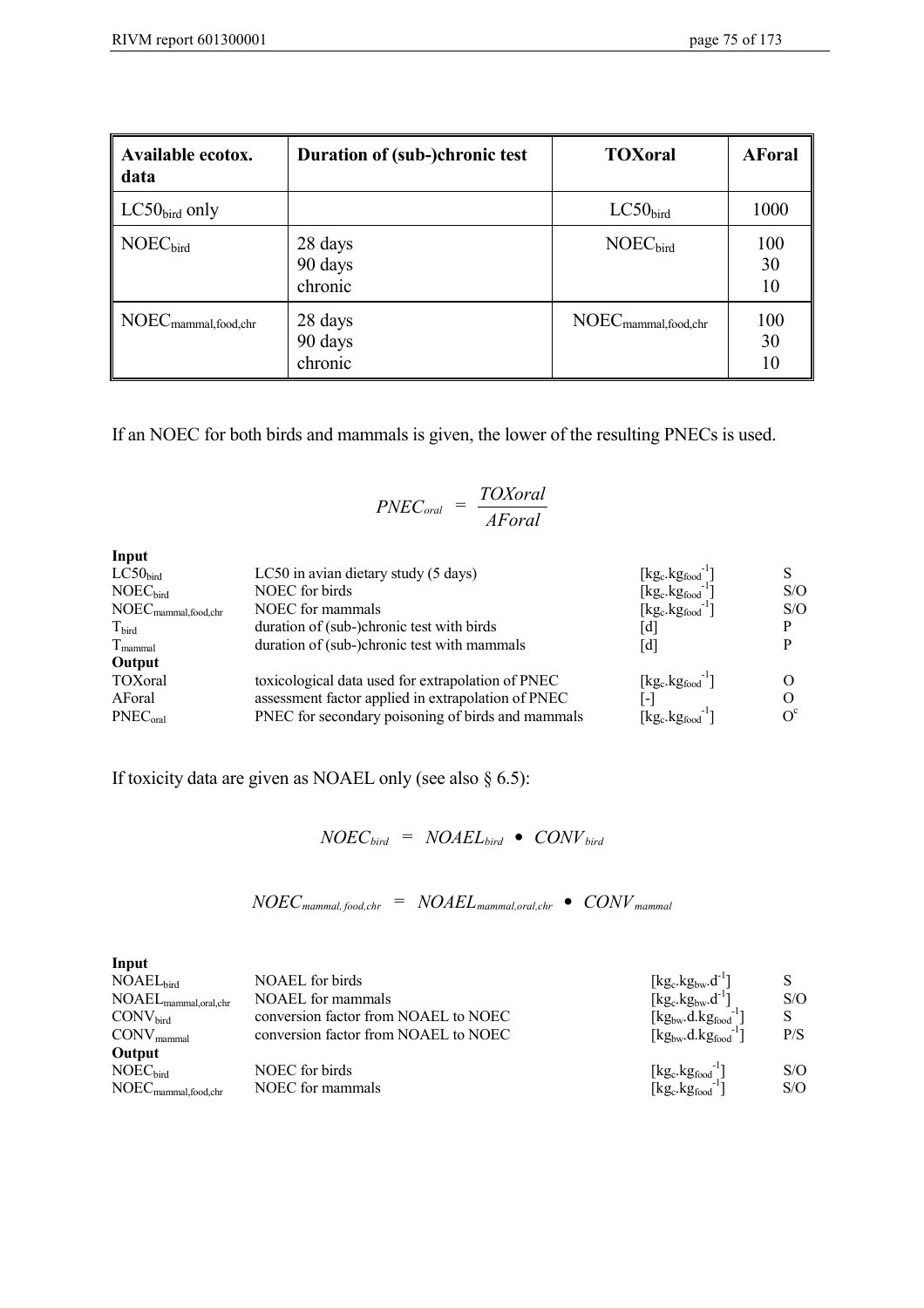| <b>Available ecotox.</b><br>data                     | Duration of (sub-)chronic test | <b>TOXoral</b>                                | <b>AForal</b>   |
|------------------------------------------------------|--------------------------------|-----------------------------------------------|-----------------|
| $LC50bird$ only                                      |                                | LC50 <sub>bird</sub>                          | 1000            |
| NOEC <sub>bird</sub>                                 | 28 days<br>90 days<br>chronic  | NOEC <sub>bird</sub>                          | 100<br>30<br>10 |
| $\text{NOEC}_{\text{mammal},\text{food},\text{chr}}$ | 28 days<br>90 days<br>chronic  | $NOEC_{\text{mammal},\text{food},\text{chr}}$ | 100<br>30<br>10 |

If an NOEC for both birds and mammals is given, the lower of the resulting PNECs is used.

$$
PNEC_{\text{oral}} = \frac{TOX \text{oral}}{A \text{Foral}}
$$

| Input                                                  |                                                    |                                                                |     |
|--------------------------------------------------------|----------------------------------------------------|----------------------------------------------------------------|-----|
| LC50 <sub>bird</sub>                                   | LC50 in avian dietary study (5 days)               | $[kg_c.kg_{food}]$                                             |     |
| NOEC <sub>bird</sub>                                   | NOEC for birds                                     | $[kg_c.kg_{food}]$                                             | S/O |
| $\text{NOEC}_{\text{mammal}, \text{food}, \text{chr}}$ | NOEC for mammals                                   | $[kg_c.kg_{food}]$                                             | S/O |
| $T_{\text{bird}}$                                      | duration of (sub-)chronic test with birds          | [d]                                                            |     |
| $T_{\text{mammal}}$                                    | duration of (sub-)chronic test with mammals        | [d]                                                            |     |
| Output                                                 |                                                    |                                                                |     |
| TOXoral                                                | toxicological data used for extrapolation of PNEC  | $\lceil \text{kg}_c \cdot \text{kg}_{\text{food}}^{-1} \rceil$ |     |
| AForal                                                 | assessment factor applied in extrapolation of PNEC | $\lceil - \rceil$                                              |     |
| PNEC <sub>oral</sub>                                   | PNEC for secondary poisoning of birds and mammals  | $[kg_c.kg_{food}]$                                             |     |

If toxicity data are given as NOAEL only (see also § 6.5):

 $NOEC_{bird}$  =  $NOAEL_{bird}$  •  $CONV_{bird}$ 

$$
NOEC_{\text{mammal},\text{food,chr}} = NOAEL_{\text{mammal},\text{oral,chr}} \bullet CONV_{\text{mammal}}
$$

| Input                                                  |                                      |                                                                             |     |
|--------------------------------------------------------|--------------------------------------|-----------------------------------------------------------------------------|-----|
| NOAEL <sub>bird</sub>                                  | NOAEL for birds                      | $[\text{kg}_c.\text{kg}_{bw}.\text{d}^{-1}]$                                |     |
| $\text{NOAEL}_{\text{mammal,oral,chr}}$                | <b>NOAEL</b> for mammals             | $[kg_c.kg_{bw}.d^{-1}]$                                                     | S/O |
| CONV <sub>bird</sub>                                   | conversion factor from NOAEL to NOEC | $[kg_{bw}.d.kg_{food}^{-1}]$                                                |     |
| $CONV_{\text{mammal}}$                                 | conversion factor from NOAEL to NOEC | $\lceil \text{kg}_{\text{bw}} \cdot d \cdot \text{kg}_{\text{food}} \rceil$ | P/S |
| Output                                                 |                                      |                                                                             |     |
| NOEC <sub>bird</sub>                                   | NOEC for birds                       | $[kg_c.kg_{food}^{-1}]$                                                     | S/O |
| $\text{NOEC}_{\text{mammal}, \text{food}, \text{chr}}$ | NOEC for mammals                     | $[kg_c.kg_{food}^{-1}]$                                                     | S/O |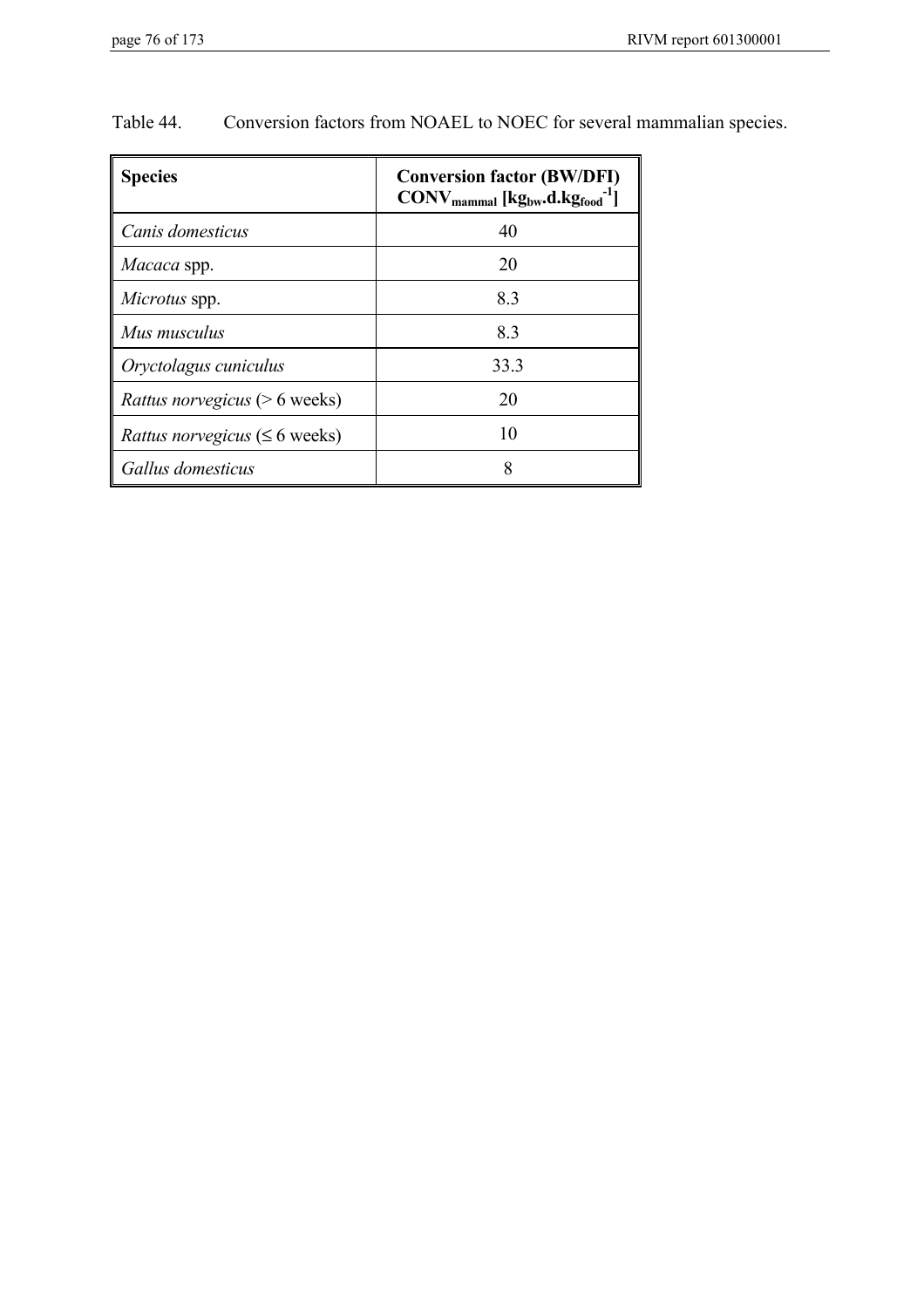| <b>Species</b>                             | <b>Conversion factor (BW/DFI)</b><br>$\text{CONV}_{\text{mammal}}$ [kg <sub>bw</sub> .d.kg <sub>food</sub> <sup>-1</sup> ] |
|--------------------------------------------|----------------------------------------------------------------------------------------------------------------------------|
| Canis domesticus                           | 40                                                                                                                         |
| Macaca spp.                                | 20                                                                                                                         |
| Microtus spp.                              | 8.3                                                                                                                        |
| Mus musculus                               | 8.3                                                                                                                        |
| Oryctolagus cuniculus                      | 33.3                                                                                                                       |
| <i>Rattus norvegicus</i> ( $> 6$ weeks)    | 20                                                                                                                         |
| <i>Rattus norvegicus</i> ( $\leq 6$ weeks) | 10                                                                                                                         |
| Gallus domesticus                          |                                                                                                                            |

Table 44. Conversion factors from NOAEL to NOEC for several mammalian species.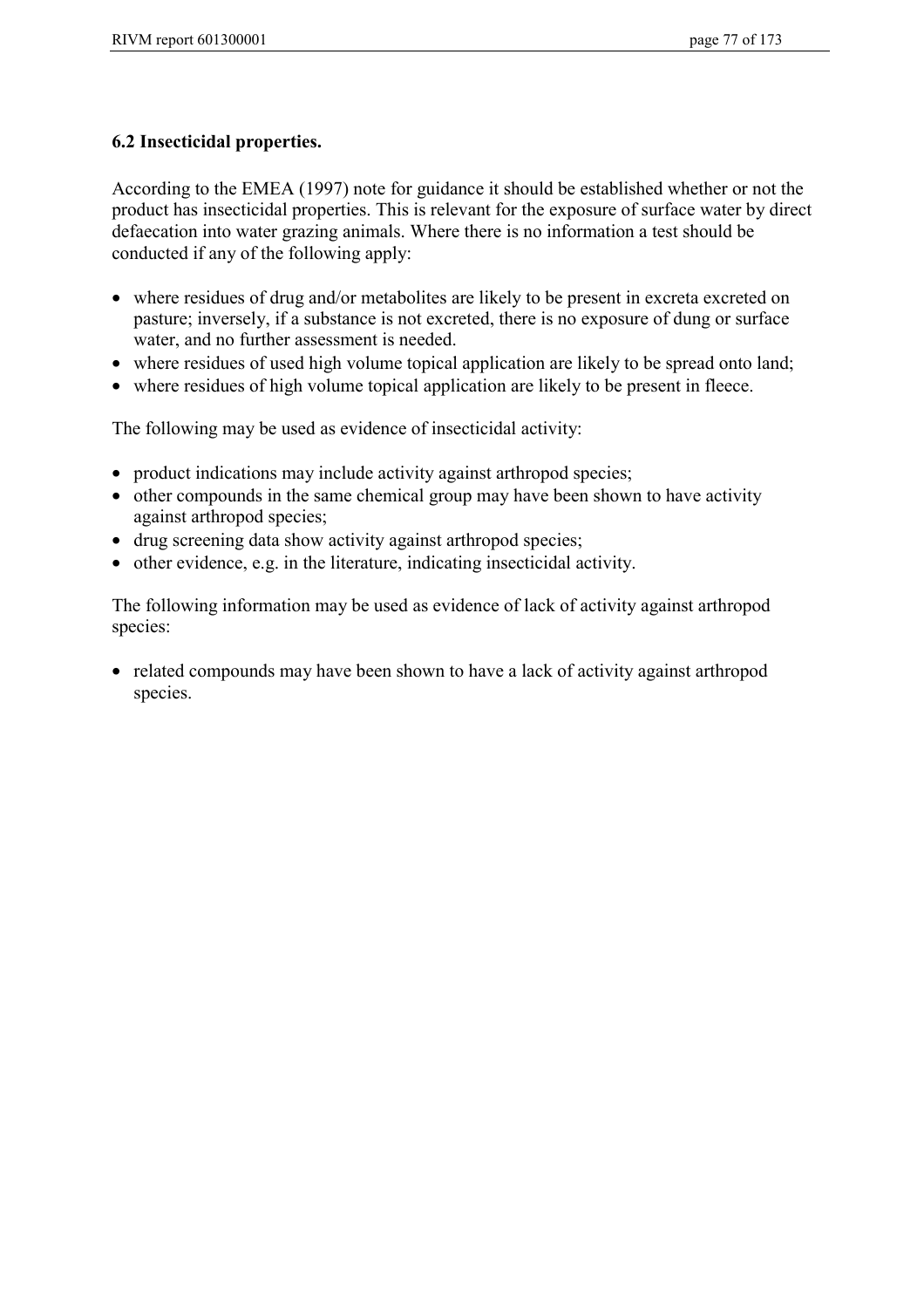# **6.2 Insecticidal properties.**

According to the EMEA (1997) note for guidance it should be established whether or not the product has insecticidal properties. This is relevant for the exposure of surface water by direct defaecation into water grazing animals. Where there is no information a test should be conducted if any of the following apply:

- where residues of drug and/or metabolites are likely to be present in excreta excreted on pasture; inversely, if a substance is not excreted, there is no exposure of dung or surface water, and no further assessment is needed.
- where residues of used high volume topical application are likely to be spread onto land;
- where residues of high volume topical application are likely to be present in fleece.

The following may be used as evidence of insecticidal activity:

- product indications may include activity against arthropod species;
- other compounds in the same chemical group may have been shown to have activity against arthropod species;
- drug screening data show activity against arthropod species;
- other evidence, e.g. in the literature, indicating insecticidal activity.

The following information may be used as evidence of lack of activity against arthropod species:

• related compounds may have been shown to have a lack of activity against arthropod species.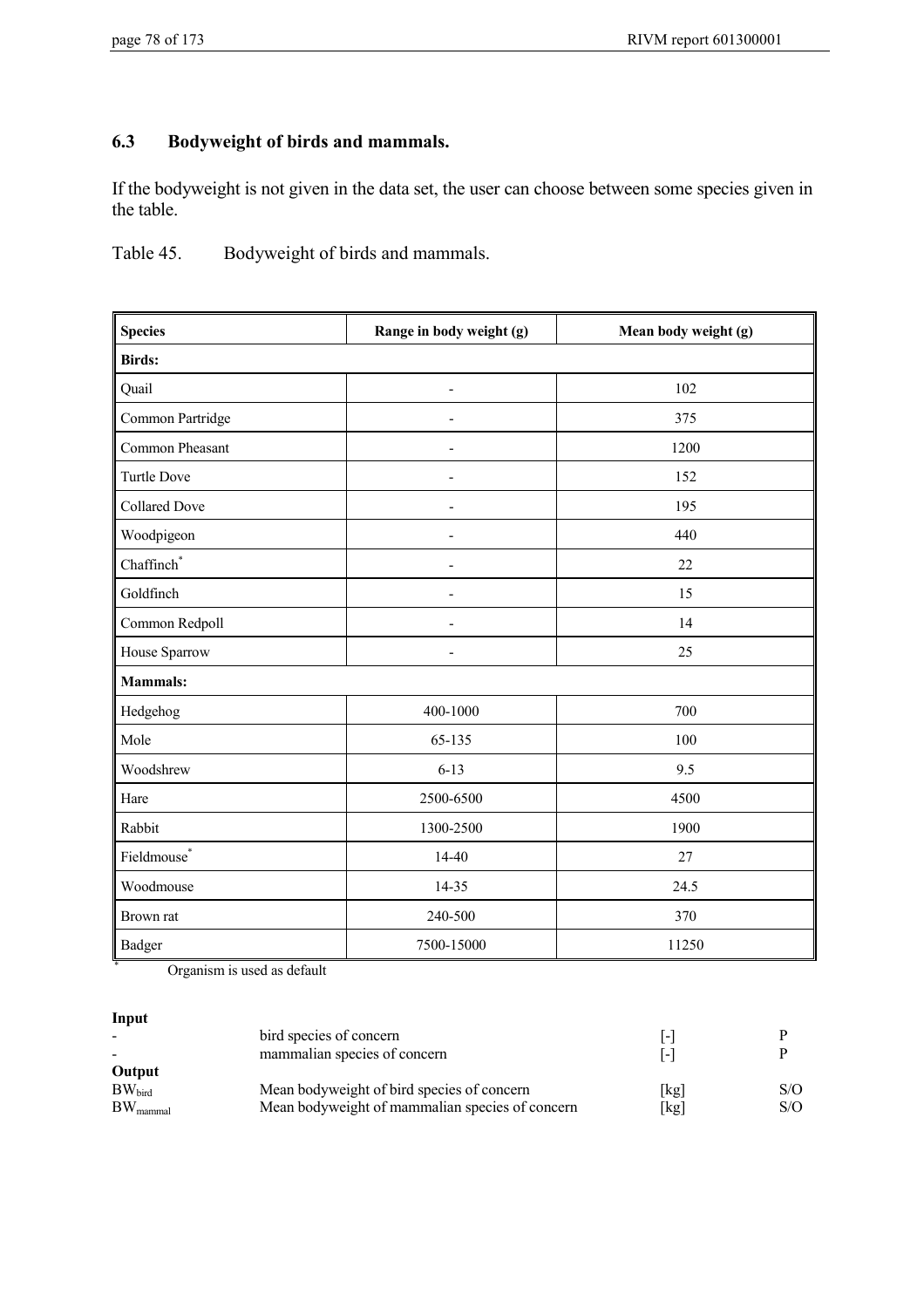# **6.3 Bodyweight of birds and mammals.**

If the bodyweight is not given in the data set, the user can choose between some species given in the table.

Table 45. Bodyweight of birds and mammals.

| <b>Species</b>                | Range in body weight (g) | Mean body weight (g) |  |
|-------------------------------|--------------------------|----------------------|--|
| <b>Birds:</b>                 |                          |                      |  |
| Quail                         | Ē,                       | 102                  |  |
| Common Partridge              | ÷,                       | 375                  |  |
| Common Pheasant               |                          | 1200                 |  |
| <b>Turtle Dove</b>            |                          | 152                  |  |
| <b>Collared Dove</b>          | $\overline{\phantom{m}}$ | 195                  |  |
| Woodpigeon                    |                          | 440                  |  |
| $Chaffinch^*$                 |                          | 22                   |  |
| Goldfinch                     | $\overline{\phantom{m}}$ | 15                   |  |
| Common Redpoll                |                          | 14                   |  |
| House Sparrow                 |                          | 25                   |  |
| <b>Mammals:</b>               |                          |                      |  |
| Hedgehog                      | 400-1000                 | 700                  |  |
| Mole                          | 65-135                   | 100                  |  |
| Woodshrew                     | $6 - 13$                 | 9.5                  |  |
| Hare                          | 2500-6500                | 4500                 |  |
| Rabbit                        | 1300-2500                | 1900                 |  |
| $\operatorname{Fieldmouse}^*$ | 14-40                    | 27                   |  |
| Woodmouse                     | 14-35                    | 24.5                 |  |
| Brown rat                     | 240-500                  | 370                  |  |
| <b>Badger</b>                 | 7500-15000               | 11250                |  |

\* Organism is used as default

**Input**

|                      | bird species of concern                         | $\blacksquare$    |     |
|----------------------|-------------------------------------------------|-------------------|-----|
|                      | mammalian species of concern                    | $\vert$ – $\vert$ |     |
| Output               |                                                 |                   |     |
| $BW_{\text{bird}}$   | Mean bodyweight of bird species of concern      | [kg]              | S/O |
| $BW_{\text{mammal}}$ | Mean bodyweight of mammalian species of concern | [kg]              | S/O |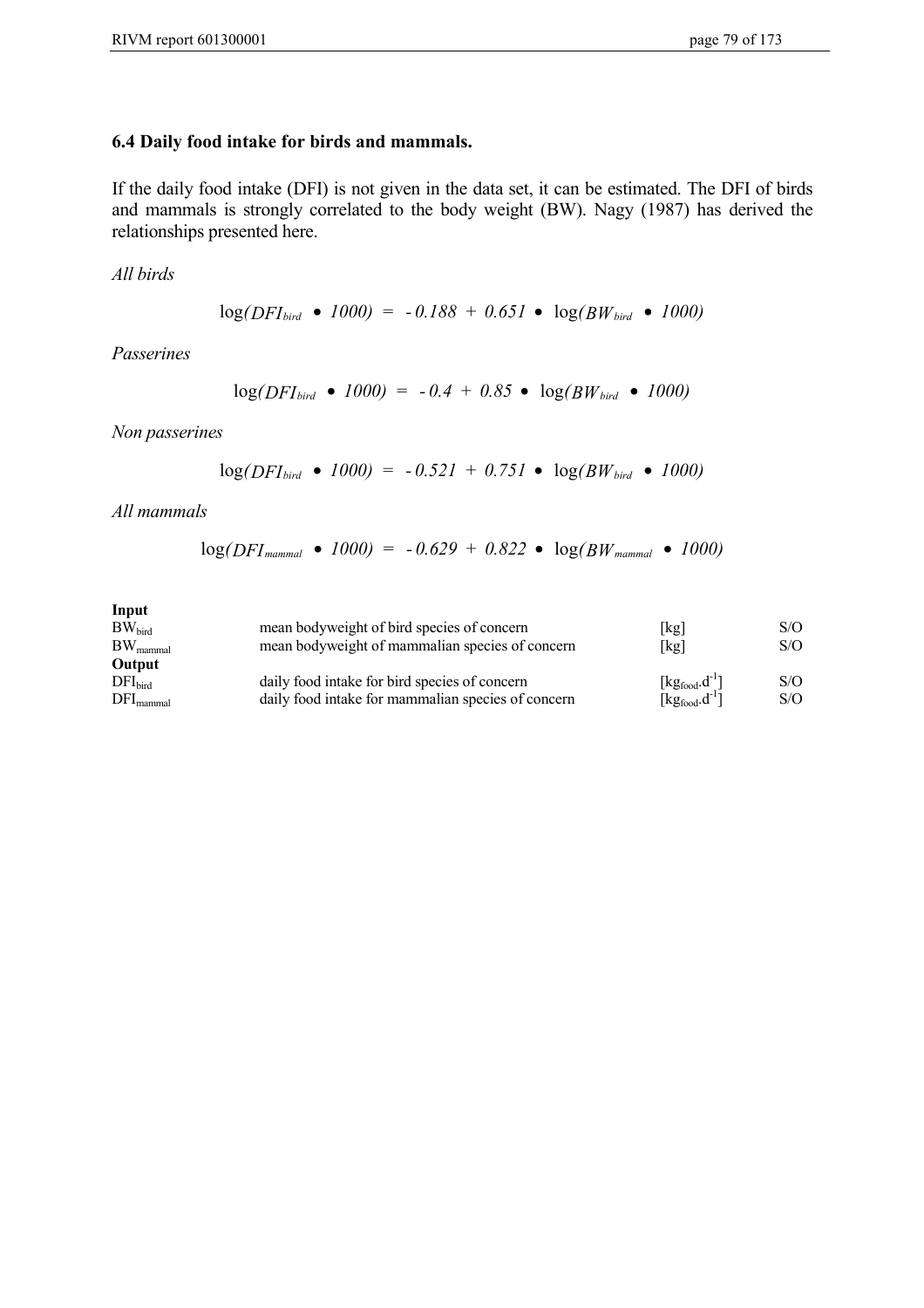## **6.4 Daily food intake for birds and mammals.**

If the daily food intake (DFI) is not given in the data set, it can be estimated. The DFI of birds and mammals is strongly correlated to the body weight (BW). Nagy (1987) has derived the relationships presented here.

*All birds*

$$
\log(DFI_{bird} \bullet 1000) = -0.188 + 0.651 \bullet \log(BW_{bird} \bullet 1000)
$$

*Passerines*

$$
\log(DFI_{bird} \bullet 1000) = -0.4 + 0.85 \bullet \log(BW_{bird} \bullet 1000)
$$

*Non passerines*

$$
\log(DFI_{bird} \bullet 1000) = -0.521 + 0.751 \bullet \log(BW_{bird} \bullet 1000)
$$

*All mammals*

$$
log(DFI_{mammal} \bullet 1000) = -0.629 + 0.822 \bullet log(BW_{mammal} \bullet 1000)
$$

| Input                    |                                                    |                      |     |
|--------------------------|----------------------------------------------------|----------------------|-----|
| $BW_{bird}$              | mean bodyweight of bird species of concern         | [kg]                 | S/O |
| $BW_{\text{mammal}}$     | mean bodyweight of mammalian species of concern    | [kg]                 | S/O |
| Output                   |                                                    |                      |     |
| DFI <sub>bird</sub>      | daily food intake for bird species of concern      | $[kg_{food}.d^{-1}]$ | S/O |
| $\rm{DFI}_{\rm{mammal}}$ | daily food intake for mammalian species of concern | $[kg_{food}.d^{-1}]$ | S/O |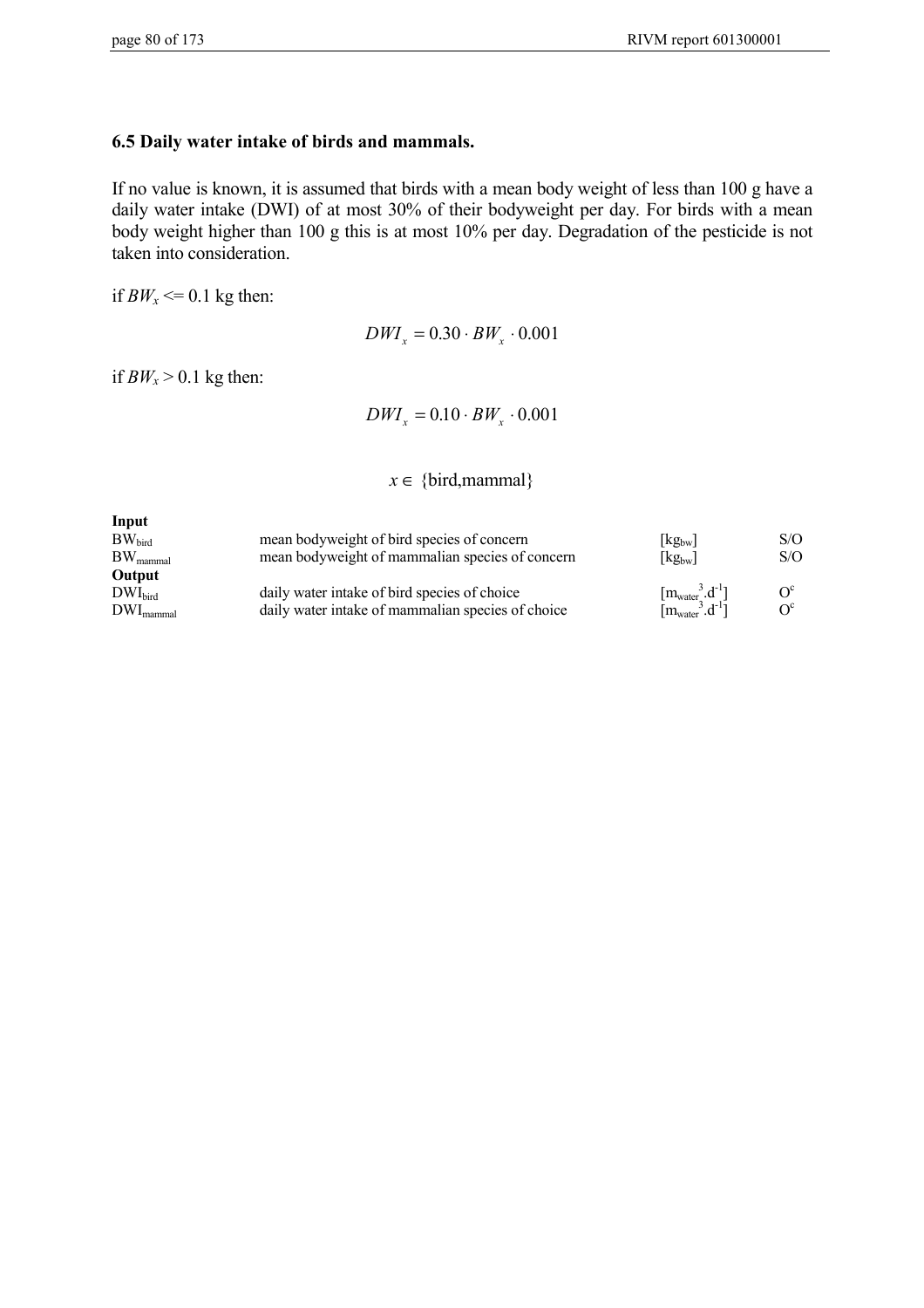#### **6.5 Daily water intake of birds and mammals.**

If no value is known, it is assumed that birds with a mean body weight of less than 100 g have a daily water intake (DWI) of at most 30% of their bodyweight per day. For birds with a mean body weight higher than 100 g this is at most 10% per day. Degradation of the pesticide is not taken into consideration.

if  $BW_x \le 0.1$  kg then:

 $DWI_x = 0.30 \cdot BW_x \cdot 0.001$ 

if  $BW_x > 0.1$  kg then:

 $DWI_x = 0.10 \cdot BW_x \cdot 0.001$ 

 $x \in \{bird, mammal\}$ 

| Input                 |                                                   |                                     |            |
|-----------------------|---------------------------------------------------|-------------------------------------|------------|
| $BW_{\text{bird}}$    | mean bodyweight of bird species of concern        | $\lfloor$ kg <sub>bw</sub>          | S/O        |
| $BW_{\text{mammal}}$  | mean bodyweight of mammalian species of concern   | $[kg_{bw}]$                         | S/O        |
| Output                |                                                   |                                     |            |
| $DWI_{\text{bird}}$   | daily water intake of bird species of choice      | $[m_{\text{water}}^3.d^{-1}]$       | $O^{c}$    |
| $DWI_{\text{mammal}}$ | daily water intake of mammalian species of choice | $[m_{\text{water}}^3 \cdot d^{-1}]$ | $\Omega^c$ |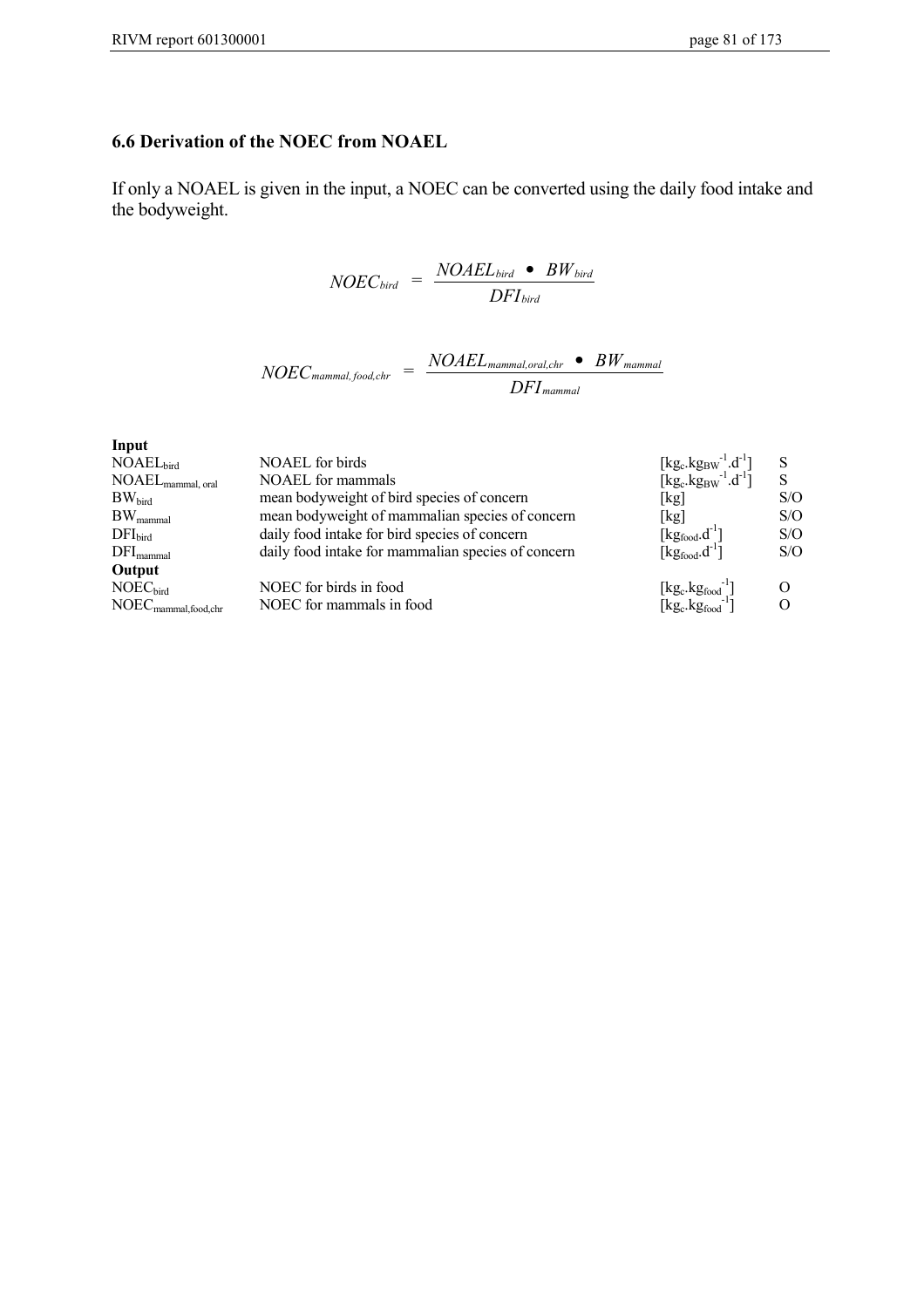# **6.6 Derivation of the NOEC from NOAEL**

If only a NOAEL is given in the input, a NOEC can be converted using the daily food intake and the bodyweight.

$$
NOEC_{bird} = \frac{NOAEL_{bird} \cdot BW_{bird}}{DFI_{bird}}
$$

$$
NOEC_{\text{mammal},\text{food,chr}} = \frac{NOAEL_{\text{mammal},\text{oral,chr}} \bullet BW_{\text{mammal}}}{DFI_{\text{mammal}}}
$$

| Input                                                |                                                    |                                                                                                                                            |     |
|------------------------------------------------------|----------------------------------------------------|--------------------------------------------------------------------------------------------------------------------------------------------|-----|
| NOAEL <sub>bird</sub>                                | <b>NOAEL</b> for birds                             |                                                                                                                                            | S   |
| $\text{NOAEL}_{\text{mammal, oral}}$                 | NOAEL for mammals                                  | [kg <sub>c</sub> .kg <sub>BW</sub> <sup>-1</sup> .d <sup>-1</sup> ]<br>[kg <sub>c</sub> .kg <sub>BW</sub> <sup>-1</sup> .d <sup>-1</sup> ] | S   |
| $BW_{\text{bird}}$                                   | mean bodyweight of bird species of concern         | [kg]                                                                                                                                       | S/O |
| $BW_{\text{mammal}}$                                 | mean bodyweight of mammalian species of concern    | [kg]                                                                                                                                       | S/O |
| DFI <sub>bird</sub>                                  | daily food intake for bird species of concern      | $[kg_{food}.d^{\text{-}1}]$                                                                                                                | S/O |
| $DFI_{\text{mammal}}$                                | daily food intake for mammalian species of concern | $[kg_{food}.d^{-1}]$                                                                                                                       | S/O |
| Output                                               |                                                    |                                                                                                                                            |     |
| NOEC <sub>bird</sub>                                 | NOEC for birds in food                             |                                                                                                                                            |     |
| $\text{NOEC}_{\text{mammal},\text{food},\text{chr}}$ | NOEC for mammals in food                           | $[\text{kg}_\text{c}.\text{kg}_\text{food}^{-1}]$<br>[kg $_\text{c}.\text{kg}_\text{food}^{-1}$ ]                                          |     |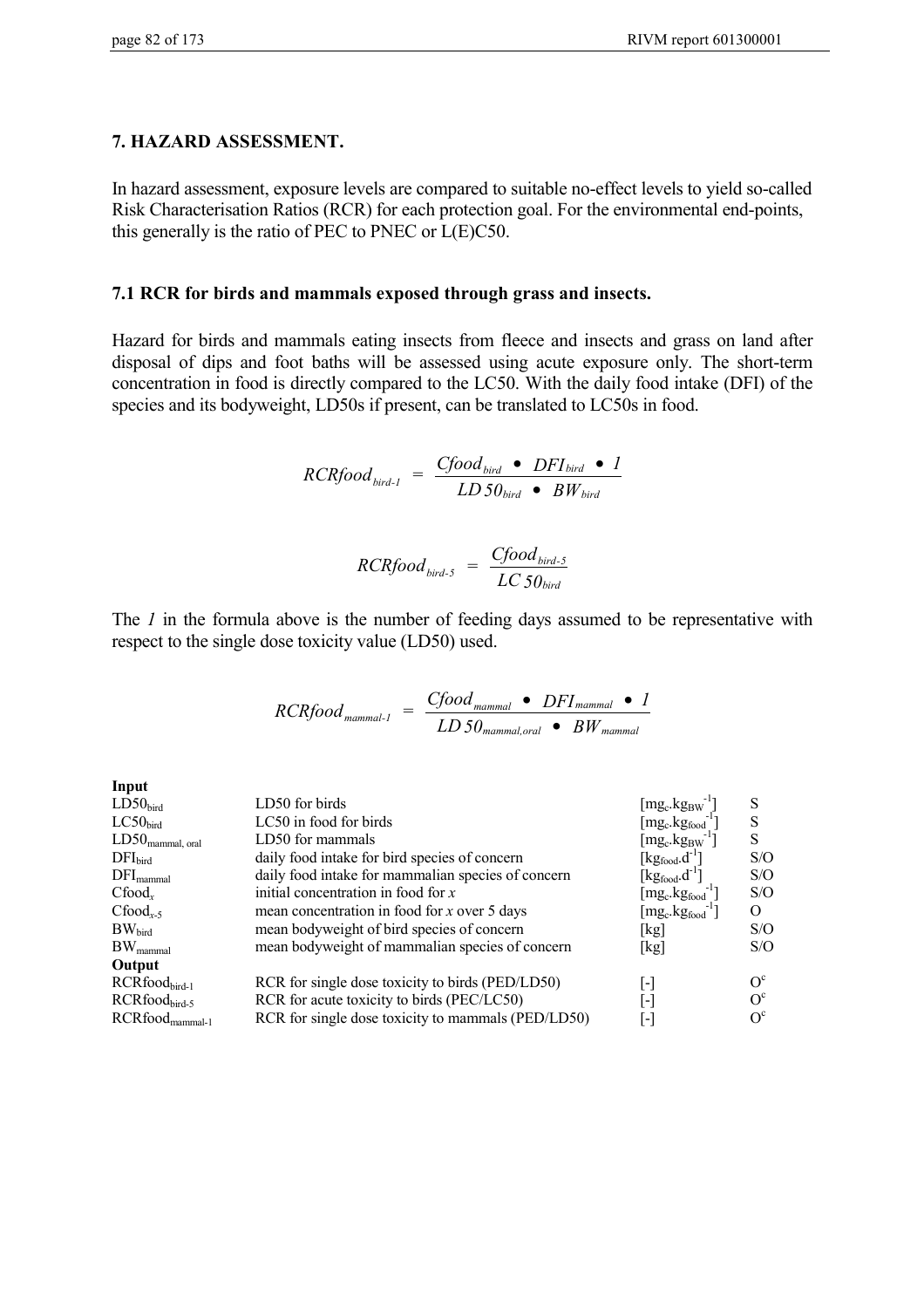## **7. HAZARD ASSESSMENT.**

In hazard assessment, exposure levels are compared to suitable no-effect levels to yield so-called Risk Characterisation Ratios (RCR) for each protection goal. For the environmental end-points, this generally is the ratio of PEC to PNEC or L(E)C50.

## **7.1 RCR for birds and mammals exposed through grass and insects.**

Hazard for birds and mammals eating insects from fleece and insects and grass on land after disposal of dips and foot baths will be assessed using acute exposure only. The short-term concentration in food is directly compared to the LC50. With the daily food intake (DFI) of the species and its bodyweight, LD50s if present, can be translated to LC50s in food.

$$
RCRfood_{bird-1} = \frac{Cfood_{bird} \cdot DFI_{bird} \cdot l}{LD50_{bird} \cdot BW_{bird}}
$$

$$
RCRfood_{bird-5} = \frac{Cfood_{bird-5}}{LC50_{bird}}
$$

The *1* in the formula above is the number of feeding days assumed to be representative with respect to the single dose toxicity value (LD50) used.

$$
RCRfood_{mammal-1} = \frac{Cfood_{mammal} \cdot DFI_{mammal} \cdot I}{LD50_{mammal,oral} \cdot BWh_{mammal}}
$$

| Input                         |                                                    |                                                 |            |
|-------------------------------|----------------------------------------------------|-------------------------------------------------|------------|
| LD50 <sub>bird</sub>          | LD50 for birds                                     | [mg $_{\rm c}$ .kg $_{\rm BW}$ ]                |            |
| LC50 <sub>bird</sub>          | LC50 in food for birds                             | $[mg_c.kg_{food}]$                              | S          |
| $LD50_{\text{mammal, oral}}$  | LD50 for mammals                                   | $[mg_c.kg_{BW}]$                                | S          |
| DFI <sub>bird</sub>           | daily food intake for bird species of concern      | $[\text{kg}$ <sub>food</sub> .d <sup>-1</sup> ] | S/O        |
| $DFI_{\text{mammal}}$         | daily food intake for mammalian species of concern | $[\text{kg}_{\text{food}}. \text{d}^{-1}]$      | S/O        |
| $Cfood_r$                     | initial concentration in food for $x$              | $[\text{mg}_\text{c}.\text{kg}_\text{food}]$    | S/O        |
| $Cfood_{r-5}$                 | mean concentration in food for $x$ over 5 days     | $[\rm{mg_c}.\rm{kg_{food}}^{\text{-1}}]$        | Ω          |
| $BW_{\text{bird}}$            | mean bodyweight of bird species of concern         | [kg]                                            | S/O        |
| $BW_{\text{mammal}}$          | mean bodyweight of mammalian species of concern    | [kg]                                            | S/O        |
| Output                        |                                                    |                                                 |            |
| RCRfoodbird-1                 | RCR for single dose toxicity to birds (PED/LD50)   | $\vert$ – $\vert$                               | $\Omega^c$ |
| $RCR$ food <sub>bird-5</sub>  | RCR for acute toxicity to birds (PEC/LC50)         | $\vert$ – $\vert$                               | $\Omega^c$ |
| $RCRfood$ <sub>mammal-1</sub> | RCR for single dose toxicity to mammals (PED/LD50) | [-]                                             | $\Omega^c$ |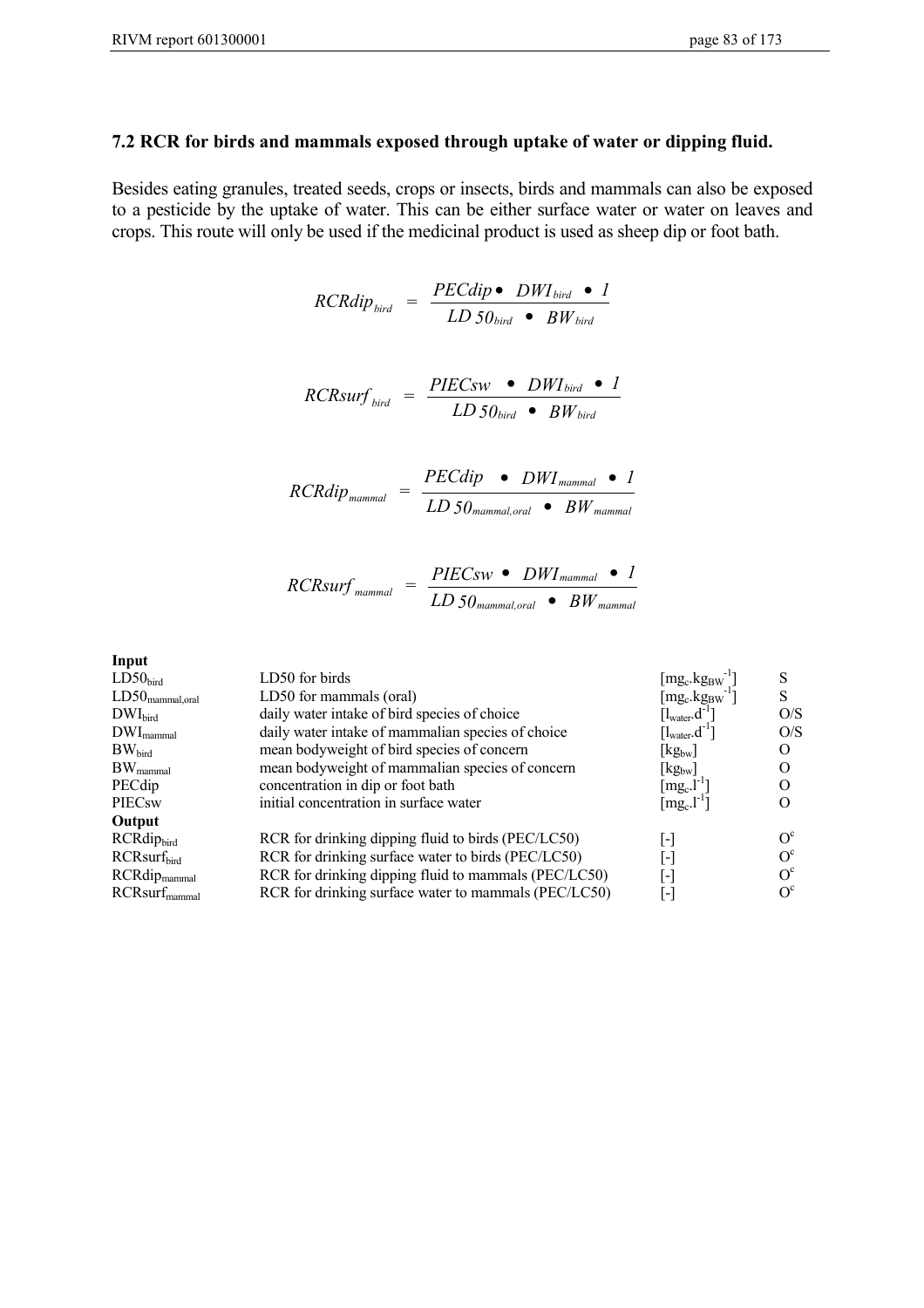#### **7.2 RCR for birds and mammals exposed through uptake of water or dipping fluid.**

Besides eating granules, treated seeds, crops or insects, birds and mammals can also be exposed to a pesticide by the uptake of water. This can be either surface water or water on leaves and crops. This route will only be used if the medicinal product is used as sheep dip or foot bath.

$$
RCRdip_{bird} = \frac{PECdip \bullet DWI_{bird} \bullet I}{LD\ 50_{bird} \bullet BW_{bird}}
$$

$$
RCRsurf_{bird} = \frac{PIECsw \bullet DWI_{bird} \bullet I}{LD50_{bird} \bullet BW_{bird}}
$$

$$
RCRdip_{\text{mammal}} = \frac{PECdip \bullet DWI_{\text{mammal}} \bullet I}{LD50_{\text{mammal},oral} \bullet BW_{\text{mammal}}}
$$

$$
RCRsurf_{\text{mammal}} = \frac{PIECsw \cdot DWI_{\text{mammal}} \cdot I}{LD50_{\text{mammal,oral}} \cdot BW_{\text{mammal}}}
$$

**Input**

| LD50 for birds                                       | $[\rm{mg_c}.\rm{kg_{BW}}]$                                 |            |
|------------------------------------------------------|------------------------------------------------------------|------------|
| LD50 for mammals (oral)                              | $[\text{mg}_c.\text{kg}_{BW}]$                             |            |
| daily water intake of bird species of choice         | $\left[\mathrm{l}_{\mathrm{water}}\mathrm{.d}^{-1}\right]$ | O/S        |
| daily water intake of mammalian species of choice    | $\left[\mathrm{l}_{\mathrm{water}}\mathrm{.d}^{-1}\right]$ | O/S        |
| mean bodyweight of bird species of concern           | $\lfloor$ kg <sub>bw</sub> $\rfloor$                       |            |
| mean bodyweight of mammalian species of concern      | $\lfloor$ kg <sub>bw</sub> $\rfloor$                       |            |
| concentration in dip or foot bath                    | $\lceil \text{mg}_c \cdot \text{l}^{-1} \rceil$            |            |
| initial concentration in surface water               | $[\text{mg}_c.\text{l}^{-1}]$                              |            |
|                                                      |                                                            |            |
| RCR for drinking dipping fluid to birds (PEC/LC50)   | $\overline{\phantom{a}}$                                   | $\Omega^c$ |
| RCR for drinking surface water to birds (PEC/LC50)   | $\overline{a}$                                             | $O^{c}$    |
| RCR for drinking dipping fluid to mammals (PEC/LC50) | $\vert$ – $\vert$                                          | $\Omega^c$ |
| RCR for drinking surface water to mammals (PEC/LC50) | $\vert$ - $\vert$                                          | $\Omega^c$ |
|                                                      |                                                            |            |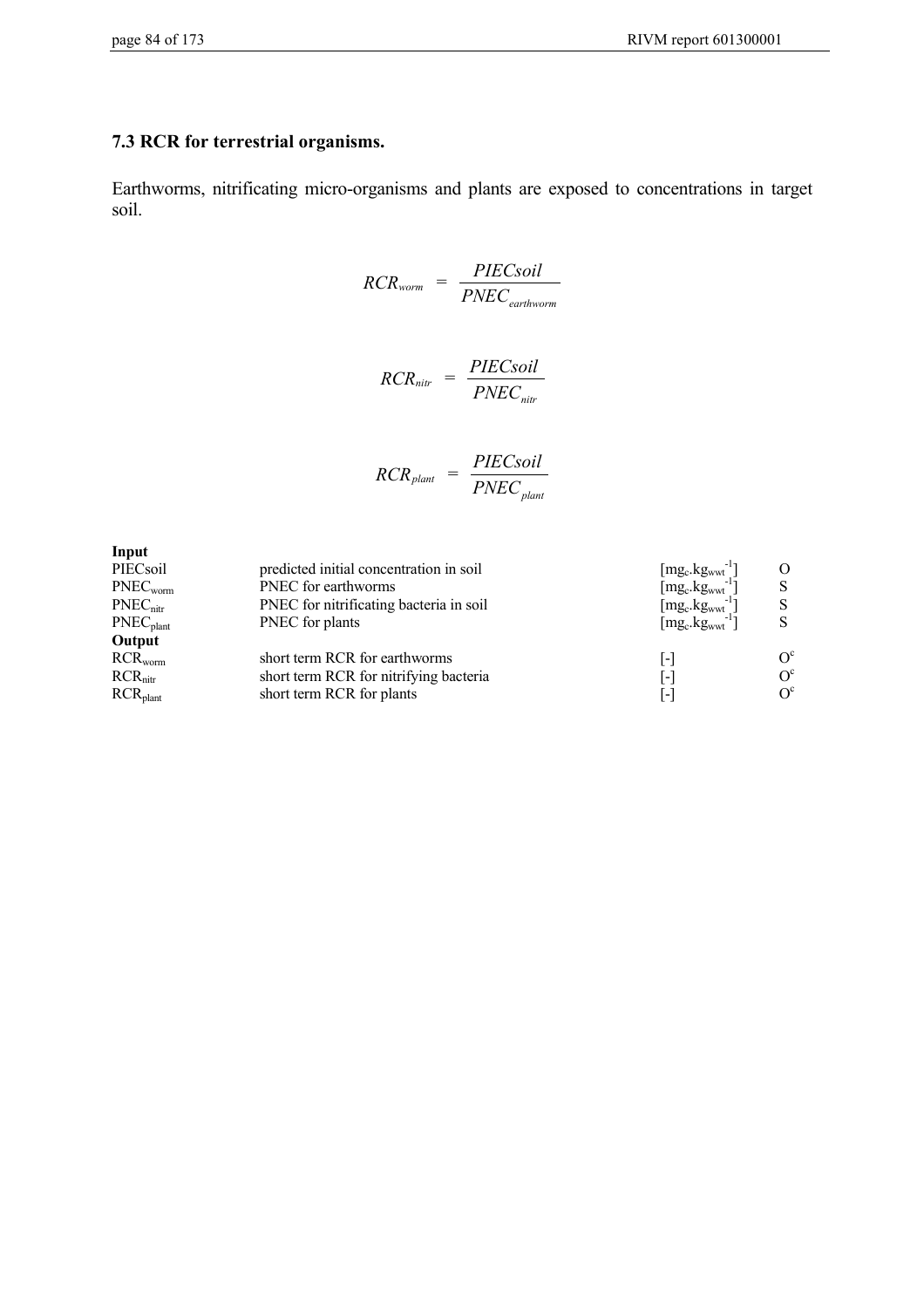## **7.3 RCR for terrestrial organisms.**

Earthworms, nitrificating micro-organisms and plants are exposed to concentrations in target soil.

$$
RCR_{worm} = \frac{PIEC soil}{PNEC_{earthworm}}
$$

$$
RCR_{nitr} = \frac{PIECsoil}{PNEC_{nitr}}
$$

$$
RCR_{\text{plant}} = \frac{PIECSoil}{PNEC_{\text{plant}}}
$$

| Input                 |                                         |                                                    |         |
|-----------------------|-----------------------------------------|----------------------------------------------------|---------|
| PIECsoil              | predicted initial concentration in soil | $[mg_c.kg_{wwt}]$                                  |         |
| PNEC <sub>worm</sub>  | PNEC for earthworms                     | $[mg_c.kg_{wwt}]$                                  |         |
| $PNEC_{\text{nitr}}$  | PNEC for nitrificating bacteria in soil | $[\text{mg}_\text{c}.\text{kg}_{\text{wwt}}^{-1}]$ |         |
| PNEC <sub>plant</sub> | PNEC for plants                         | $[mg_c.kgwwt^{-1}]$                                |         |
| Output                |                                         |                                                    |         |
| $RCR_{worm}$          | short term RCR for earthworms           | $\vert$ - $\vert$                                  | $O^c$   |
| $RCR_{\text{nitr}}$   | short term RCR for nitrifying bacteria  | $\vert$ – $\vert$                                  | $O^{c}$ |
| RCR <sub>plant</sub>  | short term RCR for plants               | $\vert$ – $\vert$                                  | $O^c$   |
|                       |                                         |                                                    |         |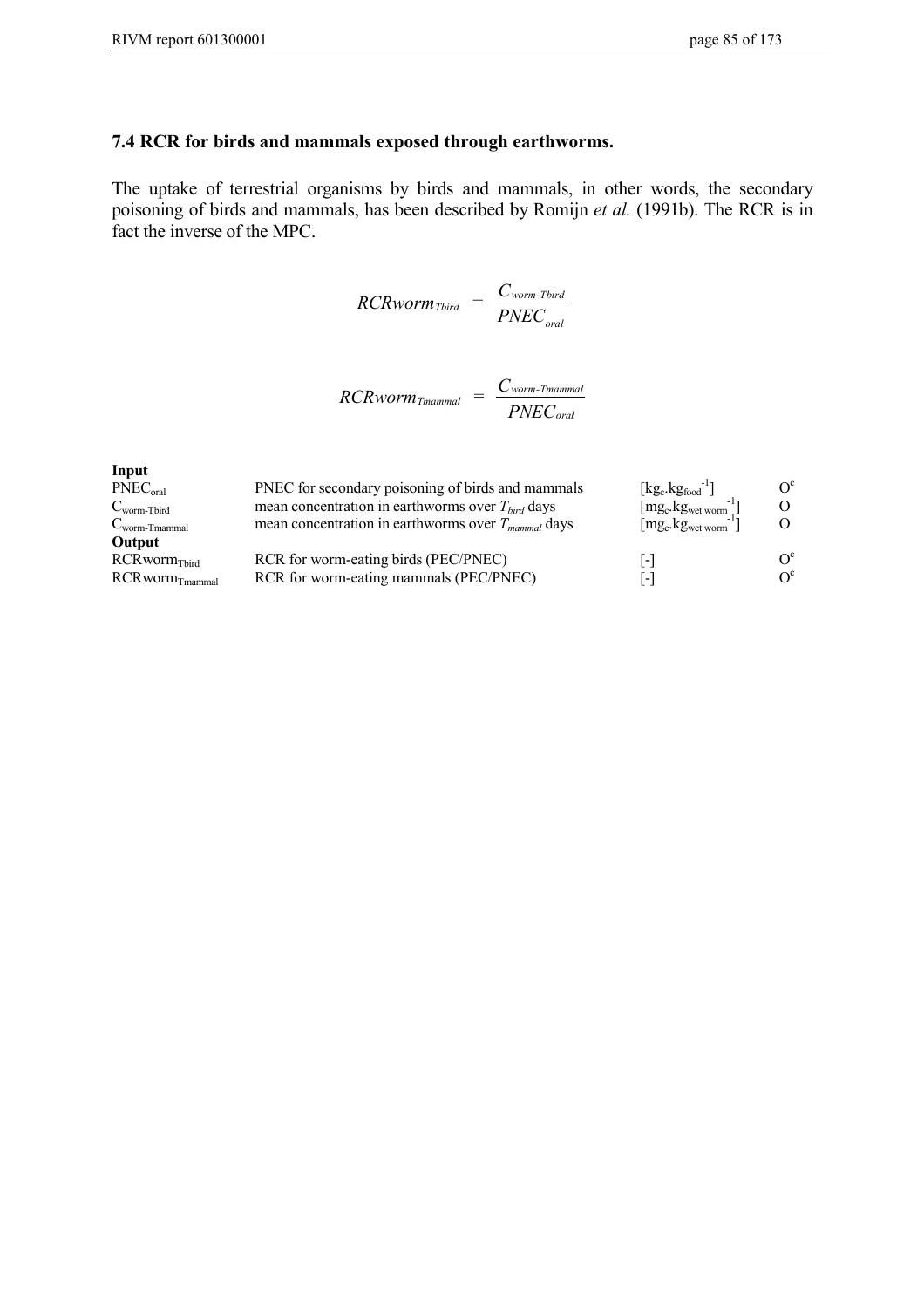## **7.4 RCR for birds and mammals exposed through earthworms.**

The uptake of terrestrial organisms by birds and mammals, in other words, the secondary poisoning of birds and mammals, has been described by Romijn *et al.* (1991b). The RCR is in fact the inverse of the MPC.

$$
RCRworm_{Tbird} = \frac{C_{worm-Tbird}}{PNEC_{oral}}
$$

$$
RCRworm_{Tmannal} = \frac{C_{worm-Tmannal}}{PNEC_{oral}}
$$

| Input                        |                                                         |                          |                  |
|------------------------------|---------------------------------------------------------|--------------------------|------------------|
| $PNEC_{\text{oral}}$         | PNEC for secondary poisoning of birds and mammals       | $[kg_c.kg_{food}^{-1}]$  | $O^{c}$          |
| $C_{\text{worm-Tbird}}$      | mean concentration in earthworms over $T_{bird}$ days   | $[mg_c.kgwet worm^{-1}]$ | $\Omega$         |
| $C_{\text{worm-Tmammal}}$    | mean concentration in earthworms over $T_{mammal}$ days | $[mg_c.kgwet worm^{-1}]$ |                  |
| Output                       |                                                         |                          |                  |
| RCRworm <sub>Tbird</sub>     | RCR for worm-eating birds (PEC/PNEC)                    | l-                       | $\Omega^{\rm c}$ |
| $RCRworm$ <sub>Tmammal</sub> | RCR for worm-eating mammals (PEC/PNEC)                  | -                        | $\Omega^c$       |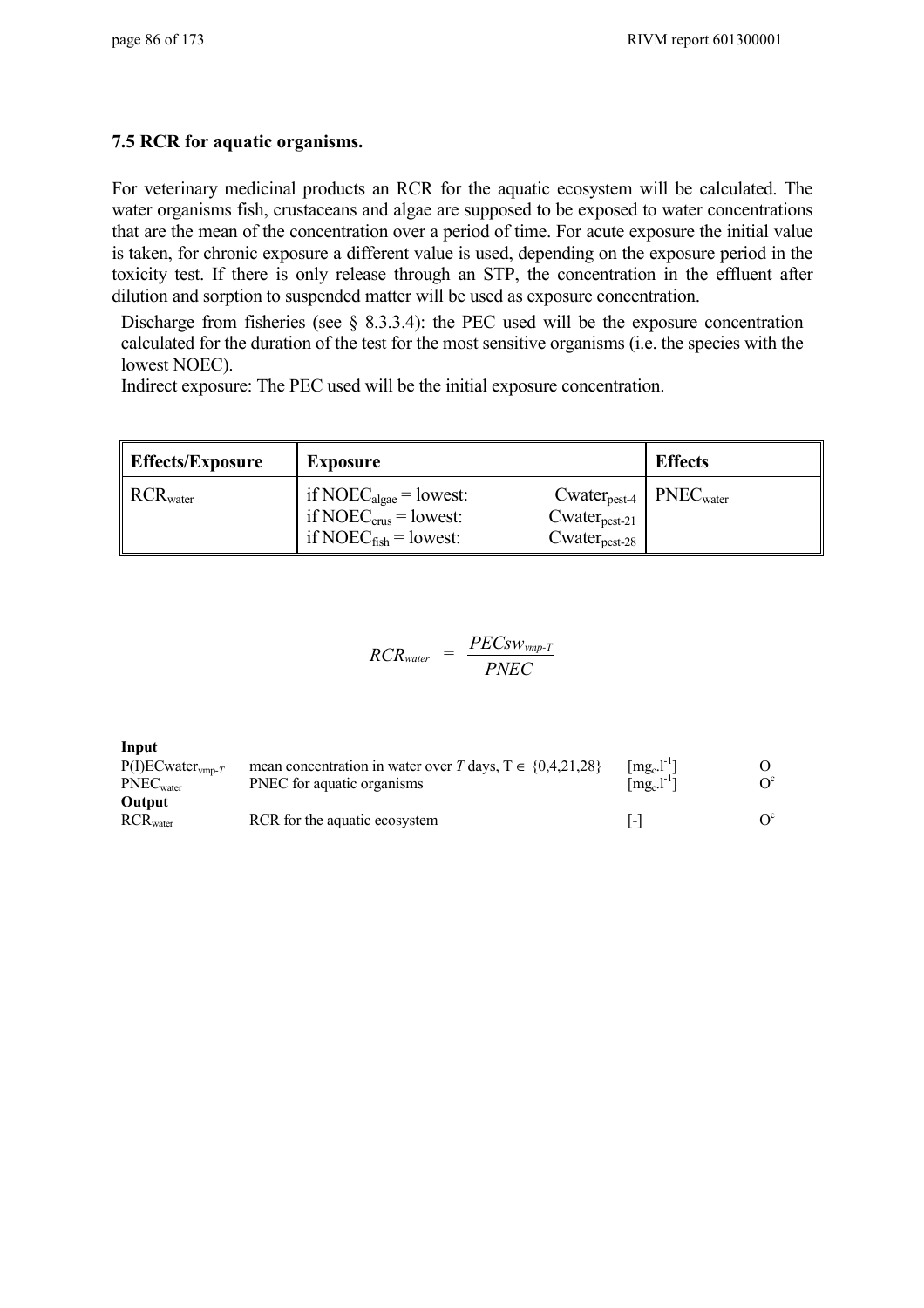# **7.5 RCR for aquatic organisms.**

For veterinary medicinal products an RCR for the aquatic ecosystem will be calculated. The water organisms fish, crustaceans and algae are supposed to be exposed to water concentrations that are the mean of the concentration over a period of time. For acute exposure the initial value is taken, for chronic exposure a different value is used, depending on the exposure period in the toxicity test. If there is only release through an STP, the concentration in the effluent after dilution and sorption to suspended matter will be used as exposure concentration.

Discharge from fisheries (see § 8.3.3.4): the PEC used will be the exposure concentration calculated for the duration of the test for the most sensitive organisms (i.e. the species with the lowest NOEC).

Indirect exposure: The PEC used will be the initial exposure concentration.

| Effects/Exposure                 | <b>Exposure</b>                                                                                                                                                   | <b>Effects</b>                                   |
|----------------------------------|-------------------------------------------------------------------------------------------------------------------------------------------------------------------|--------------------------------------------------|
| $\parallel$ RCR <sub>water</sub> | if NOEC <sub>algae</sub> = lowest:<br>if NOE $C_{\text{crus}}$ = lowest:<br>$Cwater_{\text{pest-21}}$<br>if NOEC $_{fish}$ = lowest:<br>$Cwater_{\text{pest-28}}$ | $Cwater_{\text{pest-4}}$   PNEC <sub>water</sub> |

$$
RCR_{water} = \frac{PECsw_{vmp-T}}{PNEC}
$$

**Input** P(I)ECwater<sub>vmp-*T* mean concentration in water over *T* days,  $T \in \{0,4,21,28\}$  [mg<sub>c</sub>.l<sup>-1</sup>] O<br>PNEC<sub>water</sub> PNEC for aquatic organisms [mg<sub>c</sub>.l<sup>-1</sup>] O<sup>c</sup></sub> PNEC<sub>water</sub> PNEC for aquatic organisms **Output** RCR<sub>water</sub> RCR for the aquatic ecosystem  $\begin{bmatrix} -1 \\ -1 \end{bmatrix}$  O<sup>c</sup>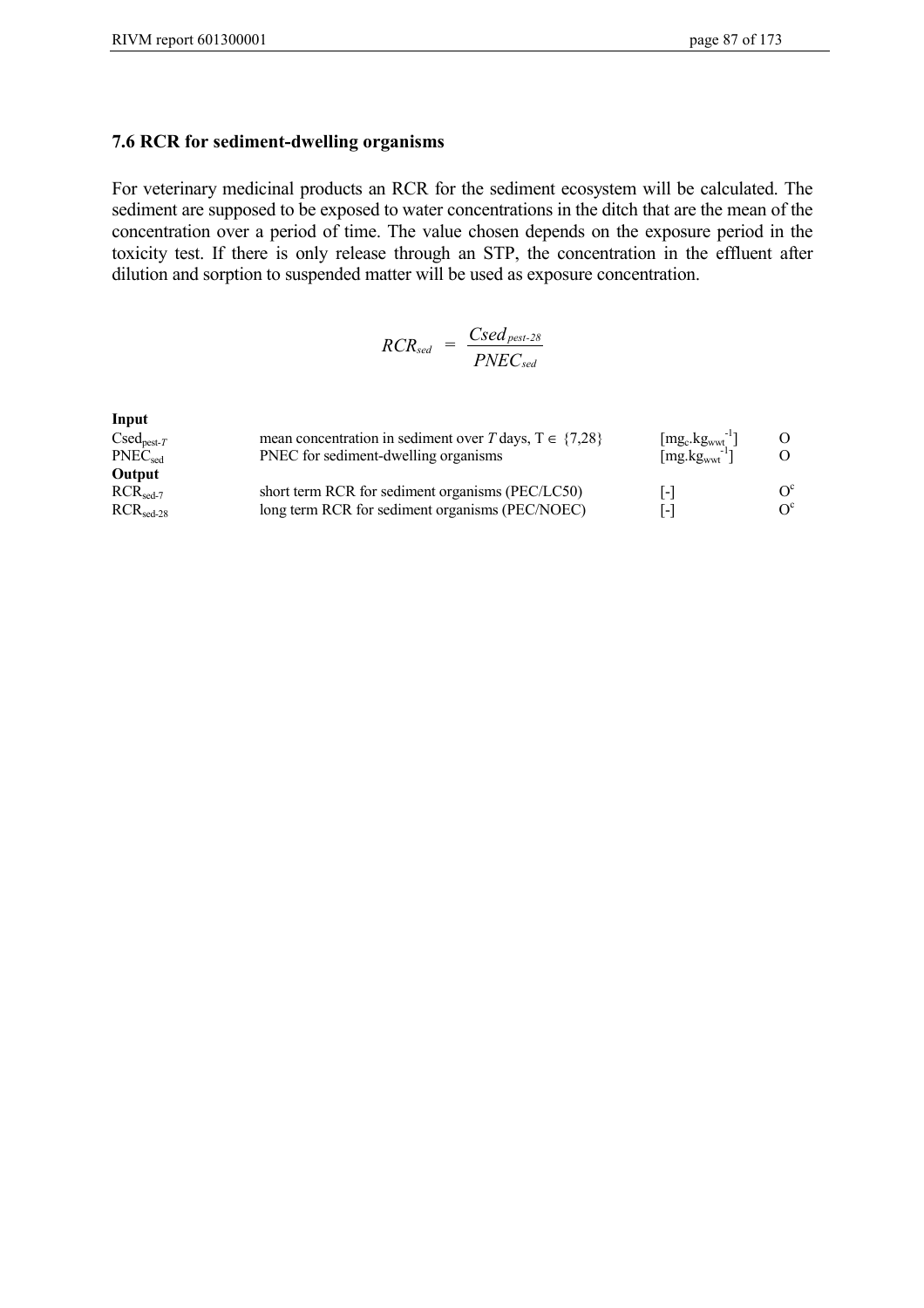#### **7.6 RCR for sediment-dwelling organisms**

For veterinary medicinal products an RCR for the sediment ecosystem will be calculated. The sediment are supposed to be exposed to water concentrations in the ditch that are the mean of the concentration over a period of time. The value chosen depends on the exposure period in the toxicity test. If there is only release through an STP, the concentration in the effluent after dilution and sorption to suspended matter will be used as exposure concentration.

$$
RCR_{sed} = \frac{Csed_{pest-28}}{PNEC_{sed}}
$$

| Input                         |                                                              |                                          |            |
|-------------------------------|--------------------------------------------------------------|------------------------------------------|------------|
| $C\text{sed}_{\text{pest-}T}$ | mean concentration in sediment over T days, $T \in \{7,28\}$ | $[mg_c.kg_{wwt}]$                        | $\Omega$   |
| $PNEC_{sed}$                  | PNEC for sediment-dwelling organisms                         | $\left[\text{mg.kg}_{\text{wwt}}\right]$ |            |
| Output                        |                                                              |                                          |            |
| $RCR_{\text{sed-7}}$          | short term RCR for sediment organisms (PEC/LC50)             | l-l                                      | $\Omega^c$ |
| $RCRsed-28$                   | long term RCR for sediment organisms (PEC/NOEC)              | l – l                                    | $\Omega^c$ |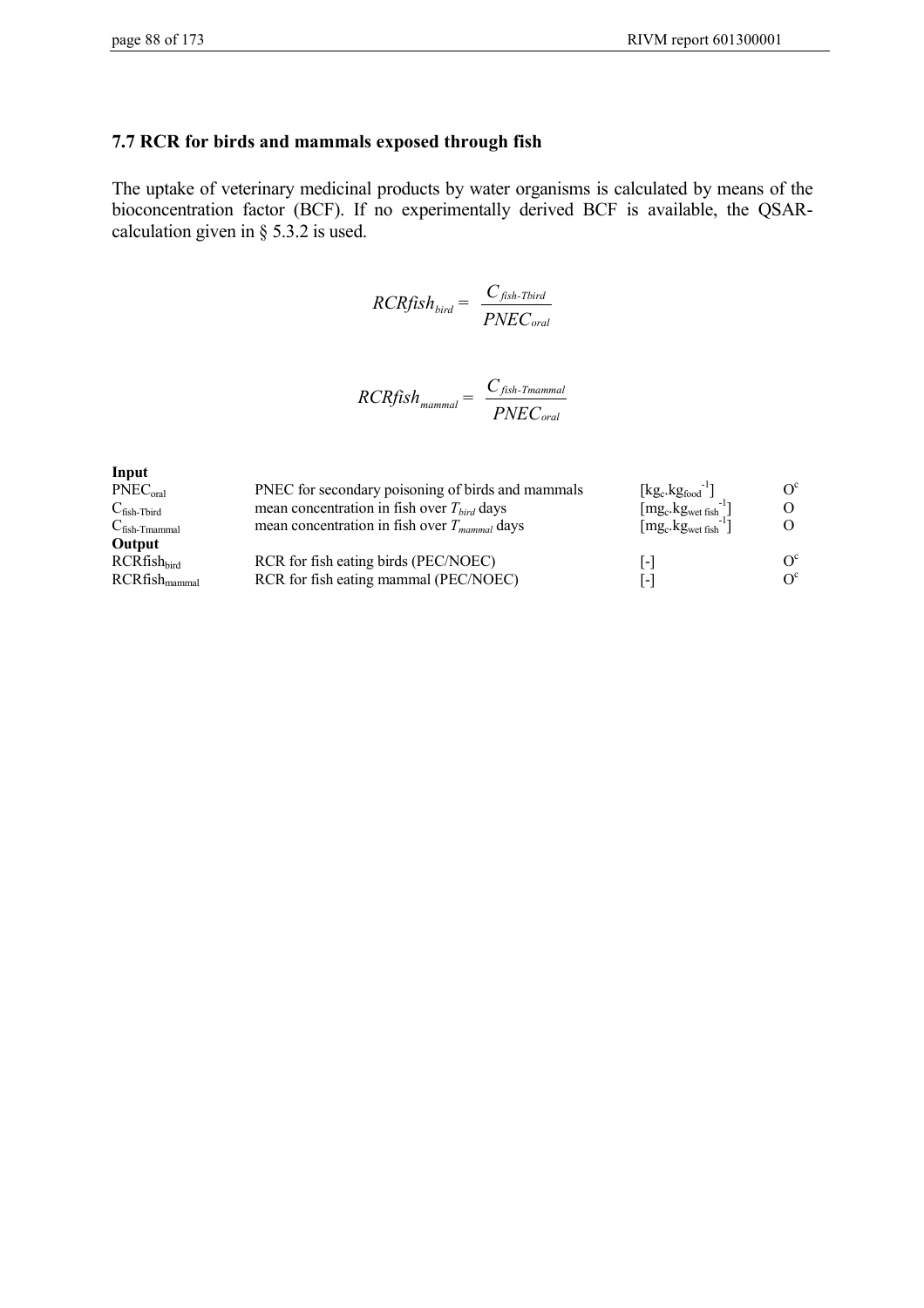## **7.7 RCR for birds and mammals exposed through fish**

The uptake of veterinary medicinal products by water organisms is calculated by means of the bioconcentration factor (BCF). If no experimentally derived BCF is available, the QSARcalculation given in § 5.3.2 is used.

$$
RCRfish_{bird} = \frac{C_{fish-Total}}{PNEC_{oral}}
$$

$$
RCRfish_{\text{mammal}} = \frac{C_{fish\text{-}Thammal}}{PNEC_{oral}}
$$

| Input                     |                                                   |                          |                         |
|---------------------------|---------------------------------------------------|--------------------------|-------------------------|
| PNEC <sub>oral</sub>      | PNEC for secondary poisoning of birds and mammals | $[kg_c.kg_{food}^{-1}]$  | $\Omega^c$              |
| $C_{fish-Tbird}$          | mean concentration in fish over $T_{bird}$ days   | $[mg_c.kgwet fish^{-1}]$ |                         |
| $C_{fish\text{-}Tmannal}$ | mean concentration in fish over $T_{mammal}$ days | $[mg_c.kgwet fish']$     | O.                      |
| Output                    |                                                   |                          |                         |
| $RCRfish_{bird}$          | RCR for fish eating birds (PEC/NOEC)              | $\vert$ – $\vert$        | $\mathrm{O}^\mathrm{c}$ |
| $RCRfish_{\text{mammal}}$ | RCR for fish eating mammal (PEC/NOEC)             | $\vert$ – $\vert$        | $\rm O^c$               |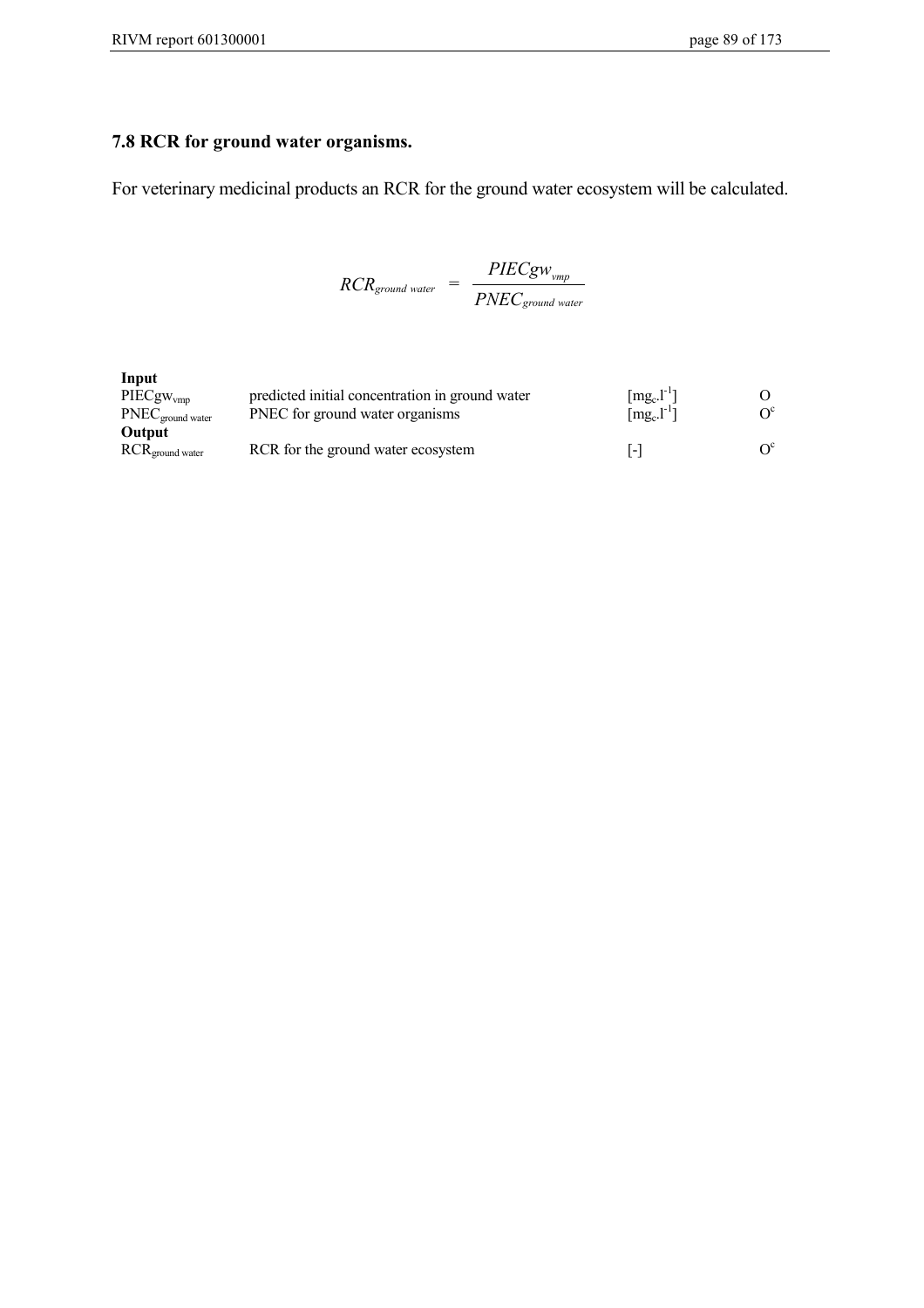# **7.8 RCR for ground water organisms.**

For veterinary medicinal products an RCR for the ground water ecosystem will be calculated.

$$
RCR_{ground\,\,water} = \frac{PIECg w_{vmp}}{PNEC_{ground\,\,water}}
$$

| Input<br>$PIECgW_{Vmp}$<br>$\text{PNEC}_{\text{ground water}}$ | predicted initial concentration in ground water<br>PNEC for ground water organisms | $[mg_c.l^{-1}]$<br>$\lceil \text{mg}_c \cdot \text{l}^{-1} \rceil$ | $\Omega^c$ |
|----------------------------------------------------------------|------------------------------------------------------------------------------------|--------------------------------------------------------------------|------------|
| Output<br>$RCR_{ground\,water}$                                | RCR for the ground water ecosystem                                                 | I –                                                                | $\Omega^c$ |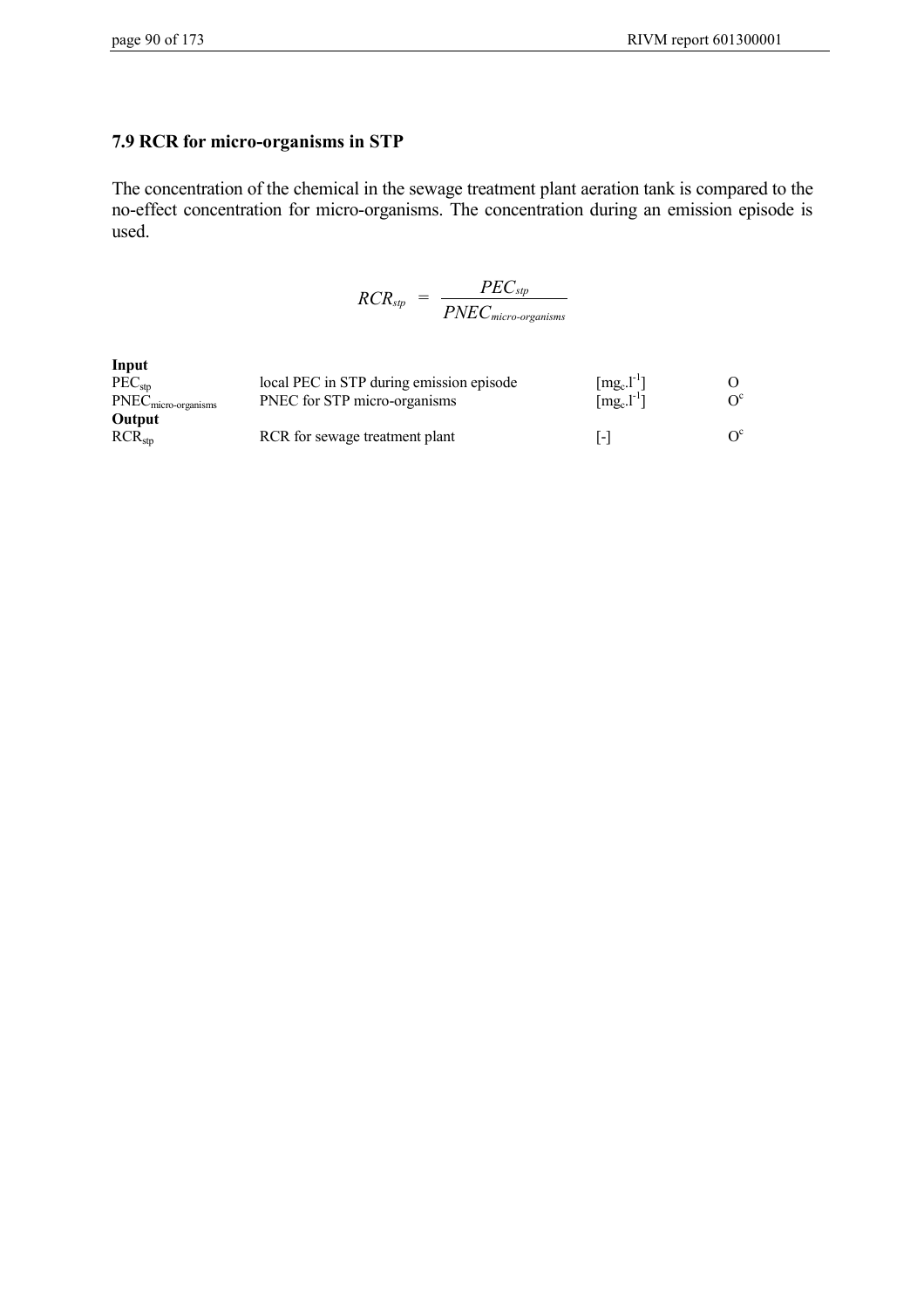# **7.9 RCR for micro-organisms in STP**

The concentration of the chemical in the sewage treatment plant aeration tank is compared to the no-effect concentration for micro-organisms. The concentration during an emission episode is used.

$$
RCR_{sp} = \frac{PEC_{sp}}{PNEC_{micro-organisms}}
$$

| Input                 |                                          |                                                 |  |
|-----------------------|------------------------------------------|-------------------------------------------------|--|
| PEC <sub>stn</sub>    | local PEC in STP during emission episode | $[mg_c.l^{-1}]$                                 |  |
| $PNECmicro-organisms$ | PNEC for STP micro-organisms             | $\lceil \text{mg}_c \cdot \text{l}^{-1} \rceil$ |  |
| Output                |                                          |                                                 |  |
| RCR <sub>stn</sub>    | RCR for sewage treatment plant           | l-l                                             |  |
|                       |                                          |                                                 |  |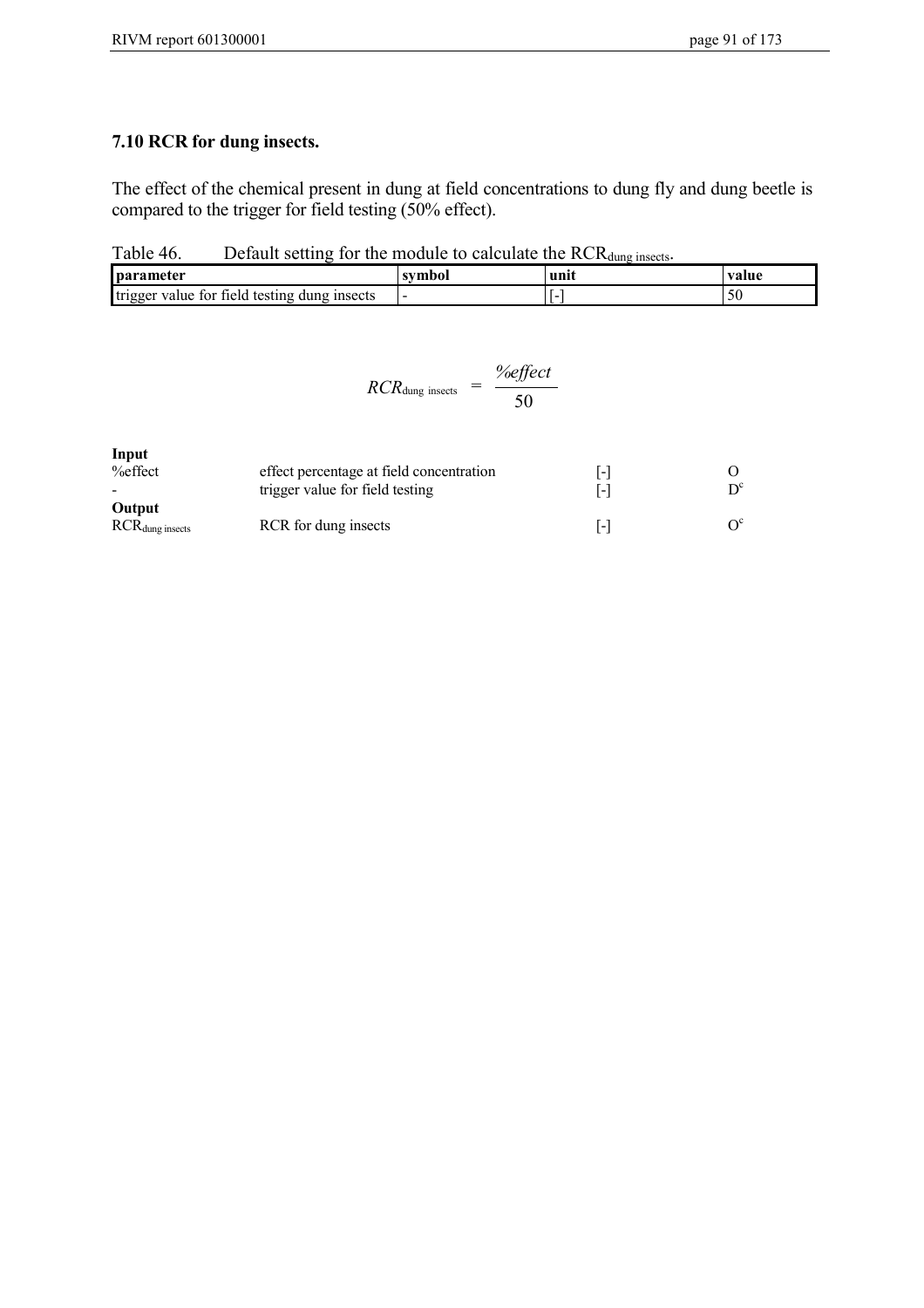# **7.10 RCR for dung insects.**

The effect of the chemical present in dung at field concentrations to dung fly and dung beetle is compared to the trigger for field testing (50% effect).

Table 46. Default setting for the module to calculate the  $RCR_{dung\text{ insects}}$ .

| <b>parameter</b>                                         | symbol | unn | value |
|----------------------------------------------------------|--------|-----|-------|
| trigger<br>value for field.<br>dung insects<br>. testing |        |     | м     |

$$
RCR_{\text{dung insects}} = \frac{\%effect}{50}
$$

| Input   |  |
|---------|--|
| %effect |  |

| mput<br>$%$ effect    | effect percentage at field concentration | l-l   |  |  |
|-----------------------|------------------------------------------|-------|--|--|
| Output                | trigger value for field testing          | I - I |  |  |
| $RCR_{dung\;insects}$ | RCR for dung insects                     | I - I |  |  |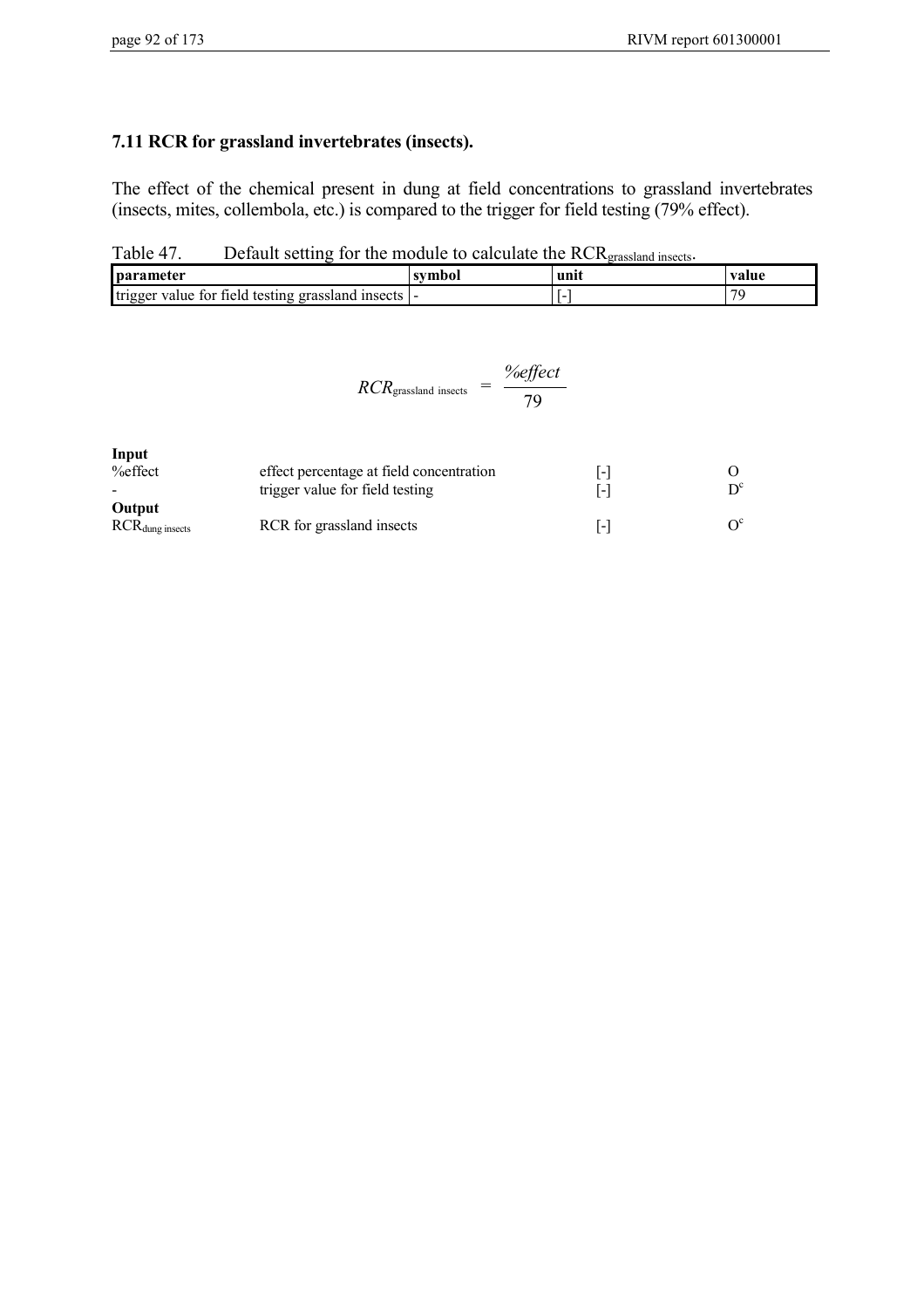# **7.11 RCR for grassland invertebrates (insects).**

The effect of the chemical present in dung at field concentrations to grassland invertebrates (insects, mites, collembola, etc.) is compared to the trigger for field testing (79% effect).

Table 47. Default setting for the module to calculate the RCR<sub>grassland insects</sub>.

| <b>parameter</b>                                           | unit | value |
|------------------------------------------------------------|------|-------|
| trigger<br>tield testing grassland<br>value for<br>insects | . .  | $\pi$ |

$$
RCR_{\text{grassland insects}} = \frac{\%effect}{79}
$$

| Input                  |                                          |         |                         |
|------------------------|------------------------------------------|---------|-------------------------|
| $%$ effect             | effect percentage at field concentration | $ -1$   |                         |
|                        | trigger value for field testing          | 1 - I   | $\mathsf{D}^\mathsf{c}$ |
| Output                 |                                          |         |                         |
| $RCR_{dung\, insects}$ | RCR for grassland insects                | $1 - 1$ | $\Omega^c$              |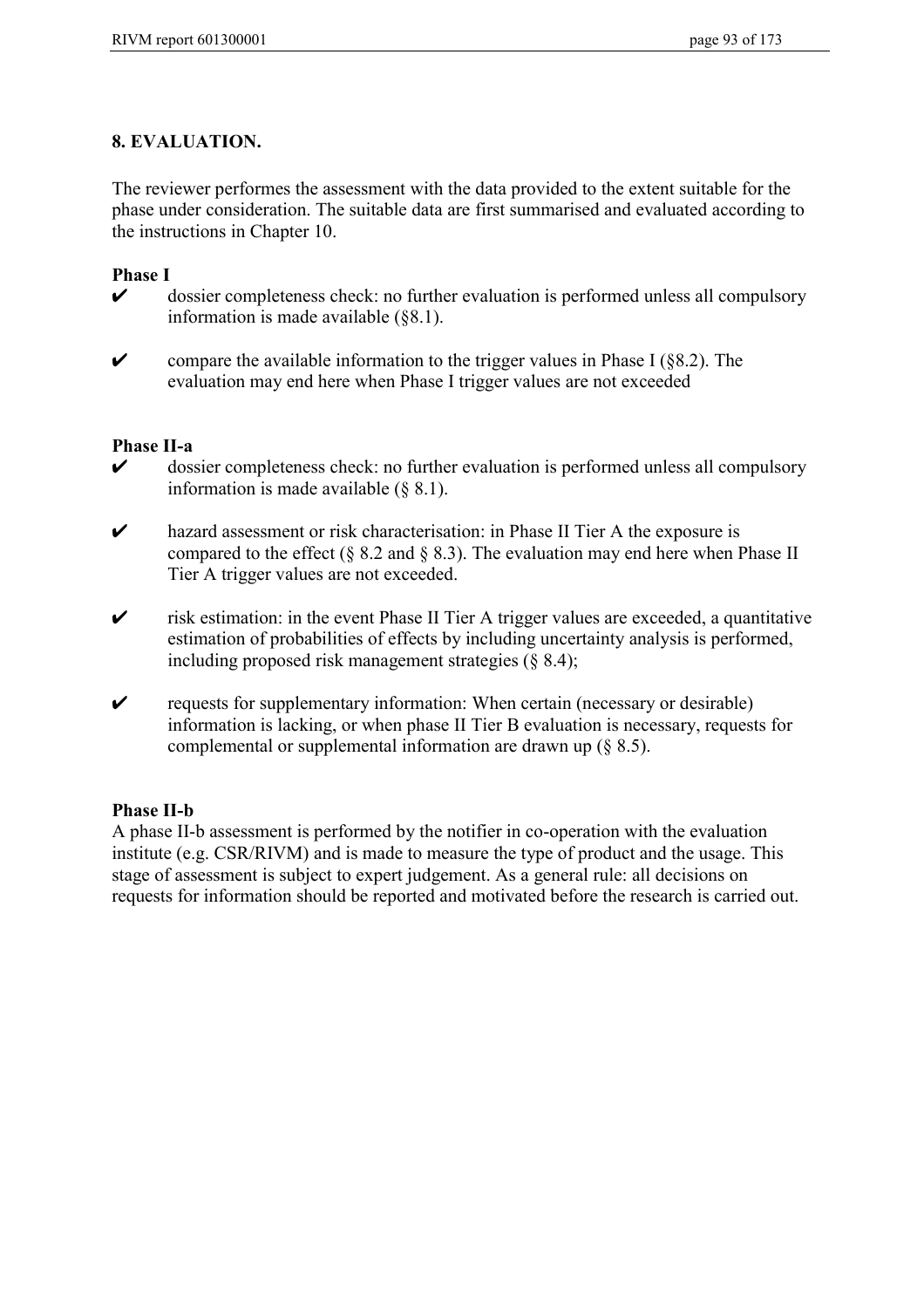## **8. EVALUATION.**

The reviewer performes the assessment with the data provided to the extent suitable for the phase under consideration. The suitable data are first summarised and evaluated according to the instructions in Chapter 10.

- **Phase I** ✔ dossier completeness check: no further evaluation is performed unless all compulsory information is made available (§8.1).
- $\triangleright$  compare the available information to the trigger values in Phase I (§8.2). The evaluation may end here when Phase I trigger values are not exceeded

#### **Phase II-a**

- $\triangleright$  dossier completeness check: no further evaluation is performed unless all compulsory information is made available (§ 8.1).
- ✔ hazard assessment or risk characterisation: in Phase II Tier A the exposure is compared to the effect (§ 8.2 and § 8.3). The evaluation may end here when Phase II Tier A trigger values are not exceeded.
- $\triangleright$  risk estimation: in the event Phase II Tier A trigger values are exceeded, a quantitative estimation of probabilities of effects by including uncertainty analysis is performed, including proposed risk management strategies (§ 8.4);
- $\triangleright$  requests for supplementary information: When certain (necessary or desirable) information is lacking, or when phase II Tier B evaluation is necessary, requests for complemental or supplemental information are drawn up (§ 8.5).

## **Phase II-b**

A phase II-b assessment is performed by the notifier in co-operation with the evaluation institute (e.g. CSR/RIVM) and is made to measure the type of product and the usage. This stage of assessment is subject to expert judgement. As a general rule: all decisions on requests for information should be reported and motivated before the research is carried out.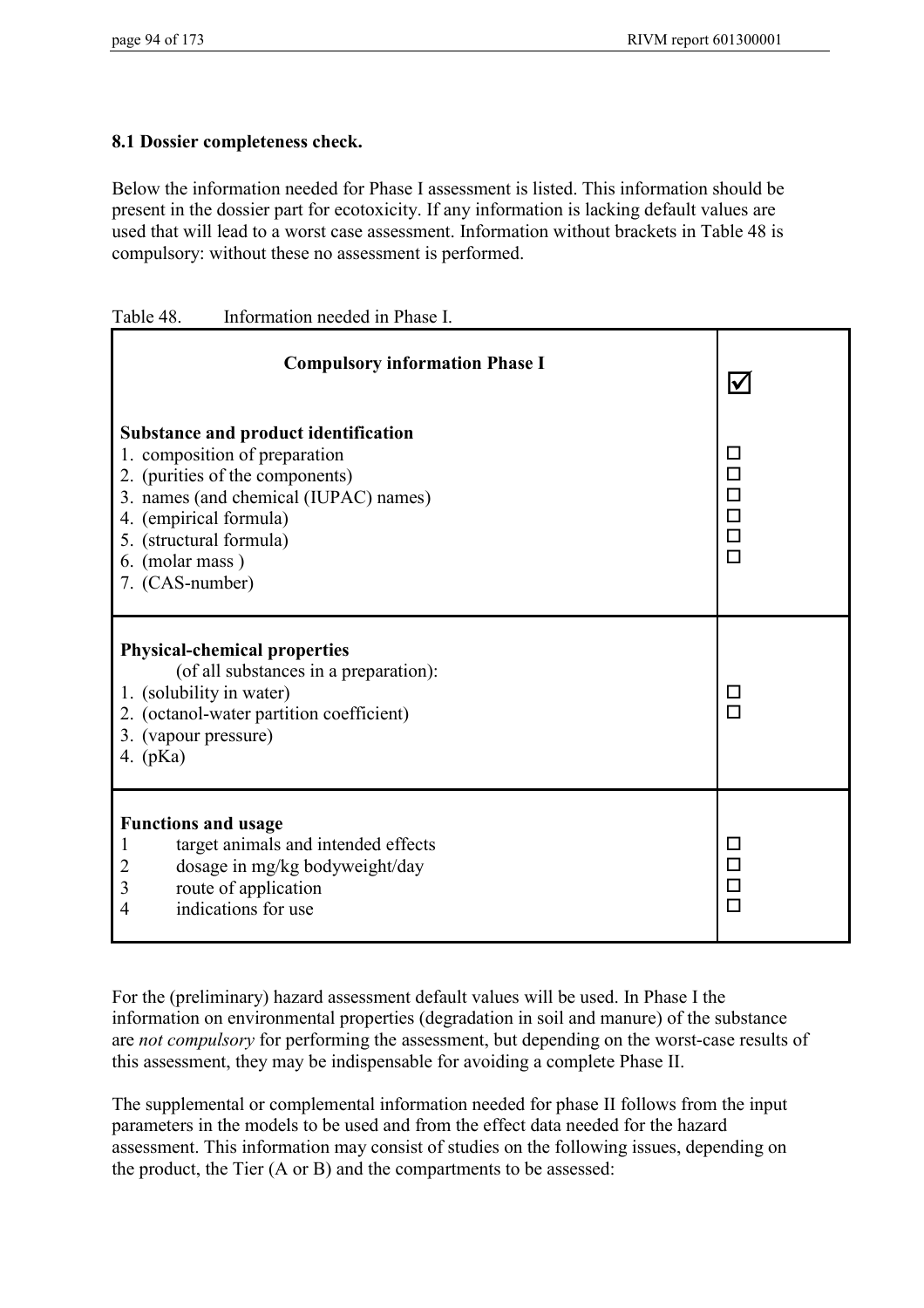# **8.1 Dossier completeness check.**

Below the information needed for Phase I assessment is listed. This information should be present in the dossier part for ecotoxicity. If any information is lacking default values are used that will lead to a worst case assessment. Information without brackets in Table 48 is compulsory: without these no assessment is performed.

| Information needed in Phase I. | Table 48. |  |  |
|--------------------------------|-----------|--|--|
|--------------------------------|-----------|--|--|

| <b>Compulsory information Phase I</b>                                                                                                                                                                                                               | $\blacktriangledown$                                                                      |
|-----------------------------------------------------------------------------------------------------------------------------------------------------------------------------------------------------------------------------------------------------|-------------------------------------------------------------------------------------------|
| <b>Substance and product identification</b><br>1. composition of preparation<br>2. (purities of the components)<br>3. names (and chemical (IUPAC) names)<br>4. (empirical formula)<br>5. (structural formula)<br>6. (molar mass)<br>7. (CAS-number) | $\Box$<br>$\Box$<br>$\begin{array}{c} \square \\ \square \end{array}$<br>$\Box$<br>$\Box$ |
| <b>Physical-chemical properties</b><br>(of all substances in a preparation):<br>1. (solubility in water)<br>2. (octanol-water partition coefficient)<br>3. (vapour pressure)<br>4. $(pKa)$                                                          | □<br>$\Box$                                                                               |
| <b>Functions and usage</b><br>target animals and intended effects<br>1<br>dosage in mg/kg bodyweight/day<br>2<br>route of application<br>3<br>indications for use<br>$\overline{4}$                                                                 | $\Box$<br>$\Box$<br>$\Box$<br>$\Box$                                                      |

For the (preliminary) hazard assessment default values will be used. In Phase I the information on environmental properties (degradation in soil and manure) of the substance are *not compulsory* for performing the assessment, but depending on the worst-case results of this assessment, they may be indispensable for avoiding a complete Phase II.

The supplemental or complemental information needed for phase II follows from the input parameters in the models to be used and from the effect data needed for the hazard assessment. This information may consist of studies on the following issues, depending on the product, the Tier (A or B) and the compartments to be assessed: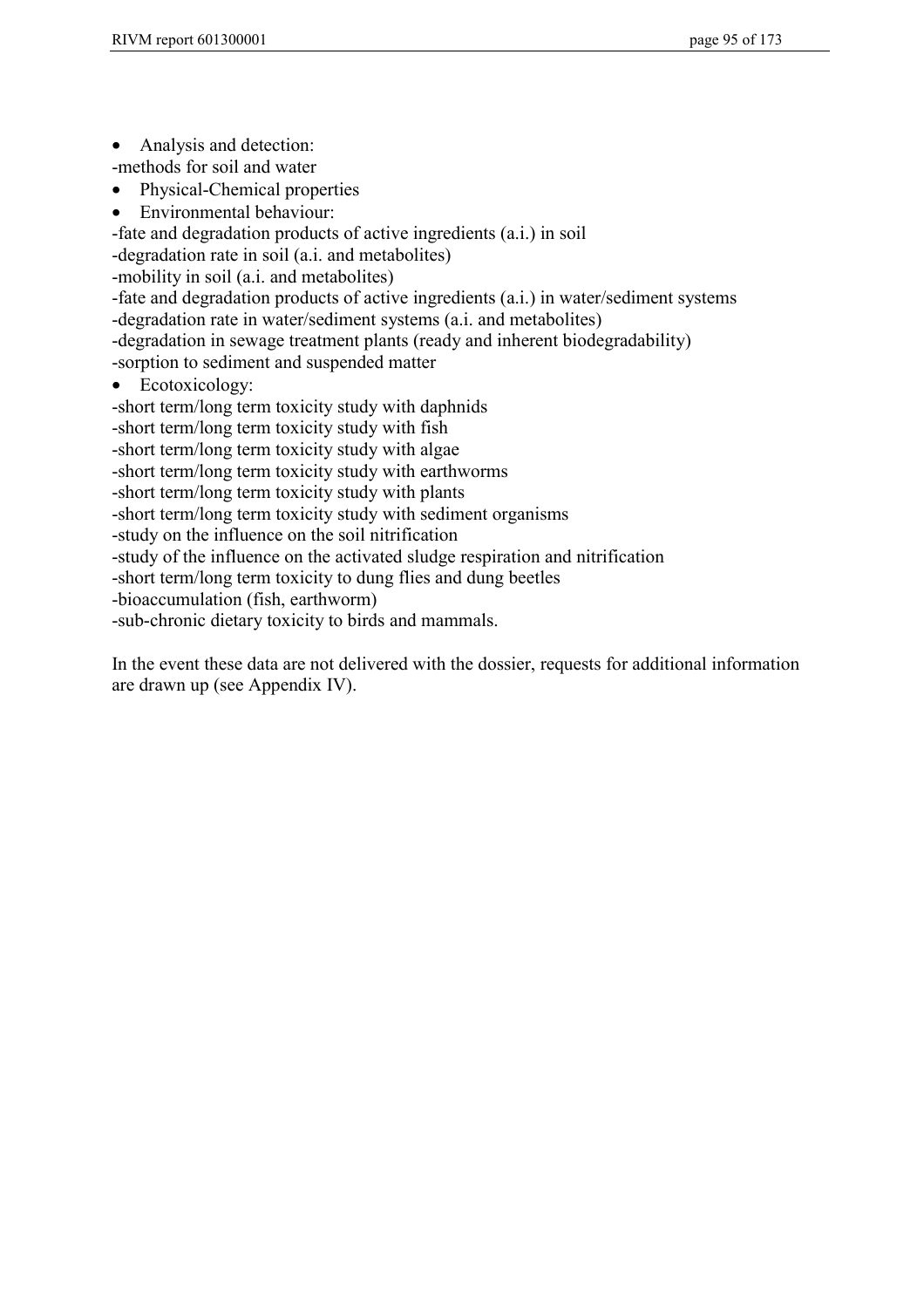• Analysis and detection:

-methods for soil and water

- Physical-Chemical properties
- Environmental behaviour:

-fate and degradation products of active ingredients (a.i.) in soil

-degradation rate in soil (a.i. and metabolites)

-mobility in soil (a.i. and metabolites)

-fate and degradation products of active ingredients (a.i.) in water/sediment systems -degradation rate in water/sediment systems (a.i. and metabolites)

-degradation in sewage treatment plants (ready and inherent biodegradability)

-sorption to sediment and suspended matter

• Ecotoxicology:

-short term/long term toxicity study with daphnids

-short term/long term toxicity study with fish

-short term/long term toxicity study with algae

-short term/long term toxicity study with earthworms

-short term/long term toxicity study with plants

-short term/long term toxicity study with sediment organisms

-study on the influence on the soil nitrification

-study of the influence on the activated sludge respiration and nitrification

-short term/long term toxicity to dung flies and dung beetles

-bioaccumulation (fish, earthworm)

-sub-chronic dietary toxicity to birds and mammals.

In the event these data are not delivered with the dossier, requests for additional information are drawn up (see Appendix IV).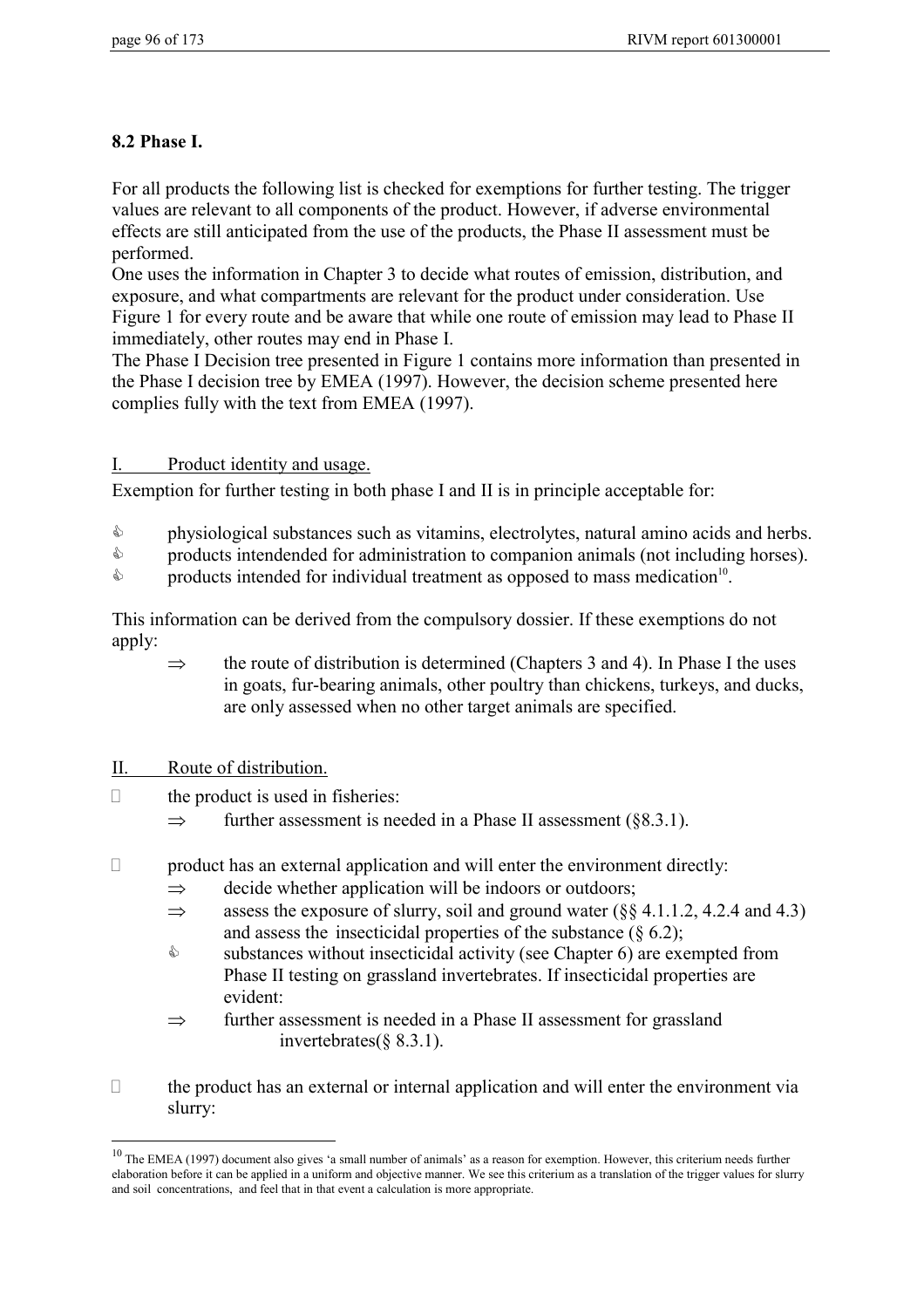# **8.2 Phase I.**

For all products the following list is checked for exemptions for further testing. The trigger values are relevant to all components of the product. However, if adverse environmental effects are still anticipated from the use of the products, the Phase II assessment must be performed.

One uses the information in Chapter 3 to decide what routes of emission, distribution, and exposure, and what compartments are relevant for the product under consideration. Use Figure 1 for every route and be aware that while one route of emission may lead to Phase II immediately, other routes may end in Phase I.

The Phase I Decision tree presented in Figure 1 contains more information than presented in the Phase I decision tree by EMEA (1997). However, the decision scheme presented here complies fully with the text from EMEA (1997).

## I. Product identity and usage.

Exemption for further testing in both phase I and II is in principle acceptable for:

- $\mathbb{A}$ physiological substances such as vitamins, electrolytes, natural amino acids and herbs.
- $\mathbb{Z}$ products intendended for administration to companion animals (not including horses).
- $\mathbb{A}$ products intended for individual treatment as opposed to mass medication<sup>10</sup>.

This information can be derived from the compulsory dossier. If these exemptions do not apply:

 $\Rightarrow$  the route of distribution is determined (Chapters 3 and 4). In Phase I the uses in goats, fur-bearing animals, other poultry than chickens, turkeys, and ducks, are only assessed when no other target animals are specified.

# II. Route of distribution.

 $\overline{a}$ 

- $\Box$  the product is used in fisheries:
	- $\Rightarrow$  further assessment is needed in a Phase II assessment (§8.3.1).
- $\Box$  product has an external application and will enter the environment directly:
	- $\Rightarrow$  decide whether application will be indoors or outdoors;
	- $\Rightarrow$  assess the exposure of slurry, soil and ground water ( $\&$  4.1.1.2, 4.2.4 and 4.3) and assess the insecticidal properties of the substance (§ 6.2);
	- $\mathbb{A}$  substances without insecticidal activity (see Chapter 6) are exempted from Phase II testing on grassland invertebrates. If insecticidal properties are evident:
	- $\Rightarrow$  further assessment is needed in a Phase II assessment for grassland invertebrates(§ 8.3.1).
- $\Box$  the product has an external or internal application and will enter the environment via slurry:

 $10$  The EMEA (1997) document also gives 'a small number of animals' as a reason for exemption. However, this criterium needs further elaboration before it can be applied in a uniform and objective manner. We see this criterium as a translation of the trigger values for slurry and soil concentrations, and feel that in that event a calculation is more appropriate.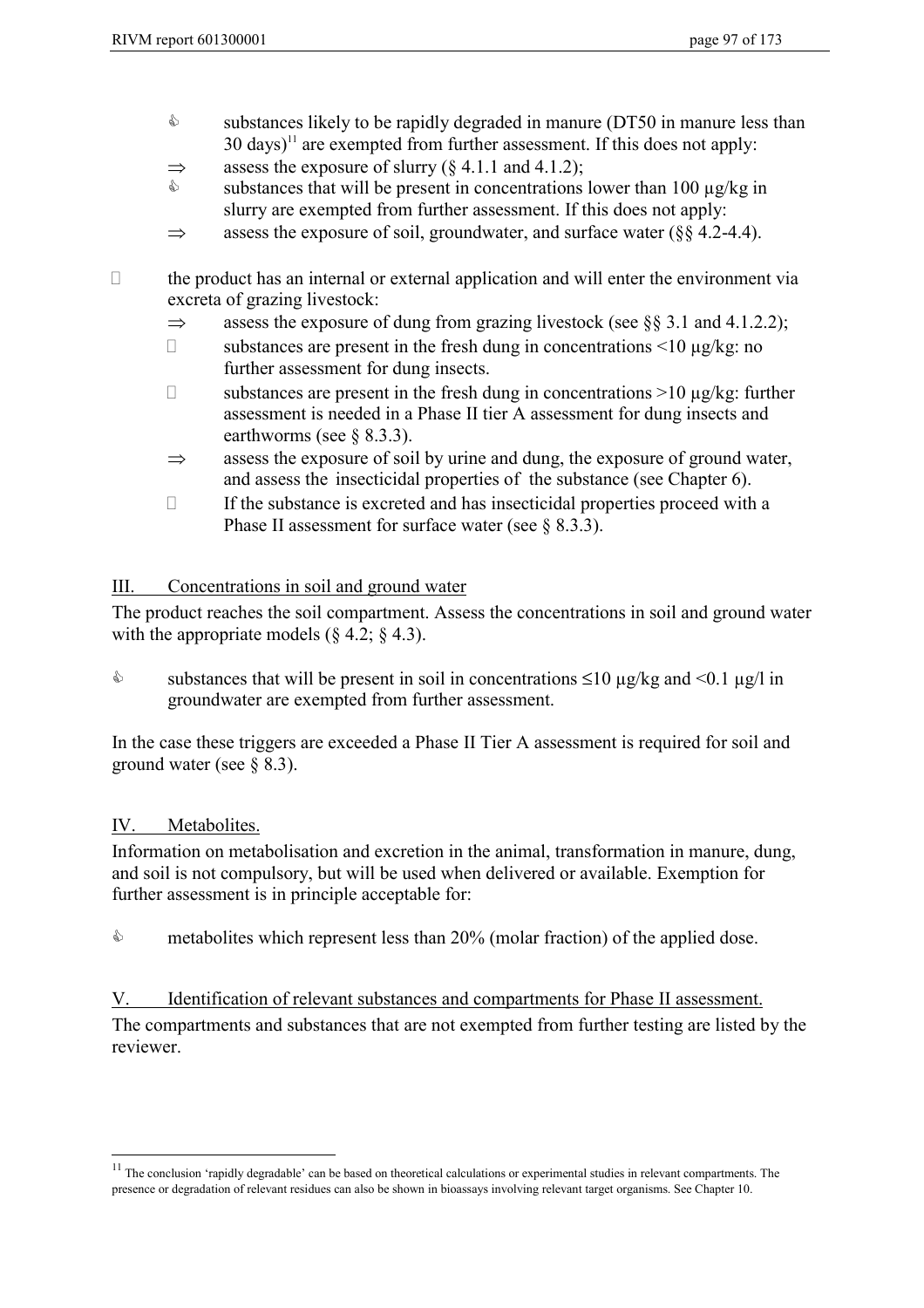- $\mathbb{A}$  substances likely to be rapidly degraded in manure (DT50 in manure less than  $30 \text{ days}$ <sup>11</sup> are exempted from further assessment. If this does not apply:
- $\Rightarrow$  assess the exposure of slurry (§ 4.1.1 and 4.1.2);
- $\mathbb{S}$ substances that will be present in concentrations lower than 100  $\mu$ g/kg in slurry are exempted from further assessment. If this does not apply:
- $\Rightarrow$  assess the exposure of soil, groundwater, and surface water ( $\S$ § 4.2-4.4).

- $\Box$  the product has an internal or external application and will enter the environment via excreta of grazing livestock:
	- $\Rightarrow$  assess the exposure of dung from grazing livestock (see §§ 3.1 and 4.1.2.2);
	- $\Box$  substances are present in the fresh dung in concentrations <10  $\mu$ g/kg: no further assessment for dung insects.
	- $\Box$  substances are present in the fresh dung in concentrations >10 µg/kg: further assessment is needed in a Phase II tier A assessment for dung insects and earthworms (see § 8.3.3).
	- $\Rightarrow$  assess the exposure of soil by urine and dung, the exposure of ground water, and assess the insecticidal properties of the substance (see Chapter 6).
	- $\Box$  If the substance is excreted and has insecticidal properties proceed with a Phase II assessment for surface water (see § 8.3.3).

## III. Concentrations in soil and ground water

The product reaches the soil compartment. Assess the concentrations in soil and ground water with the appropriate models  $(\S 4.2; \S 4.3)$ .

 $\mathbb{A}$ substances that will be present in soil in concentrations  $\leq 10 \text{ µg/kg}$  and  $\leq 0.1 \text{ µg/l}$  in groundwater are exempted from further assessment.

In the case these triggers are exceeded a Phase II Tier A assessment is required for soil and ground water (see  $\S$  8.3).

## IV. Metabolites.

 $\overline{a}$ 

Information on metabolisation and excretion in the animal, transformation in manure, dung, and soil is not compulsory, but will be used when delivered or available. Exemption for further assessment is in principle acceptable for:

 $\mathbb{A}$ metabolites which represent less than 20% (molar fraction) of the applied dose.

V. Identification of relevant substances and compartments for Phase II assessment. The compartments and substances that are not exempted from further testing are listed by the reviewer.

 $11$  The conclusion 'rapidly degradable' can be based on theoretical calculations or experimental studies in relevant compartments. The presence or degradation of relevant residues can also be shown in bioassays involving relevant target organisms. See Chapter 10.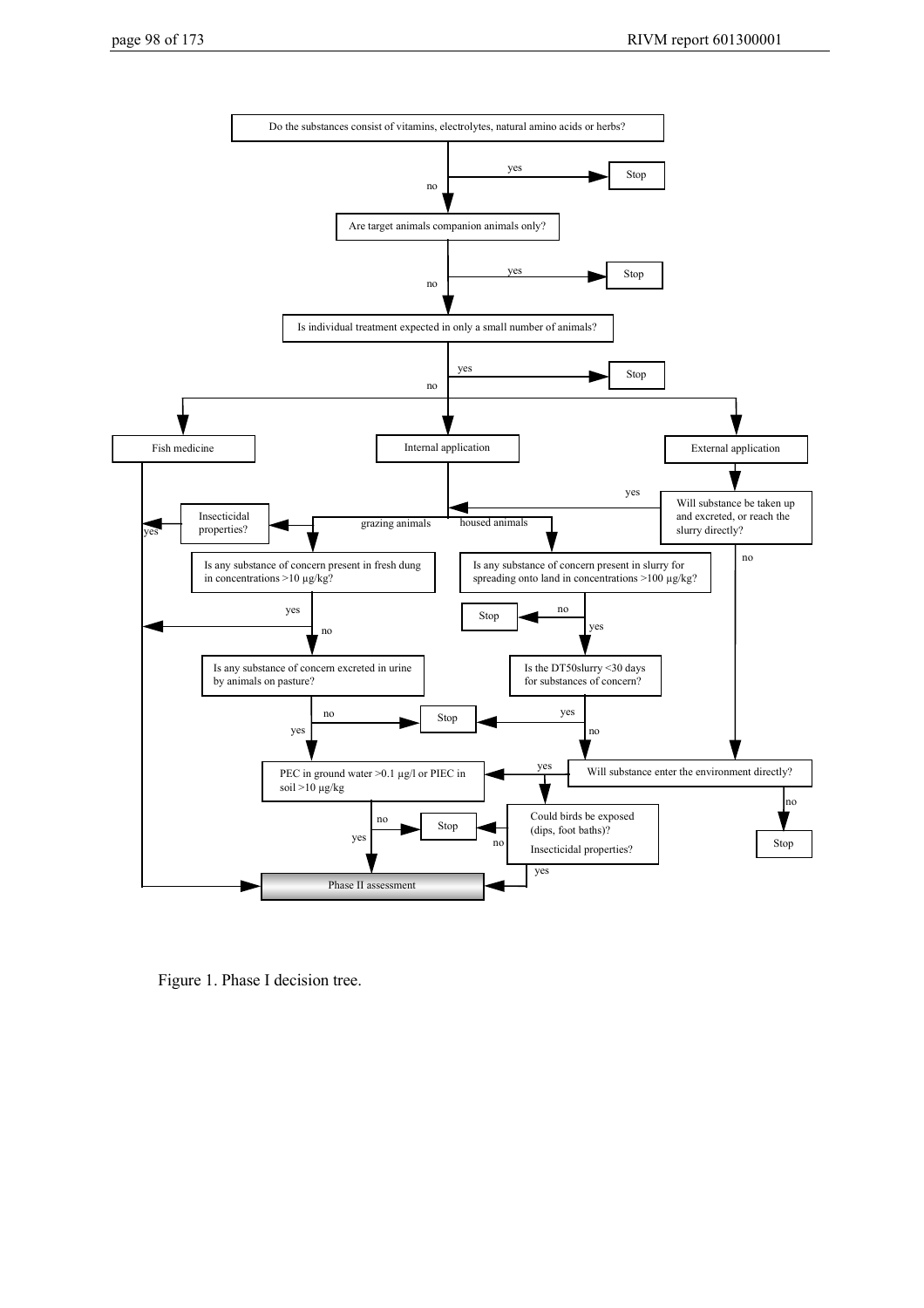

Figure 1. Phase I decision tree.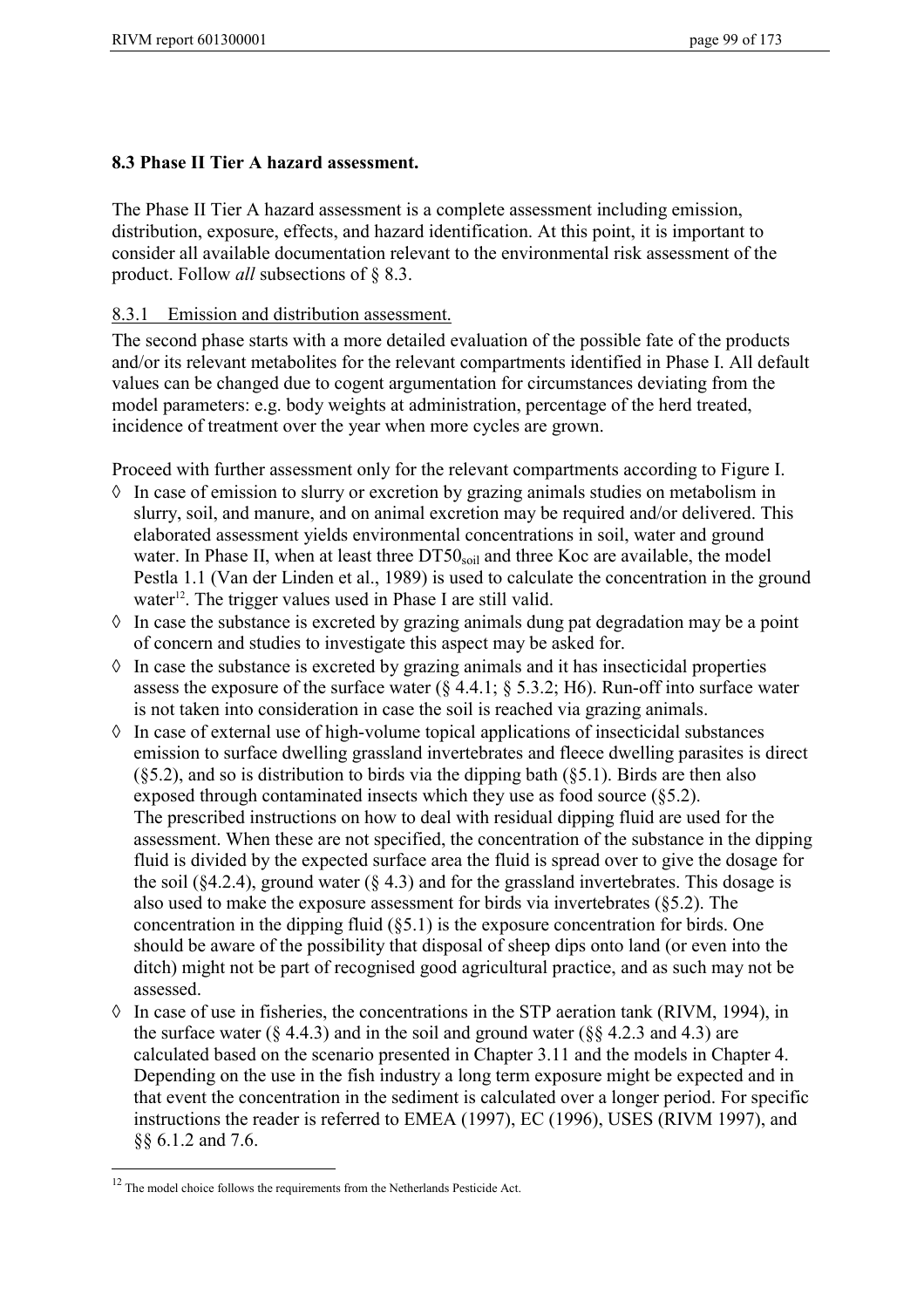#### **8.3 Phase II Tier A hazard assessment.**

The Phase II Tier A hazard assessment is a complete assessment including emission, distribution, exposure, effects, and hazard identification. At this point, it is important to consider all available documentation relevant to the environmental risk assessment of the product. Follow *all* subsections of § 8.3.

#### 8.3.1 Emission and distribution assessment.

The second phase starts with a more detailed evaluation of the possible fate of the products and/or its relevant metabolites for the relevant compartments identified in Phase I. All default values can be changed due to cogent argumentation for circumstances deviating from the model parameters: e.g. body weights at administration, percentage of the herd treated, incidence of treatment over the year when more cycles are grown.

Proceed with further assessment only for the relevant compartments according to Figure I.

- In case of emission to slurry or excretion by grazing animals studies on metabolism in slurry, soil, and manure, and on animal excretion may be required and/or delivered. This elaborated assessment yields environmental concentrations in soil, water and ground water. In Phase II, when at least three  $DT50<sub>sol</sub>$  and three Koc are available, the model Pestla 1.1 (Van der Linden et al., 1989) is used to calculate the concentration in the ground water<sup>12</sup>. The trigger values used in Phase I are still valid.
- In case the substance is excreted by grazing animals dung pat degradation may be a point of concern and studies to investigate this aspect may be asked for.
- In case the substance is excreted by grazing animals and it has insecticidal properties assess the exposure of the surface water  $(\S 4.4.1; \S 5.3.2; H6)$ . Run-off into surface water is not taken into consideration in case the soil is reached via grazing animals.
- In case of external use of high-volume topical applications of insecticidal substances emission to surface dwelling grassland invertebrates and fleece dwelling parasites is direct (§5.2), and so is distribution to birds via the dipping bath (§5.1). Birds are then also exposed through contaminated insects which they use as food source (§5.2). The prescribed instructions on how to deal with residual dipping fluid are used for the assessment. When these are not specified, the concentration of the substance in the dipping fluid is divided by the expected surface area the fluid is spread over to give the dosage for the soil ( $§$ 4.2.4), ground water ( $§$  4.3) and for the grassland invertebrates. This dosage is also used to make the exposure assessment for birds via invertebrates (§5.2). The concentration in the dipping fluid (§5.1) is the exposure concentration for birds. One should be aware of the possibility that disposal of sheep dips onto land (or even into the ditch) might not be part of recognised good agricultural practice, and as such may not be assessed.
- In case of use in fisheries, the concentrations in the STP aeration tank (RIVM, 1994), in the surface water ( $\S 4.4.3$ ) and in the soil and ground water ( $\S 84.2.3$  and 4.3) are calculated based on the scenario presented in Chapter 3.11 and the models in Chapter 4. Depending on the use in the fish industry a long term exposure might be expected and in that event the concentration in the sediment is calculated over a longer period. For specific instructions the reader is referred to EMEA (1997), EC (1996), USES (RIVM 1997), and §§ 6.1.2 and 7.6.

 $\overline{a}$ 

<sup>&</sup>lt;sup>12</sup> The model choice follows the requirements from the Netherlands Pesticide Act.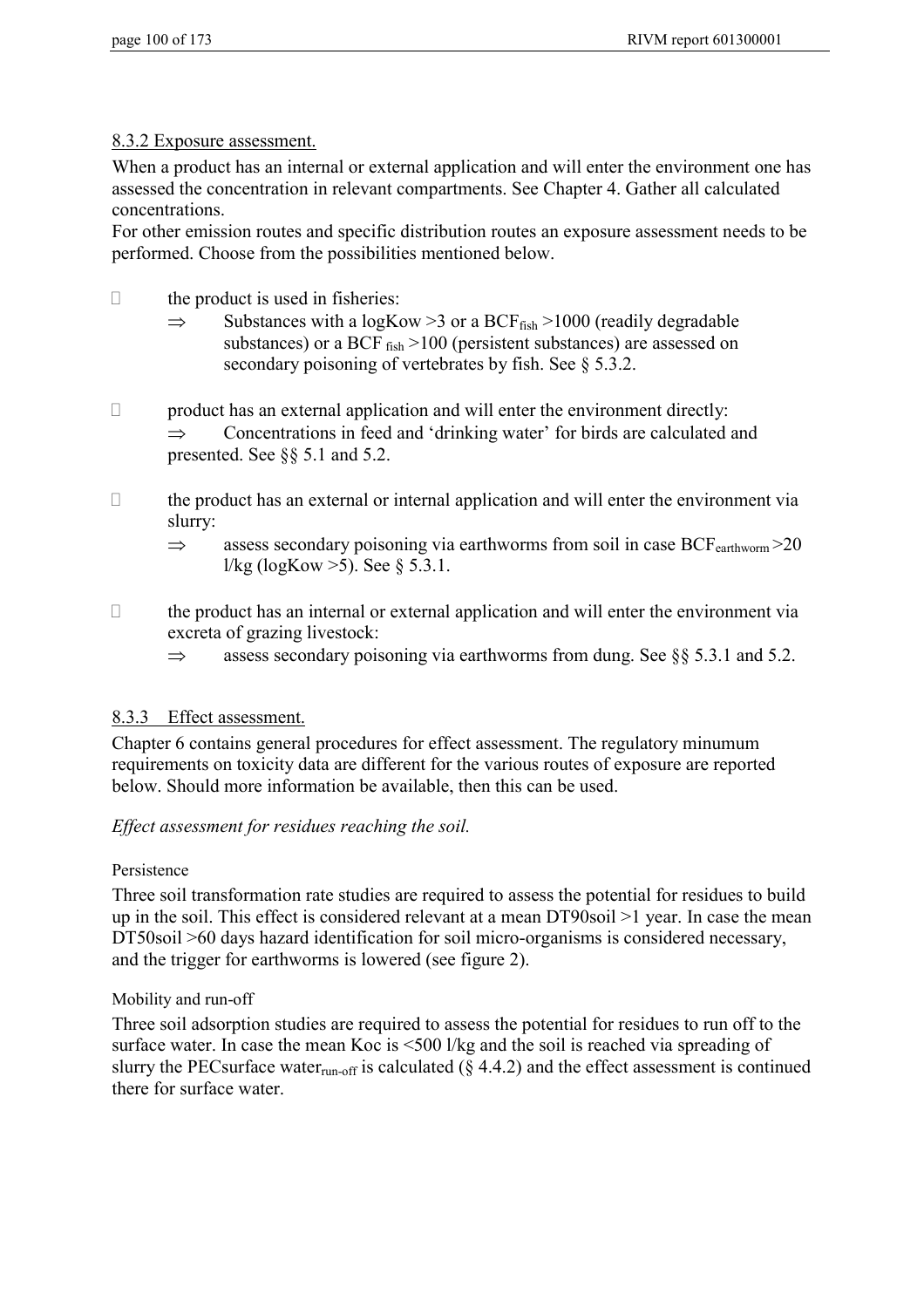#### 8.3.2 Exposure assessment.

When a product has an internal or external application and will enter the environment one has assessed the concentration in relevant compartments. See Chapter 4. Gather all calculated concentrations.

For other emission routes and specific distribution routes an exposure assessment needs to be performed. Choose from the possibilities mentioned below.

- $\Box$  the product is used in fisheries:
	- $\Rightarrow$  Substances with a logKow > 3 or a BCF<sub>fish</sub> > 1000 (readily degradable substances) or a BCF  $_{fish}$  >100 (persistent substances) are assessed on secondary poisoning of vertebrates by fish. See § 5.3.2.
- $\Box$  product has an external application and will enter the environment directly:  $\Rightarrow$  Concentrations in feed and 'drinking water' for birds are calculated and presented. See §§ 5.1 and 5.2.
- $\Box$  the product has an external or internal application and will enter the environment via slurry:
	- $\Rightarrow$  assess secondary poisoning via earthworms from soil in case BCF<sub>earthworm</sub> > 20 l/kg (logKow  $>5$ ). See § 5.3.1.
- $\Box$  the product has an internal or external application and will enter the environment via excreta of grazing livestock:
	- $\Rightarrow$  assess secondary poisoning via earthworms from dung. See §§ 5.3.1 and 5.2.

## 8.3.3 Effect assessment.

Chapter 6 contains general procedures for effect assessment. The regulatory minumum requirements on toxicity data are different for the various routes of exposure are reported below. Should more information be available, then this can be used.

## *Effect assessment for residues reaching the soil.*

## Persistence

Three soil transformation rate studies are required to assess the potential for residues to build up in the soil. This effect is considered relevant at a mean DT90soil >1 year. In case the mean DT50soil >60 days hazard identification for soil micro-organisms is considered necessary, and the trigger for earthworms is lowered (see figure 2).

Mobility and run-off

Three soil adsorption studies are required to assess the potential for residues to run off to the surface water. In case the mean Koc is <500 l/kg and the soil is reached via spreading of slurry the PECsurface water<sub>run-off</sub> is calculated ( $\S$  4.4.2) and the effect assessment is continued there for surface water.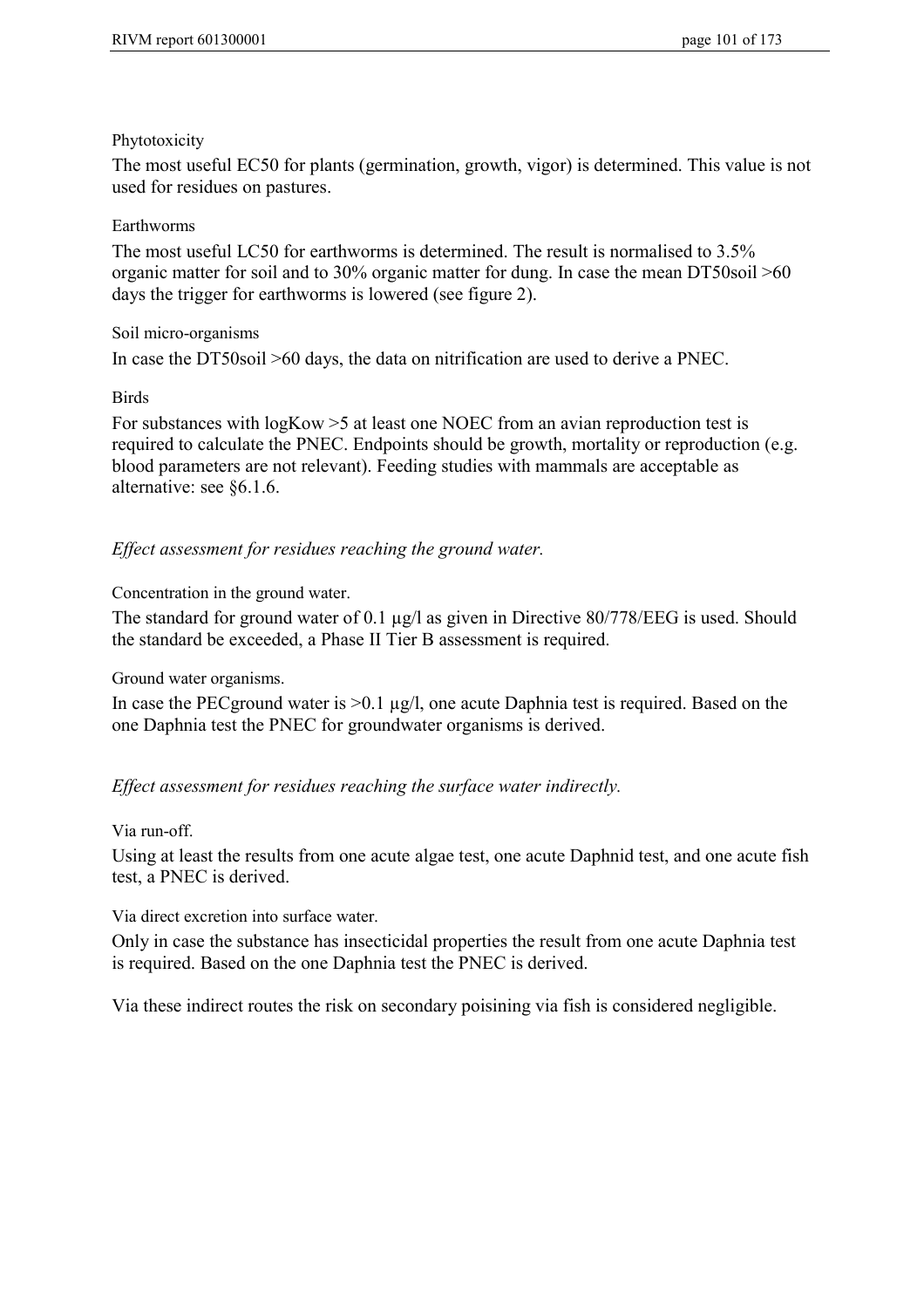#### Phytotoxicity

The most useful EC50 for plants (germination, growth, vigor) is determined. This value is not used for residues on pastures.

#### Earthworms

The most useful LC50 for earthworms is determined. The result is normalised to 3.5% organic matter for soil and to 30% organic matter for dung. In case the mean DT50soil >60 days the trigger for earthworms is lowered (see figure 2).

#### Soil micro-organisms

In case the DT50soil >60 days, the data on nitrification are used to derive a PNEC.

#### Birds

For substances with logKow >5 at least one NOEC from an avian reproduction test is required to calculate the PNEC. Endpoints should be growth, mortality or reproduction (e.g. blood parameters are not relevant). Feeding studies with mammals are acceptable as alternative: see §6.1.6.

## *Effect assessment for residues reaching the ground water.*

Concentration in the ground water.

The standard for ground water of 0.1 µg/l as given in Directive 80/778/EEG is used. Should the standard be exceeded, a Phase II Tier B assessment is required.

Ground water organisms.

In case the PEC ground water is  $>0.1$  µg/l, one acute Daphnia test is required. Based on the one Daphnia test the PNEC for groundwater organisms is derived.

## *Effect assessment for residues reaching the surface water indirectly.*

#### Via run-off.

Using at least the results from one acute algae test, one acute Daphnid test, and one acute fish test, a PNEC is derived.

Via direct excretion into surface water.

Only in case the substance has insecticidal properties the result from one acute Daphnia test is required. Based on the one Daphnia test the PNEC is derived.

Via these indirect routes the risk on secondary poisining via fish is considered negligible.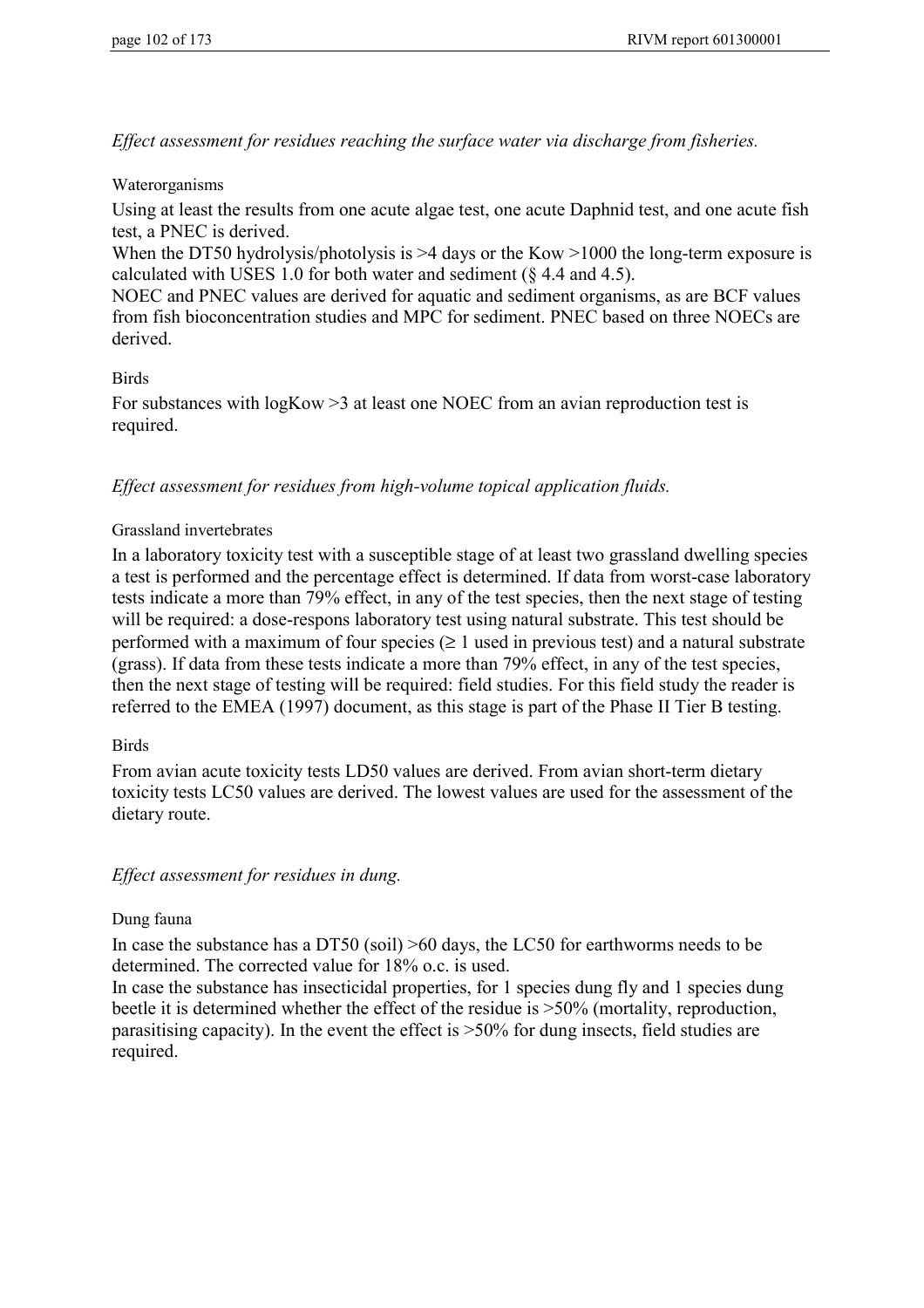*Effect assessment for residues reaching the surface water via discharge from fisheries.*

#### Waterorganisms

Using at least the results from one acute algae test, one acute Daphnid test, and one acute fish test, a PNEC is derived.

When the DT50 hydrolysis/photolysis is  $>4$  days or the Kow  $>1000$  the long-term exposure is calculated with USES 1.0 for both water and sediment (§ 4.4 and 4.5).

NOEC and PNEC values are derived for aquatic and sediment organisms, as are BCF values from fish bioconcentration studies and MPC for sediment. PNEC based on three NOECs are derived.

#### Birds

For substances with logKow >3 at least one NOEC from an avian reproduction test is required.

#### *Effect assessment for residues from high-volume topical application fluids.*

#### Grassland invertebrates

In a laboratory toxicity test with a susceptible stage of at least two grassland dwelling species a test is performed and the percentage effect is determined. If data from worst-case laboratory tests indicate a more than 79% effect, in any of the test species, then the next stage of testing will be required: a dose-respons laboratory test using natural substrate. This test should be performed with a maximum of four species  $(≥ 1$  used in previous test) and a natural substrate (grass). If data from these tests indicate a more than 79% effect, in any of the test species, then the next stage of testing will be required: field studies. For this field study the reader is referred to the EMEA (1997) document, as this stage is part of the Phase II Tier B testing.

#### **Birds**

From avian acute toxicity tests LD50 values are derived. From avian short-term dietary toxicity tests LC50 values are derived. The lowest values are used for the assessment of the dietary route.

#### *Effect assessment for residues in dung.*

#### Dung fauna

In case the substance has a DT50 (soil) >60 days, the LC50 for earthworms needs to be determined. The corrected value for 18% o.c. is used.

In case the substance has insecticidal properties, for 1 species dung fly and 1 species dung beetle it is determined whether the effect of the residue is >50% (mortality, reproduction, parasitising capacity). In the event the effect is >50% for dung insects, field studies are required.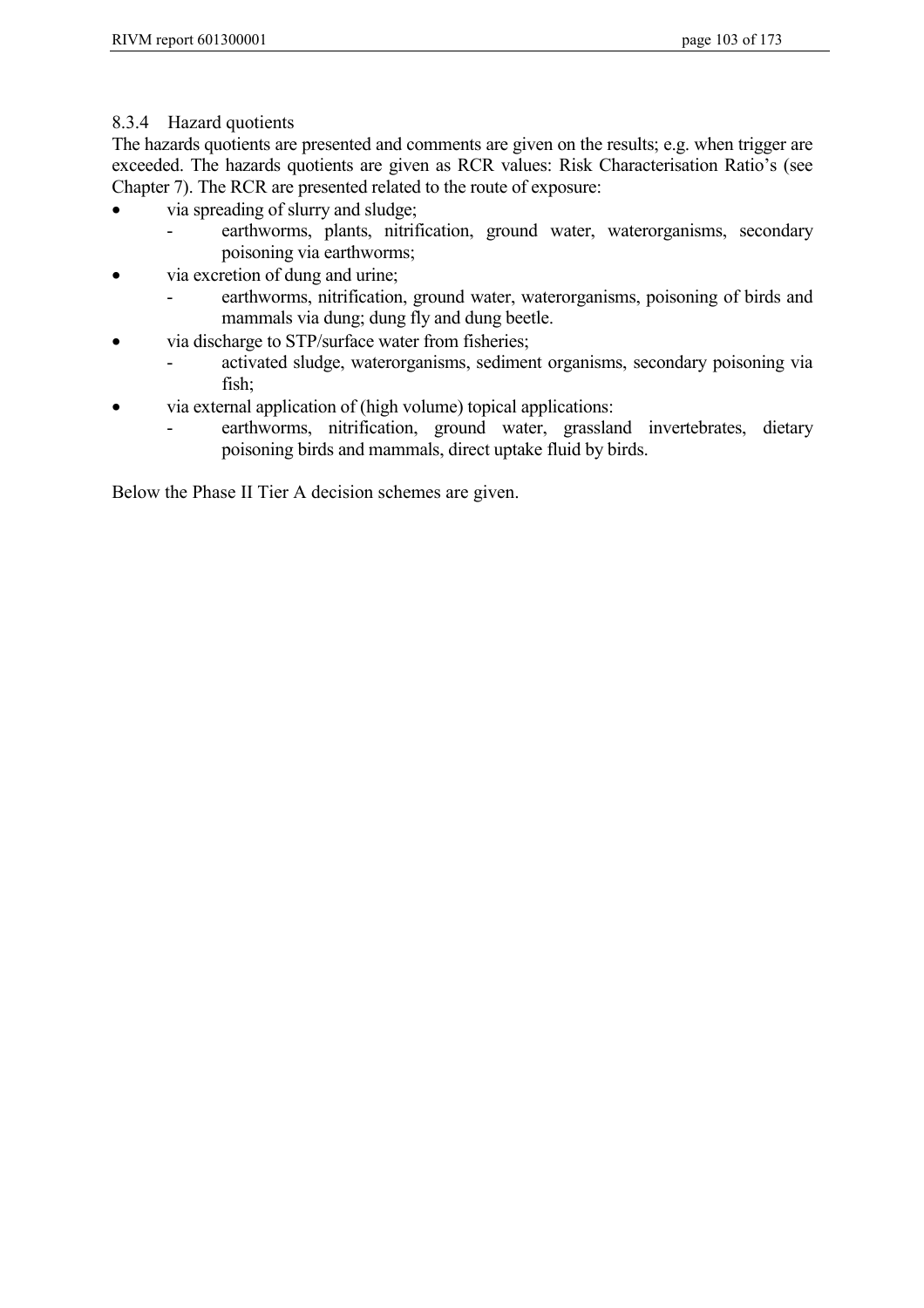## 8.3.4 Hazard quotients

The hazards quotients are presented and comments are given on the results; e.g. when trigger are exceeded. The hazards quotients are given as RCR values: Risk Characterisation Ratio's (see Chapter 7). The RCR are presented related to the route of exposure:

- via spreading of slurry and sludge;
	- earthworms, plants, nitrification, ground water, waterorganisms, secondary poisoning via earthworms;
- via excretion of dung and urine;
	- earthworms, nitrification, ground water, waterorganisms, poisoning of birds and mammals via dung; dung fly and dung beetle.
- via discharge to STP/surface water from fisheries;
	- activated sludge, waterorganisms, sediment organisms, secondary poisoning via fish;
- via external application of (high volume) topical applications:
	- earthworms, nitrification, ground water, grassland invertebrates, dietary poisoning birds and mammals, direct uptake fluid by birds.

Below the Phase II Tier A decision schemes are given.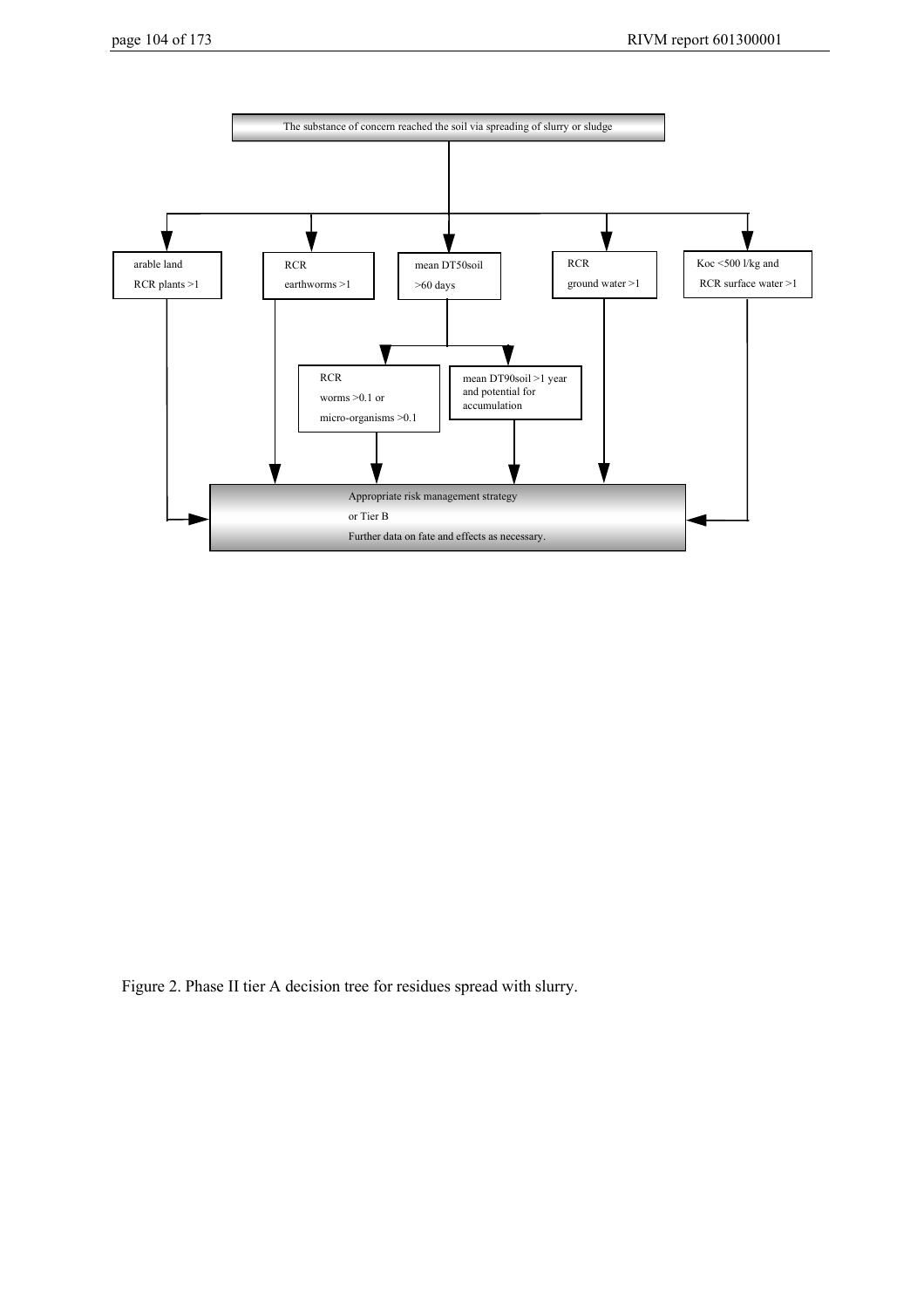

Figure 2. Phase II tier A decision tree for residues spread with slurry.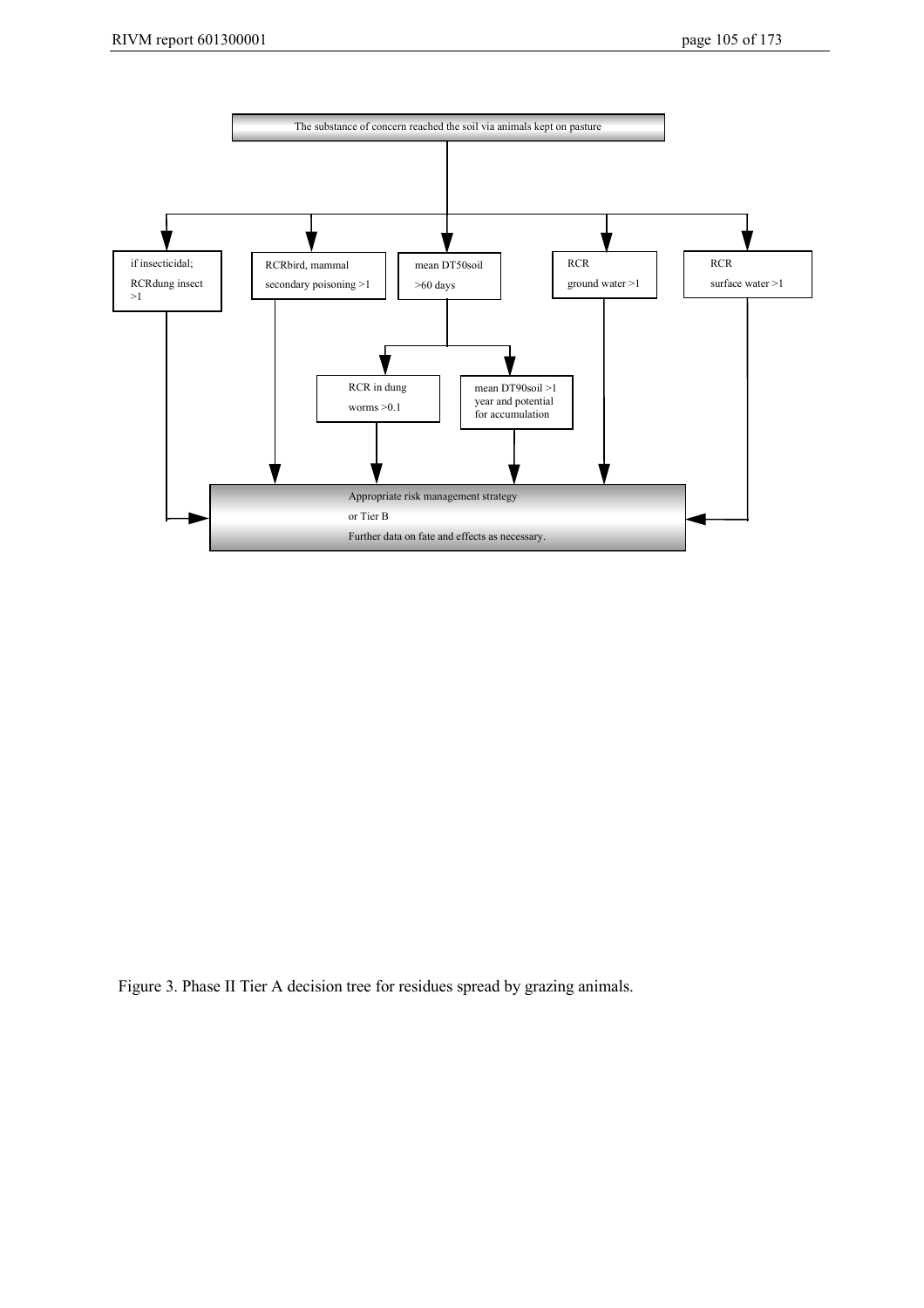

Figure 3. Phase II Tier A decision tree for residues spread by grazing animals.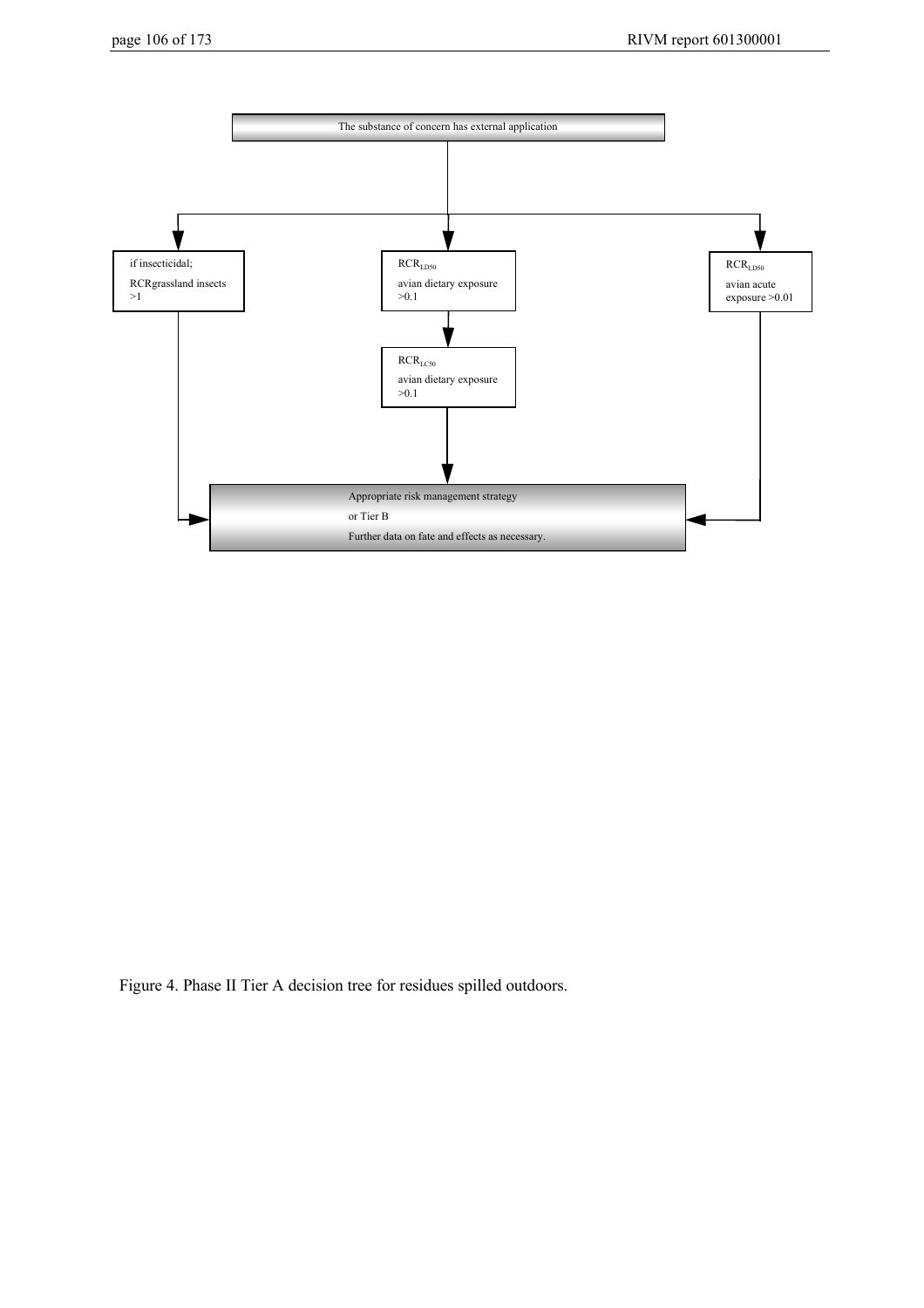

Figure 4. Phase II Tier A decision tree for residues spilled outdoors.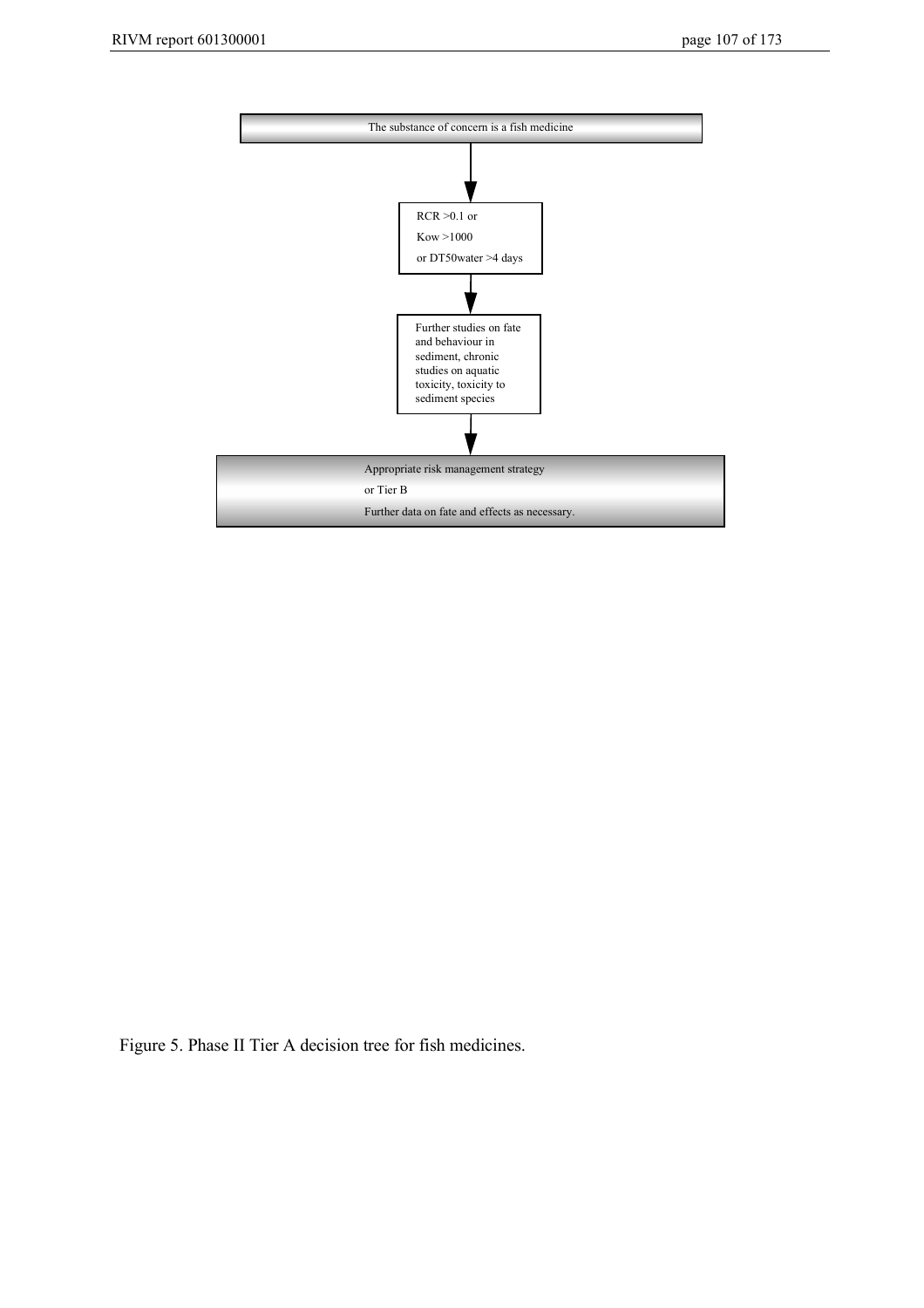

Figure 5. Phase II Tier A decision tree for fish medicines.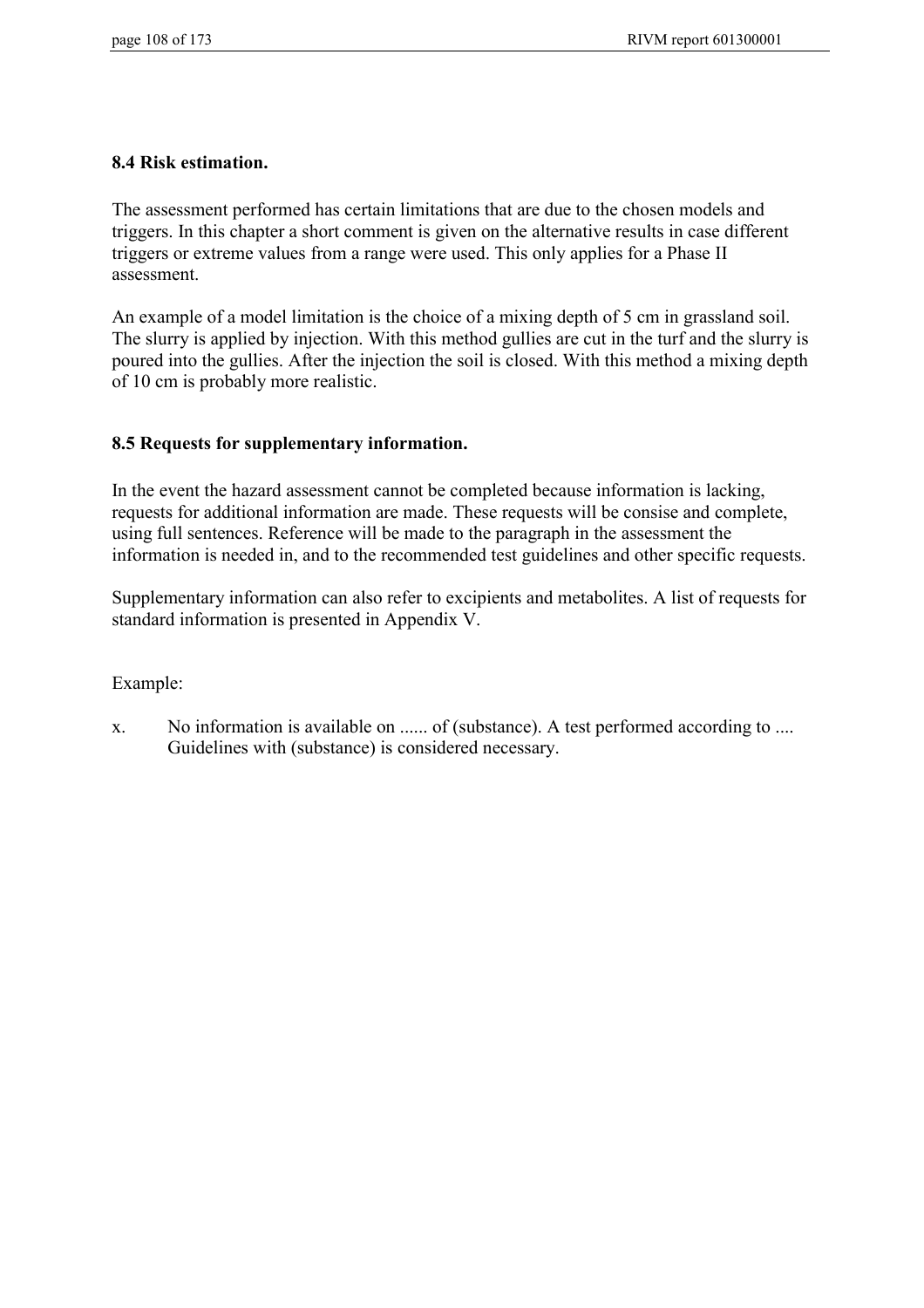#### **8.4 Risk estimation.**

The assessment performed has certain limitations that are due to the chosen models and triggers. In this chapter a short comment is given on the alternative results in case different triggers or extreme values from a range were used. This only applies for a Phase II assessment.

An example of a model limitation is the choice of a mixing depth of 5 cm in grassland soil. The slurry is applied by injection. With this method gullies are cut in the turf and the slurry is poured into the gullies. After the injection the soil is closed. With this method a mixing depth of 10 cm is probably more realistic.

## **8.5 Requests for supplementary information.**

In the event the hazard assessment cannot be completed because information is lacking, requests for additional information are made. These requests will be consise and complete, using full sentences. Reference will be made to the paragraph in the assessment the information is needed in, and to the recommended test guidelines and other specific requests.

Supplementary information can also refer to excipients and metabolites. A list of requests for standard information is presented in Appendix V.

#### Example:

x. No information is available on ...... of (substance). A test performed according to .... Guidelines with (substance) is considered necessary.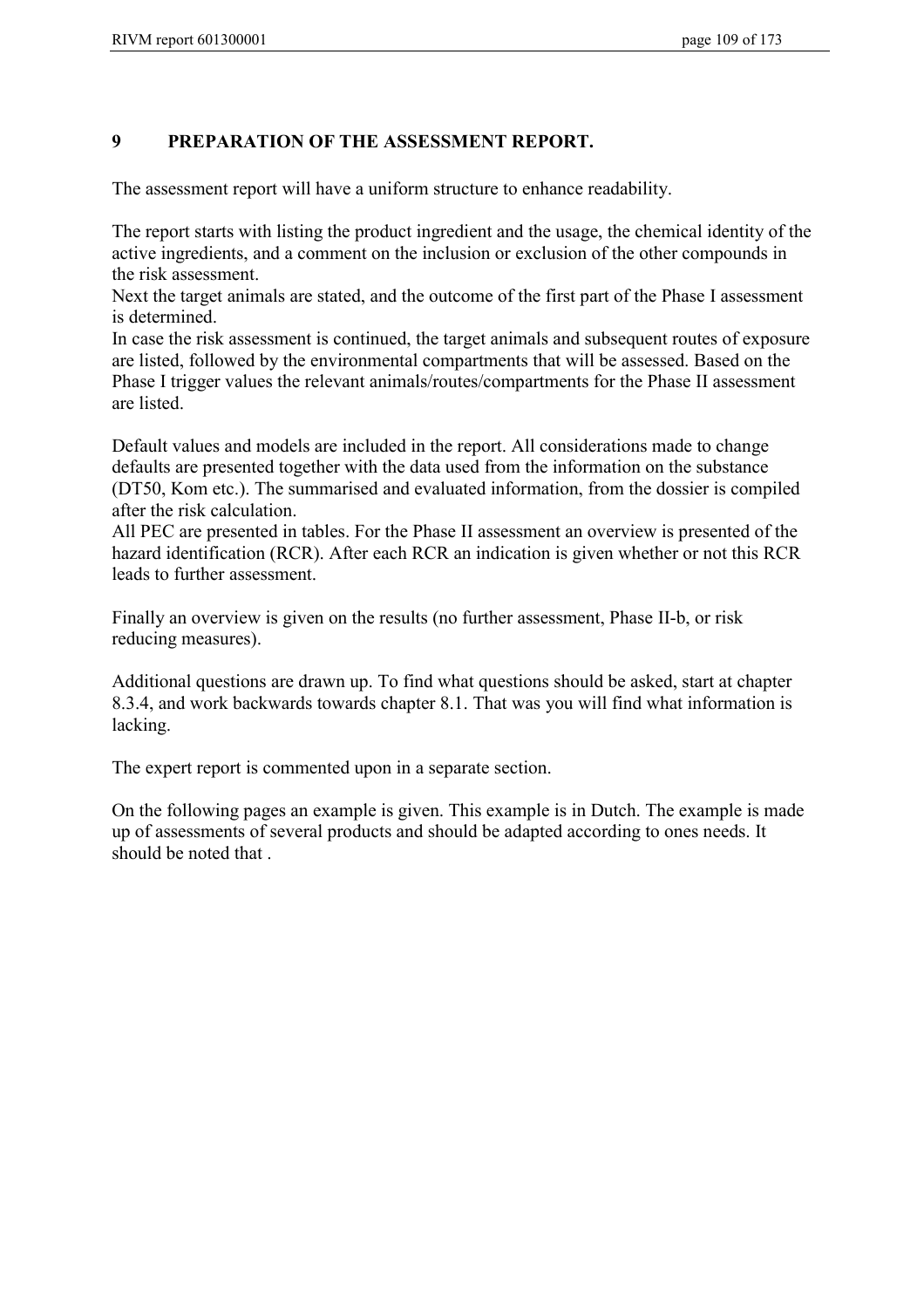### **9 PREPARATION OF THE ASSESSMENT REPORT.**

The assessment report will have a uniform structure to enhance readability.

The report starts with listing the product ingredient and the usage, the chemical identity of the active ingredients, and a comment on the inclusion or exclusion of the other compounds in the risk assessment.

Next the target animals are stated, and the outcome of the first part of the Phase I assessment is determined.

In case the risk assessment is continued, the target animals and subsequent routes of exposure are listed, followed by the environmental compartments that will be assessed. Based on the Phase I trigger values the relevant animals/routes/compartments for the Phase II assessment are listed.

Default values and models are included in the report. All considerations made to change defaults are presented together with the data used from the information on the substance (DT50, Kom etc.). The summarised and evaluated information, from the dossier is compiled after the risk calculation.

All PEC are presented in tables. For the Phase II assessment an overview is presented of the hazard identification (RCR). After each RCR an indication is given whether or not this RCR leads to further assessment.

Finally an overview is given on the results (no further assessment, Phase II-b, or risk reducing measures).

Additional questions are drawn up. To find what questions should be asked, start at chapter 8.3.4, and work backwards towards chapter 8.1. That was you will find what information is lacking.

The expert report is commented upon in a separate section.

On the following pages an example is given. This example is in Dutch. The example is made up of assessments of several products and should be adapted according to ones needs. It should be noted that .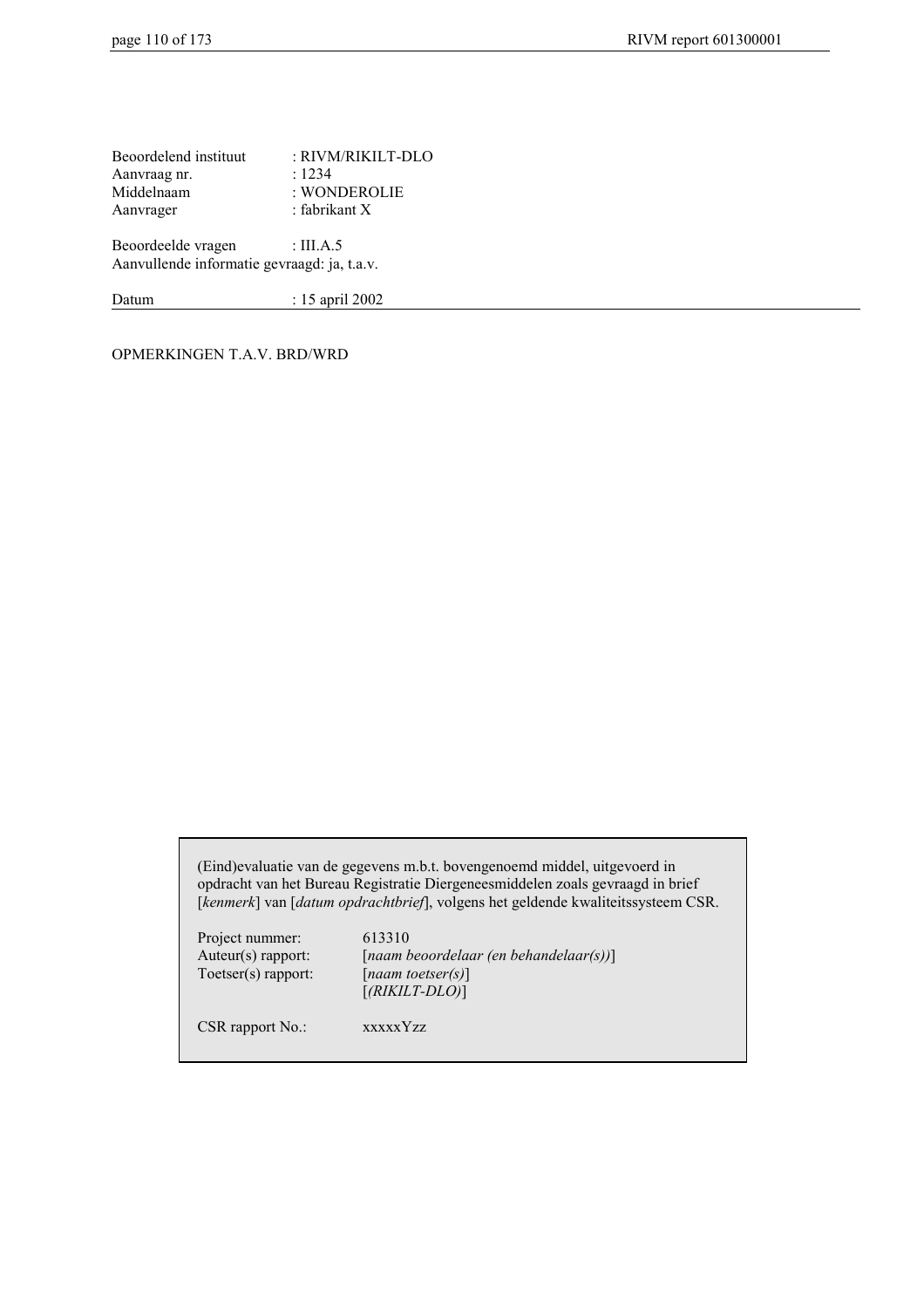Beoordelend instituut : RIVM/RIKILT-DLO Aanvraag nr. 1234 Middelnaam : WONDEROLIE Aanvrager : fabrikant X

Beoordeelde vragen : III.A.5 Aanvullende informatie gevraagd: ja, t.a.v.

Datum : 15 april 2002

OPMERKINGEN T.A.V. BRD/WRD

(Eind)evaluatie van de gegevens m.b.t. bovengenoemd middel, uitgevoerd in opdracht van het Bureau Registratie Diergeneesmiddelen zoals gevraagd in brief [*kenmerk*] van [*datum opdrachtbrief*], volgens het geldende kwaliteitssysteem CSR.

Project nummer: 613310 Toetser(s) rapport: [*naam toetser(s)*]

Auteur(s) rapport: [*naam beoordelaar (en behandelaar(s))*] [*(RIKILT-DLO)*]

CSR rapport No.: xxxxxYzz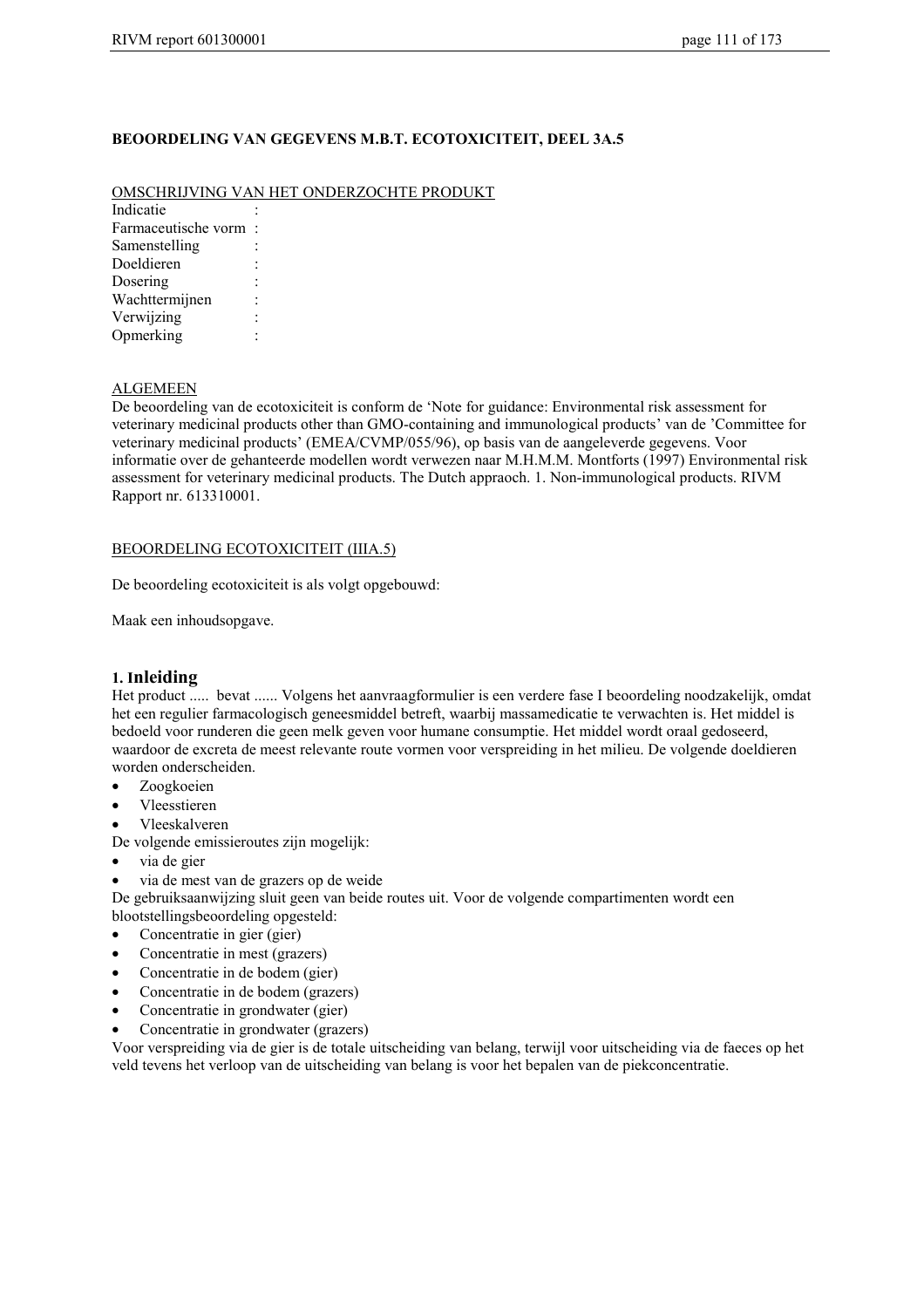#### **BEOORDELING VAN GEGEVENS M.B.T. ECOTOXICITEIT, DEEL 3A.5**

#### OMSCHRIJVING VAN HET ONDERZOCHTE PRODUKT

**Indicatie** Farmaceutische vorm : Samenstelling : Doeldieren Dosering Wachttermijnen : Verwijzing : Opmerking :

#### ALGEMEEN

De beoordeling van de ecotoxiciteit is conform de 'Note for guidance: Environmental risk assessment for veterinary medicinal products other than GMO-containing and immunological products' van de 'Committee for veterinary medicinal products' (EMEA/CVMP/055/96), op basis van de aangeleverde gegevens. Voor informatie over de gehanteerde modellen wordt verwezen naar M.H.M.M. Montforts (1997) Environmental risk assessment for veterinary medicinal products. The Dutch appraoch. 1. Non-immunological products. RIVM Rapport nr. 613310001.

#### BEOORDELING ECOTOXICITEIT (IIIA.5)

De beoordeling ecotoxiciteit is als volgt opgebouwd:

Maak een inhoudsopgave.

#### **1. Inleiding**

Het product ..... bevat ...... Volgens het aanvraagformulier is een verdere fase I beoordeling noodzakelijk, omdat het een regulier farmacologisch geneesmiddel betreft, waarbij massamedicatie te verwachten is. Het middel is bedoeld voor runderen die geen melk geven voor humane consumptie. Het middel wordt oraal gedoseerd, waardoor de excreta de meest relevante route vormen voor verspreiding in het milieu. De volgende doeldieren worden onderscheiden.

- Zoogkoeien
- Vleesstieren
- Vleeskalveren
- De volgende emissieroutes zijn mogelijk:
- via de gier
- via de mest van de grazers op de weide

De gebruiksaanwijzing sluit geen van beide routes uit. Voor de volgende compartimenten wordt een blootstellingsbeoordeling opgesteld:

- Concentratie in gier (gier)
- Concentratie in mest (grazers)
- Concentratie in de bodem (gier)
- Concentratie in de bodem (grazers)
- Concentratie in grondwater (gier)
- Concentratie in grondwater (grazers)

Voor verspreiding via de gier is de totale uitscheiding van belang, terwijl voor uitscheiding via de faeces op het veld tevens het verloop van de uitscheiding van belang is voor het bepalen van de piekconcentratie.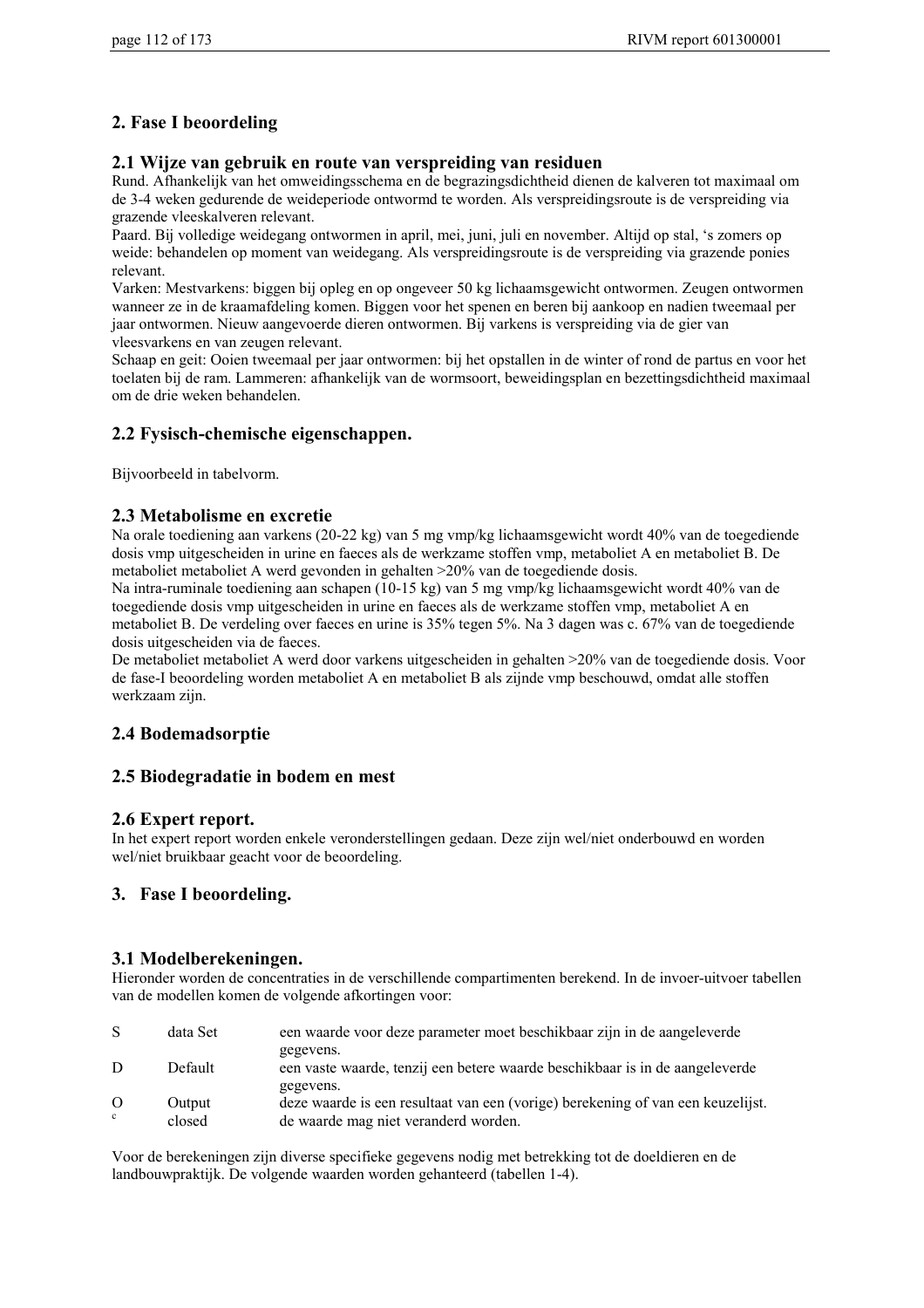### **2. Fase I beoordeling**

#### **2.1 Wijze van gebruik en route van verspreiding van residuen**

Rund. Afhankelijk van het omweidingsschema en de begrazingsdichtheid dienen de kalveren tot maximaal om de 3-4 weken gedurende de weideperiode ontwormd te worden. Als verspreidingsroute is de verspreiding via grazende vleeskalveren relevant.

Paard. Bij volledige weidegang ontwormen in april, mei, juni, juli en november. Altijd op stal, 's zomers op weide: behandelen op moment van weidegang. Als verspreidingsroute is de verspreiding via grazende ponies relevant.

Varken: Mestvarkens: biggen bij opleg en op ongeveer 50 kg lichaamsgewicht ontwormen. Zeugen ontwormen wanneer ze in de kraamafdeling komen. Biggen voor het spenen en beren bij aankoop en nadien tweemaal per jaar ontwormen. Nieuw aangevoerde dieren ontwormen. Bij varkens is verspreiding via de gier van vleesvarkens en van zeugen relevant.

Schaap en geit: Ooien tweemaal per jaar ontwormen: bij het opstallen in de winter of rond de partus en voor het toelaten bij de ram. Lammeren: afhankelijk van de wormsoort, beweidingsplan en bezettingsdichtheid maximaal om de drie weken behandelen.

### **2.2 Fysisch-chemische eigenschappen.**

Bijvoorbeeld in tabelvorm.

#### **2.3 Metabolisme en excretie**

Na orale toediening aan varkens (20-22 kg) van 5 mg vmp/kg lichaamsgewicht wordt 40% van de toegediende dosis vmp uitgescheiden in urine en faeces als de werkzame stoffen vmp, metaboliet A en metaboliet B. De metaboliet metaboliet A werd gevonden in gehalten >20% van de toegediende dosis.

Na intra-ruminale toediening aan schapen (10-15 kg) van 5 mg vmp/kg lichaamsgewicht wordt 40% van de toegediende dosis vmp uitgescheiden in urine en faeces als de werkzame stoffen vmp, metaboliet A en metaboliet B. De verdeling over faeces en urine is 35% tegen 5%. Na 3 dagen was c. 67% van de toegediende dosis uitgescheiden via de faeces.

De metaboliet metaboliet A werd door varkens uitgescheiden in gehalten >20% van de toegediende dosis. Voor de fase-I beoordeling worden metaboliet A en metaboliet B als zijnde vmp beschouwd, omdat alle stoffen werkzaam zijn.

### **2.4 Bodemadsorptie**

### **2.5 Biodegradatie in bodem en mest**

#### **2.6 Expert report.**

In het expert report worden enkele veronderstellingen gedaan. Deze zijn wel/niet onderbouwd en worden wel/niet bruikbaar geacht voor de beoordeling.

### **3. Fase I beoordeling.**

#### **3.1 Modelberekeningen.**

Hieronder worden de concentraties in de verschillende compartimenten berekend. In de invoer-uitvoer tabellen van de modellen komen de volgende afkortingen voor:

| S                        | data Set         | een waarde voor deze parameter moet beschikbaar zijn in de aangeleverde                                                              |
|--------------------------|------------------|--------------------------------------------------------------------------------------------------------------------------------------|
| D                        | Default          | gegevens.<br>een vaste waarde, tenzij een betere waarde beschikbaar is in de aangeleverde                                            |
| $\Omega$<br>$\mathbf{c}$ | Output<br>closed | gegevens.<br>deze waarde is een resultaat van een (vorige) berekening of van een keuzelijst.<br>de waarde mag niet veranderd worden. |

Voor de berekeningen zijn diverse specifieke gegevens nodig met betrekking tot de doeldieren en de landbouwpraktijk. De volgende waarden worden gehanteerd (tabellen 1-4).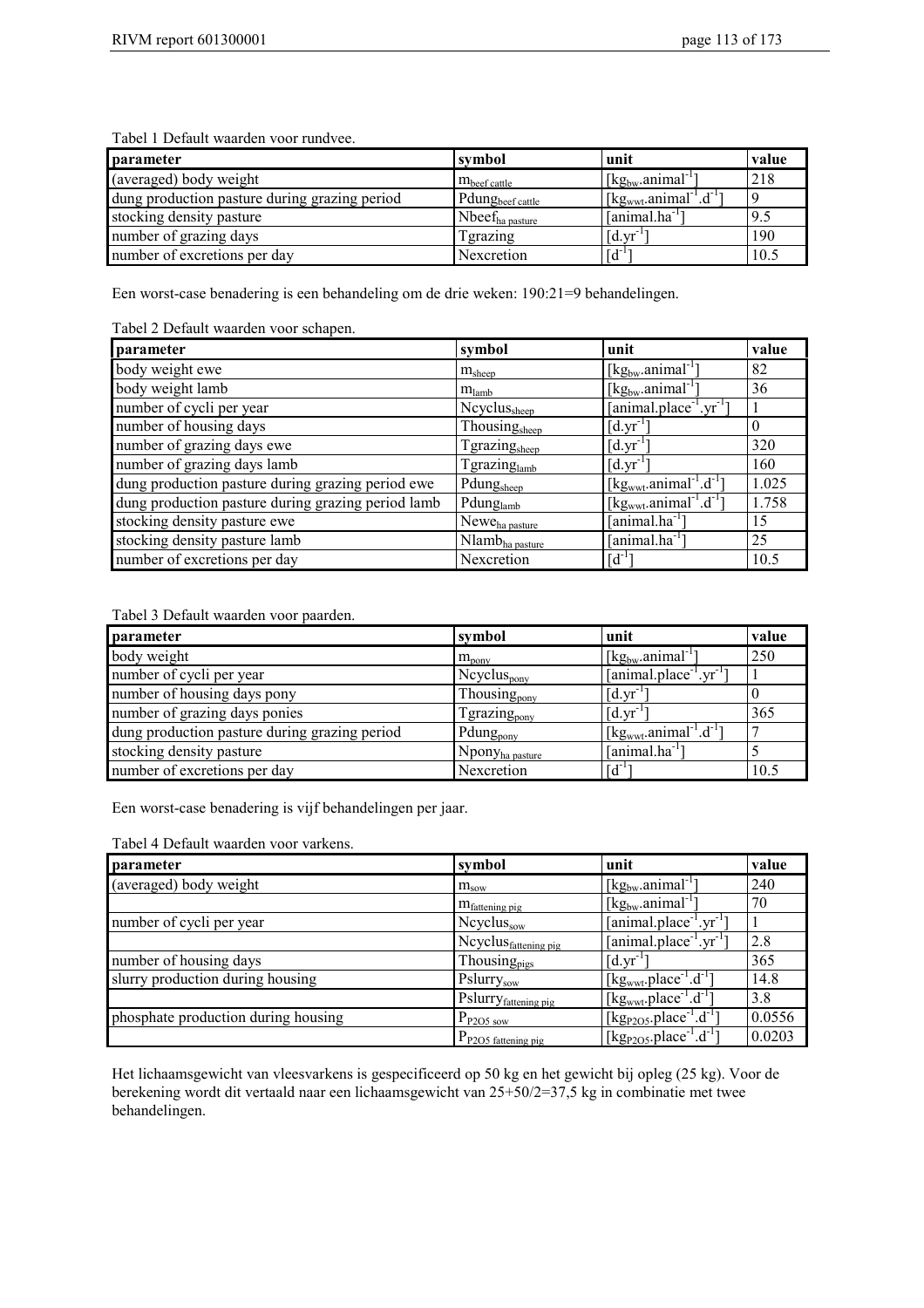| <b>parameter</b>                              | symbol                       | unit                                                    | value |
|-----------------------------------------------|------------------------------|---------------------------------------------------------|-------|
| (averaged) body weight                        | $m_{\text{beef cattle}}$     | $\left[\text{kg}_{\text{bw}}\text{.animal}^{-1}\right]$ | 218   |
| dung production pasture during grazing period | Pdung <sub>beef cattle</sub> | $[kgwwt.animal-1.d-1]$                                  |       |
| stocking density pasture                      | $N$ bee $f_{ha\,\}$          | [animal.ha]                                             | 9.5   |
| number of grazing days                        | <b>Tgrazing</b>              | $\left[$ d.yr <sup>-1</sup>                             | 190   |
| number of excretions per day                  | Nexcretion                   | $\lceil d^{-1} \rceil$                                  | 10.3  |

Een worst-case benadering is een behandeling om de drie weken: 190:21=9 behandelingen.

#### Tabel 2 Default waarden voor schapen.

| parameter                                          | symbol                      | unit                                                        | value |
|----------------------------------------------------|-----------------------------|-------------------------------------------------------------|-------|
| body weight ewe                                    | $m_{sheep}$                 | $\left[\text{kg}_{\text{bw}}\text{.animal}^{-1}\right]$     | 82    |
| body weight lamb                                   | $m_{\text{lambda}}$         | $[kg_{bw}$ .animal <sup>-1</sup> ]                          | 36    |
| number of cycli per year                           | Ncyclus <sub>sheep</sub>    | $[animal.placeholder-1.yr-1]$                               |       |
| number of housing days                             | Thousing <sub>sheep</sub>   | $[d.yr^{-1}]$                                               |       |
| number of grazing days ewe                         | Tgrazing <sub>sheep</sub>   | $\left[$ d.yr <sup>-1</sup>                                 | 320   |
| number of grazing days lamb                        | Tgrazing <sub>lamb</sub>    | $\left[$ d.yr <sup>-1</sup>                                 | 160   |
| dung production pasture during grazing period ewe  | Pdung <sub>sheep</sub>      | [kg <sub>wwt</sub> .animal <sup>-1</sup> .d <sup>-1</sup> ] | 1.025 |
| dung production pasture during grazing period lamb | Pdunglamb                   | [kg <sub>wwt</sub> .animal <sup>-1</sup> .d <sup>-1</sup> ] | 1.758 |
| stocking density pasture ewe                       | Newe <sub>ha pasture</sub>  | $[animal.ha^{-1}]$                                          | 15    |
| stocking density pasture lamb                      | Nlamb <sub>ha pasture</sub> | $[animal.ha^{-1}]$                                          | 25    |
| number of excretions per day                       | Nexcretion                  | $[d^{-1}]$                                                  | 10.5  |

#### Tabel 3 Default waarden voor paarden.

| parameter                                     | symbol                      | unit                                                                   | value |
|-----------------------------------------------|-----------------------------|------------------------------------------------------------------------|-------|
| body weight                                   | $m_{\text{pony}}$           | $\lceil \text{kg}_{bw} \cdot \text{animal}^{-1} \rceil$                | 250   |
| number of cycli per year                      | $Ncyclus_{pony}$            | $[animal.placeholder-1.yr-1]$                                          |       |
| number of housing days pony                   | Thousing <sub>pony</sub>    | $\left[$ d.yr <sup>-1</sup>                                            |       |
| number of grazing days ponies                 | Tgrazing <sub>pony</sub>    | $\left[$ d.yr <sup>-1</sup>                                            | 365   |
| dung production pasture during grazing period | Pdung <sub>pony</sub>       | $\left[\text{kg}_{\text{wwt}}\text{.animal}^{-1}\text{.d}^{-1}\right]$ |       |
| stocking density pasture                      | Npony <sub>ha pasture</sub> | $[animal.ha^{-1}]$                                                     |       |
| number of excretions per day                  | Nexcretion                  | $\sqrt{d^{-1}}$                                                        | 10.5  |

Een worst-case benadering is vijf behandelingen per jaar.

| parameter                           | symbol                           | unit                                                                   | value  |
|-------------------------------------|----------------------------------|------------------------------------------------------------------------|--------|
| (averaged) body weight              | $m_{\text{sow}}$                 | $\lceil \text{kg}_{bw} \cdot \text{animal}^{-1} \rceil$                | 240    |
|                                     | $m_{\text{fattening pig}}$       | $\left[\text{kg}_{\text{bw}}\text{.animal}^{\text{-}T}\right]$         | 70     |
| number of cycli per year            | Ncyclus <sub>sow</sub>           | $[animal.plotec-1.yr-1]$                                               |        |
|                                     | Ncyclus <sub>fattening pig</sub> | $[animal.placeholder-1.yr-1]$                                          | 2.8    |
| number of housing days              | Thousing <sub>pigs</sub>         | $[d.yr^{-1}]$                                                          | 365    |
| slurry production during housing    | Pslurrysow                       | $\left[\text{kg}_{\text{wwt}}\text{.place}^{-1}\text{.d}^{-1}\right]$  | 14.8   |
|                                     | Pslurry <sub>fattening pig</sub> | $\lceil \text{kg}_{\text{wwt}} \text{place}^{-1} \cdot d^{-1} \rceil$  | 3.8    |
| phosphate production during housing | $P_{P2O5\text{ sow}}$            | $\left[\text{kg}_{\text{P2O5}}\text{.place}^{-1}\text{.d}^{-1}\right]$ | 0.0556 |
|                                     | $P_{P2O5}$ fattening pig         | $[\text{kg}_{P2O5}$ .place <sup>-1</sup> .d <sup>-1</sup> )            | 0.0203 |

Het lichaamsgewicht van vleesvarkens is gespecificeerd op 50 kg en het gewicht bij opleg (25 kg). Voor de berekening wordt dit vertaald naar een lichaamsgewicht van 25+50/2=37,5 kg in combinatie met twee behandelingen.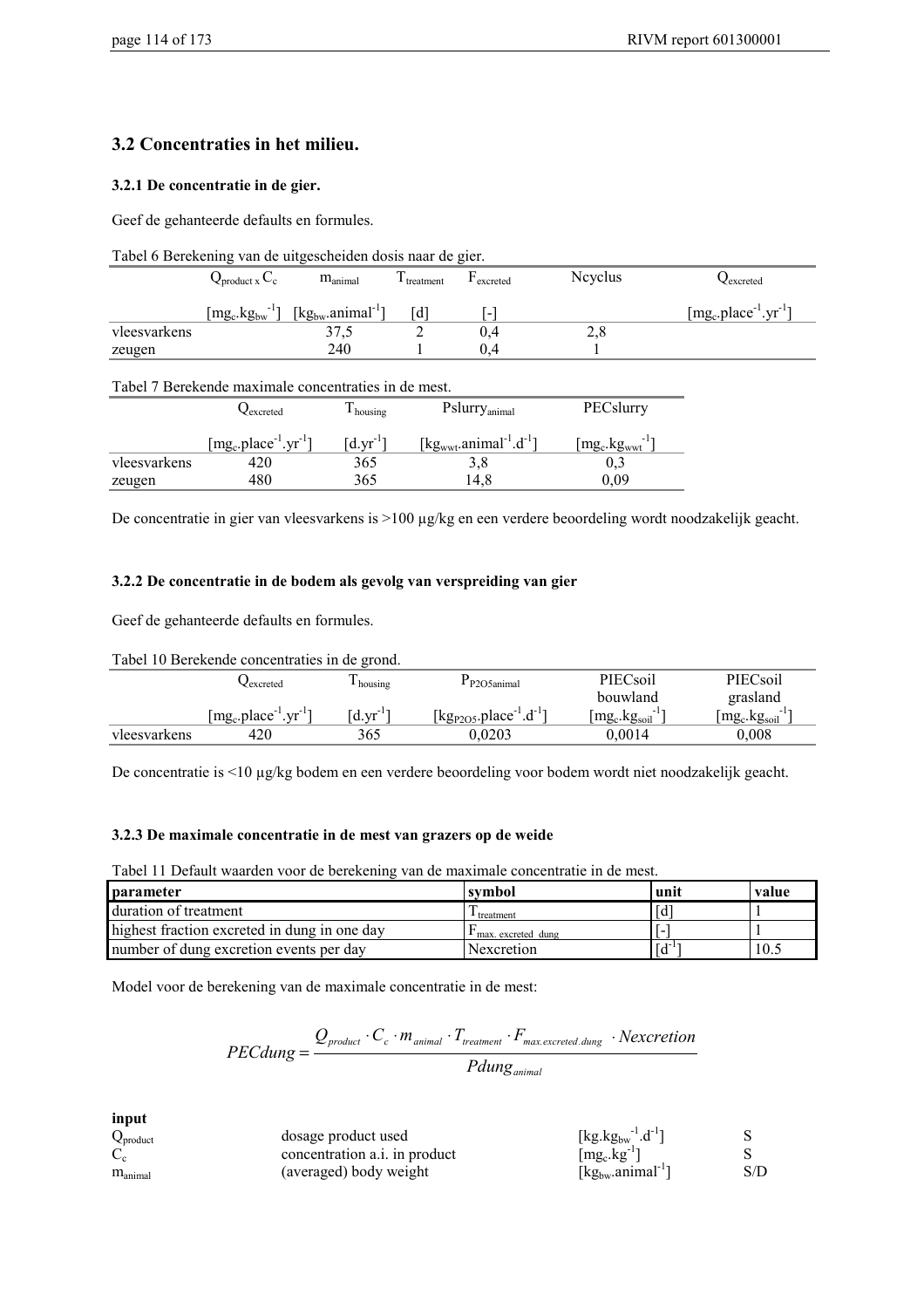### **3.2 Concentraties in het milieu.**

#### **3.2.1 De concentratie in de gier.**

Geef de gehanteerde defaults en formules.

|  | Tabel 6 Berekening van de uitgescheiden dosis naar de gier. |  |  |
|--|-------------------------------------------------------------|--|--|
|  |                                                             |  |  |

|              | $\mathcal{L}_{product}$ x $\mathcal{L}_{c}$       | $m_{\text{animal}}$                                     | treatment | excreted                 | <b>Nevelus</b> | <b>∠</b> excreted            |
|--------------|---------------------------------------------------|---------------------------------------------------------|-----------|--------------------------|----------------|------------------------------|
|              | $[\text{mg}_\text{c}.\text{kg}_{\text{bw}}^{-1}]$ | $\lceil \text{kg}_{bw} \cdot \text{animal}^{-1} \rceil$ | Гd        | $\overline{\phantom{0}}$ |                | $[mg_c, place^{-1}.yr^{-1}]$ |
| vleesvarkens |                                                   | 37.5                                                    | -         | 0.4                      | 2,8            |                              |
| zeugen       |                                                   | 240                                                     |           | 0.4                      |                |                              |

#### Tabel 7 Berekende maximale concentraties in de mest.

|              | $\lambda$ excreted           | $\mathbf{I}$ housing      | Pslurry <sub>animal</sub>                                   | PECslurry         |
|--------------|------------------------------|---------------------------|-------------------------------------------------------------|-------------------|
|              | $[mg_c, place^{-1}.yr^{-1}]$ | $\lceil d.vr^{-1} \rceil$ | [kg <sub>wwt</sub> .animal <sup>-1</sup> .d <sup>-1</sup> ] | $[mg_c.kg_{wwt}]$ |
| vleesvarkens | 420                          | 365                       | 3.8                                                         |                   |
| zeugen       | 480                          | 365                       | l 4.8                                                       | 0.09              |

De concentratie in gier van vleesvarkens is >100 µg/kg en een verdere beoordeling wordt noodzakelijk geacht.

#### **3.2.2 De concentratie in de bodem als gevolg van verspreiding van gier**

Geef de gehanteerde defaults en formules.

Tabel 10 Berekende concentraties in de grond.

|              | ≺excreted                                        | housing     | P <sub>2</sub> O <sub>5</sub> animal | PIECsoil                                            | PIECsoil             |
|--------------|--------------------------------------------------|-------------|--------------------------------------|-----------------------------------------------------|----------------------|
|              |                                                  |             |                                      | bouwland                                            | grasland             |
|              | $[\text{mg}_c.\text{place}^{-1}.\text{yr}^{-1}]$ | $d.vr^{-1}$ | [ $kg_{P2O5}.place^{-1}.d^{-1}$ ]    | $\lfloor mg_c \cdot \text{kg}_{\text{soil}}\rfloor$ | $mg_c$ .kg $_{soil}$ |
| vleesvarkens | 420                                              | 365         | 0.0203                               | $0.0014\,$                                          | $0.008\,$            |

De concentratie is <10 µg/kg bodem en een verdere beoordeling voor bodem wordt niet noodzakelijk geacht.

#### **3.2.3 De maximale concentratie in de mest van grazers op de weide**

Tabel 11 Default waarden voor de berekening van de maximale concentratie in de mest.

| <b>parameter</b>                             | symbol               | unit | value |
|----------------------------------------------|----------------------|------|-------|
| duration of treatment                        | <b>⊥</b> treatment   | Id   |       |
| highest fraction excreted in dung in one day | I max. excreted dung |      |       |
| number of dung excretion events per day      | Nexcretion           |      | 10.5  |

Model voor de berekening van de maximale concentratie in de mest:

$$
PEC dung = \frac{Q_{product} \cdot C_c \cdot m_{animal} \cdot T_{treatment} \cdot F_{max.excreted. dung} \cdot Nexcretion}{Pdung_{animal}}
$$

**input**

| $Q_{product}$               | dosage product used           | [kg.kg <sub>bw</sub> <sup>-1</sup> .d <sup>-1</sup> ]   |     |
|-----------------------------|-------------------------------|---------------------------------------------------------|-----|
| $\mathcal{L}_{\mathcal{C}}$ | concentration a.i. in product | $[mg_c.kg^{-1}]$                                        |     |
| $\rm m_{\rm animal}$        | (averaged) body weight        | $\lceil \text{kg}_{\text{bw}}\text{.animal}^{-1}\rceil$ | S/D |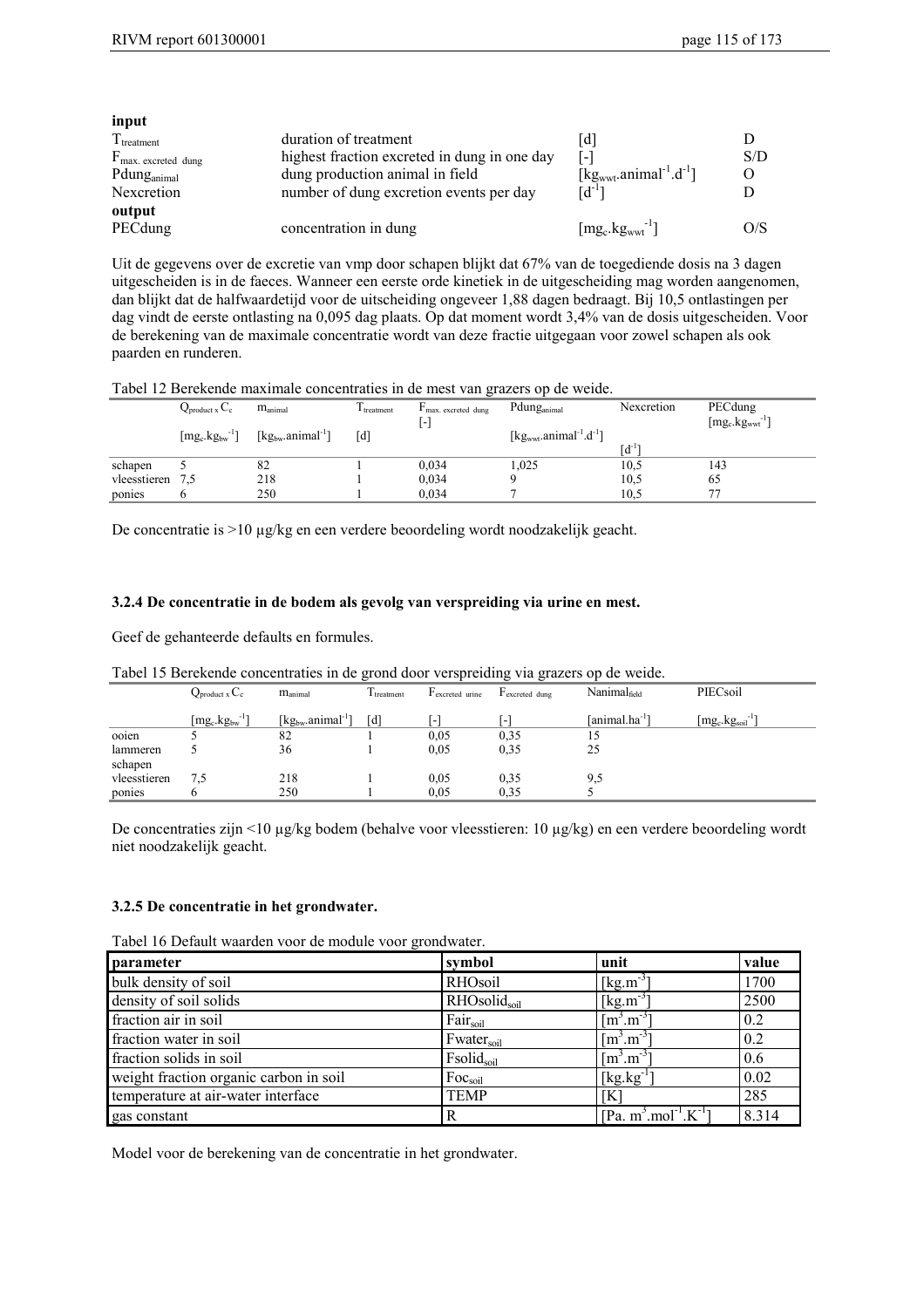| input                          |                                              |                                                             |          |
|--------------------------------|----------------------------------------------|-------------------------------------------------------------|----------|
| $T_{treatment}$                | duration of treatment                        | ld I                                                        |          |
| $F_{\text{max.}$ excreted dung | highest fraction excreted in dung in one day | ſ-1                                                         | S/D      |
| Pdung <sub>animal</sub>        | dung production animal in field              | [kg <sub>wwt</sub> .animal <sup>-1</sup> .d <sup>-1</sup> ] | $\Omega$ |
| Nexcretion                     | number of dung excretion events per day      | $[d^{-1}]$                                                  |          |
| output                         |                                              |                                                             |          |
| PECdung                        | concentration in dung                        | $[mg_c.kgwwt]-1$                                            | O/S      |

Uit de gegevens over de excretie van vmp door schapen blijkt dat 67% van de toegediende dosis na 3 dagen uitgescheiden is in de faeces. Wanneer een eerste orde kinetiek in de uitgescheiding mag worden aangenomen, dan blijkt dat de halfwaardetijd voor de uitscheiding ongeveer 1,88 dagen bedraagt. Bij 10,5 ontlastingen per dag vindt de eerste ontlasting na 0,095 dag plaats. Op dat moment wordt 3,4% van de dosis uitgescheiden. Voor de berekening van de maximale concentratie wordt van deze fractie uitgegaan voor zowel schapen als ook paarden en runderen.

#### Tabel 12 Berekende maximale concentraties in de mest van grazers op de weide.

|              | $Q_{product x} C_c$                                                 | $m_{\text{animal}}$                 | I treatment | $\Gamma$ max, excreted dung<br>۸ | Pdung <sub>animal</sub>                                     | Nexcretion             | PECdung<br>$[mg_c.kgwwt^{-1}]$ |
|--------------|---------------------------------------------------------------------|-------------------------------------|-------------|----------------------------------|-------------------------------------------------------------|------------------------|--------------------------------|
|              | $\lceil \text{mg}_\text{c} \cdot \text{kg}_{\text{bw}}^{-1} \rceil$ | [ $kg_{bw}$ .animal <sup>-1</sup> ] | [d          |                                  | [kg <sub>wwt</sub> .animal <sup>-1</sup> .d <sup>-1</sup> ] | $\lceil d^{-1} \rceil$ |                                |
| schapen      |                                                                     | 82                                  |             | 0.034                            | 1.025                                                       | 10,5                   | 143                            |
| vleesstieren | 7,5                                                                 | 218                                 |             | 0,034                            |                                                             | 10.5                   | 65                             |
| ponies       |                                                                     | 250                                 |             | 0.034                            |                                                             | 10.5                   | 77                             |

De concentratie is >10 µg/kg en een verdere beoordeling wordt noodzakelijk geacht.

#### **3.2.4 De concentratie in de bodem als gevolg van verspreiding via urine en mest.**

Geef de gehanteerde defaults en formules.

|              | $Q_{product x} C_c$                                      | $m_{\text{animal}}$                                     | ັ<br>I treatment  | $Fexcreted$ urine        | ັ<br>$F_{\text{excreted}$ dung | Nanimalfield               | PIECsoil                                         |
|--------------|----------------------------------------------------------|---------------------------------------------------------|-------------------|--------------------------|--------------------------------|----------------------------|--------------------------------------------------|
|              | $[\text{mg}_\text{c}.\text{kg}_{\text{bw}}^{\text{-1}}]$ | $\lceil \text{kg}_{bw} \cdot \text{animal}^{-1} \rceil$ | $\lceil d \rceil$ | $\overline{\phantom{0}}$ |                                | [animal.ha <sup>-1</sup> ] | $[\text{mg}_c.\text{kg}_{soil}]$ <sup>-1</sup> ] |
| ooien        |                                                          | 82                                                      |                   | 0.05                     | 0.35                           | 15                         |                                                  |
| lammeren     |                                                          | 36                                                      |                   | 0.05                     | 0.35                           | 25                         |                                                  |
| schapen      |                                                          |                                                         |                   |                          |                                |                            |                                                  |
| vleesstieren | 7.5                                                      | 218                                                     |                   | 0.05                     | 0.35                           | 9,5                        |                                                  |
| ponies       |                                                          | 250                                                     |                   | 0.05                     | 0.35                           |                            |                                                  |

Tabel 15 Berekende concentraties in de grond door verspreiding via grazers op de weide.

De concentraties zijn <10 µg/kg bodem (behalve voor vleesstieren: 10 µg/kg) en een verdere beoordeling wordt niet noodzakelijk geacht.

#### **3.2.5 De concentratie in het grondwater.**

Tabel 16 Default waarden voor de module voor grondwater.

| parameter                              | symbol                 | unit                                                    | value |
|----------------------------------------|------------------------|---------------------------------------------------------|-------|
| bulk density of soil                   | RHOsoil                | $[kg.m^{-3}]$                                           | 1700  |
| density of soil solids                 | RHOsolidsoil           | $[kg.m^{-3}]$                                           | 2500  |
| fraction air in soil                   | Fair <sub>soil</sub>   | $\lceil m^3 \cdot m^{-3} \rceil$                        | 0.2   |
| fraction water in soil                 | Fwater <sub>soil</sub> | $\lceil m^3 \cdot m^{-3} \rceil$                        | 0.2   |
| fraction solids in soil                | Fsolidsoil             | $\lceil m^3 \cdot m^{-3} \rceil$                        | 0.6   |
| weight fraction organic carbon in soil | Foc <sub>soil</sub>    | $[kg.kg^{-1}]$                                          | 0.02  |
| temperature at air-water interface     | <b>TEMP</b>            | ſК                                                      | 285   |
| gas constant                           | R                      | [Pa. m <sup>3</sup> .mol <sup>-1</sup> .K <sup>-1</sup> | 8.314 |

Model voor de berekening van de concentratie in het grondwater.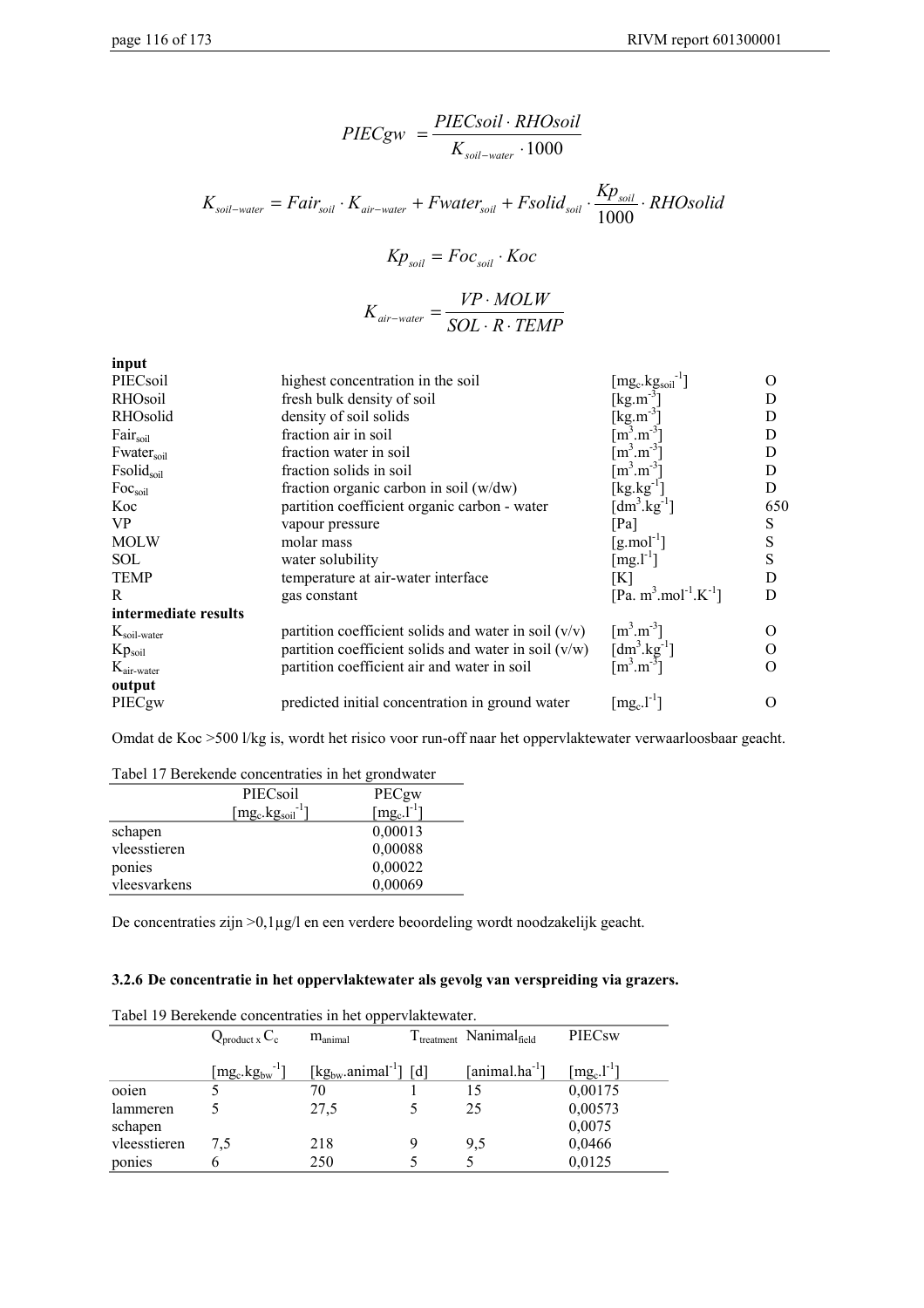$$
PIECgw = \frac{PIECsoil \cdot RHOsoil}{K_{soil-water} \cdot 1000}
$$

$$
K_{\text{soil-water}} = Fair_{\text{soil}} \cdot K_{\text{air-water}} + Fwater_{\text{soil}} + Fsolid_{\text{soil}} \cdot \frac{Kp_{\text{soil}}}{1000} \cdot RHO \text{solid}
$$

$$
Kp_{\text{soil}} = Foc_{\text{soil}} \cdot Koc
$$

$$
K_{air-water} = \frac{VP \cdot MOLW}{SOL \cdot R \cdot TEMP}
$$

| input                         |                                                        |                                                           |                   |
|-------------------------------|--------------------------------------------------------|-----------------------------------------------------------|-------------------|
| PIECsoil                      | highest concentration in the soil                      | $[\text{mg}_c.\text{kg}_{\text{soil}}^{-1}]$              | $\Omega$          |
| RHOsoil                       | fresh bulk density of soil                             | $[kg.m^{-3}]$                                             | D                 |
| RHOsolid                      | density of soil solids                                 | [ $kg.m^{-3}$ ]                                           | D                 |
| Fair <sub>soil</sub>          | fraction air in soil                                   | $\mathrm{[m^3.m^{-3}}$                                    | D                 |
| <b>Fwater</b> <sub>soil</sub> | fraction water in soil                                 | $\lceil m^3 \cdot m^{-3} \rceil$                          | D                 |
| Fsolidsoil                    | fraction solids in soil                                | $\rm{m}^3.m^{-3}$                                         | D                 |
| Foc <sub>soil</sub>           | fraction organic carbon in soil $(w/dw)$               | $\lceil \text{kg} \cdot \text{kg}^{-1} \rceil$            | D                 |
| Koc                           | partition coefficient organic carbon - water           | $\left[\text{dm}^3.\text{kg}^{-1}\right]$                 | 650               |
| VP                            | vapour pressure                                        | [Pa]                                                      | S                 |
| <b>MOLW</b>                   | molar mass                                             | $\left[\text{g} \dots \text{mol}^{-1}\right]$             | S                 |
| <b>SOL</b>                    | water solubility                                       | $[mg. l-1]$                                               | S                 |
| <b>TEMP</b>                   | temperature at air-water interface                     | [K]                                                       | D                 |
| R                             | gas constant                                           | [Pa. m <sup>3</sup> .mol <sup>-1</sup> .K <sup>-1</sup> ] | D                 |
| intermediate results          |                                                        |                                                           |                   |
| $K_{\text{soil-water}}$       | partition coefficient solids and water in soil $(v/v)$ | $\lceil m^3 \cdot m^{-3} \rceil$                          | $\mathbf{\Omega}$ |
| $Kp_{\text{soil}}$            | partition coefficient solids and water in soil $(v/w)$ | $\left[dm^3.kg^{-1}\right]$                               | $\epsilon$        |
| $K_{\text{air-water}}$        | partition coefficient air and water in soil            | $\lceil m^3 \cdot m^{-3} \rceil$                          | $\Omega$          |
| output                        |                                                        |                                                           |                   |
| PIECgw                        | predicted initial concentration in ground water        | $[\text{mg}_\text{c}.l^{\text{-}1}]$                      | $\mathcal{L}$     |

Omdat de Koc >500 l/kg is, wordt het risico voor run-off naar het oppervlaktewater verwaarloosbaar geacht.

| Tabel 17 Befekende concentraties in het grondwater |                                    |                                          |  |  |  |
|----------------------------------------------------|------------------------------------|------------------------------------------|--|--|--|
|                                                    | PIECsoil                           | PECgw                                    |  |  |  |
|                                                    | $[mg_c.kg_{soil}]$ <sup>-1</sup> ] | $\lceil \text{mg}_c \cdot l^{-1} \rceil$ |  |  |  |
| schapen                                            |                                    | 0,00013                                  |  |  |  |
| vleesstieren                                       |                                    | 0,00088                                  |  |  |  |
| ponies                                             |                                    | 0,00022                                  |  |  |  |
| vleesvarkens                                       |                                    | 0,00069                                  |  |  |  |

Tabel 17 Berekende concentraties in het grondwater

De concentraties zijn >0,1µg/l en een verdere beoordeling wordt noodzakelijk geacht.

#### **3.2.6 De concentratie in het oppervlaktewater als gevolg van verspreiding via grazers.**

|              | Table 17 Determine concentration in het opper vlakte water. |                                               |   |                                    |                                          |  |  |
|--------------|-------------------------------------------------------------|-----------------------------------------------|---|------------------------------------|------------------------------------------|--|--|
|              | $Q_{product\,x}C_c$                                         | $m_{\text{animal}}$                           |   | $T_{treatment}$ Nanimal $_{field}$ | PIECsw                                   |  |  |
|              | $[\text{mg}_c.\text{kg}_{bw}^{-1}]$                         | [kg <sub>bw</sub> .animal <sup>-1</sup> ] [d] |   | $[animal.ha^{-1}]$                 | $\lceil \text{mg}_c \cdot l^{-1} \rceil$ |  |  |
| ooien        |                                                             | 70                                            |   | 15                                 | 0,00175                                  |  |  |
| lammeren     |                                                             | 27,5                                          |   | 25                                 | 0,00573                                  |  |  |
| schapen      |                                                             |                                               |   |                                    | 0,0075                                   |  |  |
| vleesstieren | 7.5                                                         | 218                                           | 9 | 9,5                                | 0,0466                                   |  |  |
| ponies       |                                                             | 250                                           |   |                                    | 0,0125                                   |  |  |

Tabel 19 Berekende concentraties in het oppervlaktewater.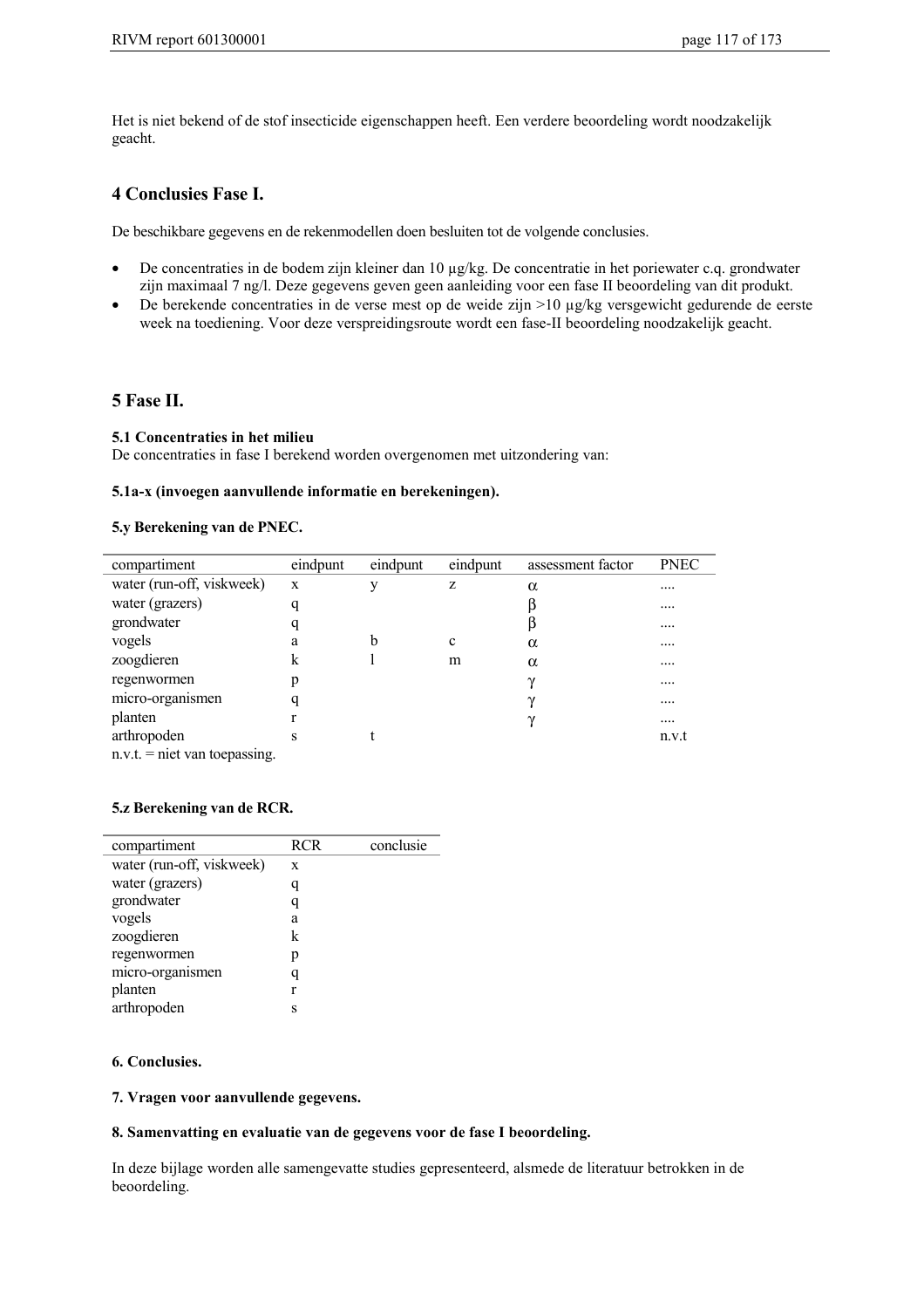Het is niet bekend of de stof insecticide eigenschappen heeft. Een verdere beoordeling wordt noodzakelijk geacht.

### **4 Conclusies Fase I.**

De beschikbare gegevens en de rekenmodellen doen besluiten tot de volgende conclusies.

- De concentraties in de bodem zijn kleiner dan 10 µg/kg. De concentratie in het poriewater c.q. grondwater zijn maximaal 7 ng/l. Deze gegevens geven geen aanleiding voor een fase II beoordeling van dit produkt.
- De berekende concentraties in de verse mest op de weide zijn >10 µg/kg versgewicht gedurende de eerste week na toediening. Voor deze verspreidingsroute wordt een fase-II beoordeling noodzakelijk geacht.

### **5 Fase II.**

#### **5.1 Concentraties in het milieu**

De concentraties in fase I berekend worden overgenomen met uitzondering van:

#### **5.1a-x (invoegen aanvullende informatie en berekeningen).**

#### **5.y Berekening van de PNEC.**

| compartiment                    | eindpunt | eindpunt | eindpunt | assessment factor | <b>PNEC</b> |
|---------------------------------|----------|----------|----------|-------------------|-------------|
| water (run-off, viskweek)       | X        | v        | z        | $\alpha$          |             |
| water (grazers)                 | q        |          |          |                   | $\cdots$    |
| grondwater                      | q        |          |          |                   |             |
| vogels                          | a        | b        | c        | $\alpha$          | $\cdots$    |
| zoogdieren                      | k        |          | m        | $\alpha$          |             |
| regenwormen                     | p        |          |          | $_{\gamma}$       | $\cdots$    |
| micro-organismen                | q        |          |          | $\gamma$          |             |
| planten                         |          |          |          | $\sim$            | $\cdots$    |
| arthropoden                     | S        |          |          |                   | n.v.t       |
| $n.v.t.$ = niet van toepassing. |          |          |          |                   |             |

#### **5.z Berekening van de RCR.**

| compartiment              | RCR | conclusie |
|---------------------------|-----|-----------|
| water (run-off, viskweek) | X   |           |
| water (grazers)           | q   |           |
| grondwater                |     |           |
| vogels                    | a   |           |
| zoogdieren                | k   |           |
| regenwormen               | р   |           |
| micro-organismen          | q   |           |
| planten                   | r   |           |
| arthropoden               | S   |           |

#### **6. Conclusies.**

**7. Vragen voor aanvullende gegevens.**

#### **8. Samenvatting en evaluatie van de gegevens voor de fase I beoordeling.**

In deze bijlage worden alle samengevatte studies gepresenteerd, alsmede de literatuur betrokken in de beoordeling.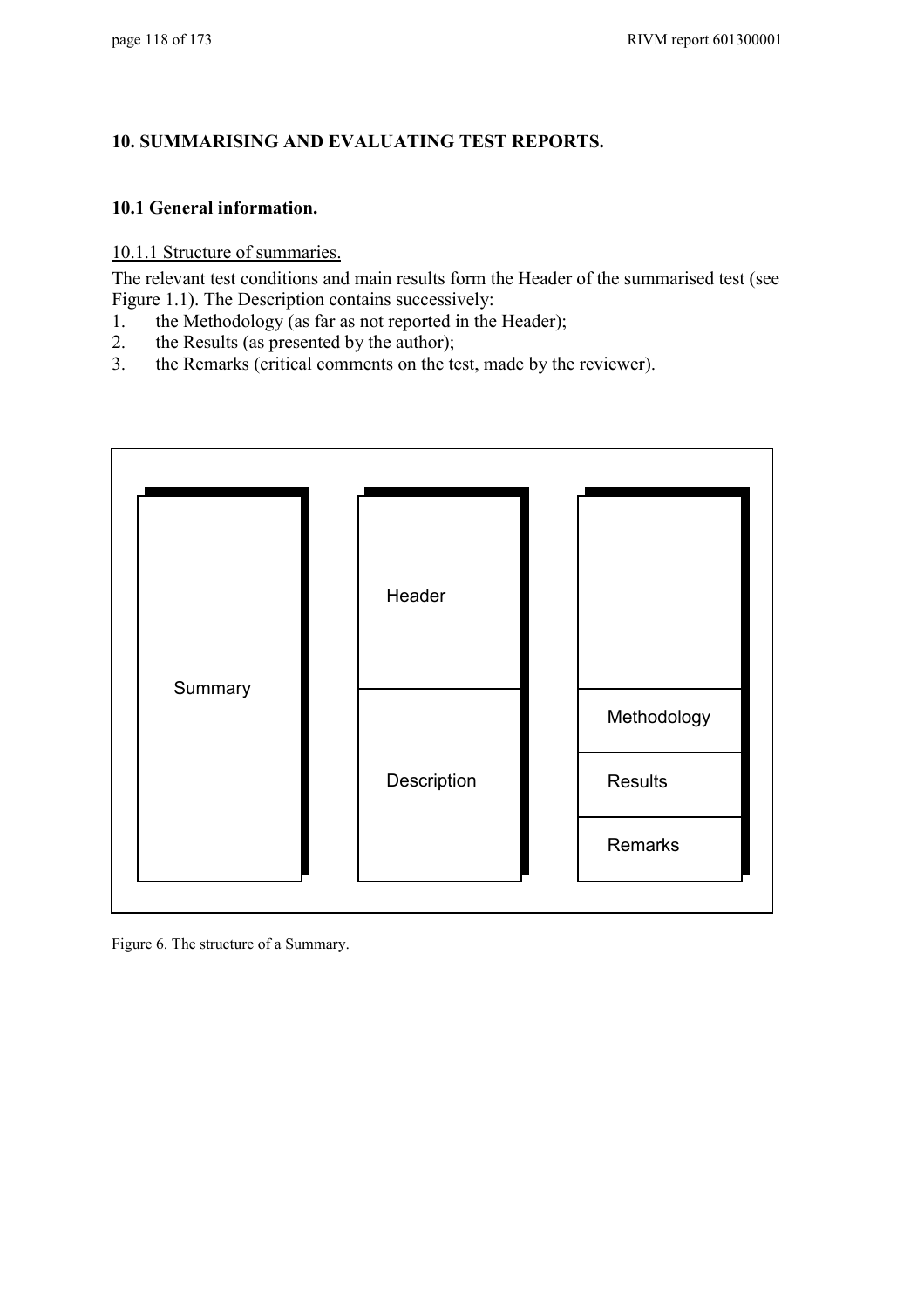## **10. SUMMARISING AND EVALUATING TEST REPORTS.**

### **10.1 General information.**

10.1.1 Structure of summaries.

The relevant test conditions and main results form the Header of the summarised test (see Figure 1.1). The Description contains successively:

- 1. the Methodology (as far as not reported in the Header);
- 2. the Results (as presented by the author);
- 3. the Remarks (critical comments on the test, made by the reviewer).



Figure 6. The structure of a Summary.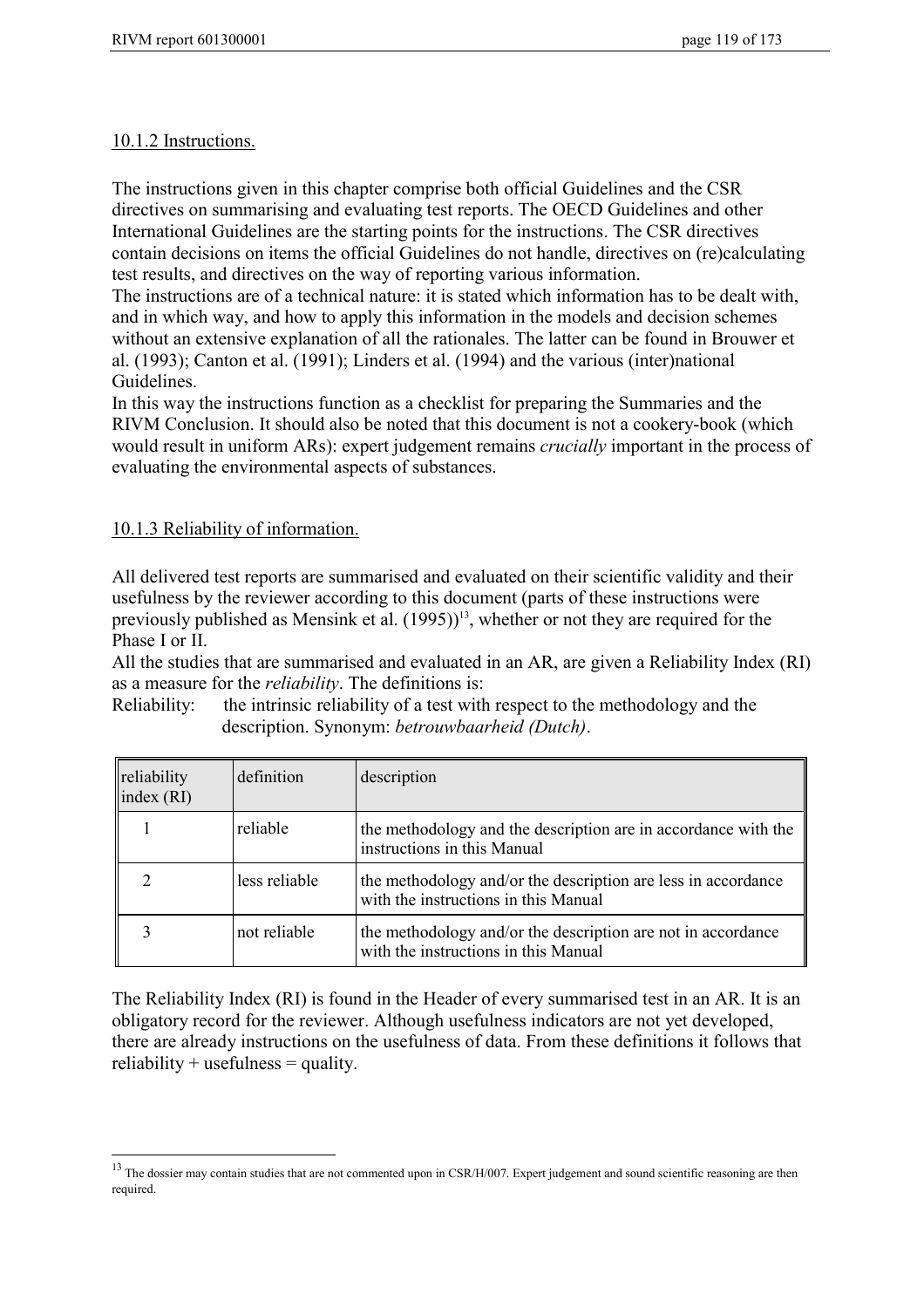### 10.1.2 Instructions.

The instructions given in this chapter comprise both official Guidelines and the CSR directives on summarising and evaluating test reports. The OECD Guidelines and other International Guidelines are the starting points for the instructions. The CSR directives contain decisions on items the official Guidelines do not handle, directives on (re)calculating test results, and directives on the way of reporting various information.

The instructions are of a technical nature: it is stated which information has to be dealt with, and in which way, and how to apply this information in the models and decision schemes without an extensive explanation of all the rationales. The latter can be found in Brouwer et al. (1993); Canton et al. (1991); Linders et al. (1994) and the various (inter)national Guidelines.

In this way the instructions function as a checklist for preparing the Summaries and the RIVM Conclusion. It should also be noted that this document is not a cookery-book (which would result in uniform ARs): expert judgement remains *crucially* important in the process of evaluating the environmental aspects of substances.

### 10.1.3 Reliability of information.

 $\overline{a}$ 

All delivered test reports are summarised and evaluated on their scientific validity and their usefulness by the reviewer according to this document (parts of these instructions were previously published as Mensink et al.  $(1995)$ <sup>13</sup>, whether or not they are required for the Phase I or II.

All the studies that are summarised and evaluated in an AR, are given a Reliability Index (RI) as a measure for the *reliability*. The definitions is:

Reliability: the intrinsic reliability of a test with respect to the methodology and the description. Synonym: *betrouwbaarheid (Dutch)*.

| reliability<br>index $(RI)$ | definition    | description                                                                                           |
|-----------------------------|---------------|-------------------------------------------------------------------------------------------------------|
|                             | reliable      | the methodology and the description are in accordance with the<br>instructions in this Manual         |
|                             | less reliable | the methodology and/or the description are less in accordance<br>with the instructions in this Manual |
|                             | not reliable  | the methodology and/or the description are not in accordance<br>with the instructions in this Manual  |

The Reliability Index (RI) is found in the Header of every summarised test in an AR. It is an obligatory record for the reviewer. Although usefulness indicators are not yet developed, there are already instructions on the usefulness of data. From these definitions it follows that  $reliability + usefulness = quality.$ 

<sup>&</sup>lt;sup>13</sup> The dossier mav contain studies that are not commented upon in CSR/H/007. Expert judgement and sound scientific reasoning are then required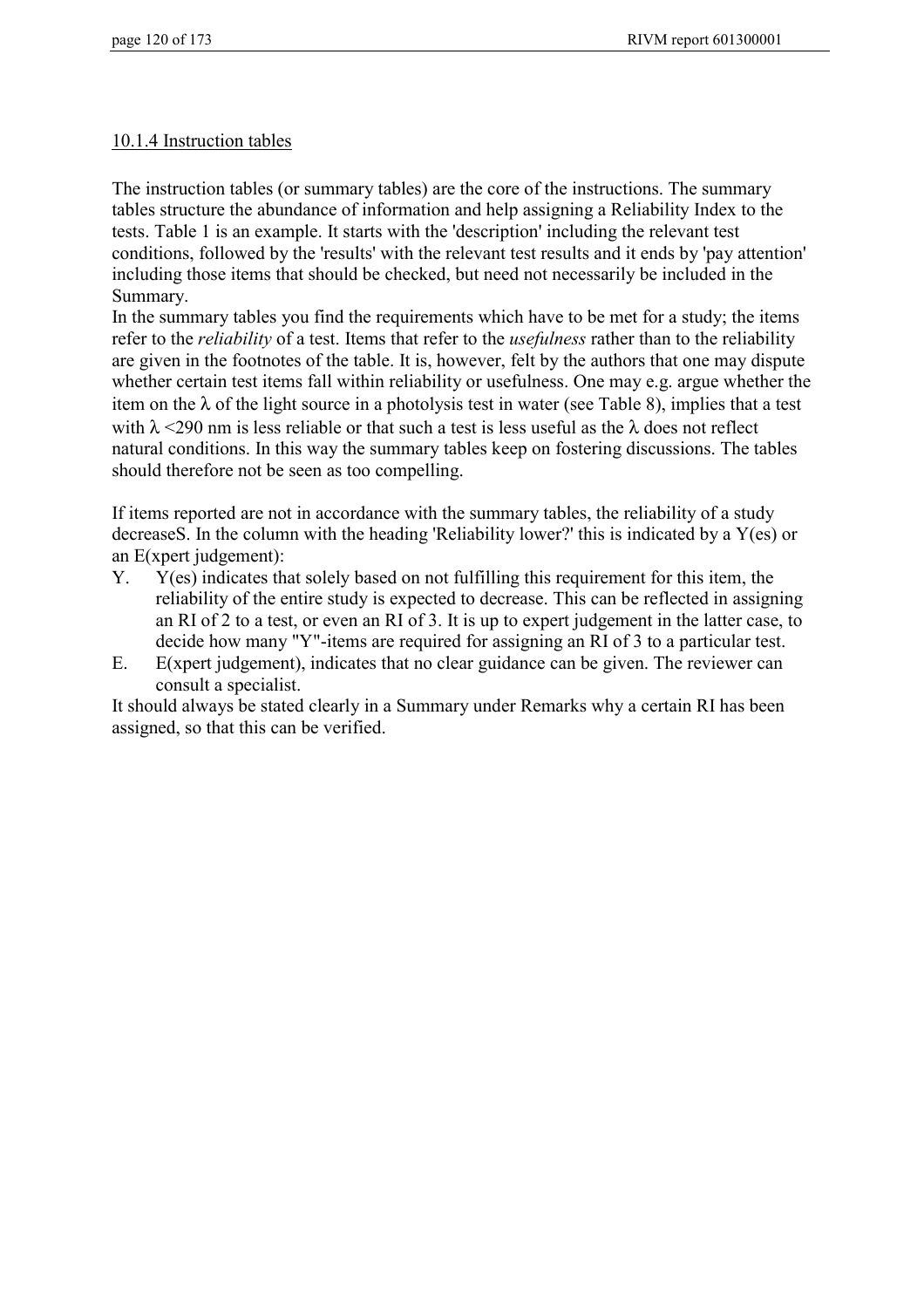### 10.1.4 Instruction tables

The instruction tables (or summary tables) are the core of the instructions. The summary tables structure the abundance of information and help assigning a Reliability Index to the tests. Table 1 is an example. It starts with the 'description' including the relevant test conditions, followed by the 'results' with the relevant test results and it ends by 'pay attention' including those items that should be checked, but need not necessarily be included in the Summary.

In the summary tables you find the requirements which have to be met for a study; the items refer to the *reliability* of a test. Items that refer to the *usefulness* rather than to the reliability are given in the footnotes of the table. It is, however, felt by the authors that one may dispute whether certain test items fall within reliability or usefulness. One may e.g. argue whether the item on the  $\lambda$  of the light source in a photolysis test in water (see Table 8), implies that a test with  $\lambda$  <290 nm is less reliable or that such a test is less useful as the  $\lambda$  does not reflect natural conditions. In this way the summary tables keep on fostering discussions. The tables should therefore not be seen as too compelling.

If items reported are not in accordance with the summary tables, the reliability of a study decreaseS. In the column with the heading 'Reliability lower?' this is indicated by a Y(es) or an E(xpert judgement):

- Y. Y(es) indicates that solely based on not fulfilling this requirement for this item, the reliability of the entire study is expected to decrease. This can be reflected in assigning an RI of 2 to a test, or even an RI of 3. It is up to expert judgement in the latter case, to decide how many "Y"-items are required for assigning an RI of 3 to a particular test.
- E. E(xpert judgement), indicates that no clear guidance can be given. The reviewer can consult a specialist.

It should always be stated clearly in a Summary under Remarks why a certain RI has been assigned, so that this can be verified.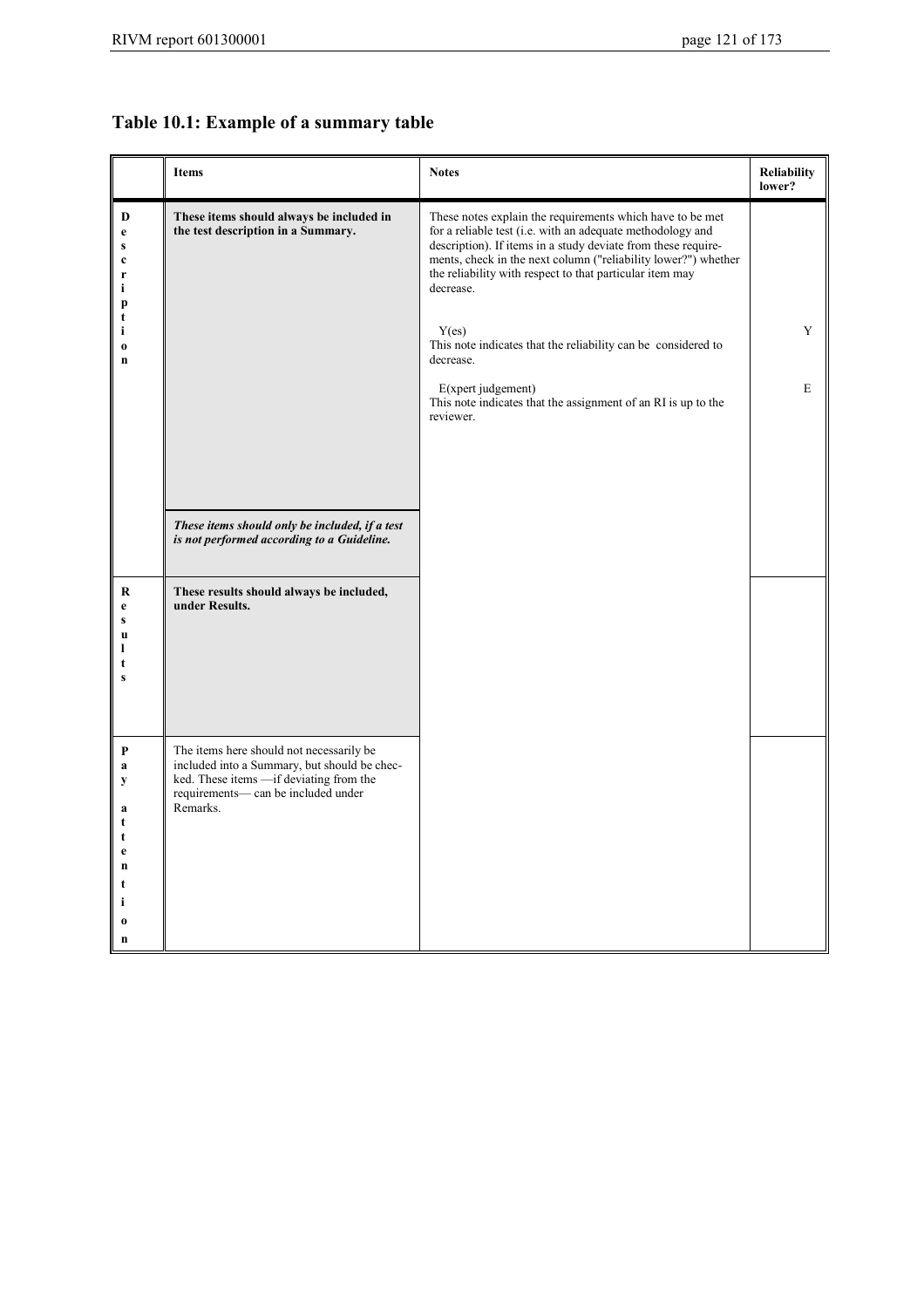# **Table 10.1: Example of a summary table**

|                                                                                                   | <b>Items</b>                                                                                                                                                                             | <b>Notes</b>                                                                                                                                                                                                                                                                                                                                                                                                                                                                                                                   | <b>Reliability</b><br>lower? |
|---------------------------------------------------------------------------------------------------|------------------------------------------------------------------------------------------------------------------------------------------------------------------------------------------|--------------------------------------------------------------------------------------------------------------------------------------------------------------------------------------------------------------------------------------------------------------------------------------------------------------------------------------------------------------------------------------------------------------------------------------------------------------------------------------------------------------------------------|------------------------------|
| D<br>$\mathbf e$<br>S<br>$\mathbf c$<br>$\mathbf{r}$<br>i<br>p<br>t<br>i<br>$\boldsymbol{0}$<br>n | These items should always be included in<br>the test description in a Summary.                                                                                                           | These notes explain the requirements which have to be met<br>for a reliable test (i.e. with an adequate methodology and<br>description). If items in a study deviate from these require-<br>ments, check in the next column ("reliability lower?") whether<br>the reliability with respect to that particular item may<br>decrease.<br>Y(es)<br>This note indicates that the reliability can be considered to<br>decrease.<br>E(xpert judgement)<br>This note indicates that the assignment of an RI is up to the<br>reviewer. | Y<br>E                       |
|                                                                                                   | These items should only be included, if a test<br>is not performed according to a Guideline.                                                                                             |                                                                                                                                                                                                                                                                                                                                                                                                                                                                                                                                |                              |
| R<br>e<br>S<br>$\mathbf u$<br>1<br>$\mathbf{s}$                                                   | These results should always be included,<br>under Results.                                                                                                                               |                                                                                                                                                                                                                                                                                                                                                                                                                                                                                                                                |                              |
| P<br>a<br>y<br>a<br>t<br>t<br>e<br>$\mathbf n$<br>t<br>i<br>$\bf{0}$<br>$\mathbf n$               | The items here should not necessarily be<br>included into a Summary, but should be chec-<br>ked. These items -- if deviating from the<br>requirements- can be included under<br>Remarks. |                                                                                                                                                                                                                                                                                                                                                                                                                                                                                                                                |                              |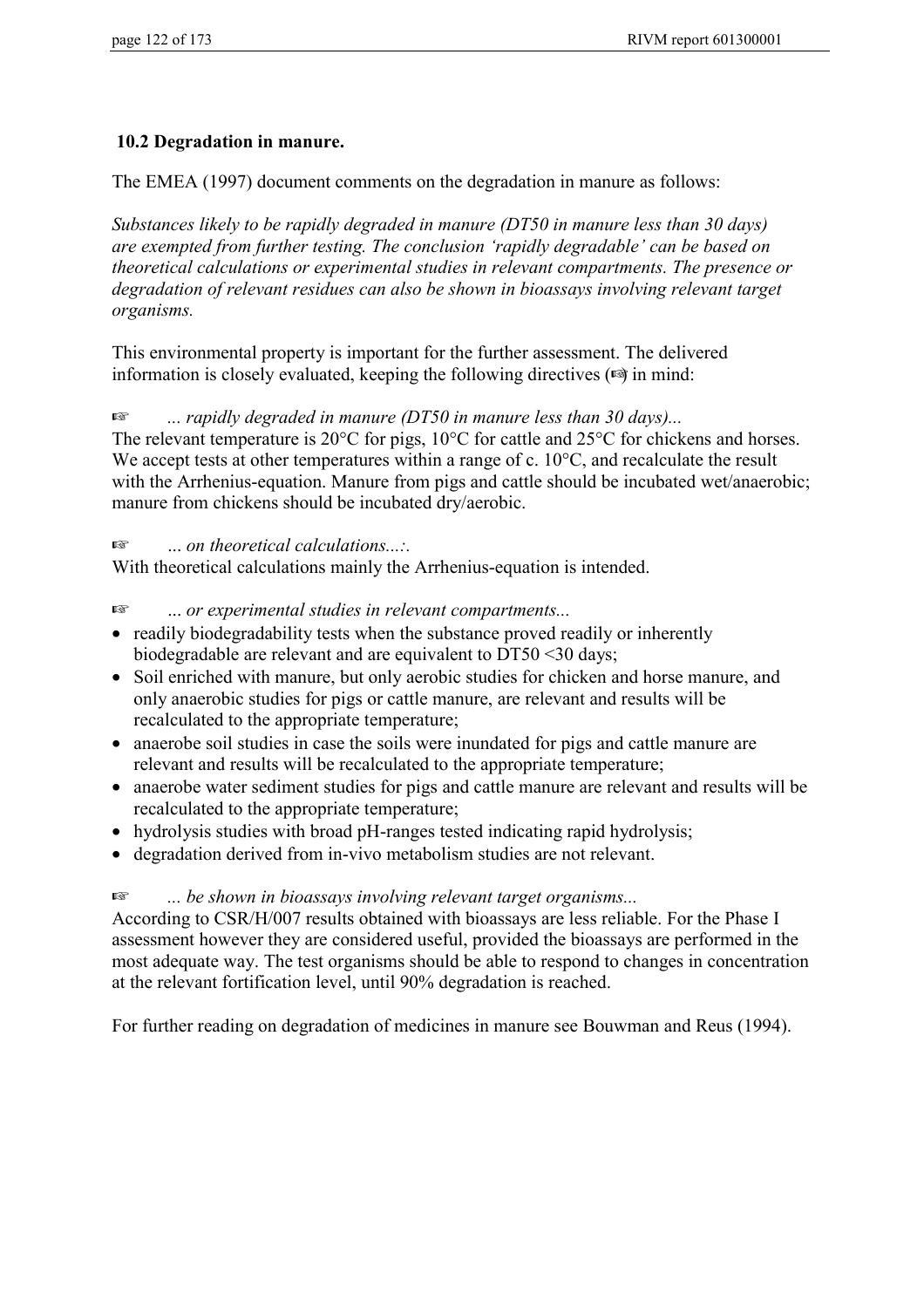### **10.2 Degradation in manure.**

The EMEA (1997) document comments on the degradation in manure as follows:

*Substances likely to be rapidly degraded in manure (DT50 in manure less than 30 days) are exempted from further testing. The conclusion 'rapidly degradable' can be based on theoretical calculations or experimental studies in relevant compartments. The presence or degradation of relevant residues can also be shown in bioassays involving relevant target organisms.*

This environmental property is important for the further assessment. The delivered information is closely evaluated, keeping the following directives  $(\mathbb{Q})$  in mind:

☞ *... rapidly degraded in manure (DT50 in manure less than 30 days)...*

The relevant temperature is 20 $\degree$ C for pigs, 10 $\degree$ C for cattle and 25 $\degree$ C for chickens and horses. We accept tests at other temperatures within a range of c. 10<sup>o</sup>C, and recalculate the result with the Arrhenius-equation. Manure from pigs and cattle should be incubated wet/anaerobic; manure from chickens should be incubated dry/aerobic.

☞ ... *on theoretical calculations...:.*

With theoretical calculations mainly the Arrhenius-equation is intended.

#### ☞ ... *or experimental studies in relevant compartments...*

- readily biodegradability tests when the substance proved readily or inherently biodegradable are relevant and are equivalent to DT50 <30 days;
- Soil enriched with manure, but only aerobic studies for chicken and horse manure, and only anaerobic studies for pigs or cattle manure, are relevant and results will be recalculated to the appropriate temperature;
- anaerobe soil studies in case the soils were inundated for pigs and cattle manure are relevant and results will be recalculated to the appropriate temperature;
- anaerobe water sediment studies for pigs and cattle manure are relevant and results will be recalculated to the appropriate temperature;
- hydrolysis studies with broad pH-ranges tested indicating rapid hydrolysis;
- degradation derived from in-vivo metabolism studies are not relevant.

### ☞ *... be shown in bioassays involving relevant target organisms...*

According to CSR/H/007 results obtained with bioassays are less reliable. For the Phase I assessment however they are considered useful, provided the bioassays are performed in the most adequate way. The test organisms should be able to respond to changes in concentration at the relevant fortification level, until 90% degradation is reached.

For further reading on degradation of medicines in manure see Bouwman and Reus (1994).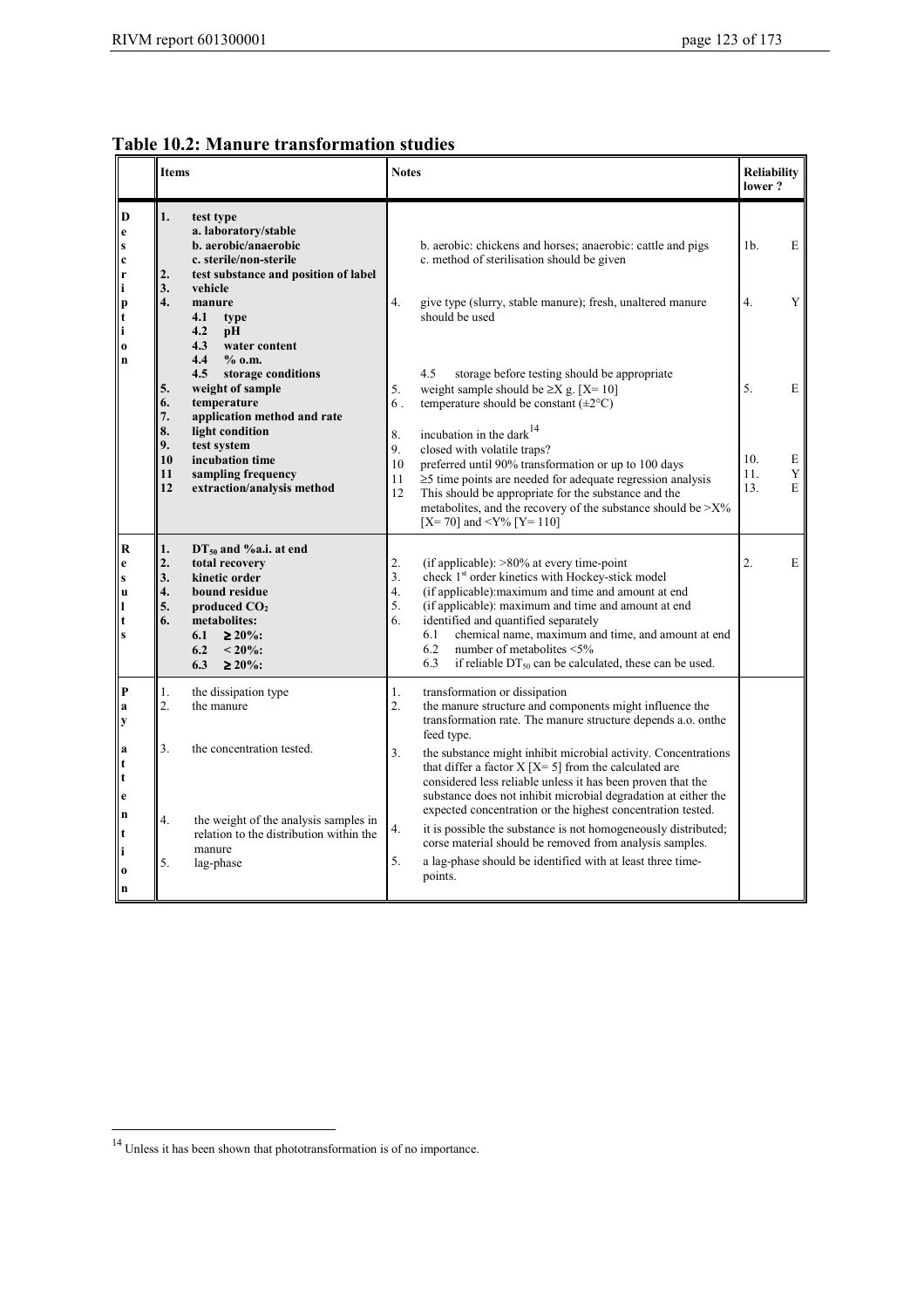|  |  |  | <b>Table 10.2: Manure transformation studies</b> |  |
|--|--|--|--------------------------------------------------|--|
|--|--|--|--------------------------------------------------|--|

|                                                                                          | <b>Items</b>                                                                                                                                                                                                            | <b>Notes</b>                                                                                                                                                                                                                                                                                                                                                                                                                                                            | <b>Reliability</b><br>lower?               |  |
|------------------------------------------------------------------------------------------|-------------------------------------------------------------------------------------------------------------------------------------------------------------------------------------------------------------------------|-------------------------------------------------------------------------------------------------------------------------------------------------------------------------------------------------------------------------------------------------------------------------------------------------------------------------------------------------------------------------------------------------------------------------------------------------------------------------|--------------------------------------------|--|
| D<br>e<br>$\mathbf{s}$<br>$\mathbf c$<br>$\mathbf{r}$<br>$\mathbf i$                     | 1.<br>test type<br>a. laboratory/stable<br>b. aerobic/anaerobic<br>c. sterile/non-sterile<br>2.<br>test substance and position of label<br>3.<br>vehicle                                                                | b. aerobic: chickens and horses; anaerobic: cattle and pigs<br>c. method of sterilisation should be given                                                                                                                                                                                                                                                                                                                                                               | E<br>1 <sub>b</sub>                        |  |
| p<br>t<br>۱i<br>$\bf{o}$<br>$\mathbf n$                                                  | $\overline{4}$ .<br>manure<br>4.1<br>type<br>4.2<br>pH<br>4.3<br>water content<br>4.4<br>$%$ 0.m.<br>storage conditions<br>4.5                                                                                          | $\overline{4}$ .<br>give type (slurry, stable manure); fresh, unaltered manure<br>should be used<br>4.5<br>storage before testing should be appropriate                                                                                                                                                                                                                                                                                                                 | 4.<br>Y                                    |  |
|                                                                                          | weight of sample<br>5.<br>temperature<br>6.<br>7.<br>application method and rate<br>8.<br>light condition<br>9.<br>test system                                                                                          | 5.<br>weight sample should be $\geq$ X g. [X= 10]<br>temperature should be constant $(\pm 2^{\circ}C)$<br>6.<br>incubation in the dark <sup>14</sup><br>8.<br>9.<br>closed with volatile traps?                                                                                                                                                                                                                                                                         | 5.<br>E                                    |  |
|                                                                                          | incubation time<br>10<br>sampling frequency<br>11<br>12<br>extraction/analysis method                                                                                                                                   | 10<br>preferred until 90% transformation or up to 100 days<br>$\geq$ 5 time points are needed for adequate regression analysis<br>11<br>12<br>This should be appropriate for the substance and the<br>metabolites, and the recovery of the substance should be $>$ X%<br>[X= 70] and <y% [y="110]&lt;/th"><th>10.<br/>Е<br/><math display="inline">\mathbf Y</math><br/>11.<br/>13.<br/>E</th></y%>                                                                     | 10.<br>Е<br>$\mathbf Y$<br>11.<br>13.<br>E |  |
| $\bf R$<br>$\mathbf{e}$<br>$\mathbf{s}$<br><b>u</b><br>$\mathbf{l}$<br>t<br>$\mathbf{s}$ | 1.<br>$DT_{50}$ and %a.i. at end<br>2.<br>total recovery<br>3.<br>kinetic order<br>4.<br>bound residue<br>5.<br>produced $CO2$<br>metabolites:<br>6.<br>6.1<br>$\geq 20\%$ :<br>6.2<br>$< 20\%$<br>$\geq 20\%$ :<br>6.3 | 2.<br>(if applicable): $>80\%$ at every time-point<br>3.<br>check 1 <sup>st</sup> order kinetics with Hockey-stick model<br>4.<br>(if applicable): maximum and time and amount at end<br>5.<br>(if applicable): maximum and time and amount at end<br>identified and quantified separately<br>6.<br>chemical name, maximum and time, and amount at end<br>6.1<br>6.2<br>number of metabolites <5%<br>6.3<br>if reliable $DT_{50}$ can be calculated, these can be used. | 2.<br>E                                    |  |
| $\mathbf P$<br>a<br>y                                                                    | 1.<br>the dissipation type<br>2 <sup>1</sup><br>the manure                                                                                                                                                              | transformation or dissipation<br>1.<br>the manure structure and components might influence the<br>2.<br>transformation rate. The manure structure depends a.o. onthe<br>feed type.                                                                                                                                                                                                                                                                                      |                                            |  |
| a<br>$\mathbf t$<br>l t<br>e<br>$\mathbf n$                                              | 3.<br>the concentration tested.                                                                                                                                                                                         | 3 <sub>1</sub><br>the substance might inhibit microbial activity. Concentrations<br>that differ a factor $X[X=5]$ from the calculated are<br>considered less reliable unless it has been proven that the<br>substance does not inhibit microbial degradation at either the<br>expected concentration or the highest concentration tested.                                                                                                                               |                                            |  |
| $\mathbf t$<br>$\mathbf i$<br><b>0</b><br>n                                              | 4.<br>the weight of the analysis samples in<br>relation to the distribution within the<br>manure<br>5.<br>lag-phase                                                                                                     | 4.<br>it is possible the substance is not homogeneously distributed;<br>corse material should be removed from analysis samples.<br>5.<br>a lag-phase should be identified with at least three time-<br>points.                                                                                                                                                                                                                                                          |                                            |  |

 $14$  Unless it has been shown that phototransformation is of no importance.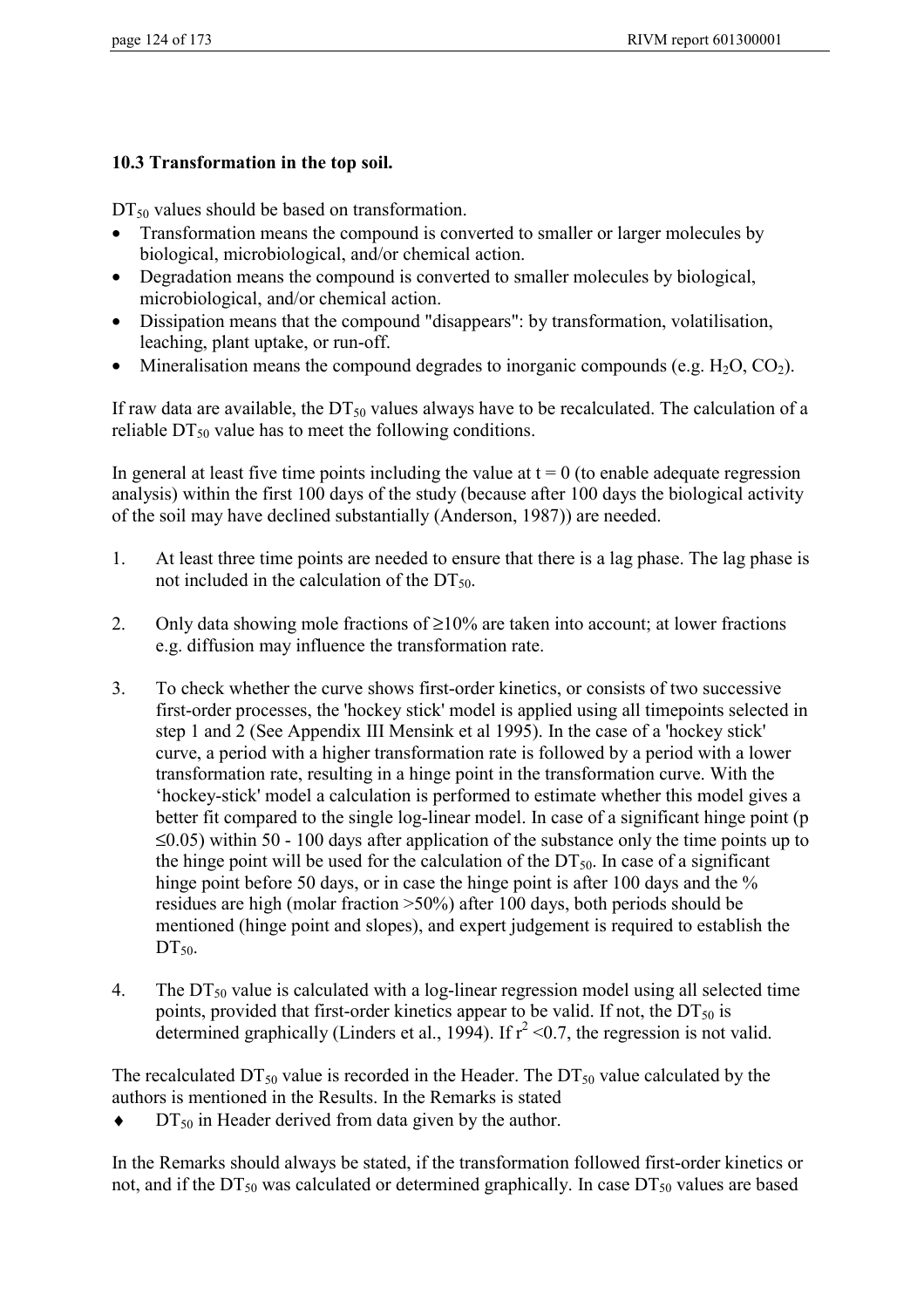### **10.3 Transformation in the top soil.**

 $DT_{50}$  values should be based on transformation.

- Transformation means the compound is converted to smaller or larger molecules by biological, microbiological, and/or chemical action.
- Degradation means the compound is converted to smaller molecules by biological, microbiological, and/or chemical action.
- Dissipation means that the compound "disappears": by transformation, volatilisation, leaching, plant uptake, or run-off.
- Mineralisation means the compound degrades to inorganic compounds (e.g.  $H_2O$ ,  $CO_2$ ).

If raw data are available, the  $DT_{50}$  values always have to be recalculated. The calculation of a reliable  $DT_{50}$  value has to meet the following conditions.

In general at least five time points including the value at  $t = 0$  (to enable adequate regression analysis) within the first 100 days of the study (because after 100 days the biological activity of the soil may have declined substantially (Anderson, 1987)) are needed.

- 1. At least three time points are needed to ensure that there is a lag phase. The lag phase is not included in the calculation of the  $DT_{50}$ .
- 2. Only data showing mole fractions of  $\geq 10\%$  are taken into account; at lower fractions e.g. diffusion may influence the transformation rate.
- 3. To check whether the curve shows first-order kinetics, or consists of two successive first-order processes, the 'hockey stick' model is applied using all timepoints selected in step 1 and 2 (See Appendix III Mensink et al 1995). In the case of a 'hockey stick' curve, a period with a higher transformation rate is followed by a period with a lower transformation rate, resulting in a hinge point in the transformation curve. With the 'hockey-stick' model a calculation is performed to estimate whether this model gives a better fit compared to the single log-linear model. In case of a significant hinge point (p  $\leq$ 0.05) within 50 - 100 days after application of the substance only the time points up to the hinge point will be used for the calculation of the  $DT_{50}$ . In case of a significant hinge point before 50 days, or in case the hinge point is after 100 days and the % residues are high (molar fraction >50%) after 100 days, both periods should be mentioned (hinge point and slopes), and expert judgement is required to establish the  $DT_{50}$ .
- 4. The  $DT_{50}$  value is calculated with a log-linear regression model using all selected time points, provided that first-order kinetics appear to be valid. If not, the  $DT_{50}$  is determined graphically (Linders et al., 1994). If  $r^2 < 0.7$ , the regression is not valid.

The recalculated  $DT_{50}$  value is recorded in the Header. The  $DT_{50}$  value calculated by the authors is mentioned in the Results. In the Remarks is stated

 $\blacklozenge$  DT<sub>50</sub> in Header derived from data given by the author.

In the Remarks should always be stated, if the transformation followed first-order kinetics or not, and if the  $DT_{50}$  was calculated or determined graphically. In case  $DT_{50}$  values are based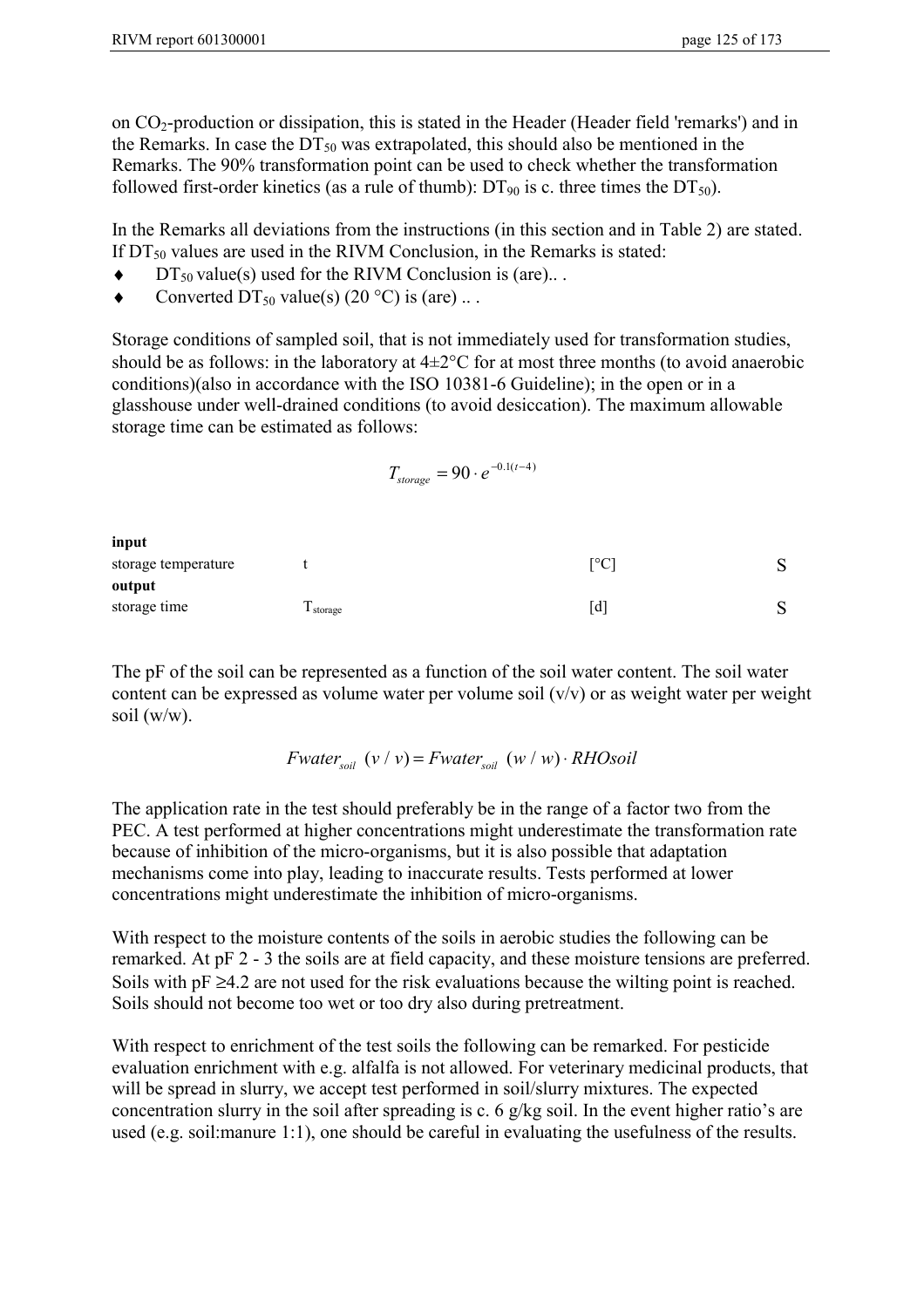on CO2-production or dissipation, this is stated in the Header (Header field 'remarks') and in the Remarks. In case the  $DT_{50}$  was extrapolated, this should also be mentioned in the Remarks. The 90% transformation point can be used to check whether the transformation followed first-order kinetics (as a rule of thumb):  $DT_{90}$  is c. three times the  $DT_{50}$ ).

In the Remarks all deviations from the instructions (in this section and in Table 2) are stated. If  $DT_{50}$  values are used in the RIVM Conclusion, in the Remarks is stated:

- $\blacklozenge$  DT<sub>50</sub> value(s) used for the RIVM Conclusion is (are)...
- $\bullet$  Converted DT<sub>50</sub> value(s) (20 °C) is (are) ...

Storage conditions of sampled soil, that is not immediately used for transformation studies, should be as follows: in the laboratory at  $4\pm2^{\circ}$ C for at most three months (to avoid anaerobic conditions)(also in accordance with the ISO 10381-6 Guideline); in the open or in a glasshouse under well-drained conditions (to avoid desiccation). The maximum allowable storage time can be estimated as follows:

 $T_{\text{storage}} = 90 \cdot e^{-0.1(t-4)}$ 

| input               |         |                                |        |
|---------------------|---------|--------------------------------|--------|
| storage temperature |         | $\lceil{^\circ}\text{C}\rceil$ | ົ      |
| output              |         |                                |        |
| storage time        | storage | l d                            | ົ<br>N |

The pF of the soil can be represented as a function of the soil water content. The soil water content can be expressed as volume water per volume soil (v/v) or as weight water per weight soil (w/w).

*Fwater*<sub>soil</sub>  $(v / v) = Fwater_{\text{solid}} (w / w) \cdot RHO\text{solid}$ 

The application rate in the test should preferably be in the range of a factor two from the PEC. A test performed at higher concentrations might underestimate the transformation rate because of inhibition of the micro-organisms, but it is also possible that adaptation mechanisms come into play, leading to inaccurate results. Tests performed at lower concentrations might underestimate the inhibition of micro-organisms.

With respect to the moisture contents of the soils in aerobic studies the following can be remarked. At pF 2 - 3 the soils are at field capacity, and these moisture tensions are preferred. Soils with  $pF \geq 4.2$  are not used for the risk evaluations because the wilting point is reached. Soils should not become too wet or too dry also during pretreatment.

With respect to enrichment of the test soils the following can be remarked. For pesticide evaluation enrichment with e.g. alfalfa is not allowed. For veterinary medicinal products, that will be spread in slurry, we accept test performed in soil/slurry mixtures. The expected concentration slurry in the soil after spreading is c. 6 g/kg soil. In the event higher ratio's are used (e.g. soil:manure 1:1), one should be careful in evaluating the usefulness of the results.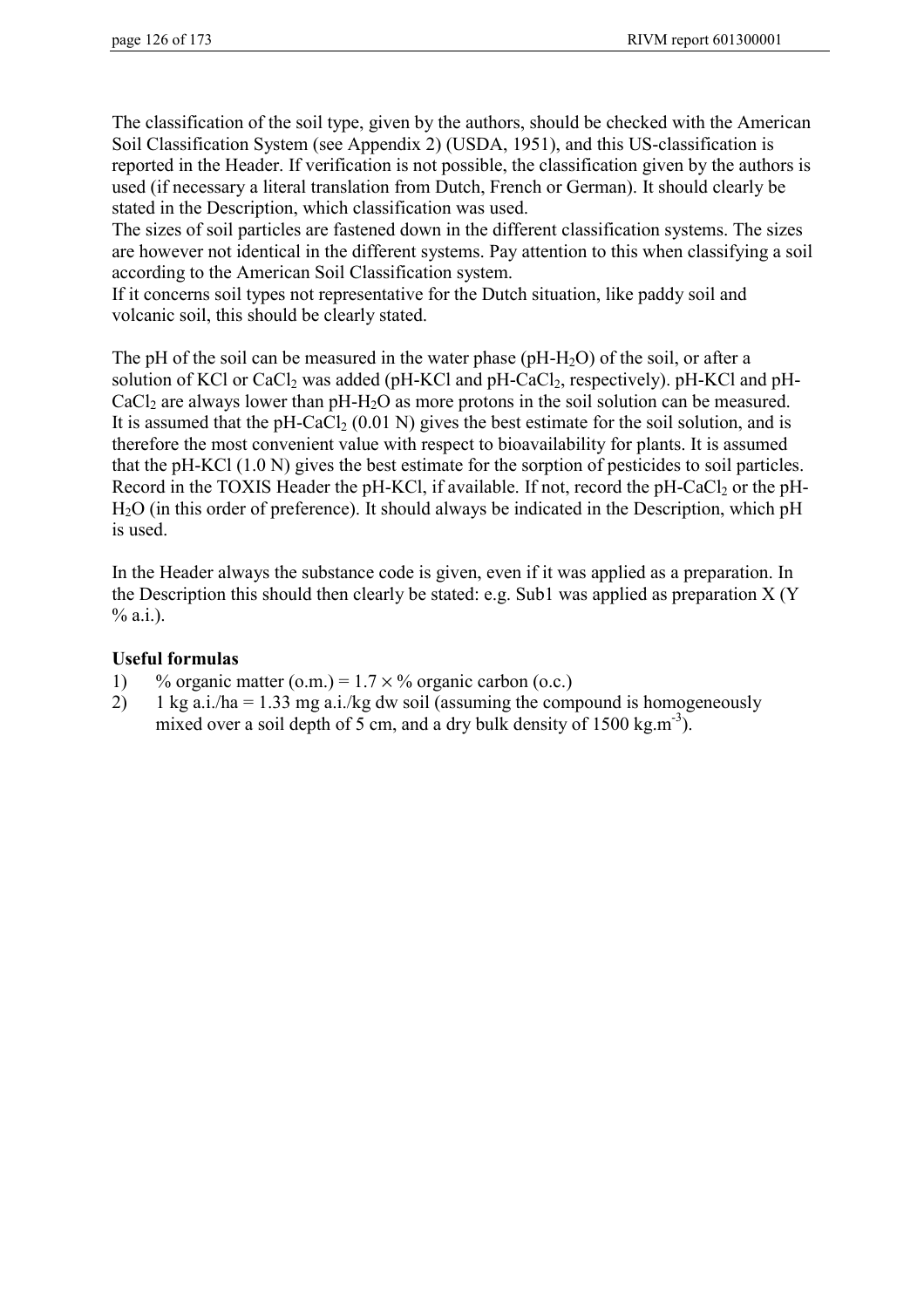The classification of the soil type, given by the authors, should be checked with the American Soil Classification System (see Appendix 2) (USDA, 1951), and this US-classification is reported in the Header. If verification is not possible, the classification given by the authors is used (if necessary a literal translation from Dutch, French or German). It should clearly be stated in the Description, which classification was used.

The sizes of soil particles are fastened down in the different classification systems. The sizes are however not identical in the different systems. Pay attention to this when classifying a soil according to the American Soil Classification system.

If it concerns soil types not representative for the Dutch situation, like paddy soil and volcanic soil, this should be clearly stated.

The pH of the soil can be measured in the water phase ( $pH-H_2O$ ) of the soil, or after a solution of KCl or CaCl<sub>2</sub> was added (pH-KCl and pH-CaCl<sub>2</sub>, respectively). pH-KCl and pH-CaCl<sub>2</sub> are always lower than  $pH-H_2O$  as more protons in the soil solution can be measured. It is assumed that the pH-CaCl<sub>2</sub> (0.01 N) gives the best estimate for the soil solution, and is therefore the most convenient value with respect to bioavailability for plants. It is assumed that the pH-KCl (1.0 N) gives the best estimate for the sorption of pesticides to soil particles. Record in the TOXIS Header the pH-KCl, if available. If not, record the pH-CaCl<sub>2</sub> or the pH-H2O (in this order of preference). It should always be indicated in the Description, which pH is used.

In the Header always the substance code is given, even if it was applied as a preparation. In the Description this should then clearly be stated: e.g. Sub1 was applied as preparation X (Y  $% a.i.$ ).

### **Useful formulas**

- 1) % organic matter (o.m.) =  $1.7 \times$ % organic carbon (o.c.)
- 2) 1 kg a.i./ha = 1.33 mg a.i./kg dw soil (assuming the compound is homogeneously mixed over a soil depth of 5 cm, and a dry bulk density of  $1500 \text{ kg.m}^{-3}$ ).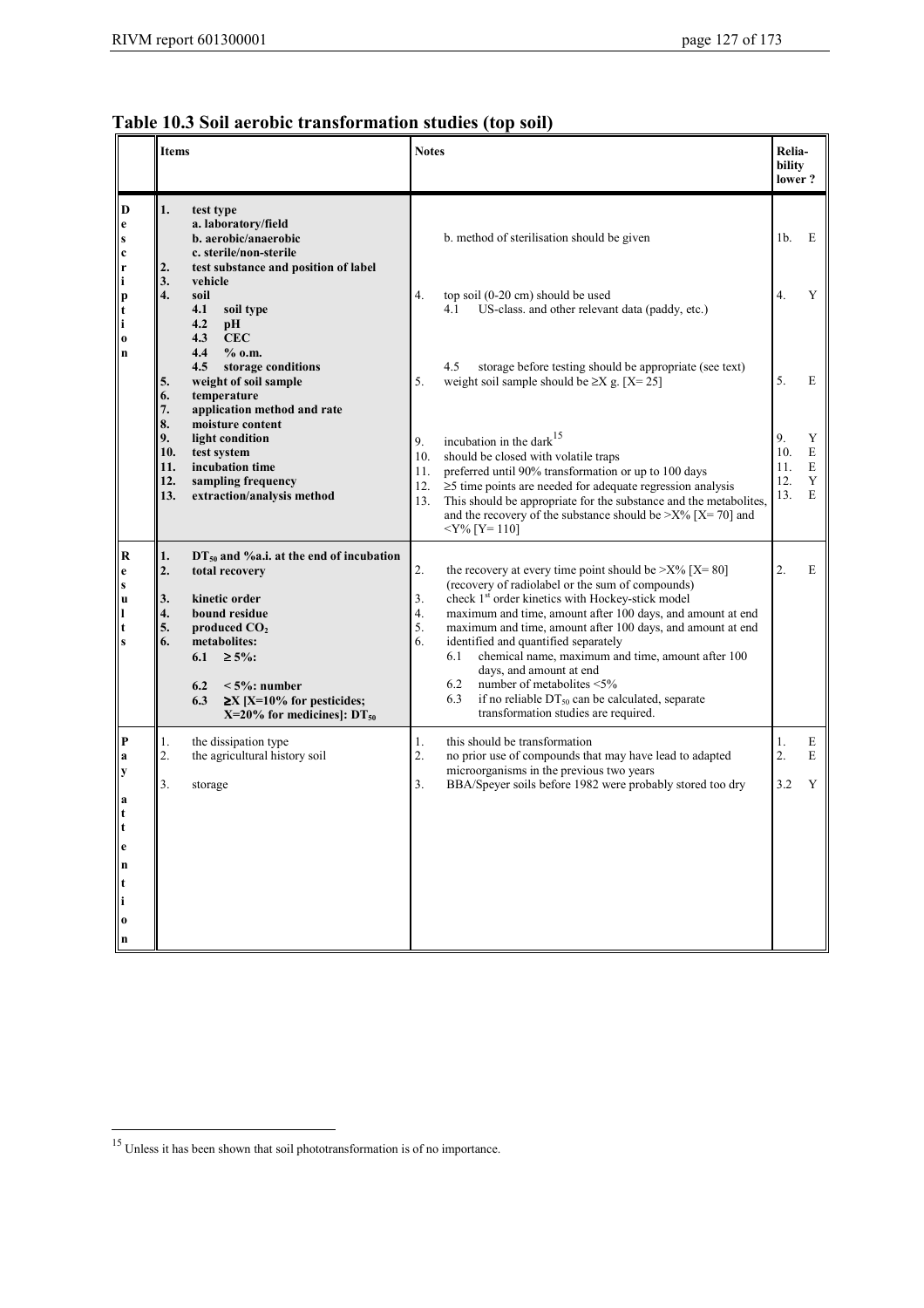## **Table 10.3 Soil aerobic transformation studies (top soil)**

|                                                                             | <b>Items</b>                                          |                                                                                                                                                                                                                                                 | <b>Notes</b>                                                                                                                                                                                                                                                                                                                                                                                                                                                                                                                                                                                                               | <b>Relia-</b><br>bility<br>lower? |                       |
|-----------------------------------------------------------------------------|-------------------------------------------------------|-------------------------------------------------------------------------------------------------------------------------------------------------------------------------------------------------------------------------------------------------|----------------------------------------------------------------------------------------------------------------------------------------------------------------------------------------------------------------------------------------------------------------------------------------------------------------------------------------------------------------------------------------------------------------------------------------------------------------------------------------------------------------------------------------------------------------------------------------------------------------------------|-----------------------------------|-----------------------|
| D<br>  e<br>$\boldsymbol{s}$<br>$\mathbf c$<br>$\mathbf{r}$                 | 1.<br>2.                                              | test type<br>a. laboratory/field<br>b. aerobic/anaerobic<br>c. sterile/non-sterile<br>test substance and position of label                                                                                                                      | b. method of sterilisation should be given                                                                                                                                                                                                                                                                                                                                                                                                                                                                                                                                                                                 | 1b.                               | E                     |
| i<br> p<br>l t<br><sup>i</sup><br>$\vert$ 0                                 | 3.<br>4.<br>soil<br>4.1<br>4.2<br>4.3                 | vehicle<br>soil type<br>рH<br><b>CEC</b>                                                                                                                                                                                                        | 4.<br>top soil (0-20 cm) should be used<br>4.1<br>US-class, and other relevant data (paddy, etc.)                                                                                                                                                                                                                                                                                                                                                                                                                                                                                                                          | 4.                                | Y                     |
| $\ln$                                                                       | 4.4<br>4.5<br>5.<br>6.<br>7.                          | $%$ 0.m.<br>storage conditions<br>weight of soil sample<br>temperature<br>application method and rate                                                                                                                                           | 4.5<br>storage before testing should be appropriate (see text)<br>weight soil sample should be $\geq$ X g. [X=25]<br>5.                                                                                                                                                                                                                                                                                                                                                                                                                                                                                                    | 5.                                | E                     |
|                                                                             | 8.<br>9.<br>10.<br>11.<br>12.<br>13.                  | moisture content<br>light condition<br>test system<br>incubation time<br>sampling frequency<br>extraction/analysis method                                                                                                                       | incubation in the dark <sup>15</sup><br>9.<br>should be closed with volatile traps<br>10.<br>preferred until 90% transformation or up to 100 days<br>11.<br>$\geq$ 5 time points are needed for adequate regression analysis<br>12.<br>This should be appropriate for the substance and the metabolites,<br>13.<br>and the recovery of the substance should be $\geq$ X% [X=70] and<br>$<$ Y% [Y= 110]                                                                                                                                                                                                                     | 9.<br>10.<br>11.<br>12.<br>13.    | Y<br>E<br>E<br>Y<br>E |
| $\bf R$<br>$\mathbf e$<br>$\mathbf{s}$<br> u<br>11<br>l t<br>l s            | 1.<br>2.<br>3.<br>4.<br>5.<br>6.<br>6.1<br>6.2<br>6.3 | $DT_{50}$ and %a.i. at the end of incubation<br>total recovery<br>kinetic order<br>bound residue<br>produced $CO2$<br>metabolites:<br>$\geq 5\%$ :<br>$\leq 5\%$ : number<br>$\geq$ X [X=10% for pesticides;<br>X=20% for medicines]: $DT_{50}$ | 2.<br>the recovery at every time point should be $\geq$ X% [X=80]<br>(recovery of radiolabel or the sum of compounds)<br>check 1 <sup>st</sup> order kinetics with Hockey-stick model<br>3.<br>maximum and time, amount after 100 days, and amount at end<br>4.<br>5.<br>maximum and time, amount after 100 days, and amount at end<br>6.<br>identified and quantified separately<br>chemical name, maximum and time, amount after 100<br>6.1<br>days, and amount at end<br>6.2<br>number of metabolites <5%<br>if no reliable DT <sub>50</sub> can be calculated, separate<br>6.3<br>transformation studies are required. | 2.                                | Е                     |
| P<br>a<br>y<br>a<br>$\frac{1}{t}$<br>e<br>n<br>t<br>$\bf{0}$<br>$\mathbf n$ | 1.<br>2.<br>3.                                        | the dissipation type<br>the agricultural history soil<br>storage                                                                                                                                                                                | this should be transformation<br>1.<br>no prior use of compounds that may have lead to adapted<br>2.<br>microorganisms in the previous two years<br>BBA/Speyer soils before 1982 were probably stored too dry<br>3.                                                                                                                                                                                                                                                                                                                                                                                                        | 1.<br>2.<br>3.2                   | E<br>E<br>Y           |

 $15$  Unless it has been shown that soil phototransformation is of no importance.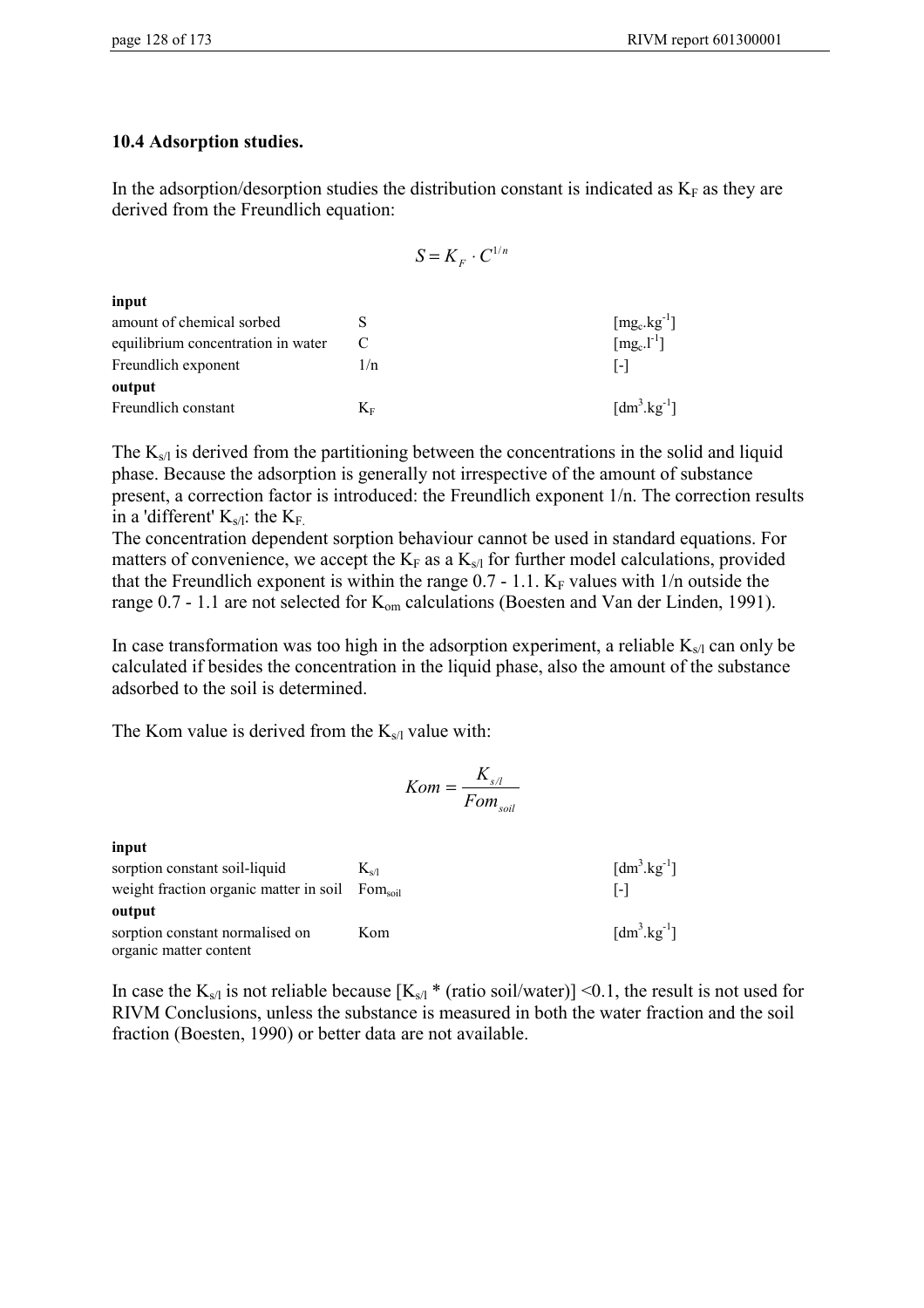### **10.4 Adsorption studies.**

In the adsorption/desorption studies the distribution constant is indicated as  $K_F$  as they are derived from the Freundlich equation:

|                                    |             | $S = K_{\scriptscriptstyle E} \cdot C^{1/n}$ |                                           |
|------------------------------------|-------------|----------------------------------------------|-------------------------------------------|
| input                              |             |                                              |                                           |
| amount of chemical sorbed          | S           |                                              | $[mg_c.kg^{-1}]$                          |
| equilibrium concentration in water | C           |                                              | $[mg_c.l^{-1}]$                           |
| Freundlich exponent                | 1/n         |                                              | $\lceil - \rceil$                         |
| output                             |             |                                              |                                           |
| Freundlich constant                | $K_{\rm F}$ |                                              | $\left[\text{dm}^3.\text{kg}^{-1}\right]$ |

The  $K_{s/l}$  is derived from the partitioning between the concentrations in the solid and liquid phase. Because the adsorption is generally not irrespective of the amount of substance present, a correction factor is introduced: the Freundlich exponent 1/n. The correction results in a 'different'  $K_{s/l}$ : the  $K_F$ .

The concentration dependent sorption behaviour cannot be used in standard equations. For matters of convenience, we accept the  $K_F$  as a  $K_{s/l}$  for further model calculations, provided that the Freundlich exponent is within the range  $0.7 - 1.1$ . K<sub>F</sub> values with  $1/n$  outside the range 0.7 - 1.1 are not selected for K<sub>om</sub> calculations (Boesten and Van der Linden, 1991).

In case transformation was too high in the adsorption experiment, a reliable  $K_{s/l}$  can only be calculated if besides the concentration in the liquid phase, also the amount of the substance adsorbed to the soil is determined.

The Kom value is derived from the  $K_{s/l}$  value with:

$$
Kom = \frac{K_{s/l}}{Fom_{soil}}
$$

**input** sorption constant soil-liquid  $K_{s/l}$  $\left[dm^3.kg^{-1}\right]$ weight fraction organic matter in soil Fom<sub>soil</sub> [-] **output** sorption constant normalised on organic matter content Kom  $\left[dm^3 \text{.kg}^{-1}\right]$ 

In case the  $K_{s/l}$  is not reliable because  $[K_{s/l} * (ratio\, soil/water)] < 0.1$ , the result is not used for RIVM Conclusions, unless the substance is measured in both the water fraction and the soil fraction (Boesten, 1990) or better data are not available.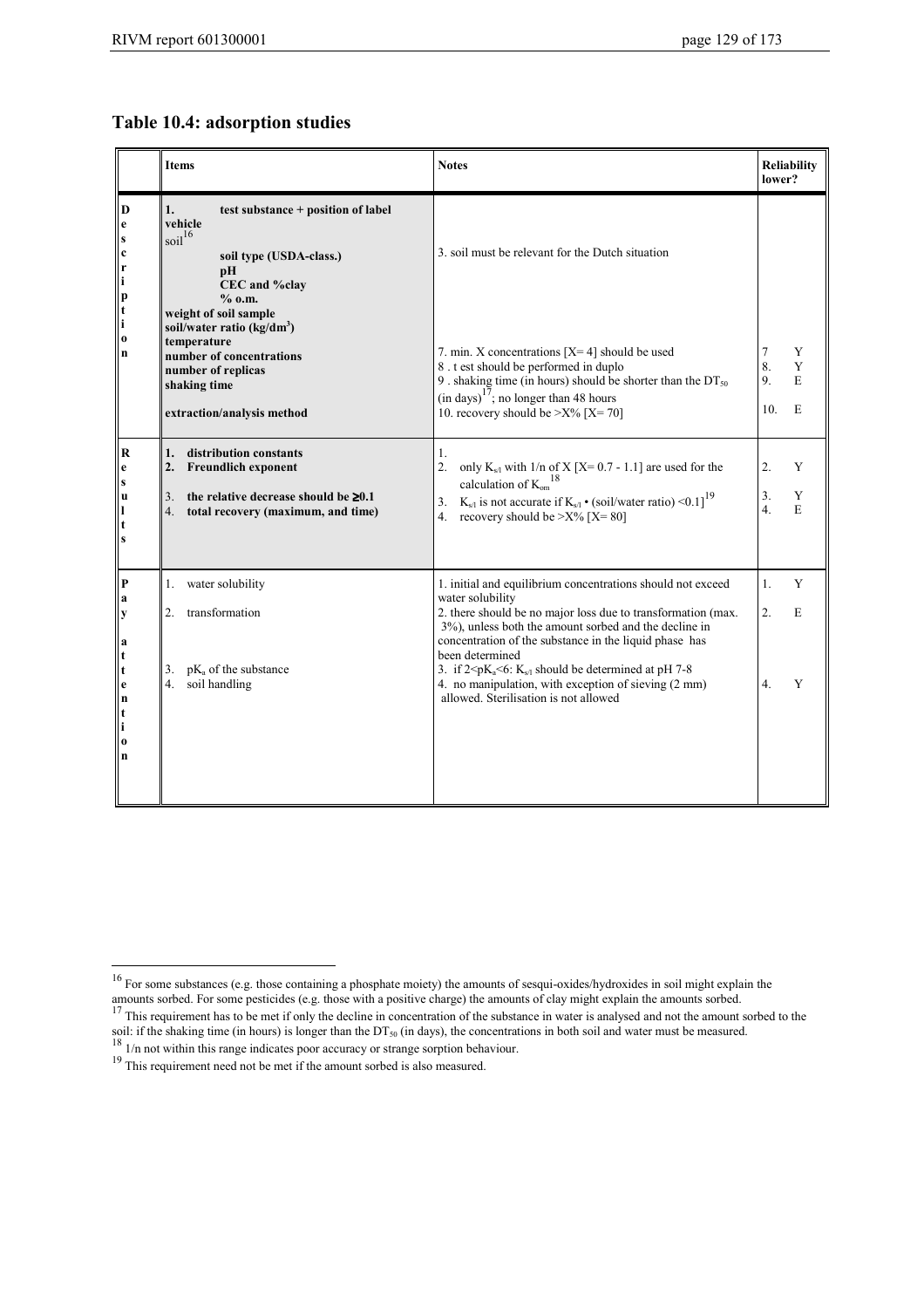### **Table 10.4: adsorption studies**

|                                                                                                                                                                                                                | <b>Items</b>                                                                                                                                                                                                                                                                                                              | <b>Notes</b>                                                                                                                                                                                                                                                                                                                                                                                                                                                  | <b>Reliability</b><br>lower?                  |
|----------------------------------------------------------------------------------------------------------------------------------------------------------------------------------------------------------------|---------------------------------------------------------------------------------------------------------------------------------------------------------------------------------------------------------------------------------------------------------------------------------------------------------------------------|---------------------------------------------------------------------------------------------------------------------------------------------------------------------------------------------------------------------------------------------------------------------------------------------------------------------------------------------------------------------------------------------------------------------------------------------------------------|-----------------------------------------------|
| D<br>$\mathbf{e}$<br>scription<br>   n                                                                                                                                                                         | 1.<br>test substance + position of label<br>vehicle<br>soil <sup>16</sup><br>soil type (USDA-class.)<br>pH<br>CEC and %clay<br>$%$ 0.m.<br>weight of soil sample<br>soil/water ratio (kg/dm <sup>3</sup> )<br>temperature<br>number of concentrations<br>number of replicas<br>shaking time<br>extraction/analysis method | 3. soil must be relevant for the Dutch situation<br>7. min. X concentrations $[X=4]$ should be used<br>8. t est should be performed in duplo<br>9. shaking time (in hours) should be shorter than the $DT_{50}$<br>$(in days)17$ ; no longer than 48 hours<br>10. recovery should be $>$ X% [X=70]                                                                                                                                                            | $\tau$<br>Y<br>8.<br>Y<br>9.<br>E<br>E<br>10. |
| $\overline{\mathbf{R}}$<br>e<br>$\vert$ s<br>l u<br>lı<br>$\Vert$ t<br>$\bf{s}$                                                                                                                                | distribution constants<br>1 <sub>1</sub><br>2.<br><b>Freundlich exponent</b><br>the relative decrease should be $\geq 0.1$<br>3.<br>4 <sup>1</sup><br>total recovery (maximum, and time)                                                                                                                                  | 1.<br>only $K_{s/1}$ with $1/n$ of $X$ [X= 0.7 - 1.1] are used for the<br>2.<br>calculation of $\mathrm{K_{om}}^{18}$<br>$K_{s/1}$ is not accurate if $K_{s/1} \cdot (soil/water ratio) \le 0.1$ <sup>19</sup><br>3.<br>4. recovery should be $>$ X% [X=80]                                                                                                                                                                                                   | Y<br>2.<br>3.<br>Y<br>$\overline{4}$ .<br>E   |
| P <br>   a<br>$\begin{array}{c} \n\mathbf{y} \\ \mathbf{a} \\ \mathbf{t} \\ \mathbf{t}\n\end{array}$<br>$\parallel$ e<br>$\begin{array}{c} \mathbf{n} \\ \mathbf{t} \\ \mathbf{i} \end{array}$<br>l o<br>$\ln$ | water solubility<br>1.<br>2.<br>transformation<br>$pK_a$ of the substance<br>3.<br>4.<br>soil handling                                                                                                                                                                                                                    | 1. initial and equilibrium concentrations should not exceed<br>water solubility<br>2. there should be no major loss due to transformation (max.<br>3%), unless both the amount sorbed and the decline in<br>concentration of the substance in the liquid phase has<br>been determined<br>3. if $2 \le pK_a \le 6$ : $K_{s/1}$ should be determined at pH 7-8<br>4. no manipulation, with exception of sieving (2 mm)<br>allowed. Sterilisation is not allowed | 1.<br>Y<br>$\overline{2}$ .<br>E<br>Y<br>4.   |

 $\overline{a}$ 

<sup>&</sup>lt;sup>16</sup> For some substances (e.g. those containing a phosphate moiety) the amounts of sesqui-oxides/hydroxides in soil might explain the amounts sorbed. For some pesticides (e.g. those with a positive charge) the amounts of clay might explain the amounts sorbed.<br><sup>17</sup> This requirement has to be met if only the decline in concentration of the substance in wat

soil: if the shaking time (in hours) is longer than the DT<sub>50</sub> (in days), the concentrations in both soil and water must be measured.<br><sup>18</sup> 1/n not within this range indicates poor accuracy or strange sorption behaviour.

<sup>&</sup>lt;sup>19</sup> This requirement need not be met if the amount sorbed is also measured.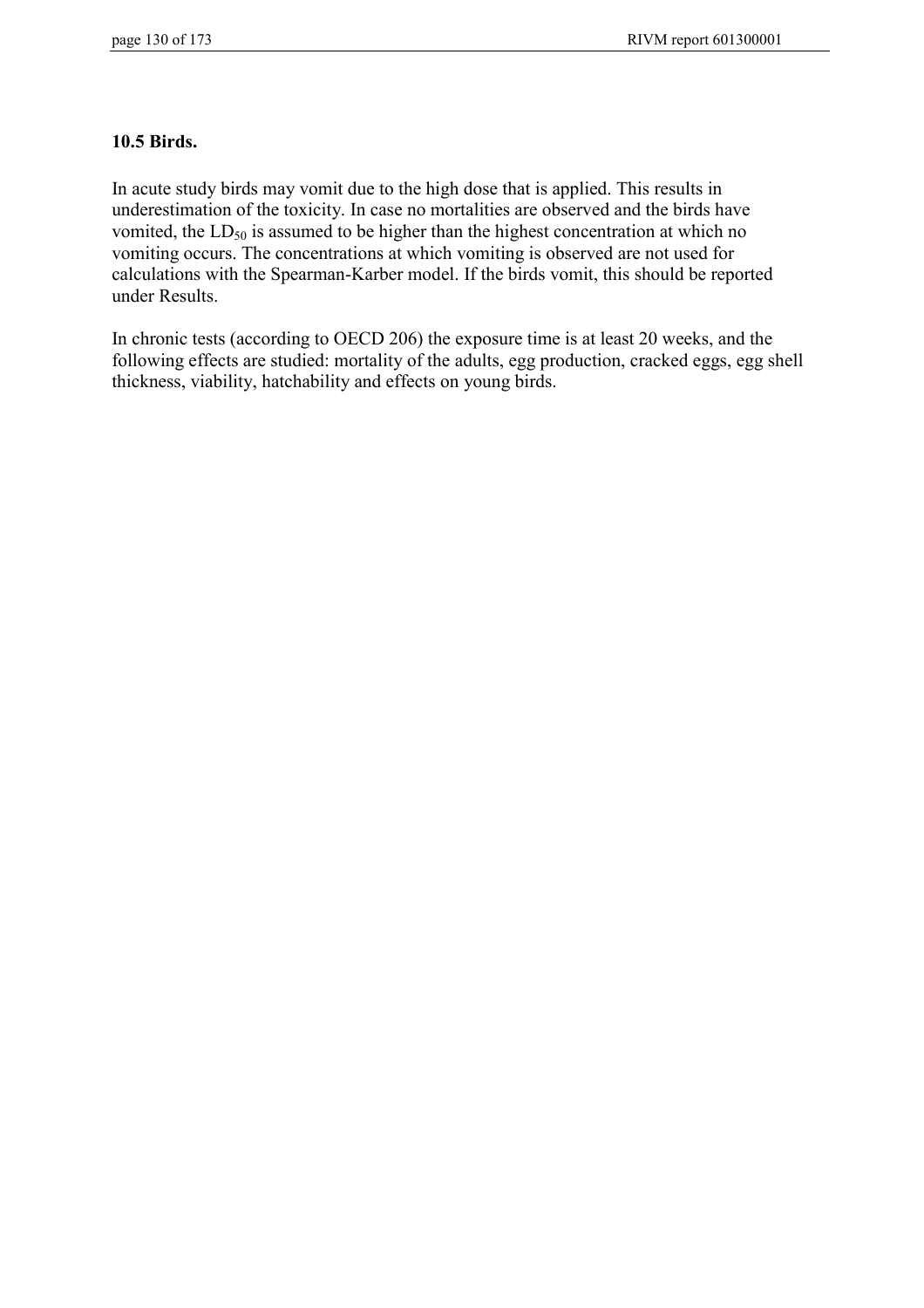### **10.5 Birds.**

In acute study birds may vomit due to the high dose that is applied. This results in underestimation of the toxicity. In case no mortalities are observed and the birds have vomited, the  $LD_{50}$  is assumed to be higher than the highest concentration at which no vomiting occurs. The concentrations at which vomiting is observed are not used for calculations with the Spearman-Karber model. If the birds vomit, this should be reported under Results.

In chronic tests (according to OECD 206) the exposure time is at least 20 weeks, and the following effects are studied: mortality of the adults, egg production, cracked eggs, egg shell thickness, viability, hatchability and effects on young birds.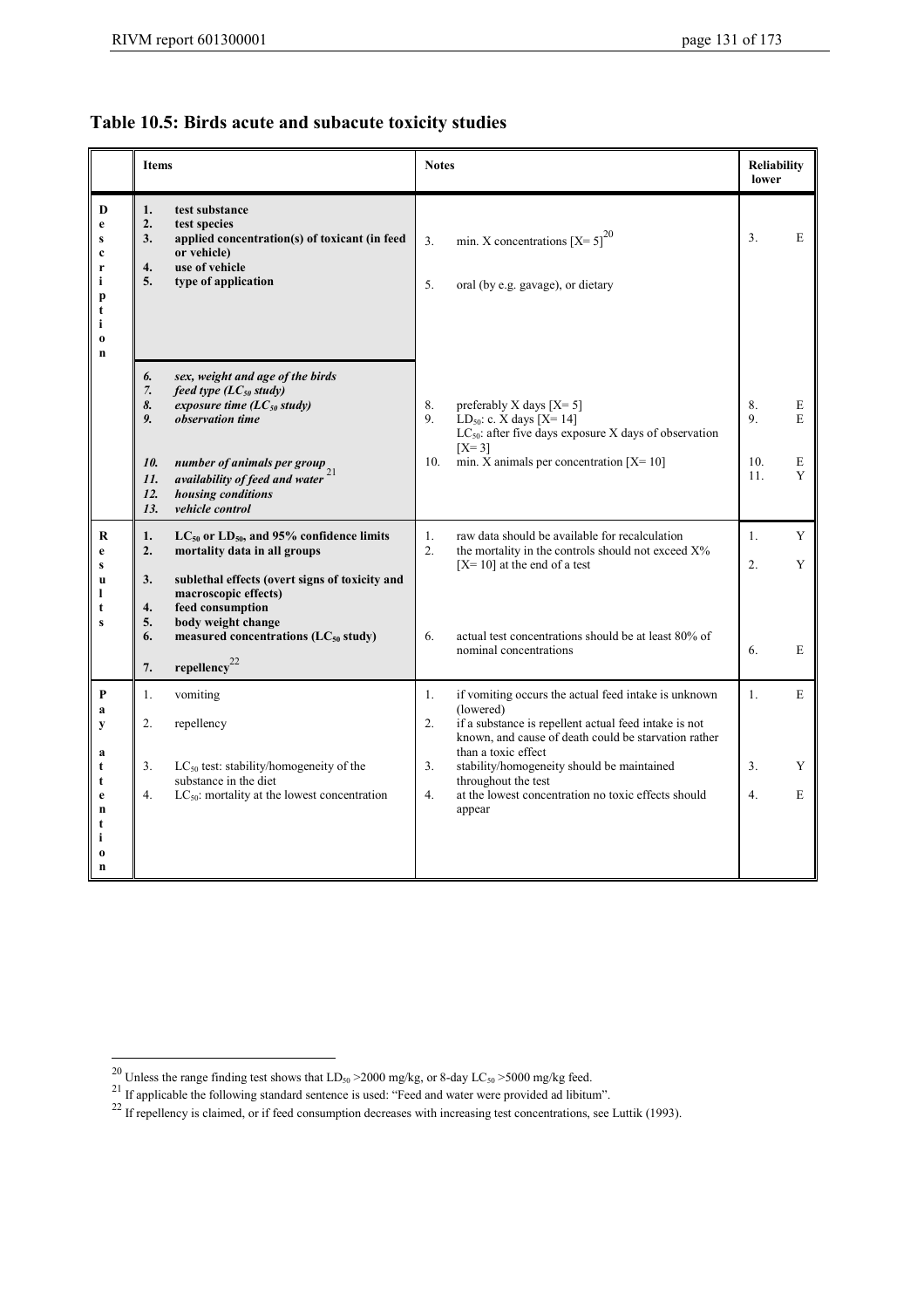## **Table 10.5: Birds acute and subacute toxicity studies**

|                                                                              | <b>Items</b>                                                                                                                                                                                                                                                                                       | <b>Notes</b>                                                                                                                                                                                                                                                                          | <b>Reliability</b><br>lower                 |  |
|------------------------------------------------------------------------------|----------------------------------------------------------------------------------------------------------------------------------------------------------------------------------------------------------------------------------------------------------------------------------------------------|---------------------------------------------------------------------------------------------------------------------------------------------------------------------------------------------------------------------------------------------------------------------------------------|---------------------------------------------|--|
| D<br>e<br>S<br>$\mathbf c$<br>r<br>i<br>p<br>t<br>i<br>$\boldsymbol{0}$<br>n | test substance<br>1.<br>2.<br>test species<br>3.<br>applied concentration(s) of toxicant (in feed<br>or vehicle)<br>4.<br>use of vehicle<br>5.<br>type of application                                                                                                                              | min. X concentrations $[X=5]^{20}$<br>3 <sub>1</sub><br>5.<br>oral (by e.g. gavage), or dietary                                                                                                                                                                                       | 3.<br>E                                     |  |
|                                                                              | 6.<br>sex, weight and age of the birds<br>$7. \,$<br>feed type $(LC_{50}$ study)<br>8.<br>exposure time ( $LC_{50}$ study)<br>9.<br>observation time<br>10.<br>number of animals per group<br>availability of feed and water $^{21}$<br>11.<br>housing conditions<br>12.<br>vehicle control<br>13. | preferably X days $[X=5]$<br>8.<br>9.<br>LD <sub>50</sub> : c. X days $[X=14]$<br>$LC_{50}$ : after five days exposure X days of observation<br>$[X=3]$<br>min. X animals per concentration $[X=10]$<br>10.                                                                           | 8.<br>E<br>9.<br>E<br>10.<br>E<br>11.<br>Y  |  |
| R<br>e<br>S<br>u<br>ı<br>t<br>$\bf{s}$                                       | $LC_{50}$ or $LD_{50}$ , and 95% confidence limits<br>1.<br>mortality data in all groups<br>2.<br>3.<br>sublethal effects (overt signs of toxicity and<br>macroscopic effects)<br>feed consumption<br>4.<br>5.<br>body weight change<br>measured concentrations ( $LC_{50}$ study)<br>6.           | raw data should be available for recalculation<br>1.<br>2 <sup>1</sup><br>the mortality in the controls should not exceed X%<br>$[X=10]$ at the end of a test<br>actual test concentrations should be at least 80% of<br>6.<br>nominal concentrations                                 | Y<br>1.<br>$\overline{2}$ .<br>Y<br>6.<br>E |  |
|                                                                              | repellency <sup>22</sup><br>7.                                                                                                                                                                                                                                                                     |                                                                                                                                                                                                                                                                                       |                                             |  |
| P<br>a<br>у<br>a<br>t                                                        | 1.<br>vomiting<br>2.<br>repellency<br>$LC_{50}$ test: stability/homogeneity of the<br>3.                                                                                                                                                                                                           | if vomiting occurs the actual feed intake is unknown<br>1.<br>(lowered)<br>2.<br>if a substance is repellent actual feed intake is not<br>known, and cause of death could be starvation rather<br>than a toxic effect<br>3 <sub>1</sub><br>stability/homogeneity should be maintained | E<br>1.<br>3.<br>Y                          |  |
| t<br>e<br>n<br>t<br>i<br>0<br>n                                              | substance in the diet<br>4.<br>$LC_{50}$ : mortality at the lowest concentration                                                                                                                                                                                                                   | throughout the test<br>4.<br>at the lowest concentration no toxic effects should<br>appear                                                                                                                                                                                            | 4.<br>E                                     |  |

 $\overline{a}$ 

<sup>&</sup>lt;sup>20</sup> Unless the range finding test shows that  $LD_{50} > 2000$  mg/kg, or 8-day  $LC_{50} > 5000$  mg/kg feed.<br><sup>21</sup> If applicable the following standard sentence is used: "Feed and water were provided ad libitum".

 $^{22}$  If repellency is claimed, or if feed consumption decreases with increasing test concentrations, see Luttik (1993).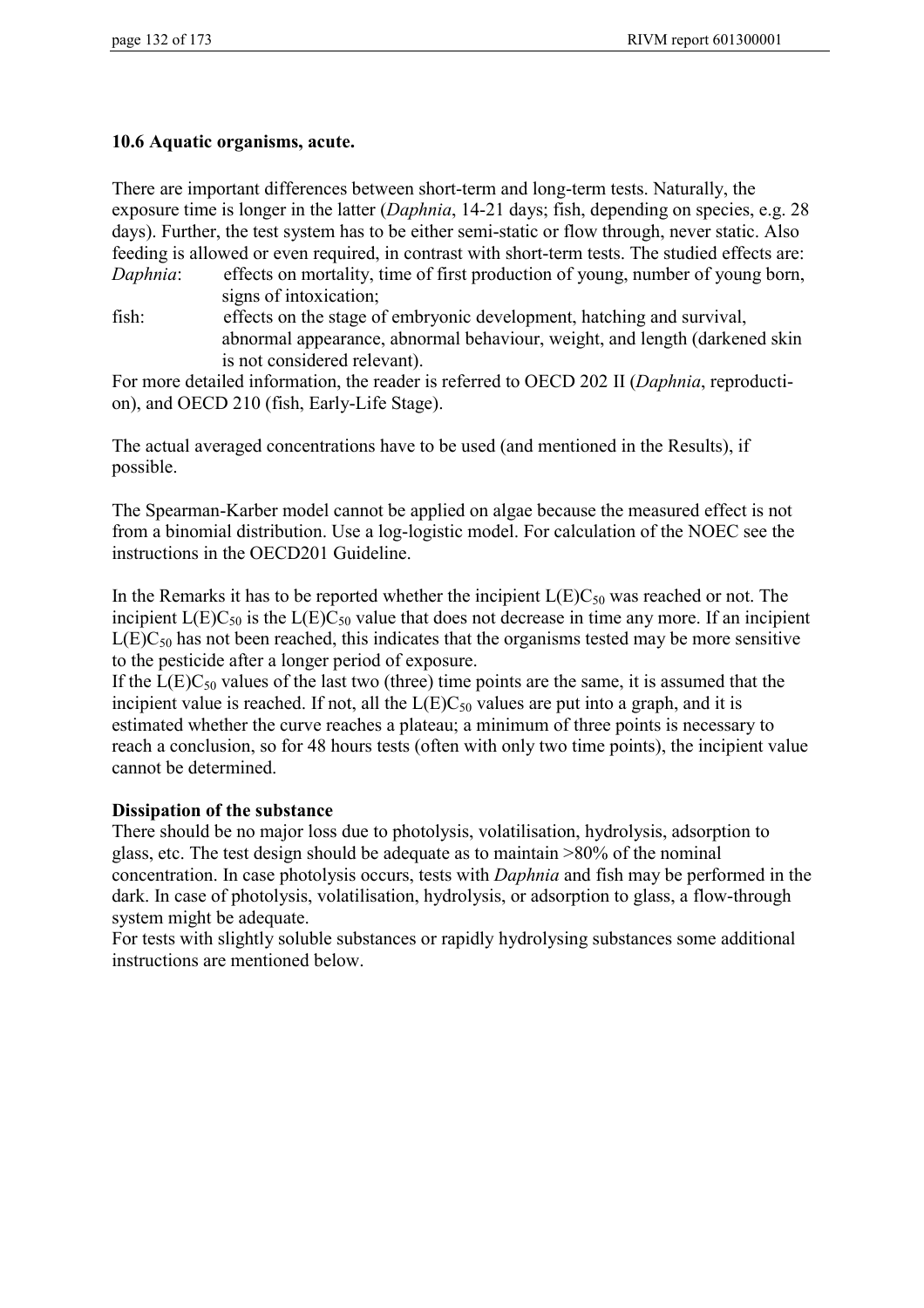### **10.6 Aquatic organisms, acute.**

|          | There are important differences between short-term and long-term tests. Naturally, the           |
|----------|--------------------------------------------------------------------------------------------------|
|          | exposure time is longer in the latter (Daphnia, 14-21 days; fish, depending on species, e.g. 28  |
|          | days). Further, the test system has to be either semi-static or flow through, never static. Also |
|          | feeding is allowed or even required, in contrast with short-term tests. The studied effects are: |
| Daphnia: | effects on mortality, time of first production of young, number of young born,                   |
|          | signs of intoxication;                                                                           |
| fish:    | effects on the stage of embryonic development, hatching and survival,                            |

abnormal appearance, abnormal behaviour, weight, and length (darkened skin is not considered relevant).

For more detailed information, the reader is referred to OECD 202 II (*Daphnia*, reproduction), and OECD 210 (fish, Early-Life Stage).

The actual averaged concentrations have to be used (and mentioned in the Results), if possible.

The Spearman-Karber model cannot be applied on algae because the measured effect is not from a binomial distribution. Use a log-logistic model. For calculation of the NOEC see the instructions in the OECD201 Guideline.

In the Remarks it has to be reported whether the incipient  $L(E)C_{50}$  was reached or not. The incipient  $L(E)C_{50}$  is the  $L(E)C_{50}$  value that does not decrease in time any more. If an incipient  $L(E)C_{50}$  has not been reached, this indicates that the organisms tested may be more sensitive to the pesticide after a longer period of exposure.

If the  $L(E)C_{50}$  values of the last two (three) time points are the same, it is assumed that the incipient value is reached. If not, all the  $L(E)C_{50}$  values are put into a graph, and it is estimated whether the curve reaches a plateau; a minimum of three points is necessary to reach a conclusion, so for 48 hours tests (often with only two time points), the incipient value cannot be determined.

### **Dissipation of the substance**

There should be no major loss due to photolysis, volatilisation, hydrolysis, adsorption to glass, etc. The test design should be adequate as to maintain >80% of the nominal concentration. In case photolysis occurs, tests with *Daphnia* and fish may be performed in the dark. In case of photolysis, volatilisation, hydrolysis, or adsorption to glass, a flow-through system might be adequate.

For tests with slightly soluble substances or rapidly hydrolysing substances some additional instructions are mentioned below.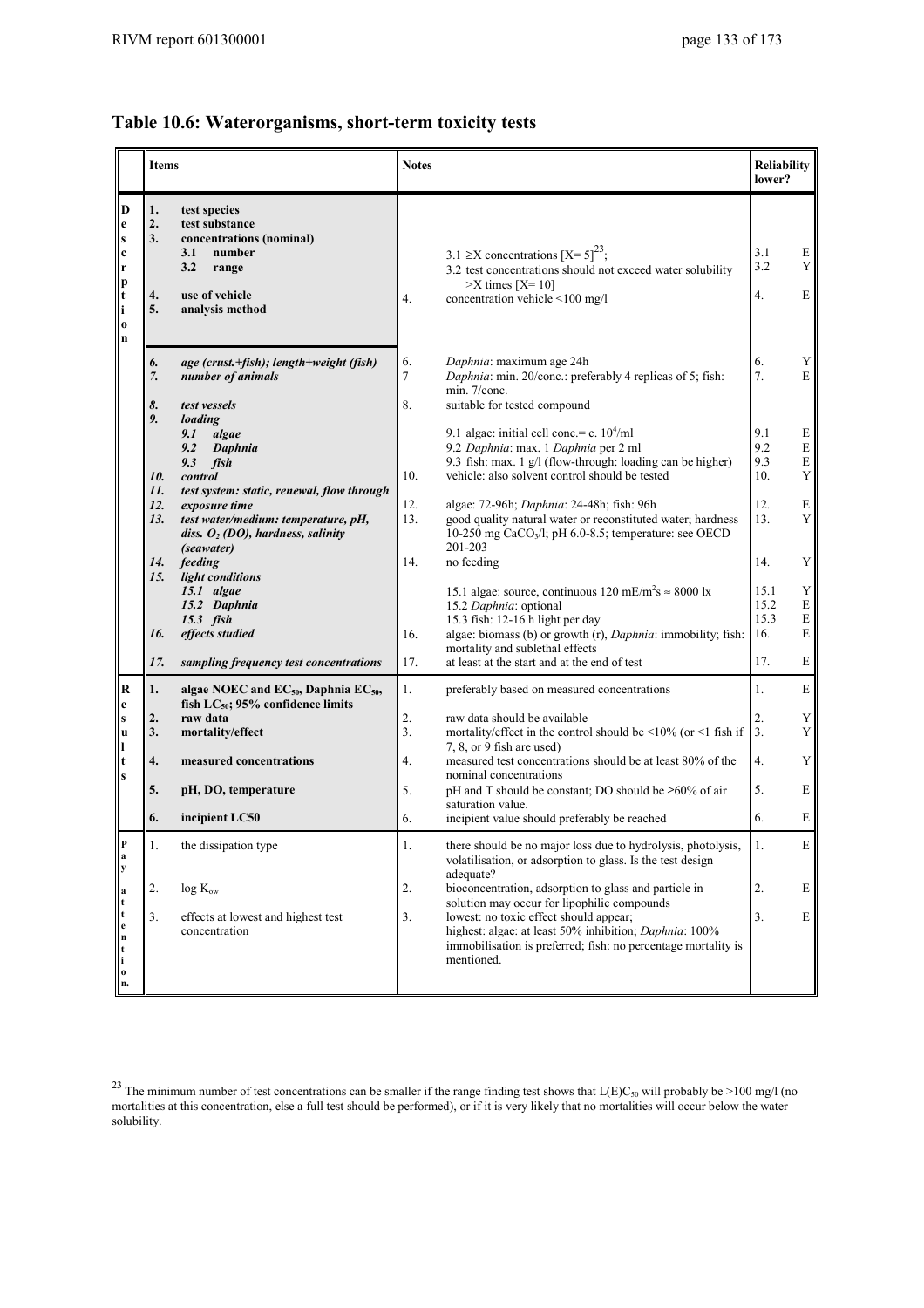$\overline{a}$ 

## **Table 10.6: Waterorganisms, short-term toxicity tests**

|                                                                                                        | <b>Items</b>               |                                                                                                                                                          | <b>Notes</b>  |                                                                                                                                                                                                                                | <b>Reliability</b><br>lower?       |                                           |
|--------------------------------------------------------------------------------------------------------|----------------------------|----------------------------------------------------------------------------------------------------------------------------------------------------------|---------------|--------------------------------------------------------------------------------------------------------------------------------------------------------------------------------------------------------------------------------|------------------------------------|-------------------------------------------|
| D<br>$\mathbf e$<br>${\bf S}$<br>$\mathbf c$<br>$\mathbf{r}$<br>p<br>t<br>i<br>$\bf{0}$<br>$\mathbf n$ | 1.<br>2.<br>3.<br>4.<br>5. | test species<br>test substance<br>concentrations (nominal)<br>3.1<br>number<br>3.2<br>range<br>use of vehicle<br>analysis method                         | 4.            | 3.1 $\geq$ X concentrations [X= 5] <sup>23</sup> ;<br>3.2 test concentrations should not exceed water solubility<br>$>$ X times [X= 10]<br>concentration vehicle <100 mg/l                                                     | 3.1<br>3.2<br>4.                   | E<br>Y<br>$\mathbf E$                     |
|                                                                                                        | 6.<br>7.<br>8.             | age (crust.+fish); length+weight (fish)<br>number of animals<br>test vessels                                                                             | 6.<br>7<br>8. | Daphnia: maximum age 24h<br>Daphnia: min. 20/conc.: preferably 4 replicas of 5; fish:<br>min. 7/conc.<br>suitable for tested compound                                                                                          | 6.<br>7.                           | Y<br>E                                    |
|                                                                                                        | 9.<br>10.                  | loading<br>9.1<br>algae<br>9.2<br>Daphnia<br>9.3<br>fish<br>control                                                                                      | 10.           | 9.1 algae: initial cell conc.= c. $10^4$ /ml<br>9.2 Daphnia: max. 1 Daphnia per 2 ml<br>9.3 fish: max. 1 g/l (flow-through: loading can be higher)<br>vehicle: also solvent control should be tested                           | 9.1<br>9.2<br>9.3<br>10.           | E<br>E<br>${\bf E}$<br>Y                  |
|                                                                                                        | 11.<br>12.<br>13.          | test system: static, renewal, flow through<br>exposure time<br>test water/medium: temperature, pH,<br>diss. $O_2$ (DO), hardness, salinity<br>(seawater) | 12.<br>13.    | algae: 72-96h; Daphnia: 24-48h; fish: 96h<br>good quality natural water or reconstituted water; hardness<br>10-250 mg $CaCO3/l$ ; pH 6.0-8.5; temperature: see OECD<br>201-203                                                 | 12.<br>13.                         | E<br>Y                                    |
|                                                                                                        | 14.<br>15.<br>16.          | feeding<br>light conditions<br>$15.1$ algae<br>15.2 Daphnia<br>$15.3$ fish<br>effects studied                                                            | 14.<br>16.    | no feeding<br>15.1 algae: source, continuous 120 mE/m <sup>2</sup> s $\approx$ 8000 lx<br>15.2 Daphnia: optional<br>15.3 fish: 12-16 h light per day<br>algae: biomass (b) or growth (r), Daphnia: immobility; fish:           | 14.<br>15.1<br>15.2<br>15.3<br>16. | Y<br>$\mathbf Y$<br>$\mathbf E$<br>E<br>E |
|                                                                                                        | 17.                        | sampling frequency test concentrations                                                                                                                   | 17.           | mortality and sublethal effects<br>at least at the start and at the end of test                                                                                                                                                | 17.                                | E                                         |
| $\bf R$<br>e                                                                                           | 1.                         | algae NOEC and $EC_{50}$ , Daphnia $EC_{50}$ ,<br>fish $LC_{50}$ ; 95% confidence limits                                                                 | 1.            | preferably based on measured concentrations                                                                                                                                                                                    | 1.                                 | E                                         |
| ${\bf S}$<br>$\mathbf u$<br>I                                                                          | $\overline{2}$ .<br>3.     | raw data<br>mortality/effect                                                                                                                             | 2.<br>3.      | raw data should be available<br>mortality/effect in the control should be $\leq 10\%$ (or $\leq 1$ fish if<br>7, 8, or 9 fish are used)                                                                                        | 2.<br>3.                           | Y<br>Y                                    |
| t<br>$\mathbf s$                                                                                       | 4.                         | measured concentrations                                                                                                                                  | 4.            | measured test concentrations should be at least 80% of the<br>nominal concentrations                                                                                                                                           | 4.                                 | Y                                         |
|                                                                                                        | 5.<br>6.                   | pH, DO, temperature<br>incipient LC50                                                                                                                    | 5.<br>6.      | pH and T should be constant; DO should be $\geq 60\%$ of air<br>saturation value.<br>incipient value should preferably be reached                                                                                              | 5.<br>6.                           | E<br>E                                    |
| P<br>$\mathbf{a}$<br>$\mathbf y$                                                                       | 1.                         | the dissipation type                                                                                                                                     | 1.            | there should be no major loss due to hydrolysis, photolysis,<br>volatilisation, or adsorption to glass. Is the test design                                                                                                     | 1.                                 | E                                         |
| $\bf{a}$                                                                                               | 2.                         | $log K_{ow}$                                                                                                                                             | 2.            | adequate?<br>bioconcentration, adsorption to glass and particle in                                                                                                                                                             | 2.                                 | E                                         |
| $\mathbf t$<br>$\mathbf t$<br>$\mathbf{e}$<br>$\mathbf n$<br>t<br>$\mathbf{i}$<br>$\mathbf 0$<br>n.    | 3.                         | effects at lowest and highest test<br>concentration                                                                                                      | 3.            | solution may occur for lipophilic compounds<br>lowest: no toxic effect should appear;<br>highest: algae: at least 50% inhibition; Daphnia: 100%<br>immobilisation is preferred; fish: no percentage mortality is<br>mentioned. | 3.                                 | E                                         |

<sup>&</sup>lt;sup>23</sup> The minimum number of test concentrations can be smaller if the range finding test shows that  $L(E)C_{50}$  will probably be >100 mg/l (no mortalities at this concentration, else a full test should be performed), or if it is very likely that no mortalities will occur below the water solubility.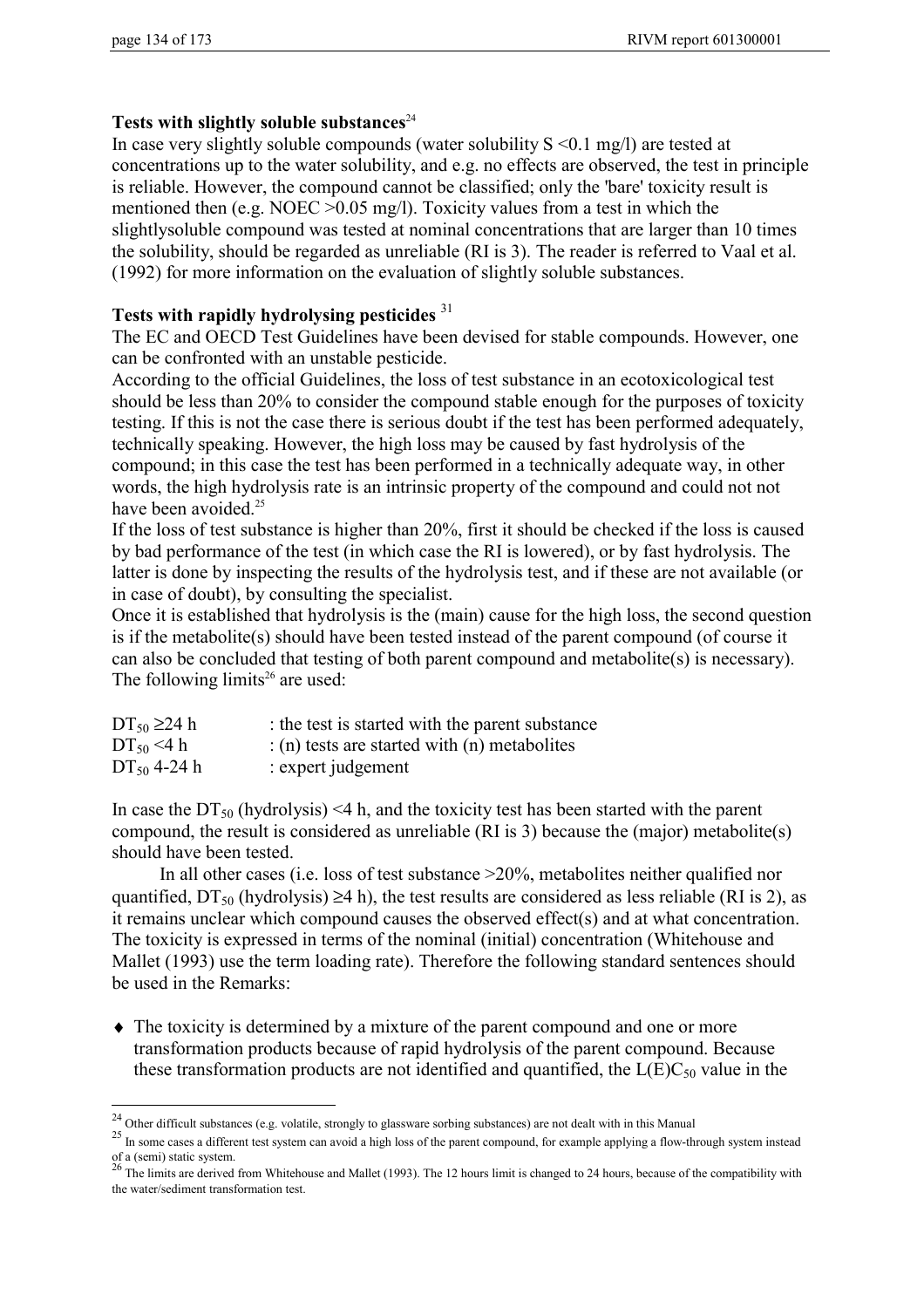$\overline{a}$ 

### Tests with slightly soluble substances<sup>24</sup>

In case very slightly soluble compounds (water solubility  $S \le 0.1$  mg/l) are tested at concentrations up to the water solubility, and e.g. no effects are observed, the test in principle is reliable. However, the compound cannot be classified; only the 'bare' toxicity result is mentioned then (e.g. NOEC >0.05 mg/l). Toxicity values from a test in which the slightlysoluble compound was tested at nominal concentrations that are larger than 10 times the solubility, should be regarded as unreliable (RI is 3). The reader is referred to Vaal et al. (1992) for more information on the evaluation of slightly soluble substances.

### **Tests with rapidly hydrolysing pesticides** <sup>31</sup>

The EC and OECD Test Guidelines have been devised for stable compounds. However, one can be confronted with an unstable pesticide.

According to the official Guidelines, the loss of test substance in an ecotoxicological test should be less than 20% to consider the compound stable enough for the purposes of toxicity testing. If this is not the case there is serious doubt if the test has been performed adequately, technically speaking. However, the high loss may be caused by fast hydrolysis of the compound; in this case the test has been performed in a technically adequate way, in other words, the high hydrolysis rate is an intrinsic property of the compound and could not not have been avoided.<sup>25</sup>

If the loss of test substance is higher than 20%, first it should be checked if the loss is caused by bad performance of the test (in which case the RI is lowered), or by fast hydrolysis. The latter is done by inspecting the results of the hydrolysis test, and if these are not available (or in case of doubt), by consulting the specialist.

Once it is established that hydrolysis is the (main) cause for the high loss, the second question is if the metabolite(s) should have been tested instead of the parent compound (of course it can also be concluded that testing of both parent compound and metabolite(s) is necessary). The following limits<sup>26</sup> are used:

| $DT_{50} \ge 24 h$ | : the test is started with the parent substance         |
|--------------------|---------------------------------------------------------|
| $DT_{50}$ <4 h     | $\therefore$ (n) tests are started with (n) metabolites |
| $DT_{50}$ 4-24 h   | $:$ expert judgement                                    |

In case the  $DT_{50}$  (hydrolysis) <4 h, and the toxicity test has been started with the parent compound, the result is considered as unreliable (RI is 3) because the (major) metabolite(s) should have been tested.

In all other cases (i.e. loss of test substance >20%, metabolites neither qualified nor quantified,  $DT_{50}$  (hydrolysis)  $\geq 4$  h), the test results are considered as less reliable (RI is 2), as it remains unclear which compound causes the observed effect(s) and at what concentration. The toxicity is expressed in terms of the nominal (initial) concentration (Whitehouse and Mallet (1993) use the term loading rate). Therefore the following standard sentences should be used in the Remarks:

♦ The toxicity is determined by a mixture of the parent compound and one or more transformation products because of rapid hydrolysis of the parent compound. Because these transformation products are not identified and quantified, the  $L(E)C_{50}$  value in the

<sup>&</sup>lt;sup>24</sup> Other difficult substances (e.g. volatile, strongly to glassware sorbing substances) are not dealt with in this Manual

<sup>&</sup>lt;sup>25</sup> In some cases a different test system can avoid a high loss of the parent compound, for example applying a flow-through system instead of a (semi) static system.<br><sup>26</sup> The limits are derived from Whitehouse and Mallet (1993). The 12 hours limit is changed to 24 hours, because of the compatibility with

the water/sediment transformation test.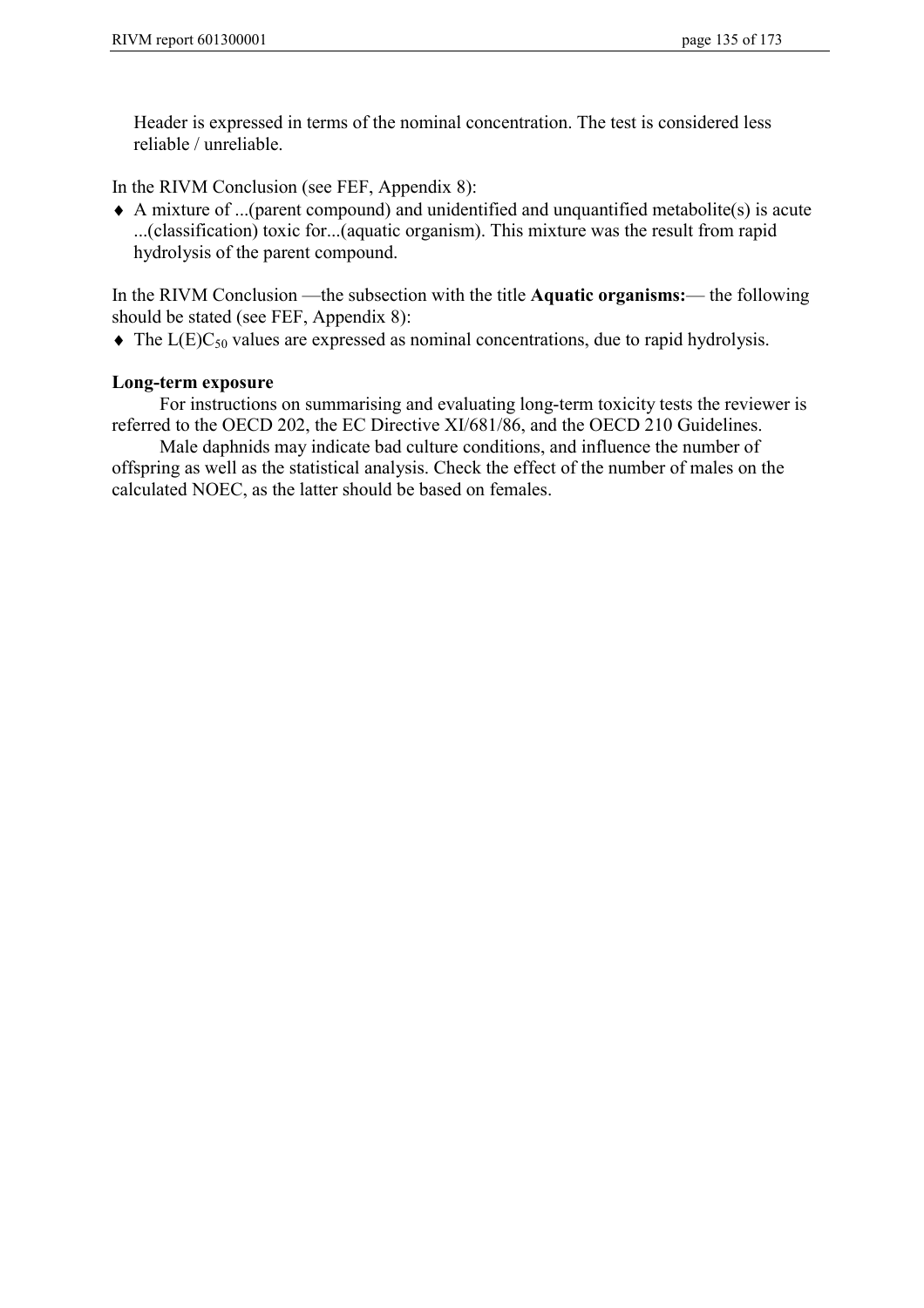Header is expressed in terms of the nominal concentration. The test is considered less reliable / unreliable.

In the RIVM Conclusion (see FEF, Appendix 8):

 $\triangle$  A mixture of ...(parent compound) and unidentified and unquantified metabolite(s) is acute ...(classification) toxic for...(aquatic organism). This mixture was the result from rapid hydrolysis of the parent compound.

In the RIVM Conclusion —the subsection with the title **Aquatic organisms:**— the following should be stated (see FEF, Appendix 8):

 $\blacklozenge$  The L(E)C<sub>50</sub> values are expressed as nominal concentrations, due to rapid hydrolysis.

### **Long-term exposure**

For instructions on summarising and evaluating long-term toxicity tests the reviewer is referred to the OECD 202, the EC Directive XI/681/86, and the OECD 210 Guidelines.

Male daphnids may indicate bad culture conditions, and influence the number of offspring as well as the statistical analysis. Check the effect of the number of males on the calculated NOEC, as the latter should be based on females.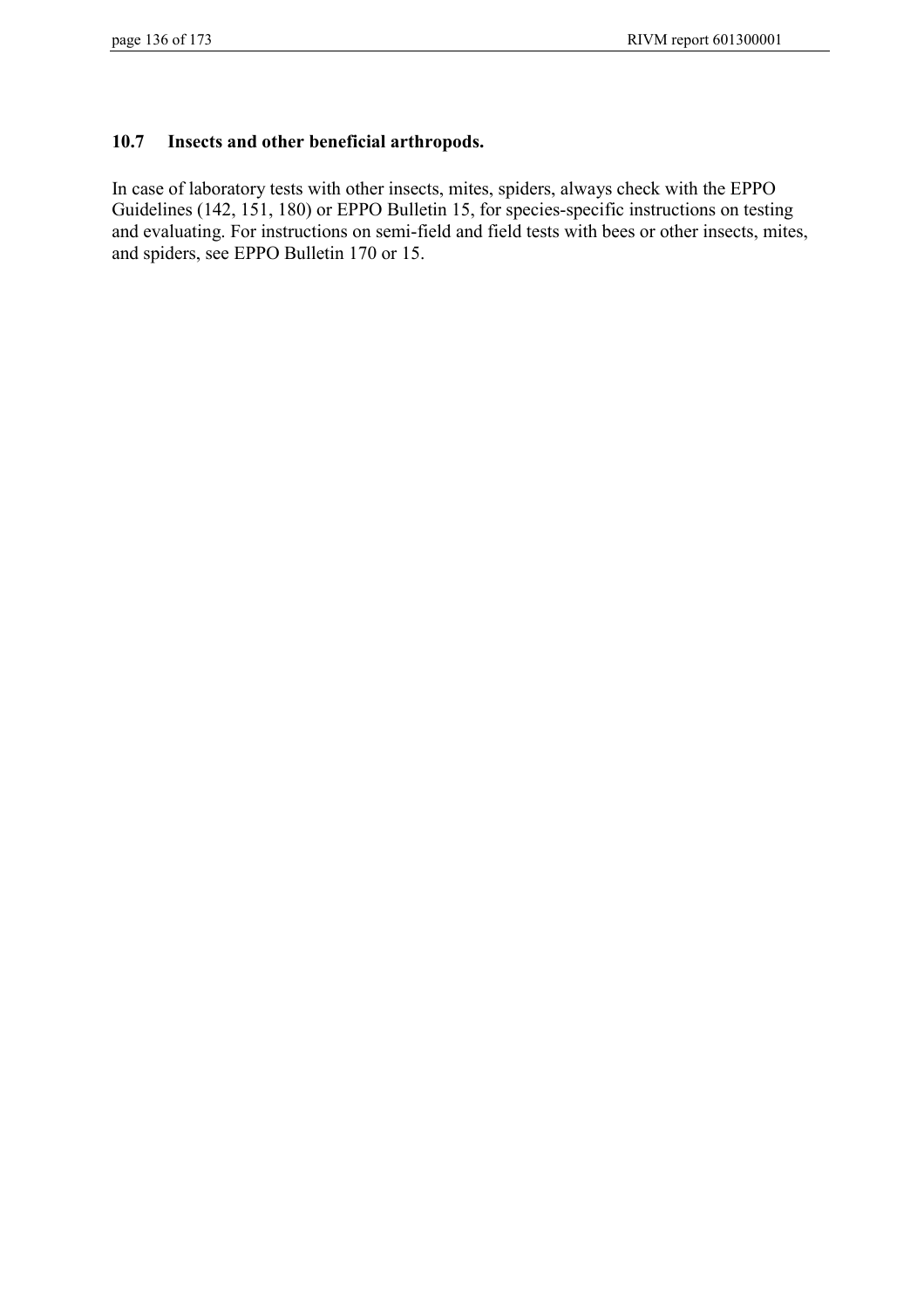### **10.7 Insects and other beneficial arthropods.**

In case of laboratory tests with other insects, mites, spiders, always check with the EPPO Guidelines (142, 151, 180) or EPPO Bulletin 15, for species-specific instructions on testing and evaluating. For instructions on semi-field and field tests with bees or other insects, mites, and spiders, see EPPO Bulletin 170 or 15.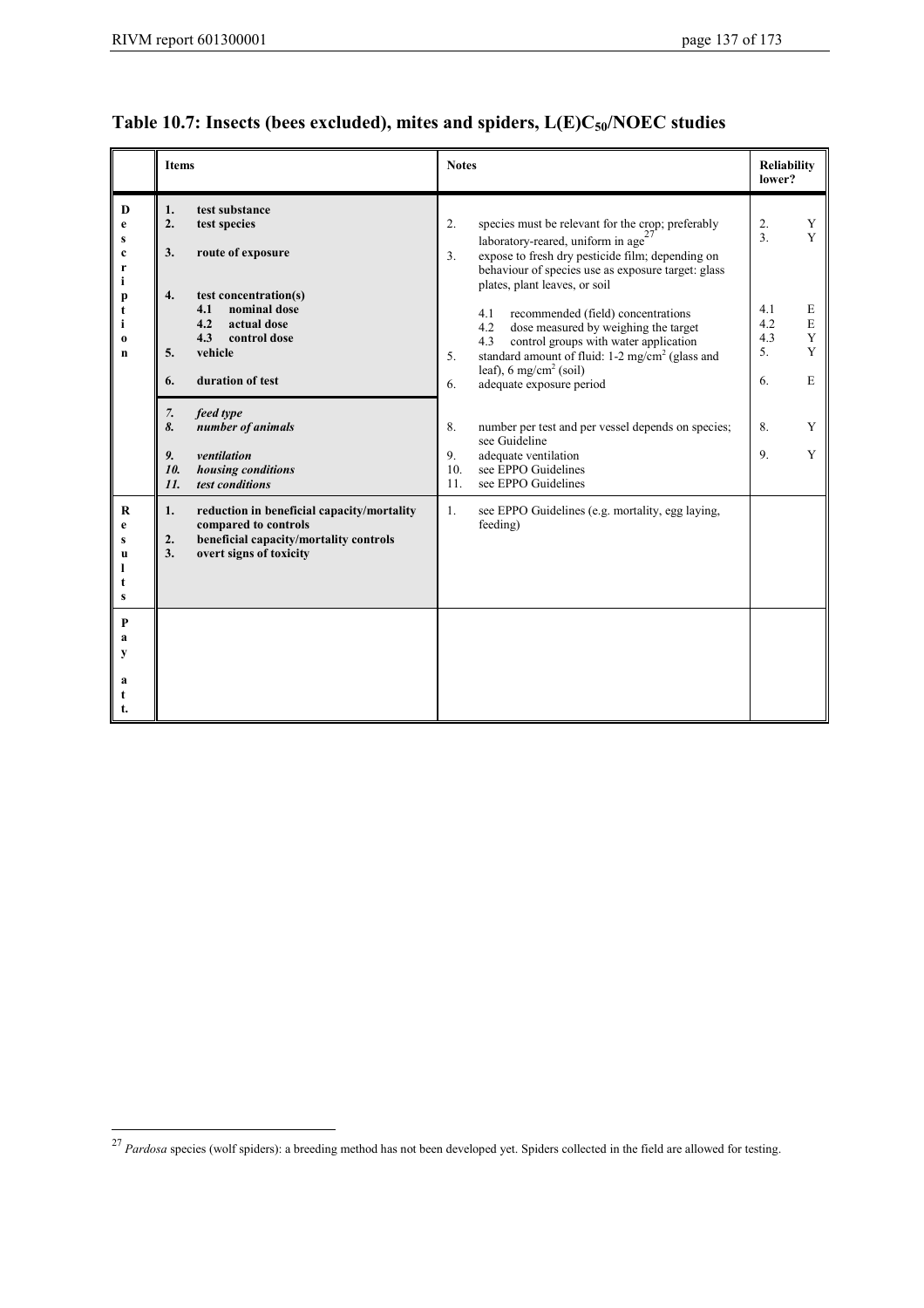## **Table 10.7: Insects (bees excluded), mites and spiders, L(E)C50/NOEC studies**

|                                                                       | <b>Items</b>                                                                                                                                                                                                                                                                                                        | <b>Notes</b>                                                                                                                                                                                                                                                                                                                                                                                                                                                                                                                                                                                                                                                                                       | <b>Reliability</b><br>lower?                                                                                             |  |
|-----------------------------------------------------------------------|---------------------------------------------------------------------------------------------------------------------------------------------------------------------------------------------------------------------------------------------------------------------------------------------------------------------|----------------------------------------------------------------------------------------------------------------------------------------------------------------------------------------------------------------------------------------------------------------------------------------------------------------------------------------------------------------------------------------------------------------------------------------------------------------------------------------------------------------------------------------------------------------------------------------------------------------------------------------------------------------------------------------------------|--------------------------------------------------------------------------------------------------------------------------|--|
| D<br>e<br>s<br>c<br>r<br>i.<br>p<br>t<br>i<br>$\bf{0}$<br>$\mathbf n$ | test substance<br>1.<br>2.<br>test species<br>3.<br>route of exposure<br>4.<br>test concentration(s)<br>nominal dose<br>4.1<br>4.2<br>actual dose<br>4.3<br>control dose<br>vehicle<br>5.<br>duration of test<br>6.<br>7.<br>feed type<br>8.<br>number of animals<br>9.<br>ventilation<br>10.<br>housing conditions | 2.<br>species must be relevant for the crop; preferably<br>laboratory-reared, uniform in age $27$<br>expose to fresh dry pesticide film; depending on<br>3 <sub>1</sub><br>behaviour of species use as exposure target: glass<br>plates, plant leaves, or soil<br>recommended (field) concentrations<br>4.1<br>dose measured by weighing the target<br>4.2<br>control groups with water application<br>4.3<br>standard amount of fluid: $1-2$ mg/cm <sup>2</sup> (glass and<br>5.<br>leaf), 6 mg/cm <sup>2</sup> (soil)<br>adequate exposure period<br>6.<br>8.<br>number per test and per vessel depends on species;<br>see Guideline<br>adequate ventilation<br>9.<br>10.<br>see EPPO Guidelines | 2.<br>Y<br>3 <sub>1</sub><br>Y<br>4.1<br>E<br>4.2<br>$\mathbf E$<br>4.3<br>Y<br>Y<br>5.<br>6.<br>E<br>8.<br>Y<br>9.<br>Y |  |
| $\bf R$<br>e<br>S<br>u<br>ı<br>t<br>s<br>P<br>a<br>y<br>a<br>t<br>t.  | test conditions<br>11.<br>reduction in beneficial capacity/mortality<br>1.<br>compared to controls<br>beneficial capacity/mortality controls<br>2.<br>overt signs of toxicity<br>3.                                                                                                                                 | see EPPO Guidelines<br>11.<br>$\mathbf{1}$ .<br>see EPPO Guidelines (e.g. mortality, egg laying,<br>feeding)                                                                                                                                                                                                                                                                                                                                                                                                                                                                                                                                                                                       |                                                                                                                          |  |

<sup>&</sup>lt;sup>27</sup> Pardosa species (wolf spiders): a breeding method has not been developed yet. Spiders collected in the field are allowed for testing.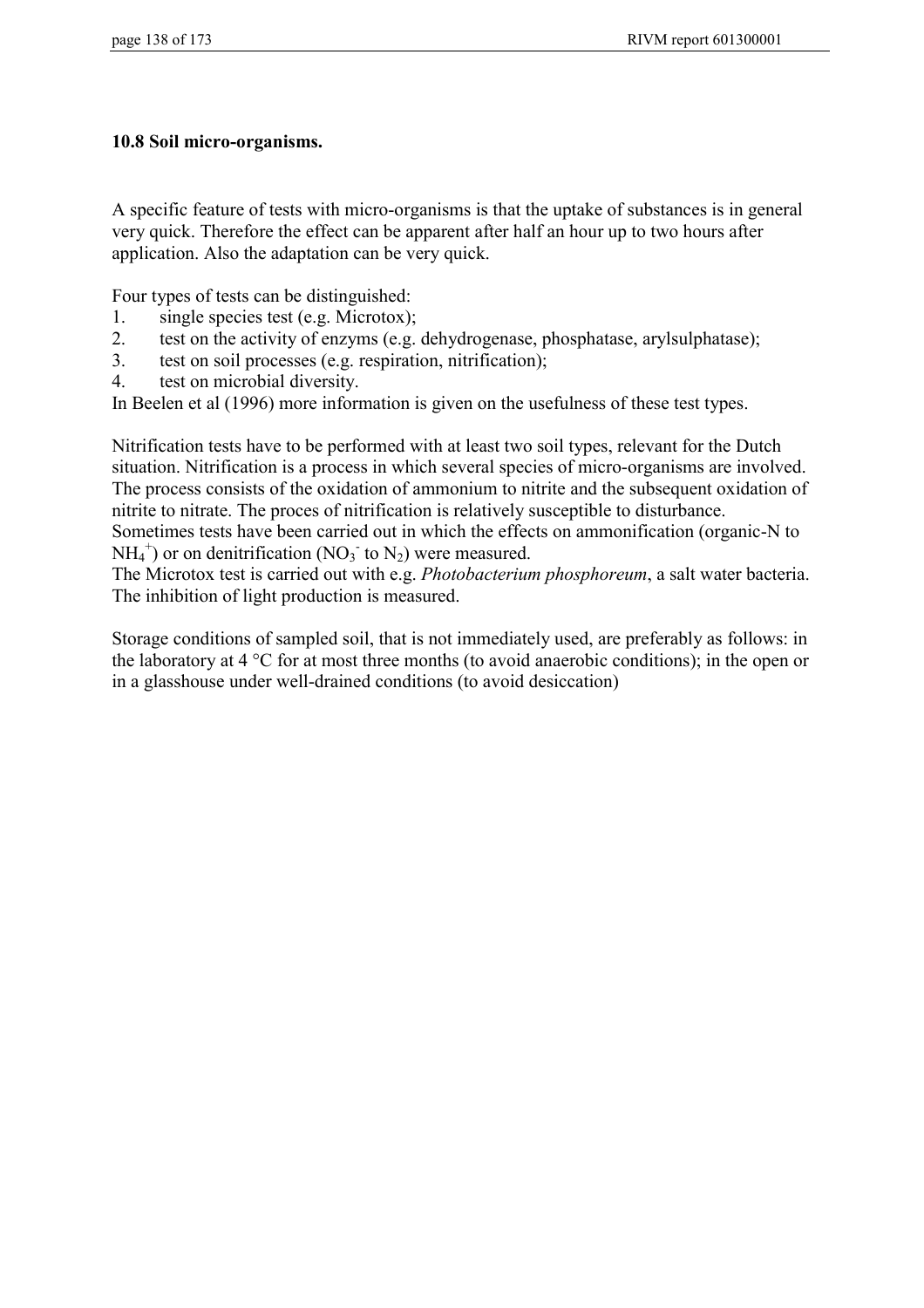### **10.8 Soil micro-organisms.**

A specific feature of tests with micro-organisms is that the uptake of substances is in general very quick. Therefore the effect can be apparent after half an hour up to two hours after application. Also the adaptation can be very quick.

Four types of tests can be distinguished:

- 1. single species test (e.g. Microtox);
- 2. test on the activity of enzyms (e.g. dehydrogenase, phosphatase, arylsulphatase);
- 3. test on soil processes (e.g. respiration, nitrification);
- 4. test on microbial diversity.

In Beelen et al (1996) more information is given on the usefulness of these test types.

Nitrification tests have to be performed with at least two soil types, relevant for the Dutch situation. Nitrification is a process in which several species of micro-organisms are involved. The process consists of the oxidation of ammonium to nitrite and the subsequent oxidation of nitrite to nitrate. The proces of nitrification is relatively susceptible to disturbance.

Sometimes tests have been carried out in which the effects on ammonification (organic-N to  $NH_4^+$ ) or on denitrification (NO<sub>3</sub><sup>-</sup> to N<sub>2</sub>) were measured.

The Microtox test is carried out with e.g. *Photobacterium phosphoreum*, a salt water bacteria. The inhibition of light production is measured.

Storage conditions of sampled soil, that is not immediately used, are preferably as follows: in the laboratory at 4 °C for at most three months (to avoid anaerobic conditions); in the open or in a glasshouse under well-drained conditions (to avoid desiccation)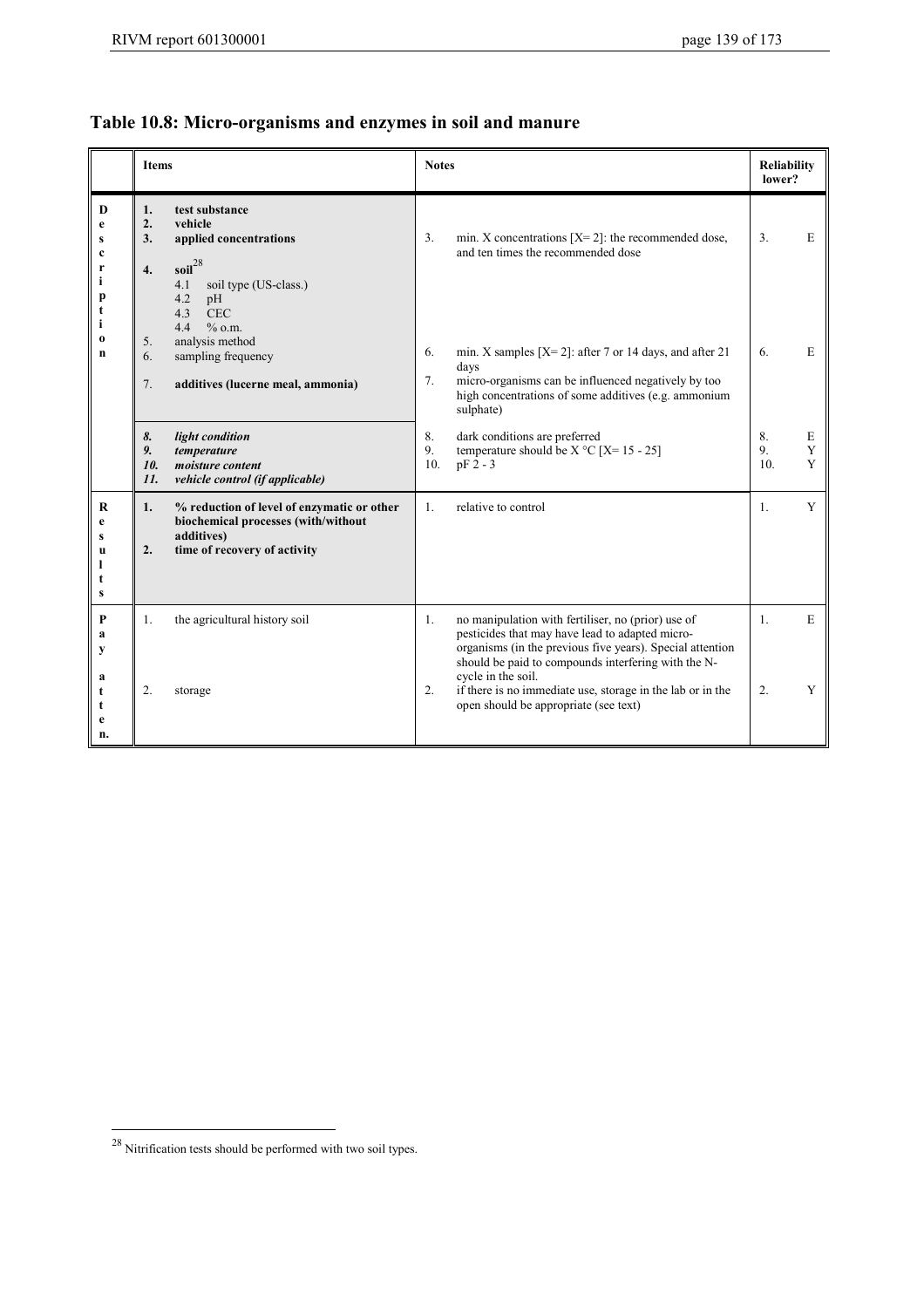# **Table 10.8: Micro-organisms and enzymes in soil and manure**

|                                                       |                            | <b>Items</b>                                                                                                                                                                       |                 | <b>Notes</b>                                                                                                                                                                                                              |                             |             |
|-------------------------------------------------------|----------------------------|------------------------------------------------------------------------------------------------------------------------------------------------------------------------------------|-----------------|---------------------------------------------------------------------------------------------------------------------------------------------------------------------------------------------------------------------------|-----------------------------|-------------|
| D<br>e<br>S<br>c<br>r<br>i<br>p<br>t<br>i<br>$\bf{0}$ | 1.<br>2.<br>3.<br>4.<br>5. | test substance<br>vehicle<br>applied concentrations<br>$\text{soil}^{28}$<br>4.1<br>soil type (US-class.)<br>4.2<br>pH<br><b>CEC</b><br>4.3<br>$\%$ o.m.<br>4.4<br>analysis method | 3.              | min. X concentrations $[X=2]$ : the recommended dose,<br>and ten times the recommended dose                                                                                                                               | 3.                          | E           |
| n                                                     | 6.<br>7.                   | sampling frequency<br>additives (lucerne meal, ammonia)                                                                                                                            | 6.<br>7.        | min. X samples $[X=2]$ : after 7 or 14 days, and after 21<br>days<br>micro-organisms can be influenced negatively by too<br>high concentrations of some additives (e.g. ammonium<br>sulphate)                             | 6.                          | E           |
|                                                       | 8.<br>9.<br>10.<br>11.     | light condition<br>temperature<br>moisture content<br>vehicle control (if applicable)                                                                                              | 8.<br>9.<br>10. | dark conditions are preferred<br>temperature should be $X^{\circ}C$ [X= 15 - 25]<br>$pF2 - 3$                                                                                                                             | 8.<br>9.<br>10 <sub>1</sub> | E<br>Y<br>Y |
| R<br>e<br>s<br>u<br>ı<br>t<br>s                       | 1.<br>2.                   | % reduction of level of enzymatic or other<br>biochemical processes (with/without<br>additives)<br>time of recovery of activity                                                    | $\mathbf{1}$ .  | relative to control                                                                                                                                                                                                       | $\mathbf{1}$ .              | Y           |
| P<br>a<br>y                                           | 1.                         | the agricultural history soil                                                                                                                                                      | 1.              | no manipulation with fertiliser, no (prior) use of<br>pesticides that may have lead to adapted micro-<br>organisms (in the previous five years). Special attention<br>should be paid to compounds interfering with the N- | 1.                          | E           |
| a<br>t<br>t<br>e<br>n.                                | 2.                         | storage                                                                                                                                                                            | 2.              | cycle in the soil.<br>if there is no immediate use, storage in the lab or in the<br>open should be appropriate (see text)                                                                                                 | 2.                          | Y           |

 $^{28}$  Nitrification tests should be performed with two soil types.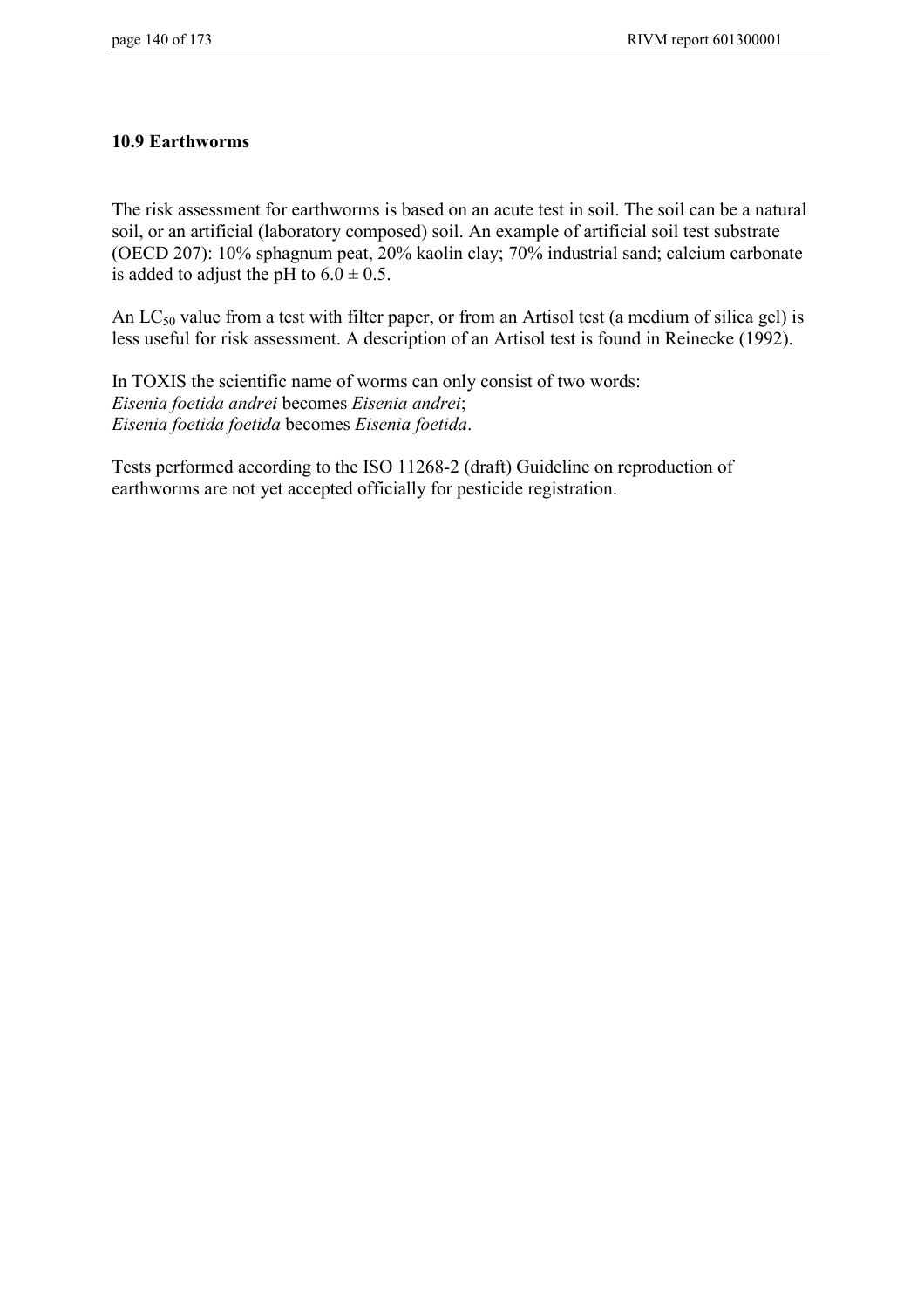### **10.9 Earthworms**

The risk assessment for earthworms is based on an acute test in soil. The soil can be a natural soil, or an artificial (laboratory composed) soil. An example of artificial soil test substrate (OECD 207): 10% sphagnum peat, 20% kaolin clay; 70% industrial sand; calcium carbonate is added to adjust the pH to  $6.0 \pm 0.5$ .

An  $LC_{50}$  value from a test with filter paper, or from an Artisol test (a medium of silica gel) is less useful for risk assessment. A description of an Artisol test is found in Reinecke (1992).

In TOXIS the scientific name of worms can only consist of two words: *Eisenia foetida andrei* becomes *Eisenia andrei*; *Eisenia foetida foetida* becomes *Eisenia foetida*.

Tests performed according to the ISO 11268-2 (draft) Guideline on reproduction of earthworms are not yet accepted officially for pesticide registration.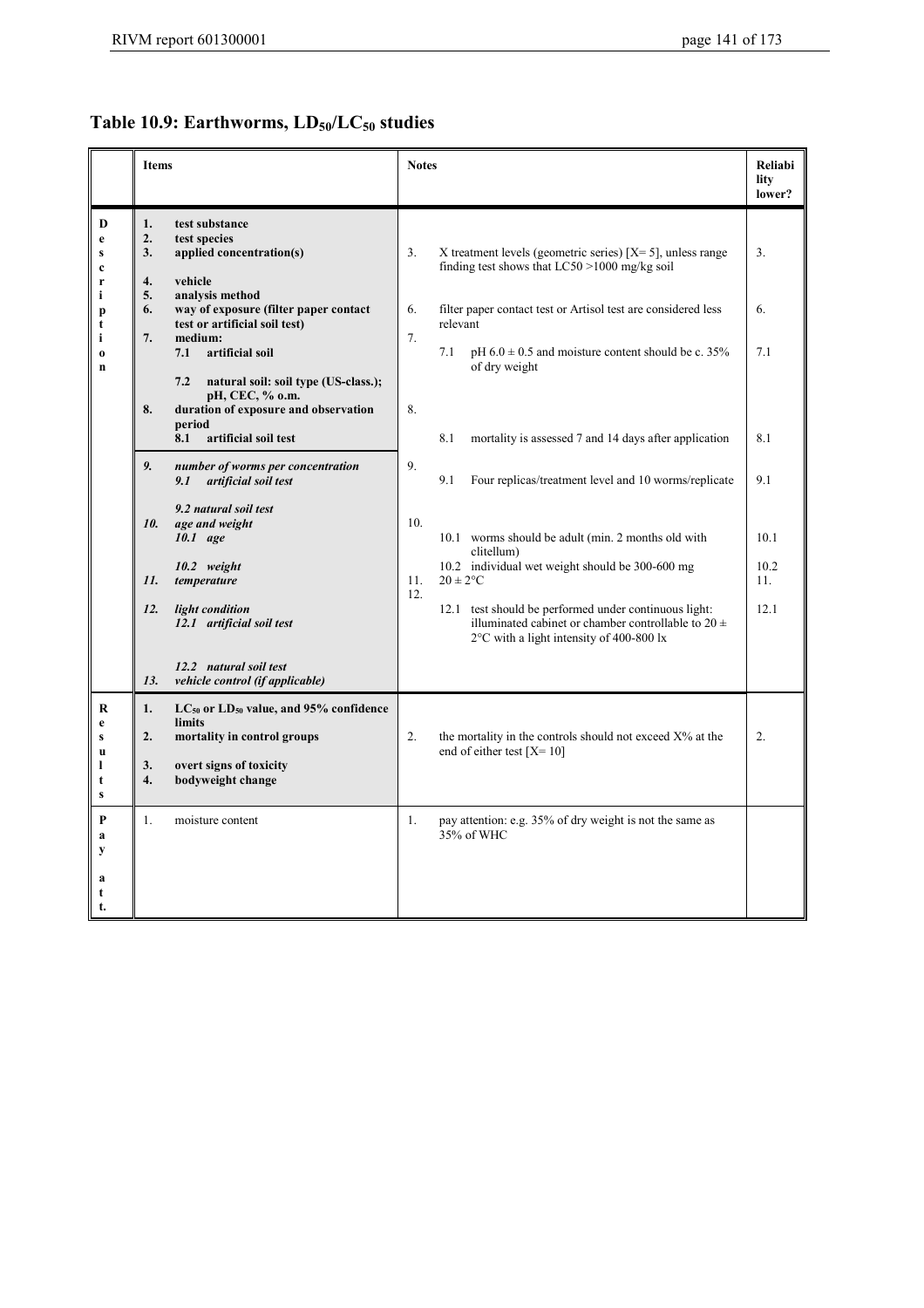## Table 10.9: Earthworms,  $LD_{50}/LC_{50}$  studies

|                                            | Items                                                                                                                                                             | <b>Notes</b>                                                                                                                                                           | Reliabi<br>lity<br>lower? |
|--------------------------------------------|-------------------------------------------------------------------------------------------------------------------------------------------------------------------|------------------------------------------------------------------------------------------------------------------------------------------------------------------------|---------------------------|
| D<br>e<br>S<br>$\mathbf c$<br>r            | test substance<br>1.<br>2.<br>test species<br>3.<br>applied concentration(s)<br>4.<br>vehicle<br>5.<br>analysis method                                            | 3.<br>X treatment levels (geometric series) $[X=5]$ , unless range<br>finding test shows that $LC50 > 1000$ mg/kg soil                                                 | 3.                        |
| i<br>p<br>t<br>i                           | way of exposure (filter paper contact<br>6.<br>test or artificial soil test)<br>7.<br>medium:                                                                     | 6.<br>filter paper contact test or Artisol test are considered less<br>relevant<br>7.                                                                                  | 6.                        |
| $\bf{0}$<br>$\mathbf n$                    | artificial soil<br>7.1<br>7.2<br>natural soil: soil type (US-class.);<br>pH, CEC, % o.m.                                                                          | 7.1<br>pH $6.0 \pm 0.5$ and moisture content should be c. 35%<br>of dry weight                                                                                         | 7.1                       |
|                                            | duration of exposure and observation<br>8.<br>period<br>artificial soil test<br>8.1                                                                               | 8.<br>8.1<br>mortality is assessed 7 and 14 days after application                                                                                                     | 8.1                       |
|                                            | 9.<br>number of worms per concentration<br>artificial soil test<br>9.1                                                                                            | 9.<br>9.1<br>Four replicas/treatment level and 10 worms/replicate                                                                                                      | 9.1                       |
|                                            | 9.2 natural soil test<br>10.<br>age and weight<br>10.1 age                                                                                                        | 10.<br>10.1 worms should be adult (min. 2 months old with<br>clitellum)                                                                                                | 10.1                      |
|                                            | 10.2 weight<br>11.<br>temperature                                                                                                                                 | 10.2 individual wet weight should be 300-600 mg<br>11.<br>$20 \pm 2$ °C<br>12.                                                                                         | 10.2<br>11.               |
|                                            | 12.<br>light condition<br>12.1 artificial soil test                                                                                                               | 12.1 test should be performed under continuous light:<br>illuminated cabinet or chamber controllable to $20 \pm$<br>$2^{\circ}$ C with a light intensity of 400-800 lx | 12.1                      |
|                                            | 12.2 natural soil test<br>13.<br>vehicle control (if applicable)                                                                                                  |                                                                                                                                                                        |                           |
| R<br>e<br>S<br>$\mathbf{u}$<br>1<br>t<br>S | $LC_{50}$ or $LD_{50}$ value, and 95% confidence<br>1.<br>limits<br>mortality in control groups<br>2.<br>overt signs of toxicity<br>3.<br>bodyweight change<br>4. | 2.<br>the mortality in the controls should not exceed $X\%$ at the<br>end of either test $[X=10]$                                                                      | 2.                        |
| P<br>a<br>y<br>a<br>t<br>t.                | 1.<br>moisture content                                                                                                                                            | pay attention: e.g. 35% of dry weight is not the same as<br>1.<br>35% of WHC                                                                                           |                           |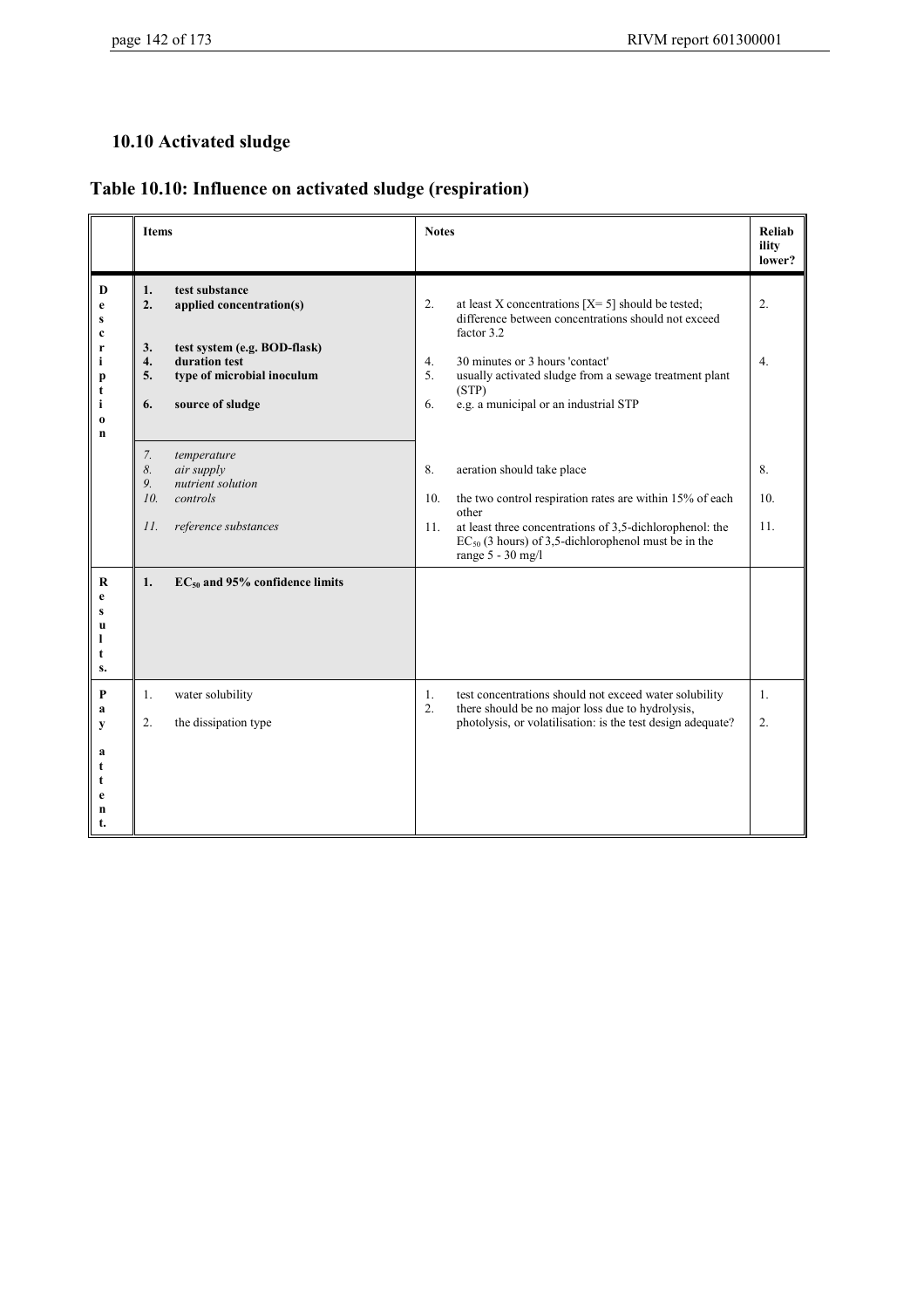## **10.10 Activated sludge**

|                                                                 | <b>Items</b>                                                                                                                                                                      | <b>Notes</b>                                                                                                                                                                                                                                                                                    | <b>Reliab</b><br>ility<br>lower? |
|-----------------------------------------------------------------|-----------------------------------------------------------------------------------------------------------------------------------------------------------------------------------|-------------------------------------------------------------------------------------------------------------------------------------------------------------------------------------------------------------------------------------------------------------------------------------------------|----------------------------------|
| D<br>e<br>c<br>r<br>i<br>p<br>t<br>i<br>$\bf{0}$<br>$\mathbf n$ | 1.<br>test substance<br>2.<br>applied concentration(s)<br>test system (e.g. BOD-flask)<br>3.<br>duration test<br>4.<br>5.<br>type of microbial inoculum<br>6.<br>source of sludge | 2.<br>at least X concentrations $[X=5]$ should be tested;<br>difference between concentrations should not exceed<br>factor 3.2<br>30 minutes or 3 hours 'contact'<br>4.<br>usually activated sludge from a sewage treatment plant<br>5.<br>(STP)<br>e.g. a municipal or an industrial STP<br>6. | 2.<br>4.                         |
|                                                                 | 7.<br>temperature<br>8.<br>air supply<br>nutrient solution<br>9.<br>10.<br>controls<br>reference substances<br>II.                                                                | 8.<br>aeration should take place<br>10.<br>the two control respiration rates are within 15% of each<br>other<br>at least three concentrations of 3,5-dichlorophenol: the<br>11.<br>$EC_{50}$ (3 hours) of 3,5-dichlorophenol must be in the<br>range 5 - 30 mg/l                                | 8.<br>10 <sub>1</sub><br>11.     |
| $\bf R$<br>e<br>u<br>s.                                         | $EC_{50}$ and 95% confidence limits<br>1.                                                                                                                                         |                                                                                                                                                                                                                                                                                                 |                                  |
| P<br>a<br>y<br>a<br>n<br>t.                                     | water solubility<br>1.<br>2.<br>the dissipation type                                                                                                                              | test concentrations should not exceed water solubility<br>1.<br>2.<br>there should be no major loss due to hydrolysis,<br>photolysis, or volatilisation: is the test design adequate?                                                                                                           | $\mathbf{1}$ .<br>2.             |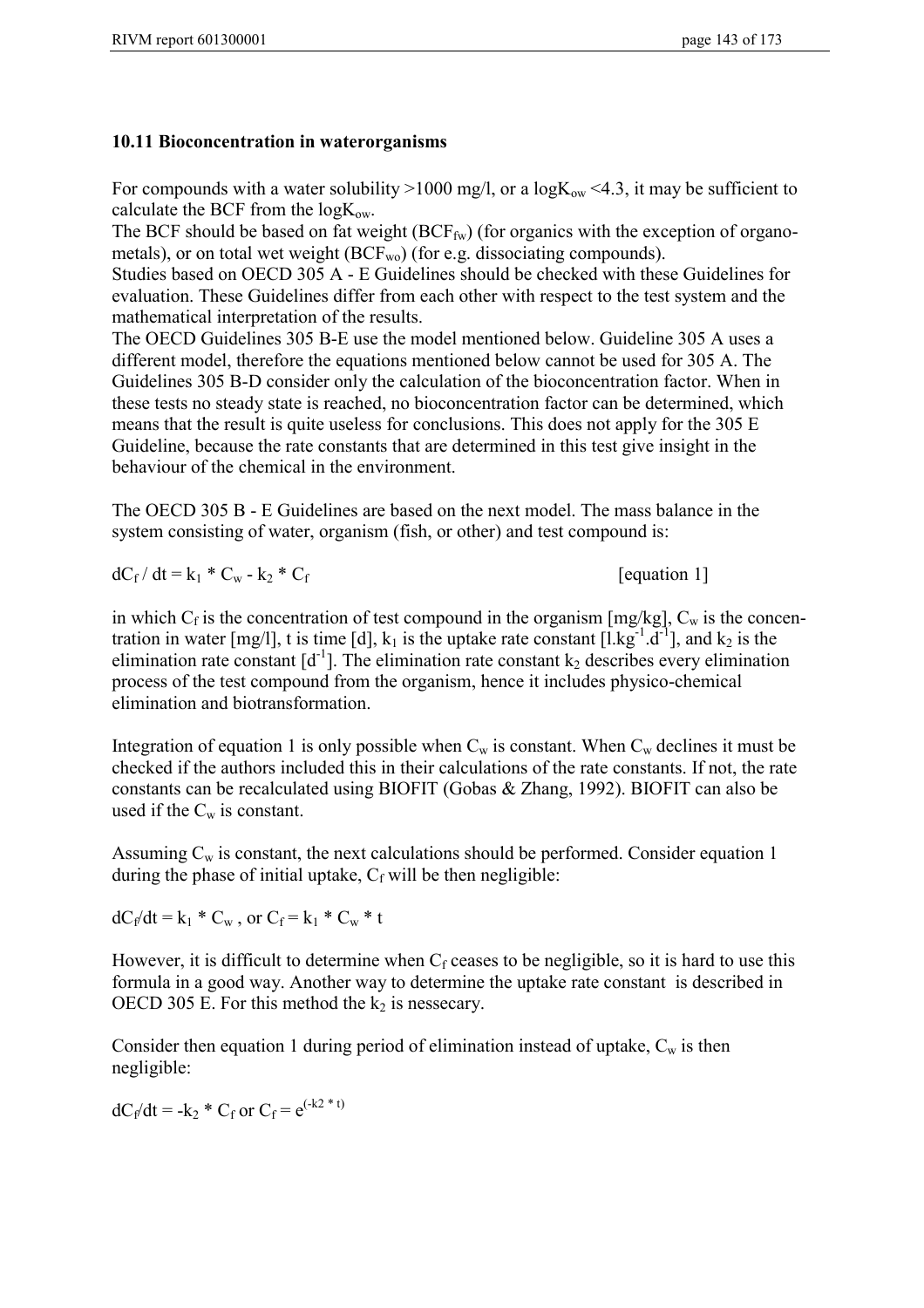### **10.11 Bioconcentration in waterorganisms**

For compounds with a water solubility  $>1000$  mg/l, or a logK<sub>ow</sub> <4.3, it may be sufficient to calculate the BCF from the  $logK_{ow}$ .

The BCF should be based on fat weight  $(BCF_{fw})$  (for organics with the exception of organometals), or on total wet weight  $(BCF_{wo})$  (for e.g. dissociating compounds).

Studies based on OECD 305 A - E Guidelines should be checked with these Guidelines for evaluation. These Guidelines differ from each other with respect to the test system and the mathematical interpretation of the results.

The OECD Guidelines 305 B-E use the model mentioned below. Guideline 305 A uses a different model, therefore the equations mentioned below cannot be used for 305 A. The Guidelines 305 B-D consider only the calculation of the bioconcentration factor. When in these tests no steady state is reached, no bioconcentration factor can be determined, which means that the result is quite useless for conclusions. This does not apply for the 305 E Guideline, because the rate constants that are determined in this test give insight in the behaviour of the chemical in the environment.

The OECD 305 B - E Guidelines are based on the next model. The mass balance in the system consisting of water, organism (fish, or other) and test compound is:

$$
dC_f/dt = k_1 * C_w - k_2 * C_f
$$
 [equation 1]

in which  $C_f$  is the concentration of test compound in the organism [mg/kg],  $C_w$  is the concentration in water  $[mg/l]$ , t is time  $[d]$ ,  $k_1$  is the uptake rate constant  $[1.kg^{-1}.d^{-1}]$ , and  $k_2$  is the elimination rate constant  $[d^{-1}]$ . The elimination rate constant  $k_2$  describes every elimination process of the test compound from the organism, hence it includes physico-chemical elimination and biotransformation.

Integration of equation 1 is only possible when  $C_w$  is constant. When  $C_w$  declines it must be checked if the authors included this in their calculations of the rate constants. If not, the rate constants can be recalculated using BIOFIT (Gobas & Zhang, 1992). BIOFIT can also be used if the  $C_w$  is constant.

Assuming  $C_w$  is constant, the next calculations should be performed. Consider equation 1 during the phase of initial uptake,  $C_f$  will be then negligible:

 $dC_f/dt = k_1 * C_w$ , or  $C_f = k_1 * C_w * t$ 

However, it is difficult to determine when  $C_f$  ceases to be negligible, so it is hard to use this formula in a good way. Another way to determine the uptake rate constant is described in OECD 305 E. For this method the  $k_2$  is nessecary.

Consider then equation 1 during period of elimination instead of uptake,  $C_w$  is then negligible:

 $dC_f/dt = -k_2 * C_f$  or  $C_f = e^{(-k_2 * t)}$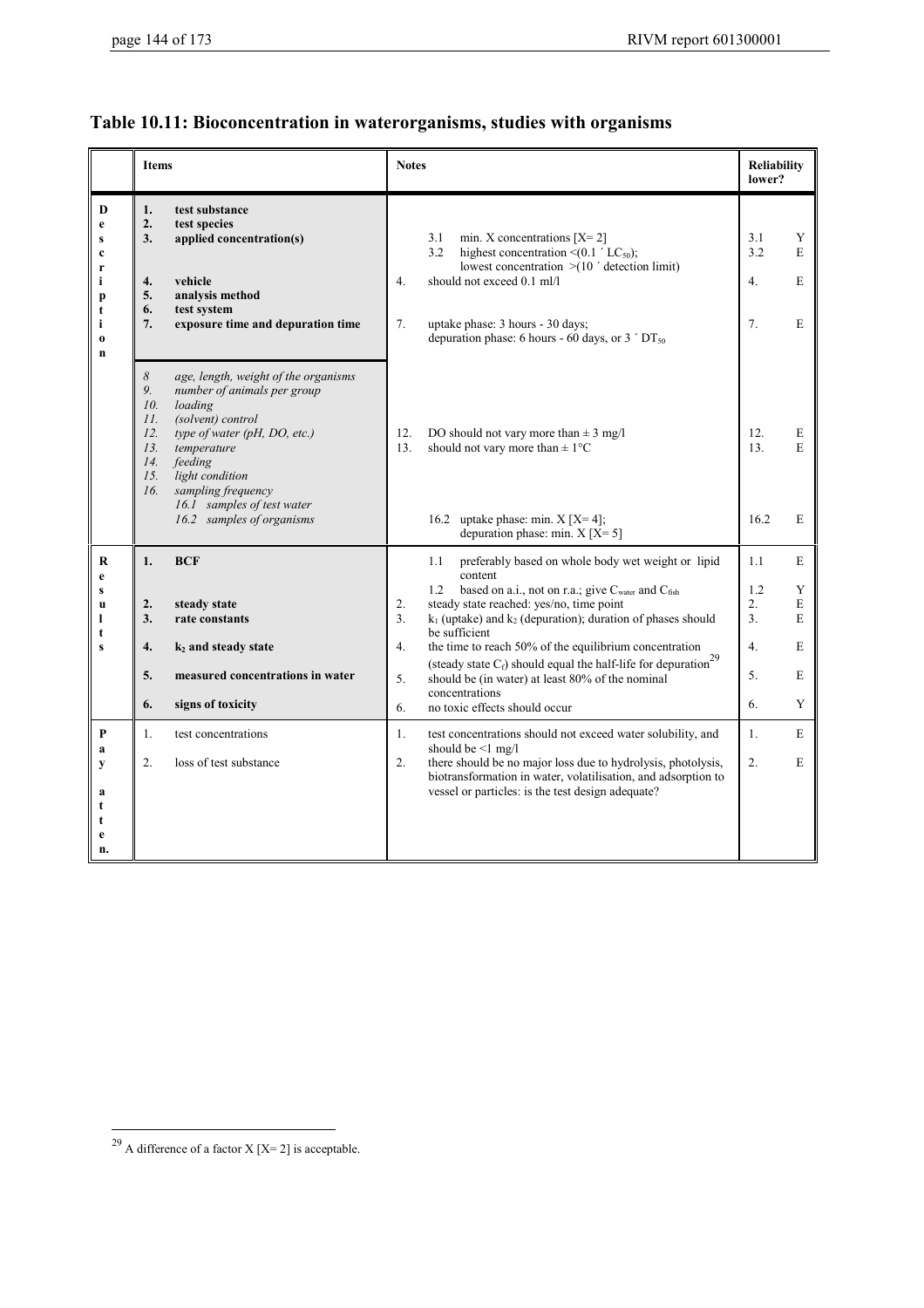# **Table 10.11: Bioconcentration in waterorganisms, studies with organisms**

|                                                                                | <b>Items</b>                                                                                                                                                                                                                                                                                                                                           | <b>Notes</b>                                                                                                                                                                                                                                                                                                                                                                                                                                                                                                                                              | <b>Reliability</b><br>lower?                                                            |
|--------------------------------------------------------------------------------|--------------------------------------------------------------------------------------------------------------------------------------------------------------------------------------------------------------------------------------------------------------------------------------------------------------------------------------------------------|-----------------------------------------------------------------------------------------------------------------------------------------------------------------------------------------------------------------------------------------------------------------------------------------------------------------------------------------------------------------------------------------------------------------------------------------------------------------------------------------------------------------------------------------------------------|-----------------------------------------------------------------------------------------|
| D<br>e<br>S<br>$\mathbf c$<br>r<br>i<br>p<br>t<br>i<br>$\bf{0}$<br>$\mathbf n$ | 1.<br>test substance<br>2.<br>test species<br>applied concentration(s)<br>3.<br>4.<br>vehicle<br>analysis method<br>5.<br>test system<br>6.<br>7.<br>exposure time and depuration time                                                                                                                                                                 | 3.1<br>min. X concentrations $[X=2]$<br>highest concentration $\leq (0.1 \text{ }^{\prime} \text{ } LC_{50})$ ;<br>3.2<br>lowest concentration $> (107$ detection limit)<br>should not exceed 0.1 ml/l<br>$\overline{4}$ .<br>7.<br>uptake phase: 3 hours - 30 days;<br>depuration phase: 6 hours - 60 days, or $3'DT_{50}$                                                                                                                                                                                                                               | 3.1<br>Y<br>3.2<br>E<br>4.<br>E<br>7.<br>E                                              |
|                                                                                | $\boldsymbol{\mathcal{S}}$<br>age, length, weight of the organisms<br>9.<br>number of animals per group<br>10.<br>loading<br>II.<br>(solvent) control<br>type of water (pH, DO, etc.)<br>12.<br>13.<br>temperature<br>14.<br>feeding<br>light condition<br>15.<br>sampling frequency<br>16.<br>16.1 samples of test water<br>16.2 samples of organisms | 12.<br>DO should not vary more than $\pm$ 3 mg/l<br>13.<br>should not vary more than $\pm 1$ °C<br>16.2 uptake phase: min. $X[X=4]$ ;<br>depuration phase: min. $X[X=5]$                                                                                                                                                                                                                                                                                                                                                                                  | 12.<br>E<br>E<br>13.<br>16.2<br>E                                                       |
| R<br>e<br>S<br>u<br>1<br>t<br>S                                                | <b>BCF</b><br>1.<br>2.<br>steady state<br>3.<br>rate constants<br>4.<br>$k_2$ and steady state<br>5.<br>measured concentrations in water<br>6.<br>signs of toxicity                                                                                                                                                                                    | 1.1<br>preferably based on whole body wet weight or lipid<br>content<br>based on a.i., not on r.a.; give $C_{water}$ and $C_{fish}$<br>1.2<br>2.<br>steady state reached: yes/no, time point<br>3 <sub>1</sub><br>$k_1$ (uptake) and $k_2$ (depuration); duration of phases should<br>be sufficient<br>4.<br>the time to reach 50% of the equilibrium concentration<br>(steady state $C_f$ ) should equal the half-life for depuration<br>5.<br>should be (in water) at least 80% of the nominal<br>concentrations<br>6.<br>no toxic effects should occur | 1.1<br>E<br>1.2<br>Y<br>2.<br>E<br>3 <sub>1</sub><br>E<br>4.<br>E<br>5.<br>E<br>6.<br>Y |
| P<br>a<br>y<br>a<br>t<br>t<br>e<br>n.                                          | 1.<br>test concentrations<br>$\overline{2}$ .<br>loss of test substance                                                                                                                                                                                                                                                                                | 1.<br>test concentrations should not exceed water solubility, and<br>should be $\leq 1$ mg/l<br>there should be no major loss due to hydrolysis, photolysis,<br>2.<br>biotransformation in water, volatilisation, and adsorption to<br>vessel or particles: is the test design adequate?                                                                                                                                                                                                                                                                  | E<br>1.<br>$\overline{2}$ .<br>E                                                        |

<sup>&</sup>lt;sup>29</sup> A difference of a factor X [X= 2] is acceptable.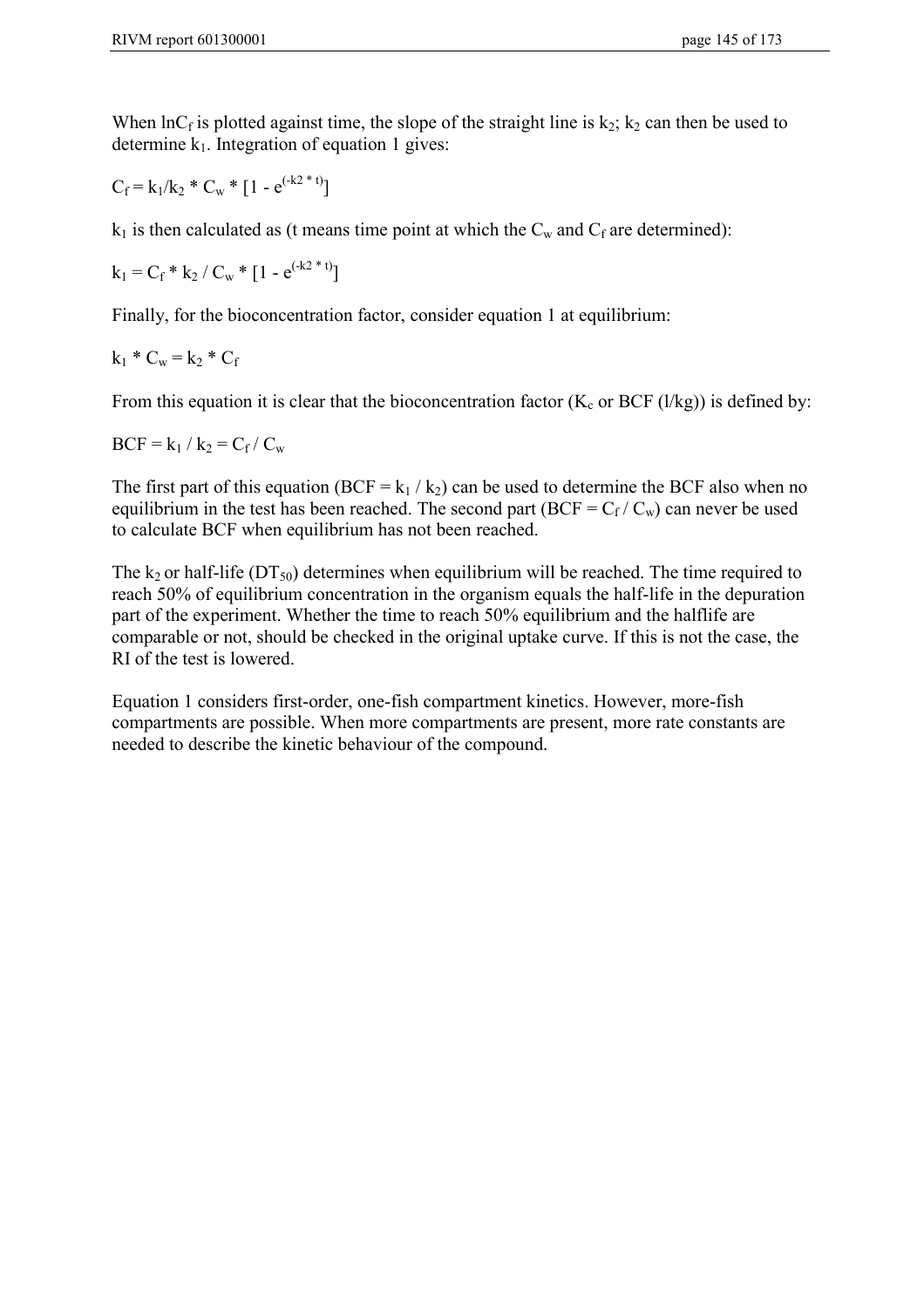When  $\ln C_f$  is plotted against time, the slope of the straight line is  $k_2$ ;  $k_2$  can then be used to determine  $k_1$ . Integration of equation 1 gives:

$$
C_f = k_1/k_2 * C_w * [1 - e^{(-k2 * t)}]
$$

 $k_1$  is then calculated as (t means time point at which the  $C_w$  and  $C_f$  are determined):

$$
k_1 = C_f * k_2 / C_w * [1 - e^{(-k2 * t)}]
$$

Finally, for the bioconcentration factor, consider equation 1 at equilibrium:

$$
k_1 * C_w = k_2 * C_f
$$

From this equation it is clear that the bioconcentration factor  $(K_c$  or BCF (l/kg)) is defined by:

$$
BCF = k_1 / k_2 = C_f / C_w
$$

The first part of this equation (BCF =  $k_1 / k_2$ ) can be used to determine the BCF also when no equilibrium in the test has been reached. The second part (BCF =  $C_f / C_w$ ) can never be used to calculate BCF when equilibrium has not been reached.

The k<sub>2</sub> or half-life (DT<sub>50</sub>) determines when equilibrium will be reached. The time required to reach 50% of equilibrium concentration in the organism equals the half-life in the depuration part of the experiment. Whether the time to reach 50% equilibrium and the halflife are comparable or not, should be checked in the original uptake curve. If this is not the case, the RI of the test is lowered.

Equation 1 considers first-order, one-fish compartment kinetics. However, more-fish compartments are possible. When more compartments are present, more rate constants are needed to describe the kinetic behaviour of the compound.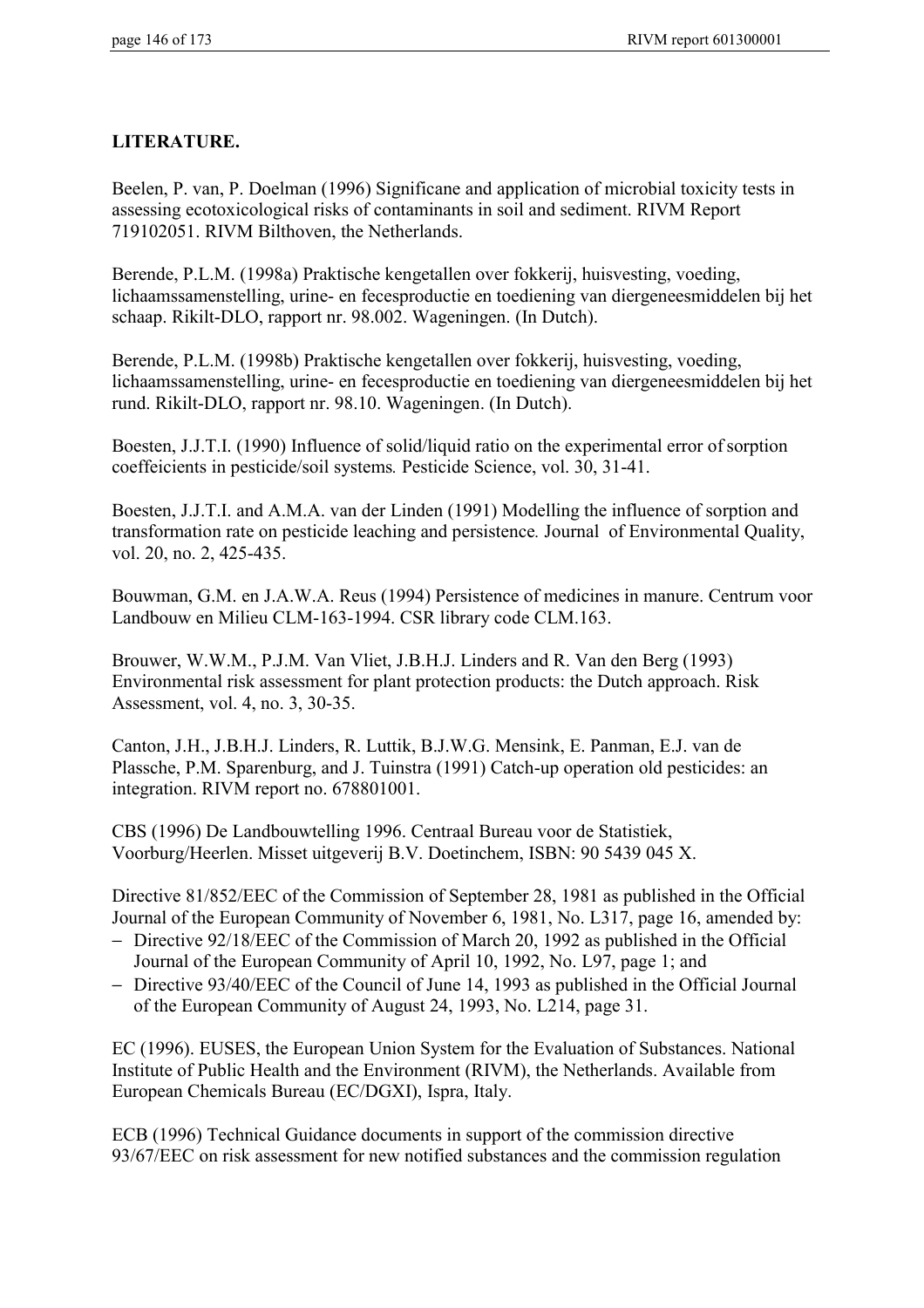# **LITERATURE.**

Beelen, P. van, P. Doelman (1996) Significane and application of microbial toxicity tests in assessing ecotoxicological risks of contaminants in soil and sediment. RIVM Report 719102051. RIVM Bilthoven, the Netherlands.

Berende, P.L.M. (1998a) Praktische kengetallen over fokkerij, huisvesting, voeding, lichaamssamenstelling, urine- en fecesproductie en toediening van diergeneesmiddelen bij het schaap. Rikilt-DLO, rapport nr. 98.002. Wageningen. (In Dutch).

Berende, P.L.M. (1998b) Praktische kengetallen over fokkerij, huisvesting, voeding, lichaamssamenstelling, urine- en fecesproductie en toediening van diergeneesmiddelen bij het rund. Rikilt-DLO, rapport nr. 98.10. Wageningen. (In Dutch).

Boesten, J.J.T.I. (1990) Influence of solid/liquid ratio on the experimental error of sorption coeffeicients in pesticide/soil systems*.* Pesticide Science, vol. 30, 31-41.

Boesten, J.J.T.I. and A.M.A. van der Linden (1991) Modelling the influence of sorption and transformation rate on pesticide leaching and persistence*.* Journal of Environmental Quality, vol. 20, no. 2, 425-435.

Bouwman, G.M. en J.A.W.A. Reus (1994) Persistence of medicines in manure. Centrum voor Landbouw en Milieu CLM-163-1994. CSR library code CLM.163.

Brouwer, W.W.M., P.J.M. Van Vliet, J.B.H.J. Linders and R. Van den Berg (1993) Environmental risk assessment for plant protection products: the Dutch approach. Risk Assessment, vol. 4, no. 3, 30-35.

Canton, J.H., J.B.H.J. Linders, R. Luttik, B.J.W.G. Mensink, E. Panman, E.J. van de Plassche, P.M. Sparenburg, and J. Tuinstra (1991) Catch-up operation old pesticides: an integration. RIVM report no. 678801001.

CBS (1996) De Landbouwtelling 1996. Centraal Bureau voor de Statistiek, Voorburg/Heerlen. Misset uitgeverij B.V. Doetinchem, ISBN: 90 5439 045 X.

Directive 81/852/EEC of the Commission of September 28, 1981 as published in the Official Journal of the European Community of November 6, 1981, No. L317, page 16, amended by:

- − Directive 92/18/EEC of the Commission of March 20, 1992 as published in the Official Journal of the European Community of April 10, 1992, No. L97, page 1; and
- − Directive 93/40/EEC of the Council of June 14, 1993 as published in the Official Journal of the European Community of August 24, 1993, No. L214, page 31.

EC (1996). EUSES, the European Union System for the Evaluation of Substances. National Institute of Public Health and the Environment (RIVM), the Netherlands. Available from European Chemicals Bureau (EC/DGXI), Ispra, Italy.

ECB (1996) Technical Guidance documents in support of the commission directive 93/67/EEC on risk assessment for new notified substances and the commission regulation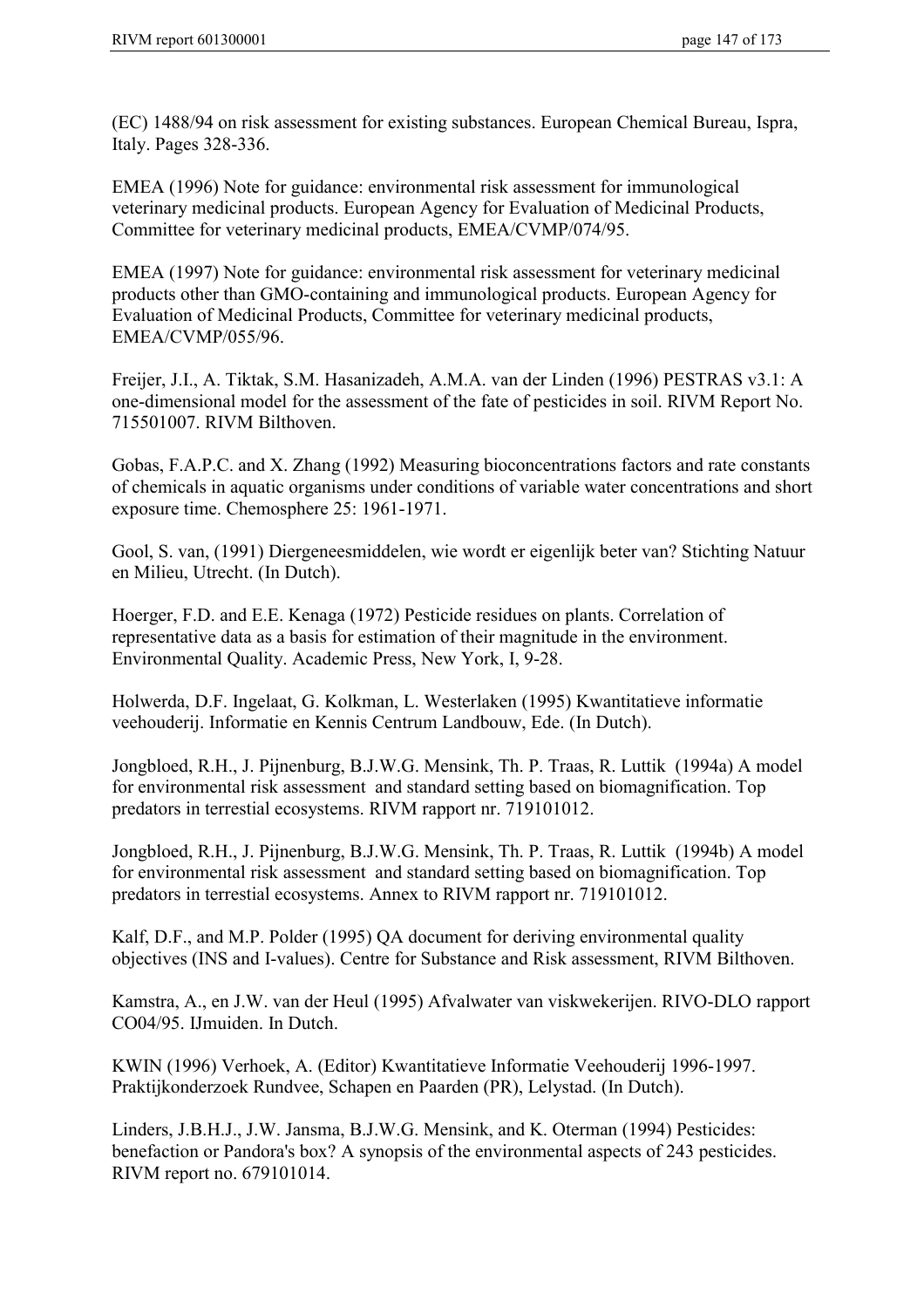(EC) 1488/94 on risk assessment for existing substances. European Chemical Bureau, Ispra, Italy. Pages 328-336.

EMEA (1996) Note for guidance: environmental risk assessment for immunological veterinary medicinal products. European Agency for Evaluation of Medicinal Products, Committee for veterinary medicinal products, EMEA/CVMP/074/95.

EMEA (1997) Note for guidance: environmental risk assessment for veterinary medicinal products other than GMO-containing and immunological products. European Agency for Evaluation of Medicinal Products, Committee for veterinary medicinal products, EMEA/CVMP/055/96.

Freijer, J.I., A. Tiktak, S.M. Hasanizadeh, A.M.A. van der Linden (1996) PESTRAS v3.1: A one-dimensional model for the assessment of the fate of pesticides in soil. RIVM Report No. 715501007. RIVM Bilthoven.

Gobas, F.A.P.C. and X. Zhang (1992) Measuring bioconcentrations factors and rate constants of chemicals in aquatic organisms under conditions of variable water concentrations and short exposure time. Chemosphere 25: 1961-1971.

Gool, S. van, (1991) Diergeneesmiddelen, wie wordt er eigenlijk beter van? Stichting Natuur en Milieu, Utrecht. (In Dutch).

Hoerger, F.D. and E.E. Kenaga (1972) Pesticide residues on plants. Correlation of representative data as a basis for estimation of their magnitude in the environment. Environmental Quality. Academic Press, New York, I, 9-28.

Holwerda, D.F. Ingelaat, G. Kolkman, L. Westerlaken (1995) Kwantitatieve informatie veehouderij. Informatie en Kennis Centrum Landbouw, Ede. (In Dutch).

Jongbloed, R.H., J. Pijnenburg, B.J.W.G. Mensink, Th. P. Traas, R. Luttik (1994a) A model for environmental risk assessment and standard setting based on biomagnification. Top predators in terrestial ecosystems. RIVM rapport nr. 719101012.

Jongbloed, R.H., J. Pijnenburg, B.J.W.G. Mensink, Th. P. Traas, R. Luttik (1994b) A model for environmental risk assessment and standard setting based on biomagnification. Top predators in terrestial ecosystems. Annex to RIVM rapport nr. 719101012.

Kalf, D.F., and M.P. Polder (1995) QA document for deriving environmental quality objectives (INS and I-values). Centre for Substance and Risk assessment, RIVM Bilthoven.

Kamstra, A., en J.W. van der Heul (1995) Afvalwater van viskwekerijen. RIVO-DLO rapport CO04/95. IJmuiden. In Dutch.

KWIN (1996) Verhoek, A. (Editor) Kwantitatieve Informatie Veehouderij 1996-1997. Praktijkonderzoek Rundvee, Schapen en Paarden (PR), Lelystad. (In Dutch).

Linders, J.B.H.J., J.W. Jansma, B.J.W.G. Mensink, and K. Oterman (1994) Pesticides: benefaction or Pandora's box? A synopsis of the environmental aspects of 243 pesticides. RIVM report no. 679101014.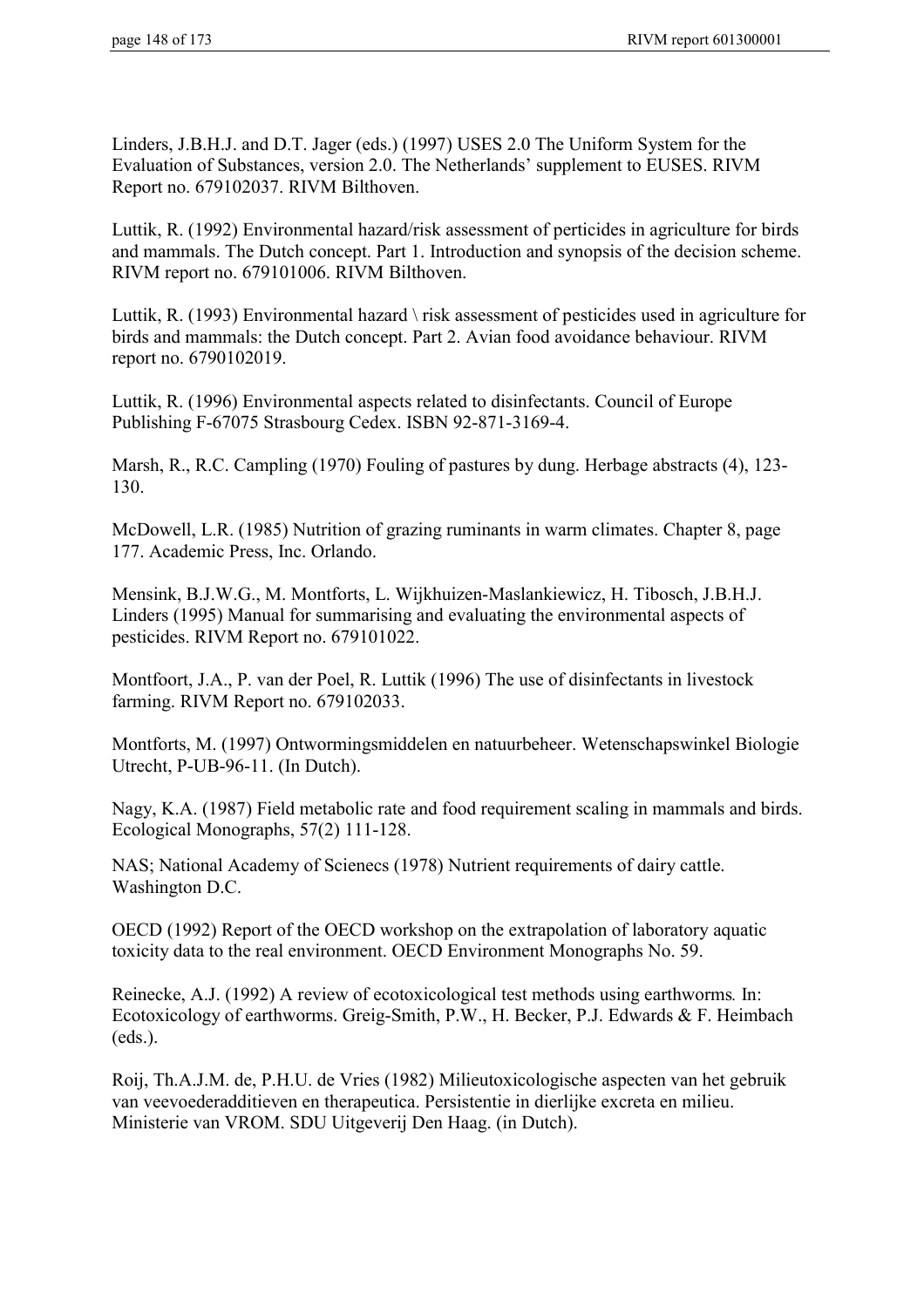Linders, J.B.H.J. and D.T. Jager (eds.) (1997) USES 2.0 The Uniform System for the Evaluation of Substances, version 2.0. The Netherlands' supplement to EUSES. RIVM Report no. 679102037. RIVM Bilthoven.

Luttik, R. (1992) Environmental hazard/risk assessment of perticides in agriculture for birds and mammals. The Dutch concept. Part 1. Introduction and synopsis of the decision scheme. RIVM report no. 679101006. RIVM Bilthoven.

Luttik, R. (1993) Environmental hazard \ risk assessment of pesticides used in agriculture for birds and mammals: the Dutch concept. Part 2. Avian food avoidance behaviour. RIVM report no. 6790102019.

Luttik, R. (1996) Environmental aspects related to disinfectants. Council of Europe Publishing F-67075 Strasbourg Cedex. ISBN 92-871-3169-4.

Marsh, R., R.C. Campling (1970) Fouling of pastures by dung. Herbage abstracts (4), 123- 130.

McDowell, L.R. (1985) Nutrition of grazing ruminants in warm climates. Chapter 8, page 177. Academic Press, Inc. Orlando.

Mensink, B.J.W.G., M. Montforts, L. Wijkhuizen-Maslankiewicz, H. Tibosch, J.B.H.J. Linders (1995) Manual for summarising and evaluating the environmental aspects of pesticides. RIVM Report no. 679101022.

Montfoort, J.A., P. van der Poel, R. Luttik (1996) The use of disinfectants in livestock farming. RIVM Report no. 679102033.

Montforts, M. (1997) Ontwormingsmiddelen en natuurbeheer. Wetenschapswinkel Biologie Utrecht, P-UB-96-11. (In Dutch).

Nagy, K.A. (1987) Field metabolic rate and food requirement scaling in mammals and birds. Ecological Monographs, 57(2) 111-128.

NAS; National Academy of Scienecs (1978) Nutrient requirements of dairy cattle. Washington D.C.

OECD (1992) Report of the OECD workshop on the extrapolation of laboratory aquatic toxicity data to the real environment. OECD Environment Monographs No. 59.

Reinecke, A.J. (1992) A review of ecotoxicological test methods using earthworms*.* In: Ecotoxicology of earthworms. Greig-Smith, P.W., H. Becker, P.J. Edwards & F. Heimbach (eds.).

Roij, Th.A.J.M. de, P.H.U. de Vries (1982) Milieutoxicologische aspecten van het gebruik van veevoederadditieven en therapeutica. Persistentie in dierlijke excreta en milieu. Ministerie van VROM. SDU Uitgeverij Den Haag. (in Dutch).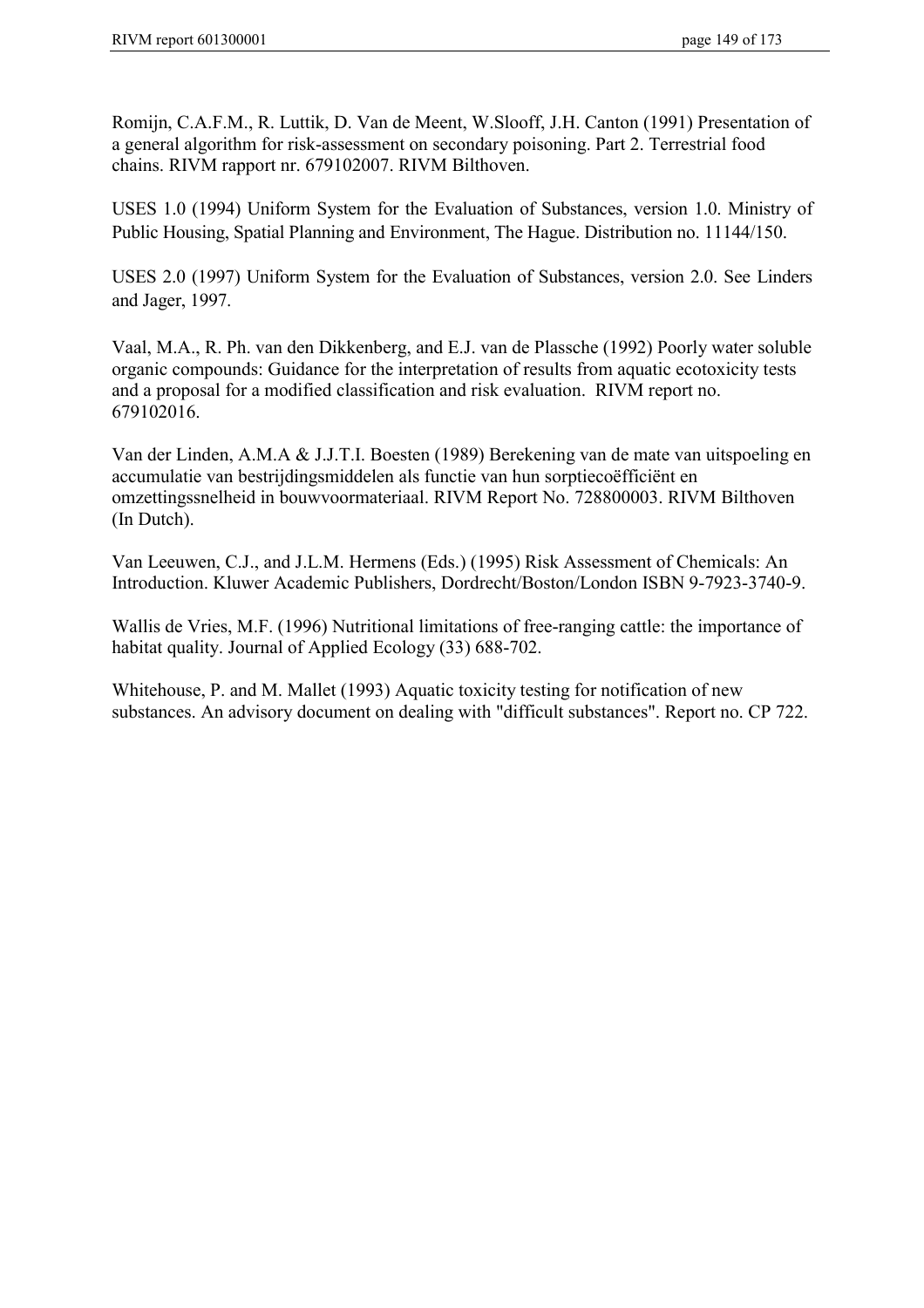Romijn, C.A.F.M., R. Luttik, D. Van de Meent, W.Slooff, J.H. Canton (1991) Presentation of a general algorithm for risk-assessment on secondary poisoning. Part 2. Terrestrial food chains. RIVM rapport nr. 679102007. RIVM Bilthoven.

USES 1.0 (1994) Uniform System for the Evaluation of Substances, version 1.0. Ministry of Public Housing, Spatial Planning and Environment, The Hague. Distribution no. 11144/150.

USES 2.0 (1997) Uniform System for the Evaluation of Substances, version 2.0. See Linders and Jager, 1997.

Vaal, M.A., R. Ph. van den Dikkenberg, and E.J. van de Plassche (1992) Poorly water soluble organic compounds: Guidance for the interpretation of results from aquatic ecotoxicity tests and a proposal for a modified classification and risk evaluation. RIVM report no. 679102016.

Van der Linden, A.M.A & J.J.T.I. Boesten (1989) Berekening van de mate van uitspoeling en accumulatie van bestrijdingsmiddelen als functie van hun sorptiecoëfficiënt en omzettingssnelheid in bouwvoormateriaal. RIVM Report No. 728800003. RIVM Bilthoven (In Dutch).

Van Leeuwen, C.J., and J.L.M. Hermens (Eds.) (1995) Risk Assessment of Chemicals: An Introduction. Kluwer Academic Publishers, Dordrecht/Boston/London ISBN 9-7923-3740-9.

Wallis de Vries, M.F. (1996) Nutritional limitations of free-ranging cattle: the importance of habitat quality. Journal of Applied Ecology (33) 688-702.

Whitehouse, P. and M. Mallet (1993) Aquatic toxicity testing for notification of new substances. An advisory document on dealing with "difficult substances". Report no. CP 722.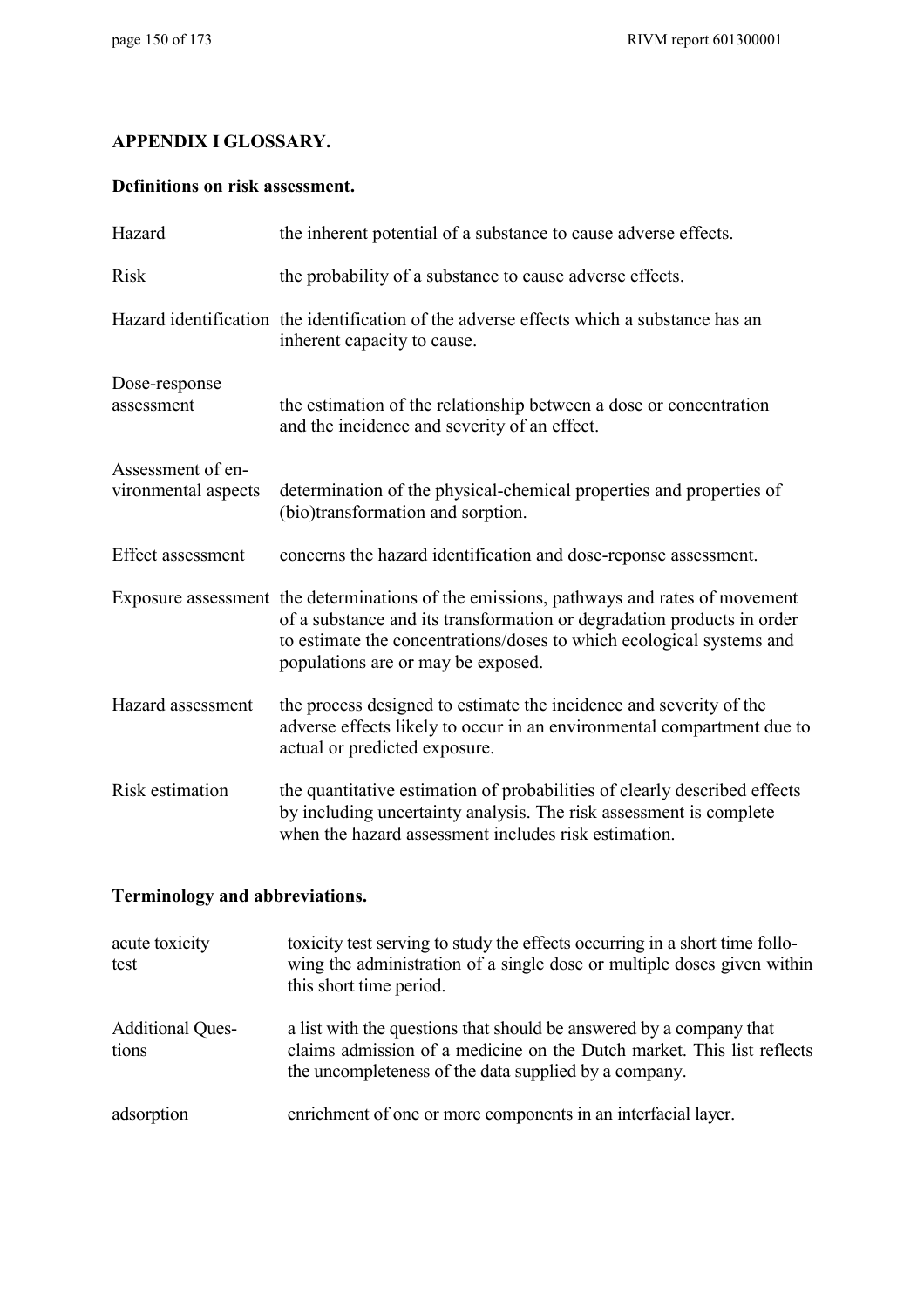## **APPENDIX I GLOSSARY.**

## **Definitions on risk assessment.**

| Hazard                                   | the inherent potential of a substance to cause adverse effects.                                                                                                                                                                                                                 |
|------------------------------------------|---------------------------------------------------------------------------------------------------------------------------------------------------------------------------------------------------------------------------------------------------------------------------------|
| <b>Risk</b>                              | the probability of a substance to cause adverse effects.                                                                                                                                                                                                                        |
|                                          | Hazard identification the identification of the adverse effects which a substance has an<br>inherent capacity to cause.                                                                                                                                                         |
| Dose-response<br>assessment              | the estimation of the relationship between a dose or concentration<br>and the incidence and severity of an effect.                                                                                                                                                              |
| Assessment of en-<br>vironmental aspects | determination of the physical-chemical properties and properties of<br>(bio)transformation and sorption.                                                                                                                                                                        |
| <b>Effect assessment</b>                 | concerns the hazard identification and dose-reponse assessment.                                                                                                                                                                                                                 |
|                                          | Exposure assessment the determinations of the emissions, pathways and rates of movement<br>of a substance and its transformation or degradation products in order<br>to estimate the concentrations/doses to which ecological systems and<br>populations are or may be exposed. |
| Hazard assessment                        | the process designed to estimate the incidence and severity of the<br>adverse effects likely to occur in an environmental compartment due to<br>actual or predicted exposure.                                                                                                   |
| Risk estimation                          | the quantitative estimation of probabilities of clearly described effects<br>by including uncertainty analysis. The risk assessment is complete<br>when the hazard assessment includes risk estimation.                                                                         |

# **Terminology and abbreviations.**

| acute toxicity<br>test           | toxicity test serving to study the effects occurring in a short time follo-<br>wing the administration of a single dose or multiple doses given within<br>this short time period.                      |
|----------------------------------|--------------------------------------------------------------------------------------------------------------------------------------------------------------------------------------------------------|
| <b>Additional Ques-</b><br>tions | a list with the questions that should be answered by a company that<br>claims admission of a medicine on the Dutch market. This list reflects<br>the uncompleteness of the data supplied by a company. |
| adsorption                       | enrichment of one or more components in an interfacial layer.                                                                                                                                          |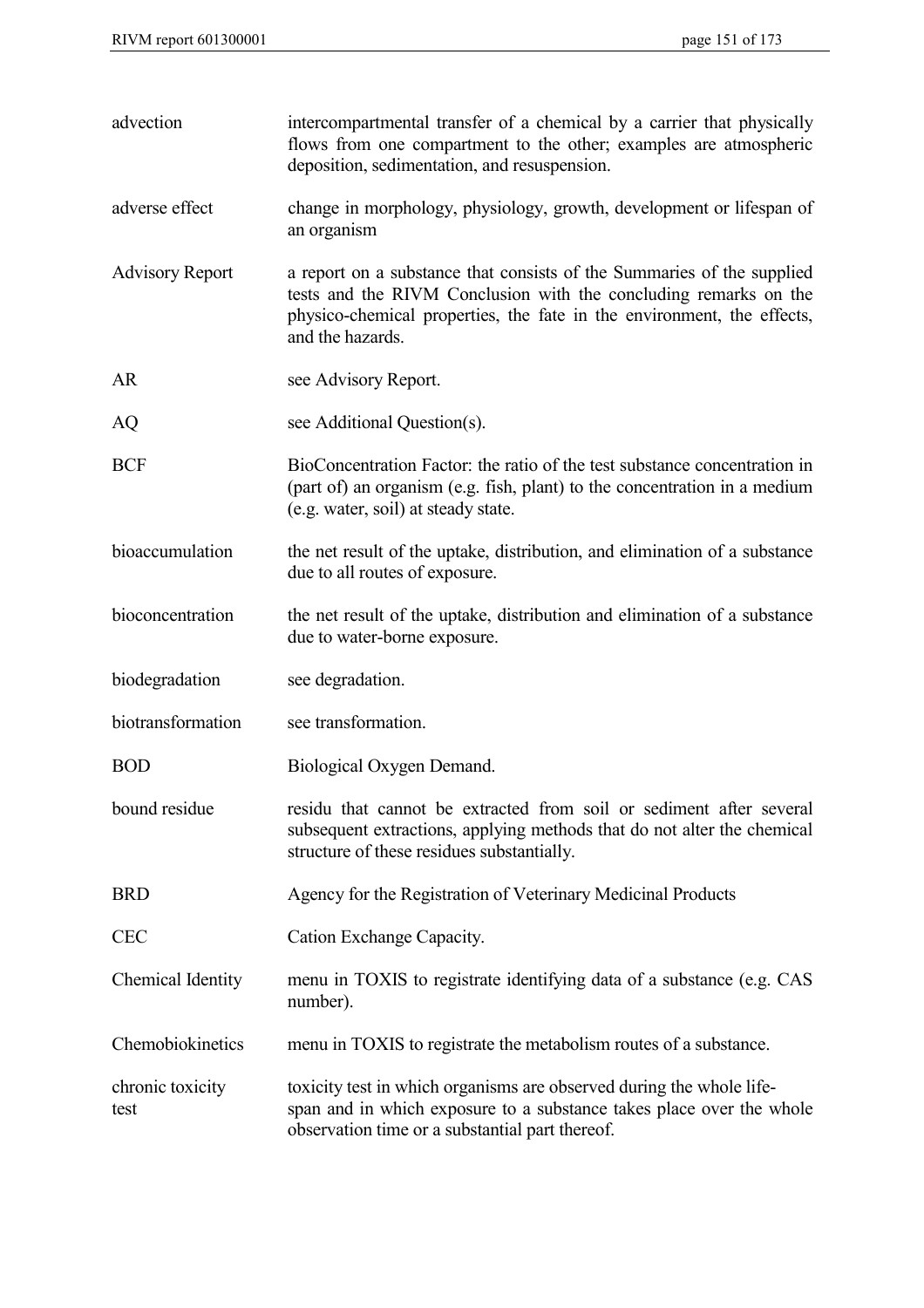| advection                | intercompartmental transfer of a chemical by a carrier that physically<br>flows from one compartment to the other; examples are atmospheric<br>deposition, sedimentation, and resuspension.                                              |
|--------------------------|------------------------------------------------------------------------------------------------------------------------------------------------------------------------------------------------------------------------------------------|
| adverse effect           | change in morphology, physiology, growth, development or lifespan of<br>an organism                                                                                                                                                      |
| <b>Advisory Report</b>   | a report on a substance that consists of the Summaries of the supplied<br>tests and the RIVM Conclusion with the concluding remarks on the<br>physico-chemical properties, the fate in the environment, the effects,<br>and the hazards. |
| <b>AR</b>                | see Advisory Report.                                                                                                                                                                                                                     |
| AQ                       | see Additional Question(s).                                                                                                                                                                                                              |
| <b>BCF</b>               | BioConcentration Factor: the ratio of the test substance concentration in<br>(part of) an organism (e.g. fish, plant) to the concentration in a medium<br>(e.g. water, soil) at steady state.                                            |
| bioaccumulation          | the net result of the uptake, distribution, and elimination of a substance<br>due to all routes of exposure.                                                                                                                             |
| bioconcentration         | the net result of the uptake, distribution and elimination of a substance<br>due to water-borne exposure.                                                                                                                                |
| biodegradation           | see degradation.                                                                                                                                                                                                                         |
| biotransformation        | see transformation.                                                                                                                                                                                                                      |
| <b>BOD</b>               | Biological Oxygen Demand.                                                                                                                                                                                                                |
| bound residue            | residu that cannot be extracted from soil or sediment after several<br>subsequent extractions, applying methods that do not alter the chemical<br>structure of these residues substantially.                                             |
| <b>BRD</b>               | Agency for the Registration of Veterinary Medicinal Products                                                                                                                                                                             |
| <b>CEC</b>               | Cation Exchange Capacity.                                                                                                                                                                                                                |
| Chemical Identity        | menu in TOXIS to registrate identifying data of a substance (e.g. CAS<br>number).                                                                                                                                                        |
| Chemobiokinetics         | menu in TOXIS to registrate the metabolism routes of a substance.                                                                                                                                                                        |
| chronic toxicity<br>test | toxicity test in which organisms are observed during the whole life-<br>span and in which exposure to a substance takes place over the whole<br>observation time or a substantial part thereof.                                          |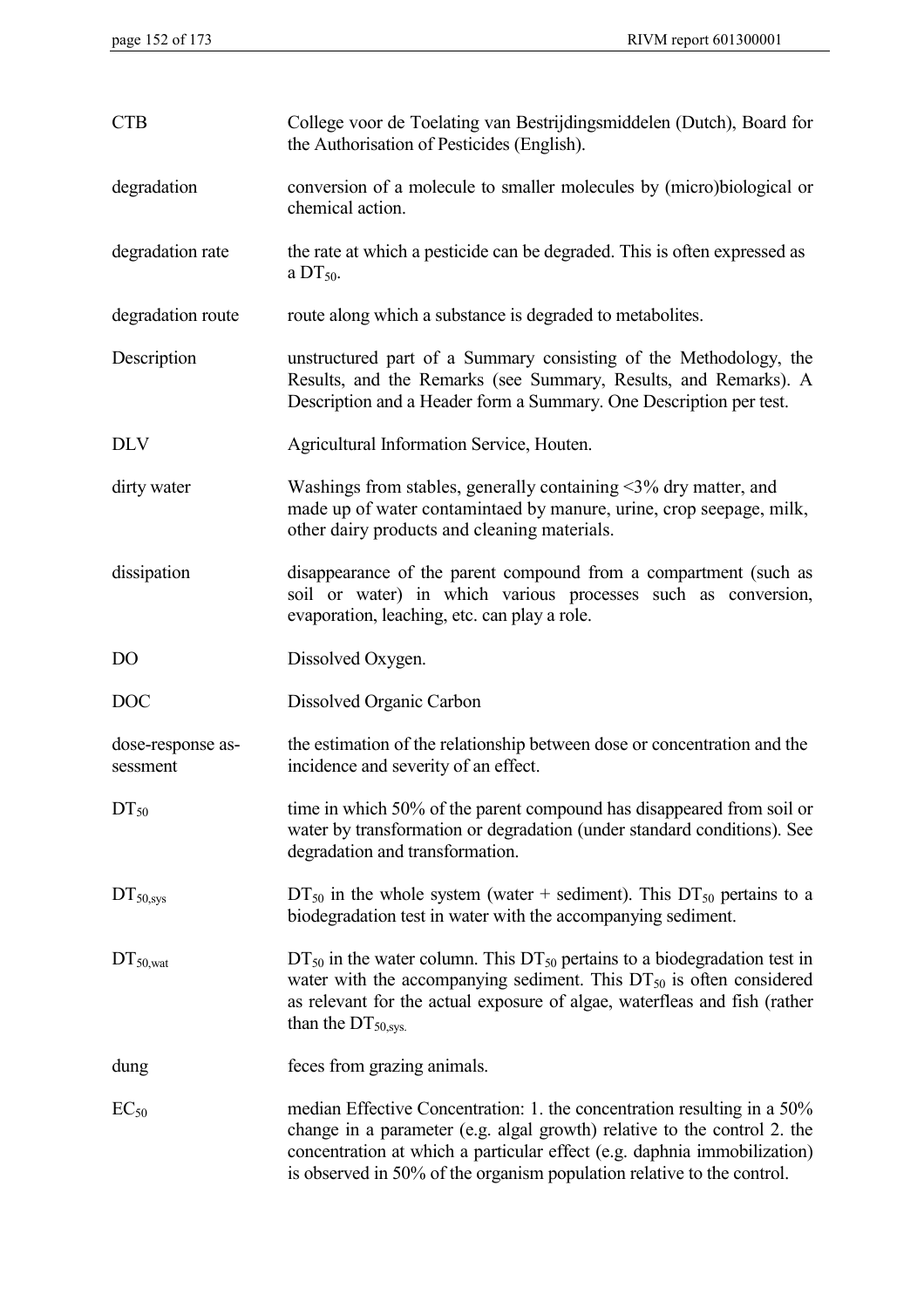| <b>CTB</b>                    | College voor de Toelating van Bestrijdingsmiddelen (Dutch), Board for<br>the Authorisation of Pesticides (English).                                                                                                                                                                                       |
|-------------------------------|-----------------------------------------------------------------------------------------------------------------------------------------------------------------------------------------------------------------------------------------------------------------------------------------------------------|
| degradation                   | conversion of a molecule to smaller molecules by (micro)biological or<br>chemical action.                                                                                                                                                                                                                 |
| degradation rate              | the rate at which a pesticide can be degraded. This is often expressed as<br>a $DT_{50}$ .                                                                                                                                                                                                                |
| degradation route             | route along which a substance is degraded to metabolites.                                                                                                                                                                                                                                                 |
| Description                   | unstructured part of a Summary consisting of the Methodology, the<br>Results, and the Remarks (see Summary, Results, and Remarks). A<br>Description and a Header form a Summary. One Description per test.                                                                                                |
| <b>DLV</b>                    | Agricultural Information Service, Houten.                                                                                                                                                                                                                                                                 |
| dirty water                   | Washings from stables, generally containing $\leq$ 3% dry matter, and<br>made up of water contamintaed by manure, urine, crop seepage, milk,<br>other dairy products and cleaning materials.                                                                                                              |
| dissipation                   | disappearance of the parent compound from a compartment (such as<br>soil or water) in which various processes such as conversion,<br>evaporation, leaching, etc. can play a role.                                                                                                                         |
| D <sub>O</sub>                | Dissolved Oxygen.                                                                                                                                                                                                                                                                                         |
| <b>DOC</b>                    | Dissolved Organic Carbon                                                                                                                                                                                                                                                                                  |
| dose-response as-<br>sessment | the estimation of the relationship between dose or concentration and the<br>incidence and severity of an effect.                                                                                                                                                                                          |
| $DT_{50}$                     | time in which 50% of the parent compound has disappeared from soil or<br>water by transformation or degradation (under standard conditions). See<br>degradation and transformation.                                                                                                                       |
| DT <sub>50,sys</sub>          | $DT_{50}$ in the whole system (water + sediment). This $DT_{50}$ pertains to a<br>biodegradation test in water with the accompanying sediment.                                                                                                                                                            |
| $DT_{50, \text{wat}}$         | $DT_{50}$ in the water column. This $DT_{50}$ pertains to a biodegradation test in<br>water with the accompanying sediment. This $DT50$ is often considered<br>as relevant for the actual exposure of algae, waterfleas and fish (rather<br>than the $DT50,sys$ .                                         |
| dung                          | feces from grazing animals.                                                                                                                                                                                                                                                                               |
| $EC_{50}$                     | median Effective Concentration: 1. the concentration resulting in a 50%<br>change in a parameter (e.g. algal growth) relative to the control 2. the<br>concentration at which a particular effect (e.g. daphnia immobilization)<br>is observed in 50% of the organism population relative to the control. |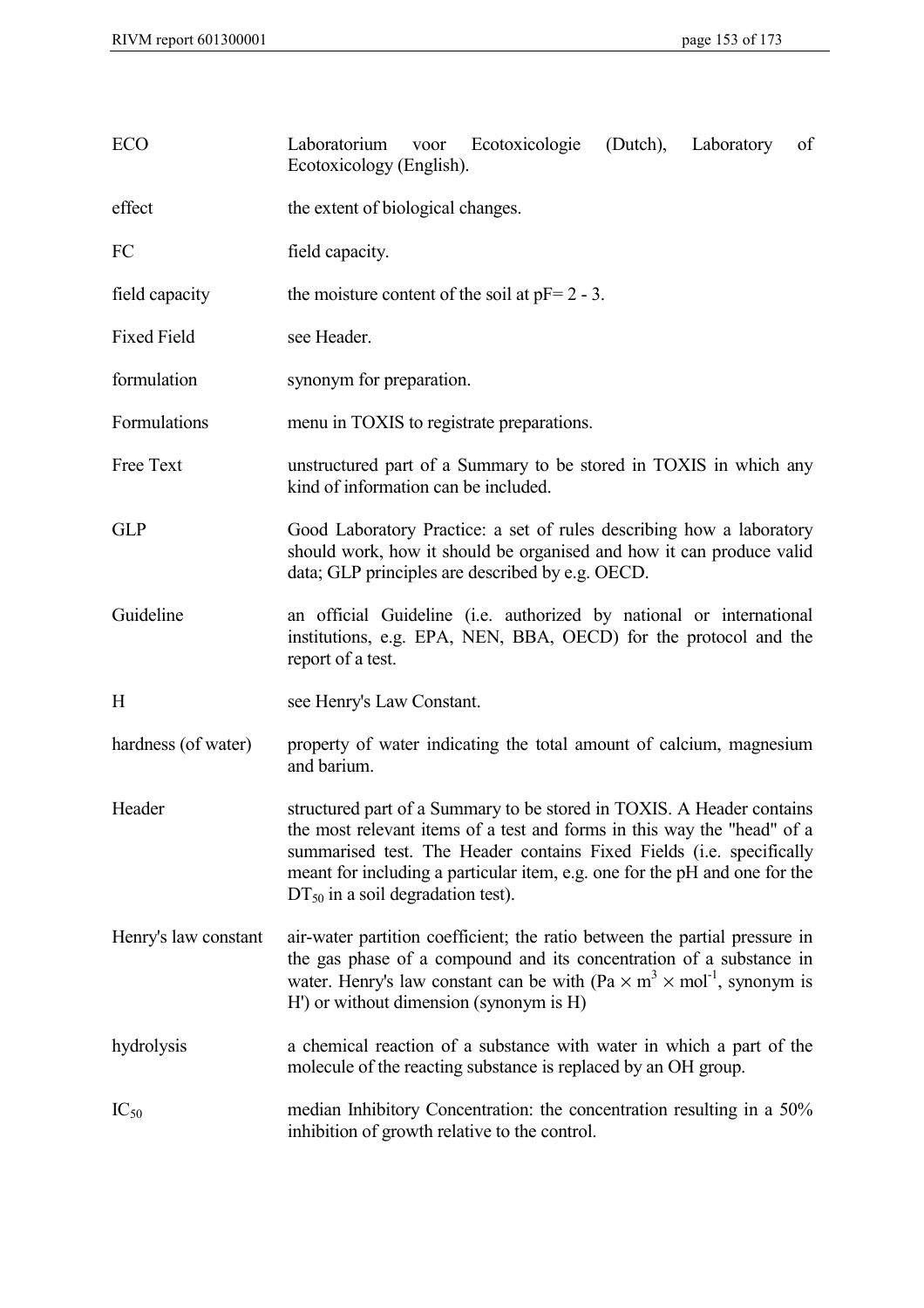| ECO                  | Laboratorium voor Ecotoxicologie<br>(Dutch), Laboratory<br>of<br>Ecotoxicology (English).                                                                                                                                                                                                                                                        |  |  |  |  |
|----------------------|--------------------------------------------------------------------------------------------------------------------------------------------------------------------------------------------------------------------------------------------------------------------------------------------------------------------------------------------------|--|--|--|--|
| effect               | the extent of biological changes.                                                                                                                                                                                                                                                                                                                |  |  |  |  |
| FC                   | field capacity.                                                                                                                                                                                                                                                                                                                                  |  |  |  |  |
| field capacity       | the moisture content of the soil at $pF = 2 - 3$ .                                                                                                                                                                                                                                                                                               |  |  |  |  |
| <b>Fixed Field</b>   | see Header.                                                                                                                                                                                                                                                                                                                                      |  |  |  |  |
| formulation          | synonym for preparation.                                                                                                                                                                                                                                                                                                                         |  |  |  |  |
| Formulations         | menu in TOXIS to registrate preparations.                                                                                                                                                                                                                                                                                                        |  |  |  |  |
| Free Text            | unstructured part of a Summary to be stored in TOXIS in which any<br>kind of information can be included.                                                                                                                                                                                                                                        |  |  |  |  |
| <b>GLP</b>           | Good Laboratory Practice: a set of rules describing how a laboratory<br>should work, how it should be organised and how it can produce valid<br>data; GLP principles are described by e.g. OECD.                                                                                                                                                 |  |  |  |  |
| Guideline            | an official Guideline (i.e. authorized by national or international<br>institutions, e.g. EPA, NEN, BBA, OECD) for the protocol and the<br>report of a test.                                                                                                                                                                                     |  |  |  |  |
| H                    | see Henry's Law Constant.                                                                                                                                                                                                                                                                                                                        |  |  |  |  |
| hardness (of water)  | property of water indicating the total amount of calcium, magnesium<br>and barium.                                                                                                                                                                                                                                                               |  |  |  |  |
| Header               | structured part of a Summary to be stored in TOXIS. A Header contains<br>the most relevant items of a test and forms in this way the "head" of a<br>summarised test. The Header contains Fixed Fields (i.e. specifically<br>meant for including a particular item, e.g. one for the pH and one for the<br>$DT_{50}$ in a soil degradation test). |  |  |  |  |
| Henry's law constant | air-water partition coefficient; the ratio between the partial pressure in<br>the gas phase of a compound and its concentration of a substance in<br>water. Henry's law constant can be with $(Pa \times m^3 \times mol^{-1})$ , synonym is<br>H') or without dimension (synonym is H)                                                           |  |  |  |  |
| hydrolysis           | a chemical reaction of a substance with water in which a part of the<br>molecule of the reacting substance is replaced by an OH group.                                                                                                                                                                                                           |  |  |  |  |
| $IC_{50}$            | median Inhibitory Concentration: the concentration resulting in a 50%<br>inhibition of growth relative to the control.                                                                                                                                                                                                                           |  |  |  |  |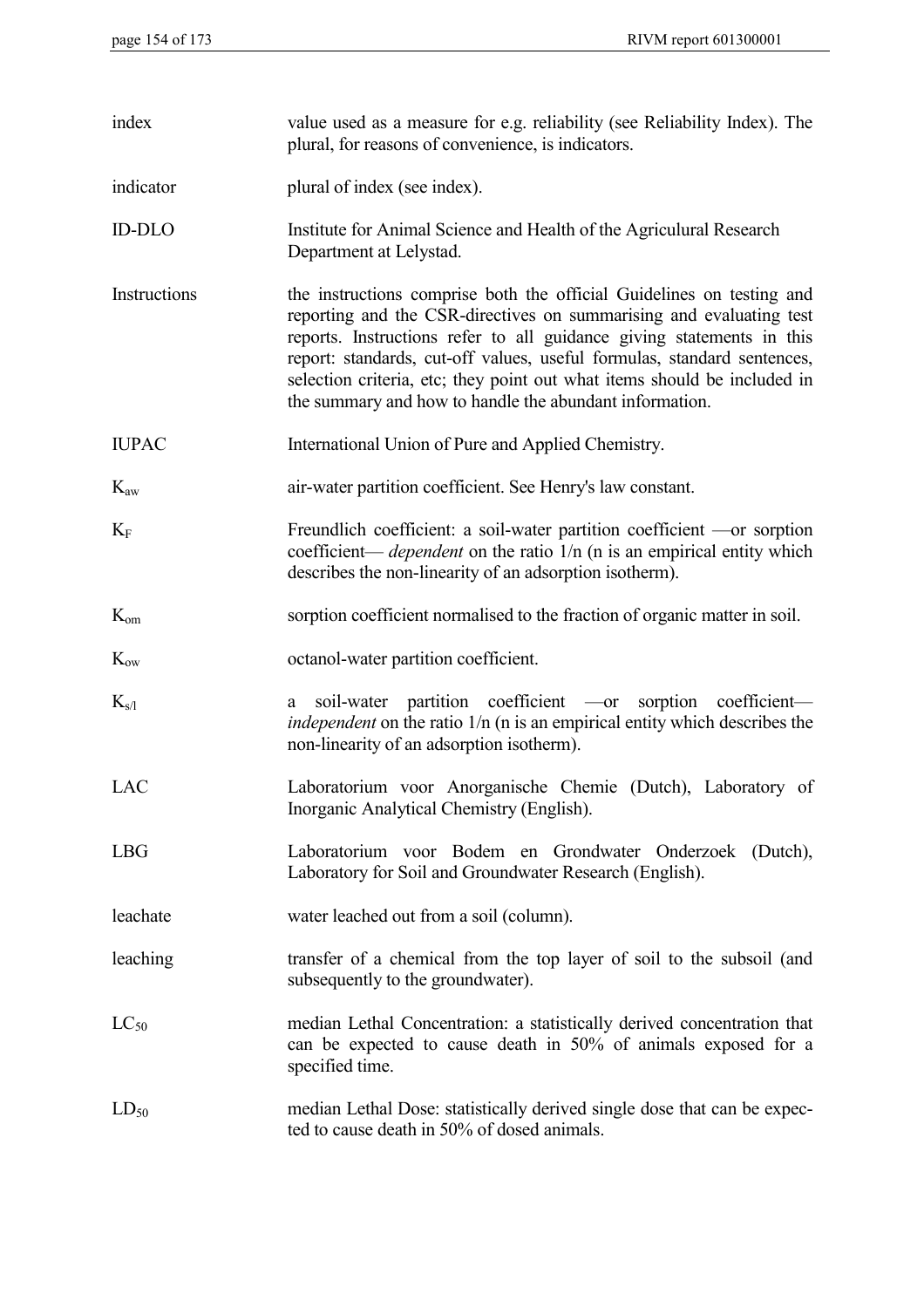| index           | value used as a measure for e.g. reliability (see Reliability Index). The<br>plural, for reasons of convenience, is indicators.                                                                                                                                                                                                                                                                                                         |
|-----------------|-----------------------------------------------------------------------------------------------------------------------------------------------------------------------------------------------------------------------------------------------------------------------------------------------------------------------------------------------------------------------------------------------------------------------------------------|
| indicator       | plural of index (see index).                                                                                                                                                                                                                                                                                                                                                                                                            |
| <b>ID-DLO</b>   | Institute for Animal Science and Health of the Agriculural Research<br>Department at Lelystad.                                                                                                                                                                                                                                                                                                                                          |
| Instructions    | the instructions comprise both the official Guidelines on testing and<br>reporting and the CSR-directives on summarising and evaluating test<br>reports. Instructions refer to all guidance giving statements in this<br>report: standards, cut-off values, useful formulas, standard sentences,<br>selection criteria, etc; they point out what items should be included in<br>the summary and how to handle the abundant information. |
| <b>IUPAC</b>    | International Union of Pure and Applied Chemistry.                                                                                                                                                                                                                                                                                                                                                                                      |
| $K_{aw}$        | air-water partition coefficient. See Henry's law constant.                                                                                                                                                                                                                                                                                                                                                                              |
| $K_F$           | Freundlich coefficient: a soil-water partition coefficient —or sorption<br>coefficient— <i>dependent</i> on the ratio $1/n$ (n is an empirical entity which<br>describes the non-linearity of an adsorption isotherm).                                                                                                                                                                                                                  |
| $K_{\text{om}}$ | sorption coefficient normalised to the fraction of organic matter in soil.                                                                                                                                                                                                                                                                                                                                                              |
| $K_{ow}$        | octanol-water partition coefficient.                                                                                                                                                                                                                                                                                                                                                                                                    |
| $K_{s/l}$       | soil-water partition coefficient —or sorption coefficient—<br>a<br><i>independent</i> on the ratio 1/n (n is an empirical entity which describes the<br>non-linearity of an adsorption isotherm).                                                                                                                                                                                                                                       |
| LAC             | Laboratorium voor Anorganische Chemie (Dutch), Laboratory of<br>Inorganic Analytical Chemistry (English).                                                                                                                                                                                                                                                                                                                               |
| <b>LBG</b>      | Laboratorium voor Bodem en Grondwater Onderzoek (Dutch),<br>Laboratory for Soil and Groundwater Research (English).                                                                                                                                                                                                                                                                                                                     |
| leachate        | water leached out from a soil (column).                                                                                                                                                                                                                                                                                                                                                                                                 |
| leaching        | transfer of a chemical from the top layer of soil to the subsoil (and<br>subsequently to the groundwater).                                                                                                                                                                                                                                                                                                                              |
| $LC_{50}$       | median Lethal Concentration: a statistically derived concentration that<br>can be expected to cause death in 50% of animals exposed for a<br>specified time.                                                                                                                                                                                                                                                                            |
| $LD_{50}$       | median Lethal Dose: statistically derived single dose that can be expec-<br>ted to cause death in 50% of dosed animals.                                                                                                                                                                                                                                                                                                                 |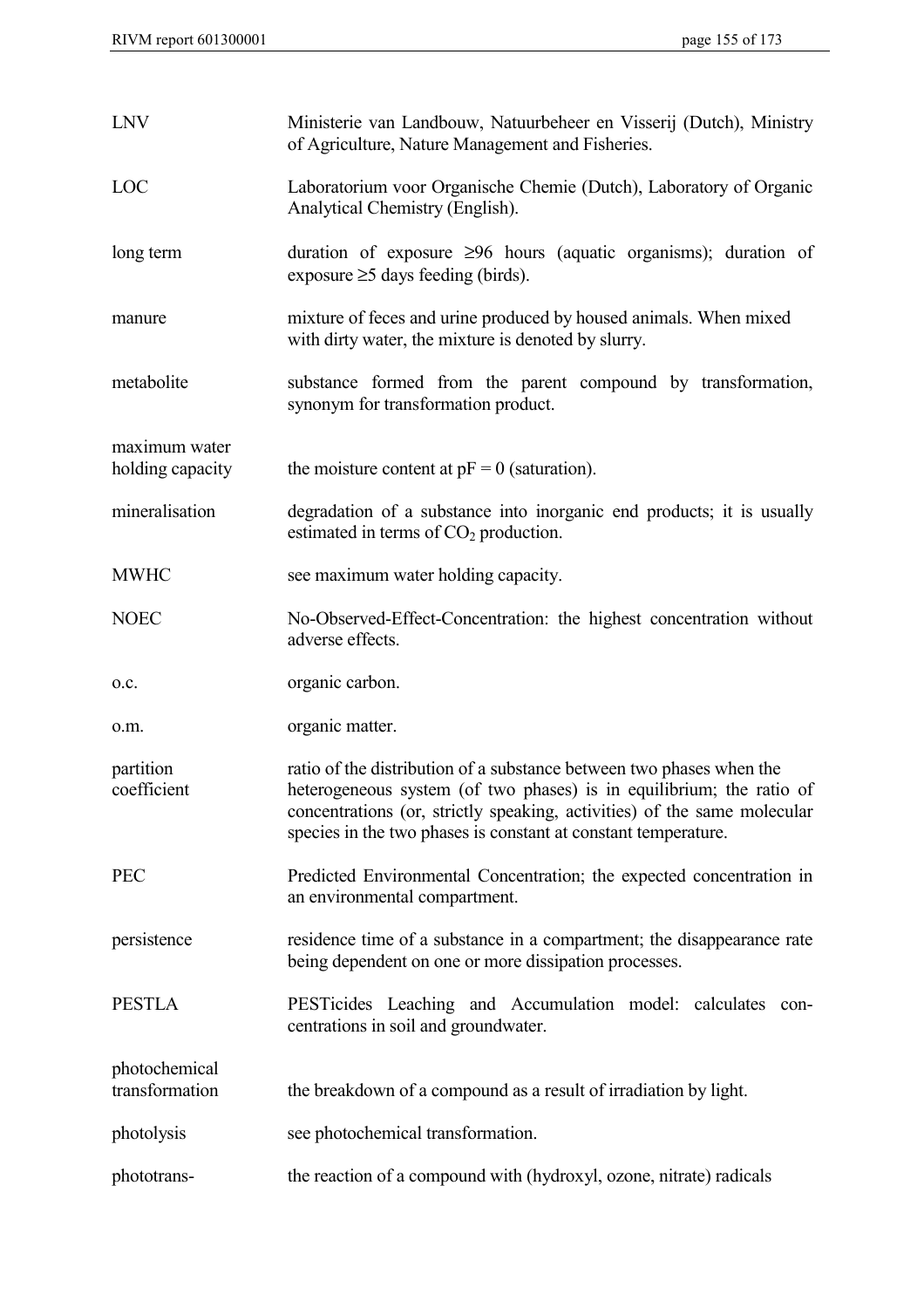| <b>LNV</b>                        | Ministerie van Landbouw, Natuurbeheer en Visserij (Dutch), Ministry<br>of Agriculture, Nature Management and Fisheries.                                                                                                                                                                    |
|-----------------------------------|--------------------------------------------------------------------------------------------------------------------------------------------------------------------------------------------------------------------------------------------------------------------------------------------|
| LOC                               | Laboratorium voor Organische Chemie (Dutch), Laboratory of Organic<br>Analytical Chemistry (English).                                                                                                                                                                                      |
| long term                         | duration of exposure $\geq 96$ hours (aquatic organisms); duration of<br>exposure $\geq$ 5 days feeding (birds).                                                                                                                                                                           |
| manure                            | mixture of feces and urine produced by housed animals. When mixed<br>with dirty water, the mixture is denoted by slurry.                                                                                                                                                                   |
| metabolite                        | substance formed from the parent compound by transformation,<br>synonym for transformation product.                                                                                                                                                                                        |
| maximum water<br>holding capacity | the moisture content at $pF = 0$ (saturation).                                                                                                                                                                                                                                             |
| mineralisation                    | degradation of a substance into inorganic end products; it is usually<br>estimated in terms of $CO2$ production.                                                                                                                                                                           |
| <b>MWHC</b>                       | see maximum water holding capacity.                                                                                                                                                                                                                                                        |
| <b>NOEC</b>                       | No-Observed-Effect-Concentration: the highest concentration without<br>adverse effects.                                                                                                                                                                                                    |
| 0.C.                              | organic carbon.                                                                                                                                                                                                                                                                            |
| 0.m.                              | organic matter.                                                                                                                                                                                                                                                                            |
| partition<br>coefficient          | ratio of the distribution of a substance between two phases when the<br>heterogeneous system (of two phases) is in equilibrium; the ratio of<br>concentrations (or, strictly speaking, activities) of the same molecular<br>species in the two phases is constant at constant temperature. |
| <b>PEC</b>                        | Predicted Environmental Concentration; the expected concentration in<br>an environmental compartment.                                                                                                                                                                                      |
| persistence                       | residence time of a substance in a compartment; the disappearance rate<br>being dependent on one or more dissipation processes.                                                                                                                                                            |
| <b>PESTLA</b>                     | PESTicides Leaching and Accumulation model: calculates<br>con-<br>centrations in soil and groundwater.                                                                                                                                                                                     |
| photochemical<br>transformation   | the breakdown of a compound as a result of irradiation by light.                                                                                                                                                                                                                           |
| photolysis                        | see photochemical transformation.                                                                                                                                                                                                                                                          |
| phototrans-                       | the reaction of a compound with (hydroxyl, ozone, nitrate) radicals                                                                                                                                                                                                                        |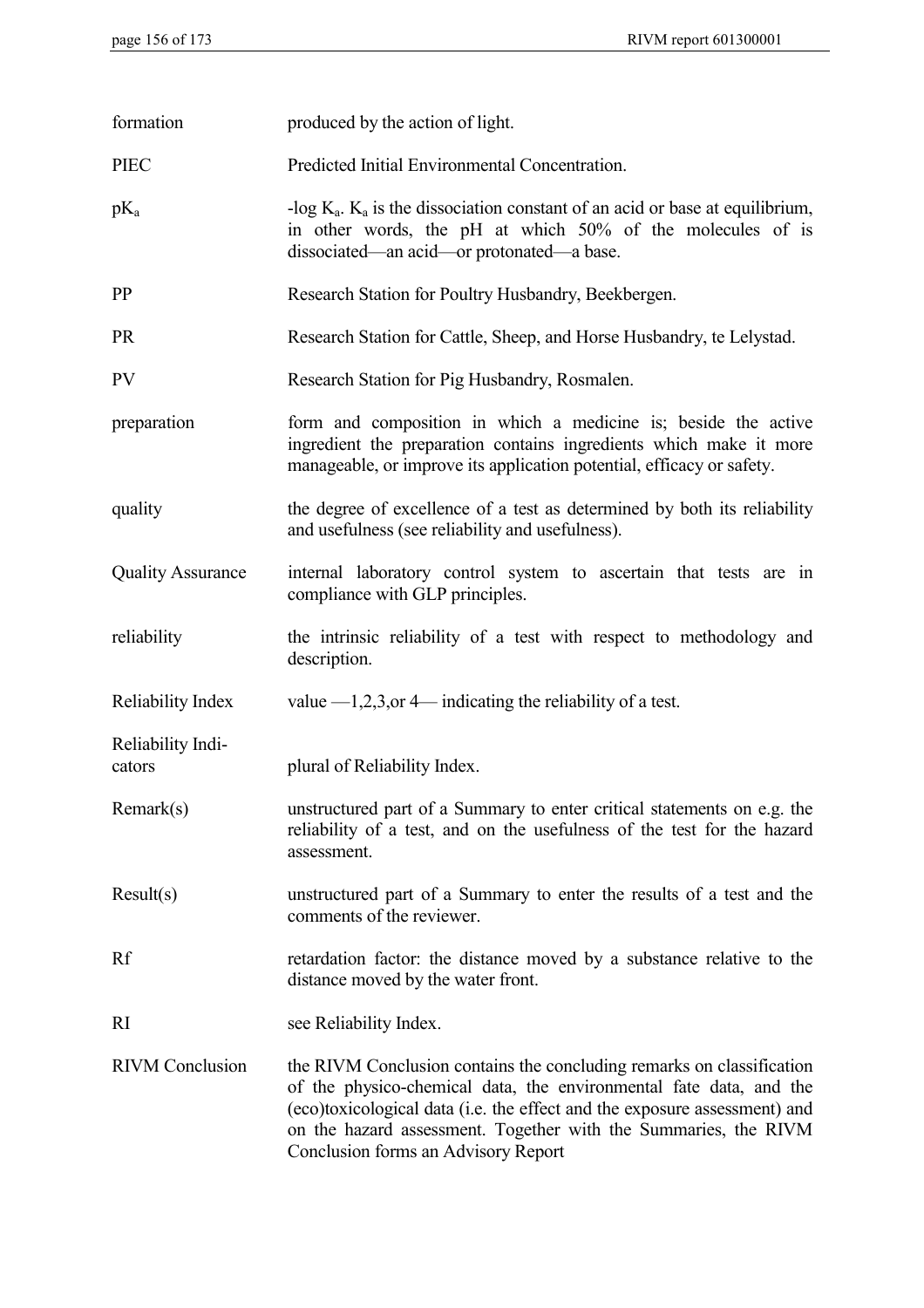| formation                   | produced by the action of light.                                                                                                                                                                                                                                                                                                   |
|-----------------------------|------------------------------------------------------------------------------------------------------------------------------------------------------------------------------------------------------------------------------------------------------------------------------------------------------------------------------------|
| <b>PIEC</b>                 | Predicted Initial Environmental Concentration.                                                                                                                                                                                                                                                                                     |
| $pK_a$                      | -log $K_a$ . $K_a$ is the dissociation constant of an acid or base at equilibrium,<br>in other words, the pH at which 50% of the molecules of is<br>dissociated—an acid—or protonated—a base.                                                                                                                                      |
| <b>PP</b>                   | Research Station for Poultry Husbandry, Beekbergen.                                                                                                                                                                                                                                                                                |
| <b>PR</b>                   | Research Station for Cattle, Sheep, and Horse Husbandry, te Lelystad.                                                                                                                                                                                                                                                              |
| <b>PV</b>                   | Research Station for Pig Husbandry, Rosmalen.                                                                                                                                                                                                                                                                                      |
| preparation                 | form and composition in which a medicine is, beside the active<br>ingredient the preparation contains ingredients which make it more<br>manageable, or improve its application potential, efficacy or safety.                                                                                                                      |
| quality                     | the degree of excellence of a test as determined by both its reliability<br>and usefulness (see reliability and usefulness).                                                                                                                                                                                                       |
| <b>Quality Assurance</b>    | internal laboratory control system to ascertain that tests are in<br>compliance with GLP principles.                                                                                                                                                                                                                               |
| reliability                 | the intrinsic reliability of a test with respect to methodology and<br>description.                                                                                                                                                                                                                                                |
| Reliability Index           | value $-1,2,3,$ or 4 indicating the reliability of a test.                                                                                                                                                                                                                                                                         |
| Reliability Indi-<br>cators | plural of Reliability Index.                                                                                                                                                                                                                                                                                                       |
| Remark(s)                   | unstructured part of a Summary to enter critical statements on e.g. the<br>reliability of a test, and on the usefulness of the test for the hazard<br>assessment.                                                                                                                                                                  |
| Result(s)                   | unstructured part of a Summary to enter the results of a test and the<br>comments of the reviewer.                                                                                                                                                                                                                                 |
| Rf                          | retardation factor: the distance moved by a substance relative to the<br>distance moved by the water front.                                                                                                                                                                                                                        |
| <sub>RI</sub>               | see Reliability Index.                                                                                                                                                                                                                                                                                                             |
| <b>RIVM</b> Conclusion      | the RIVM Conclusion contains the concluding remarks on classification<br>of the physico-chemical data, the environmental fate data, and the<br>(eco)toxicological data (i.e. the effect and the exposure assessment) and<br>on the hazard assessment. Together with the Summaries, the RIVM<br>Conclusion forms an Advisory Report |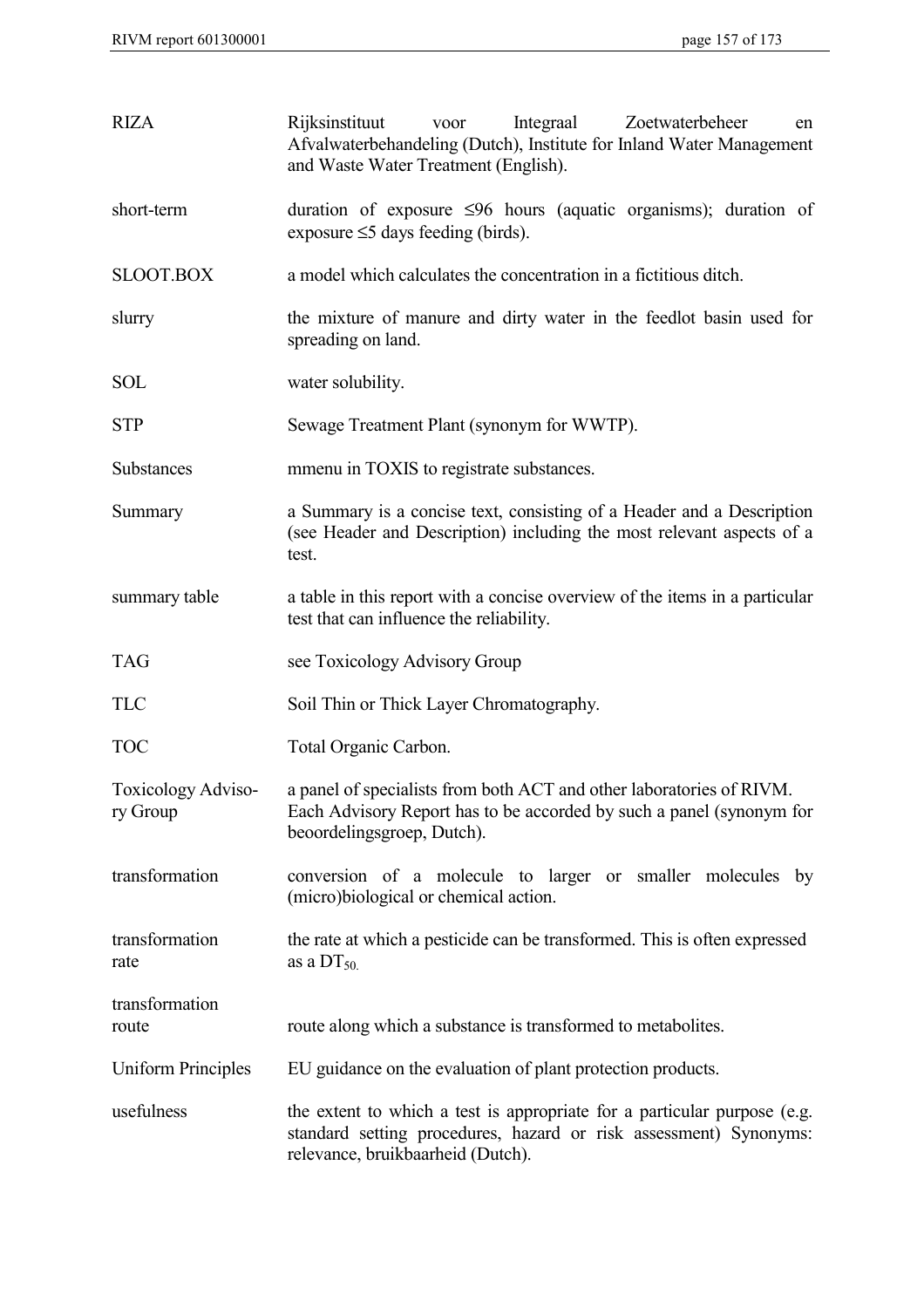| <b>RIZA</b>                    | Integraal<br>Rijksinstituut<br>Zoetwaterbeheer<br>voor<br>en<br>Afvalwaterbehandeling (Dutch), Institute for Inland Water Management<br>and Waste Water Treatment (English).       |
|--------------------------------|------------------------------------------------------------------------------------------------------------------------------------------------------------------------------------|
| short-term                     | duration of exposure $\leq 96$ hours (aquatic organisms); duration of<br>exposure $\leq$ 5 days feeding (birds).                                                                   |
| <b>SLOOT.BOX</b>               | a model which calculates the concentration in a fictitious ditch.                                                                                                                  |
| slurry                         | the mixture of manure and dirty water in the feedlot basin used for<br>spreading on land.                                                                                          |
| <b>SOL</b>                     | water solubility.                                                                                                                                                                  |
| <b>STP</b>                     | Sewage Treatment Plant (synonym for WWTP).                                                                                                                                         |
| <b>Substances</b>              | mmenu in TOXIS to registrate substances.                                                                                                                                           |
| Summary                        | a Summary is a concise text, consisting of a Header and a Description<br>(see Header and Description) including the most relevant aspects of a<br>test.                            |
| summary table                  | a table in this report with a concise overview of the items in a particular<br>test that can influence the reliability.                                                            |
| <b>TAG</b>                     | see Toxicology Advisory Group                                                                                                                                                      |
| <b>TLC</b>                     | Soil Thin or Thick Layer Chromatography.                                                                                                                                           |
| <b>TOC</b>                     | Total Organic Carbon.                                                                                                                                                              |
| Toxicology Adviso-<br>ry Group | a panel of specialists from both ACT and other laboratories of RIVM.<br>Each Advisory Report has to be accorded by such a panel (synonym for<br>beoordelingsgroep, Dutch).         |
| transformation                 | conversion of a molecule to larger or smaller molecules by<br>(micro)biological or chemical action.                                                                                |
| transformation<br>rate         | the rate at which a pesticide can be transformed. This is often expressed<br>as a $DT_{50}$                                                                                        |
| transformation<br>route        | route along which a substance is transformed to metabolites.                                                                                                                       |
| <b>Uniform Principles</b>      | EU guidance on the evaluation of plant protection products.                                                                                                                        |
| usefulness                     | the extent to which a test is appropriate for a particular purpose (e.g.<br>standard setting procedures, hazard or risk assessment) Synonyms:<br>relevance, bruikbaarheid (Dutch). |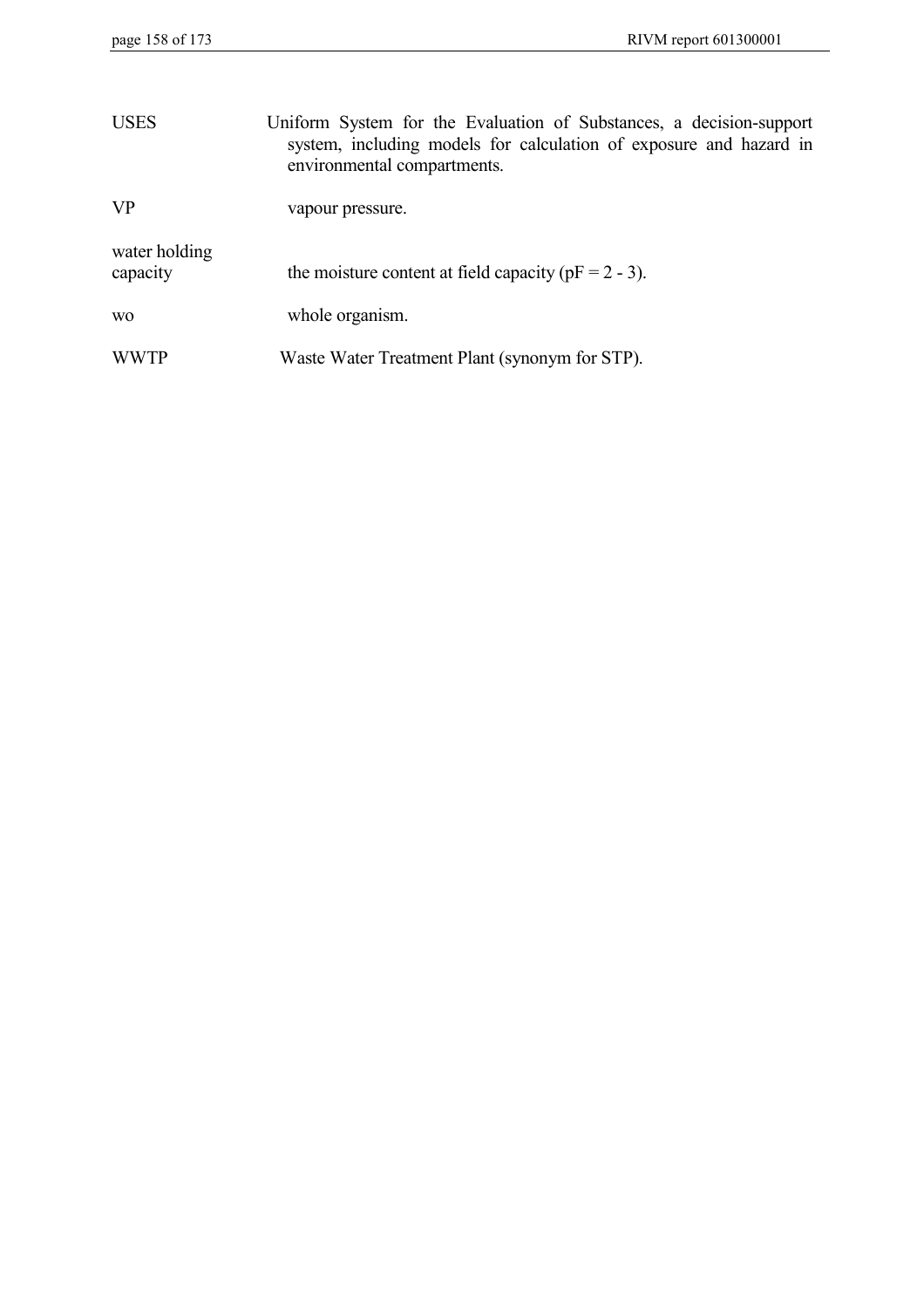| <b>USES</b>               | Uniform System for the Evaluation of Substances, a decision-support<br>system, including models for calculation of exposure and hazard in<br>environmental compartments. |
|---------------------------|--------------------------------------------------------------------------------------------------------------------------------------------------------------------------|
| <b>VP</b>                 | vapour pressure.                                                                                                                                                         |
| water holding<br>capacity | the moisture content at field capacity ( $pF = 2 - 3$ ).                                                                                                                 |
| W <sub>O</sub>            | whole organism.                                                                                                                                                          |
| <b>WWTP</b>               | Waste Water Treatment Plant (synonym for STP).                                                                                                                           |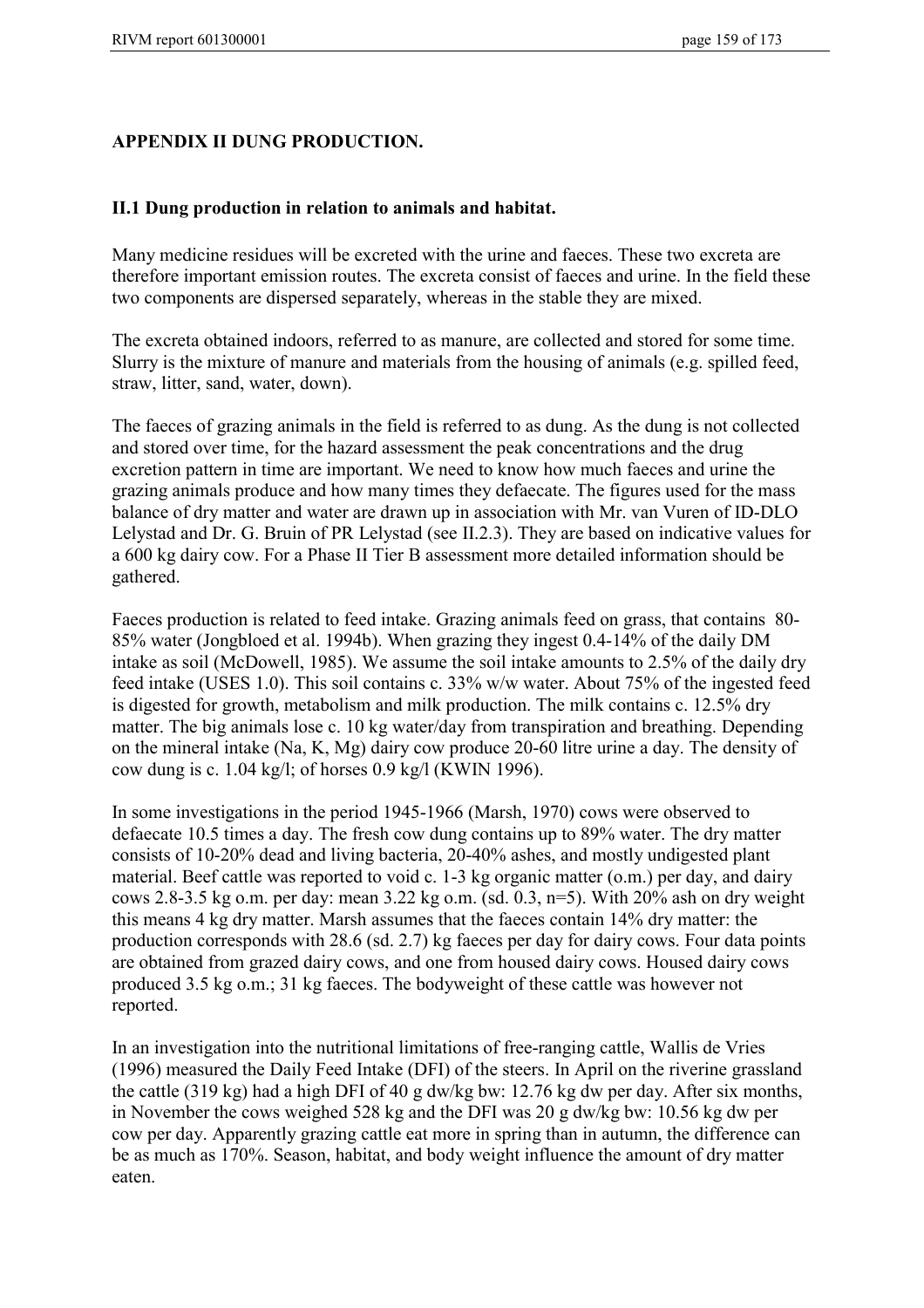## **APPENDIX II DUNG PRODUCTION.**

### **II.1 Dung production in relation to animals and habitat.**

Many medicine residues will be excreted with the urine and faeces. These two excreta are therefore important emission routes. The excreta consist of faeces and urine. In the field these two components are dispersed separately, whereas in the stable they are mixed.

The excreta obtained indoors, referred to as manure, are collected and stored for some time. Slurry is the mixture of manure and materials from the housing of animals (e.g. spilled feed, straw, litter, sand, water, down).

The faeces of grazing animals in the field is referred to as dung. As the dung is not collected and stored over time, for the hazard assessment the peak concentrations and the drug excretion pattern in time are important. We need to know how much faeces and urine the grazing animals produce and how many times they defaecate. The figures used for the mass balance of dry matter and water are drawn up in association with Mr. van Vuren of ID-DLO Lelystad and Dr. G. Bruin of PR Lelystad (see II.2.3). They are based on indicative values for a 600 kg dairy cow. For a Phase II Tier B assessment more detailed information should be gathered.

Faeces production is related to feed intake. Grazing animals feed on grass, that contains 80- 85% water (Jongbloed et al. 1994b). When grazing they ingest 0.4-14% of the daily DM intake as soil (McDowell, 1985). We assume the soil intake amounts to 2.5% of the daily dry feed intake (USES 1.0). This soil contains c. 33% w/w water. About 75% of the ingested feed is digested for growth, metabolism and milk production. The milk contains c. 12.5% dry matter. The big animals lose c. 10 kg water/day from transpiration and breathing. Depending on the mineral intake (Na, K, Mg) dairy cow produce 20-60 litre urine a day. The density of cow dung is c. 1.04 kg/l; of horses 0.9 kg/l (KWIN 1996).

In some investigations in the period 1945-1966 (Marsh, 1970) cows were observed to defaecate 10.5 times a day. The fresh cow dung contains up to 89% water. The dry matter consists of 10-20% dead and living bacteria, 20-40% ashes, and mostly undigested plant material. Beef cattle was reported to void c. 1-3 kg organic matter (o.m.) per day, and dairy cows 2.8-3.5 kg o.m. per day: mean 3.22 kg o.m. (sd. 0.3,  $n=5$ ). With 20% ash on dry weight this means 4 kg dry matter. Marsh assumes that the faeces contain 14% dry matter: the production corresponds with 28.6 (sd. 2.7) kg faeces per day for dairy cows. Four data points are obtained from grazed dairy cows, and one from housed dairy cows. Housed dairy cows produced 3.5 kg o.m.; 31 kg faeces. The bodyweight of these cattle was however not reported.

In an investigation into the nutritional limitations of free-ranging cattle, Wallis de Vries (1996) measured the Daily Feed Intake (DFI) of the steers. In April on the riverine grassland the cattle (319 kg) had a high DFI of 40 g dw/kg bw: 12.76 kg dw per day. After six months, in November the cows weighed 528 kg and the DFI was 20 g dw/kg bw: 10.56 kg dw per cow per day. Apparently grazing cattle eat more in spring than in autumn, the difference can be as much as 170%. Season, habitat, and body weight influence the amount of dry matter eaten.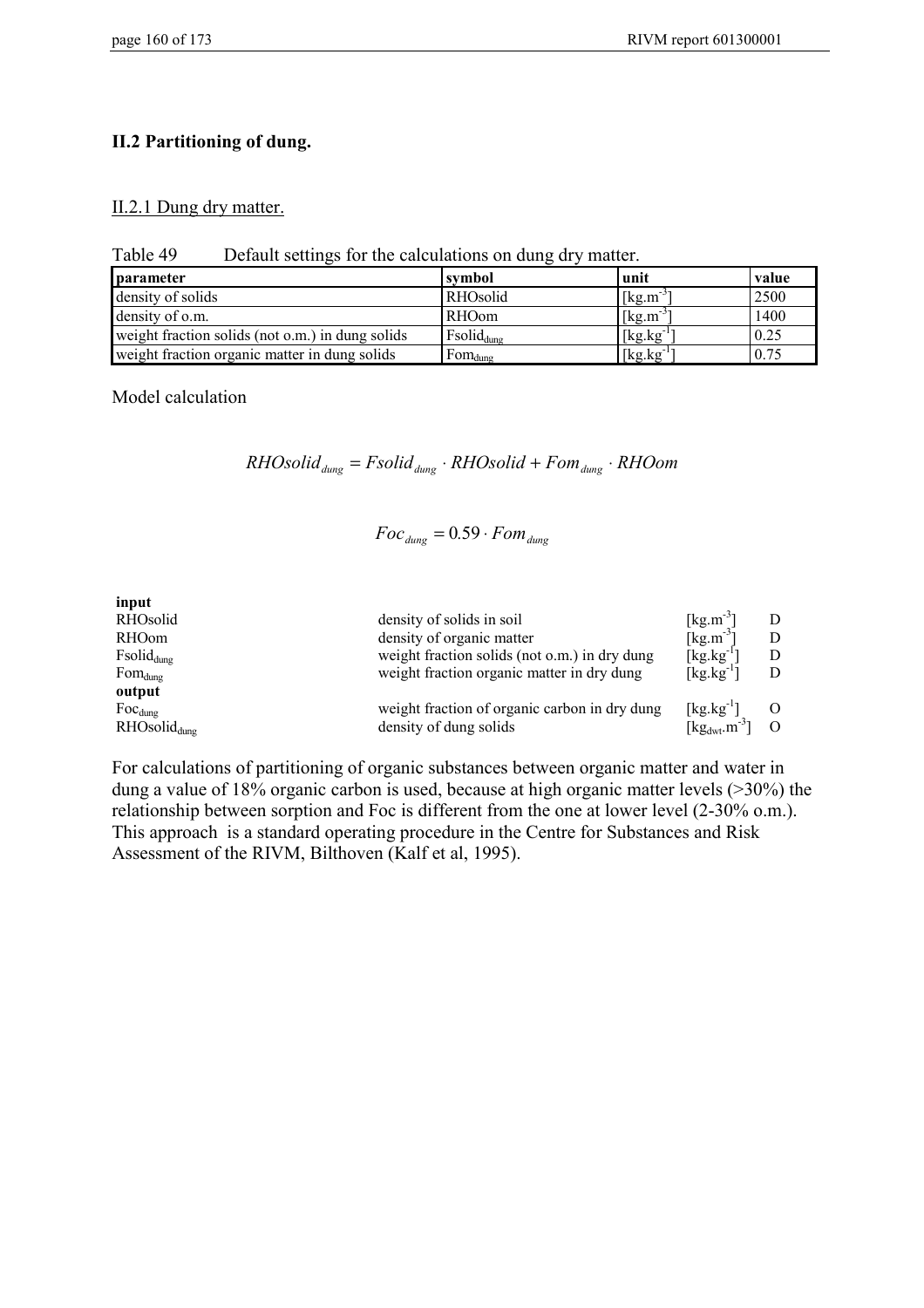### **II.2 Partitioning of dung.**

#### II.2.1 Dung dry matter.

Table 49 Default settings for the calculations on dung dry matter.

| <b>parameter</b>                                 | symbol                 | unit                            | value |
|--------------------------------------------------|------------------------|---------------------------------|-------|
| density of solids                                | RHOsolid               | $\left[\text{kg.m}^{-3}\right]$ | 2500  |
| density of o.m.                                  | <b>RHOom</b>           | $[kg.m^3]$                      | 1400  |
| weight fraction solids (not o.m.) in dung solids | Fsolid <sub>dung</sub> | $[kg.kg^{-1}]$                  | 0.25  |
| weight fraction organic matter in dung solids    | $Fom_{dung}$           | $[kg.kg^{-1}]$                  | 0.75  |

Model calculation

 $RHO solid_{dung} = Fsolid_{dung} \cdot RHO solid + Fom_{dung} \cdot RHO$ 

$$
Foc_{dung} = 0.59 \cdot Fom_{dung}
$$

| input                    |                                               |                                                            |          |
|--------------------------|-----------------------------------------------|------------------------------------------------------------|----------|
| RHOsolid                 | density of solids in soil                     | $\lceil \text{kg} \cdot \text{m}^{-3} \rceil$              |          |
| RHOom                    | density of organic matter                     | [ $kg.m^{-3}$ ]                                            |          |
| $Fsolid_{dung}$          | weight fraction solids (not o.m.) in dry dung | $\left[\text{kg}.\text{kg}^{-1}\right]$                    |          |
| $Fom_{dung}$             | weight fraction organic matter in dry dung    | $[kg.kg^{-1}]$                                             |          |
| output                   |                                               |                                                            |          |
| $Foc_{dung}$             | weight fraction of organic carbon in dry dung | $[\text{kg}.\text{kg}^{-1}]$                               |          |
| RHOsolid <sub>dung</sub> | density of dung solids                        | $\lceil \text{kg}_{\text{dwt}} \cdot \text{m}^{-3} \rceil$ | $\Omega$ |

For calculations of partitioning of organic substances between organic matter and water in dung a value of 18% organic carbon is used, because at high organic matter levels (>30%) the relationship between sorption and Foc is different from the one at lower level (2-30% o.m.). This approach is a standard operating procedure in the Centre for Substances and Risk Assessment of the RIVM, Bilthoven (Kalf et al, 1995).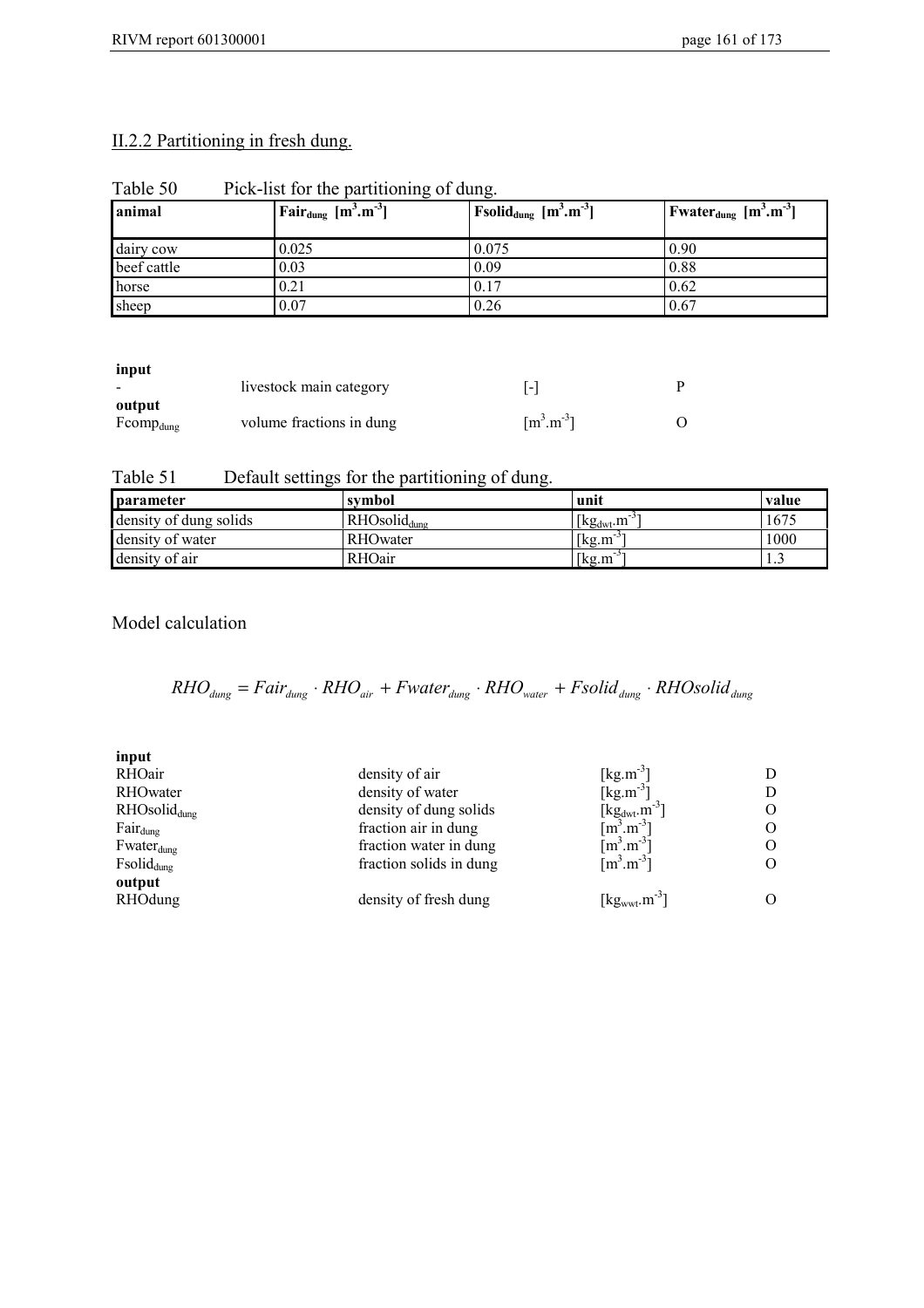## II.2.2 Partitioning in fresh dung.

| animal      | <sup>1</sup> Fair <sub>dung</sub> $[m^3.m^3]$ | Fsolid <sub>dung</sub> $[m^3.m^{-3}]$ | <b>F</b> water <sub>dung</sub> $[m^3.m^{-3}]$ |  |
|-------------|-----------------------------------------------|---------------------------------------|-----------------------------------------------|--|
| dairy cow   | 0.025                                         | 0.075                                 | 0.90                                          |  |
| beef cattle | 0.03                                          | 0.09                                  | 0.88                                          |  |
| horse       | 0.21                                          | 0.17                                  | 0.62                                          |  |
| sheep       | 0.07                                          | 0.26                                  | 0.67                                          |  |

Table 50 Pick-list for the partitioning of dung.

**input**

| mput                     | livestock main category  | $\blacksquare$                   |  |
|--------------------------|--------------------------|----------------------------------|--|
| output<br>$Fcomp_{dung}$ | volume fractions in dung | $\lceil m^3 \cdot m^{-3} \rceil$ |  |

Table 51 Default settings for the partitioning of dung.

| parameter              | symbol                   | unit                                            | value |
|------------------------|--------------------------|-------------------------------------------------|-------|
| density of dung solids | RHOsolid <sub>dung</sub> | $\left  \text{kg}_{\text{dwt}}\text{m} \right $ | 1675  |
| density of water       | <b>RHO</b> water         | [kg.m                                           | 1000  |
| density of air         | RHOair                   | [kg.m]                                          | ر. 1  |

Model calculation

$$
RHO_{dung} = Fair_{dung} \cdot RHO_{air} + Fwater_{dung} \cdot RHO_{water} + Fsolid_{dung} \cdot RHO solid_{dung}
$$

| input             |                         |                                                                             |               |
|-------------------|-------------------------|-----------------------------------------------------------------------------|---------------|
| RHOair            | density of air          | $[\text{kg}.\text{m}^{-3}]$                                                 |               |
| RHOwater          | density of water        | [ $kg.m^{-3}$ ]                                                             | D             |
| $RHOsolid_{dung}$ | density of dung solids  | [kg <sub>dwt</sub> .m <sup>-3</sup> ]<br>[m <sup>3</sup> .m <sup>-3</sup> ] | O             |
| $Fair_{dung}$     | fraction air in dung    |                                                                             | O             |
| $Fwater_{dung}$   | fraction water in dung  | $\lceil m^3.m^{-3} \rceil$                                                  | O             |
| $Fsolid_{dung}$   | fraction solids in dung | $\left[\text{m}^3.\text{m}^3\right]$                                        | O             |
| output            |                         |                                                                             |               |
| RHOdung           | density of fresh dung   | $\left[\text{kg}_{\text{wwt}}\text{.m}^{-3}\right]$                         | $\mathcal{O}$ |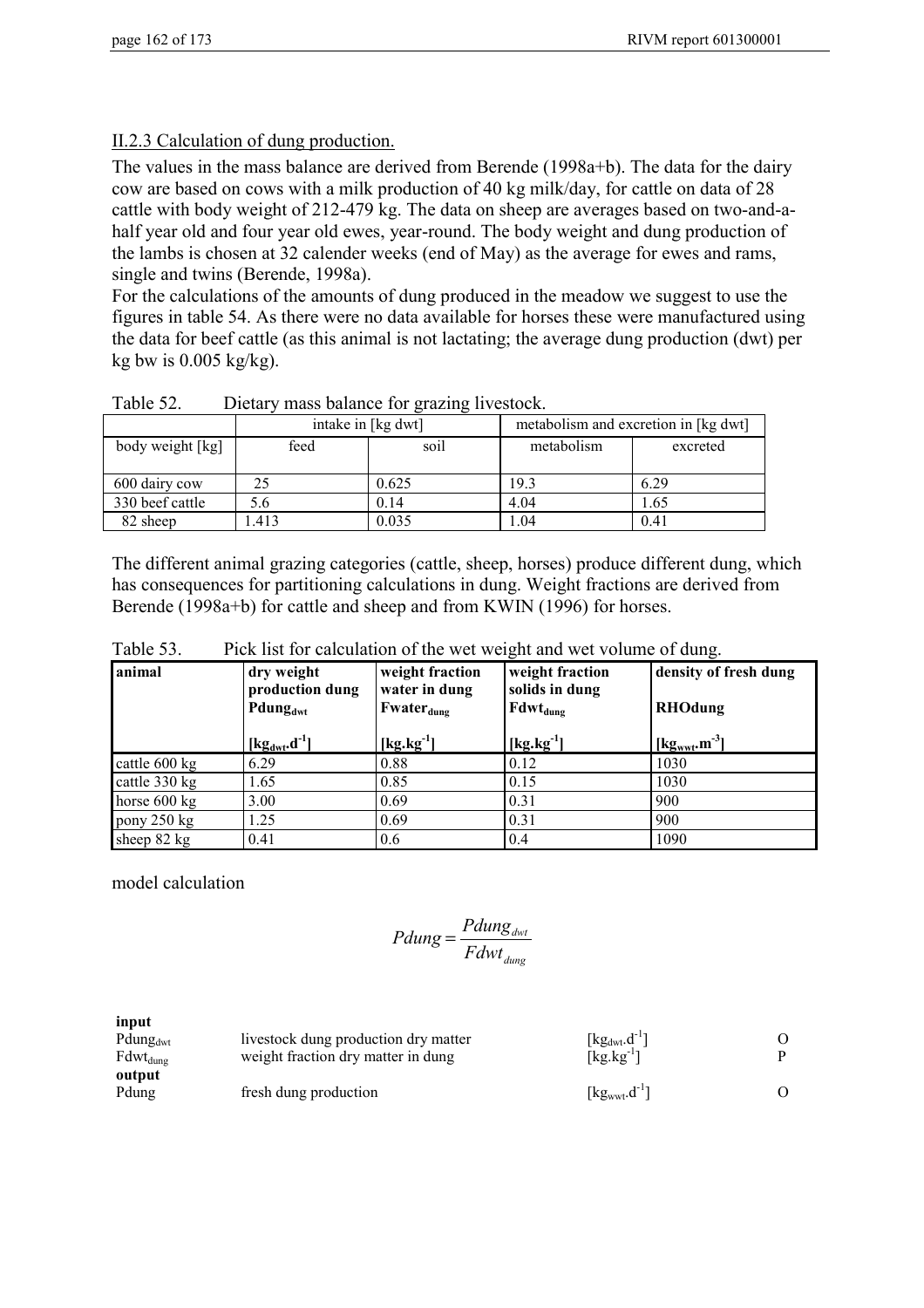## II.2.3 Calculation of dung production.

The values in the mass balance are derived from Berende (1998a+b). The data for the dairy cow are based on cows with a milk production of 40 kg milk/day, for cattle on data of 28 cattle with body weight of 212-479 kg. The data on sheep are averages based on two-and-ahalf year old and four year old ewes, year-round. The body weight and dung production of the lambs is chosen at 32 calender weeks (end of May) as the average for ewes and rams, single and twins (Berende, 1998a).

For the calculations of the amounts of dung produced in the meadow we suggest to use the figures in table 54. As there were no data available for horses these were manufactured using the data for beef cattle (as this animal is not lactating; the average dung production (dwt) per kg bw is  $0.005$  kg/kg).

|                  |      | intake in [kg dwt] |            | metabolism and excretion in [kg dwt] |
|------------------|------|--------------------|------------|--------------------------------------|
| body weight [kg] | feed | soil               | metabolism | excreted                             |
| 600 dairy cow    | 25   | 0.625              | 19.3       | 6.29                                 |
| 330 beef cattle  | 5.6  | 0.14               | 4.04       | 1.65                                 |
| 82 sheep         | .413 | 0.035              | i.04       | 0.41                                 |

Table 52. Dietary mass balance for grazing livestock.

The different animal grazing categories (cattle, sheep, horses) produce different dung, which has consequences for partitioning calculations in dung. Weight fractions are derived from Berende (1998a+b) for cattle and sheep and from KWIN (1996) for horses.

| Lonimal   | $_{\text{dust model}}$                                              | world freedom work freedom | Longity of froch |
|-----------|---------------------------------------------------------------------|----------------------------|------------------|
| Table 53. | Pick list for calculation of the wet weight and wet volume of dung. |                            |                  |

| animal        | dry weight<br>production dung<br>Pdung <sub>dwt</sub><br>$\left[\text{kg}_{\text{dwt}}\text{.}d^{-1}\right]$ | weight fraction<br>water in dung<br>$Fwater_{dung}$<br>$[kg.kg^{-1}]$ | weight fraction<br>solids in dung<br>$\text{Fdwt}_{\text{dung}}$<br>$[kg.kg^{-1}]$ | density of fresh dung<br><b>RHOdung</b><br>$\left[\text{kg}_{\text{wwt}}\text{.m}^3\right]$ |
|---------------|--------------------------------------------------------------------------------------------------------------|-----------------------------------------------------------------------|------------------------------------------------------------------------------------|---------------------------------------------------------------------------------------------|
| cattle 600 kg | 6.29                                                                                                         | 0.88                                                                  | 0.12                                                                               | 1030                                                                                        |
| cattle 330 kg | 1.65                                                                                                         | 0.85                                                                  | 0.15                                                                               | 1030                                                                                        |
| horse 600 kg  | 3.00                                                                                                         | 0.69                                                                  | 0.31                                                                               | 900                                                                                         |
| pony 250 kg   | 1.25                                                                                                         | 0.69                                                                  | 0.31                                                                               | 900                                                                                         |
| sheep 82 kg   | 0.41                                                                                                         | 0.6                                                                   | 0.4                                                                                | 1090                                                                                        |

model calculation

$$
Pdung = \frac{Pdung_{\text{dwt}}}{Fdwt_{\text{dung}}}
$$

**input** Pdung<sub>dwt</sub> livestock dung production dry matter  $[kg_{dur}.d^{-1}]$  O<br>Fdwt<sub>dung</sub> weight fraction dry matter in dung  $[kg.kg^{-1}]$  P Fdwt<sub>dung</sub> weight fraction dry matter in dung **output** Pdung fresh dung production  $[\text{kg}_{\text{wwt}} \cdot \text{d}^{-1}]$  O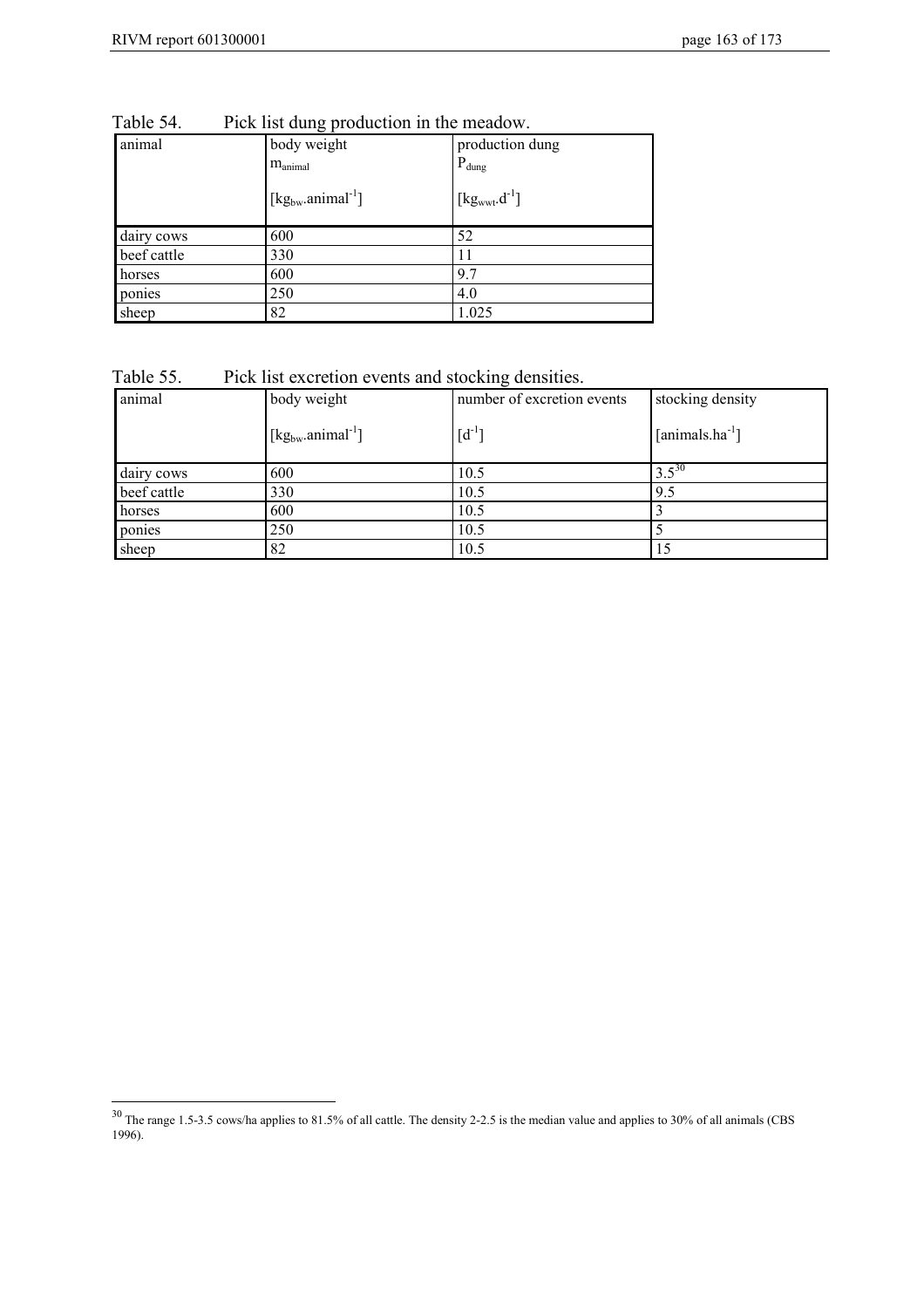$\overline{a}$ 

| animal      | body weight<br>$m_{\text{animal}}$ | production dung<br>$P_{dung}$ |
|-------------|------------------------------------|-------------------------------|
|             | $[kg_{bw}.animal^{-1}]$            | $[kg_{wwt}.d^{-1}]$           |
| dairy cows  | 600                                | 52                            |
| beef cattle | 330                                | 11                            |
| horses      | 600                                | 9.7                           |
| ponies      | 250                                | 4.0                           |
| sheep       | 82                                 | 1.025                         |

Table 54. Pick list dung production in the meadow.

| Table 55. |  | Pick list excretion events and stocking densities. |  |
|-----------|--|----------------------------------------------------|--|
|           |  |                                                    |  |

| animal      | body weight             | number of excretion events | stocking density            |
|-------------|-------------------------|----------------------------|-----------------------------|
|             | $[kg_{bw}.animal^{-1}]$ | $[d^{-1}]$                 | [animals.ha <sup>-1</sup> ] |
| dairy cows  | 600                     | 10.5                       | $3.5^{30}$                  |
| beef cattle | 330                     | 10.5                       | 9.5                         |
| horses      | 600                     | 10.5                       |                             |
| ponies      | 250                     | 10.5                       |                             |
| sheep       | 82                      | 10.5                       |                             |

 $30$  The range 1.5-3.5 cows/ha applies to 81.5% of all cattle. The density 2-2.5 is the median value and applies to 30% of all animals (CBS 1996).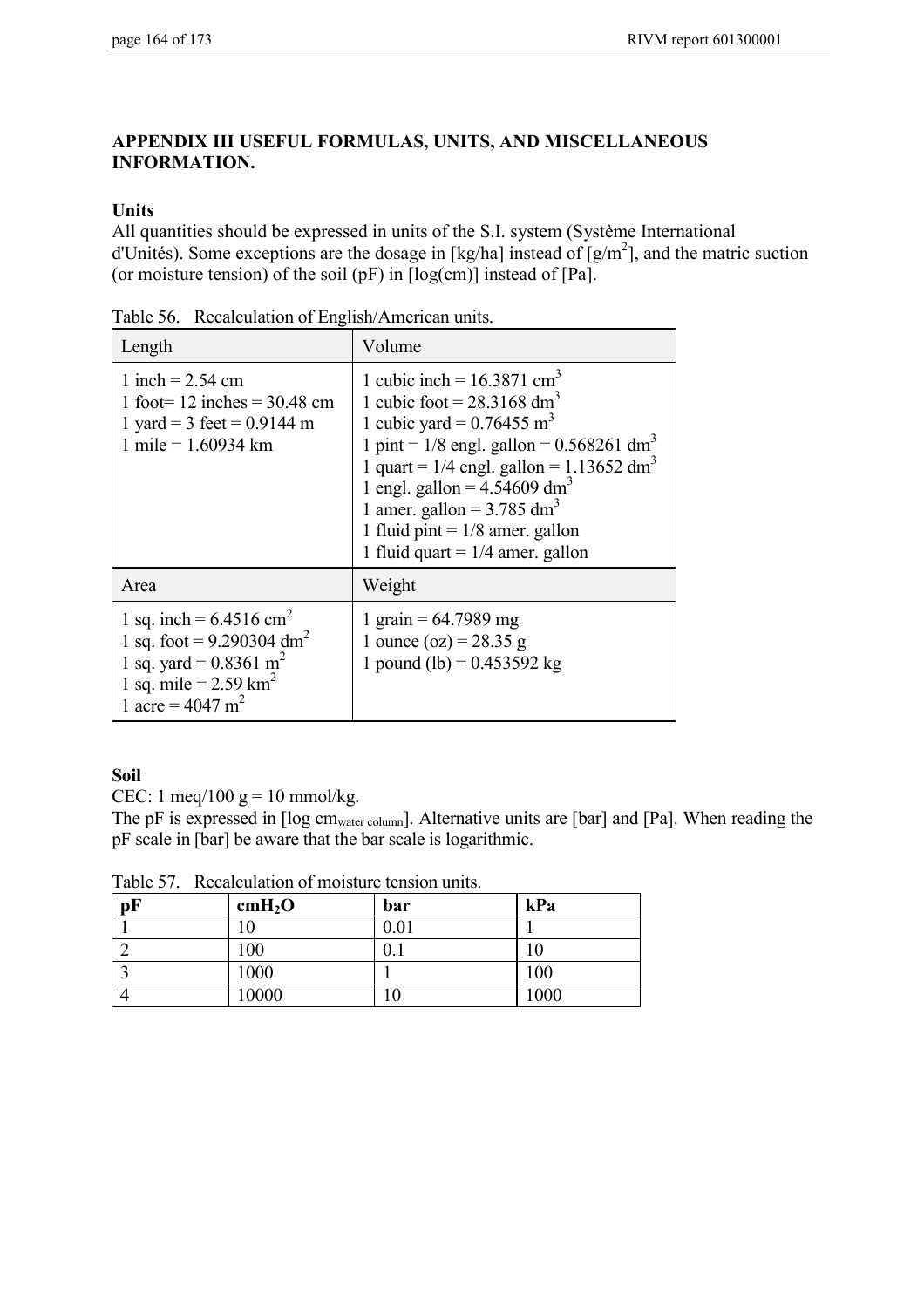### **APPENDIX III USEFUL FORMULAS, UNITS, AND MISCELLANEOUS INFORMATION.**

### **Units**

All quantities should be expressed in units of the S.I. system (Système International d'Unités). Some exceptions are the dosage in [kg/ha] instead of  $[g/m^2]$ , and the matric suction (or moisture tension) of the soil  $(pF)$  in  $[log(cm)]$  instead of  $[Pa]$ .

| Length                                                                                                                                                                                      | Volume                                                                                                                                                                                                                                                                                                                                                                                                                   |
|---------------------------------------------------------------------------------------------------------------------------------------------------------------------------------------------|--------------------------------------------------------------------------------------------------------------------------------------------------------------------------------------------------------------------------------------------------------------------------------------------------------------------------------------------------------------------------------------------------------------------------|
| 1 inch = $2.54$ cm<br>1 foot = 12 inches = $30.48$ cm<br>1 yard = 3 feet = $0.9144$ m<br>1 mile = $1.60934$ km                                                                              | 1 cubic inch = $16.3871$ cm <sup>3</sup><br>1 cubic foot = $28.3168$ dm <sup>3</sup><br>1 cubic yard = $0.76455$ m <sup>3</sup><br>1 pint = $1/8$ engl. gallon = 0.568261 dm <sup>3</sup><br>1 quart = $1/4$ engl. gallon = 1.13652 dm <sup>3</sup><br>1 engl. gallon = $4.54609$ dm <sup>3</sup><br>1 amer. gallon = $3.785$ dm <sup>3</sup><br>1 fluid pint = $1/8$ amer. gallon<br>1 fluid quart = $1/4$ amer. gallon |
| Area                                                                                                                                                                                        | Weight                                                                                                                                                                                                                                                                                                                                                                                                                   |
| 1 sq. inch = $6.4516$ cm <sup>2</sup><br>1 sq. foot = $9.290304$ dm <sup>2</sup><br>1 sq. yard = $0.8361$ m <sup>2</sup><br>1 sq. mile = $2.59 \text{ km}^2$<br>1 acre = $4047 \text{ m}^2$ | 1 grain = $64.7989$ mg<br>1 ounce (oz) = $28.35$ g<br>1 pound (lb) = $0.453592$ kg                                                                                                                                                                                                                                                                                                                                       |

Table 56. Recalculation of English/American units.

### **Soil**

CEC: 1 meq/100  $g = 10$  mmol/kg.

The pF is expressed in [log cmwater column]. Alternative units are [bar] and [Pa]. When reading the pF scale in [bar] be aware that the bar scale is logarithmic.

Table 57. Recalculation of moisture tension units.

| pF | cmH <sub>2</sub> O | bar  | kPa  |
|----|--------------------|------|------|
|    |                    | 0.01 |      |
|    | 100                | 0.1  | 10   |
| ◠  | 1000               |      | 100  |
|    | 10000              | 10   | 1000 |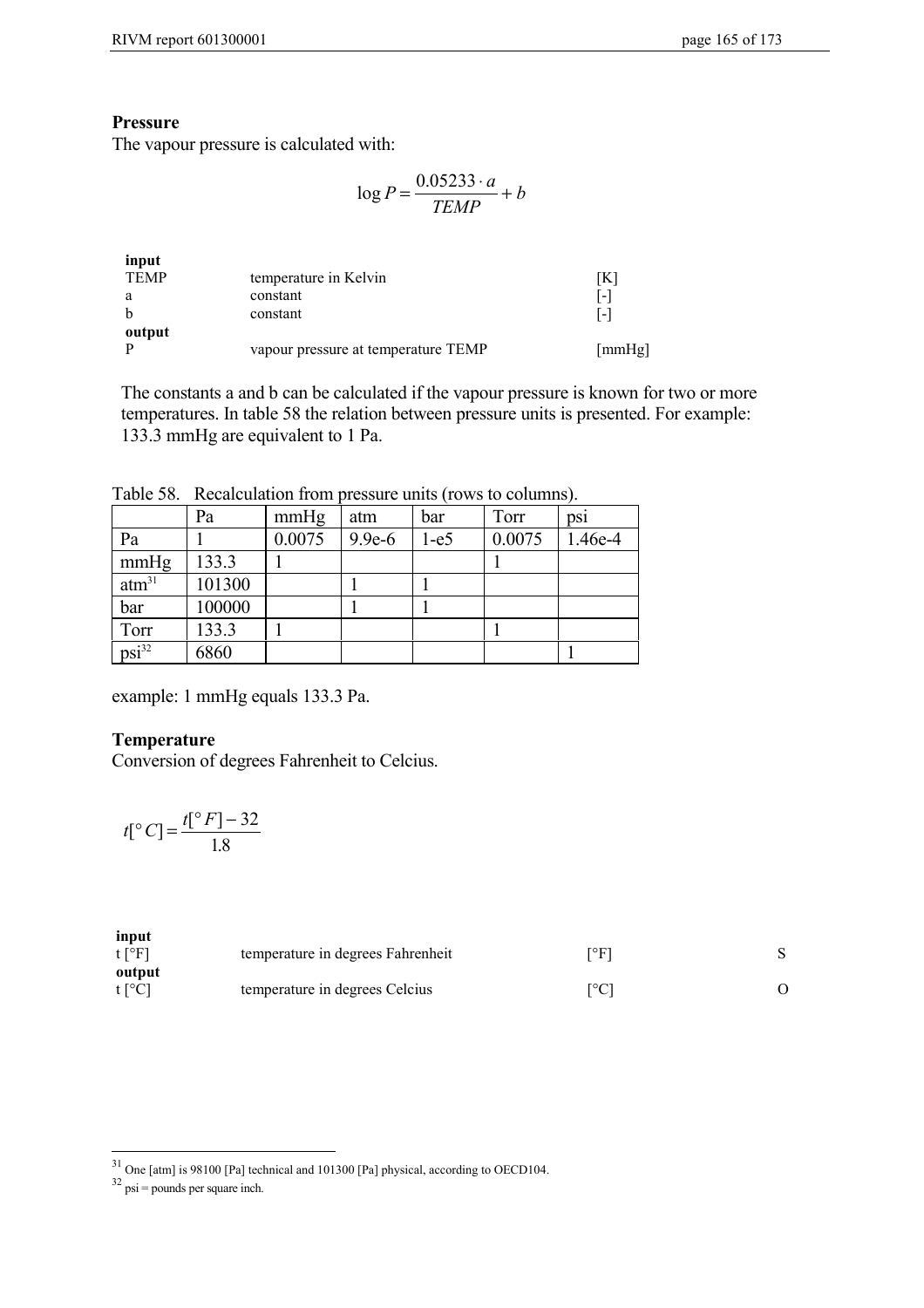### **Pressure**

The vapour pressure is calculated with:

$$
\log P = \frac{0.05233 \cdot a}{TEMP} + b
$$

| [mmHg] |
|--------|
|        |

The constants a and b can be calculated if the vapour pressure is known for two or more temperatures. In table 58 the relation between pressure units is presented. For example: 133.3 mmHg are equivalent to 1 Pa.

Table 58. Recalculation from pressure units (rows to columns).

|                   | Pa     | mmHg   | atm      | bar    | Torr   | DS1     |
|-------------------|--------|--------|----------|--------|--------|---------|
| Pa                |        | 0.0075 | $9.9e-6$ | $1-e5$ | 0.0075 | 1.46e-4 |
| mmHg              | 133.3  |        |          |        |        |         |
| atm <sup>31</sup> | 101300 |        |          |        |        |         |
| bar               | 100000 |        |          |        |        |         |
| Torr              | 133.3  |        |          |        |        |         |
| $psi^{32}$        | 6860   |        |          |        |        |         |

example: 1 mmHg equals 133.3 Pa.

### **Temperature**

Conversion of degrees Fahrenheit to Celcius.

$$
t[°C] = \frac{t[°F] - 32}{1.8}
$$

| input<br>$t$ [ <sup>o</sup> F] | temperature in degrees Fahrenheit | [°F] |  |
|--------------------------------|-----------------------------------|------|--|
| output<br>$t[^{\circ}C]$       | temperature in degrees Celcius    | [°C] |  |

 $\overline{a}$ 

 $31$  One [atm] is 98100 [Pa] technical and 101300 [Pa] physical, according to OECD104.

 $32 \text{ psi} = \text{pounds per square inch.}$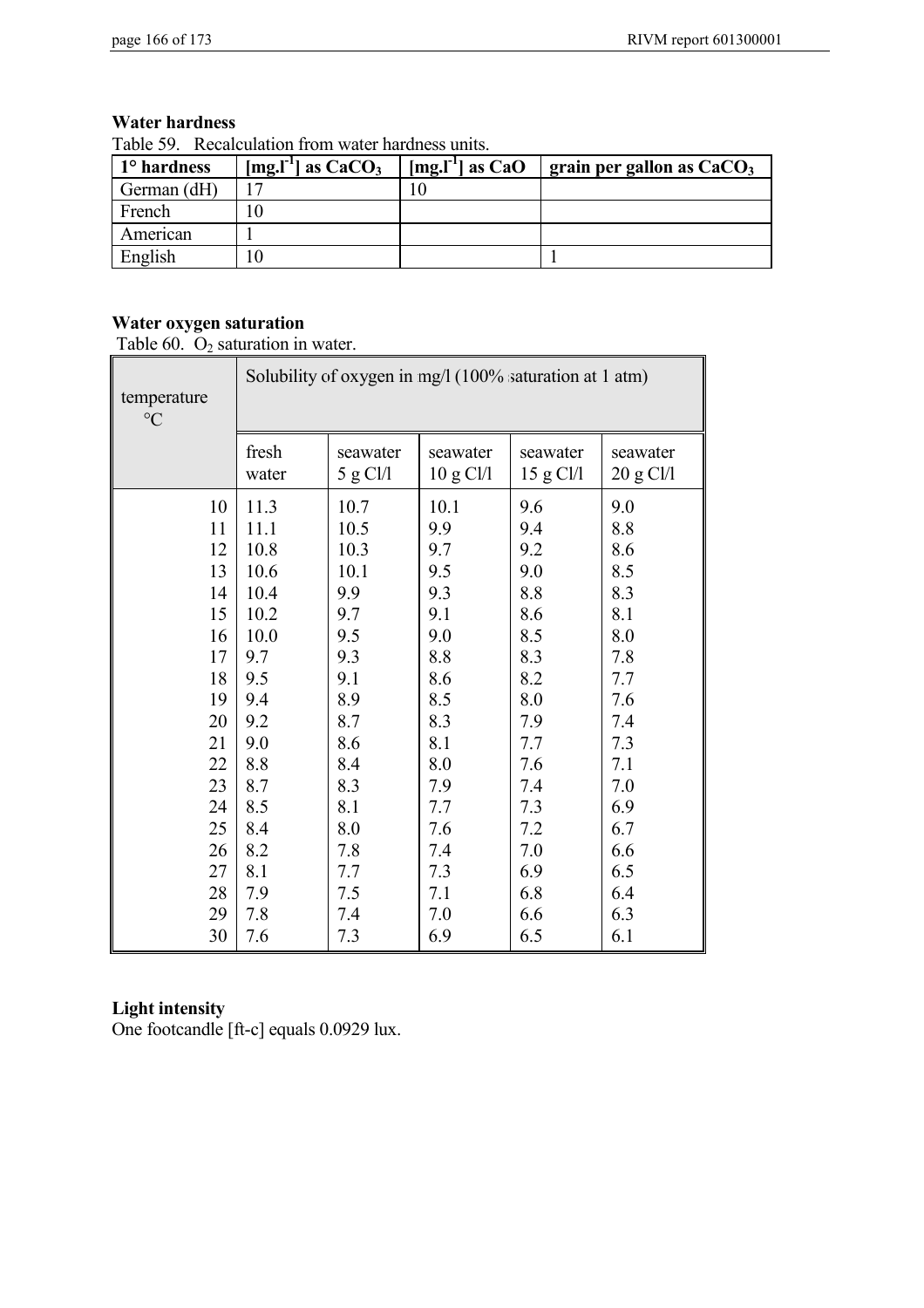### **Water hardness**

Table 59. Recalculation from water hardness units.

| 1 <sup>o</sup> hardness | [mg.l <sup>-1</sup> ] as $CaCO3$ | $[mg.l-1]$ as CaO | grain per gallon as $CaCO3$ |
|-------------------------|----------------------------------|-------------------|-----------------------------|
| German (dH)             |                                  |                   |                             |
| French                  |                                  |                   |                             |
| American                |                                  |                   |                             |
| English                 |                                  |                   |                             |

# **Water oxygen saturation**

Table  $60.$   $O_2$  saturation in water.

| temperature<br>$\rm ^{\circ}C$ | Solubility of oxygen in mg/l (100% saturation at 1 atm) |          |           |           |           |
|--------------------------------|---------------------------------------------------------|----------|-----------|-----------|-----------|
|                                | fresh                                                   | seawater | seawater  | seawater  | seawater  |
|                                | water                                                   | 5 g Cl/l | 10 g Cl/l | 15 g Cl/l | 20 g Cl/l |
| 10                             | 11.3                                                    | 10.7     | 10.1      | 9.6       | 9.0       |
| 11                             | 11.1                                                    | 10.5     | 9.9       | 9.4       | 8.8       |
| 12                             | 10.8                                                    | 10.3     | 9.7       | 9.2       | 8.6       |
| 13                             | 10.6                                                    | 10.1     | 9.5       | 9.0       | 8.5       |
| 14                             | 10.4                                                    | 9.9      | 9.3       | 8.8       | 8.3       |
| 15                             | 10.2                                                    | 9.7      | 9.1       | 8.6       | 8.1       |
| 16                             | 10.0                                                    | 9.5      | 9.0       | 8.5       | 8.0       |
| 17                             | 9.7                                                     | 9.3      | 8.8       | 8.3       | 7.8       |
| 18                             | 9.5                                                     | 9.1      | 8.6       | 8.2       | 7.7       |
| 19                             | 9.4                                                     | 8.9      | 8.5       | 8.0       | 7.6       |
| 20                             | 9.2                                                     | 8.7      | 8.3       | 7.9       | 7.4       |
| 21                             | 9.0                                                     | 8.6      | 8.1       | 7.7       | 7.3       |
| 22                             | 8.8                                                     | 8.4      | 8.0       | 7.6       | 7.1       |
| 23                             | 8.7                                                     | 8.3      | 7.9       | 7.4       | 7.0       |
| 24                             | 8.5                                                     | 8.1      | 7.7       | 7.3       | 6.9       |
| 25                             | 8.4                                                     | 8.0      | 7.6       | 7.2       | 6.7       |
| 26                             | 8.2                                                     | 7.8      | 7.4       | 7.0       | 6.6       |
| 27                             | 8.1                                                     | 7.7      | 7.3       | 6.9       | 6.5       |
| 28                             | 7.9                                                     | 7.5      | 7.1       | 6.8       | 6.4       |
| 29                             | 7.8                                                     | 7.4      | 7.0       | 6.6       | 6.3       |
| 30                             | 7.6                                                     | 7.3      | 6.9       | 6.5       | 6.1       |

## **Light intensity**

One footcandle [ft-c] equals 0.0929 lux.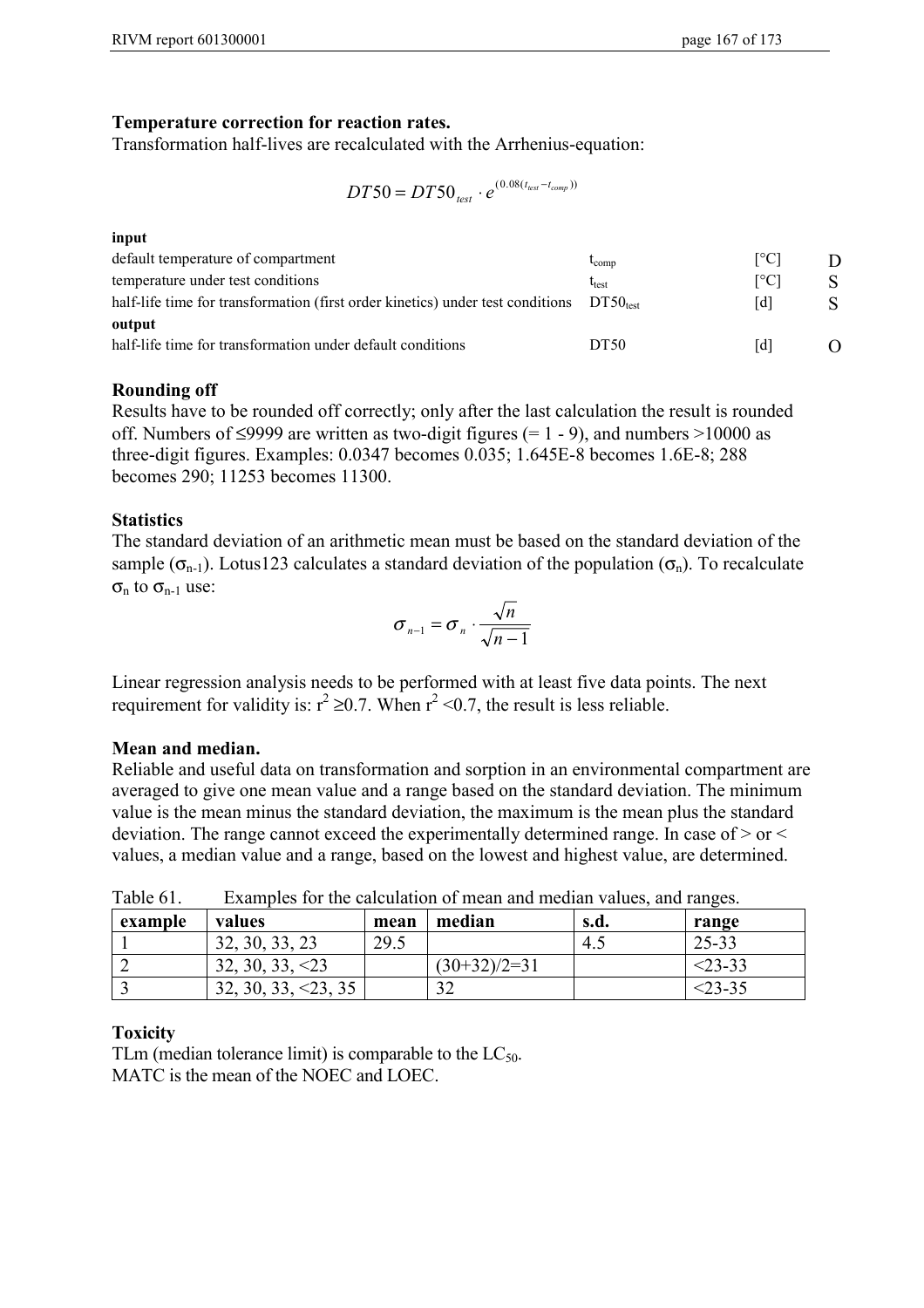### **Temperature correction for reaction rates.**

Transformation half-lives are recalculated with the Arrhenius-equation:

$$
DT50 = DT50_{test} \cdot e^{(0.08(t_{test} - t_{comp}))}
$$

| input                                                                                     |                |                          |   |
|-------------------------------------------------------------------------------------------|----------------|--------------------------|---|
| default temperature of compartment                                                        | $t_{\rm comp}$ | $\Gamma$ <sup>o</sup> Cl |   |
| temperature under test conditions                                                         | $\rm t_{test}$ | [°C]                     |   |
| half-life time for transformation (first order kinetics) under test conditions $DT50test$ |                | [d]                      | S |
| output                                                                                    |                |                          |   |
| half-life time for transformation under default conditions                                | DT50           | [d]                      |   |

### **Rounding off**

Results have to be rounded off correctly; only after the last calculation the result is rounded off. Numbers of  $\leq$ 9999 are written as two-digit figures (= 1 - 9), and numbers >10000 as three-digit figures. Examples: 0.0347 becomes 0.035; 1.645E-8 becomes 1.6E-8; 288 becomes 290; 11253 becomes 11300.

### **Statistics**

The standard deviation of an arithmetic mean must be based on the standard deviation of the sample ( $\sigma_{n-1}$ ). Lotus123 calculates a standard deviation of the population ( $\sigma_n$ ). To recalculate  $\sigma_n$  to  $\sigma_{n-1}$  use:

$$
\sigma_{n-1} = \sigma_n \cdot \frac{\sqrt{n}}{\sqrt{n-1}}
$$

Linear regression analysis needs to be performed with at least five data points. The next requirement for validity is:  $r^2 \ge 0.7$ . When  $r^2 \le 0.7$ , the result is less reliable.

### **Mean and median.**

Reliable and useful data on transformation and sorption in an environmental compartment are averaged to give one mean value and a range based on the standard deviation. The minimum value is the mean minus the standard deviation, the maximum is the mean plus the standard deviation. The range cannot exceed the experimentally determined range. In case of > or < values, a median value and a range, based on the lowest and highest value, are determined.

| example | values           | mean | median         | s.d. | range     |
|---------|------------------|------|----------------|------|-----------|
|         | 32, 30, 33, 23   | 29.5 |                | 4.1  | 25-33     |
|         | 32, 30, 33, < 23 |      | $(30+32)/2=31$ |      | $<$ 23-33 |
|         | 32, 30, 33, < 23 |      | ົ<br>ے ر       |      | <23-35    |

Table 61. Examples for the calculation of mean and median values, and ranges.

### **Toxicity**

TLm (median tolerance limit) is comparable to the  $LC_{50}$ . MATC is the mean of the NOEC and LOEC.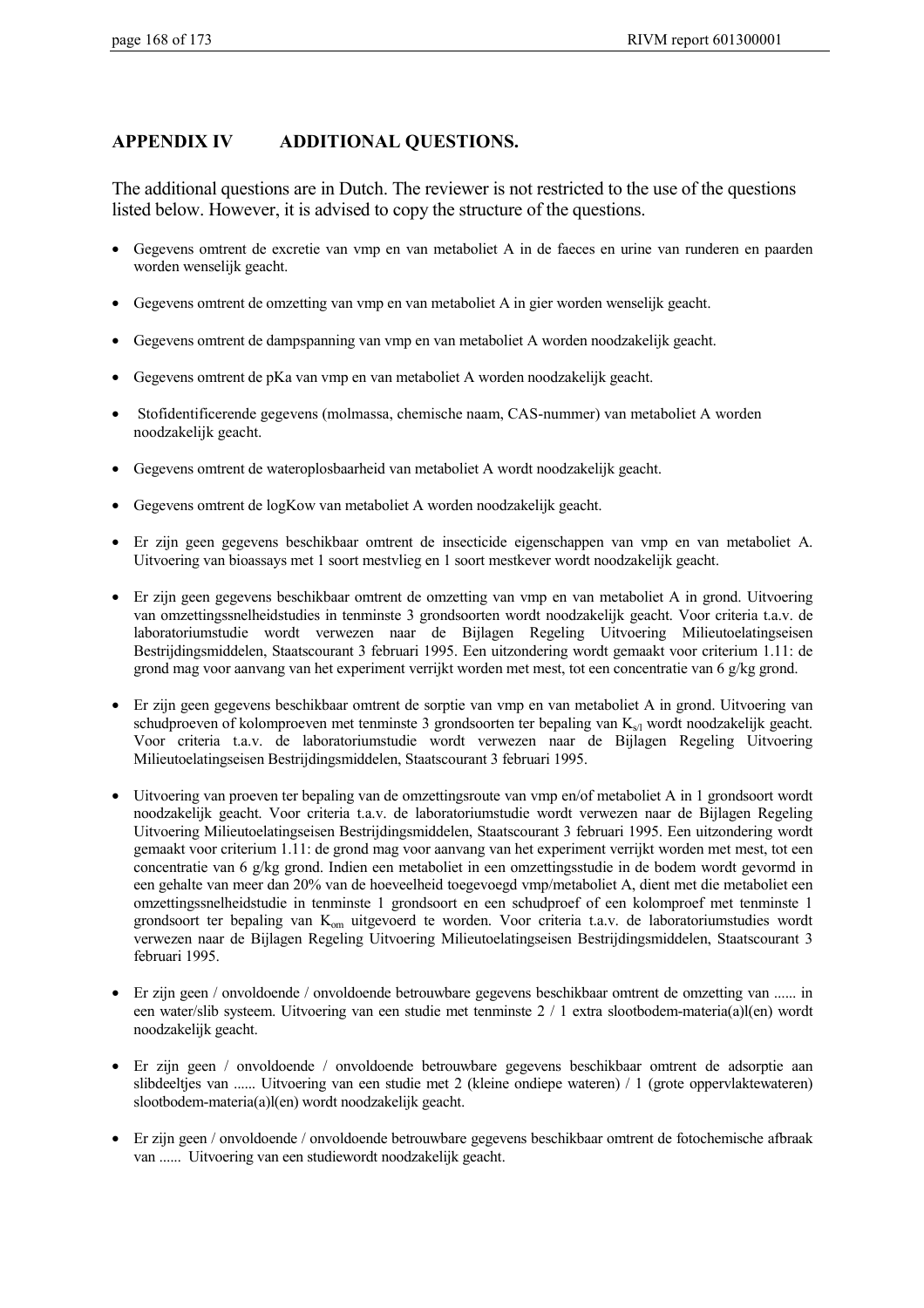### **APPENDIX IV ADDITIONAL QUESTIONS.**

The additional questions are in Dutch. The reviewer is not restricted to the use of the questions listed below. However, it is advised to copy the structure of the questions.

- Gegevens omtrent de excretie van vmp en van metaboliet A in de faeces en urine van runderen en paarden worden wenselijk geacht.
- Gegevens omtrent de omzetting van vmp en van metaboliet A in gier worden wenselijk geacht.
- Gegevens omtrent de dampspanning van vmp en van metaboliet A worden noodzakelijk geacht.
- Gegevens omtrent de pKa van vmp en van metaboliet A worden noodzakelijk geacht.
- Stofidentificerende gegevens (molmassa, chemische naam, CAS-nummer) van metaboliet A worden noodzakelijk geacht.
- Gegevens omtrent de wateroplosbaarheid van metaboliet A wordt noodzakelijk geacht.
- Gegevens omtrent de logKow van metaboliet A worden noodzakelijk geacht.
- Er zijn geen gegevens beschikbaar omtrent de insecticide eigenschappen van vmp en van metaboliet A. Uitvoering van bioassays met 1 soort mestvlieg en 1 soort mestkever wordt noodzakelijk geacht.
- Er zijn geen gegevens beschikbaar omtrent de omzetting van vmp en van metaboliet A in grond. Uitvoering van omzettingssnelheidstudies in tenminste 3 grondsoorten wordt noodzakelijk geacht. Voor criteria t.a.v. de laboratoriumstudie wordt verwezen naar de Bijlagen Regeling Uitvoering Milieutoelatingseisen Bestrijdingsmiddelen, Staatscourant 3 februari 1995. Een uitzondering wordt gemaakt voor criterium 1.11: de grond mag voor aanvang van het experiment verrijkt worden met mest, tot een concentratie van 6 g/kg grond.
- Er zijn geen gegevens beschikbaar omtrent de sorptie van vmp en van metaboliet A in grond. Uitvoering van schudproeven of kolomproeven met tenminste 3 grondsoorten ter bepaling van  $K_{s/l}$  wordt noodzakelijk geacht. Voor criteria t.a.v. de laboratoriumstudie wordt verwezen naar de Bijlagen Regeling Uitvoering Milieutoelatingseisen Bestrijdingsmiddelen, Staatscourant 3 februari 1995.
- Uitvoering van proeven ter bepaling van de omzettingsroute van vmp en/of metaboliet A in 1 grondsoort wordt noodzakelijk geacht. Voor criteria t.a.v. de laboratoriumstudie wordt verwezen naar de Bijlagen Regeling Uitvoering Milieutoelatingseisen Bestrijdingsmiddelen, Staatscourant 3 februari 1995. Een uitzondering wordt gemaakt voor criterium 1.11: de grond mag voor aanvang van het experiment verrijkt worden met mest, tot een concentratie van 6 g/kg grond. Indien een metaboliet in een omzettingsstudie in de bodem wordt gevormd in een gehalte van meer dan 20% van de hoeveelheid toegevoegd vmp/metaboliet A, dient met die metaboliet een omzettingssnelheidstudie in tenminste 1 grondsoort en een schudproef of een kolomproef met tenminste 1 grondsoort ter bepaling van K<sub>om</sub> uitgevoerd te worden. Voor criteria t.a.v. de laboratoriumstudies wordt verwezen naar de Bijlagen Regeling Uitvoering Milieutoelatingseisen Bestrijdingsmiddelen, Staatscourant 3 februari 1995.
- Er zijn geen / onvoldoende / onvoldoende betrouwbare gegevens beschikbaar omtrent de omzetting van ...... in een water/slib systeem. Uitvoering van een studie met tenminste 2 / 1 extra slootbodem-materia(a)l(en) wordt noodzakelijk geacht.
- Er zijn geen / onvoldoende / onvoldoende betrouwbare gegevens beschikbaar omtrent de adsorptie aan slibdeeltjes van ...... Uitvoering van een studie met 2 (kleine ondiepe wateren) / 1 (grote oppervlaktewateren) slootbodem-materia(a)l(en) wordt noodzakelijk geacht.
- Er zijn geen / onvoldoende / onvoldoende betrouwbare gegevens beschikbaar omtrent de fotochemische afbraak van ...... Uitvoering van een studiewordt noodzakelijk geacht.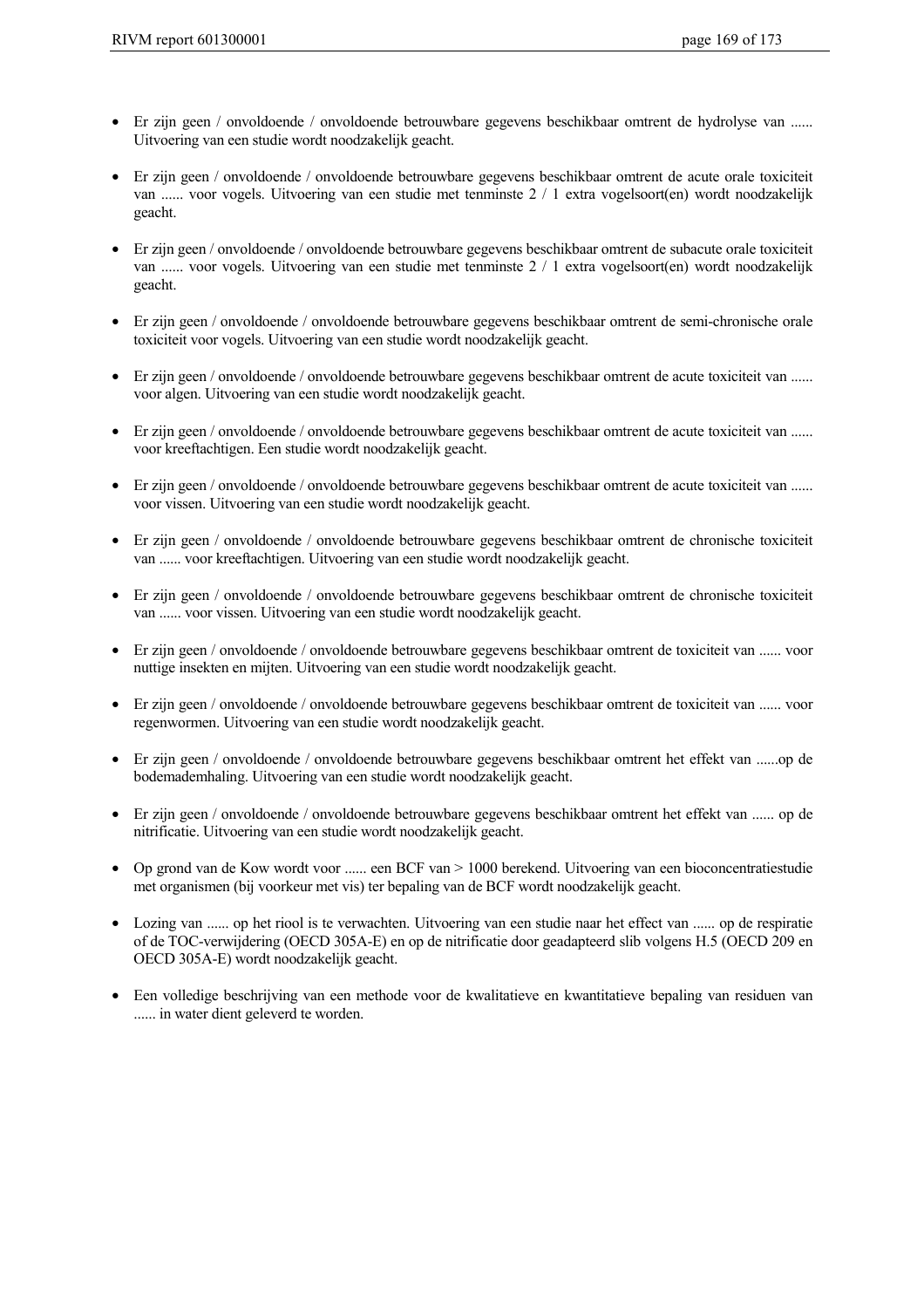- Er zijn geen / onvoldoende / onvoldoende betrouwbare gegevens beschikbaar omtrent de hydrolyse van ...... Uitvoering van een studie wordt noodzakelijk geacht.
- Er zijn geen / onvoldoende / onvoldoende betrouwbare gegevens beschikbaar omtrent de acute orale toxiciteit van ...... voor vogels. Uitvoering van een studie met tenminste 2 / 1 extra vogelsoort(en) wordt noodzakelijk geacht.
- Er zijn geen / onvoldoende / onvoldoende betrouwbare gegevens beschikbaar omtrent de subacute orale toxiciteit van ...... voor vogels. Uitvoering van een studie met tenminste 2 / 1 extra vogelsoort(en) wordt noodzakelijk geacht.
- Er zijn geen / onvoldoende / onvoldoende betrouwbare gegevens beschikbaar omtrent de semi-chronische orale toxiciteit voor vogels. Uitvoering van een studie wordt noodzakelijk geacht.
- Er zijn geen / onvoldoende / onvoldoende betrouwbare gegevens beschikbaar omtrent de acute toxiciteit van ...... voor algen. Uitvoering van een studie wordt noodzakelijk geacht.
- Er zijn geen / onvoldoende / onvoldoende betrouwbare gegevens beschikbaar omtrent de acute toxiciteit van ...... voor kreeftachtigen. Een studie wordt noodzakelijk geacht.
- Er zijn geen / onvoldoende / onvoldoende betrouwbare gegevens beschikbaar omtrent de acute toxiciteit van ...... voor vissen. Uitvoering van een studie wordt noodzakelijk geacht.
- Er zijn geen / onvoldoende / onvoldoende betrouwbare gegevens beschikbaar omtrent de chronische toxiciteit van ...... voor kreeftachtigen. Uitvoering van een studie wordt noodzakelijk geacht.
- Er zijn geen / onvoldoende / onvoldoende betrouwbare gegevens beschikbaar omtrent de chronische toxiciteit van ...... voor vissen. Uitvoering van een studie wordt noodzakelijk geacht.
- Er zijn geen / onvoldoende / onvoldoende betrouwbare gegevens beschikbaar omtrent de toxiciteit van ...... voor nuttige insekten en mijten. Uitvoering van een studie wordt noodzakelijk geacht.
- Er zijn geen / onvoldoende / onvoldoende betrouwbare gegevens beschikbaar omtrent de toxiciteit van ...... voor regenwormen. Uitvoering van een studie wordt noodzakelijk geacht.
- Er zijn geen / onvoldoende / onvoldoende betrouwbare gegevens beschikbaar omtrent het effekt van ......op de bodemademhaling. Uitvoering van een studie wordt noodzakelijk geacht.
- Er zijn geen / onvoldoende / onvoldoende betrouwbare gegevens beschikbaar omtrent het effekt van ...... op de nitrificatie. Uitvoering van een studie wordt noodzakelijk geacht.
- Op grond van de Kow wordt voor ...... een BCF van > 1000 berekend. Uitvoering van een bioconcentratiestudie met organismen (bij voorkeur met vis) ter bepaling van de BCF wordt noodzakelijk geacht.
- Lozing van ...... op het riool is te verwachten. Uitvoering van een studie naar het effect van ...... op de respiratie of de TOC-verwijdering (OECD 305A-E) en op de nitrificatie door geadapteerd slib volgens H.5 (OECD 209 en OECD 305A-E) wordt noodzakelijk geacht.
- Een volledige beschrijving van een methode voor de kwalitatieve en kwantitatieve bepaling van residuen van ...... in water dient geleverd te worden.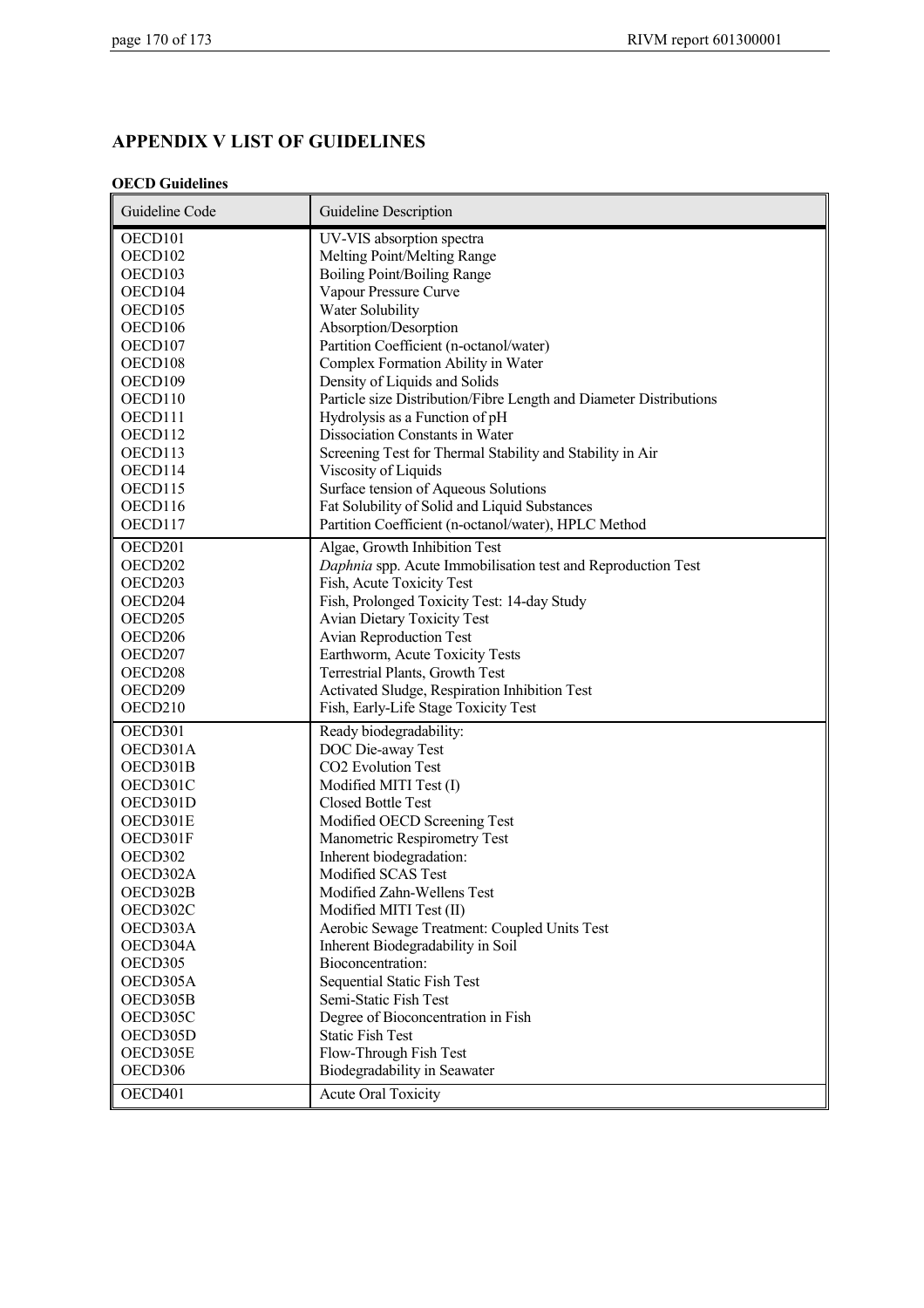# **APPENDIX V LIST OF GUIDELINES**

#### **OECD Guidelines**

| Guideline Code      | Guideline Description                                              |
|---------------------|--------------------------------------------------------------------|
| OECD101             | UV-VIS absorption spectra                                          |
| OECD102             | Melting Point/Melting Range                                        |
| OECD103             | Boiling Point/Boiling Range                                        |
| OECD104             | Vapour Pressure Curve                                              |
| OECD105             | Water Solubility                                                   |
| OECD106             | Absorption/Desorption                                              |
| OECD107             | Partition Coefficient (n-octanol/water)                            |
| OECD108             | Complex Formation Ability in Water                                 |
| OECD109             | Density of Liquids and Solids                                      |
| OECD110             | Particle size Distribution/Fibre Length and Diameter Distributions |
| OECD111             | Hydrolysis as a Function of pH                                     |
| OECD112             | Dissociation Constants in Water                                    |
| OECD113             | Screening Test for Thermal Stability and Stability in Air          |
| OECD114             | Viscosity of Liquids                                               |
| OECD115             | Surface tension of Aqueous Solutions                               |
| OECD116             | Fat Solubility of Solid and Liquid Substances                      |
| OECD117             | Partition Coefficient (n-octanol/water), HPLC Method               |
| OECD201             | Algae, Growth Inhibition Test                                      |
| OECD202             | Daphnia spp. Acute Immobilisation test and Reproduction Test       |
| OECD203             | Fish, Acute Toxicity Test                                          |
| OECD204             | Fish, Prolonged Toxicity Test: 14-day Study                        |
| OECD205             | <b>Avian Dietary Toxicity Test</b>                                 |
| OECD <sub>206</sub> | <b>Avian Reproduction Test</b>                                     |
| OECD207             | Earthworm, Acute Toxicity Tests                                    |
| OECD208             | Terrestrial Plants, Growth Test                                    |
| OECD209             | Activated Sludge, Respiration Inhibition Test                      |
| OECD210             | Fish, Early-Life Stage Toxicity Test                               |
| OECD301             | Ready biodegradability:                                            |
| OECD301A            | DOC Die-away Test                                                  |
| OECD301B            | <b>CO2</b> Evolution Test                                          |
| OECD301C            | Modified MITI Test (I)                                             |
| OECD301D            | <b>Closed Bottle Test</b>                                          |
| OECD301E            | Modified OECD Screening Test                                       |
| OECD301F            | Manometric Respirometry Test                                       |
| OECD302             | Inherent biodegradation:                                           |
| OECD302A            | Modified SCAS Test                                                 |
| OECD302B            | Modified Zahn-Wellens Test                                         |
| OECD302C            | Modified MITI Test (II)                                            |
| OECD303A            | Aerobic Sewage Treatment: Coupled Units Test                       |
| OECD304A            | Inherent Biodegradability in Soil                                  |
| OECD305             | Bioconcentration:                                                  |
| OECD305A            | <b>Sequential Static Fish Test</b>                                 |
| OECD305B            | Semi-Static Fish Test                                              |
| OECD305C            | Degree of Bioconcentration in Fish                                 |
| OECD305D            | <b>Static Fish Test</b>                                            |
| OECD305E            | Flow-Through Fish Test                                             |
| OECD306             | Biodegradability in Seawater                                       |
| OECD401             | <b>Acute Oral Toxicity</b>                                         |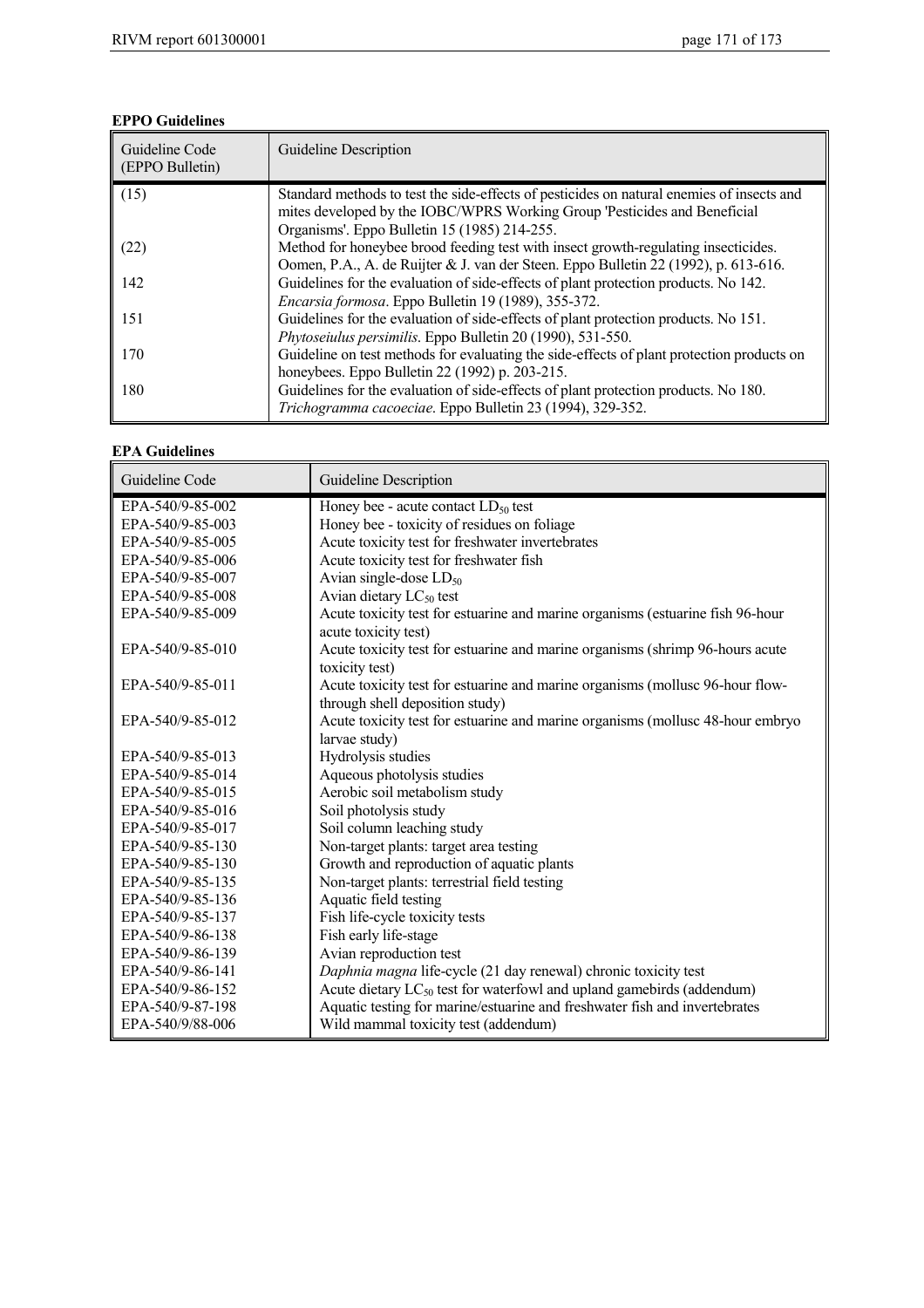### **EPPO Guidelines**

| Guideline Code<br>(EPPO Bulletin) | Guideline Description                                                                                                                                                                                                  |
|-----------------------------------|------------------------------------------------------------------------------------------------------------------------------------------------------------------------------------------------------------------------|
| (15)                              | Standard methods to test the side-effects of pesticides on natural enemies of insects and<br>mites developed by the IOBC/WPRS Working Group 'Pesticides and Beneficial<br>Organisms'. Eppo Bulletin 15 (1985) 214-255. |
| (22)                              | Method for honeybee brood feeding test with insect growth-regulating insecticides.<br>Oomen, P.A., A. de Ruijter & J. van der Steen. Eppo Bulletin 22 (1992), p. 613-616.                                              |
| 142                               | Guidelines for the evaluation of side-effects of plant protection products. No 142.<br>Encarsia formosa. Eppo Bulletin 19 (1989), 355-372.                                                                             |
| 151                               | Guidelines for the evaluation of side-effects of plant protection products. No 151.<br>Phytoseiulus persimilis. Eppo Bulletin 20 (1990), 531-550.                                                                      |
| 170                               | Guideline on test methods for evaluating the side-effects of plant protection products on<br>honeybees. Eppo Bulletin 22 (1992) p. 203-215.                                                                            |
| 180                               | Guidelines for the evaluation of side-effects of plant protection products. No 180.<br>Trichogramma cacoeciae. Eppo Bulletin 23 (1994), 329-352.                                                                       |

#### **EPA Guidelines**

| Guideline Code   | Guideline Description                                                          |
|------------------|--------------------------------------------------------------------------------|
| EPA-540/9-85-002 | Honey bee - acute contact $LD_{50}$ test                                       |
| EPA-540/9-85-003 | Honey bee - toxicity of residues on foliage                                    |
| EPA-540/9-85-005 | Acute toxicity test for freshwater invertebrates                               |
| EPA-540/9-85-006 | Acute toxicity test for freshwater fish                                        |
| EPA-540/9-85-007 | Avian single-dose $LD_{50}$                                                    |
| EPA-540/9-85-008 | Avian dietary LC <sub>50</sub> test                                            |
| EPA-540/9-85-009 | Acute toxicity test for estuarine and marine organisms (estuarine fish 96-hour |
|                  | acute toxicity test)                                                           |
| EPA-540/9-85-010 | Acute toxicity test for estuarine and marine organisms (shrimp 96-hours acute  |
|                  | toxicity test)                                                                 |
| EPA-540/9-85-011 | Acute toxicity test for estuarine and marine organisms (mollusc 96-hour flow-  |
|                  | through shell deposition study)                                                |
| EPA-540/9-85-012 | Acute toxicity test for estuarine and marine organisms (mollusc 48-hour embryo |
|                  | larvae study)                                                                  |
| EPA-540/9-85-013 | Hydrolysis studies                                                             |
| EPA-540/9-85-014 | Aqueous photolysis studies                                                     |
| EPA-540/9-85-015 | Aerobic soil metabolism study                                                  |
| EPA-540/9-85-016 | Soil photolysis study                                                          |
| EPA-540/9-85-017 | Soil column leaching study                                                     |
| EPA-540/9-85-130 | Non-target plants: target area testing                                         |
| EPA-540/9-85-130 | Growth and reproduction of aquatic plants                                      |
| EPA-540/9-85-135 | Non-target plants: terrestrial field testing                                   |
| EPA-540/9-85-136 | Aquatic field testing                                                          |
| EPA-540/9-85-137 | Fish life-cycle toxicity tests                                                 |
| EPA-540/9-86-138 | Fish early life-stage                                                          |
| EPA-540/9-86-139 | Avian reproduction test                                                        |
| EPA-540/9-86-141 | Daphnia magna life-cycle (21 day renewal) chronic toxicity test                |
| EPA-540/9-86-152 | Acute dietary $LC_{50}$ test for waterfowl and upland gamebirds (addendum)     |
| EPA-540/9-87-198 | Aquatic testing for marine/estuarine and freshwater fish and invertebrates     |
| EPA-540/9/88-006 | Wild mammal toxicity test (addendum)                                           |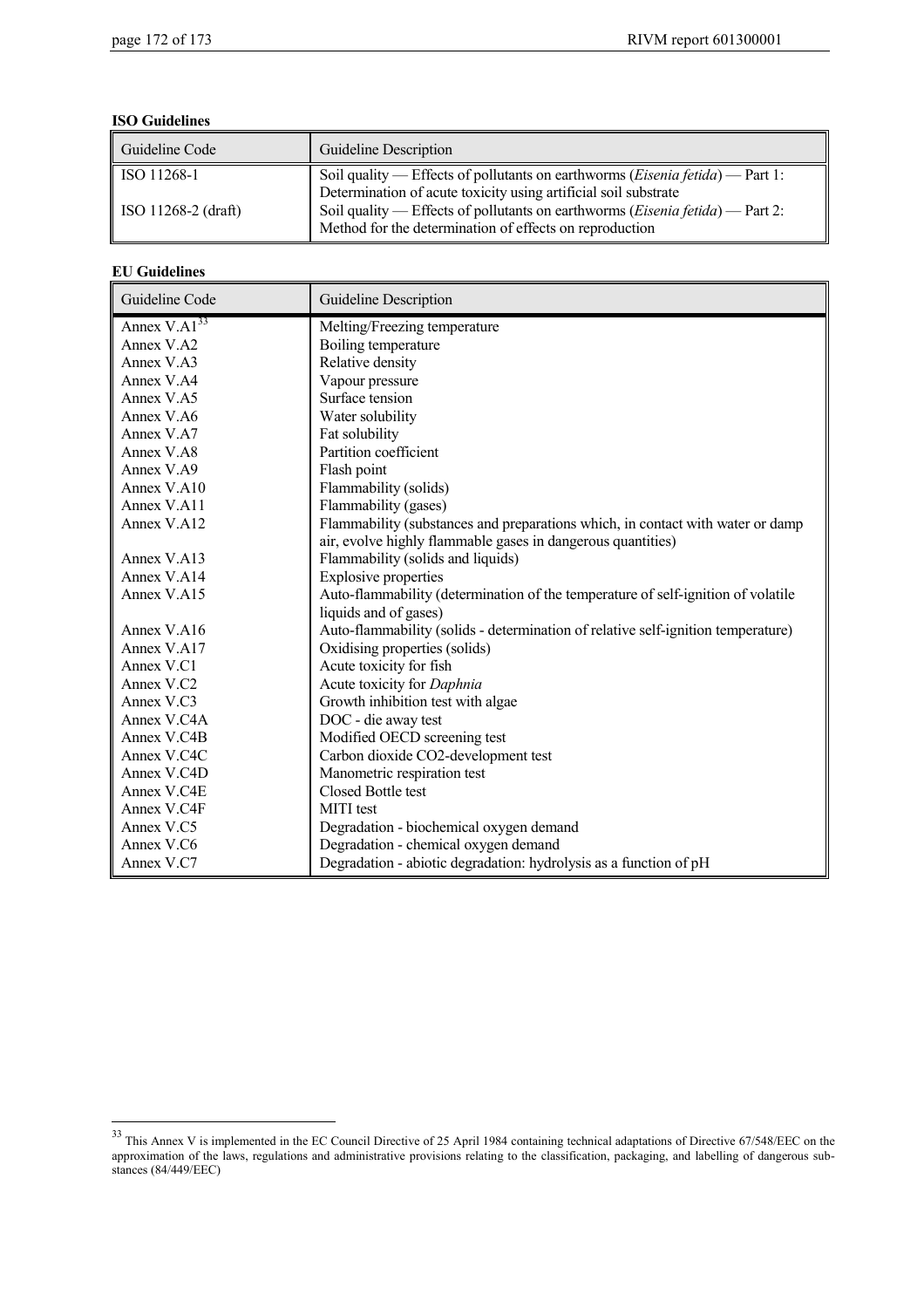#### **ISO Guidelines**

| Guideline Code                                 | Guideline Description                                                                                                                                                                                                                                                                                          |
|------------------------------------------------|----------------------------------------------------------------------------------------------------------------------------------------------------------------------------------------------------------------------------------------------------------------------------------------------------------------|
| ISO 11268-1<br>$\parallel$ ISO 11268-2 (draft) | Soil quality — Effects of pollutants on earthworms ( <i>Eisenia fetida</i> ) — Part 1:<br>Determination of acute toxicity using artificial soil substrate<br>Soil quality — Effects of pollutants on earthworms ( <i>Eisenia fetida</i> ) — Part 2:<br>Method for the determination of effects on reproduction |

#### **EU Guidelines**

 $\overline{a}$ 

| Guideline Code    | <b>Guideline Description</b>                                                     |
|-------------------|----------------------------------------------------------------------------------|
| Annex $V.A1^{33}$ | Melting/Freezing temperature                                                     |
| Annex V.A2        | Boiling temperature                                                              |
| Annex V.A3        | Relative density                                                                 |
| Annex V.A4        | Vapour pressure                                                                  |
| Annex V.A5        | Surface tension                                                                  |
| Annex V.A6        | Water solubility                                                                 |
| Annex V.A7        | Fat solubility                                                                   |
| Annex V.A8        | Partition coefficient                                                            |
| Annex V.A9        | Flash point                                                                      |
| Annex $V$ A10     | Flammability (solids)                                                            |
| Annex V.A11       | Flammability (gases)                                                             |
| Annex V.A12       | Flammability (substances and preparations which, in contact with water or damp   |
|                   | air, evolve highly flammable gases in dangerous quantities)                      |
| Annex V.A13       | Flammability (solids and liquids)                                                |
| Annex V.A14       | <b>Explosive properties</b>                                                      |
| Annex V.A15       | Auto-flammability (determination of the temperature of self-ignition of volatile |
|                   | liquids and of gases)                                                            |
| Annex V.A16       | Auto-flammability (solids - determination of relative self-ignition temperature) |
| Annex V.A17       | Oxidising properties (solids)                                                    |
| Annex V.C1        | Acute toxicity for fish                                                          |
| Annex V.C2        | Acute toxicity for Daphnia                                                       |
| Annex V.C3        | Growth inhibition test with algae                                                |
| Annex V.C4A       | DOC - die away test                                                              |
| Annex V.C4B       | Modified OECD screening test                                                     |
| Annex V.C4C       | Carbon dioxide CO2-development test                                              |
| Annex V.C4D       | Manometric respiration test                                                      |
| Annex V.C4E       | Closed Bottle test                                                               |
| Annex V.C4F       | <b>MITI</b> test                                                                 |
| Annex V.C5        | Degradation - biochemical oxygen demand                                          |
| Annex V.C6        | Degradation - chemical oxygen demand                                             |
| Annex V.C7        | Degradation - abiotic degradation: hydrolysis as a function of pH                |

<sup>&</sup>lt;sup>33</sup> This Annex V is implemented in the EC Council Directive of 25 April 1984 containing technical adaptations of Directive 67/548/EEC on the approximation of the laws, regulations and administrative provisions relating to the classification, packaging, and labelling of dangerous substances (84/449/EEC)